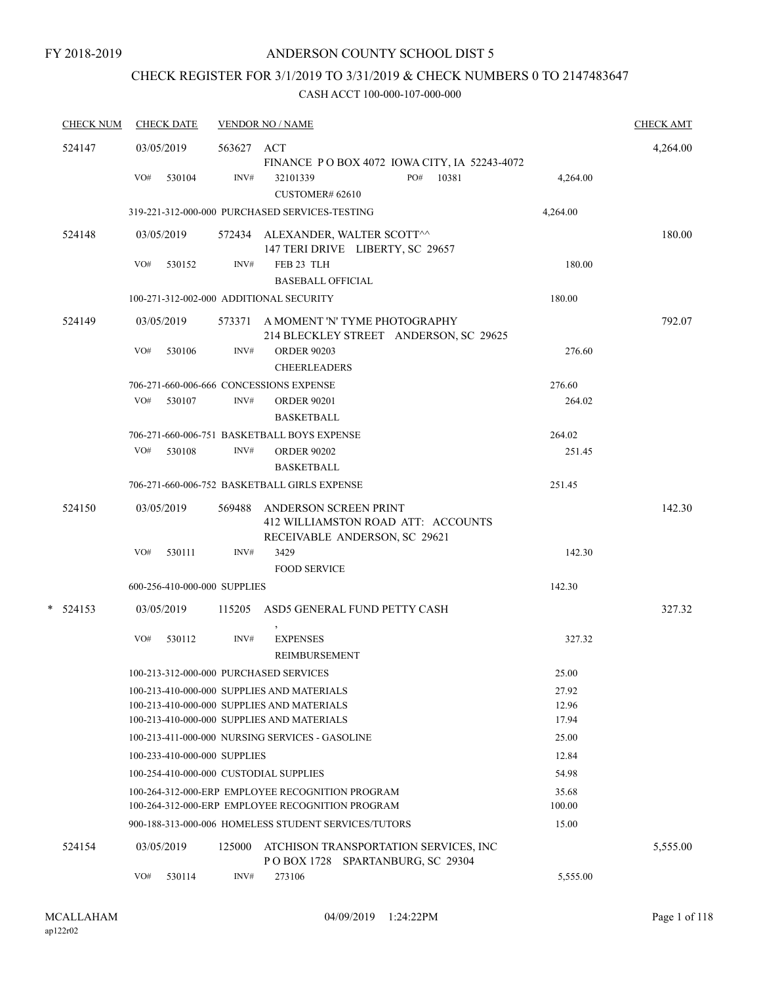# CHECK REGISTER FOR 3/1/2019 TO 3/31/2019 & CHECK NUMBERS 0 TO 2147483647

| <b>CHECK NUM</b> | <b>CHECK DATE</b>                       |            | <b>VENDOR NO / NAME</b>                                                                              |                 | <b>CHECK AMT</b> |
|------------------|-----------------------------------------|------------|------------------------------------------------------------------------------------------------------|-----------------|------------------|
| 524147           | 03/05/2019                              | 563627 ACT | FINANCE PO BOX 4072 IOWA CITY, IA 52243-4072                                                         |                 | 4,264.00         |
|                  | VO#<br>530104                           | INV#       | PO#<br>10381<br>32101339<br>CUSTOMER# 62610                                                          | 4,264.00        |                  |
|                  |                                         |            | 319-221-312-000-000 PURCHASED SERVICES-TESTING                                                       | 4,264.00        |                  |
| 524148           | 03/05/2019                              |            | 572434 ALEXANDER, WALTER SCOTT^^<br>147 TERI DRIVE LIBERTY, SC 29657                                 |                 | 180.00           |
|                  | VO#<br>530152                           | INV#       | FEB 23 TLH<br><b>BASEBALL OFFICIAL</b>                                                               | 180.00          |                  |
|                  | 100-271-312-002-000 ADDITIONAL SECURITY |            |                                                                                                      | 180.00          |                  |
| 524149           | 03/05/2019                              |            | 573371 A MOMENT 'N' TYME PHOTOGRAPHY<br>214 BLECKLEY STREET ANDERSON, SC 29625                       |                 | 792.07           |
|                  | VO#<br>530106                           | INV#       | <b>ORDER 90203</b><br><b>CHEERLEADERS</b>                                                            | 276.60          |                  |
|                  | 706-271-660-006-666 CONCESSIONS EXPENSE |            |                                                                                                      | 276.60          |                  |
|                  | VO#<br>530107                           | INV#       | <b>ORDER 90201</b><br><b>BASKETBALL</b>                                                              | 264.02          |                  |
|                  |                                         |            | 706-271-660-006-751 BASKETBALL BOYS EXPENSE                                                          | 264.02          |                  |
|                  | VO#<br>530108                           | INV#       | <b>ORDER 90202</b><br><b>BASKETBALL</b>                                                              | 251.45          |                  |
|                  |                                         |            | 706-271-660-006-752 BASKETBALL GIRLS EXPENSE                                                         | 251.45          |                  |
| 524150           | 03/05/2019                              | 569488     | ANDERSON SCREEN PRINT<br>412 WILLIAMSTON ROAD ATT: ACCOUNTS<br>RECEIVABLE ANDERSON, SC 29621         |                 | 142.30           |
|                  | VO#<br>530111                           | INV#       | 3429<br><b>FOOD SERVICE</b>                                                                          | 142.30          |                  |
|                  | 600-256-410-000-000 SUPPLIES            |            |                                                                                                      | 142.30          |                  |
| $*$ 524153       | 03/05/2019                              |            | 115205 ASD5 GENERAL FUND PETTY CASH                                                                  |                 | 327.32           |
|                  | VO#<br>530112                           | INV#       | <b>EXPENSES</b><br>REIMBURSEMENT                                                                     | 327.32          |                  |
|                  | 100-213-312-000-000 PURCHASED SERVICES  |            |                                                                                                      | 25.00           |                  |
|                  |                                         |            | 100-213-410-000-000 SUPPLIES AND MATERIALS                                                           | 27.92           |                  |
|                  |                                         |            | 100-213-410-000-000 SUPPLIES AND MATERIALS<br>100-213-410-000-000 SUPPLIES AND MATERIALS             | 12.96<br>17.94  |                  |
|                  |                                         |            | 100-213-411-000-000 NURSING SERVICES - GASOLINE                                                      | 25.00           |                  |
|                  | 100-233-410-000-000 SUPPLIES            |            |                                                                                                      | 12.84           |                  |
|                  | 100-254-410-000-000 CUSTODIAL SUPPLIES  |            |                                                                                                      | 54.98           |                  |
|                  |                                         |            | 100-264-312-000-ERP EMPLOYEE RECOGNITION PROGRAM<br>100-264-312-000-ERP EMPLOYEE RECOGNITION PROGRAM | 35.68<br>100.00 |                  |
|                  |                                         |            | 900-188-313-000-006 HOMELESS STUDENT SERVICES/TUTORS                                                 | 15.00           |                  |
| 524154           | 03/05/2019                              | 125000     | ATCHISON TRANSPORTATION SERVICES, INC<br>POBOX 1728 SPARTANBURG, SC 29304                            |                 | 5,555.00         |
|                  | VO#<br>530114                           | INV#       | 273106                                                                                               | 5,555.00        |                  |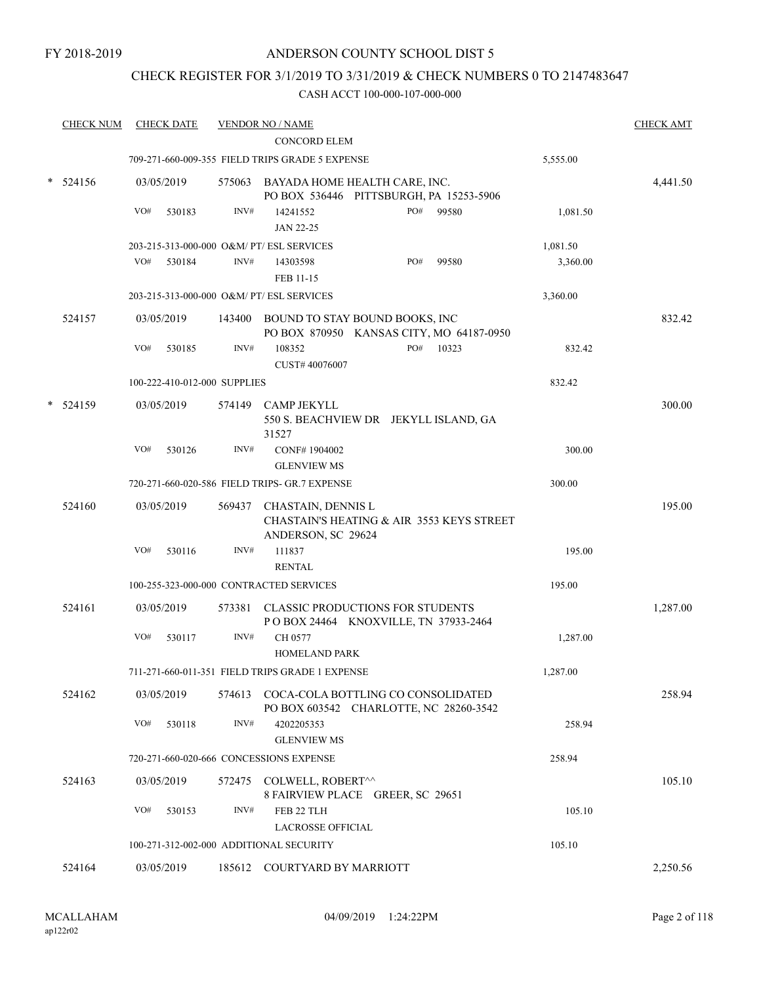## CHECK REGISTER FOR 3/1/2019 TO 3/31/2019 & CHECK NUMBERS 0 TO 2147483647

| <b>CHECK NUM</b> | <b>CHECK DATE</b> |                              |        | <b>VENDOR NO / NAME</b>                                                                      |     |           |          | <b>CHECK AMT</b> |
|------------------|-------------------|------------------------------|--------|----------------------------------------------------------------------------------------------|-----|-----------|----------|------------------|
|                  |                   |                              |        | <b>CONCORD ELEM</b>                                                                          |     |           |          |                  |
|                  |                   |                              |        | 709-271-660-009-355 FIELD TRIPS GRADE 5 EXPENSE                                              |     |           | 5,555.00 |                  |
| 524156           | 03/05/2019        |                              |        | 575063 BAYADA HOME HEALTH CARE, INC.<br>PO BOX 536446 PITTSBURGH, PA 15253-5906              |     |           |          | 4,441.50         |
|                  | VO#               | 530183                       | INV#   | 14241552                                                                                     | PO# | 99580     | 1,081.50 |                  |
|                  |                   |                              |        | JAN 22-25                                                                                    |     |           |          |                  |
|                  |                   |                              |        | 203-215-313-000-000 O&M/ PT/ ESL SERVICES                                                    |     |           | 1,081.50 |                  |
|                  | VO#               | 530184                       | INV#   | 14303598                                                                                     | PO# | 99580     | 3,360.00 |                  |
|                  |                   |                              |        | FEB 11-15                                                                                    |     |           |          |                  |
|                  |                   |                              |        | 203-215-313-000-000 O&M/ PT/ ESL SERVICES                                                    |     |           | 3,360.00 |                  |
| 524157           | 03/05/2019        |                              | 143400 | BOUND TO STAY BOUND BOOKS, INC<br>PO BOX 870950 KANSAS CITY, MO 64187-0950                   |     |           |          | 832.42           |
|                  | VO#               | 530185                       | INV#   | 108352<br>CUST# 40076007                                                                     |     | PO# 10323 |          | 832.42           |
|                  |                   | 100-222-410-012-000 SUPPLIES |        |                                                                                              |     |           | 832.42   |                  |
| 524159           | 03/05/2019        |                              |        | 574149 CAMP JEKYLL<br>550 S. BEACHVIEW DR JEKYLL ISLAND, GA<br>31527                         |     |           |          | 300.00           |
|                  | VO#               | 530126                       | INV#   | CONF#1904002                                                                                 |     |           |          | 300.00           |
|                  |                   |                              |        | <b>GLENVIEW MS</b>                                                                           |     |           |          |                  |
|                  |                   |                              |        | 720-271-660-020-586 FIELD TRIPS- GR.7 EXPENSE                                                |     |           | 300.00   |                  |
| 524160           | 03/05/2019        |                              |        | 569437 CHASTAIN, DENNIS L<br>CHASTAIN'S HEATING & AIR 3553 KEYS STREET<br>ANDERSON, SC 29624 |     |           |          | 195.00           |
|                  | VO#               | 530116                       | INV#   | 111837<br><b>RENTAL</b>                                                                      |     |           |          | 195.00           |
|                  |                   |                              |        | 100-255-323-000-000 CONTRACTED SERVICES                                                      |     |           | 195.00   |                  |
| 524161           | 03/05/2019        |                              | 573381 | <b>CLASSIC PRODUCTIONS FOR STUDENTS</b><br>POBOX 24464 KNOXVILLE, TN 37933-2464              |     |           |          | 1,287.00         |
|                  | VO#               | 530117                       | INV#   | CH 0577<br><b>HOMELAND PARK</b>                                                              |     |           | 1,287.00 |                  |
|                  |                   |                              |        | 711-271-660-011-351 FIELD TRIPS GRADE 1 EXPENSE                                              |     |           | 1,287.00 |                  |
| 524162           | 03/05/2019        |                              |        | 574613 COCA-COLA BOTTLING CO CONSOLIDATED<br>PO BOX 603542 CHARLOTTE, NC 28260-3542          |     |           |          | 258.94           |
|                  | VO#               | 530118                       | INV#   | 4202205353<br><b>GLENVIEW MS</b>                                                             |     |           |          | 258.94           |
|                  |                   |                              |        | 720-271-660-020-666 CONCESSIONS EXPENSE                                                      |     |           | 258.94   |                  |
| 524163           | 03/05/2019        |                              |        | 572475 COLWELL, ROBERT^^<br>8 FAIRVIEW PLACE GREER, SC 29651                                 |     |           |          | 105.10           |
|                  | VO#               | 530153                       | INV#   | FEB 22 TLH<br><b>LACROSSE OFFICIAL</b>                                                       |     |           |          | 105.10           |
|                  |                   |                              |        | 100-271-312-002-000 ADDITIONAL SECURITY                                                      |     |           | 105.10   |                  |
| 524164           | 03/05/2019        |                              |        | 185612 COURTYARD BY MARRIOTT                                                                 |     |           |          | 2,250.56         |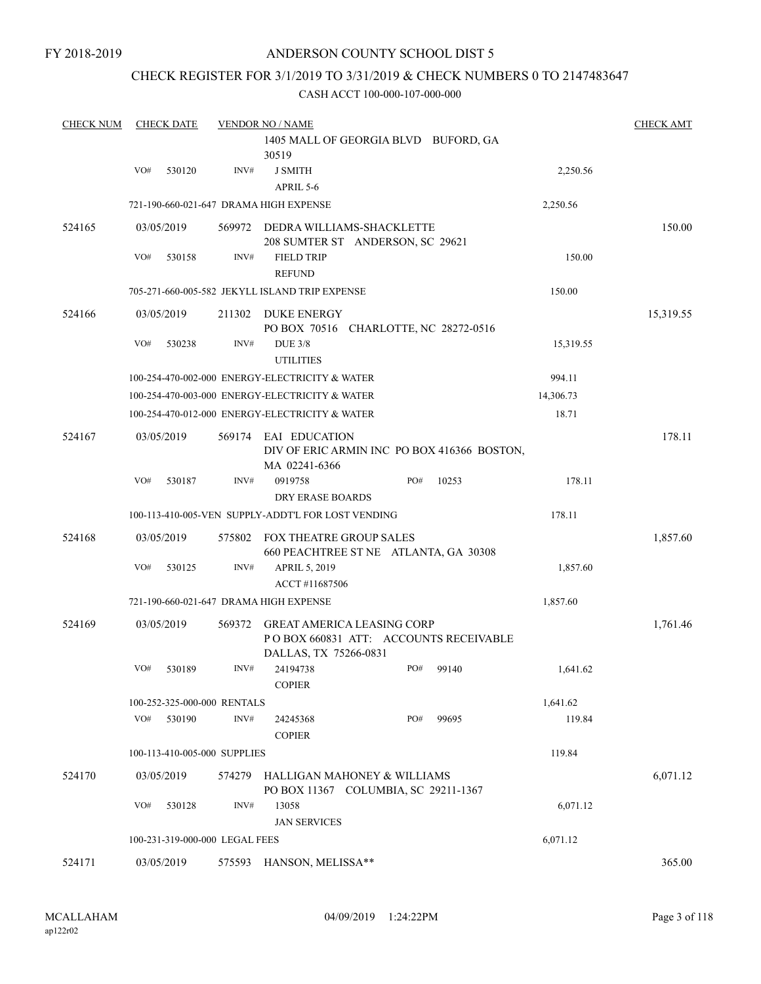FY 2018-2019

## ANDERSON COUNTY SCHOOL DIST 5

## CHECK REGISTER FOR 3/1/2019 TO 3/31/2019 & CHECK NUMBERS 0 TO 2147483647

| <b>CHECK NUM</b> |            | <b>CHECK DATE</b> |                                | <b>VENDOR NO / NAME</b>                                                                              |     |       |           | <b>CHECK AMT</b> |
|------------------|------------|-------------------|--------------------------------|------------------------------------------------------------------------------------------------------|-----|-------|-----------|------------------|
|                  |            |                   |                                | 1405 MALL OF GEORGIA BLVD BUFORD, GA<br>30519                                                        |     |       |           |                  |
|                  | VO#        | 530120            | INV#                           | <b>J SMITH</b><br>APRIL 5-6                                                                          |     |       | 2,250.56  |                  |
|                  |            |                   |                                | 721-190-660-021-647 DRAMA HIGH EXPENSE                                                               |     |       | 2,250.56  |                  |
| 524165           | 03/05/2019 |                   | 569972                         | DEDRA WILLIAMS-SHACKLETTE<br>208 SUMTER ST ANDERSON, SC 29621                                        |     |       |           | 150.00           |
|                  | VO#        | 530158            | INV#                           | <b>FIELD TRIP</b><br><b>REFUND</b>                                                                   |     |       | 150.00    |                  |
|                  |            |                   |                                | 705-271-660-005-582 JEKYLL ISLAND TRIP EXPENSE                                                       |     |       | 150.00    |                  |
| 524166           | 03/05/2019 |                   | 211302                         | DUKE ENERGY<br>PO BOX 70516 CHARLOTTE, NC 28272-0516                                                 |     |       |           | 15,319.55        |
|                  | VO#        | 530238            | INV#                           | <b>DUE 3/8</b><br><b>UTILITIES</b>                                                                   |     |       | 15,319.55 |                  |
|                  |            |                   |                                | 100-254-470-002-000 ENERGY-ELECTRICITY & WATER                                                       |     |       | 994.11    |                  |
|                  |            |                   |                                | 100-254-470-003-000 ENERGY-ELECTRICITY & WATER                                                       |     |       | 14,306.73 |                  |
|                  |            |                   |                                | 100-254-470-012-000 ENERGY-ELECTRICITY & WATER                                                       |     |       | 18.71     |                  |
| 524167           | 03/05/2019 |                   | 569174                         | EAI EDUCATION<br>DIV OF ERIC ARMIN INC PO BOX 416366 BOSTON,<br>MA 02241-6366                        |     |       |           | 178.11           |
|                  | VO#        | 530187            | INV#                           | 0919758<br>DRY ERASE BOARDS                                                                          | PO# | 10253 | 178.11    |                  |
|                  |            |                   |                                | 100-113-410-005-VEN SUPPLY-ADDT'L FOR LOST VENDING                                                   |     |       | 178.11    |                  |
| 524168           | 03/05/2019 |                   | 575802                         | FOX THEATRE GROUP SALES<br>660 PEACHTREE ST NE ATLANTA, GA 30308                                     |     |       |           | 1,857.60         |
|                  | VO#        | 530125            | INV#                           | APRIL 5, 2019<br>ACCT#11687506                                                                       |     |       | 1,857.60  |                  |
|                  |            |                   |                                | 721-190-660-021-647 DRAMA HIGH EXPENSE                                                               |     |       | 1,857.60  |                  |
| 524169           | 03/05/2019 |                   | 569372                         | <b>GREAT AMERICA LEASING CORP</b><br>PO BOX 660831 ATT: ACCOUNTS RECEIVABLE<br>DALLAS, TX 75266-0831 |     |       |           | 1,761.46         |
|                  | VO#        | 530189            | INV#                           | 24194738<br><b>COPIER</b>                                                                            | PO# | 99140 | 1,641.62  |                  |
|                  |            |                   | 100-252-325-000-000 RENTALS    |                                                                                                      |     |       | 1,641.62  |                  |
|                  | VO#        | 530190            | INV#                           | 24245368<br><b>COPIER</b>                                                                            | PO# | 99695 | 119.84    |                  |
|                  |            |                   | 100-113-410-005-000 SUPPLIES   |                                                                                                      |     |       | 119.84    |                  |
| 524170           | 03/05/2019 |                   | 574279                         | HALLIGAN MAHONEY & WILLIAMS<br>PO BOX 11367 COLUMBIA, SC 29211-1367                                  |     |       |           | 6,071.12         |
|                  | VO#        | 530128            | INV#                           | 13058<br><b>JAN SERVICES</b>                                                                         |     |       | 6,071.12  |                  |
|                  |            |                   | 100-231-319-000-000 LEGAL FEES |                                                                                                      |     |       | 6,071.12  |                  |
| 524171           | 03/05/2019 |                   | 575593                         | HANSON, MELISSA**                                                                                    |     |       |           | 365.00           |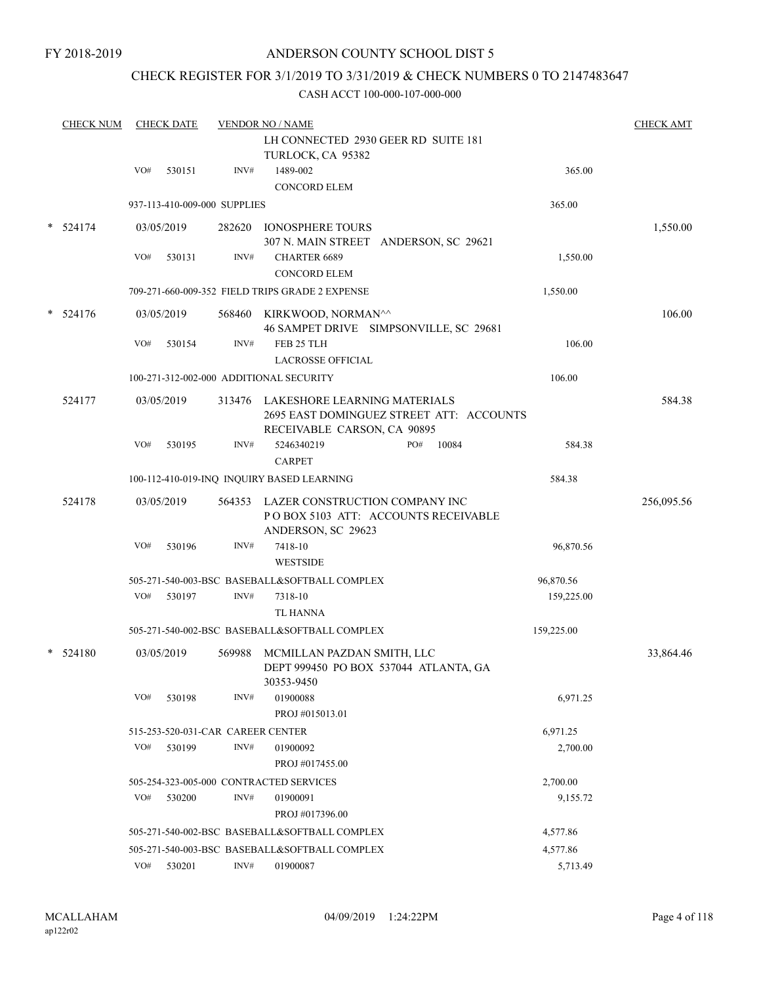## CHECK REGISTER FOR 3/1/2019 TO 3/31/2019 & CHECK NUMBERS 0 TO 2147483647

| <b>CHECK NUM</b> |     | <b>CHECK DATE</b> |                                   | <b>VENDOR NO / NAME</b>                                                           |                                          |            | <b>CHECK AMT</b> |
|------------------|-----|-------------------|-----------------------------------|-----------------------------------------------------------------------------------|------------------------------------------|------------|------------------|
|                  |     |                   |                                   | LH CONNECTED 2930 GEER RD SUITE 181<br>TURLOCK, CA 95382                          |                                          |            |                  |
|                  | VO# | 530151            | INV#                              | 1489-002<br><b>CONCORD ELEM</b>                                                   |                                          | 365.00     |                  |
|                  |     |                   | 937-113-410-009-000 SUPPLIES      |                                                                                   |                                          | 365.00     |                  |
| 524174           |     | 03/05/2019        | 282620                            | <b>IONOSPHERE TOURS</b><br>307 N. MAIN STREET ANDERSON, SC 29621                  |                                          |            | 1,550.00         |
|                  | VO# | 530131            | INV#                              | <b>CHARTER 6689</b>                                                               |                                          | 1,550.00   |                  |
|                  |     |                   |                                   | <b>CONCORD ELEM</b>                                                               |                                          |            |                  |
|                  |     |                   |                                   | 709-271-660-009-352 FIELD TRIPS GRADE 2 EXPENSE                                   |                                          | 1,550.00   |                  |
| $*$ 524176       |     | 03/05/2019        |                                   | 568460 KIRKWOOD, NORMAN^^                                                         | 46 SAMPET DRIVE SIMPSONVILLE, SC 29681   |            | 106.00           |
|                  | VO# | 530154            | INV#                              | FEB 25 TLH<br><b>LACROSSE OFFICIAL</b>                                            |                                          | 106.00     |                  |
|                  |     |                   |                                   | 100-271-312-002-000 ADDITIONAL SECURITY                                           |                                          | 106.00     |                  |
| 524177           |     | 03/05/2019        | 313476                            | LAKESHORE LEARNING MATERIALS<br>RECEIVABLE CARSON, CA 90895                       | 2695 EAST DOMINGUEZ STREET ATT: ACCOUNTS |            | 584.38           |
|                  | VO# | 530195            | INV#                              | 5246340219                                                                        | 10084<br>PO#                             | 584.38     |                  |
|                  |     |                   |                                   | <b>CARPET</b>                                                                     |                                          |            |                  |
|                  |     |                   |                                   | 100-112-410-019-INQ INQUIRY BASED LEARNING                                        |                                          | 584.38     |                  |
| 524178           |     | 03/05/2019        |                                   | 564353 LAZER CONSTRUCTION COMPANY INC<br>ANDERSON, SC 29623                       | POBOX 5103 ATT: ACCOUNTS RECEIVABLE      |            | 256,095.56       |
|                  | VO# | 530196            | INV#                              | 7418-10<br><b>WESTSIDE</b>                                                        |                                          | 96,870.56  |                  |
|                  |     |                   |                                   | 505-271-540-003-BSC BASEBALL&SOFTBALL COMPLEX                                     |                                          | 96,870.56  |                  |
|                  | VO# | 530197            | INV#                              | 7318-10<br><b>TL HANNA</b>                                                        |                                          | 159,225.00 |                  |
|                  |     |                   |                                   | 505-271-540-002-BSC BASEBALL&SOFTBALL COMPLEX                                     |                                          | 159,225.00 |                  |
| $*$ 524180       |     | 03/05/2019        | 569988                            | MCMILLAN PAZDAN SMITH, LLC<br>DEPT 999450 PO BOX 537044 ATLANTA, GA<br>30353-9450 |                                          |            | 33,864.46        |
|                  | VO# | 530198            | INV#                              | 01900088<br>PROJ#015013.01                                                        |                                          | 6,971.25   |                  |
|                  |     |                   | 515-253-520-031-CAR CAREER CENTER |                                                                                   |                                          | 6,971.25   |                  |
|                  | VO# | 530199            | INV#                              | 01900092<br>PROJ #017455.00                                                       |                                          | 2,700.00   |                  |
|                  |     |                   |                                   | 505-254-323-005-000 CONTRACTED SERVICES                                           |                                          | 2,700.00   |                  |
|                  | VO# | 530200            | INV#                              | 01900091<br>PROJ #017396.00                                                       |                                          | 9,155.72   |                  |
|                  |     |                   |                                   | 505-271-540-002-BSC BASEBALL&SOFTBALL COMPLEX                                     |                                          | 4,577.86   |                  |
|                  |     |                   |                                   | 505-271-540-003-BSC BASEBALL&SOFTBALL COMPLEX                                     |                                          | 4,577.86   |                  |
|                  | VO# | 530201            | INV#                              | 01900087                                                                          |                                          | 5,713.49   |                  |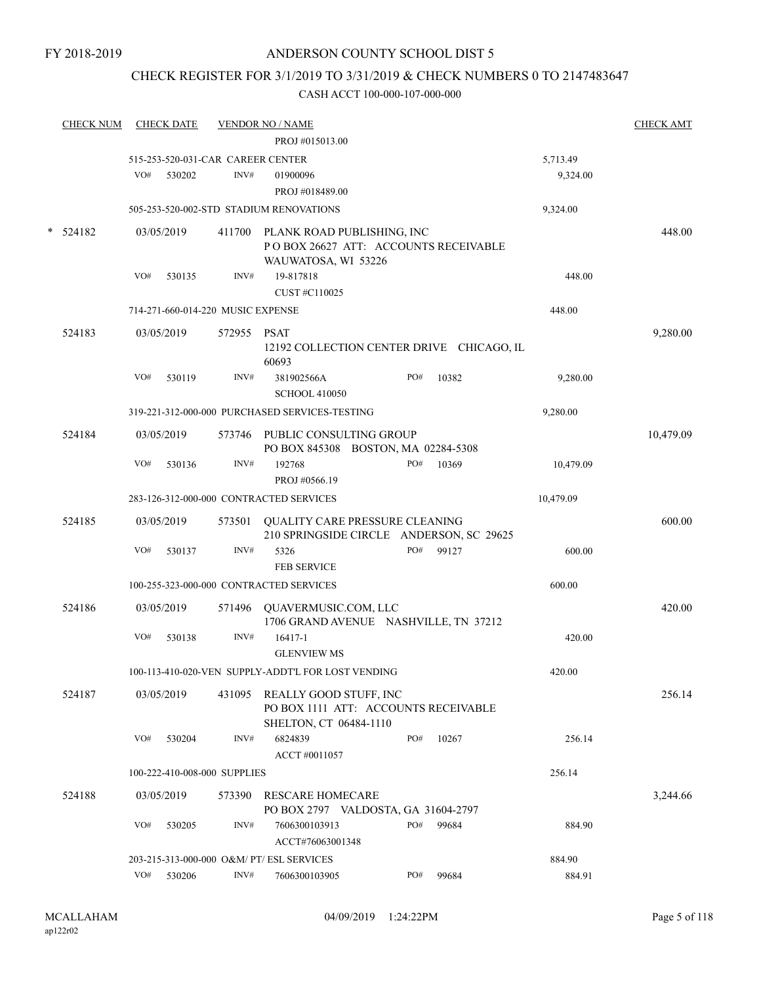## CHECK REGISTER FOR 3/1/2019 TO 3/31/2019 & CHECK NUMBERS 0 TO 2147483647

| <b>CHECK NUM</b> |     | <b>CHECK DATE</b> |                                   | <b>VENDOR NO / NAME</b>                            |     |       |           | <b>CHECK AMT</b> |
|------------------|-----|-------------------|-----------------------------------|----------------------------------------------------|-----|-------|-----------|------------------|
|                  |     |                   |                                   | PROJ #015013.00                                    |     |       |           |                  |
|                  |     |                   | 515-253-520-031-CAR CAREER CENTER |                                                    |     |       | 5,713.49  |                  |
|                  | VO# | 530202            | INV#                              | 01900096                                           |     |       | 9,324.00  |                  |
|                  |     |                   |                                   | PROJ #018489.00                                    |     |       |           |                  |
|                  |     |                   |                                   | 505-253-520-002-STD STADIUM RENOVATIONS            |     |       | 9,324.00  |                  |
| 524182           |     | 03/05/2019        |                                   | 411700 PLANK ROAD PUBLISHING, INC                  |     |       |           | 448.00           |
|                  |     |                   |                                   | POBOX 26627 ATT: ACCOUNTS RECEIVABLE               |     |       |           |                  |
|                  |     |                   |                                   | WAUWATOSA, WI 53226                                |     |       |           |                  |
|                  | VO# | 530135            | INV#                              | 19-817818                                          |     |       | 448.00    |                  |
|                  |     |                   |                                   | CUST #C110025                                      |     |       |           |                  |
|                  |     |                   | 714-271-660-014-220 MUSIC EXPENSE |                                                    |     |       | 448.00    |                  |
| 524183           |     | 03/05/2019        | 572955                            | PSAT                                               |     |       |           | 9,280.00         |
|                  |     |                   |                                   | 12192 COLLECTION CENTER DRIVE CHICAGO, IL          |     |       |           |                  |
|                  |     |                   |                                   | 60693                                              | PO# |       |           |                  |
|                  | VO# | 530119            | INV#                              | 381902566A<br><b>SCHOOL 410050</b>                 |     | 10382 | 9,280.00  |                  |
|                  |     |                   |                                   | 319-221-312-000-000 PURCHASED SERVICES-TESTING     |     |       | 9,280.00  |                  |
|                  |     |                   |                                   |                                                    |     |       |           |                  |
| 524184           |     | 03/05/2019        | 573746                            | PUBLIC CONSULTING GROUP                            |     |       |           | 10,479.09        |
|                  |     |                   |                                   | PO BOX 845308 BOSTON, MA 02284-5308                |     |       |           |                  |
|                  | VO# | 530136            | INV#                              | 192768                                             | PO# | 10369 | 10,479.09 |                  |
|                  |     |                   |                                   | PROJ #0566.19                                      |     |       |           |                  |
|                  |     |                   |                                   | 283-126-312-000-000 CONTRACTED SERVICES            |     |       | 10,479.09 |                  |
| 524185           |     | 03/05/2019        |                                   | 573501 QUALITY CARE PRESSURE CLEANING              |     |       |           | 600.00           |
|                  |     |                   |                                   | 210 SPRINGSIDE CIRCLE ANDERSON, SC 29625           |     |       |           |                  |
|                  | VO# | 530137            | INV#                              | 5326                                               | PO# | 99127 | 600.00    |                  |
|                  |     |                   |                                   | <b>FEB SERVICE</b>                                 |     |       |           |                  |
|                  |     |                   |                                   | 100-255-323-000-000 CONTRACTED SERVICES            |     |       | 600.00    |                  |
| 524186           |     | 03/05/2019        |                                   | 571496 QUAVERMUSIC.COM, LLC                        |     |       |           | 420.00           |
|                  |     |                   |                                   | 1706 GRAND AVENUE NASHVILLE, TN 37212              |     |       |           |                  |
|                  | VO# | 530138            | INV#                              | 16417-1                                            |     |       | 420.00    |                  |
|                  |     |                   |                                   | <b>GLENVIEW MS</b>                                 |     |       |           |                  |
|                  |     |                   |                                   | 100-113-410-020-VEN SUPPLY-ADDT'L FOR LOST VENDING |     |       | 420.00    |                  |
| 524187           |     | 03/05/2019        |                                   | 431095 REALLY GOOD STUFF, INC                      |     |       |           | 256.14           |
|                  |     |                   |                                   | PO BOX 1111 ATT: ACCOUNTS RECEIVABLE               |     |       |           |                  |
|                  |     |                   |                                   | SHELTON, CT 06484-1110                             |     |       |           |                  |
|                  | VO# | 530204            | INV#                              | 6824839<br>ACCT #0011057                           | PO# | 10267 | 256.14    |                  |
|                  |     |                   |                                   |                                                    |     |       |           |                  |
|                  |     |                   | 100-222-410-008-000 SUPPLIES      |                                                    |     |       | 256.14    |                  |
| 524188           |     | 03/05/2019        | 573390                            | RESCARE HOMECARE                                   |     |       |           | 3,244.66         |
|                  |     |                   |                                   | PO BOX 2797 VALDOSTA, GA 31604-2797                |     |       |           |                  |
|                  | VO# | 530205            | INV#                              | 7606300103913                                      | PO# | 99684 | 884.90    |                  |
|                  |     |                   |                                   | ACCT#76063001348                                   |     |       |           |                  |
|                  |     |                   |                                   | 203-215-313-000-000 O&M/ PT/ ESL SERVICES          |     |       | 884.90    |                  |
|                  | VO# | 530206            | INV#                              | 7606300103905                                      | PO# | 99684 | 884.91    |                  |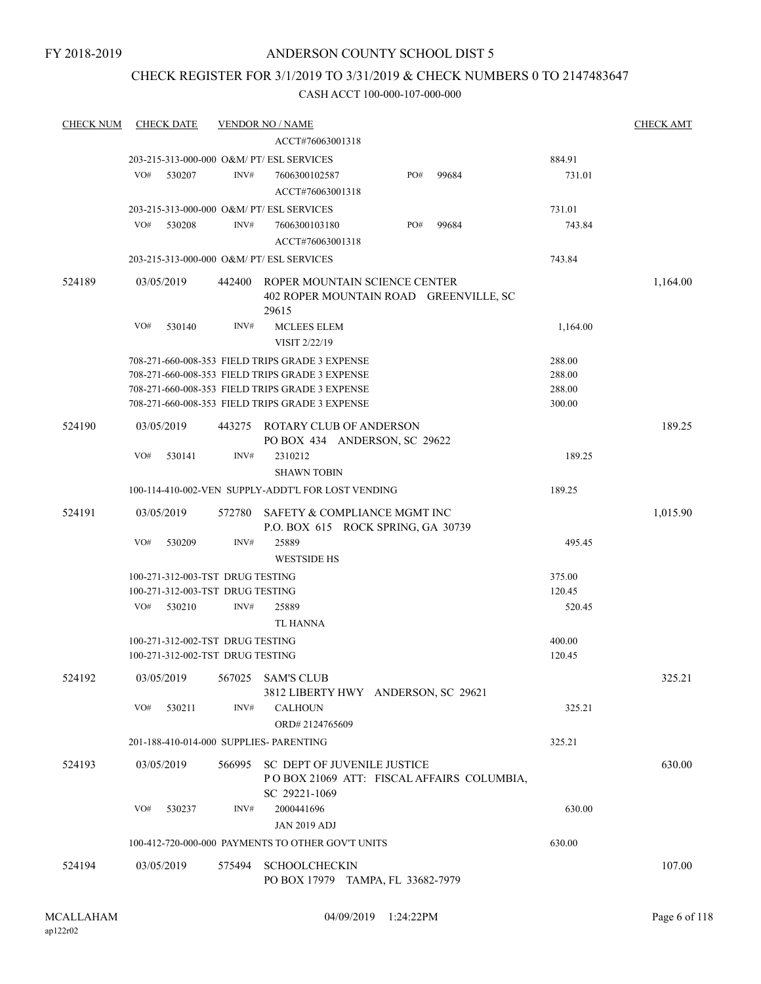## CHECK REGISTER FOR 3/1/2019 TO 3/31/2019 & CHECK NUMBERS 0 TO 2147483647

| <b>CHECK NUM</b> | <b>CHECK DATE</b>                                  |        | <b>VENDOR NO / NAME</b>                                                                   |     |       |          | <b>CHECK AMT</b> |
|------------------|----------------------------------------------------|--------|-------------------------------------------------------------------------------------------|-----|-------|----------|------------------|
|                  |                                                    |        | ACCT#76063001318                                                                          |     |       |          |                  |
|                  | 203-215-313-000-000 O&M/ PT/ ESL SERVICES          |        |                                                                                           |     |       | 884.91   |                  |
|                  | VO#<br>530207                                      | INV#   | 7606300102587                                                                             | PO# | 99684 | 731.01   |                  |
|                  |                                                    |        | ACCT#76063001318                                                                          |     |       |          |                  |
|                  | 203-215-313-000-000 O&M/ PT/ ESL SERVICES          |        |                                                                                           |     |       | 731.01   |                  |
|                  | VO#<br>530208                                      | INV#   | 7606300103180                                                                             | PO# | 99684 | 743.84   |                  |
|                  |                                                    |        | ACCT#76063001318                                                                          |     |       |          |                  |
|                  | 203-215-313-000-000 O&M/ PT/ ESL SERVICES          |        |                                                                                           |     |       | 743.84   |                  |
| 524189           | 03/05/2019                                         | 442400 | ROPER MOUNTAIN SCIENCE CENTER<br>402 ROPER MOUNTAIN ROAD GREENVILLE, SC<br>29615          |     |       |          | 1,164.00         |
|                  | VO#<br>530140                                      | INV#   | <b>MCLEES ELEM</b><br>VISIT 2/22/19                                                       |     |       | 1,164.00 |                  |
|                  | 708-271-660-008-353 FIELD TRIPS GRADE 3 EXPENSE    |        |                                                                                           |     |       | 288.00   |                  |
|                  | 708-271-660-008-353 FIELD TRIPS GRADE 3 EXPENSE    |        |                                                                                           |     |       | 288.00   |                  |
|                  | 708-271-660-008-353 FIELD TRIPS GRADE 3 EXPENSE    |        |                                                                                           |     |       | 288.00   |                  |
|                  | 708-271-660-008-353 FIELD TRIPS GRADE 3 EXPENSE    |        |                                                                                           |     |       | 300.00   |                  |
| 524190           | 03/05/2019                                         | 443275 | ROTARY CLUB OF ANDERSON<br>PO BOX 434 ANDERSON, SC 29622                                  |     |       |          | 189.25           |
|                  | VO#<br>530141                                      | INV#   | 2310212<br><b>SHAWN TOBIN</b>                                                             |     |       | 189.25   |                  |
|                  | 100-114-410-002-VEN SUPPLY-ADDT'L FOR LOST VENDING |        |                                                                                           |     |       | 189.25   |                  |
| 524191           | 03/05/2019                                         | 572780 | SAFETY & COMPLIANCE MGMT INC<br>P.O. BOX 615 ROCK SPRING, GA 30739                        |     |       |          | 1,015.90         |
|                  | VO#<br>530209                                      | INV#   | 25889<br><b>WESTSIDE HS</b>                                                               |     |       | 495.45   |                  |
|                  | 100-271-312-003-TST DRUG TESTING                   |        |                                                                                           |     |       | 375.00   |                  |
|                  | 100-271-312-003-TST DRUG TESTING                   |        |                                                                                           |     |       | 120.45   |                  |
|                  | VO#<br>530210                                      | INV#   | 25889<br>TL HANNA                                                                         |     |       | 520.45   |                  |
|                  | 100-271-312-002-TST DRUG TESTING                   |        |                                                                                           |     |       | 400.00   |                  |
|                  | 100-271-312-002-TST DRUG TESTING                   |        |                                                                                           |     |       | 120.45   |                  |
| 524192           | 03/05/2019                                         | 567025 | <b>SAM'S CLUB</b><br>3812 LIBERTY HWY ANDERSON, SC 29621                                  |     |       |          | 325.21           |
|                  | VO#<br>530211                                      | INV#   | <b>CALHOUN</b><br>ORD#2124765609                                                          |     |       | 325.21   |                  |
|                  | 201-188-410-014-000 SUPPLIES- PARENTING            |        |                                                                                           |     |       | 325.21   |                  |
| 524193           | 03/05/2019                                         | 566995 | SC DEPT OF JUVENILE JUSTICE<br>POBOX 21069 ATT: FISCAL AFFAIRS COLUMBIA,<br>SC 29221-1069 |     |       |          | 630.00           |
|                  | VO#<br>530237                                      | INV#   | 2000441696<br><b>JAN 2019 ADJ</b>                                                         |     |       | 630.00   |                  |
|                  | 100-412-720-000-000 PAYMENTS TO OTHER GOV'T UNITS  |        |                                                                                           |     |       | 630.00   |                  |
| 524194           | 03/05/2019                                         | 575494 | <b>SCHOOLCHECKIN</b><br>PO BOX 17979 TAMPA, FL 33682-7979                                 |     |       |          | 107.00           |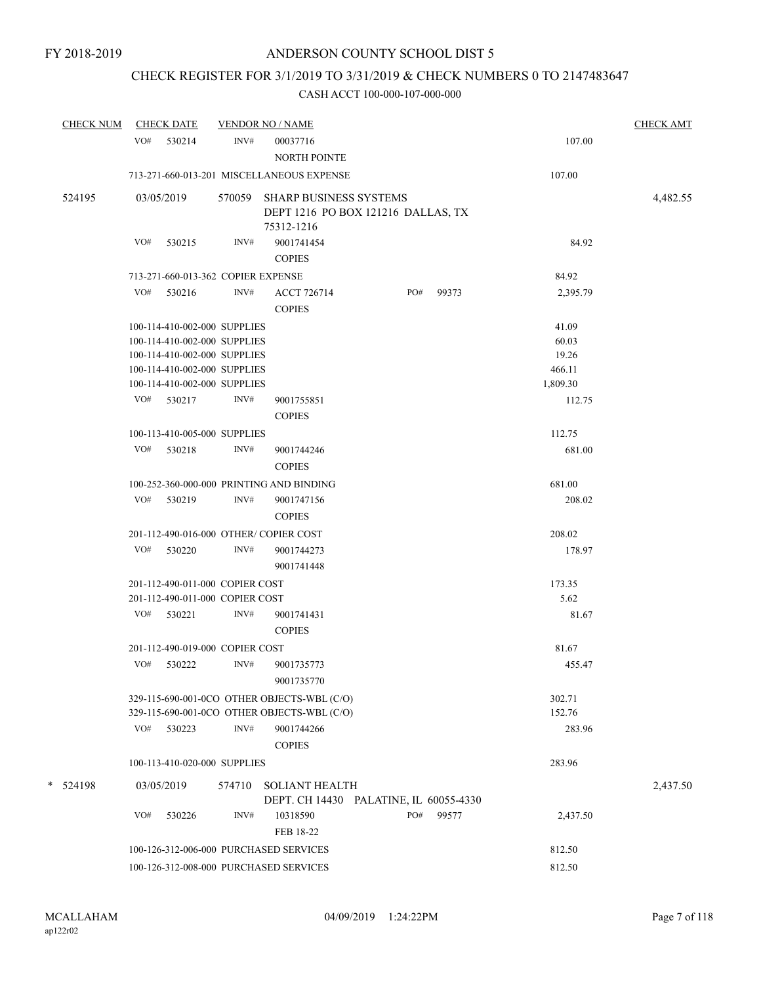# CHECK REGISTER FOR 3/1/2019 TO 3/31/2019 & CHECK NUMBERS 0 TO 2147483647

| <b>CHECK NUM</b> | <b>CHECK DATE</b>                      |        | <b>VENDOR NO / NAME</b>                                                                    |     |       |                  | <b>CHECK AMT</b> |
|------------------|----------------------------------------|--------|--------------------------------------------------------------------------------------------|-----|-------|------------------|------------------|
|                  | VO# 530214                             | INV#   | 00037716<br>NORTH POINTE                                                                   |     |       | 107.00           |                  |
|                  |                                        |        | 713-271-660-013-201 MISCELLANEOUS EXPENSE                                                  |     |       | 107.00           |                  |
| 524195           | 03/05/2019                             |        | 570059 SHARP BUSINESS SYSTEMS<br>DEPT 1216 PO BOX 121216 DALLAS, TX<br>75312-1216          |     |       |                  | 4,482.55         |
|                  | VO#<br>530215                          | INV#   | 9001741454<br><b>COPIES</b>                                                                |     |       | 84.92            |                  |
|                  | 713-271-660-013-362 COPIER EXPENSE     |        |                                                                                            |     |       | 84.92            |                  |
|                  | VO#<br>530216                          | INV#   | <b>ACCT 726714</b><br><b>COPIES</b>                                                        | PO# | 99373 | 2,395.79         |                  |
|                  | 100-114-410-002-000 SUPPLIES           |        |                                                                                            |     |       | 41.09            |                  |
|                  | 100-114-410-002-000 SUPPLIES           |        |                                                                                            |     |       | 60.03            |                  |
|                  | 100-114-410-002-000 SUPPLIES           |        |                                                                                            |     |       | 19.26            |                  |
|                  | 100-114-410-002-000 SUPPLIES           |        |                                                                                            |     |       | 466.11           |                  |
|                  | 100-114-410-002-000 SUPPLIES           |        |                                                                                            |     |       | 1,809.30         |                  |
|                  | VO# 530217                             | INV#   | 9001755851<br><b>COPIES</b>                                                                |     |       | 112.75           |                  |
|                  | 100-113-410-005-000 SUPPLIES           |        |                                                                                            |     |       | 112.75           |                  |
|                  | VO# 530218                             | INV#   | 9001744246<br><b>COPIES</b>                                                                |     |       | 681.00           |                  |
|                  |                                        |        | 100-252-360-000-000 PRINTING AND BINDING                                                   |     |       | 681.00           |                  |
|                  | VO# 530219                             | INV#   | 9001747156<br><b>COPIES</b>                                                                |     |       | 208.02           |                  |
|                  | 201-112-490-016-000 OTHER/COPIER COST  |        |                                                                                            |     |       | 208.02           |                  |
|                  | VO#<br>530220                          | INV#   | 9001744273<br>9001741448                                                                   |     |       | 178.97           |                  |
|                  | 201-112-490-011-000 COPIER COST        |        |                                                                                            |     |       | 173.35           |                  |
|                  | 201-112-490-011-000 COPIER COST        |        |                                                                                            |     |       | 5.62             |                  |
|                  | VO#<br>530221                          | INV#   | 9001741431<br><b>COPIES</b>                                                                |     |       | 81.67            |                  |
|                  | 201-112-490-019-000 COPIER COST        |        |                                                                                            |     |       | 81.67            |                  |
|                  | VO#<br>530222                          | INV#   | 9001735773<br>9001735770                                                                   |     |       | 455.47           |                  |
|                  |                                        |        | 329-115-690-001-0CO OTHER OBJECTS-WBL (C/O)<br>329-115-690-001-0CO OTHER OBJECTS-WBL (C/O) |     |       | 302.71<br>152.76 |                  |
|                  | VO#<br>530223                          | INV#   | 9001744266<br><b>COPIES</b>                                                                |     |       | 283.96           |                  |
|                  | 100-113-410-020-000 SUPPLIES           |        |                                                                                            |     |       | 283.96           |                  |
| *<br>524198      | 03/05/2019                             | 574710 | <b>SOLIANT HEALTH</b><br>DEPT. CH 14430 PALATINE, IL 60055-4330                            |     |       |                  | 2,437.50         |
|                  | VO#<br>530226                          | INV#   | 10318590<br>FEB 18-22                                                                      | PO# | 99577 | 2,437.50         |                  |
|                  | 100-126-312-006-000 PURCHASED SERVICES |        |                                                                                            |     |       | 812.50           |                  |
|                  | 100-126-312-008-000 PURCHASED SERVICES |        |                                                                                            |     |       | 812.50           |                  |
|                  |                                        |        |                                                                                            |     |       |                  |                  |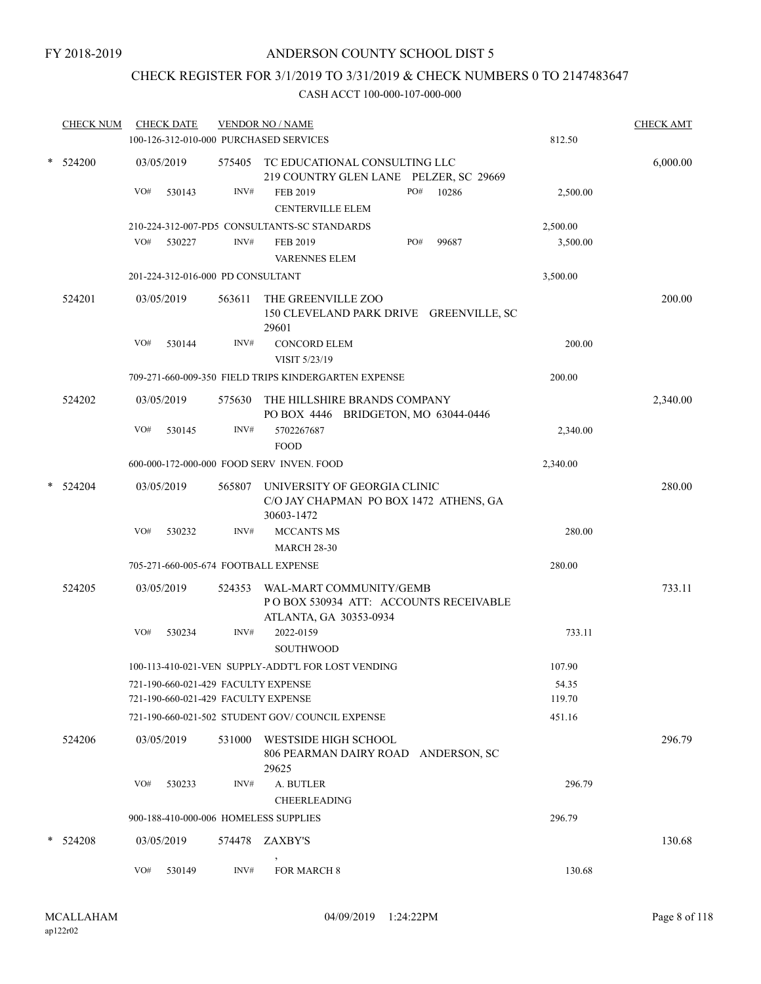# CHECK REGISTER FOR 3/1/2019 TO 3/31/2019 & CHECK NUMBERS 0 TO 2147483647

| <b>CHECK NUM</b> |     | <b>CHECK DATE</b> |                                   | <b>VENDOR NO / NAME</b><br>100-126-312-010-000 PURCHASED SERVICES                           |     |              | 812.50          | <b>CHECK AMT</b> |
|------------------|-----|-------------------|-----------------------------------|---------------------------------------------------------------------------------------------|-----|--------------|-----------------|------------------|
| * 524200         |     | 03/05/2019        |                                   | 575405 TC EDUCATIONAL CONSULTING LLC<br>219 COUNTRY GLEN LANE PELZER, SC 29669              |     |              |                 | 6,000.00         |
|                  | VO# | 530143            | INV#                              | FEB 2019<br><b>CENTERVILLE ELEM</b>                                                         | PO# | 10286        | 2,500.00        |                  |
|                  |     |                   |                                   | 210-224-312-007-PD5 CONSULTANTS-SC STANDARDS                                                |     |              | 2,500.00        |                  |
|                  | VO# | 530227            | INV#                              | FEB 2019<br><b>VARENNES ELEM</b>                                                            | PO# | 99687        | 3,500.00        |                  |
|                  |     |                   | 201-224-312-016-000 PD CONSULTANT |                                                                                             |     |              | 3,500.00        |                  |
| 524201           |     | 03/05/2019        | 563611                            | THE GREENVILLE ZOO<br>150 CLEVELAND PARK DRIVE GREENVILLE, SC<br>29601                      |     |              |                 | 200.00           |
|                  | VO# | 530144            | INV#                              | <b>CONCORD ELEM</b><br>VISIT 5/23/19                                                        |     |              | 200.00          |                  |
|                  |     |                   |                                   | 709-271-660-009-350 FIELD TRIPS KINDERGARTEN EXPENSE                                        |     |              | 200.00          |                  |
| 524202           |     | 03/05/2019        | 575630                            | THE HILLSHIRE BRANDS COMPANY<br>PO BOX 4446 BRIDGETON, MO 63044-0446                        |     |              |                 | 2,340.00         |
|                  | VO# | 530145            | INV#                              | 5702267687<br><b>FOOD</b>                                                                   |     |              | 2,340.00        |                  |
|                  |     |                   |                                   | 600-000-172-000-000 FOOD SERV INVEN. FOOD                                                   |     |              | 2,340.00        |                  |
| * 524204         |     | 03/05/2019        | 565807                            | UNIVERSITY OF GEORGIA CLINIC<br>C/O JAY CHAPMAN PO BOX 1472 ATHENS, GA<br>30603-1472        |     |              |                 | 280.00           |
|                  | VO# | 530232            | INV#                              | <b>MCCANTS MS</b><br><b>MARCH 28-30</b>                                                     |     |              | 280.00          |                  |
|                  |     |                   |                                   | 705-271-660-005-674 FOOTBALL EXPENSE                                                        |     |              | 280.00          |                  |
| 524205           |     | 03/05/2019        | 524353                            | WAL-MART COMMUNITY/GEMB<br>PO BOX 530934 ATT: ACCOUNTS RECEIVABLE<br>ATLANTA, GA 30353-0934 |     |              |                 | 733.11           |
|                  | VO# | 530234            | INV#                              | 2022-0159<br><b>SOUTHWOOD</b>                                                               |     |              | 733.11          |                  |
|                  |     |                   |                                   | 100-113-410-021-VEN SUPPLY-ADDT'L FOR LOST VENDING                                          |     |              | 107.90          |                  |
|                  |     |                   |                                   | 721-190-660-021-429 FACULTY EXPENSE<br>721-190-660-021-429 FACULTY EXPENSE                  |     |              | 54.35<br>119.70 |                  |
|                  |     |                   |                                   | 721-190-660-021-502 STUDENT GOV/COUNCIL EXPENSE                                             |     |              | 451.16          |                  |
| 524206           |     | 03/05/2019        | 531000                            | WESTSIDE HIGH SCHOOL<br>806 PEARMAN DAIRY ROAD<br>29625                                     |     | ANDERSON, SC |                 | 296.79           |
|                  | VO# | 530233            | INV#                              | A. BUTLER<br><b>CHEERLEADING</b>                                                            |     |              | 296.79          |                  |
|                  |     |                   |                                   | 900-188-410-000-006 HOMELESS SUPPLIES                                                       |     |              | 296.79          |                  |
| $*$ 524208       |     | 03/05/2019        | 574478                            | ZAXBY'S                                                                                     |     |              |                 | 130.68           |
|                  | VO# | 530149            | INV#                              | $\,$<br>FOR MARCH 8                                                                         |     |              | 130.68          |                  |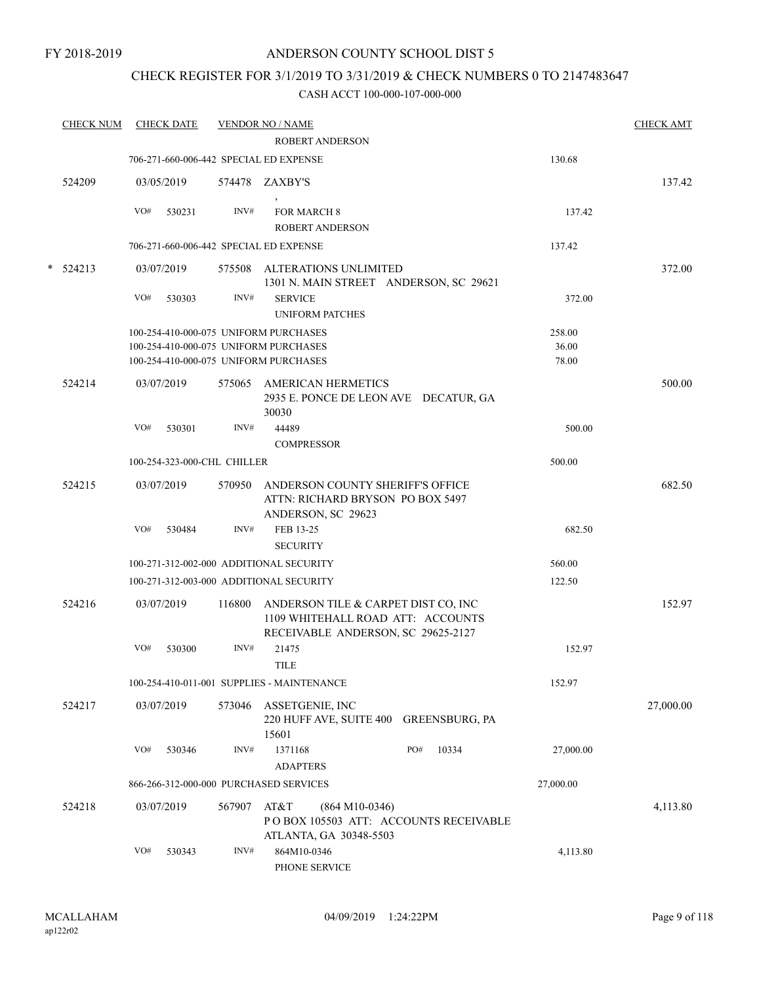## CHECK REGISTER FOR 3/1/2019 TO 3/31/2019 & CHECK NUMBERS 0 TO 2147483647

|        | <b>CHECK NUM</b> | <b>CHECK DATE</b> |                                         | <b>VENDOR NO / NAME</b>                                                                                        |                       |           | <b>CHECK AMT</b> |
|--------|------------------|-------------------|-----------------------------------------|----------------------------------------------------------------------------------------------------------------|-----------------------|-----------|------------------|
|        |                  |                   |                                         | <b>ROBERT ANDERSON</b>                                                                                         |                       |           |                  |
|        |                  |                   | 706-271-660-006-442 SPECIAL ED EXPENSE  |                                                                                                                |                       | 130.68    |                  |
|        | 524209           | 03/05/2019        |                                         | 574478 ZAXBY'S                                                                                                 |                       |           | 137.42           |
|        |                  | VO#               | 530231<br>INV#                          | <b>FOR MARCH 8</b><br><b>ROBERT ANDERSON</b>                                                                   |                       | 137.42    |                  |
|        |                  |                   | 706-271-660-006-442 SPECIAL ED EXPENSE  |                                                                                                                |                       | 137.42    |                  |
|        |                  |                   |                                         |                                                                                                                |                       |           |                  |
| $\ast$ | 524213           | 03/07/2019        |                                         | 575508 ALTERATIONS UNLIMITED<br>1301 N. MAIN STREET ANDERSON, SC 29621                                         |                       |           | 372.00           |
|        |                  | VO#               | INV#<br>530303                          | <b>SERVICE</b><br><b>UNIFORM PATCHES</b>                                                                       |                       | 372.00    |                  |
|        |                  |                   | 100-254-410-000-075 UNIFORM PURCHASES   |                                                                                                                |                       | 258.00    |                  |
|        |                  |                   | 100-254-410-000-075 UNIFORM PURCHASES   |                                                                                                                |                       | 36.00     |                  |
|        |                  |                   | 100-254-410-000-075 UNIFORM PURCHASES   |                                                                                                                |                       | 78.00     |                  |
|        | 524214           | 03/07/2019        |                                         | 575065 AMERICAN HERMETICS<br>2935 E. PONCE DE LEON AVE DECATUR, GA<br>30030                                    |                       |           | 500.00           |
|        |                  | VO#               | INV#<br>530301                          | 44489                                                                                                          |                       | 500.00    |                  |
|        |                  |                   |                                         | <b>COMPRESSOR</b>                                                                                              |                       |           |                  |
|        |                  |                   | 100-254-323-000-CHL CHILLER             |                                                                                                                |                       | 500.00    |                  |
|        | 524215           | 03/07/2019        | 570950                                  | ANDERSON COUNTY SHERIFF'S OFFICE                                                                               |                       |           | 682.50           |
|        |                  |                   |                                         | ATTN: RICHARD BRYSON PO BOX 5497                                                                               |                       |           |                  |
|        |                  |                   |                                         | ANDERSON, SC 29623                                                                                             |                       |           |                  |
|        |                  | VO#               | INV#<br>530484                          | FEB 13-25                                                                                                      |                       | 682.50    |                  |
|        |                  |                   |                                         | <b>SECURITY</b>                                                                                                |                       |           |                  |
|        |                  |                   | 100-271-312-002-000 ADDITIONAL SECURITY |                                                                                                                |                       | 560.00    |                  |
|        |                  |                   | 100-271-312-003-000 ADDITIONAL SECURITY |                                                                                                                |                       | 122.50    |                  |
|        | 524216           | 03/07/2019        | 116800                                  | ANDERSON TILE & CARPET DIST CO, INC<br>1109 WHITEHALL ROAD ATT: ACCOUNTS<br>RECEIVABLE ANDERSON, SC 29625-2127 |                       |           | 152.97           |
|        |                  | VO#               | INV#<br>530300                          | 21475<br><b>TILE</b>                                                                                           |                       | 152.97    |                  |
|        |                  |                   |                                         | 100-254-410-011-001 SUPPLIES - MAINTENANCE                                                                     |                       | 152.97    |                  |
|        | 524217           | 03/07/2019        | 573046                                  | ASSETGENIE, INC                                                                                                |                       |           | 27,000.00        |
|        |                  |                   |                                         | 220 HUFF AVE, SUITE 400<br>15601                                                                               | <b>GREENSBURG, PA</b> |           |                  |
|        |                  | VO#               | INV#<br>530346                          | 1371168                                                                                                        | 10334<br>PO#          | 27,000.00 |                  |
|        |                  |                   |                                         | <b>ADAPTERS</b>                                                                                                |                       |           |                  |
|        |                  |                   | 866-266-312-000-000 PURCHASED SERVICES  |                                                                                                                |                       | 27,000.00 |                  |
|        | 524218           | 03/07/2019        | 567907                                  | AT&T<br>$(864 M10-0346)$<br>POBOX 105503 ATT: ACCOUNTS RECEIVABLE<br>ATLANTA, GA 30348-5503                    |                       |           | 4,113.80         |
|        |                  | VO#               | 530343<br>INV#                          | 864M10-0346<br>PHONE SERVICE                                                                                   |                       | 4,113.80  |                  |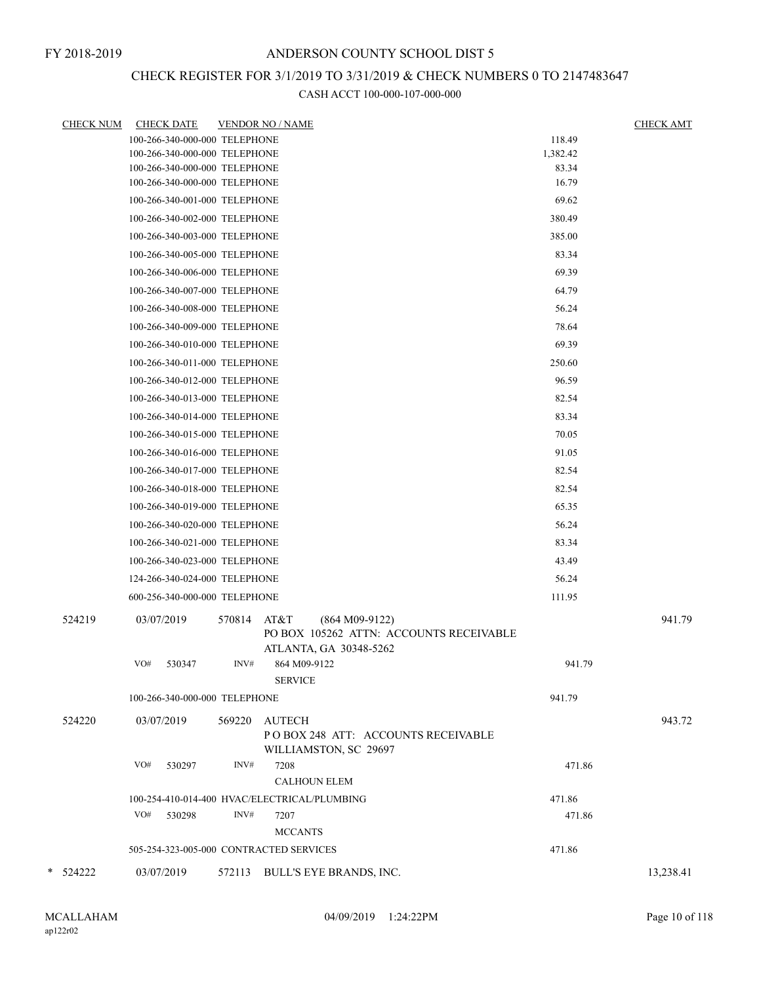# CHECK REGISTER FOR 3/1/2019 TO 3/31/2019 & CHECK NUMBERS 0 TO 2147483647

| <b>CHECK NUM</b> | <b>CHECK DATE</b>                       | <b>VENDOR NO / NAME</b> |                                                      |          | <b>CHECK AMT</b> |
|------------------|-----------------------------------------|-------------------------|------------------------------------------------------|----------|------------------|
|                  | 100-266-340-000-000 TELEPHONE           |                         |                                                      | 118.49   |                  |
|                  | 100-266-340-000-000 TELEPHONE           |                         |                                                      | 1,382.42 |                  |
|                  | 100-266-340-000-000 TELEPHONE           |                         |                                                      | 83.34    |                  |
|                  | 100-266-340-000-000 TELEPHONE           |                         |                                                      | 16.79    |                  |
|                  | 100-266-340-001-000 TELEPHONE           |                         |                                                      | 69.62    |                  |
|                  | 100-266-340-002-000 TELEPHONE           |                         |                                                      | 380.49   |                  |
|                  | 100-266-340-003-000 TELEPHONE           |                         |                                                      | 385.00   |                  |
|                  | 100-266-340-005-000 TELEPHONE           |                         |                                                      | 83.34    |                  |
|                  | 100-266-340-006-000 TELEPHONE           |                         |                                                      | 69.39    |                  |
|                  | 100-266-340-007-000 TELEPHONE           |                         |                                                      | 64.79    |                  |
|                  | 100-266-340-008-000 TELEPHONE           |                         |                                                      | 56.24    |                  |
|                  | 100-266-340-009-000 TELEPHONE           |                         |                                                      | 78.64    |                  |
|                  | 100-266-340-010-000 TELEPHONE           |                         |                                                      | 69.39    |                  |
|                  | 100-266-340-011-000 TELEPHONE           |                         |                                                      | 250.60   |                  |
|                  | 100-266-340-012-000 TELEPHONE           |                         |                                                      | 96.59    |                  |
|                  | 100-266-340-013-000 TELEPHONE           |                         |                                                      | 82.54    |                  |
|                  | 100-266-340-014-000 TELEPHONE           |                         |                                                      | 83.34    |                  |
|                  | 100-266-340-015-000 TELEPHONE           |                         |                                                      | 70.05    |                  |
|                  | 100-266-340-016-000 TELEPHONE           |                         |                                                      | 91.05    |                  |
|                  | 100-266-340-017-000 TELEPHONE           |                         |                                                      | 82.54    |                  |
|                  | 100-266-340-018-000 TELEPHONE           |                         |                                                      | 82.54    |                  |
|                  | 100-266-340-019-000 TELEPHONE           |                         |                                                      | 65.35    |                  |
|                  | 100-266-340-020-000 TELEPHONE           |                         |                                                      | 56.24    |                  |
|                  | 100-266-340-021-000 TELEPHONE           |                         |                                                      | 83.34    |                  |
|                  | 100-266-340-023-000 TELEPHONE           |                         |                                                      | 43.49    |                  |
|                  | 124-266-340-024-000 TELEPHONE           |                         |                                                      | 56.24    |                  |
|                  | 600-256-340-000-000 TELEPHONE           |                         |                                                      | 111.95   |                  |
| 524219           | 03/07/2019                              | 570814                  | AT&T<br>$(864 M09-9122)$                             |          | 941.79           |
|                  |                                         |                         | PO BOX 105262 ATTN: ACCOUNTS RECEIVABLE              |          |                  |
|                  |                                         |                         | ATLANTA, GA 30348-5262                               |          |                  |
|                  | VO#<br>530347                           | INV#                    | 864 M09-9122                                         | 941.79   |                  |
|                  |                                         |                         | <b>SERVICE</b>                                       |          |                  |
|                  | 100-266-340-000-000 TELEPHONE           |                         |                                                      | 941.79   |                  |
| 524220           | 03/07/2019                              | 569220                  | <b>AUTECH</b>                                        |          | 943.72           |
|                  |                                         |                         | POBOX 248 ATT: ACCOUNTS RECEIVABLE                   |          |                  |
|                  |                                         |                         | WILLIAMSTON, SC 29697                                |          |                  |
|                  | VO#<br>530297                           | INV#                    | 7208                                                 | 471.86   |                  |
|                  |                                         |                         | <b>CALHOUN ELEM</b>                                  |          |                  |
|                  | VO#<br>530298                           | INV#                    | 100-254-410-014-400 HVAC/ELECTRICAL/PLUMBING<br>7207 | 471.86   |                  |
|                  |                                         |                         | <b>MCCANTS</b>                                       | 471.86   |                  |
|                  | 505-254-323-005-000 CONTRACTED SERVICES |                         |                                                      | 471.86   |                  |
|                  |                                         |                         |                                                      |          |                  |
| * 524222         | 03/07/2019                              |                         | 572113 BULL'S EYE BRANDS, INC.                       |          | 13,238.41        |
|                  |                                         |                         |                                                      |          |                  |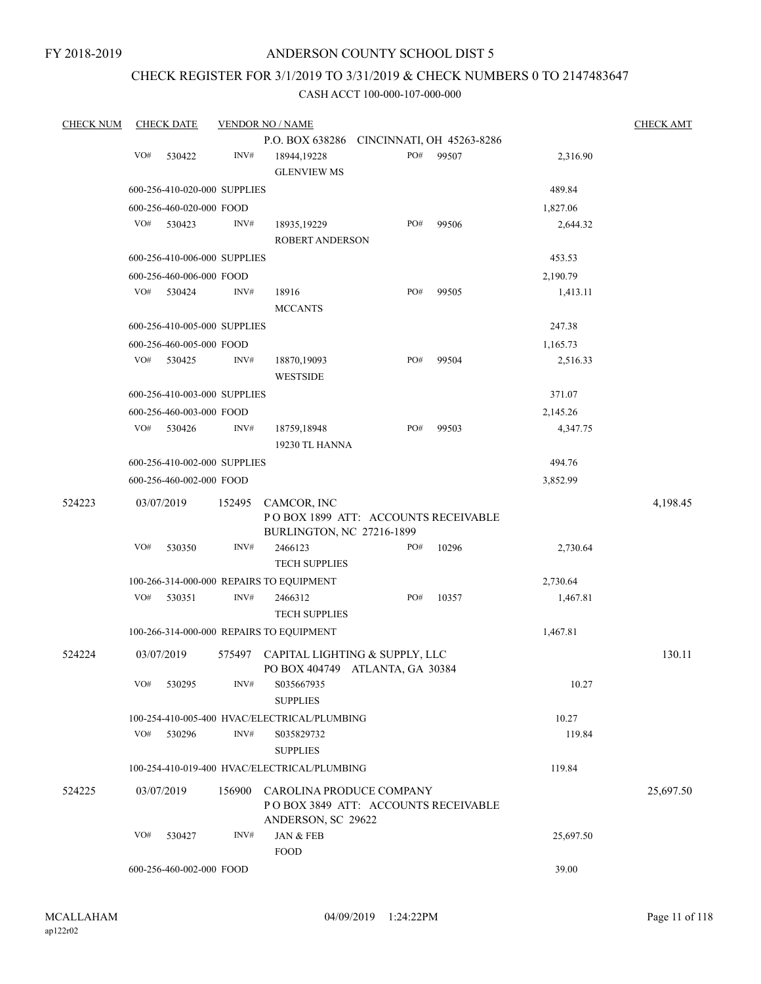# CHECK REGISTER FOR 3/1/2019 TO 3/31/2019 & CHECK NUMBERS 0 TO 2147483647

| <b>CHECK NUM</b> |     | <b>CHECK DATE</b>                  |        | <b>VENDOR NO / NAME</b>                                           |     |       |                      | <b>CHECK AMT</b> |
|------------------|-----|------------------------------------|--------|-------------------------------------------------------------------|-----|-------|----------------------|------------------|
|                  |     |                                    |        | P.O. BOX 638286 CINCINNATI, OH 45263-8286                         |     |       |                      |                  |
|                  | VO# | 530422                             | INV#   | 18944,19228<br><b>GLENVIEW MS</b>                                 | PO# | 99507 | 2,316.90             |                  |
|                  |     | 600-256-410-020-000 SUPPLIES       |        |                                                                   |     |       | 489.84               |                  |
|                  |     | 600-256-460-020-000 FOOD           |        |                                                                   |     |       | 1,827.06             |                  |
|                  | VO# | 530423                             | INV#   | 18935, 19229<br>ROBERT ANDERSON                                   | PO# | 99506 | 2,644.32             |                  |
|                  |     |                                    |        |                                                                   |     |       |                      |                  |
|                  |     | 600-256-410-006-000 SUPPLIES       |        |                                                                   |     |       | 453.53               |                  |
|                  | VO# | 600-256-460-006-000 FOOD<br>530424 | INV#   | 18916                                                             | PO# | 99505 | 2,190.79<br>1,413.11 |                  |
|                  |     |                                    |        | <b>MCCANTS</b>                                                    |     |       |                      |                  |
|                  |     | 600-256-410-005-000 SUPPLIES       |        |                                                                   |     |       | 247.38               |                  |
|                  |     | 600-256-460-005-000 FOOD           |        |                                                                   |     |       | 1,165.73             |                  |
|                  | VO# | 530425                             | INV#   | 18870,19093<br><b>WESTSIDE</b>                                    | PO# | 99504 | 2,516.33             |                  |
|                  |     | 600-256-410-003-000 SUPPLIES       |        |                                                                   |     |       | 371.07               |                  |
|                  |     | 600-256-460-003-000 FOOD           |        |                                                                   |     |       | 2,145.26             |                  |
|                  | VO# | 530426                             | INV#   | 18759,18948<br>19230 TL HANNA                                     | PO# | 99503 | 4,347.75             |                  |
|                  |     | 600-256-410-002-000 SUPPLIES       |        |                                                                   |     |       | 494.76               |                  |
|                  |     | 600-256-460-002-000 FOOD           |        |                                                                   |     |       | 3,852.99             |                  |
|                  |     |                                    |        |                                                                   |     |       |                      |                  |
| 524223           |     | 03/07/2019                         | 152495 | CAMCOR, INC<br>POBOX 1899 ATT: ACCOUNTS RECEIVABLE                |     |       |                      | 4,198.45         |
|                  |     |                                    |        | BURLINGTON, NC 27216-1899                                         |     |       |                      |                  |
|                  | VO# | 530350                             | INV#   | 2466123                                                           | PO# | 10296 | 2,730.64             |                  |
|                  |     |                                    |        | <b>TECH SUPPLIES</b>                                              |     |       |                      |                  |
|                  |     |                                    |        | 100-266-314-000-000 REPAIRS TO EQUIPMENT                          |     |       | 2,730.64             |                  |
|                  | VO# | 530351                             | INV#   | 2466312<br><b>TECH SUPPLIES</b>                                   | PO# | 10357 | 1,467.81             |                  |
|                  |     |                                    |        | 100-266-314-000-000 REPAIRS TO EQUIPMENT                          |     |       | 1,467.81             |                  |
|                  |     |                                    |        |                                                                   |     |       |                      |                  |
| 524224           |     | 03/07/2019                         | 575497 | CAPITAL LIGHTING & SUPPLY, LLC<br>PO BOX 404749 ATLANTA, GA 30384 |     |       |                      | 130.11           |
|                  | VO# | 530295                             | INV#   | S035667935<br><b>SUPPLIES</b>                                     |     |       | 10.27                |                  |
|                  |     |                                    |        | 100-254-410-005-400 HVAC/ELECTRICAL/PLUMBING                      |     |       | 10.27                |                  |
|                  | VO# | 530296                             | INV#   | S035829732<br><b>SUPPLIES</b>                                     |     |       | 119.84               |                  |
|                  |     |                                    |        | 100-254-410-019-400 HVAC/ELECTRICAL/PLUMBING                      |     |       | 119.84               |                  |
| 524225           |     | 03/07/2019                         | 156900 | CAROLINA PRODUCE COMPANY<br>POBOX 3849 ATT: ACCOUNTS RECEIVABLE   |     |       |                      | 25,697.50        |
|                  |     |                                    |        | ANDERSON, SC 29622                                                |     |       |                      |                  |
|                  | VO# | 530427                             | INV#   | JAN & FEB<br><b>FOOD</b>                                          |     |       | 25,697.50            |                  |
|                  |     | 600-256-460-002-000 FOOD           |        |                                                                   |     |       | 39.00                |                  |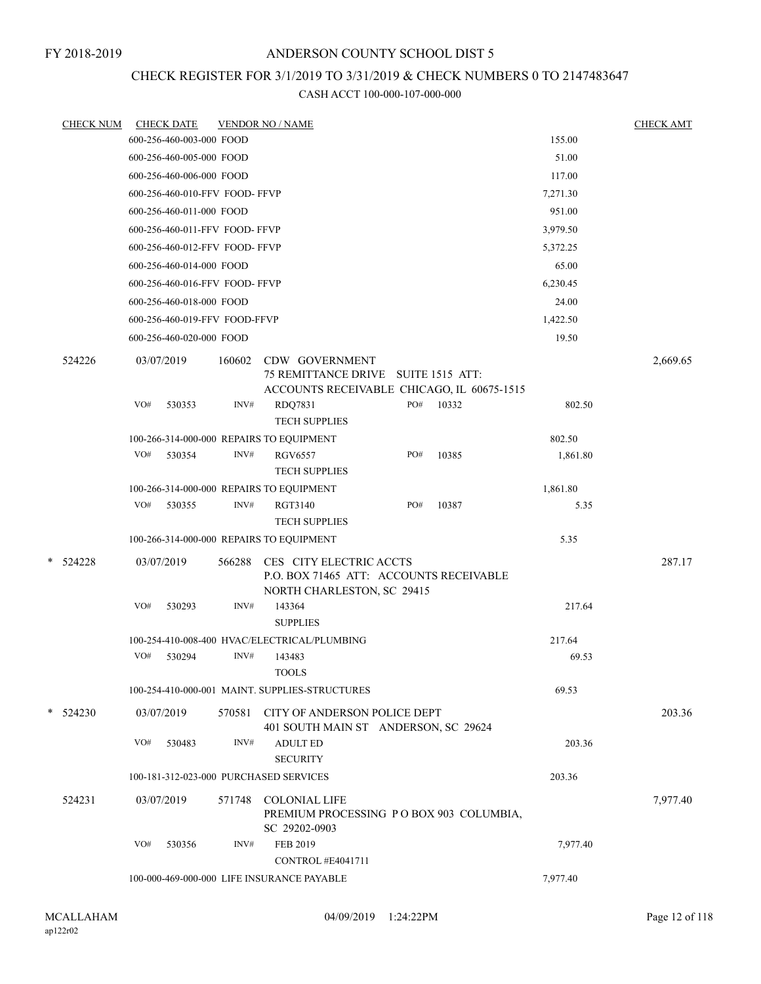# CHECK REGISTER FOR 3/1/2019 TO 3/31/2019 & CHECK NUMBERS 0 TO 2147483647

| <b>CHECK NUM</b> |     | <b>CHECK DATE</b>                          |        | <b>VENDOR NO / NAME</b>                                                                          |  |     |       |  |          | <b>CHECK AMT</b> |
|------------------|-----|--------------------------------------------|--------|--------------------------------------------------------------------------------------------------|--|-----|-------|--|----------|------------------|
|                  |     | 600-256-460-003-000 FOOD                   |        |                                                                                                  |  |     |       |  | 155.00   |                  |
|                  |     | 600-256-460-005-000 FOOD                   |        |                                                                                                  |  |     |       |  | 51.00    |                  |
|                  |     | 600-256-460-006-000 FOOD                   |        |                                                                                                  |  |     |       |  | 117.00   |                  |
|                  |     | 600-256-460-010-FFV FOOD-FFVP              |        |                                                                                                  |  |     |       |  | 7,271.30 |                  |
|                  |     | 600-256-460-011-000 FOOD                   |        |                                                                                                  |  |     |       |  | 951.00   |                  |
|                  |     | 600-256-460-011-FFV FOOD- FFVP             |        |                                                                                                  |  |     |       |  | 3,979.50 |                  |
|                  |     | 600-256-460-012-FFV FOOD-FFVP              |        |                                                                                                  |  |     |       |  | 5,372.25 |                  |
|                  |     | 600-256-460-014-000 FOOD                   |        |                                                                                                  |  |     |       |  | 65.00    |                  |
|                  |     | 600-256-460-016-FFV FOOD- FFVP             |        |                                                                                                  |  |     |       |  | 6,230.45 |                  |
|                  |     | 600-256-460-018-000 FOOD                   |        |                                                                                                  |  |     |       |  | 24.00    |                  |
|                  |     | 600-256-460-019-FFV FOOD-FFVP              |        |                                                                                                  |  |     |       |  | 1,422.50 |                  |
|                  |     | 600-256-460-020-000 FOOD                   |        |                                                                                                  |  |     |       |  | 19.50    |                  |
| 524226           |     | 03/07/2019                                 | 160602 | CDW GOVERNMENT<br>75 REMITTANCE DRIVE SUITE 1515 ATT:                                            |  |     |       |  |          | 2,669.65         |
|                  |     |                                            |        | ACCOUNTS RECEIVABLE CHICAGO, IL 60675-1515                                                       |  |     |       |  |          |                  |
|                  | VO# | 530353                                     | INV#   | RDQ7831                                                                                          |  | PO# | 10332 |  | 802.50   |                  |
|                  |     |                                            |        | <b>TECH SUPPLIES</b>                                                                             |  |     |       |  |          |                  |
|                  |     |                                            |        | 100-266-314-000-000 REPAIRS TO EQUIPMENT                                                         |  |     |       |  | 802.50   |                  |
|                  | VO# | 530354                                     | INV#   | RGV6557<br><b>TECH SUPPLIES</b>                                                                  |  | PO# | 10385 |  | 1,861.80 |                  |
|                  |     |                                            |        | 100-266-314-000-000 REPAIRS TO EQUIPMENT                                                         |  |     |       |  | 1,861.80 |                  |
|                  | VO# | 530355                                     | INV#   | RGT3140<br><b>TECH SUPPLIES</b>                                                                  |  | PO# | 10387 |  | 5.35     |                  |
|                  |     |                                            |        | 100-266-314-000-000 REPAIRS TO EQUIPMENT                                                         |  |     |       |  | 5.35     |                  |
| $*$ 524228       |     | 03/07/2019                                 | 566288 | CES CITY ELECTRIC ACCTS<br>P.O. BOX 71465 ATT: ACCOUNTS RECEIVABLE<br>NORTH CHARLESTON, SC 29415 |  |     |       |  |          | 287.17           |
|                  | VO# | 530293                                     | INV#   | 143364<br><b>SUPPLIES</b>                                                                        |  |     |       |  | 217.64   |                  |
|                  |     |                                            |        | 100-254-410-008-400 HVAC/ELECTRICAL/PLUMBING                                                     |  |     |       |  | 217.64   |                  |
|                  | VO# | 530294                                     | INV#   | 143483<br><b>TOOLS</b>                                                                           |  |     |       |  | 69.53    |                  |
|                  |     |                                            |        | 100-254-410-000-001 MAINT. SUPPLIES-STRUCTURES                                                   |  |     |       |  | 69.53    |                  |
| $*$ 524230       |     | 03/07/2019                                 | 570581 | CITY OF ANDERSON POLICE DEPT<br>401 SOUTH MAIN ST ANDERSON, SC 29624                             |  |     |       |  |          | 203.36           |
|                  | VO# | 530483                                     | INV#   | <b>ADULT ED</b><br><b>SECURITY</b>                                                               |  |     |       |  | 203.36   |                  |
|                  |     |                                            |        | 100-181-312-023-000 PURCHASED SERVICES                                                           |  |     |       |  | 203.36   |                  |
| 524231           |     | 03/07/2019                                 | 571748 | <b>COLONIAL LIFE</b><br>PREMIUM PROCESSING PO BOX 903 COLUMBIA,                                  |  |     |       |  | 7,977.40 |                  |
|                  | VO# | 530356                                     | INV#   | SC 29202-0903<br>FEB 2019<br>CONTROL #E4041711                                                   |  |     |       |  | 7,977.40 |                  |
|                  |     | 100-000-469-000-000 LIFE INSURANCE PAYABLE |        |                                                                                                  |  |     |       |  | 7,977.40 |                  |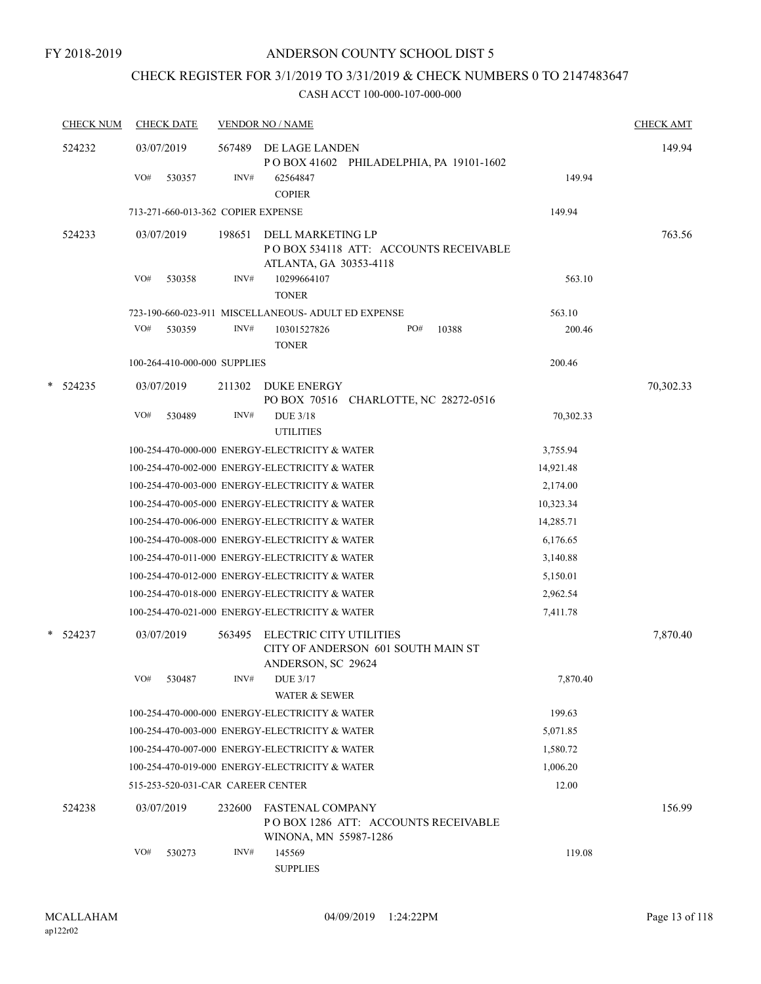# CHECK REGISTER FOR 3/1/2019 TO 3/31/2019 & CHECK NUMBERS 0 TO 2147483647

| <b>CHECK NUM</b> | <b>CHECK DATE</b>                  |        | <b>VENDOR NO / NAME</b>                                                                          |                       | <b>CHECK AMT</b> |
|------------------|------------------------------------|--------|--------------------------------------------------------------------------------------------------|-----------------------|------------------|
| 524232           | 03/07/2019                         | 567489 | DE LAGE LANDEN<br>POBOX 41602 PHILADELPHIA, PA 19101-1602                                        |                       | 149.94           |
|                  | VO#<br>530357                      | INV#   | 62564847<br><b>COPIER</b>                                                                        | 149.94                |                  |
|                  | 713-271-660-013-362 COPIER EXPENSE |        |                                                                                                  | 149.94                |                  |
| 524233           | 03/07/2019                         | 198651 | DELL MARKETING LP                                                                                |                       | 763.56           |
|                  |                                    |        | POBOX 534118 ATT: ACCOUNTS RECEIVABLE                                                            |                       |                  |
|                  |                                    |        | ATLANTA, GA 30353-4118                                                                           |                       |                  |
|                  | VO#<br>530358                      | INV#   | 10299664107<br><b>TONER</b>                                                                      | 563.10                |                  |
|                  |                                    |        | 723-190-660-023-911 MISCELLANEOUS- ADULT ED EXPENSE                                              | 563.10                |                  |
|                  | VO#<br>530359                      | INV#   | PO#<br>10301527826<br>10388                                                                      | 200.46                |                  |
|                  |                                    |        | <b>TONER</b>                                                                                     |                       |                  |
|                  | 100-264-410-000-000 SUPPLIES       |        |                                                                                                  | 200.46                |                  |
| $*$ 524235       | 03/07/2019                         | 211302 | DUKE ENERGY                                                                                      |                       | 70,302.33        |
|                  |                                    |        | PO BOX 70516 CHARLOTTE, NC 28272-0516                                                            |                       |                  |
|                  | VO#<br>530489                      | INV#   | <b>DUE 3/18</b>                                                                                  | 70,302.33             |                  |
|                  |                                    |        | <b>UTILITIES</b>                                                                                 |                       |                  |
|                  |                                    |        | 100-254-470-000-000 ENERGY-ELECTRICITY & WATER                                                   | 3,755.94              |                  |
|                  |                                    |        | 100-254-470-002-000 ENERGY-ELECTRICITY & WATER                                                   | 14,921.48             |                  |
|                  |                                    |        | 100-254-470-003-000 ENERGY-ELECTRICITY & WATER                                                   | 2,174.00              |                  |
|                  |                                    |        | 100-254-470-005-000 ENERGY-ELECTRICITY & WATER                                                   | 10,323.34             |                  |
|                  |                                    |        | 100-254-470-006-000 ENERGY-ELECTRICITY & WATER<br>100-254-470-008-000 ENERGY-ELECTRICITY & WATER | 14,285.71<br>6,176.65 |                  |
|                  |                                    |        | 100-254-470-011-000 ENERGY-ELECTRICITY & WATER                                                   | 3,140.88              |                  |
|                  |                                    |        | 100-254-470-012-000 ENERGY-ELECTRICITY & WATER                                                   | 5,150.01              |                  |
|                  |                                    |        | 100-254-470-018-000 ENERGY-ELECTRICITY & WATER                                                   | 2,962.54              |                  |
|                  |                                    |        | 100-254-470-021-000 ENERGY-ELECTRICITY & WATER                                                   | 7,411.78              |                  |
|                  |                                    |        |                                                                                                  |                       |                  |
| * 524237         | 03/07/2019                         | 563495 | ELECTRIC CITY UTILITIES<br>CITY OF ANDERSON 601 SOUTH MAIN ST<br>ANDERSON, SC 29624              |                       | 7,870.40         |
|                  | 530487<br>VO#                      | INV#   | DUE 3/17<br>WATER & SEWER                                                                        | 7,870.40              |                  |
|                  |                                    |        | 100-254-470-000-000 ENERGY-ELECTRICITY & WATER                                                   | 199.63                |                  |
|                  |                                    |        | 100-254-470-003-000 ENERGY-ELECTRICITY & WATER                                                   | 5,071.85              |                  |
|                  |                                    |        | 100-254-470-007-000 ENERGY-ELECTRICITY & WATER                                                   | 1,580.72              |                  |
|                  |                                    |        | 100-254-470-019-000 ENERGY-ELECTRICITY & WATER                                                   | 1,006.20              |                  |
|                  | 515-253-520-031-CAR CAREER CENTER  |        |                                                                                                  | 12.00                 |                  |
| 524238           | 03/07/2019                         | 232600 | <b>FASTENAL COMPANY</b><br>POBOX 1286 ATT: ACCOUNTS RECEIVABLE<br>WINONA, MN 55987-1286          |                       | 156.99           |
|                  | VO#<br>530273                      | INV#   | 145569<br><b>SUPPLIES</b>                                                                        | 119.08                |                  |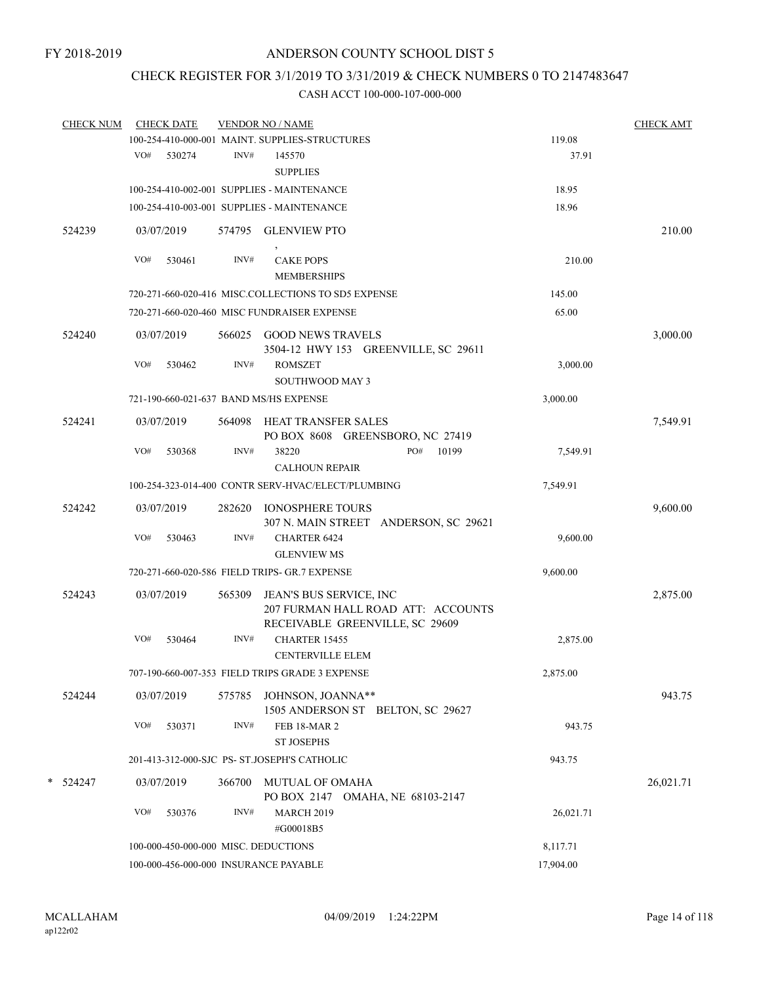# CHECK REGISTER FOR 3/1/2019 TO 3/31/2019 & CHECK NUMBERS 0 TO 2147483647

| <b>CHECK NUM</b> |     | <b>CHECK DATE</b> |        | <b>VENDOR NO / NAME</b>                                                     |           | <b>CHECK AMT</b> |
|------------------|-----|-------------------|--------|-----------------------------------------------------------------------------|-----------|------------------|
|                  |     |                   |        | 100-254-410-000-001 MAINT. SUPPLIES-STRUCTURES                              | 119.08    |                  |
|                  | VO# | 530274            | INV#   | 145570                                                                      | 37.91     |                  |
|                  |     |                   |        | <b>SUPPLIES</b>                                                             |           |                  |
|                  |     |                   |        | 100-254-410-002-001 SUPPLIES - MAINTENANCE                                  | 18.95     |                  |
|                  |     |                   |        | 100-254-410-003-001 SUPPLIES - MAINTENANCE                                  | 18.96     |                  |
| 524239           |     | 03/07/2019        |        | 574795 GLENVIEW PTO                                                         |           | 210.00           |
|                  | VO# | 530461            | INV#   | <b>CAKE POPS</b><br><b>MEMBERSHIPS</b>                                      | 210.00    |                  |
|                  |     |                   |        | 720-271-660-020-416 MISC.COLLECTIONS TO SD5 EXPENSE                         | 145.00    |                  |
|                  |     |                   |        | 720-271-660-020-460 MISC FUNDRAISER EXPENSE                                 | 65.00     |                  |
| 524240           |     | 03/07/2019        |        | 566025 GOOD NEWS TRAVELS<br>3504-12 HWY 153 GREENVILLE, SC 29611            |           | 3,000.00         |
|                  | VO# | 530462            | INV#   | <b>ROMSZET</b><br>SOUTHWOOD MAY 3                                           | 3,000.00  |                  |
|                  |     |                   |        | 721-190-660-021-637 BAND MS/HS EXPENSE                                      | 3,000.00  |                  |
| 524241           |     | 03/07/2019        | 564098 | HEAT TRANSFER SALES<br>PO BOX 8608 GREENSBORO, NC 27419                     |           | 7,549.91         |
|                  | VO# | 530368            | INV#   | 10199<br>38220<br>PO#<br><b>CALHOUN REPAIR</b>                              | 7,549.91  |                  |
|                  |     |                   |        | 100-254-323-014-400 CONTR SERV-HVAC/ELECT/PLUMBING                          | 7,549.91  |                  |
| 524242           |     | 03/07/2019        | 282620 | <b>IONOSPHERE TOURS</b><br>307 N. MAIN STREET ANDERSON, SC 29621            |           | 9,600.00         |
|                  | VO# | 530463            | INV#   | <b>CHARTER 6424</b><br><b>GLENVIEW MS</b>                                   | 9,600.00  |                  |
|                  |     |                   |        | 720-271-660-020-586 FIELD TRIPS- GR.7 EXPENSE                               | 9,600.00  |                  |
| 524243           |     | 03/07/2019        | 565309 | JEAN'S BUS SERVICE, INC<br>207 FURMAN HALL ROAD ATT: ACCOUNTS               |           | 2,875.00         |
|                  | VO# | 530464            | INV#   | RECEIVABLE GREENVILLE, SC 29609<br>CHARTER 15455<br><b>CENTERVILLE ELEM</b> | 2,875.00  |                  |
|                  |     |                   |        | 707-190-660-007-353 FIELD TRIPS GRADE 3 EXPENSE                             | 2,875.00  |                  |
| 524244           |     | 03/07/2019        |        | 575785 JOHNSON, JOANNA**<br>1505 ANDERSON ST BELTON, SC 29627               |           | 943.75           |
|                  | VO# | 530371            | INV#   | <b>FEB 18-MAR 2</b><br><b>ST JOSEPHS</b>                                    | 943.75    |                  |
|                  |     |                   |        | 201-413-312-000-SJC PS- ST.JOSEPH'S CATHOLIC                                | 943.75    |                  |
| * 524247         |     | 03/07/2019        | 366700 | MUTUAL OF OMAHA<br>PO BOX 2147 OMAHA, NE 68103-2147                         |           | 26,021.71        |
|                  | VO# | 530376            | INV#   | <b>MARCH 2019</b><br>#G00018B5                                              | 26,021.71 |                  |
|                  |     |                   |        | 100-000-450-000-000 MISC. DEDUCTIONS                                        | 8,117.71  |                  |
|                  |     |                   |        | 100-000-456-000-000 INSURANCE PAYABLE                                       | 17,904.00 |                  |
|                  |     |                   |        |                                                                             |           |                  |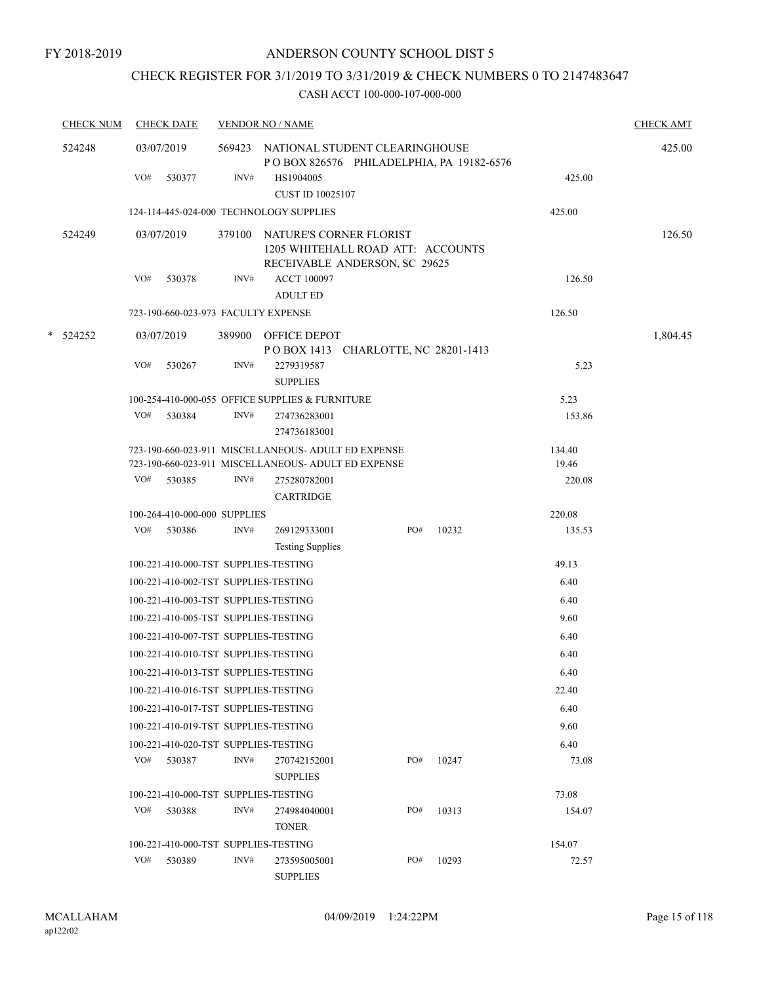# CHECK REGISTER FOR 3/1/2019 TO 3/31/2019 & CHECK NUMBERS 0 TO 2147483647

| <b>CHECK NUM</b> |     | <b>CHECK DATE</b>                    |      | <b>VENDOR NO / NAME</b>                                                         |     |                                          |                | <b>CHECK AMT</b> |
|------------------|-----|--------------------------------------|------|---------------------------------------------------------------------------------|-----|------------------------------------------|----------------|------------------|
| 524248           |     | 03/07/2019                           |      | 569423 NATIONAL STUDENT CLEARINGHOUSE                                           |     | POBOX 826576 PHILADELPHIA, PA 19182-6576 |                | 425.00           |
|                  | VO# | 530377                               | INV# | HS1904005<br><b>CUST ID 10025107</b>                                            |     |                                          | 425.00         |                  |
|                  |     |                                      |      | 124-114-445-024-000 TECHNOLOGY SUPPLIES                                         |     |                                          | 425.00         |                  |
| 524249           |     | 03/07/2019                           |      | 379100 NATURE'S CORNER FLORIST<br>1205 WHITEHALL ROAD ATT: ACCOUNTS             |     |                                          |                | 126.50           |
|                  | VO# | 530378                               | INV# | RECEIVABLE ANDERSON, SC 29625<br><b>ACCT 100097</b><br><b>ADULT ED</b>          |     |                                          | 126.50         |                  |
|                  |     | 723-190-660-023-973 FACULTY EXPENSE  |      |                                                                                 |     |                                          | 126.50         |                  |
| $*$ 524252       |     | 03/07/2019                           |      | 389900 OFFICE DEPOT                                                             |     |                                          |                | 1,804.45         |
|                  | VO# | 530267                               | INV# | POBOX 1413 CHARLOTTE, NC 28201-1413<br>2279319587                               |     |                                          | 5.23           |                  |
|                  |     |                                      |      | <b>SUPPLIES</b>                                                                 |     |                                          |                |                  |
|                  | VO# | 530384                               | INV# | 100-254-410-000-055 OFFICE SUPPLIES & FURNITURE<br>274736283001<br>274736183001 |     |                                          | 5.23<br>153.86 |                  |
|                  |     |                                      |      | 723-190-660-023-911 MISCELLANEOUS- ADULT ED EXPENSE                             |     |                                          | 134.40         |                  |
|                  |     |                                      |      | 723-190-660-023-911 MISCELLANEOUS- ADULT ED EXPENSE                             |     |                                          | 19.46          |                  |
|                  | VO# | 530385                               | INV# | 275280782001<br><b>CARTRIDGE</b>                                                |     |                                          | 220.08         |                  |
|                  |     | 100-264-410-000-000 SUPPLIES         |      |                                                                                 |     |                                          | 220.08         |                  |
|                  |     | VO# 530386                           | INV# | 269129333001                                                                    | PO# | 10232                                    | 135.53         |                  |
|                  |     |                                      |      | <b>Testing Supplies</b>                                                         |     |                                          |                |                  |
|                  |     | 100-221-410-000-TST SUPPLIES-TESTING |      |                                                                                 |     |                                          | 49.13          |                  |
|                  |     | 100-221-410-002-TST SUPPLIES-TESTING |      |                                                                                 |     |                                          | 6.40           |                  |
|                  |     | 100-221-410-003-TST SUPPLIES-TESTING |      |                                                                                 |     |                                          | 6.40           |                  |
|                  |     | 100-221-410-005-TST SUPPLIES-TESTING |      |                                                                                 |     |                                          | 9.60           |                  |
|                  |     | 100-221-410-007-TST SUPPLIES-TESTING |      |                                                                                 |     |                                          | 6.40           |                  |
|                  |     | 100-221-410-010-TST SUPPLIES-TESTING |      |                                                                                 |     |                                          | 6.40           |                  |
|                  |     | 100-221-410-013-TST SUPPLIES-TESTING |      |                                                                                 |     |                                          | 6.40           |                  |
|                  |     | 100-221-410-016-TST SUPPLIES-TESTING |      |                                                                                 |     |                                          | 22.40          |                  |
|                  |     | 100-221-410-017-TST SUPPLIES-TESTING |      |                                                                                 |     |                                          | 6.40           |                  |
|                  |     | 100-221-410-019-TST SUPPLIES-TESTING |      |                                                                                 |     |                                          | 9.60           |                  |
|                  |     | 100-221-410-020-TST SUPPLIES-TESTING |      |                                                                                 |     |                                          | 6.40           |                  |
|                  | VO# | 530387                               | INV# | 270742152001<br><b>SUPPLIES</b>                                                 | PO# | 10247                                    | 73.08          |                  |
|                  |     | 100-221-410-000-TST SUPPLIES-TESTING |      |                                                                                 |     |                                          | 73.08          |                  |
|                  | VO# | 530388                               | INV# | 274984040001<br><b>TONER</b>                                                    | PO# | 10313                                    | 154.07         |                  |
|                  |     | 100-221-410-000-TST SUPPLIES-TESTING |      |                                                                                 |     |                                          | 154.07         |                  |
|                  | VO# | 530389                               | INV# | 273595005001<br><b>SUPPLIES</b>                                                 | PO# | 10293                                    | 72.57          |                  |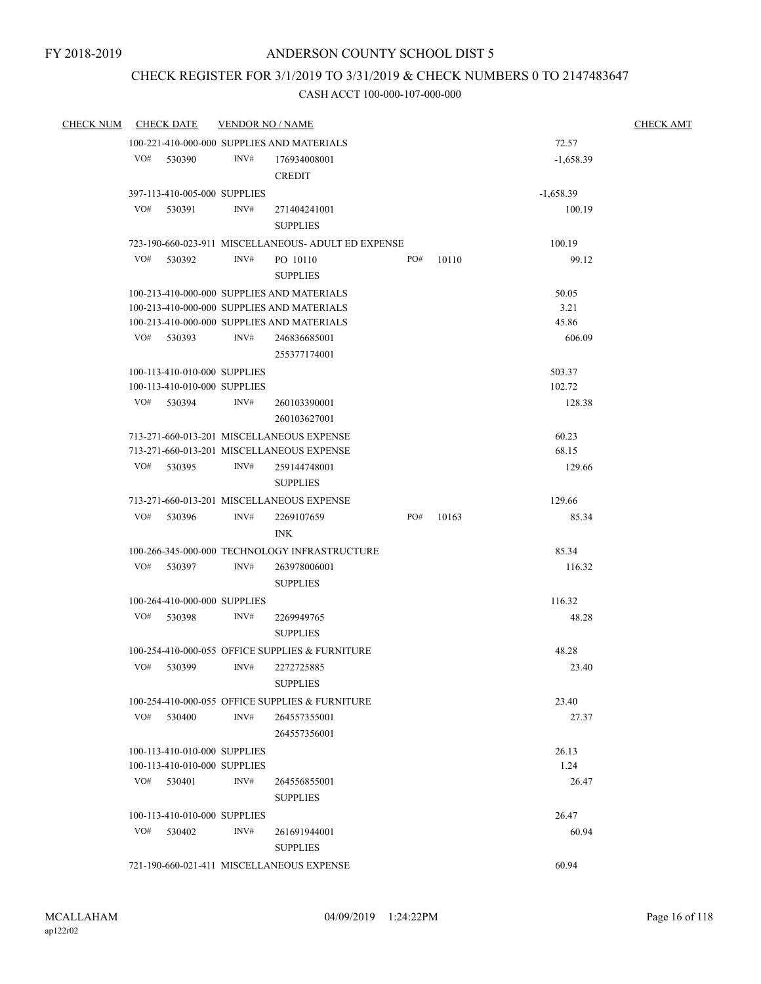# CHECK REGISTER FOR 3/1/2019 TO 3/31/2019 & CHECK NUMBERS 0 TO 2147483647

| <b>CHECK NUM</b> |     | <b>CHECK DATE</b>                                            | <b>VENDOR NO / NAME</b> |                                                                                                                                                                        |     |       |                                  | <b>CHECK AMT</b> |
|------------------|-----|--------------------------------------------------------------|-------------------------|------------------------------------------------------------------------------------------------------------------------------------------------------------------------|-----|-------|----------------------------------|------------------|
|                  |     |                                                              |                         | 100-221-410-000-000 SUPPLIES AND MATERIALS                                                                                                                             |     |       | 72.57                            |                  |
|                  | VO# | 530390                                                       | INV#                    | 176934008001<br><b>CREDIT</b>                                                                                                                                          |     |       | $-1,658.39$                      |                  |
|                  |     | 397-113-410-005-000 SUPPLIES                                 |                         |                                                                                                                                                                        |     |       | $-1,658.39$                      |                  |
|                  | VO# | 530391                                                       | INV#                    | 271404241001<br><b>SUPPLIES</b>                                                                                                                                        |     |       | 100.19                           |                  |
|                  |     |                                                              |                         | 723-190-660-023-911 MISCELLANEOUS- ADULT ED EXPENSE                                                                                                                    |     |       | 100.19                           |                  |
|                  | VO# | 530392                                                       | INV#                    | PO 10110<br><b>SUPPLIES</b>                                                                                                                                            | PO# | 10110 | 99.12                            |                  |
|                  |     | VO# 530393                                                   | INV#                    | 100-213-410-000-000 SUPPLIES AND MATERIALS<br>100-213-410-000-000 SUPPLIES AND MATERIALS<br>100-213-410-000-000 SUPPLIES AND MATERIALS<br>246836685001<br>255377174001 |     |       | 50.05<br>3.21<br>45.86<br>606.09 |                  |
|                  |     | 100-113-410-010-000 SUPPLIES<br>100-113-410-010-000 SUPPLIES |                         |                                                                                                                                                                        |     |       | 503.37<br>102.72                 |                  |
|                  |     | VO# 530394                                                   | INV#                    | 260103390001<br>260103627001                                                                                                                                           |     |       | 128.38                           |                  |
|                  |     |                                                              |                         | 713-271-660-013-201 MISCELLANEOUS EXPENSE<br>713-271-660-013-201 MISCELLANEOUS EXPENSE                                                                                 |     |       | 60.23<br>68.15                   |                  |
|                  | VO# | 530395                                                       | INV#                    | 259144748001<br><b>SUPPLIES</b>                                                                                                                                        |     |       | 129.66                           |                  |
|                  |     |                                                              |                         | 713-271-660-013-201 MISCELLANEOUS EXPENSE                                                                                                                              |     |       | 129.66                           |                  |
|                  | VO# | 530396                                                       | INV#                    | 2269107659<br><b>INK</b>                                                                                                                                               | PO# | 10163 | 85.34                            |                  |
|                  |     |                                                              |                         | 100-266-345-000-000 TECHNOLOGY INFRASTRUCTURE                                                                                                                          |     |       | 85.34                            |                  |
|                  | VO# | 530397                                                       | INV#                    | 263978006001<br><b>SUPPLIES</b>                                                                                                                                        |     |       | 116.32                           |                  |
|                  |     | 100-264-410-000-000 SUPPLIES                                 |                         |                                                                                                                                                                        |     |       | 116.32                           |                  |
|                  |     | VO# 530398                                                   | INV#                    | 2269949765<br><b>SUPPLIES</b>                                                                                                                                          |     |       | 48.28                            |                  |
|                  |     |                                                              |                         | 100-254-410-000-055 OFFICE SUPPLIES & FURNITURE                                                                                                                        |     |       | 48.28                            |                  |
|                  | VO# | 530399                                                       | INV#                    | 2272725885<br><b>SUPPLIES</b>                                                                                                                                          |     |       | 23.40                            |                  |
|                  |     |                                                              |                         | 100-254-410-000-055 OFFICE SUPPLIES & FURNITURE                                                                                                                        |     |       | 23.40                            |                  |
|                  |     | VO# 530400                                                   | INV#                    | 264557355001<br>264557356001                                                                                                                                           |     |       | 27.37                            |                  |
|                  |     | 100-113-410-010-000 SUPPLIES                                 |                         |                                                                                                                                                                        |     |       | 26.13                            |                  |
|                  |     | 100-113-410-010-000 SUPPLIES                                 |                         |                                                                                                                                                                        |     |       | 1.24                             |                  |
|                  | VO# | 530401                                                       | INV#                    | 264556855001<br><b>SUPPLIES</b>                                                                                                                                        |     |       | 26.47                            |                  |
|                  |     | 100-113-410-010-000 SUPPLIES                                 |                         |                                                                                                                                                                        |     |       | 26.47                            |                  |
|                  | VO# | 530402                                                       | INV#                    | 261691944001<br><b>SUPPLIES</b>                                                                                                                                        |     |       | 60.94                            |                  |
|                  |     |                                                              |                         | 721-190-660-021-411 MISCELLANEOUS EXPENSE                                                                                                                              |     |       | 60.94                            |                  |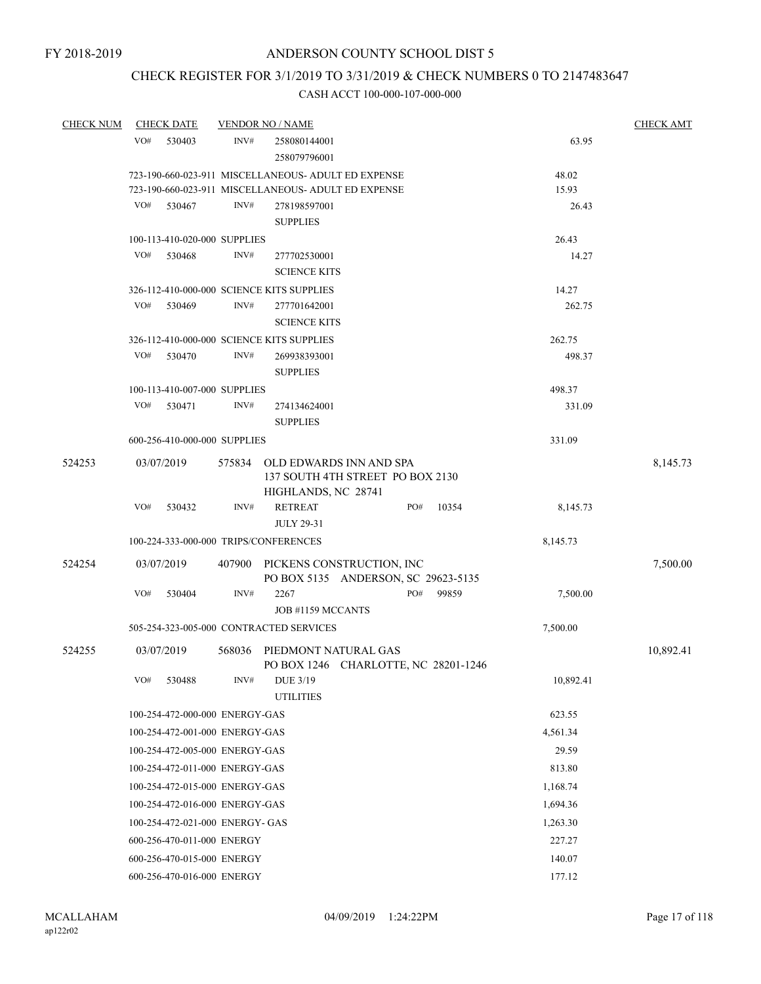# CHECK REGISTER FOR 3/1/2019 TO 3/31/2019 & CHECK NUMBERS 0 TO 2147483647

| <b>CHECK NUM</b> |     | <b>CHECK DATE</b>                      |        | <b>VENDOR NO / NAME</b>                                                 |     |       |           | <b>CHECK AMT</b> |
|------------------|-----|----------------------------------------|--------|-------------------------------------------------------------------------|-----|-------|-----------|------------------|
|                  | VO# | 530403                                 | INV#   | 258080144001                                                            |     |       | 63.95     |                  |
|                  |     |                                        |        | 258079796001                                                            |     |       |           |                  |
|                  |     |                                        |        | 723-190-660-023-911 MISCELLANEOUS- ADULT ED EXPENSE                     |     |       | 48.02     |                  |
|                  |     |                                        |        | 723-190-660-023-911 MISCELLANEOUS- ADULT ED EXPENSE                     |     |       | 15.93     |                  |
|                  | VO# | 530467                                 | INV#   | 278198597001                                                            |     |       | 26.43     |                  |
|                  |     |                                        |        | <b>SUPPLIES</b>                                                         |     |       |           |                  |
|                  |     | 100-113-410-020-000 SUPPLIES           |        |                                                                         |     |       | 26.43     |                  |
|                  | VO# | 530468                                 | INV#   | 277702530001                                                            |     |       | 14.27     |                  |
|                  |     |                                        |        | <b>SCIENCE KITS</b>                                                     |     |       |           |                  |
|                  |     |                                        |        | 326-112-410-000-000 SCIENCE KITS SUPPLIES                               |     |       | 14.27     |                  |
|                  | VO# | 530469                                 | INV#   | 277701642001                                                            |     |       | 262.75    |                  |
|                  |     |                                        |        | <b>SCIENCE KITS</b>                                                     |     |       |           |                  |
|                  |     |                                        |        | 326-112-410-000-000 SCIENCE KITS SUPPLIES                               |     |       | 262.75    |                  |
|                  | VO# | 530470                                 | INV#   | 269938393001                                                            |     |       | 498.37    |                  |
|                  |     |                                        |        | <b>SUPPLIES</b>                                                         |     |       |           |                  |
|                  | VO# | 100-113-410-007-000 SUPPLIES<br>530471 |        |                                                                         |     |       | 498.37    |                  |
|                  |     |                                        | INV#   | 274134624001<br><b>SUPPLIES</b>                                         |     |       | 331.09    |                  |
|                  |     |                                        |        |                                                                         |     |       | 331.09    |                  |
|                  |     | 600-256-410-000-000 SUPPLIES           |        |                                                                         |     |       |           |                  |
| 524253           |     | 03/07/2019                             |        | 575834 OLD EDWARDS INN AND SPA                                          |     |       |           | 8,145.73         |
|                  |     |                                        |        | 137 SOUTH 4TH STREET PO BOX 2130                                        |     |       |           |                  |
|                  | VO# | 530432                                 | INV#   | HIGHLANDS, NC 28741<br><b>RETREAT</b>                                   | PO# | 10354 | 8,145.73  |                  |
|                  |     |                                        |        | <b>JULY 29-31</b>                                                       |     |       |           |                  |
|                  |     |                                        |        | 100-224-333-000-000 TRIPS/CONFERENCES                                   |     |       | 8,145.73  |                  |
|                  |     |                                        |        |                                                                         |     |       |           |                  |
| 524254           |     | 03/07/2019                             |        | 407900 PICKENS CONSTRUCTION, INC<br>PO BOX 5135 ANDERSON, SC 29623-5135 |     |       |           | 7,500.00         |
|                  | VO# | 530404                                 | INV#   | 2267                                                                    | PO# | 99859 | 7,500.00  |                  |
|                  |     |                                        |        | JOB #1159 MCCANTS                                                       |     |       |           |                  |
|                  |     |                                        |        | 505-254-323-005-000 CONTRACTED SERVICES                                 |     |       | 7,500.00  |                  |
|                  |     |                                        |        |                                                                         |     |       |           |                  |
| 524255           |     | 03/07/2019                             | 568036 | PIEDMONT NATURAL GAS<br>PO BOX 1246 CHARLOTTE, NC 28201-1246            |     |       |           | 10,892.41        |
|                  | VO# | 530488                                 | INV#   | DUE 3/19<br><b>UTILITIES</b>                                            |     |       | 10,892.41 |                  |
|                  |     | 100-254-472-000-000 ENERGY-GAS         |        |                                                                         |     |       | 623.55    |                  |
|                  |     | 100-254-472-001-000 ENERGY-GAS         |        |                                                                         |     |       | 4,561.34  |                  |
|                  |     | 100-254-472-005-000 ENERGY-GAS         |        |                                                                         |     |       | 29.59     |                  |
|                  |     | 100-254-472-011-000 ENERGY-GAS         |        |                                                                         |     |       | 813.80    |                  |
|                  |     | 100-254-472-015-000 ENERGY-GAS         |        |                                                                         |     |       | 1,168.74  |                  |
|                  |     | 100-254-472-016-000 ENERGY-GAS         |        |                                                                         |     |       | 1,694.36  |                  |
|                  |     | 100-254-472-021-000 ENERGY- GAS        |        |                                                                         |     |       | 1,263.30  |                  |
|                  |     | 600-256-470-011-000 ENERGY             |        |                                                                         |     |       | 227.27    |                  |
|                  |     | 600-256-470-015-000 ENERGY             |        |                                                                         |     |       | 140.07    |                  |
|                  |     | 600-256-470-016-000 ENERGY             |        |                                                                         |     |       | 177.12    |                  |
|                  |     |                                        |        |                                                                         |     |       |           |                  |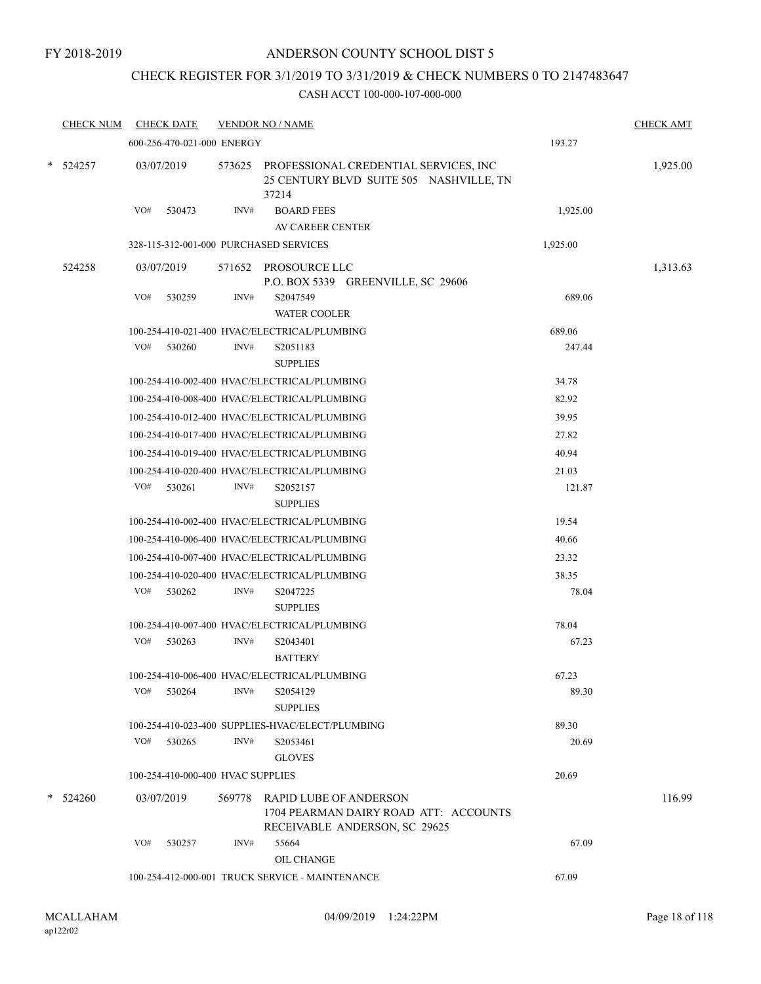## CHECK REGISTER FOR 3/1/2019 TO 3/31/2019 & CHECK NUMBERS 0 TO 2147483647

| <b>CHECK NUM</b> | <b>CHECK DATE</b>                      |      | <b>VENDOR NO / NAME</b>                                                                                 |          | <b>CHECK AMT</b> |
|------------------|----------------------------------------|------|---------------------------------------------------------------------------------------------------------|----------|------------------|
|                  | 600-256-470-021-000 ENERGY             |      |                                                                                                         | 193.27   |                  |
| $*$ 524257       | 03/07/2019                             |      | 573625 PROFESSIONAL CREDENTIAL SERVICES, INC<br>25 CENTURY BLVD SUITE 505 NASHVILLE, TN<br>37214        |          | 1,925.00         |
|                  | VO#<br>530473                          | INV# | <b>BOARD FEES</b>                                                                                       | 1,925.00 |                  |
|                  |                                        |      | AV CAREER CENTER                                                                                        |          |                  |
|                  | 328-115-312-001-000 PURCHASED SERVICES |      |                                                                                                         | 1,925.00 |                  |
| 524258           | 03/07/2019                             |      | 571652 PROSOURCE LLC<br>P.O. BOX 5339 GREENVILLE, SC 29606                                              |          | 1,313.63         |
|                  | VO#<br>530259                          | INV# | S2047549<br><b>WATER COOLER</b>                                                                         | 689.06   |                  |
|                  |                                        |      | 100-254-410-021-400 HVAC/ELECTRICAL/PLUMBING                                                            | 689.06   |                  |
|                  | VO#<br>530260                          | INV# | S2051183<br><b>SUPPLIES</b>                                                                             | 247.44   |                  |
|                  |                                        |      | 100-254-410-002-400 HVAC/ELECTRICAL/PLUMBING                                                            | 34.78    |                  |
|                  |                                        |      | 100-254-410-008-400 HVAC/ELECTRICAL/PLUMBING                                                            | 82.92    |                  |
|                  |                                        |      | 100-254-410-012-400 HVAC/ELECTRICAL/PLUMBING                                                            | 39.95    |                  |
|                  |                                        |      | 100-254-410-017-400 HVAC/ELECTRICAL/PLUMBING                                                            | 27.82    |                  |
|                  |                                        |      | 100-254-410-019-400 HVAC/ELECTRICAL/PLUMBING                                                            | 40.94    |                  |
|                  |                                        |      | 100-254-410-020-400 HVAC/ELECTRICAL/PLUMBING                                                            | 21.03    |                  |
|                  | VO#<br>530261                          | INV# | S2052157<br><b>SUPPLIES</b>                                                                             | 121.87   |                  |
|                  |                                        |      | 100-254-410-002-400 HVAC/ELECTRICAL/PLUMBING                                                            | 19.54    |                  |
|                  |                                        |      | 100-254-410-006-400 HVAC/ELECTRICAL/PLUMBING                                                            | 40.66    |                  |
|                  |                                        |      | 100-254-410-007-400 HVAC/ELECTRICAL/PLUMBING                                                            | 23.32    |                  |
|                  |                                        |      | 100-254-410-020-400 HVAC/ELECTRICAL/PLUMBING                                                            | 38.35    |                  |
|                  | VO#<br>530262                          | INV# | S2047225<br><b>SUPPLIES</b>                                                                             | 78.04    |                  |
|                  |                                        |      | 100-254-410-007-400 HVAC/ELECTRICAL/PLUMBING                                                            | 78.04    |                  |
|                  | VO#<br>530263                          | INV# | S2043401<br><b>BATTERY</b>                                                                              | 67.23    |                  |
|                  |                                        |      | 100-254-410-006-400 HVAC/ELECTRICAL/PLUMBING                                                            | 67.23    |                  |
|                  | VO#<br>530264                          | INV# | S2054129<br><b>SUPPLIES</b>                                                                             | 89.30    |                  |
|                  |                                        |      | 100-254-410-023-400 SUPPLIES-HVAC/ELECT/PLUMBING                                                        | 89.30    |                  |
|                  | VO# 530265                             | INV# | S2053461<br><b>GLOVES</b>                                                                               | 20.69    |                  |
|                  | 100-254-410-000-400 HVAC SUPPLIES      |      |                                                                                                         | 20.69    |                  |
| $*$ 524260       | 03/07/2019                             |      | 569778 RAPID LUBE OF ANDERSON<br>1704 PEARMAN DAIRY ROAD ATT: ACCOUNTS<br>RECEIVABLE ANDERSON, SC 29625 |          | 116.99           |
|                  | VO#<br>530257                          | INV# | 55664<br>OIL CHANGE                                                                                     | 67.09    |                  |
|                  |                                        |      | 100-254-412-000-001 TRUCK SERVICE - MAINTENANCE                                                         | 67.09    |                  |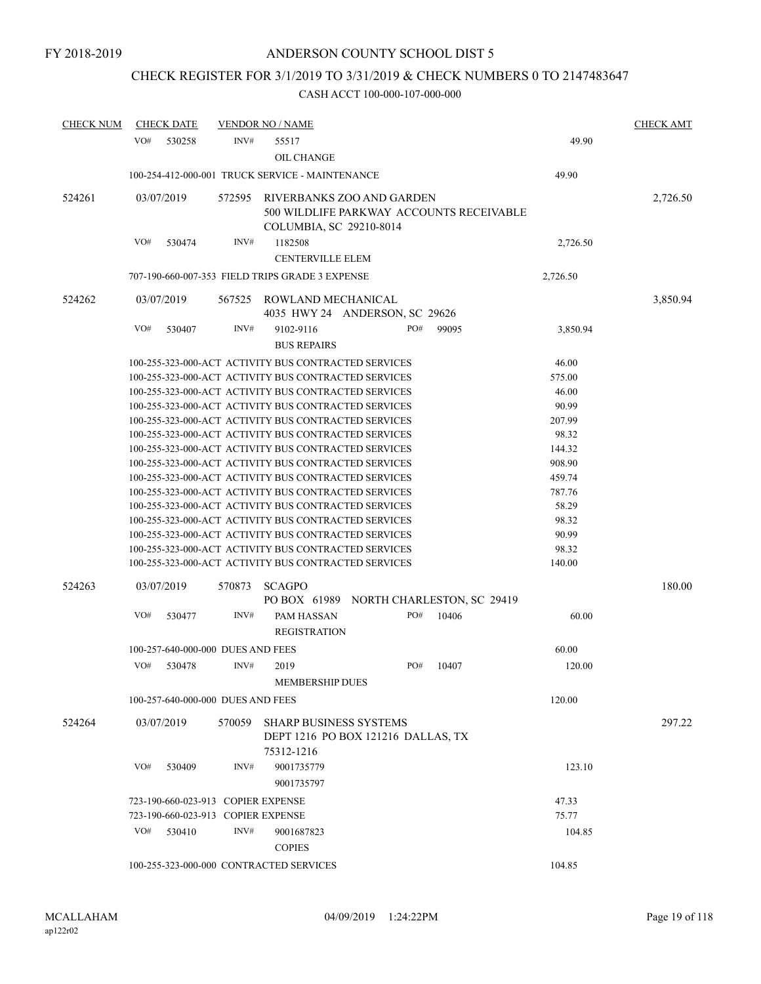# CHECK REGISTER FOR 3/1/2019 TO 3/31/2019 & CHECK NUMBERS 0 TO 2147483647

| <b>CHECK NUM</b> | <b>CHECK DATE</b> |                                    | <b>VENDOR NO / NAME</b>                         |                                                      |       |          | <b>CHECK AMT</b> |
|------------------|-------------------|------------------------------------|-------------------------------------------------|------------------------------------------------------|-------|----------|------------------|
|                  | VO#<br>530258     | INV#                               | 55517                                           |                                                      |       | 49.90    |                  |
|                  |                   |                                    | <b>OIL CHANGE</b>                               |                                                      |       |          |                  |
|                  |                   |                                    | 100-254-412-000-001 TRUCK SERVICE - MAINTENANCE |                                                      |       | 49.90    |                  |
|                  |                   |                                    |                                                 |                                                      |       |          |                  |
| 524261           | 03/07/2019        | 572595                             |                                                 | RIVERBANKS ZOO AND GARDEN                            |       |          | 2,726.50         |
|                  |                   |                                    |                                                 | 500 WILDLIFE PARKWAY ACCOUNTS RECEIVABLE             |       |          |                  |
|                  |                   |                                    | COLUMBIA, SC 29210-8014                         |                                                      |       |          |                  |
|                  | VO#<br>530474     | INV#                               | 1182508                                         |                                                      |       | 2,726.50 |                  |
|                  |                   |                                    | <b>CENTERVILLE ELEM</b>                         |                                                      |       |          |                  |
|                  |                   |                                    | 707-190-660-007-353 FIELD TRIPS GRADE 3 EXPENSE |                                                      |       | 2,726.50 |                  |
| 524262           | 03/07/2019        | 567525                             | ROWLAND MECHANICAL                              |                                                      |       |          | 3,850.94         |
|                  |                   |                                    |                                                 | 4035 HWY 24 ANDERSON, SC 29626                       |       |          |                  |
|                  | VO#<br>530407     | INV#                               | 9102-9116                                       | PO#                                                  | 99095 | 3,850.94 |                  |
|                  |                   |                                    | <b>BUS REPAIRS</b>                              |                                                      |       |          |                  |
|                  |                   |                                    |                                                 | 100-255-323-000-ACT ACTIVITY BUS CONTRACTED SERVICES |       | 46.00    |                  |
|                  |                   |                                    |                                                 | 100-255-323-000-ACT ACTIVITY BUS CONTRACTED SERVICES |       | 575.00   |                  |
|                  |                   |                                    |                                                 | 100-255-323-000-ACT ACTIVITY BUS CONTRACTED SERVICES |       | 46.00    |                  |
|                  |                   |                                    |                                                 | 100-255-323-000-ACT ACTIVITY BUS CONTRACTED SERVICES |       | 90.99    |                  |
|                  |                   |                                    |                                                 | 100-255-323-000-ACT ACTIVITY BUS CONTRACTED SERVICES |       | 207.99   |                  |
|                  |                   |                                    |                                                 | 100-255-323-000-ACT ACTIVITY BUS CONTRACTED SERVICES |       | 98.32    |                  |
|                  |                   |                                    |                                                 | 100-255-323-000-ACT ACTIVITY BUS CONTRACTED SERVICES |       | 144.32   |                  |
|                  |                   |                                    |                                                 | 100-255-323-000-ACT ACTIVITY BUS CONTRACTED SERVICES |       | 908.90   |                  |
|                  |                   |                                    |                                                 | 100-255-323-000-ACT ACTIVITY BUS CONTRACTED SERVICES |       | 459.74   |                  |
|                  |                   |                                    |                                                 | 100-255-323-000-ACT ACTIVITY BUS CONTRACTED SERVICES |       | 787.76   |                  |
|                  |                   |                                    |                                                 | 100-255-323-000-ACT ACTIVITY BUS CONTRACTED SERVICES |       | 58.29    |                  |
|                  |                   |                                    |                                                 | 100-255-323-000-ACT ACTIVITY BUS CONTRACTED SERVICES |       | 98.32    |                  |
|                  |                   |                                    |                                                 | 100-255-323-000-ACT ACTIVITY BUS CONTRACTED SERVICES |       | 90.99    |                  |
|                  |                   |                                    |                                                 | 100-255-323-000-ACT ACTIVITY BUS CONTRACTED SERVICES |       | 98.32    |                  |
|                  |                   |                                    |                                                 | 100-255-323-000-ACT ACTIVITY BUS CONTRACTED SERVICES |       | 140.00   |                  |
| 524263           | 03/07/2019        | 570873                             | <b>SCAGPO</b>                                   |                                                      |       |          | 180.00           |
|                  |                   |                                    |                                                 | PO BOX 61989 NORTH CHARLESTON, SC 29419              |       |          |                  |
|                  | VO#<br>530477     | INV#                               | PAM HASSAN                                      | PO#                                                  | 10406 | 60.00    |                  |
|                  |                   |                                    | <b>REGISTRATION</b>                             |                                                      |       |          |                  |
|                  |                   |                                    |                                                 |                                                      |       |          |                  |
|                  |                   | 100-257-640-000-000 DUES AND FEES  |                                                 |                                                      |       | 60.00    |                  |
|                  | VO#<br>530478     | INV#                               | 2019                                            | PO#                                                  | 10407 | 120.00   |                  |
|                  |                   |                                    | <b>MEMBERSHIP DUES</b>                          |                                                      |       |          |                  |
|                  |                   | 100-257-640-000-000 DUES AND FEES  |                                                 |                                                      |       | 120.00   |                  |
| 524264           | 03/07/2019        | 570059                             |                                                 | <b>SHARP BUSINESS SYSTEMS</b>                        |       |          | 297.22           |
|                  |                   |                                    |                                                 | DEPT 1216 PO BOX 121216 DALLAS, TX                   |       |          |                  |
|                  |                   |                                    | 75312-1216                                      |                                                      |       |          |                  |
|                  | VO#<br>530409     | INV#                               | 9001735779                                      |                                                      |       | 123.10   |                  |
|                  |                   |                                    | 9001735797                                      |                                                      |       |          |                  |
|                  |                   |                                    |                                                 |                                                      |       |          |                  |
|                  |                   | 723-190-660-023-913 COPIER EXPENSE |                                                 |                                                      |       | 47.33    |                  |
|                  |                   | 723-190-660-023-913 COPIER EXPENSE |                                                 |                                                      |       | 75.77    |                  |
|                  | VO#<br>530410     | INV#                               | 9001687823                                      |                                                      |       | 104.85   |                  |
|                  |                   |                                    | <b>COPIES</b>                                   |                                                      |       |          |                  |
|                  |                   |                                    | 100-255-323-000-000 CONTRACTED SERVICES         |                                                      |       | 104.85   |                  |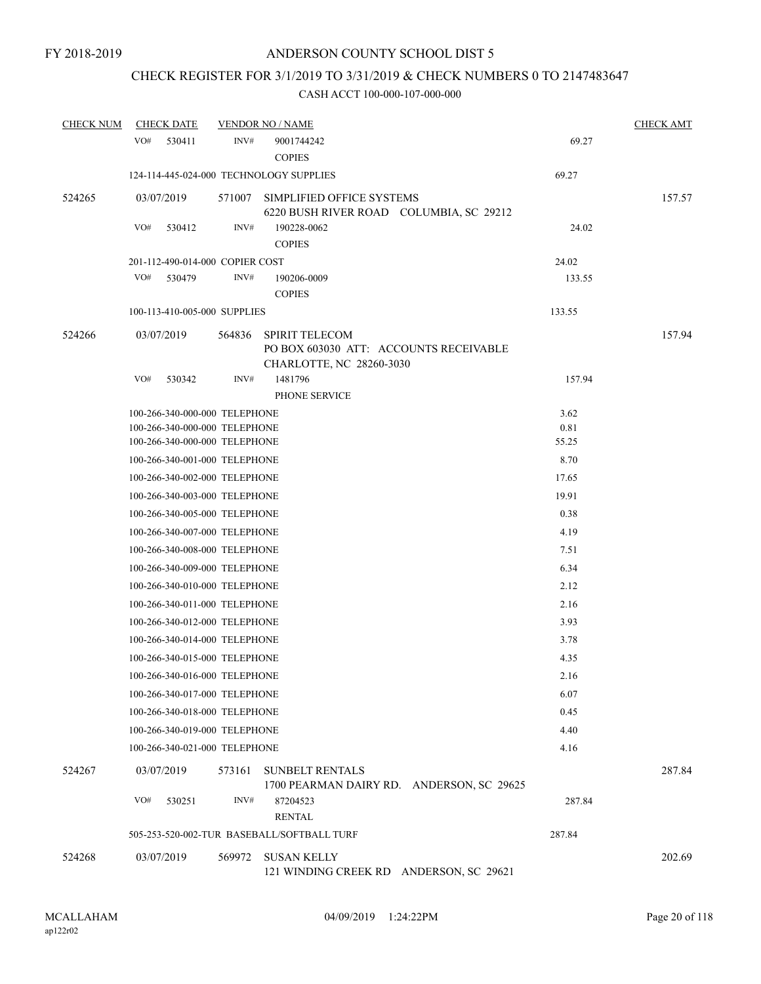# CHECK REGISTER FOR 3/1/2019 TO 3/31/2019 & CHECK NUMBERS 0 TO 2147483647

| <b>CHECK NUM</b> | <b>CHECK DATE</b>                     |        | <b>VENDOR NO / NAME</b>                                                                     |        | <b>CHECK AMT</b> |  |  |
|------------------|---------------------------------------|--------|---------------------------------------------------------------------------------------------|--------|------------------|--|--|
|                  | VO#<br>530411                         | INV#   | 9001744242<br><b>COPIES</b>                                                                 | 69.27  |                  |  |  |
|                  |                                       |        | 124-114-445-024-000 TECHNOLOGY SUPPLIES                                                     | 69.27  |                  |  |  |
| 524265           | 03/07/2019                            |        | 571007 SIMPLIFIED OFFICE SYSTEMS<br>6220 BUSH RIVER ROAD COLUMBIA, SC 29212                 |        | 157.57           |  |  |
|                  | VO#<br>530412                         | INV#   | 190228-0062<br><b>COPIES</b>                                                                | 24.02  |                  |  |  |
|                  | 201-112-490-014-000 COPIER COST       |        |                                                                                             | 24.02  |                  |  |  |
|                  | VO#<br>530479                         | INV#   | 190206-0009<br><b>COPIES</b>                                                                | 133.55 |                  |  |  |
|                  | 100-113-410-005-000 SUPPLIES          |        |                                                                                             | 133.55 |                  |  |  |
| 524266           | 03/07/2019                            | 564836 | <b>SPIRIT TELECOM</b><br>PO BOX 603030 ATT: ACCOUNTS RECEIVABLE<br>CHARLOTTE, NC 28260-3030 |        | 157.94           |  |  |
|                  | VO#<br>530342                         | INV#   | 1481796<br>PHONE SERVICE                                                                    | 157.94 |                  |  |  |
|                  | 100-266-340-000-000 TELEPHONE         |        |                                                                                             | 3.62   |                  |  |  |
|                  | 100-266-340-000-000 TELEPHONE         |        |                                                                                             | 0.81   |                  |  |  |
|                  | 100-266-340-000-000 TELEPHONE         |        |                                                                                             | 55.25  |                  |  |  |
|                  | 100-266-340-001-000 TELEPHONE         |        |                                                                                             | 8.70   |                  |  |  |
|                  | 100-266-340-002-000 TELEPHONE         |        |                                                                                             | 17.65  |                  |  |  |
|                  | 100-266-340-003-000 TELEPHONE         |        |                                                                                             | 19.91  |                  |  |  |
|                  | 100-266-340-005-000 TELEPHONE         |        |                                                                                             | 0.38   |                  |  |  |
|                  | 100-266-340-007-000 TELEPHONE<br>4.19 |        |                                                                                             |        |                  |  |  |
|                  | 100-266-340-008-000 TELEPHONE<br>7.51 |        |                                                                                             |        |                  |  |  |
|                  | 6.34<br>100-266-340-009-000 TELEPHONE |        |                                                                                             |        |                  |  |  |
|                  | 2.12<br>100-266-340-010-000 TELEPHONE |        |                                                                                             |        |                  |  |  |
|                  | 100-266-340-011-000 TELEPHONE         |        |                                                                                             | 2.16   |                  |  |  |
|                  | 100-266-340-012-000 TELEPHONE         |        |                                                                                             | 3.93   |                  |  |  |
|                  | 100-266-340-014-000 TELEPHONE         |        |                                                                                             | 3.78   |                  |  |  |
|                  | 100-266-340-015-000 TELEPHONE         |        |                                                                                             | 4.35   |                  |  |  |
|                  | 100-266-340-016-000 TELEPHONE         |        |                                                                                             | 2.16   |                  |  |  |
|                  | 100-266-340-017-000 TELEPHONE         |        |                                                                                             | 6.07   |                  |  |  |
|                  | 100-266-340-018-000 TELEPHONE         |        |                                                                                             | 0.45   |                  |  |  |
|                  | 100-266-340-019-000 TELEPHONE         |        |                                                                                             | 4.40   |                  |  |  |
|                  | 100-266-340-021-000 TELEPHONE         |        |                                                                                             | 4.16   |                  |  |  |
|                  |                                       |        |                                                                                             |        |                  |  |  |
| 524267           | 03/07/2019                            | 573161 | <b>SUNBELT RENTALS</b><br>1700 PEARMAN DAIRY RD. ANDERSON, SC 29625                         |        | 287.84           |  |  |
|                  | VO#<br>530251                         | INV#   | 87204523<br><b>RENTAL</b>                                                                   | 287.84 |                  |  |  |
|                  |                                       |        | 505-253-520-002-TUR BASEBALL/SOFTBALL TURF                                                  | 287.84 |                  |  |  |
| 524268           | 03/07/2019                            | 569972 | <b>SUSAN KELLY</b><br>121 WINDING CREEK RD ANDERSON, SC 29621                               |        | 202.69           |  |  |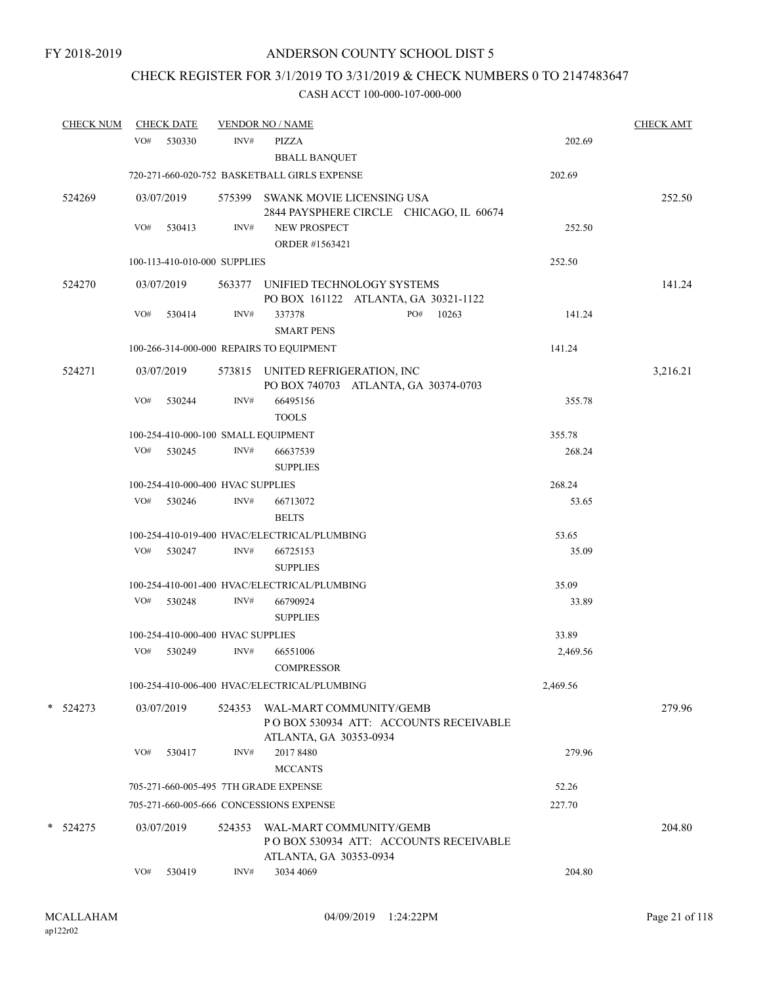# CHECK REGISTER FOR 3/1/2019 TO 3/31/2019 & CHECK NUMBERS 0 TO 2147483647

| <b>CHECK NUM</b> |     | <b>CHECK DATE</b>                 |        | <b>VENDOR NO / NAME</b>                                                                     |          | <b>CHECK AMT</b> |
|------------------|-----|-----------------------------------|--------|---------------------------------------------------------------------------------------------|----------|------------------|
|                  | VO# | 530330                            | INV#   | <b>PIZZA</b><br><b>BBALL BANQUET</b>                                                        | 202.69   |                  |
|                  |     |                                   |        | 720-271-660-020-752 BASKETBALL GIRLS EXPENSE                                                | 202.69   |                  |
| 524269           |     | 03/07/2019                        |        | 575399 SWANK MOVIE LICENSING USA<br>2844 PAYSPHERE CIRCLE CHICAGO, IL 60674                 |          | 252.50           |
|                  | VO# | 530413                            | INV#   | <b>NEW PROSPECT</b><br>ORDER #1563421                                                       | 252.50   |                  |
|                  |     | 100-113-410-010-000 SUPPLIES      |        |                                                                                             | 252.50   |                  |
| 524270           |     | 03/07/2019                        |        | 563377 UNIFIED TECHNOLOGY SYSTEMS<br>PO BOX 161122 ATLANTA, GA 30321-1122                   |          | 141.24           |
|                  | VO# | 530414                            | INV#   | 337378<br>PO#<br>10263<br><b>SMART PENS</b>                                                 | 141.24   |                  |
|                  |     |                                   |        | 100-266-314-000-000 REPAIRS TO EQUIPMENT                                                    | 141.24   |                  |
| 524271           |     | 03/07/2019                        |        | 573815 UNITED REFRIGERATION, INC<br>PO BOX 740703 ATLANTA, GA 30374-0703                    |          | 3,216.21         |
|                  | VO# | 530244                            | INV#   | 66495156<br><b>TOOLS</b>                                                                    | 355.78   |                  |
|                  |     |                                   |        | 100-254-410-000-100 SMALL EQUIPMENT                                                         | 355.78   |                  |
|                  |     | VO# 530245                        | INV#   | 66637539<br><b>SUPPLIES</b>                                                                 | 268.24   |                  |
|                  |     | 100-254-410-000-400 HVAC SUPPLIES |        |                                                                                             | 268.24   |                  |
|                  | VO# | 530246                            | INV#   | 66713072<br><b>BELTS</b>                                                                    | 53.65    |                  |
|                  |     |                                   |        | 100-254-410-019-400 HVAC/ELECTRICAL/PLUMBING                                                | 53.65    |                  |
|                  | VO# | 530247                            | INV#   | 66725153<br><b>SUPPLIES</b>                                                                 | 35.09    |                  |
|                  |     |                                   |        | 100-254-410-001-400 HVAC/ELECTRICAL/PLUMBING                                                | 35.09    |                  |
|                  | VO# | 530248                            | INV#   | 66790924<br><b>SUPPLIES</b>                                                                 | 33.89    |                  |
|                  |     | 100-254-410-000-400 HVAC SUPPLIES |        |                                                                                             | 33.89    |                  |
|                  | VO# | 530249                            | INV#   | 66551006<br>COMPRESSOR                                                                      | 2,469.56 |                  |
|                  |     |                                   |        | 100-254-410-006-400 HVAC/ELECTRICAL/PLUMBING                                                | 2,469.56 |                  |
| $*$ 524273       |     | 03/07/2019                        | 524353 | WAL-MART COMMUNITY/GEMB<br>PO BOX 530934 ATT: ACCOUNTS RECEIVABLE<br>ATLANTA, GA 30353-0934 |          | 279.96           |
|                  | VO# | 530417                            | INV#   | 2017 8480<br><b>MCCANTS</b>                                                                 | 279.96   |                  |
|                  |     |                                   |        | 705-271-660-005-495 7TH GRADE EXPENSE                                                       | 52.26    |                  |
|                  |     |                                   |        | 705-271-660-005-666 CONCESSIONS EXPENSE                                                     | 227.70   |                  |
| $*$ 524275       |     | 03/07/2019                        | 524353 | WAL-MART COMMUNITY/GEMB<br>PO BOX 530934 ATT: ACCOUNTS RECEIVABLE<br>ATLANTA, GA 30353-0934 |          | 204.80           |
|                  | VO# | 530419                            | INV#   | 3034 4069                                                                                   | 204.80   |                  |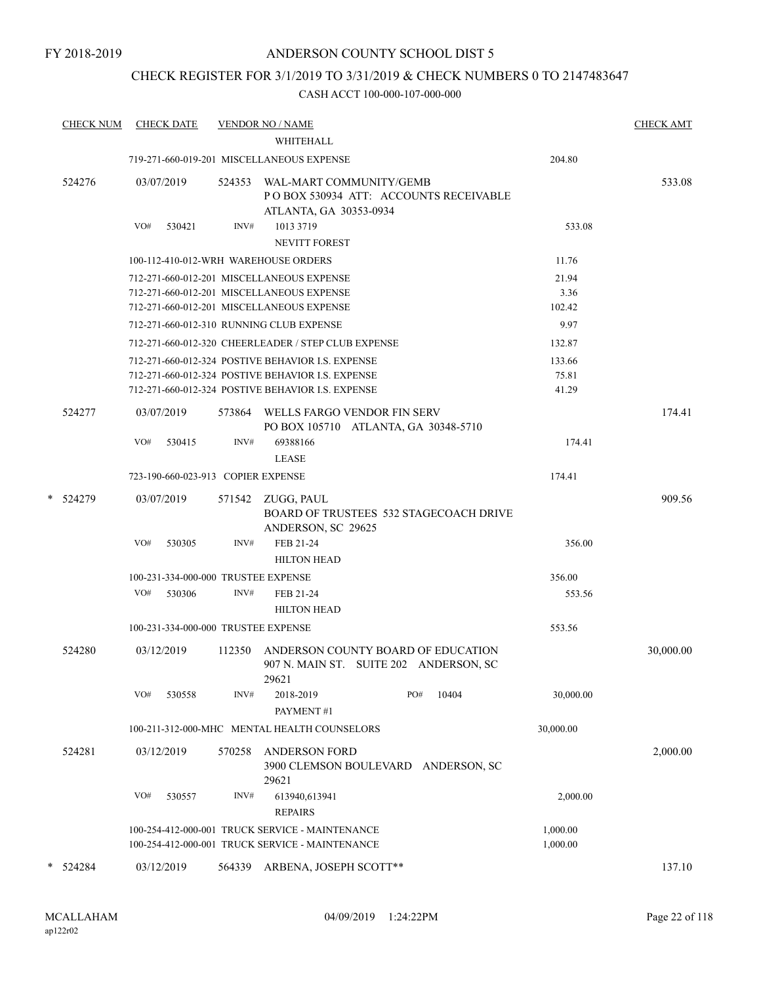## CHECK REGISTER FOR 3/1/2019 TO 3/31/2019 & CHECK NUMBERS 0 TO 2147483647

|   | <b>CHECK NUM</b> | <b>CHECK DATE</b>                    |                | <b>VENDOR NO / NAME</b><br>WHITEHALL                                                                                                                        |     |                                        |                          | <b>CHECK AMT</b> |
|---|------------------|--------------------------------------|----------------|-------------------------------------------------------------------------------------------------------------------------------------------------------------|-----|----------------------------------------|--------------------------|------------------|
|   |                  |                                      |                | 719-271-660-019-201 MISCELLANEOUS EXPENSE                                                                                                                   |     |                                        | 204.80                   |                  |
|   | 524276           | 03/07/2019<br>VO#                    | 524353<br>INV# | WAL-MART COMMUNITY/GEMB<br>ATLANTA, GA 30353-0934                                                                                                           |     | PO BOX 530934 ATT: ACCOUNTS RECEIVABLE |                          | 533.08           |
|   |                  | 530421                               |                | 1013 3719<br><b>NEVITT FOREST</b>                                                                                                                           |     |                                        | 533.08                   |                  |
|   |                  | 100-112-410-012-WRH WAREHOUSE ORDERS |                |                                                                                                                                                             |     |                                        | 11.76                    |                  |
|   |                  |                                      |                | 712-271-660-012-201 MISCELLANEOUS EXPENSE<br>712-271-660-012-201 MISCELLANEOUS EXPENSE<br>712-271-660-012-201 MISCELLANEOUS EXPENSE                         |     |                                        | 21.94<br>3.36<br>102.42  |                  |
|   |                  |                                      |                | 712-271-660-012-310 RUNNING CLUB EXPENSE                                                                                                                    |     |                                        | 9.97                     |                  |
|   |                  |                                      |                | 712-271-660-012-320 CHEERLEADER / STEP CLUB EXPENSE                                                                                                         |     |                                        | 132.87                   |                  |
|   |                  |                                      |                | 712-271-660-012-324 POSTIVE BEHAVIOR I.S. EXPENSE<br>712-271-660-012-324 POSTIVE BEHAVIOR I.S. EXPENSE<br>712-271-660-012-324 POSTIVE BEHAVIOR I.S. EXPENSE |     |                                        | 133.66<br>75.81<br>41.29 |                  |
|   | 524277           | 03/07/2019                           |                | 573864 WELLS FARGO VENDOR FIN SERV<br>PO BOX 105710 ATLANTA, GA 30348-5710                                                                                  |     |                                        |                          | 174.41           |
|   |                  | VO#<br>530415                        | INV#           | 69388166<br><b>LEASE</b>                                                                                                                                    |     |                                        | 174.41                   |                  |
|   |                  | 723-190-660-023-913 COPIER EXPENSE   |                |                                                                                                                                                             |     |                                        | 174.41                   |                  |
|   | * 524279         | 03/07/2019                           |                | 571542 ZUGG, PAUL<br>ANDERSON, SC 29625                                                                                                                     |     | BOARD OF TRUSTEES 532 STAGECOACH DRIVE |                          | 909.56           |
|   |                  | VO#<br>530305                        | INV#           | FEB 21-24<br><b>HILTON HEAD</b>                                                                                                                             |     |                                        | 356.00                   |                  |
|   |                  | 100-231-334-000-000 TRUSTEE EXPENSE  |                |                                                                                                                                                             |     |                                        | 356.00                   |                  |
|   |                  | VO#<br>530306                        | INV#           | FEB 21-24<br><b>HILTON HEAD</b>                                                                                                                             |     |                                        | 553.56                   |                  |
|   |                  | 100-231-334-000-000 TRUSTEE EXPENSE  |                |                                                                                                                                                             |     |                                        | 553.56                   |                  |
|   | 524280           | 03/12/2019                           | 112350         | ANDERSON COUNTY BOARD OF EDUCATION<br>907 N. MAIN ST. SUITE 202 ANDERSON, SC<br>29621                                                                       |     |                                        |                          | 30,000.00        |
|   |                  | VO#<br>530558                        | INV#           | 2018-2019<br>PAYMENT#1                                                                                                                                      | PO# | 10404                                  | 30,000.00                |                  |
|   |                  |                                      |                | 100-211-312-000-MHC MENTAL HEALTH COUNSELORS                                                                                                                |     |                                        | 30,000.00                |                  |
|   | 524281           | 03/12/2019                           | 570258         | <b>ANDERSON FORD</b><br>3900 CLEMSON BOULEVARD ANDERSON, SC<br>29621                                                                                        |     |                                        |                          | 2,000.00         |
|   |                  | VO#<br>530557                        | INV#           | 613940,613941<br><b>REPAIRS</b>                                                                                                                             |     |                                        | 2,000.00                 |                  |
|   |                  |                                      |                | 100-254-412-000-001 TRUCK SERVICE - MAINTENANCE<br>100-254-412-000-001 TRUCK SERVICE - MAINTENANCE                                                          |     |                                        | 1,000.00<br>1,000.00     |                  |
| * | 524284           | 03/12/2019                           | 564339         | ARBENA, JOSEPH SCOTT**                                                                                                                                      |     |                                        |                          | 137.10           |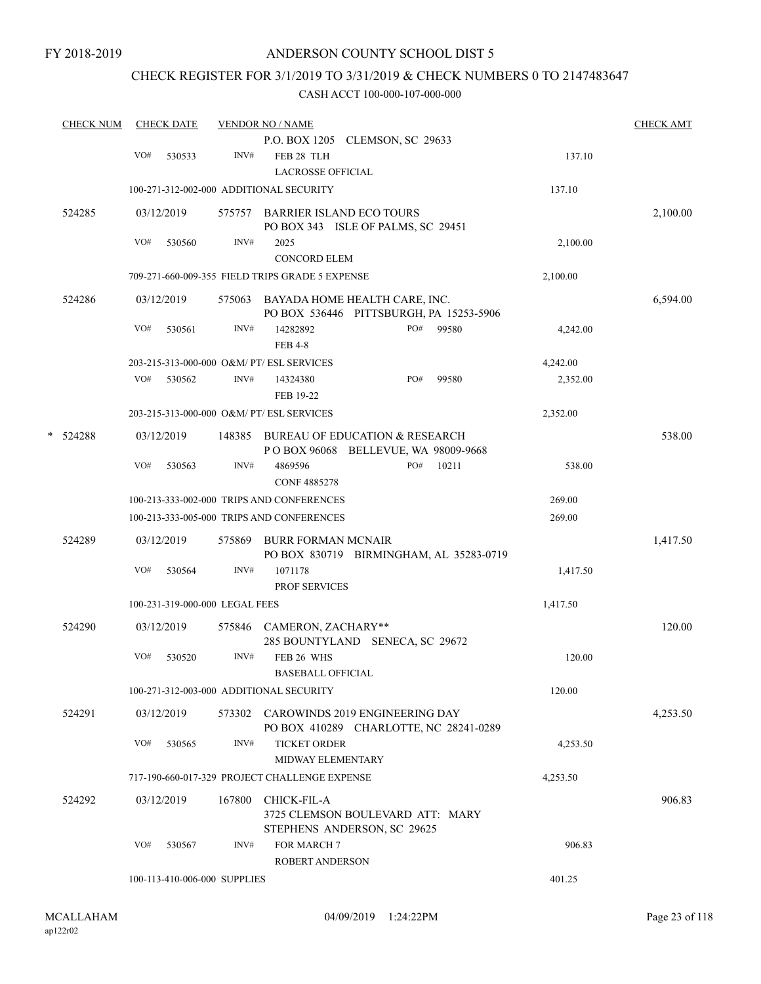## CHECK REGISTER FOR 3/1/2019 TO 3/31/2019 & CHECK NUMBERS 0 TO 2147483647

|   | <b>CHECK NUM</b> |     | <b>CHECK DATE</b> |                                | <b>VENDOR NO / NAME</b>                                                         | <b>CHECK AMT</b> |
|---|------------------|-----|-------------------|--------------------------------|---------------------------------------------------------------------------------|------------------|
|   |                  | VO# | 530533            | INV#                           | P.O. BOX 1205 CLEMSON, SC 29633<br>FEB 28 TLH<br><b>LACROSSE OFFICIAL</b>       | 137.10           |
|   |                  |     |                   |                                | 100-271-312-002-000 ADDITIONAL SECURITY<br>137.10                               |                  |
|   | 524285           |     | 03/12/2019        |                                | 575757 BARRIER ISLAND ECO TOURS<br>PO BOX 343 ISLE OF PALMS, SC 29451           | 2,100.00         |
|   |                  | VO# | 530560            | INV#                           | 2025<br><b>CONCORD ELEM</b>                                                     | 2,100.00         |
|   |                  |     |                   |                                | 709-271-660-009-355 FIELD TRIPS GRADE 5 EXPENSE<br>2,100.00                     |                  |
|   | 524286           |     | 03/12/2019        | 575063                         | BAYADA HOME HEALTH CARE, INC.<br>PO BOX 536446 PITTSBURGH, PA 15253-5906        | 6,594.00         |
|   |                  | VO# | 530561            | INV#                           | 14282892<br>PO#<br>99580<br><b>FEB 4-8</b>                                      | 4,242.00         |
|   |                  |     |                   |                                | 203-215-313-000-000 O&M/ PT/ ESL SERVICES<br>4,242.00                           |                  |
|   |                  | VO# | 530562            | INV#                           | PO#<br>99580<br>14324380<br>FEB 19-22                                           | 2,352.00         |
|   |                  |     |                   |                                | 203-215-313-000-000 O&M/ PT/ ESL SERVICES<br>2,352.00                           |                  |
| * | 524288           |     | 03/12/2019        |                                | 148385 BUREAU OF EDUCATION & RESEARCH<br>POBOX 96068 BELLEVUE, WA 98009-9668    | 538.00           |
|   |                  | VO# | 530563            | INV#                           | 4869596<br>PO#<br>10211<br><b>CONF 4885278</b>                                  | 538.00           |
|   |                  |     |                   |                                | 100-213-333-002-000 TRIPS AND CONFERENCES<br>269.00                             |                  |
|   |                  |     |                   |                                | 100-213-333-005-000 TRIPS AND CONFERENCES<br>269.00                             |                  |
|   | 524289           |     | 03/12/2019        | 575869                         | <b>BURR FORMAN MCNAIR</b><br>PO BOX 830719 BIRMINGHAM, AL 35283-0719            | 1,417.50         |
|   |                  | VO# | 530564            | INV#                           | 1071178<br><b>PROF SERVICES</b>                                                 | 1,417.50         |
|   |                  |     |                   | 100-231-319-000-000 LEGAL FEES | 1,417.50                                                                        |                  |
|   | 524290           |     | 03/12/2019        |                                | 575846 CAMERON, ZACHARY**<br>285 BOUNTYLAND SENECA, SC 29672                    | 120.00           |
|   |                  | VO# | 530520            | INV#                           | FEB 26 WHS<br><b>BASEBALL OFFICIAL</b>                                          | 120.00           |
|   |                  |     |                   |                                | 120.00<br>100-271-312-003-000 ADDITIONAL SECURITY                               |                  |
|   | 524291           |     | 03/12/2019        |                                | 573302 CAROWINDS 2019 ENGINEERING DAY<br>PO BOX 410289 CHARLOTTE, NC 28241-0289 | 4,253.50         |
|   |                  | VO# | 530565            | INV#                           | <b>TICKET ORDER</b><br><b>MIDWAY ELEMENTARY</b>                                 | 4,253.50         |
|   |                  |     |                   |                                | 717-190-660-017-329 PROJECT CHALLENGE EXPENSE<br>4,253.50                       |                  |
|   | 524292           |     | 03/12/2019        | 167800                         | CHICK-FIL-A<br>3725 CLEMSON BOULEVARD ATT: MARY                                 | 906.83           |
|   |                  | VO# | 530567            | INV#                           | STEPHENS ANDERSON, SC 29625<br>FOR MARCH 7<br><b>ROBERT ANDERSON</b>            | 906.83           |
|   |                  |     |                   | 100-113-410-006-000 SUPPLIES   | 401.25                                                                          |                  |
|   |                  |     |                   |                                |                                                                                 |                  |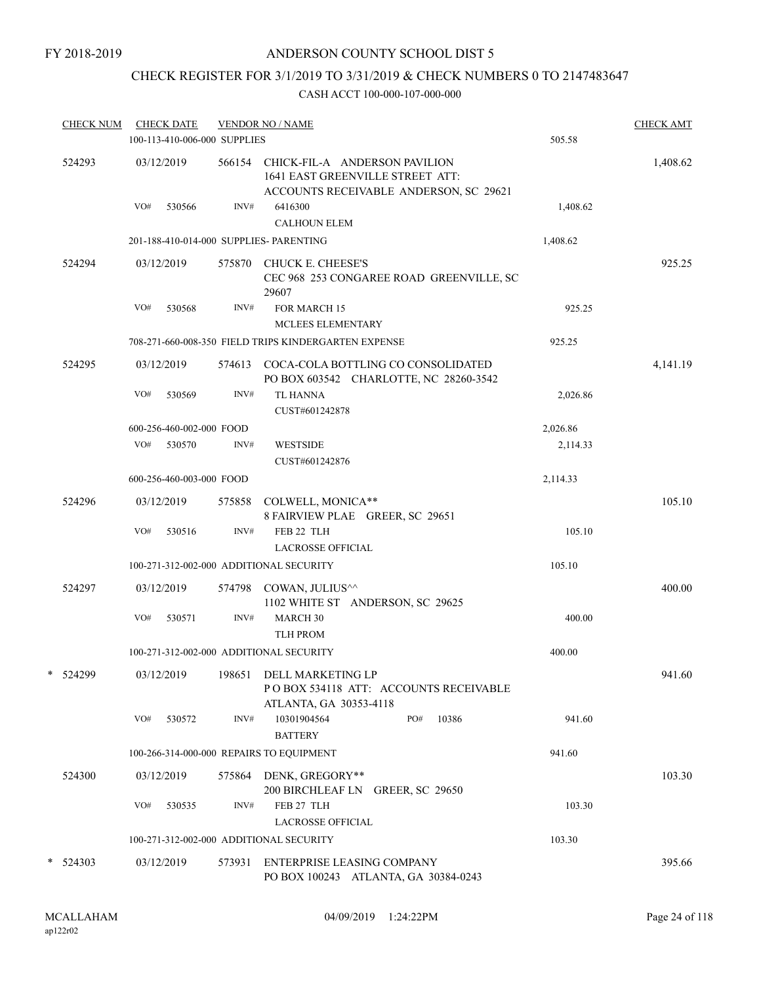# CHECK REGISTER FOR 3/1/2019 TO 3/31/2019 & CHECK NUMBERS 0 TO 2147483647

| <b>CHECK NUM</b> |     | <b>CHECK DATE</b><br>100-113-410-006-000 SUPPLIES |        | <b>VENDOR NO / NAME</b>                                                                                            | 505.58   | <b>CHECK AMT</b> |
|------------------|-----|---------------------------------------------------|--------|--------------------------------------------------------------------------------------------------------------------|----------|------------------|
| 524293           |     | 03/12/2019                                        |        | 566154 CHICK-FIL-A ANDERSON PAVILION<br>1641 EAST GREENVILLE STREET ATT:<br>ACCOUNTS RECEIVABLE ANDERSON, SC 29621 |          | 1,408.62         |
|                  | VO# | 530566                                            | INV#   | 6416300<br><b>CALHOUN ELEM</b>                                                                                     | 1,408.62 |                  |
|                  |     |                                                   |        | 201-188-410-014-000 SUPPLIES- PARENTING                                                                            | 1,408.62 |                  |
| 524294           |     | 03/12/2019                                        |        | 575870 CHUCK E. CHEESE'S<br>CEC 968 253 CONGAREE ROAD GREENVILLE, SC<br>29607                                      |          | 925.25           |
|                  | VO# | 530568                                            | INV#   | FOR MARCH 15                                                                                                       | 925.25   |                  |
|                  |     |                                                   |        | MCLEES ELEMENTARY                                                                                                  |          |                  |
|                  |     |                                                   |        | 708-271-660-008-350 FIELD TRIPS KINDERGARTEN EXPENSE                                                               | 925.25   |                  |
| 524295           |     | 03/12/2019                                        | 574613 | COCA-COLA BOTTLING CO CONSOLIDATED<br>PO BOX 603542 CHARLOTTE, NC 28260-3542                                       |          | 4,141.19         |
|                  | VO# | 530569                                            | INV#   | <b>TL HANNA</b><br>CUST#601242878                                                                                  | 2,026.86 |                  |
|                  |     | 600-256-460-002-000 FOOD                          |        |                                                                                                                    | 2,026.86 |                  |
|                  | VO# | 530570                                            | INV#   | <b>WESTSIDE</b><br>CUST#601242876                                                                                  | 2,114.33 |                  |
|                  |     | 600-256-460-003-000 FOOD                          |        |                                                                                                                    | 2,114.33 |                  |
| 524296           |     | 03/12/2019                                        | 575858 | COLWELL, MONICA**<br>8 FAIRVIEW PLAE GREER, SC 29651                                                               |          | 105.10           |
|                  | VO# | 530516                                            | INV#   | FEB 22 TLH                                                                                                         | 105.10   |                  |
|                  |     |                                                   |        | <b>LACROSSE OFFICIAL</b>                                                                                           |          |                  |
|                  |     |                                                   |        | 100-271-312-002-000 ADDITIONAL SECURITY                                                                            | 105.10   |                  |
| 524297           |     | 03/12/2019                                        |        | 574798 COWAN, JULIUS <sup>^^</sup><br>1102 WHITE ST ANDERSON, SC 29625                                             |          | 400.00           |
|                  | VO# | 530571                                            | INV#   | <b>MARCH 30</b>                                                                                                    | 400.00   |                  |
|                  |     |                                                   |        | <b>TLH PROM</b>                                                                                                    |          |                  |
|                  |     |                                                   |        | 100-271-312-002-000 ADDITIONAL SECURITY                                                                            | 400.00   |                  |
| 524299<br>*      |     |                                                   |        | 03/12/2019 198651 DELL MARKETING LP<br>POBOX 534118 ATT: ACCOUNTS RECEIVABLE<br>ATLANTA, GA 30353-4118             |          | 941.60           |
|                  | VO# | 530572                                            | INV#   | PO#<br>10301904564<br>10386<br><b>BATTERY</b>                                                                      | 941.60   |                  |
|                  |     |                                                   |        | 100-266-314-000-000 REPAIRS TO EQUIPMENT                                                                           | 941.60   |                  |
| 524300           |     | 03/12/2019                                        |        | 575864 DENK, GREGORY**<br>200 BIRCHLEAF LN GREER, SC 29650                                                         |          | 103.30           |
|                  | VO# | 530535                                            | INV#   | FEB 27 TLH<br><b>LACROSSE OFFICIAL</b>                                                                             | 103.30   |                  |
|                  |     |                                                   |        | 100-271-312-002-000 ADDITIONAL SECURITY                                                                            | 103.30   |                  |
| * 524303         |     | 03/12/2019                                        | 573931 | ENTERPRISE LEASING COMPANY                                                                                         |          | 395.66           |
|                  |     |                                                   |        | PO BOX 100243 ATLANTA, GA 30384-0243                                                                               |          |                  |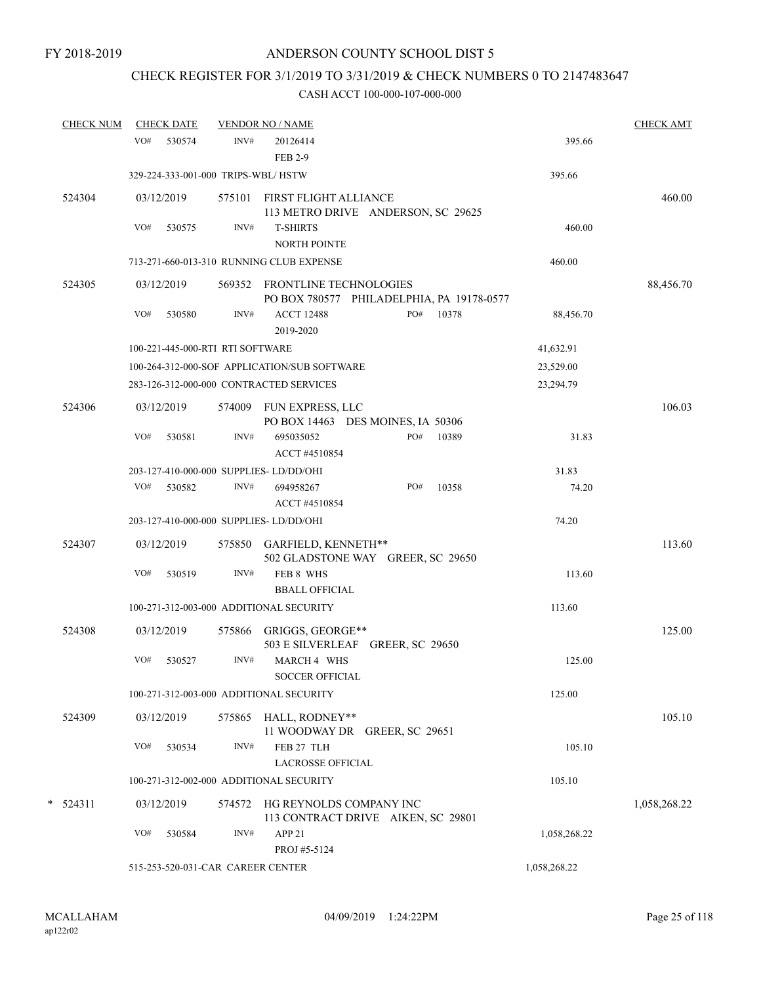# CHECK REGISTER FOR 3/1/2019 TO 3/31/2019 & CHECK NUMBERS 0 TO 2147483647

| <b>CHECK NUM</b> |     | <b>CHECK DATE</b> |                                    | <b>VENDOR NO / NAME</b>                      |                                                               |       |              | <b>CHECK AMT</b> |
|------------------|-----|-------------------|------------------------------------|----------------------------------------------|---------------------------------------------------------------|-------|--------------|------------------|
|                  | VO# | 530574            | INV#                               | 20126414<br><b>FEB 2-9</b>                   |                                                               |       | 395.66       |                  |
|                  |     |                   | 329-224-333-001-000 TRIPS-WBL/HSTW |                                              |                                                               |       | 395.66       |                  |
| 524304           |     | 03/12/2019        |                                    | 575101 FIRST FLIGHT ALLIANCE                 | 113 METRO DRIVE ANDERSON, SC 29625                            |       |              | 460.00           |
|                  | VO# | 530575            | INV#                               | <b>T-SHIRTS</b><br>NORTH POINTE              |                                                               |       | 460.00       |                  |
|                  |     |                   |                                    | 713-271-660-013-310 RUNNING CLUB EXPENSE     |                                                               |       | 460.00       |                  |
| 524305           |     | 03/12/2019        |                                    | 569352 FRONTLINE TECHNOLOGIES                | PO BOX 780577 PHILADELPHIA, PA 19178-0577                     |       |              | 88,456.70        |
|                  | VO# | 530580            | INV#                               | <b>ACCT 12488</b><br>2019-2020               | PO#                                                           | 10378 | 88,456.70    |                  |
|                  |     |                   | 100-221-445-000-RTI RTI SOFTWARE   |                                              |                                                               |       | 41,632.91    |                  |
|                  |     |                   |                                    | 100-264-312-000-SOF APPLICATION/SUB SOFTWARE |                                                               |       | 23,529.00    |                  |
|                  |     |                   |                                    | 283-126-312-000-000 CONTRACTED SERVICES      |                                                               |       | 23,294.79    |                  |
| 524306           |     | 03/12/2019        |                                    | 574009 FUN EXPRESS, LLC                      | PO BOX 14463 DES MOINES, IA 50306                             |       |              | 106.03           |
|                  | VO# | 530581            | INV#                               | 695035052<br>ACCT #4510854                   | PO#                                                           | 10389 | 31.83        |                  |
|                  |     |                   |                                    | 203-127-410-000-000 SUPPLIES-LD/DD/OHI       |                                                               |       | 31.83        |                  |
|                  | VO# | 530582            | INV#                               | 694958267<br>ACCT #4510854                   | PO#                                                           | 10358 | 74.20        |                  |
|                  |     |                   |                                    | 203-127-410-000-000 SUPPLIES-LD/DD/OHI       |                                                               |       | 74.20        |                  |
| 524307           |     | 03/12/2019        |                                    | 575850 GARFIELD, KENNETH**                   | 502 GLADSTONE WAY GREER, SC 29650                             |       |              | 113.60           |
|                  | VO# | 530519            | INV#                               | FEB 8 WHS<br><b>BBALL OFFICIAL</b>           |                                                               |       | 113.60       |                  |
|                  |     |                   |                                    | 100-271-312-003-000 ADDITIONAL SECURITY      |                                                               |       | 113.60       |                  |
| 524308           |     | 03/12/2019        |                                    | 575866 GRIGGS, GEORGE**                      | 503 E SILVERLEAF GREER, SC 29650                              |       |              | 125.00           |
|                  | VO# | 530527            | INV#                               | MARCH 4 WHS<br><b>SOCCER OFFICIAL</b>        |                                                               |       | 125.00       |                  |
|                  |     |                   |                                    | 100-271-312-003-000 ADDITIONAL SECURITY      |                                                               |       | 125.00       |                  |
| 524309           |     | 03/12/2019        |                                    | 575865 HALL, RODNEY**                        | 11 WOODWAY DR GREER, SC 29651                                 |       |              | 105.10           |
|                  | VO# | 530534            | INV#                               | FEB 27 TLH<br><b>LACROSSE OFFICIAL</b>       |                                                               |       | 105.10       |                  |
|                  |     |                   |                                    | 100-271-312-002-000 ADDITIONAL SECURITY      |                                                               |       | 105.10       |                  |
| $*$ 524311       |     | 03/12/2019        | 574572                             |                                              | HG REYNOLDS COMPANY INC<br>113 CONTRACT DRIVE AIKEN, SC 29801 |       |              | 1,058,268.22     |
|                  | VO# | 530584            | INV#                               | APP <sub>21</sub><br>PROJ #5-5124            |                                                               |       | 1,058,268.22 |                  |
|                  |     |                   | 515-253-520-031-CAR CAREER CENTER  |                                              |                                                               |       | 1,058,268.22 |                  |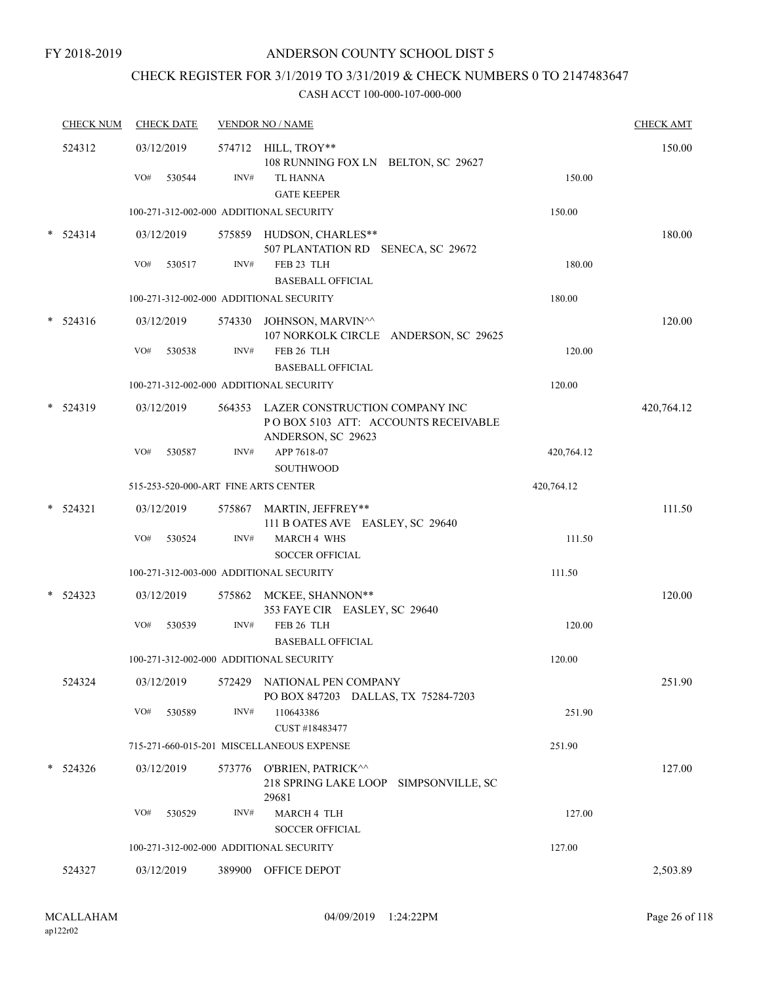# CHECK REGISTER FOR 3/1/2019 TO 3/31/2019 & CHECK NUMBERS 0 TO 2147483647

|        | <b>CHECK NUM</b> | <b>CHECK DATE</b>                       |        | <b>VENDOR NO / NAME</b>                                                                            |            | <b>CHECK AMT</b> |
|--------|------------------|-----------------------------------------|--------|----------------------------------------------------------------------------------------------------|------------|------------------|
|        | 524312           | 03/12/2019<br>VO#<br>530544             | INV#   | 574712 HILL, TROY**<br>108 RUNNING FOX LN BELTON, SC 29627<br><b>TL HANNA</b>                      | 150.00     | 150.00           |
|        |                  | 100-271-312-002-000 ADDITIONAL SECURITY |        | <b>GATE KEEPER</b>                                                                                 | 150.00     |                  |
|        | 524314           | 03/12/2019                              |        | 575859 HUDSON, CHARLES**                                                                           |            | 180.00           |
|        |                  |                                         |        | 507 PLANTATION RD SENECA, SC 29672                                                                 |            |                  |
|        |                  | VO#<br>530517                           | INV#   | FEB 23 TLH<br><b>BASEBALL OFFICIAL</b>                                                             | 180.00     |                  |
|        |                  | 100-271-312-002-000 ADDITIONAL SECURITY |        |                                                                                                    | 180.00     |                  |
| $\ast$ | 524316           | 03/12/2019                              |        | 574330 JOHNSON, MARVIN^^<br>107 NORKOLK CIRCLE ANDERSON, SC 29625                                  |            | 120.00           |
|        |                  | VO#<br>530538                           | INV#   | FEB 26 TLH                                                                                         | 120.00     |                  |
|        |                  |                                         |        | <b>BASEBALL OFFICIAL</b>                                                                           |            |                  |
|        |                  | 100-271-312-002-000 ADDITIONAL SECURITY |        |                                                                                                    | 120.00     |                  |
|        | 524319           | 03/12/2019                              |        | 564353 LAZER CONSTRUCTION COMPANY INC<br>POBOX 5103 ATT: ACCOUNTS RECEIVABLE<br>ANDERSON, SC 29623 |            | 420,764.12       |
|        |                  | VO#<br>530587                           | INV#   | APP 7618-07                                                                                        | 420,764.12 |                  |
|        |                  |                                         |        | <b>SOUTHWOOD</b>                                                                                   |            |                  |
|        |                  | 515-253-520-000-ART FINE ARTS CENTER    |        |                                                                                                    | 420,764.12 |                  |
| $\ast$ | 524321           | 03/12/2019                              |        | 575867 MARTIN, JEFFREY**<br>111 B OATES AVE EASLEY, SC 29640                                       |            | 111.50           |
|        |                  | VO#<br>530524                           | INV#   | <b>MARCH 4 WHS</b>                                                                                 | 111.50     |                  |
|        |                  |                                         |        | <b>SOCCER OFFICIAL</b>                                                                             |            |                  |
|        |                  | 100-271-312-003-000 ADDITIONAL SECURITY |        |                                                                                                    | 111.50     |                  |
| $\ast$ | 524323           | 03/12/2019                              |        | 575862 MCKEE, SHANNON**<br>353 FAYE CIR EASLEY, SC 29640                                           |            | 120.00           |
|        |                  | VO#<br>530539                           | INV#   | FEB 26 TLH                                                                                         | 120.00     |                  |
|        |                  |                                         |        | <b>BASEBALL OFFICIAL</b>                                                                           |            |                  |
|        |                  | 100-271-312-002-000 ADDITIONAL SECURITY |        |                                                                                                    | 120.00     |                  |
|        | 524324           | 03/12/2019                              | 572429 | NATIONAL PEN COMPANY<br>PO BOX 847203 DALLAS, TX 75284-7203                                        |            | 251.90           |
|        |                  | VO#<br>530589                           | INV#   | 110643386<br>CUST #18483477                                                                        | 251.90     |                  |
|        |                  |                                         |        | 715-271-660-015-201 MISCELLANEOUS EXPENSE                                                          | 251.90     |                  |
| $\ast$ | 524326           | 03/12/2019                              |        | 573776 O'BRIEN, PATRICK^^<br>218 SPRING LAKE LOOP<br>SIMPSONVILLE, SC<br>29681                     |            | 127.00           |
|        |                  | VO#<br>530529                           | INV#   | MARCH 4 TLH<br><b>SOCCER OFFICIAL</b>                                                              | 127.00     |                  |
|        |                  | 100-271-312-002-000 ADDITIONAL SECURITY |        |                                                                                                    | 127.00     |                  |
|        | 524327           | 03/12/2019                              |        | 389900 OFFICE DEPOT                                                                                |            | 2,503.89         |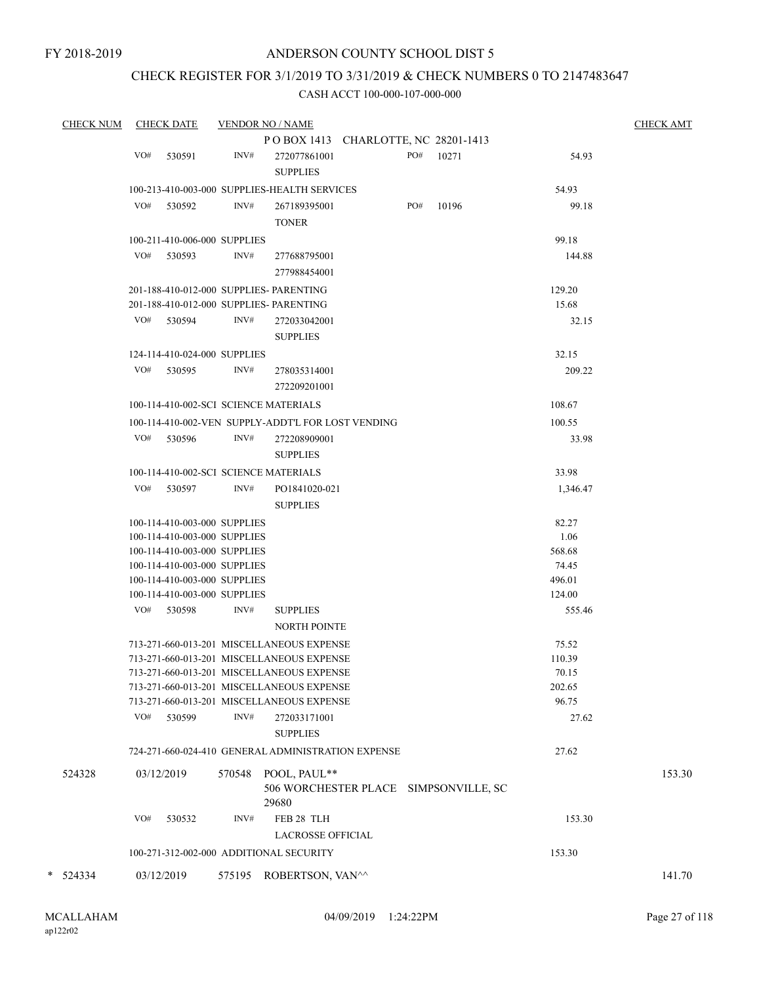## CHECK REGISTER FOR 3/1/2019 TO 3/31/2019 & CHECK NUMBERS 0 TO 2147483647

|   | <b>CHECK NUM</b> |     | <b>CHECK DATE</b>            |        | <b>VENDOR NO / NAME</b>                            |     |           |          | <b>CHECK AMT</b> |
|---|------------------|-----|------------------------------|--------|----------------------------------------------------|-----|-----------|----------|------------------|
|   |                  |     |                              |        | POBOX 1413 CHARLOTTE, NC 28201-1413                |     |           |          |                  |
|   |                  | VO# | 530591                       | INV#   | 272077861001                                       |     | PO# 10271 | 54.93    |                  |
|   |                  |     |                              |        | <b>SUPPLIES</b>                                    |     |           |          |                  |
|   |                  |     |                              |        | 100-213-410-003-000 SUPPLIES-HEALTH SERVICES       |     |           | 54.93    |                  |
|   |                  |     |                              |        |                                                    |     |           |          |                  |
|   |                  | VO# | 530592                       | INV#   | 267189395001                                       | PO# | 10196     | 99.18    |                  |
|   |                  |     |                              |        | <b>TONER</b>                                       |     |           |          |                  |
|   |                  |     | 100-211-410-006-000 SUPPLIES |        |                                                    |     |           | 99.18    |                  |
|   |                  | VO# | 530593                       | INV#   | 277688795001                                       |     |           | 144.88   |                  |
|   |                  |     |                              |        | 277988454001                                       |     |           |          |                  |
|   |                  |     |                              |        | 201-188-410-012-000 SUPPLIES- PARENTING            |     |           | 129.20   |                  |
|   |                  |     |                              |        | 201-188-410-012-000 SUPPLIES- PARENTING            |     |           | 15.68    |                  |
|   |                  |     | VO# 530594                   | INV#   | 272033042001                                       |     |           | 32.15    |                  |
|   |                  |     |                              |        |                                                    |     |           |          |                  |
|   |                  |     |                              |        | <b>SUPPLIES</b>                                    |     |           |          |                  |
|   |                  |     | 124-114-410-024-000 SUPPLIES |        |                                                    |     |           | 32.15    |                  |
|   |                  |     | VO# 530595                   | INV#   | 278035314001                                       |     |           | 209.22   |                  |
|   |                  |     |                              |        | 272209201001                                       |     |           |          |                  |
|   |                  |     |                              |        | 100-114-410-002-SCI SCIENCE MATERIALS              |     |           | 108.67   |                  |
|   |                  |     |                              |        |                                                    |     |           |          |                  |
|   |                  |     |                              |        | 100-114-410-002-VEN SUPPLY-ADDT'L FOR LOST VENDING |     |           | 100.55   |                  |
|   |                  |     | VO# 530596                   | INV#   | 272208909001                                       |     |           | 33.98    |                  |
|   |                  |     |                              |        | <b>SUPPLIES</b>                                    |     |           |          |                  |
|   |                  |     |                              |        | 100-114-410-002-SCI SCIENCE MATERIALS              |     |           | 33.98    |                  |
|   |                  | VO# | 530597                       | INV#   | PO1841020-021                                      |     |           | 1,346.47 |                  |
|   |                  |     |                              |        | <b>SUPPLIES</b>                                    |     |           |          |                  |
|   |                  |     | 100-114-410-003-000 SUPPLIES |        |                                                    |     |           | 82.27    |                  |
|   |                  |     | 100-114-410-003-000 SUPPLIES |        |                                                    |     |           | 1.06     |                  |
|   |                  |     | 100-114-410-003-000 SUPPLIES |        |                                                    |     |           | 568.68   |                  |
|   |                  |     | 100-114-410-003-000 SUPPLIES |        |                                                    |     |           | 74.45    |                  |
|   |                  |     | 100-114-410-003-000 SUPPLIES |        |                                                    |     |           | 496.01   |                  |
|   |                  |     | 100-114-410-003-000 SUPPLIES |        |                                                    |     |           | 124.00   |                  |
|   |                  |     | VO# 530598                   | INV#   | <b>SUPPLIES</b>                                    |     |           | 555.46   |                  |
|   |                  |     |                              |        | <b>NORTH POINTE</b>                                |     |           |          |                  |
|   |                  |     |                              |        |                                                    |     |           |          |                  |
|   |                  |     |                              |        | 713-271-660-013-201 MISCELLANEOUS EXPENSE          |     |           | 75.52    |                  |
|   |                  |     |                              |        | 713-271-660-013-201 MISCELLANEOUS EXPENSE          |     |           | 110.39   |                  |
|   |                  |     |                              |        | 713-271-660-013-201 MISCELLANEOUS EXPENSE          |     |           | 70.15    |                  |
|   |                  |     |                              |        | 713-271-660-013-201 MISCELLANEOUS EXPENSE          |     |           | 202.65   |                  |
|   |                  |     |                              |        | 713-271-660-013-201 MISCELLANEOUS EXPENSE          |     |           | 96.75    |                  |
|   |                  | VO# | 530599                       | INV#   | 272033171001                                       |     |           | 27.62    |                  |
|   |                  |     |                              |        | <b>SUPPLIES</b>                                    |     |           |          |                  |
|   |                  |     |                              |        | 724-271-660-024-410 GENERAL ADMINISTRATION EXPENSE |     |           | 27.62    |                  |
|   |                  |     |                              |        |                                                    |     |           |          |                  |
|   | 524328           |     | 03/12/2019                   | 570548 | POOL, PAUL**                                       |     |           |          | 153.30           |
|   |                  |     |                              |        | 506 WORCHESTER PLACE SIMPSONVILLE, SC              |     |           |          |                  |
|   |                  |     |                              |        | 29680                                              |     |           |          |                  |
|   |                  | VO# | 530532                       | INV#   | FEB 28 TLH                                         |     |           | 153.30   |                  |
|   |                  |     |                              |        | <b>LACROSSE OFFICIAL</b>                           |     |           |          |                  |
|   |                  |     |                              |        | 100-271-312-002-000 ADDITIONAL SECURITY            |     |           | 153.30   |                  |
| * | 524334           |     | 03/12/2019                   |        | 575195 ROBERTSON, VAN^^                            |     |           |          | 141.70           |
|   |                  |     |                              |        |                                                    |     |           |          |                  |
|   |                  |     |                              |        |                                                    |     |           |          |                  |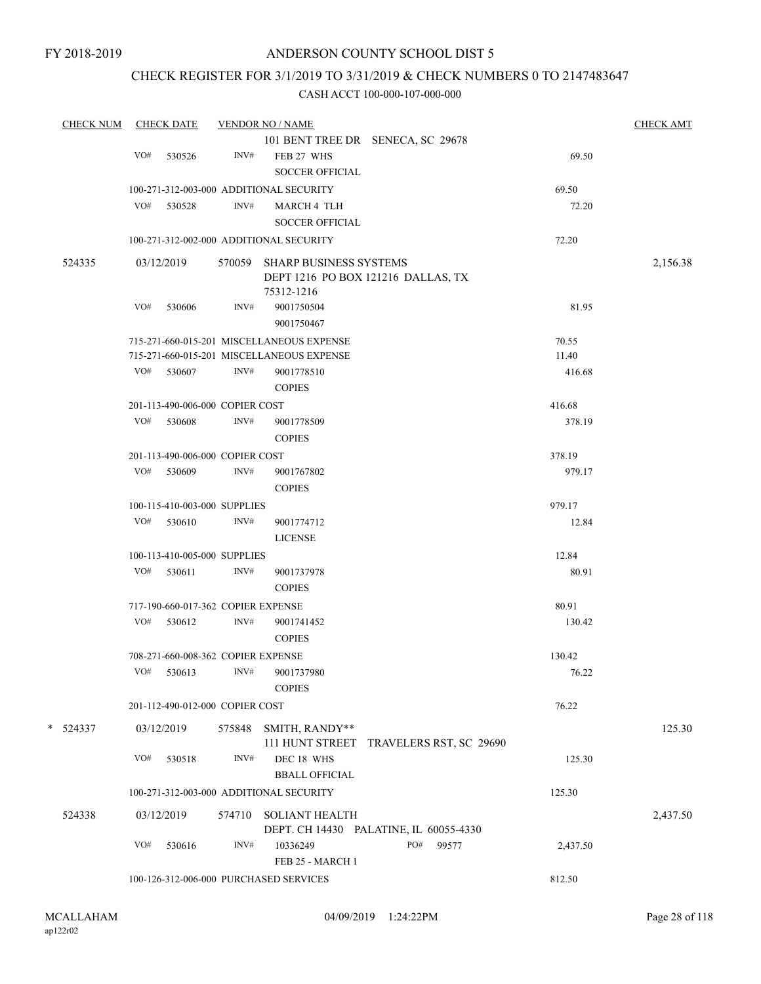## CHECK REGISTER FOR 3/1/2019 TO 3/31/2019 & CHECK NUMBERS 0 TO 2147483647

| <b>CHECK NUM</b> |     | <b>CHECK DATE</b>                  |        | <b>VENDOR NO / NAME</b>                   |                                         |          | <b>CHECK AMT</b> |
|------------------|-----|------------------------------------|--------|-------------------------------------------|-----------------------------------------|----------|------------------|
|                  |     |                                    |        |                                           | 101 BENT TREE DR SENECA, SC 29678       |          |                  |
|                  | VO# | 530526                             | INV#   | FEB 27 WHS                                |                                         | 69.50    |                  |
|                  |     |                                    |        | <b>SOCCER OFFICIAL</b>                    |                                         |          |                  |
|                  |     |                                    |        | 100-271-312-003-000 ADDITIONAL SECURITY   |                                         | 69.50    |                  |
|                  | VO# | 530528                             | INV#   | MARCH 4 TLH                               |                                         | 72.20    |                  |
|                  |     |                                    |        |                                           |                                         |          |                  |
|                  |     |                                    |        | SOCCER OFFICIAL                           |                                         |          |                  |
|                  |     |                                    |        | 100-271-312-002-000 ADDITIONAL SECURITY   |                                         | 72.20    |                  |
| 524335           |     | 03/12/2019                         | 570059 | <b>SHARP BUSINESS SYSTEMS</b>             |                                         |          | 2,156.38         |
|                  |     |                                    |        |                                           | DEPT 1216 PO BOX 121216 DALLAS, TX      |          |                  |
|                  |     |                                    |        | 75312-1216                                |                                         |          |                  |
|                  | VO# | 530606                             | INV#   | 9001750504                                |                                         | 81.95    |                  |
|                  |     |                                    |        | 9001750467                                |                                         |          |                  |
|                  |     |                                    |        | 715-271-660-015-201 MISCELLANEOUS EXPENSE |                                         | 70.55    |                  |
|                  |     |                                    |        | 715-271-660-015-201 MISCELLANEOUS EXPENSE |                                         | 11.40    |                  |
|                  | VO# | 530607                             | INV#   | 9001778510                                |                                         | 416.68   |                  |
|                  |     |                                    |        |                                           |                                         |          |                  |
|                  |     |                                    |        | <b>COPIES</b>                             |                                         |          |                  |
|                  |     | 201-113-490-006-000 COPIER COST    |        |                                           |                                         | 416.68   |                  |
|                  | VO# | 530608                             | INV#   | 9001778509                                |                                         | 378.19   |                  |
|                  |     |                                    |        | <b>COPIES</b>                             |                                         |          |                  |
|                  |     | 201-113-490-006-000 COPIER COST    |        |                                           |                                         | 378.19   |                  |
|                  | VO# | 530609                             | INV#   | 9001767802                                |                                         | 979.17   |                  |
|                  |     |                                    |        | <b>COPIES</b>                             |                                         |          |                  |
|                  |     | 100-115-410-003-000 SUPPLIES       |        |                                           |                                         | 979.17   |                  |
|                  | VO# | 530610                             | INV#   | 9001774712                                |                                         | 12.84    |                  |
|                  |     |                                    |        |                                           |                                         |          |                  |
|                  |     |                                    |        | <b>LICENSE</b>                            |                                         |          |                  |
|                  |     | 100-113-410-005-000 SUPPLIES       |        |                                           |                                         | 12.84    |                  |
|                  | VO# | 530611                             | INV#   | 9001737978                                |                                         | 80.91    |                  |
|                  |     |                                    |        | <b>COPIES</b>                             |                                         |          |                  |
|                  |     | 717-190-660-017-362 COPIER EXPENSE |        |                                           |                                         | 80.91    |                  |
|                  | VO# | 530612                             | INV#   | 9001741452                                |                                         | 130.42   |                  |
|                  |     |                                    |        | <b>COPIES</b>                             |                                         |          |                  |
|                  |     | 708-271-660-008-362 COPIER EXPENSE |        |                                           |                                         | 130.42   |                  |
|                  | VO# | 530613                             | INV#   | 9001737980                                |                                         | 76.22    |                  |
|                  |     |                                    |        |                                           |                                         |          |                  |
|                  |     |                                    |        | <b>COPIES</b>                             |                                         |          |                  |
|                  |     | 201-112-490-012-000 COPIER COST    |        |                                           |                                         | 76.22    |                  |
| *<br>524337      |     | 03/12/2019                         | 575848 | SMITH, RANDY**                            |                                         |          | 125.30           |
|                  |     |                                    |        |                                           | 111 HUNT STREET TRAVELERS RST, SC 29690 |          |                  |
|                  | VO# | 530518                             | INV#   | DEC 18 WHS                                |                                         | 125.30   |                  |
|                  |     |                                    |        | <b>BBALL OFFICIAL</b>                     |                                         |          |                  |
|                  |     |                                    |        |                                           |                                         |          |                  |
|                  |     |                                    |        | 100-271-312-003-000 ADDITIONAL SECURITY   |                                         | 125.30   |                  |
| 524338           |     | 03/12/2019                         | 574710 | <b>SOLIANT HEALTH</b>                     |                                         |          | 2,437.50         |
|                  |     |                                    |        |                                           | DEPT. CH 14430 PALATINE, IL 60055-4330  |          |                  |
|                  | VO# | 530616                             | INV#   | 10336249                                  | PO#<br>99577                            | 2,437.50 |                  |
|                  |     |                                    |        | FEB 25 - MARCH 1                          |                                         |          |                  |
|                  |     |                                    |        | 100-126-312-006-000 PURCHASED SERVICES    |                                         | 812.50   |                  |
|                  |     |                                    |        |                                           |                                         |          |                  |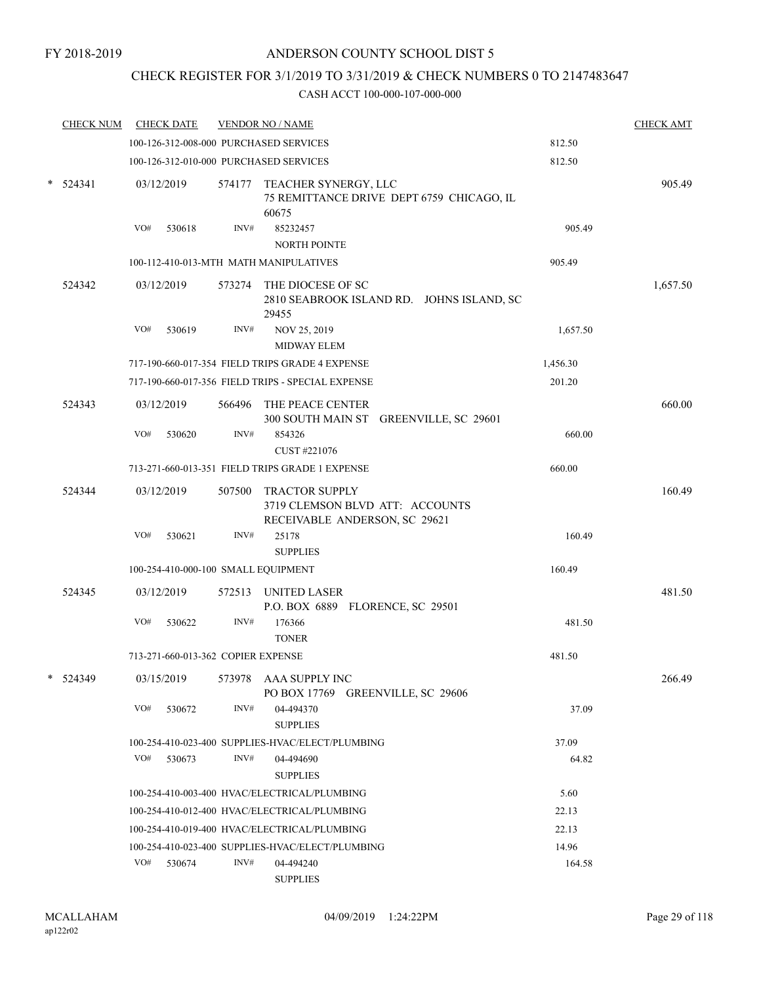# CHECK REGISTER FOR 3/1/2019 TO 3/31/2019 & CHECK NUMBERS 0 TO 2147483647

|   | <b>CHECK NUM</b> |     | <b>CHECK DATE</b>                  |        | <b>VENDOR NO / NAME</b>                                                                   |                                           |          | <b>CHECK AMT</b> |
|---|------------------|-----|------------------------------------|--------|-------------------------------------------------------------------------------------------|-------------------------------------------|----------|------------------|
|   |                  |     |                                    |        | 100-126-312-008-000 PURCHASED SERVICES                                                    |                                           | 812.50   |                  |
|   |                  |     |                                    |        | 100-126-312-010-000 PURCHASED SERVICES                                                    |                                           | 812.50   |                  |
| * | 524341           |     | 03/12/2019                         |        | 574177 TEACHER SYNERGY, LLC<br>60675                                                      | 75 REMITTANCE DRIVE DEPT 6759 CHICAGO, IL |          | 905.49           |
|   |                  | VO# | 530618                             | INV#   | 85232457                                                                                  |                                           | 905.49   |                  |
|   |                  |     |                                    |        | NORTH POINTE                                                                              |                                           |          |                  |
|   |                  |     |                                    |        | 100-112-410-013-MTH MATH MANIPULATIVES                                                    | 905.49                                    |          |                  |
|   | 524342           |     | 03/12/2019                         |        | 573274 THE DIOCESE OF SC<br>29455                                                         | 2810 SEABROOK ISLAND RD. JOHNS ISLAND, SC |          | 1,657.50         |
|   |                  | VO# | 530619                             | INV#   | NOV 25, 2019<br><b>MIDWAY ELEM</b>                                                        |                                           | 1,657.50 |                  |
|   |                  |     |                                    |        | 717-190-660-017-354 FIELD TRIPS GRADE 4 EXPENSE                                           |                                           | 1,456.30 |                  |
|   |                  |     |                                    |        | 717-190-660-017-356 FIELD TRIPS - SPECIAL EXPENSE                                         |                                           | 201.20   |                  |
|   | 524343           |     | 03/12/2019                         |        | 566496 THE PEACE CENTER                                                                   | 300 SOUTH MAIN ST GREENVILLE, SC 29601    |          | 660.00           |
|   |                  | VO# | 530620                             | INV#   | 854326                                                                                    |                                           | 660.00   |                  |
|   |                  |     |                                    |        | CUST #221076                                                                              |                                           |          |                  |
|   |                  |     |                                    |        | 713-271-660-013-351 FIELD TRIPS GRADE 1 EXPENSE                                           |                                           | 660.00   |                  |
|   | 524344           |     | 03/12/2019                         | 507500 | <b>TRACTOR SUPPLY</b><br>3719 CLEMSON BLVD ATT: ACCOUNTS<br>RECEIVABLE ANDERSON, SC 29621 |                                           |          | 160.49           |
|   |                  | VO# | 530621                             | INV#   | 25178                                                                                     |                                           | 160.49   |                  |
|   |                  |     |                                    |        | <b>SUPPLIES</b>                                                                           |                                           |          |                  |
|   |                  |     |                                    |        | 100-254-410-000-100 SMALL EQUIPMENT                                                       |                                           | 160.49   |                  |
|   | 524345           |     | 03/12/2019                         |        | 572513 UNITED LASER<br>P.O. BOX 6889 FLORENCE, SC 29501                                   |                                           |          | 481.50           |
|   |                  | VO# | 530622                             | INV#   | 176366<br><b>TONER</b>                                                                    |                                           | 481.50   |                  |
|   |                  |     | 713-271-660-013-362 COPIER EXPENSE |        |                                                                                           |                                           | 481.50   |                  |
|   | 524349           |     | 03/15/2019                         | 573978 | AAA SUPPLY INC<br>PO BOX 17769 GREENVILLE, SC 29606                                       |                                           |          | 266.49           |
|   |                  | VO# | 530672                             | INV#   | 04-494370<br><b>SUPPLIES</b>                                                              |                                           | 37.09    |                  |
|   |                  |     |                                    |        | 100-254-410-023-400 SUPPLIES-HVAC/ELECT/PLUMBING                                          |                                           | 37.09    |                  |
|   |                  | VO# | 530673                             | INV#   | 04-494690<br><b>SUPPLIES</b>                                                              |                                           | 64.82    |                  |
|   |                  |     |                                    |        | 100-254-410-003-400 HVAC/ELECTRICAL/PLUMBING                                              |                                           | 5.60     |                  |
|   |                  |     |                                    |        | 100-254-410-012-400 HVAC/ELECTRICAL/PLUMBING                                              |                                           | 22.13    |                  |
|   |                  |     |                                    |        | 100-254-410-019-400 HVAC/ELECTRICAL/PLUMBING                                              |                                           | 22.13    |                  |
|   |                  |     |                                    |        | 100-254-410-023-400 SUPPLIES-HVAC/ELECT/PLUMBING                                          |                                           | 14.96    |                  |
|   |                  | VO# | 530674                             | INV#   | 04-494240<br><b>SUPPLIES</b>                                                              |                                           | 164.58   |                  |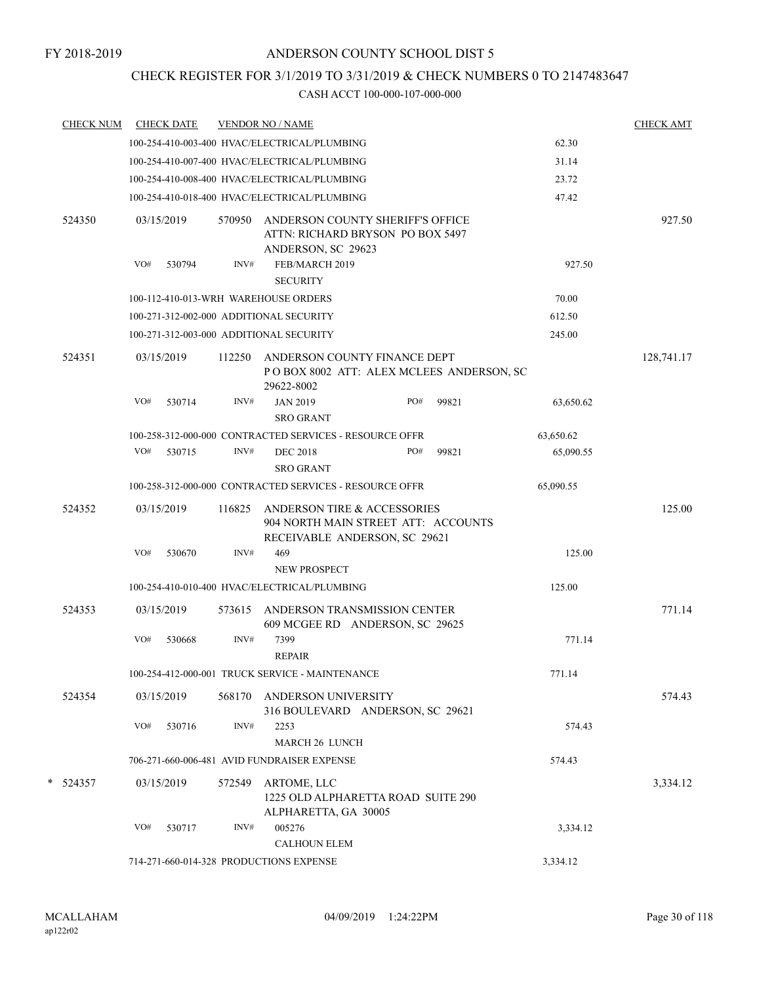## CHECK REGISTER FOR 3/1/2019 TO 3/31/2019 & CHECK NUMBERS 0 TO 2147483647

|   | <b>CHECK NUM</b> |     | <b>CHECK DATE</b> |        | <b>VENDOR NO / NAME</b>                                                                             |     |       |           | <b>CHECK AMT</b> |
|---|------------------|-----|-------------------|--------|-----------------------------------------------------------------------------------------------------|-----|-------|-----------|------------------|
|   |                  |     |                   |        | 100-254-410-003-400 HVAC/ELECTRICAL/PLUMBING                                                        |     |       | 62.30     |                  |
|   |                  |     |                   |        | 100-254-410-007-400 HVAC/ELECTRICAL/PLUMBING                                                        |     |       | 31.14     |                  |
|   |                  |     |                   |        | 100-254-410-008-400 HVAC/ELECTRICAL/PLUMBING                                                        |     |       | 23.72     |                  |
|   |                  |     |                   |        | 100-254-410-018-400 HVAC/ELECTRICAL/PLUMBING                                                        |     |       | 47.42     |                  |
|   | 524350           |     | 03/15/2019        | 570950 | ANDERSON COUNTY SHERIFF'S OFFICE<br>ATTN: RICHARD BRYSON PO BOX 5497<br>ANDERSON, SC 29623          |     |       |           | 927.50           |
|   |                  | VO# | 530794            | INV#   | FEB/MARCH 2019<br><b>SECURITY</b>                                                                   |     |       | 927.50    |                  |
|   |                  |     |                   |        | 100-112-410-013-WRH WAREHOUSE ORDERS                                                                |     |       | 70.00     |                  |
|   |                  |     |                   |        | 100-271-312-002-000 ADDITIONAL SECURITY                                                             |     |       | 612.50    |                  |
|   |                  |     |                   |        | 100-271-312-003-000 ADDITIONAL SECURITY                                                             |     |       | 245.00    |                  |
|   | 524351           |     | 03/15/2019        | 112250 | ANDERSON COUNTY FINANCE DEPT<br>POBOX 8002 ATT: ALEX MCLEES ANDERSON, SC<br>29622-8002              |     |       |           | 128,741.17       |
|   |                  | VO# | 530714            | INV#   | <b>JAN 2019</b>                                                                                     | PO# | 99821 | 63,650.62 |                  |
|   |                  |     |                   |        | <b>SRO GRANT</b>                                                                                    |     |       |           |                  |
|   |                  |     |                   |        | 100-258-312-000-000 CONTRACTED SERVICES - RESOURCE OFFR                                             |     |       | 63,650.62 |                  |
|   |                  |     | VO# 530715        | INV#   | <b>DEC 2018</b><br><b>SRO GRANT</b>                                                                 | PO# | 99821 | 65,090.55 |                  |
|   |                  |     |                   |        | 100-258-312-000-000 CONTRACTED SERVICES - RESOURCE OFFR                                             |     |       | 65,090.55 |                  |
|   |                  |     |                   |        |                                                                                                     |     |       |           |                  |
|   | 524352           |     | 03/15/2019        | 116825 | ANDERSON TIRE & ACCESSORIES<br>904 NORTH MAIN STREET ATT: ACCOUNTS<br>RECEIVABLE ANDERSON, SC 29621 |     |       |           | 125.00           |
|   |                  | VO# | 530670            | INV#   | 469<br><b>NEW PROSPECT</b>                                                                          |     |       | 125.00    |                  |
|   |                  |     |                   |        | 100-254-410-010-400 HVAC/ELECTRICAL/PLUMBING                                                        |     |       | 125.00    |                  |
|   | 524353           |     | 03/15/2019        | 573615 | ANDERSON TRANSMISSION CENTER<br>609 MCGEE RD ANDERSON, SC 29625                                     |     |       |           | 771.14           |
|   |                  | VO# | 530668            | INV#   | 7399<br><b>REPAIR</b>                                                                               |     |       | 771.14    |                  |
|   |                  |     |                   |        | 100-254-412-000-001 TRUCK SERVICE - MAINTENANCE                                                     |     |       | 771.14    |                  |
|   | 524354           |     | 03/15/2019        | 568170 | ANDERSON UNIVERSITY<br>316 BOULEVARD ANDERSON, SC 29621                                             |     |       |           | 574.43           |
|   |                  | VO# | 530716            | INV#   | 2253                                                                                                |     |       | 574.43    |                  |
|   |                  |     |                   |        | <b>MARCH 26 LUNCH</b>                                                                               |     |       |           |                  |
|   |                  |     |                   |        | 706-271-660-006-481 AVID FUNDRAISER EXPENSE                                                         |     |       | 574.43    |                  |
| * | 524357           |     | 03/15/2019        | 572549 | ARTOME, LLC<br>1225 OLD ALPHARETTA ROAD SUITE 290<br>ALPHARETTA, GA 30005                           |     |       |           | 3,334.12         |
|   |                  | VO# | 530717            | INV#   | 005276                                                                                              |     |       | 3,334.12  |                  |
|   |                  |     |                   |        | <b>CALHOUN ELEM</b>                                                                                 |     |       |           |                  |
|   |                  |     |                   |        | 714-271-660-014-328 PRODUCTIONS EXPENSE                                                             |     |       | 3,334.12  |                  |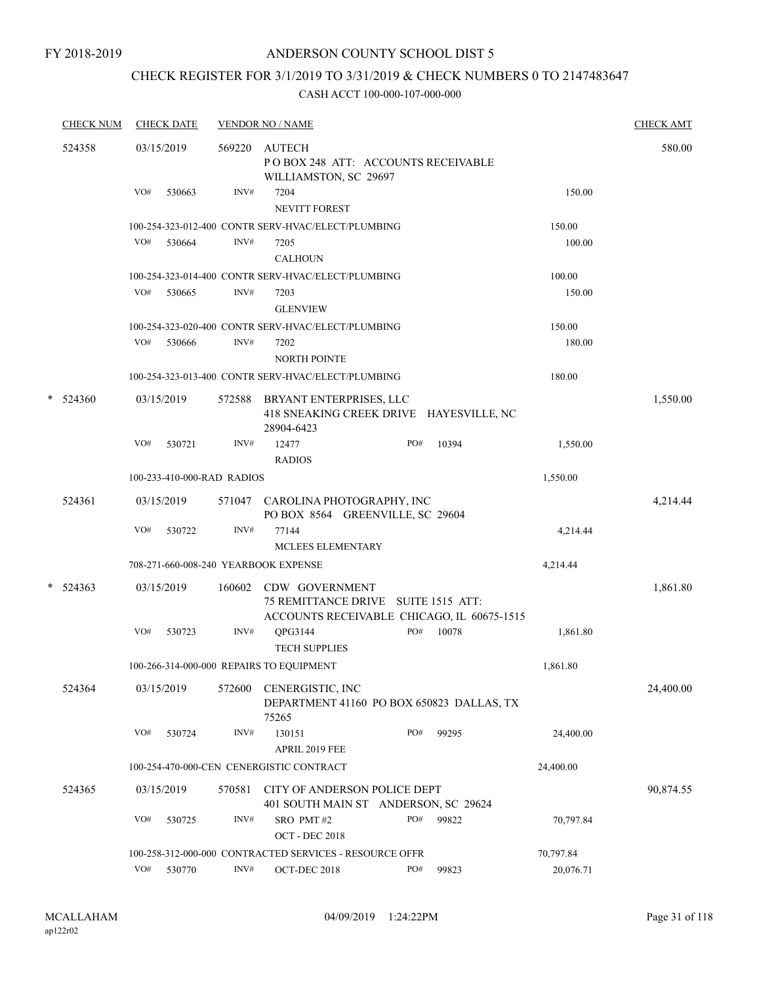# CHECK REGISTER FOR 3/1/2019 TO 3/31/2019 & CHECK NUMBERS 0 TO 2147483647

| <b>CHECK NUM</b> |     | <b>CHECK DATE</b>          |                | <b>VENDOR NO / NAME</b>                                                                             |     |       |           | <b>CHECK AMT</b> |
|------------------|-----|----------------------------|----------------|-----------------------------------------------------------------------------------------------------|-----|-------|-----------|------------------|
| 524358           |     | 03/15/2019                 | 569220         | <b>AUTECH</b><br>POBOX 248 ATT: ACCOUNTS RECEIVABLE<br>WILLIAMSTON, SC 29697                        |     |       |           | 580.00           |
|                  | VO# | 530663                     | INV#           | 7204<br>NEVITT FOREST                                                                               |     |       | 150.00    |                  |
|                  |     |                            |                | 100-254-323-012-400 CONTR SERV-HVAC/ELECT/PLUMBING                                                  |     |       | 150.00    |                  |
|                  | VO# | 530664                     | INV#           | 7205<br><b>CALHOUN</b>                                                                              |     |       | 100.00    |                  |
|                  |     |                            |                | 100-254-323-014-400 CONTR SERV-HVAC/ELECT/PLUMBING                                                  |     |       | 100.00    |                  |
|                  | VO# | 530665                     | INV#           | 7203<br><b>GLENVIEW</b>                                                                             |     |       | 150.00    |                  |
|                  |     |                            |                | 100-254-323-020-400 CONTR SERV-HVAC/ELECT/PLUMBING                                                  |     |       | 150.00    |                  |
|                  | VO# | 530666                     | INV#           | 7202<br><b>NORTH POINTE</b>                                                                         |     |       | 180.00    |                  |
|                  |     |                            |                | 100-254-323-013-400 CONTR SERV-HVAC/ELECT/PLUMBING                                                  |     |       | 180.00    |                  |
| $*$ 524360       |     | 03/15/2019                 | 572588         | BRYANT ENTERPRISES, LLC<br>418 SNEAKING CREEK DRIVE HAYESVILLE, NC<br>28904-6423                    |     |       |           | 1,550.00         |
|                  | VO# | 530721                     | INV#           | 12477<br><b>RADIOS</b>                                                                              | PO# | 10394 | 1,550.00  |                  |
|                  |     | 100-233-410-000-RAD RADIOS |                |                                                                                                     |     |       | 1,550.00  |                  |
| 524361           |     | 03/15/2019                 | 571047         | CAROLINA PHOTOGRAPHY, INC<br>PO BOX 8564 GREENVILLE, SC 29604                                       |     |       |           | 4,214.44         |
|                  | VO# | 530722                     | INV#           | 77144<br><b>MCLEES ELEMENTARY</b>                                                                   |     |       | 4,214.44  |                  |
|                  |     |                            |                | 708-271-660-008-240 YEARBOOK EXPENSE                                                                |     |       | 4,214.44  |                  |
| $* 524363$       |     | 03/15/2019                 | 160602         | CDW GOVERNMENT<br>75 REMITTANCE DRIVE SUITE 1515 ATT:<br>ACCOUNTS RECEIVABLE CHICAGO, IL 60675-1515 |     |       |           | 1,861.80         |
|                  | VO# | 530723                     | INV#           | QPG3144<br><b>TECH SUPPLIES</b>                                                                     | PO# | 10078 | 1,861.80  |                  |
|                  |     |                            |                | 100-266-314-000-000 REPAIRS TO EQUIPMENT                                                            |     |       | 1,861.80  |                  |
| 524364           |     | 03/15/2019                 | 572600         | CENERGISTIC, INC<br>DEPARTMENT 41160 PO BOX 650823 DALLAS, TX<br>75265                              |     |       |           | 24,400.00        |
|                  | VO# | 530724                     | INV#           | 130151<br>APRIL 2019 FEE                                                                            | PO# | 99295 | 24,400.00 |                  |
|                  |     |                            |                | 100-254-470-000-CEN CENERGISTIC CONTRACT                                                            |     |       | 24,400.00 |                  |
| 524365           |     | 03/15/2019                 | 570581         | CITY OF ANDERSON POLICE DEPT<br>401 SOUTH MAIN ST ANDERSON, SC 29624                                |     |       |           | 90,874.55        |
|                  | VO# | 530725                     | INV#           | SRO PMT#2<br><b>OCT - DEC 2018</b>                                                                  | PO# | 99822 | 70,797.84 |                  |
|                  |     |                            |                | 100-258-312-000-000 CONTRACTED SERVICES - RESOURCE OFFR                                             |     |       | 70,797.84 |                  |
|                  | VO# | 530770                     | $\text{INV}\#$ | OCT-DEC 2018                                                                                        | PO# | 99823 | 20,076.71 |                  |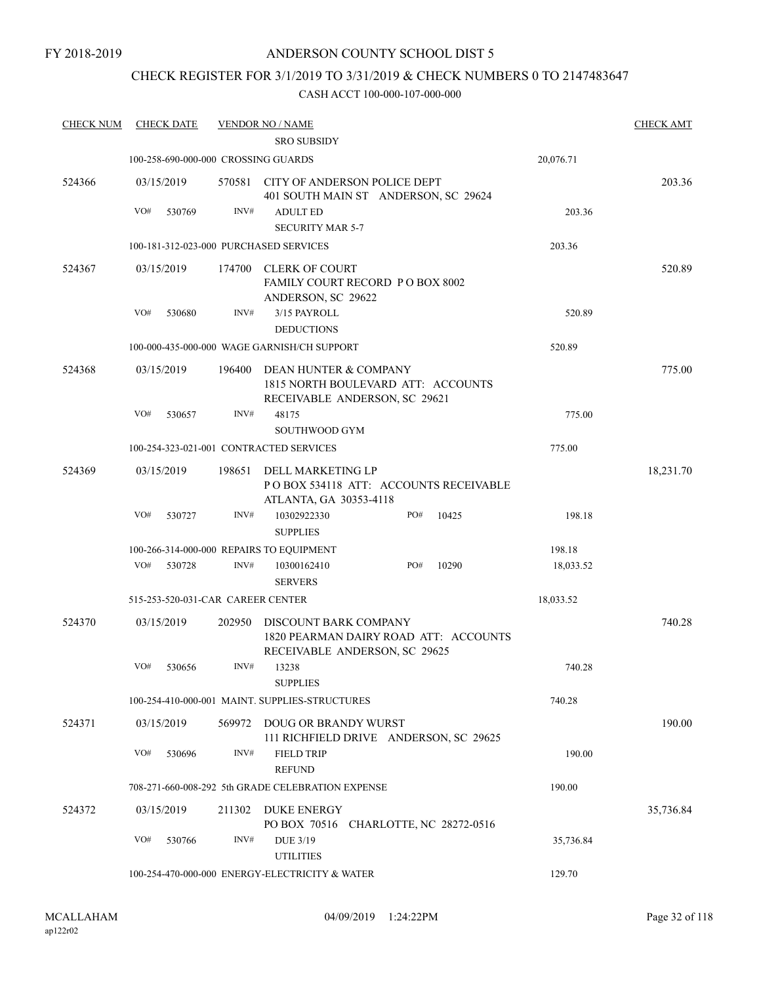FY 2018-2019

### ANDERSON COUNTY SCHOOL DIST 5

# CHECK REGISTER FOR 3/1/2019 TO 3/31/2019 & CHECK NUMBERS 0 TO 2147483647

| <b>CHECK NUM</b> | <b>CHECK DATE</b>                        |        | <b>VENDOR NO / NAME</b>                                                                         |           | <b>CHECK AMT</b> |
|------------------|------------------------------------------|--------|-------------------------------------------------------------------------------------------------|-----------|------------------|
|                  |                                          |        | <b>SRO SUBSIDY</b>                                                                              |           |                  |
|                  | 100-258-690-000-000 CROSSING GUARDS      |        |                                                                                                 | 20,076.71 |                  |
| 524366           | 03/15/2019                               | 570581 | CITY OF ANDERSON POLICE DEPT<br>401 SOUTH MAIN ST ANDERSON, SC 29624                            |           | 203.36           |
|                  | VO#<br>530769                            | INV#   | <b>ADULT ED</b>                                                                                 | 203.36    |                  |
|                  |                                          |        | <b>SECURITY MAR 5-7</b>                                                                         |           |                  |
|                  | 100-181-312-023-000 PURCHASED SERVICES   |        |                                                                                                 | 203.36    |                  |
| 524367           | 03/15/2019                               | 174700 | CLERK OF COURT<br><b>FAMILY COURT RECORD PO BOX 8002</b><br>ANDERSON, SC 29622                  |           | 520.89           |
|                  | VO#<br>530680                            | INV#   | 3/15 PAYROLL<br><b>DEDUCTIONS</b>                                                               | 520.89    |                  |
|                  |                                          |        | 100-000-435-000-000 WAGE GARNISH/CH SUPPORT                                                     | 520.89    |                  |
| 524368           | 03/15/2019                               | 196400 | DEAN HUNTER & COMPANY<br>1815 NORTH BOULEVARD ATT: ACCOUNTS<br>RECEIVABLE ANDERSON, SC 29621    |           | 775.00           |
|                  | VO#<br>530657                            | INV#   | 48175<br>SOUTHWOOD GYM                                                                          | 775.00    |                  |
|                  | 100-254-323-021-001 CONTRACTED SERVICES  |        |                                                                                                 | 775.00    |                  |
| 524369           | 03/15/2019                               | 198651 | DELL MARKETING LP<br>PO BOX 534118 ATT: ACCOUNTS RECEIVABLE                                     |           | 18,231.70        |
|                  | VO#<br>530727                            | INV#   | ATLANTA, GA 30353-4118<br>PO#<br>10302922330<br>10425<br><b>SUPPLIES</b>                        | 198.18    |                  |
|                  | 100-266-314-000-000 REPAIRS TO EQUIPMENT |        |                                                                                                 | 198.18    |                  |
|                  | VO#<br>530728                            | INV#   | PO#<br>10290<br>10300162410<br><b>SERVERS</b>                                                   | 18,033.52 |                  |
|                  | 515-253-520-031-CAR CAREER CENTER        |        |                                                                                                 | 18,033.52 |                  |
| 524370           | 03/15/2019                               | 202950 | DISCOUNT BARK COMPANY<br>1820 PEARMAN DAIRY ROAD ATT: ACCOUNTS<br>RECEIVABLE ANDERSON, SC 29625 |           | 740.28           |
|                  | VO#<br>530656                            | INV#   | 13238<br><b>SUPPLIES</b>                                                                        | 740.28    |                  |
|                  |                                          |        | 100-254-410-000-001 MAINT. SUPPLIES-STRUCTURES                                                  | 740.28    |                  |
| 524371           | 03/15/2019                               | 569972 | DOUG OR BRANDY WURST<br>111 RICHFIELD DRIVE ANDERSON, SC 29625                                  |           | 190.00           |
|                  | VO#<br>530696                            | INV#   | <b>FIELD TRIP</b><br><b>REFUND</b>                                                              | 190.00    |                  |
|                  |                                          |        | 708-271-660-008-292 5th GRADE CELEBRATION EXPENSE                                               | 190.00    |                  |
| 524372           | 03/15/2019                               | 211302 | <b>DUKE ENERGY</b>                                                                              |           | 35,736.84        |
|                  |                                          |        | PO BOX 70516 CHARLOTTE, NC 28272-0516                                                           |           |                  |
|                  | VO#<br>530766                            | INV#   | <b>DUE 3/19</b><br><b>UTILITIES</b>                                                             | 35,736.84 |                  |
|                  |                                          |        | 100-254-470-000-000 ENERGY-ELECTRICITY & WATER                                                  | 129.70    |                  |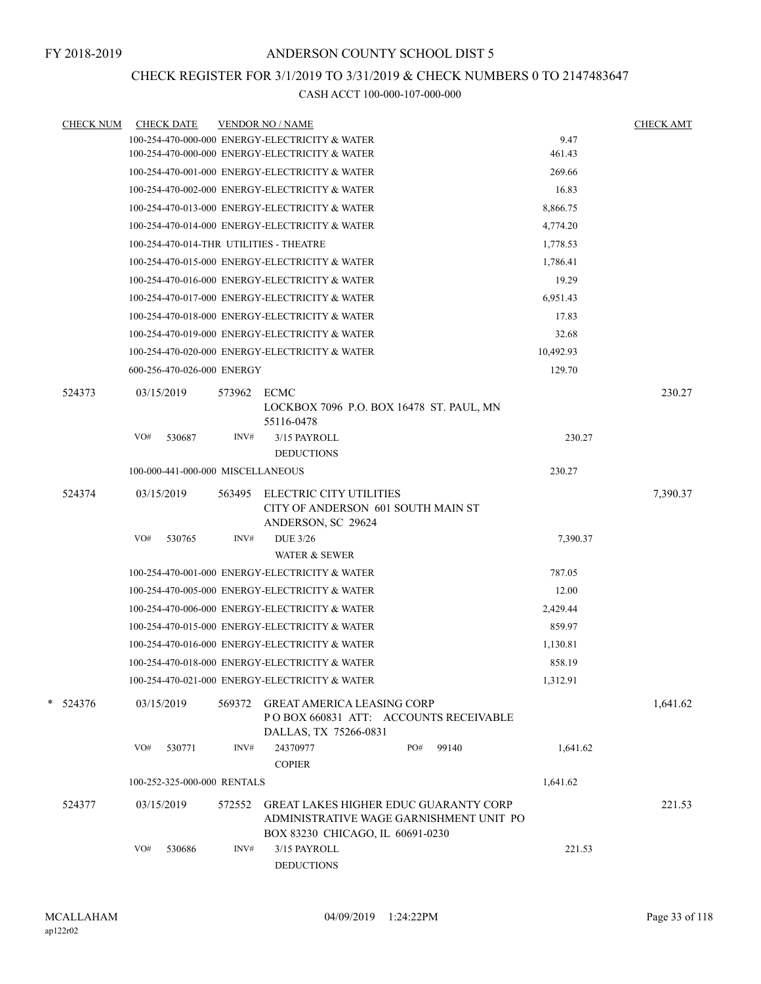## CHECK REGISTER FOR 3/1/2019 TO 3/31/2019 & CHECK NUMBERS 0 TO 2147483647

|            | <b>CHECK NUM</b><br><b>CHECK DATE</b>   |        | <b>VENDOR NO / NAME</b>                                                             |                                                                                         |           | <b>CHECK AMT</b> |
|------------|-----------------------------------------|--------|-------------------------------------------------------------------------------------|-----------------------------------------------------------------------------------------|-----------|------------------|
|            |                                         |        | 100-254-470-000-000 ENERGY-ELECTRICITY & WATER                                      |                                                                                         | 9.47      |                  |
|            |                                         |        | 100-254-470-000-000 ENERGY-ELECTRICITY & WATER                                      |                                                                                         | 461.43    |                  |
|            |                                         |        | 100-254-470-001-000 ENERGY-ELECTRICITY & WATER                                      |                                                                                         | 269.66    |                  |
|            |                                         |        | 100-254-470-002-000 ENERGY-ELECTRICITY & WATER                                      |                                                                                         | 16.83     |                  |
|            |                                         |        | 100-254-470-013-000 ENERGY-ELECTRICITY & WATER                                      |                                                                                         | 8,866.75  |                  |
|            |                                         |        | 100-254-470-014-000 ENERGY-ELECTRICITY & WATER                                      |                                                                                         | 4,774.20  |                  |
|            | 100-254-470-014-THR UTILITIES - THEATRE |        |                                                                                     |                                                                                         | 1,778.53  |                  |
|            |                                         |        | 100-254-470-015-000 ENERGY-ELECTRICITY & WATER                                      |                                                                                         | 1,786.41  |                  |
|            |                                         |        | 100-254-470-016-000 ENERGY-ELECTRICITY & WATER                                      |                                                                                         | 19.29     |                  |
|            |                                         |        | 100-254-470-017-000 ENERGY-ELECTRICITY & WATER                                      |                                                                                         | 6,951.43  |                  |
|            |                                         |        | 100-254-470-018-000 ENERGY-ELECTRICITY & WATER                                      |                                                                                         | 17.83     |                  |
|            |                                         |        | 100-254-470-019-000 ENERGY-ELECTRICITY & WATER                                      |                                                                                         | 32.68     |                  |
|            |                                         |        | 100-254-470-020-000 ENERGY-ELECTRICITY & WATER                                      |                                                                                         | 10,492.93 |                  |
|            | 600-256-470-026-000 ENERGY              |        |                                                                                     |                                                                                         | 129.70    |                  |
| 524373     | 03/15/2019                              | 573962 | ECMC<br>LOCKBOX 7096 P.O. BOX 16478 ST. PAUL, MN                                    |                                                                                         |           | 230.27           |
|            |                                         |        | 55116-0478                                                                          |                                                                                         |           |                  |
|            | VO#<br>530687                           | INV#   | 3/15 PAYROLL<br><b>DEDUCTIONS</b>                                                   |                                                                                         | 230.27    |                  |
|            | 100-000-441-000-000 MISCELLANEOUS       |        |                                                                                     |                                                                                         | 230.27    |                  |
|            |                                         |        |                                                                                     |                                                                                         |           |                  |
| 524374     | 03/15/2019                              | 563495 | ELECTRIC CITY UTILITIES<br>CITY OF ANDERSON 601 SOUTH MAIN ST<br>ANDERSON, SC 29624 |                                                                                         |           | 7,390.37         |
|            | VO#<br>530765                           | INV#   | <b>DUE 3/26</b>                                                                     |                                                                                         | 7,390.37  |                  |
|            |                                         |        | <b>WATER &amp; SEWER</b>                                                            |                                                                                         |           |                  |
|            |                                         |        | 100-254-470-001-000 ENERGY-ELECTRICITY & WATER                                      |                                                                                         | 787.05    |                  |
|            |                                         |        | 100-254-470-005-000 ENERGY-ELECTRICITY & WATER                                      |                                                                                         | 12.00     |                  |
|            |                                         |        | 100-254-470-006-000 ENERGY-ELECTRICITY & WATER                                      |                                                                                         | 2,429.44  |                  |
|            |                                         |        | 100-254-470-015-000 ENERGY-ELECTRICITY & WATER                                      |                                                                                         | 859.97    |                  |
|            |                                         |        | 100-254-470-016-000 ENERGY-ELECTRICITY & WATER                                      |                                                                                         | 1,130.81  |                  |
|            |                                         |        | 100-254-470-018-000 ENERGY-ELECTRICITY & WATER                                      |                                                                                         | 858.19    |                  |
|            |                                         |        | 100-254-470-021-000 ENERGY-ELECTRICITY & WATER                                      |                                                                                         | 1,312.91  |                  |
| $* 524376$ | 03/15/2019                              | 569372 | <b>GREAT AMERICA LEASING CORP</b><br>DALLAS, TX 75266-0831                          | PO BOX 660831 ATT: ACCOUNTS RECEIVABLE                                                  |           | 1,641.62         |
|            | VO#<br>530771                           | INV#   | 24370977<br><b>COPIER</b>                                                           | PO#<br>99140                                                                            | 1,641.62  |                  |
|            | 100-252-325-000-000 RENTALS             |        |                                                                                     |                                                                                         | 1,641.62  |                  |
|            |                                         |        |                                                                                     |                                                                                         |           |                  |
| 524377     | 03/15/2019                              | 572552 | BOX 83230 CHICAGO, IL 60691-0230                                                    | <b>GREAT LAKES HIGHER EDUC GUARANTY CORP</b><br>ADMINISTRATIVE WAGE GARNISHMENT UNIT PO |           | 221.53           |
|            | VO#<br>530686                           | INV#   | 3/15 PAYROLL<br><b>DEDUCTIONS</b>                                                   |                                                                                         | 221.53    |                  |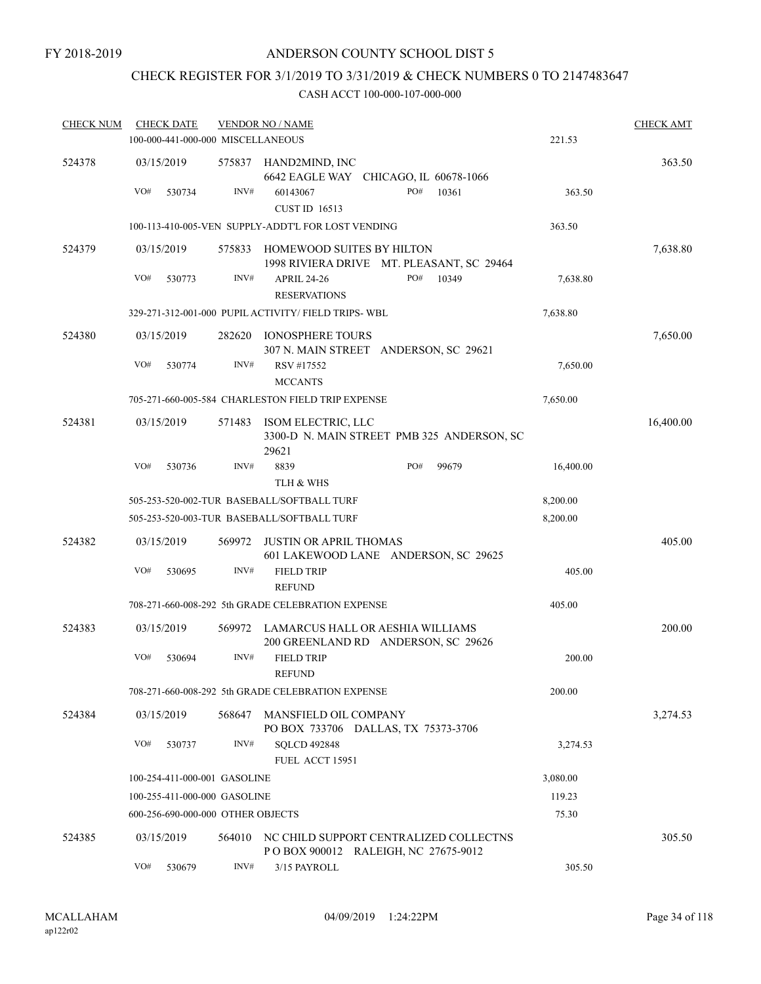# CHECK REGISTER FOR 3/1/2019 TO 3/31/2019 & CHECK NUMBERS 0 TO 2147483647

| <b>CHECK NUM</b> | <b>CHECK DATE</b>                 |        | <b>VENDOR NO / NAME</b>                                                       |           | <b>CHECK AMT</b> |
|------------------|-----------------------------------|--------|-------------------------------------------------------------------------------|-----------|------------------|
|                  | 100-000-441-000-000 MISCELLANEOUS |        |                                                                               | 221.53    |                  |
| 524378           | 03/15/2019                        | 575837 | HAND2MIND, INC<br>6642 EAGLE WAY CHICAGO, IL 60678-1066                       |           | 363.50           |
|                  | VO#<br>530734                     | INV#   | PO#<br>60143067<br>10361<br><b>CUST ID 16513</b>                              | 363.50    |                  |
|                  |                                   |        | 100-113-410-005-VEN SUPPLY-ADDT'L FOR LOST VENDING                            | 363.50    |                  |
| 524379           | 03/15/2019                        | 575833 | HOMEWOOD SUITES BY HILTON<br>1998 RIVIERA DRIVE MT. PLEASANT, SC 29464        |           | 7,638.80         |
|                  | VO#<br>530773                     | INV#   | PO#<br>10349<br><b>APRIL 24-26</b><br><b>RESERVATIONS</b>                     | 7,638.80  |                  |
|                  |                                   |        | 329-271-312-001-000 PUPIL ACTIVITY/ FIELD TRIPS-WBL                           | 7,638.80  |                  |
| 524380           | 03/15/2019                        | 282620 | <b>IONOSPHERE TOURS</b><br>307 N. MAIN STREET ANDERSON, SC 29621              |           | 7,650.00         |
|                  | VO#<br>530774                     | INV#   | RSV #17552<br><b>MCCANTS</b>                                                  | 7,650.00  |                  |
|                  |                                   |        | 705-271-660-005-584 CHARLESTON FIELD TRIP EXPENSE                             | 7,650.00  |                  |
| 524381           | 03/15/2019                        | 571483 | ISOM ELECTRIC, LLC<br>3300-D N. MAIN STREET PMB 325 ANDERSON, SC<br>29621     |           | 16,400.00        |
|                  | VO#<br>530736                     | INV#   | 8839<br>PO#<br>99679<br>TLH & WHS                                             | 16,400.00 |                  |
|                  |                                   |        | 505-253-520-002-TUR BASEBALL/SOFTBALL TURF                                    | 8,200.00  |                  |
|                  |                                   |        | 505-253-520-003-TUR BASEBALL/SOFTBALL TURF                                    | 8,200.00  |                  |
| 524382           | 03/15/2019                        | 569972 | <b>JUSTIN OR APRIL THOMAS</b><br>601 LAKEWOOD LANE ANDERSON, SC 29625         |           | 405.00           |
|                  | VO#<br>530695                     | INV#   | <b>FIELD TRIP</b><br><b>REFUND</b>                                            | 405.00    |                  |
|                  |                                   |        | 708-271-660-008-292 5th GRADE CELEBRATION EXPENSE                             | 405.00    |                  |
| 524383           | 03/15/2019                        | 569972 | LAMARCUS HALL OR AESHIA WILLIAMS<br>200 GREENLAND RD ANDERSON, SC 29626       |           | 200.00           |
|                  | VO#<br>530694                     | INV#   | <b>FIELD TRIP</b><br><b>REFUND</b>                                            | 200.00    |                  |
|                  |                                   |        | 708-271-660-008-292 5th GRADE CELEBRATION EXPENSE                             | 200.00    |                  |
| 524384           | 03/15/2019                        | 568647 | MANSFIELD OIL COMPANY<br>PO BOX 733706 DALLAS, TX 75373-3706                  |           | 3,274.53         |
|                  | VO#<br>530737                     | INV#   | <b>SQLCD 492848</b><br>FUEL ACCT 15951                                        | 3,274.53  |                  |
|                  | 100-254-411-000-001 GASOLINE      |        |                                                                               | 3,080.00  |                  |
|                  | 100-255-411-000-000 GASOLINE      |        |                                                                               | 119.23    |                  |
|                  | 600-256-690-000-000 OTHER OBJECTS |        |                                                                               | 75.30     |                  |
| 524385           | 03/15/2019                        | 564010 | NC CHILD SUPPORT CENTRALIZED COLLECTNS<br>POBOX 900012 RALEIGH, NC 27675-9012 |           | 305.50           |
|                  | VO#<br>530679                     | INV#   | 3/15 PAYROLL                                                                  | 305.50    |                  |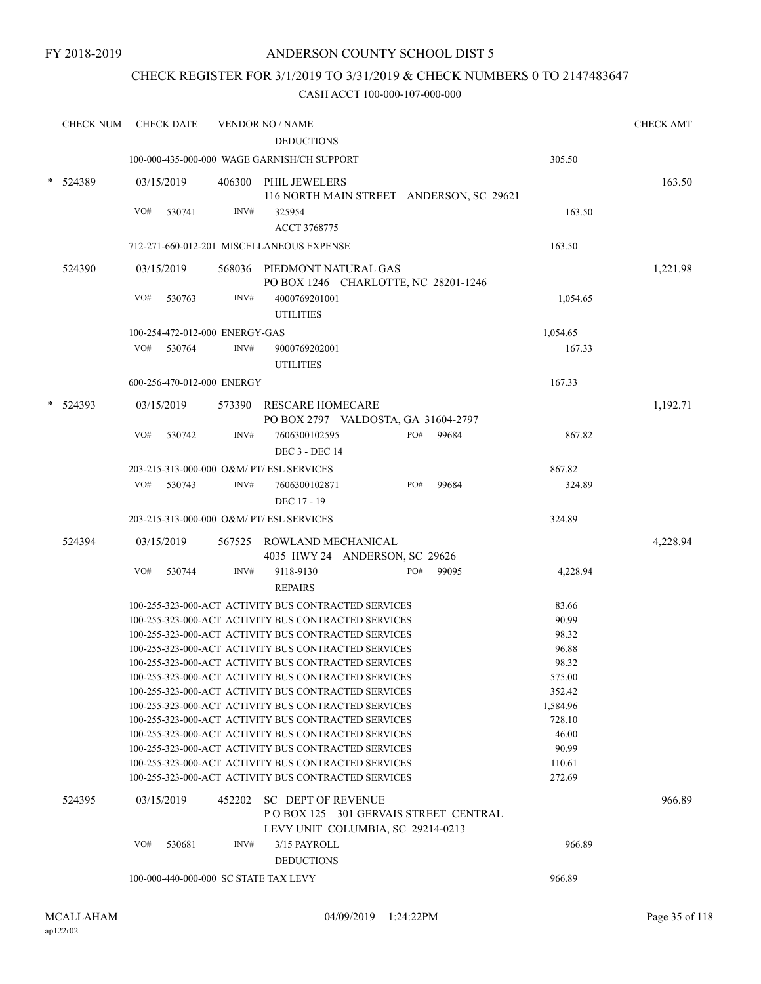## CHECK REGISTER FOR 3/1/2019 TO 3/31/2019 & CHECK NUMBERS 0 TO 2147483647

| <b>CHECK NUM</b> | <b>CHECK DATE</b> |                                       | <b>VENDOR NO / NAME</b>                                                                                      |     |                                          |                | <b>CHECK AMT</b> |
|------------------|-------------------|---------------------------------------|--------------------------------------------------------------------------------------------------------------|-----|------------------------------------------|----------------|------------------|
|                  |                   |                                       | <b>DEDUCTIONS</b>                                                                                            |     |                                          |                |                  |
|                  |                   |                                       | 100-000-435-000-000 WAGE GARNISH/CH SUPPORT                                                                  |     |                                          | 305.50         |                  |
| 524389           | 03/15/2019        | 406300                                | PHIL JEWELERS                                                                                                |     | 116 NORTH MAIN STREET ANDERSON, SC 29621 |                | 163.50           |
|                  | VO#<br>530741     | INV#                                  | 325954                                                                                                       |     |                                          | 163.50         |                  |
|                  |                   |                                       | ACCT 3768775                                                                                                 |     |                                          |                |                  |
|                  |                   |                                       | 712-271-660-012-201 MISCELLANEOUS EXPENSE                                                                    |     |                                          | 163.50         |                  |
| 524390           | 03/15/2019        | 568036                                | PIEDMONT NATURAL GAS<br>PO BOX 1246 CHARLOTTE, NC 28201-1246                                                 |     |                                          |                | 1,221.98         |
|                  | VO#<br>530763     | INV#                                  | 4000769201001<br><b>UTILITIES</b>                                                                            |     |                                          | 1,054.65       |                  |
|                  |                   | 100-254-472-012-000 ENERGY-GAS        |                                                                                                              |     |                                          | 1,054.65       |                  |
|                  | VO#<br>530764     | INV#                                  | 9000769202001<br><b>UTILITIES</b>                                                                            |     |                                          | 167.33         |                  |
|                  |                   | 600-256-470-012-000 ENERGY            |                                                                                                              |     |                                          | 167.33         |                  |
| 524393           | 03/15/2019        |                                       | 573390 RESCARE HOMECARE                                                                                      |     |                                          |                | 1,192.71         |
|                  |                   |                                       | PO BOX 2797 VALDOSTA, GA 31604-2797                                                                          |     |                                          |                |                  |
|                  | VO#<br>530742     | INV#                                  | 7606300102595                                                                                                | PO# | 99684                                    | 867.82         |                  |
|                  |                   |                                       | <b>DEC 3 - DEC 14</b>                                                                                        |     |                                          |                |                  |
|                  |                   |                                       | 203-215-313-000-000 O&M/ PT/ ESL SERVICES                                                                    |     |                                          | 867.82         |                  |
|                  | VO#<br>530743     | INV#                                  | 7606300102871                                                                                                | PO# | 99684                                    | 324.89         |                  |
|                  |                   |                                       | DEC 17 - 19                                                                                                  |     |                                          |                |                  |
|                  |                   |                                       | 203-215-313-000-000 O&M/ PT/ ESL SERVICES                                                                    |     |                                          | 324.89         |                  |
| 524394           | 03/15/2019        |                                       | 567525 ROWLAND MECHANICAL<br>4035 HWY 24 ANDERSON, SC 29626                                                  |     |                                          |                | 4,228.94         |
|                  | VO#<br>530744     | INV#                                  | 9118-9130<br><b>REPAIRS</b>                                                                                  | PO# | 99095                                    | 4,228.94       |                  |
|                  |                   |                                       | 100-255-323-000-ACT ACTIVITY BUS CONTRACTED SERVICES                                                         |     |                                          | 83.66          |                  |
|                  |                   |                                       | 100-255-323-000-ACT ACTIVITY BUS CONTRACTED SERVICES                                                         |     |                                          | 90.99          |                  |
|                  |                   |                                       | 100-255-323-000-ACT ACTIVITY BUS CONTRACTED SERVICES                                                         |     |                                          | 98.32          |                  |
|                  |                   |                                       | 100-255-323-000-ACT ACTIVITY BUS CONTRACTED SERVICES                                                         |     |                                          | 96.88          |                  |
|                  |                   |                                       | 100-255-323-000-ACT ACTIVITY BUS CONTRACTED SERVICES                                                         |     |                                          | 98.32          |                  |
|                  |                   |                                       | 100-255-323-000-ACT ACTIVITY BUS CONTRACTED SERVICES                                                         |     |                                          | 575.00         |                  |
|                  |                   |                                       | 100-255-323-000-ACT ACTIVITY BUS CONTRACTED SERVICES                                                         |     |                                          | 352.42         |                  |
|                  |                   |                                       | 100-255-323-000-ACT ACTIVITY BUS CONTRACTED SERVICES                                                         |     |                                          | 1,584.96       |                  |
|                  |                   |                                       | 100-255-323-000-ACT ACTIVITY BUS CONTRACTED SERVICES                                                         |     |                                          | 728.10         |                  |
|                  |                   |                                       | 100-255-323-000-ACT ACTIVITY BUS CONTRACTED SERVICES<br>100-255-323-000-ACT ACTIVITY BUS CONTRACTED SERVICES |     |                                          | 46.00<br>90.99 |                  |
|                  |                   |                                       | 100-255-323-000-ACT ACTIVITY BUS CONTRACTED SERVICES                                                         |     |                                          | 110.61         |                  |
|                  |                   |                                       | 100-255-323-000-ACT ACTIVITY BUS CONTRACTED SERVICES                                                         |     |                                          | 272.69         |                  |
| 524395           | 03/15/2019        | 452202                                | <b>SC DEPT OF REVENUE</b><br>LEVY UNIT COLUMBIA, SC 29214-0213                                               |     | POBOX 125 301 GERVAIS STREET CENTRAL     |                | 966.89           |
|                  | VO#<br>530681     | INV#                                  | 3/15 PAYROLL                                                                                                 |     |                                          | 966.89         |                  |
|                  |                   | 100-000-440-000-000 SC STATE TAX LEVY | <b>DEDUCTIONS</b>                                                                                            |     |                                          | 966.89         |                  |
|                  |                   |                                       |                                                                                                              |     |                                          |                |                  |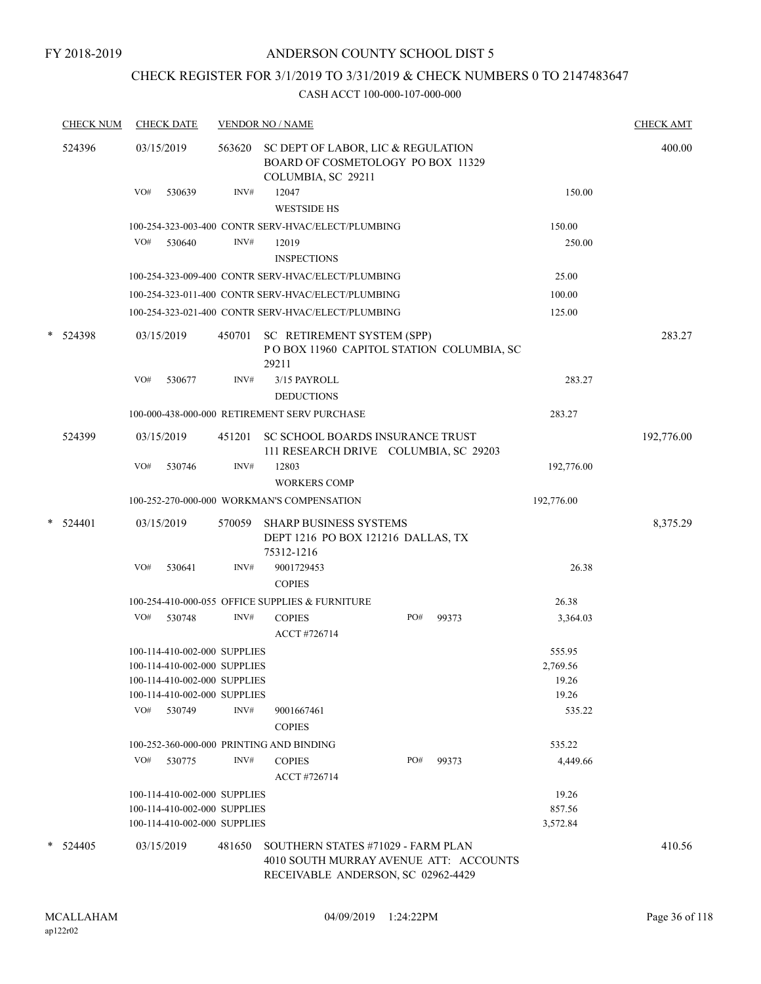# CHECK REGISTER FOR 3/1/2019 TO 3/31/2019 & CHECK NUMBERS 0 TO 2147483647

|   | <b>CHECK NUM</b> |     | <b>CHECK DATE</b>                                                                            |        | <b>VENDOR NO / NAME</b>                                                                                            |     |       |                             | <b>CHECK AMT</b> |
|---|------------------|-----|----------------------------------------------------------------------------------------------|--------|--------------------------------------------------------------------------------------------------------------------|-----|-------|-----------------------------|------------------|
|   | 524396           |     | 03/15/2019                                                                                   | 563620 | SC DEPT OF LABOR, LIC & REGULATION<br>BOARD OF COSMETOLOGY PO BOX 11329<br>COLUMBIA, SC 29211                      |     |       |                             | 400.00           |
|   |                  | VO# | 530639                                                                                       | INV#   | 12047<br><b>WESTSIDE HS</b>                                                                                        |     |       | 150.00                      |                  |
|   |                  |     |                                                                                              |        | 100-254-323-003-400 CONTR SERV-HVAC/ELECT/PLUMBING                                                                 |     |       | 150.00                      |                  |
|   |                  | VO# | 530640                                                                                       | INV#   | 12019<br><b>INSPECTIONS</b>                                                                                        |     |       | 250.00                      |                  |
|   |                  |     |                                                                                              |        | 100-254-323-009-400 CONTR SERV-HVAC/ELECT/PLUMBING                                                                 |     |       | 25.00                       |                  |
|   |                  |     |                                                                                              |        | 100-254-323-011-400 CONTR SERV-HVAC/ELECT/PLUMBING                                                                 |     |       | 100.00                      |                  |
|   |                  |     |                                                                                              |        | 100-254-323-021-400 CONTR SERV-HVAC/ELECT/PLUMBING                                                                 |     |       | 125.00                      |                  |
| * | 524398           |     | 03/15/2019                                                                                   | 450701 | SC RETIREMENT SYSTEM (SPP)<br>POBOX 11960 CAPITOL STATION COLUMBIA, SC<br>29211                                    |     |       |                             | 283.27           |
|   |                  | VO# | 530677                                                                                       | INV#   | 3/15 PAYROLL<br><b>DEDUCTIONS</b>                                                                                  |     |       | 283.27                      |                  |
|   |                  |     |                                                                                              |        | 100-000-438-000-000 RETIREMENT SERV PURCHASE                                                                       |     |       | 283.27                      |                  |
|   | 524399           |     | 03/15/2019                                                                                   | 451201 | SC SCHOOL BOARDS INSURANCE TRUST<br>111 RESEARCH DRIVE COLUMBIA, SC 29203                                          |     |       |                             | 192,776.00       |
|   |                  | VO# | 530746                                                                                       | INV#   | 12803<br><b>WORKERS COMP</b>                                                                                       |     |       | 192,776.00                  |                  |
|   |                  |     |                                                                                              |        | 100-252-270-000-000 WORKMAN'S COMPENSATION                                                                         |     |       | 192,776.00                  |                  |
| * | 524401           |     | 03/15/2019                                                                                   | 570059 | <b>SHARP BUSINESS SYSTEMS</b><br>DEPT 1216 PO BOX 121216 DALLAS, TX<br>75312-1216                                  |     |       |                             | 8,375.29         |
|   |                  | VO# | 530641                                                                                       | INV#   | 9001729453<br><b>COPIES</b>                                                                                        |     |       | 26.38                       |                  |
|   |                  |     |                                                                                              |        | 100-254-410-000-055 OFFICE SUPPLIES & FURNITURE                                                                    |     |       | 26.38                       |                  |
|   |                  | VO# | 530748                                                                                       | INV#   | <b>COPIES</b><br>ACCT #726714                                                                                      | PO# | 99373 | 3,364.03                    |                  |
|   |                  |     | 100-114-410-002-000 SUPPLIES                                                                 |        |                                                                                                                    |     |       | 555.95                      |                  |
|   |                  |     | 100-114-410-002-000 SUPPLIES                                                                 |        |                                                                                                                    |     |       | 2,769.56                    |                  |
|   |                  |     | 100-114-410-002-000 SUPPLIES<br>100-114-410-002-000 SUPPLIES                                 |        |                                                                                                                    |     |       | 19.26<br>19.26              |                  |
|   |                  | VO# | 530749                                                                                       | INV#   | 9001667461<br><b>COPIES</b>                                                                                        |     |       | 535.22                      |                  |
|   |                  |     |                                                                                              |        | 100-252-360-000-000 PRINTING AND BINDING                                                                           |     |       | 535.22                      |                  |
|   |                  | VO# | 530775                                                                                       | INV#   | <b>COPIES</b><br>ACCT #726714                                                                                      | PO# | 99373 | 4,449.66                    |                  |
|   |                  |     | 100-114-410-002-000 SUPPLIES<br>100-114-410-002-000 SUPPLIES<br>100-114-410-002-000 SUPPLIES |        |                                                                                                                    |     |       | 19.26<br>857.56<br>3,572.84 |                  |
|   | $*$ 524405       |     | 03/15/2019                                                                                   | 481650 | SOUTHERN STATES #71029 - FARM PLAN<br>4010 SOUTH MURRAY AVENUE ATT: ACCOUNTS<br>RECEIVABLE ANDERSON, SC 02962-4429 |     |       |                             | 410.56           |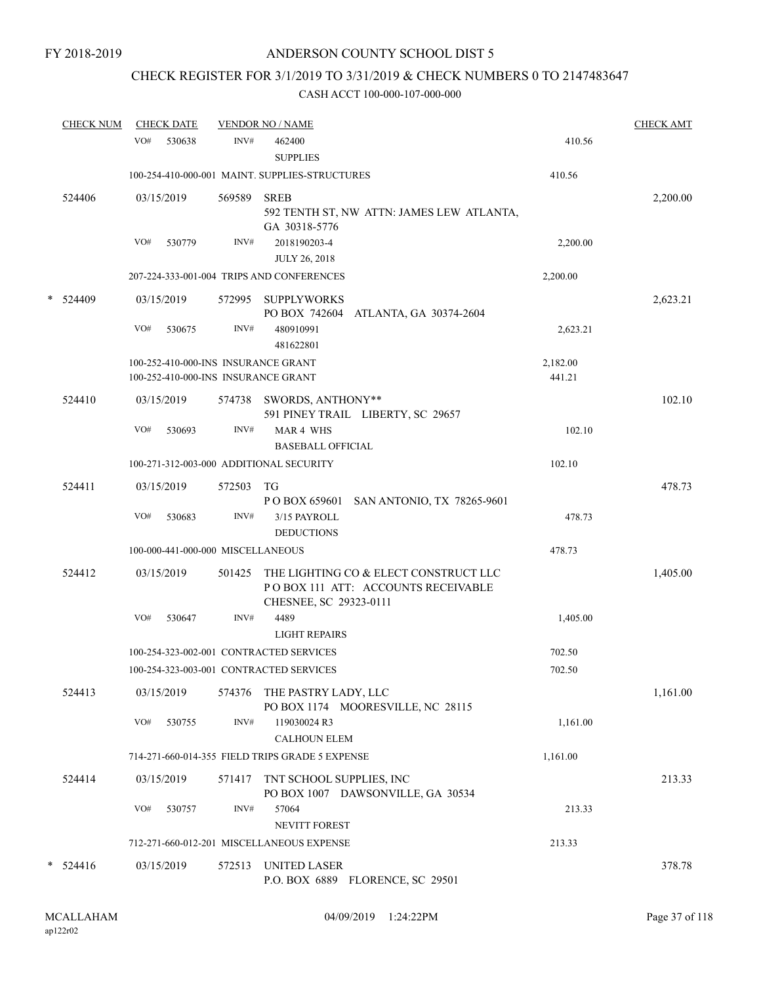# CHECK REGISTER FOR 3/1/2019 TO 3/31/2019 & CHECK NUMBERS 0 TO 2147483647

|   | <b>CHECK NUM</b> |     | <b>CHECK DATE</b> |                                   | <b>VENDOR NO / NAME</b>                                                                                |                    | <b>CHECK AMT</b> |
|---|------------------|-----|-------------------|-----------------------------------|--------------------------------------------------------------------------------------------------------|--------------------|------------------|
|   |                  | VO# | 530638            | INV#                              | 462400<br><b>SUPPLIES</b>                                                                              | 410.56             |                  |
|   |                  |     |                   |                                   | 100-254-410-000-001 MAINT. SUPPLIES-STRUCTURES                                                         | 410.56             |                  |
|   | 524406           |     | 03/15/2019        | 569589                            | <b>SREB</b><br>592 TENTH ST, NW ATTN: JAMES LEW ATLANTA,<br>GA 30318-5776                              |                    | 2,200.00         |
|   |                  | VO# | 530779            | INV#                              | 2018190203-4<br><b>JULY 26, 2018</b>                                                                   | 2,200.00           |                  |
|   |                  |     |                   |                                   | 207-224-333-001-004 TRIPS AND CONFERENCES                                                              | 2,200.00           |                  |
| * | 524409           |     | 03/15/2019        |                                   | 572995 SUPPLYWORKS<br>PO BOX 742604 ATLANTA, GA 30374-2604                                             |                    | 2,623.21         |
|   |                  | VO# | 530675            | INV#                              | 480910991<br>481622801                                                                                 | 2,623.21           |                  |
|   |                  |     |                   |                                   | 100-252-410-000-INS INSURANCE GRANT<br>100-252-410-000-INS INSURANCE GRANT                             | 2,182.00<br>441.21 |                  |
|   | 524410           |     | 03/15/2019        |                                   | 574738 SWORDS, ANTHONY**<br>591 PINEY TRAIL LIBERTY, SC 29657                                          |                    | 102.10           |
|   |                  | VO# | 530693            | INV#                              | MAR 4 WHS<br><b>BASEBALL OFFICIAL</b>                                                                  | 102.10             |                  |
|   |                  |     |                   |                                   | 100-271-312-003-000 ADDITIONAL SECURITY                                                                | 102.10             |                  |
|   | 524411           |     | 03/15/2019        | 572503                            | TG<br>P O BOX 659601 SAN ANTONIO, TX 78265-9601                                                        |                    | 478.73           |
|   |                  | VO# | 530683            | INV#                              | 3/15 PAYROLL<br><b>DEDUCTIONS</b>                                                                      | 478.73             |                  |
|   |                  |     |                   | 100-000-441-000-000 MISCELLANEOUS |                                                                                                        | 478.73             |                  |
|   | 524412           |     | 03/15/2019        | 501425                            | THE LIGHTING CO & ELECT CONSTRUCT LLC<br>PO BOX 111 ATT: ACCOUNTS RECEIVABLE<br>CHESNEE, SC 29323-0111 |                    | 1,405.00         |
|   |                  | VO# | 530647            | INV#                              | 4489<br><b>LIGHT REPAIRS</b>                                                                           | 1,405.00           |                  |
|   |                  |     |                   |                                   | 100-254-323-002-001 CONTRACTED SERVICES                                                                | 702.50             |                  |
|   |                  |     |                   |                                   | 100-254-323-003-001 CONTRACTED SERVICES                                                                | 702.50             |                  |
|   | 524413           |     | 03/15/2019        |                                   | 574376 THE PASTRY LADY, LLC<br>PO BOX 1174 MOORESVILLE, NC 28115                                       |                    | 1,161.00         |
|   |                  | VO# | 530755            | INV#                              | 119030024 R3<br><b>CALHOUN ELEM</b>                                                                    | 1,161.00           |                  |
|   |                  |     |                   |                                   | 714-271-660-014-355 FIELD TRIPS GRADE 5 EXPENSE                                                        | 1,161.00           |                  |
|   | 524414           |     | 03/15/2019        | 571417                            | TNT SCHOOL SUPPLIES, INC<br>PO BOX 1007 DAWSONVILLE, GA 30534                                          |                    | 213.33           |
|   |                  | VO# | 530757            | INV#                              | 57064<br>NEVITT FOREST                                                                                 | 213.33             |                  |
|   |                  |     |                   |                                   | 712-271-660-012-201 MISCELLANEOUS EXPENSE                                                              | 213.33             |                  |
|   | $*$ 524416       |     | 03/15/2019        | 572513                            | <b>UNITED LASER</b><br>P.O. BOX 6889 FLORENCE, SC 29501                                                |                    | 378.78           |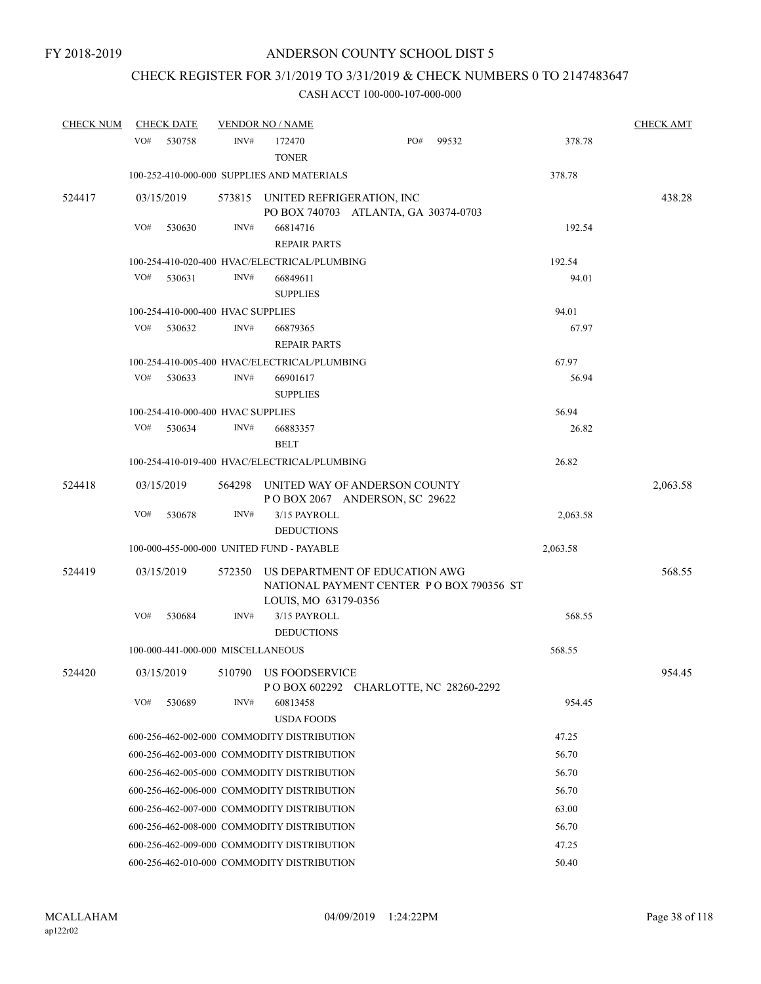# CHECK REGISTER FOR 3/1/2019 TO 3/31/2019 & CHECK NUMBERS 0 TO 2147483647

| <b>CHECK NUM</b> | <b>CHECK DATE</b>                          |        | <b>VENDOR NO / NAME</b>                      |                                                                            |       |          | <b>CHECK AMT</b> |
|------------------|--------------------------------------------|--------|----------------------------------------------|----------------------------------------------------------------------------|-------|----------|------------------|
|                  | VO#<br>530758                              | INV#   | 172470<br><b>TONER</b>                       | PO#                                                                        | 99532 | 378.78   |                  |
|                  |                                            |        | 100-252-410-000-000 SUPPLIES AND MATERIALS   |                                                                            |       | 378.78   |                  |
| 524417           | 03/15/2019                                 |        |                                              | 573815 UNITED REFRIGERATION, INC<br>PO BOX 740703 ATLANTA, GA 30374-0703   |       |          | 438.28           |
|                  | VO#<br>530630                              | INV#   | 66814716<br><b>REPAIR PARTS</b>              |                                                                            |       | 192.54   |                  |
|                  |                                            |        | 100-254-410-020-400 HVAC/ELECTRICAL/PLUMBING |                                                                            |       | 192.54   |                  |
|                  | VO#<br>530631                              | INV#   | 66849611<br><b>SUPPLIES</b>                  |                                                                            |       | 94.01    |                  |
|                  | 100-254-410-000-400 HVAC SUPPLIES          |        |                                              |                                                                            |       | 94.01    |                  |
|                  | VO#<br>530632                              | INV#   | 66879365<br><b>REPAIR PARTS</b>              |                                                                            |       | 67.97    |                  |
|                  |                                            |        | 100-254-410-005-400 HVAC/ELECTRICAL/PLUMBING |                                                                            |       | 67.97    |                  |
|                  | VO#<br>530633                              | INV#   | 66901617<br><b>SUPPLIES</b>                  |                                                                            |       | 56.94    |                  |
|                  | 100-254-410-000-400 HVAC SUPPLIES          |        |                                              |                                                                            |       | 56.94    |                  |
|                  | VO#<br>530634                              | INV#   | 66883357<br><b>BELT</b>                      |                                                                            |       | 26.82    |                  |
|                  |                                            |        | 100-254-410-019-400 HVAC/ELECTRICAL/PLUMBING |                                                                            |       | 26.82    |                  |
| 524418           | 03/15/2019                                 | 564298 |                                              | UNITED WAY OF ANDERSON COUNTY<br>POBOX 2067 ANDERSON, SC 29622             |       |          | 2,063.58         |
|                  | VO#<br>530678                              | INV#   | 3/15 PAYROLL<br><b>DEDUCTIONS</b>            |                                                                            |       | 2,063.58 |                  |
|                  |                                            |        | 100-000-455-000-000 UNITED FUND - PAYABLE    |                                                                            |       | 2,063.58 |                  |
| 524419           | 03/15/2019                                 | 572350 | LOUIS, MO 63179-0356                         | US DEPARTMENT OF EDUCATION AWG<br>NATIONAL PAYMENT CENTER PO BOX 790356 ST |       |          | 568.55           |
|                  | VO#<br>530684                              | INV#   | 3/15 PAYROLL<br><b>DEDUCTIONS</b>            |                                                                            |       | 568.55   |                  |
|                  | 100-000-441-000-000 MISCELLANEOUS          |        |                                              |                                                                            |       | 568.55   |                  |
| 524420           | 03/15/2019                                 |        | 510790 US FOODSERVICE                        | P O BOX 602292 CHARLOTTE, NC 28260-2292                                    |       |          | 954.45           |
|                  | VO#<br>530689                              | INV#   | 60813458<br><b>USDA FOODS</b>                |                                                                            |       | 954.45   |                  |
|                  | 600-256-462-002-000 COMMODITY DISTRIBUTION |        |                                              |                                                                            |       | 47.25    |                  |
|                  | 600-256-462-003-000 COMMODITY DISTRIBUTION |        |                                              |                                                                            |       | 56.70    |                  |
|                  | 600-256-462-005-000 COMMODITY DISTRIBUTION |        |                                              |                                                                            |       | 56.70    |                  |
|                  | 600-256-462-006-000 COMMODITY DISTRIBUTION |        |                                              |                                                                            |       | 56.70    |                  |
|                  | 600-256-462-007-000 COMMODITY DISTRIBUTION |        |                                              |                                                                            |       | 63.00    |                  |
|                  | 600-256-462-008-000 COMMODITY DISTRIBUTION |        |                                              |                                                                            |       | 56.70    |                  |
|                  | 600-256-462-009-000 COMMODITY DISTRIBUTION |        |                                              |                                                                            |       | 47.25    |                  |
|                  | 600-256-462-010-000 COMMODITY DISTRIBUTION |        |                                              |                                                                            |       | 50.40    |                  |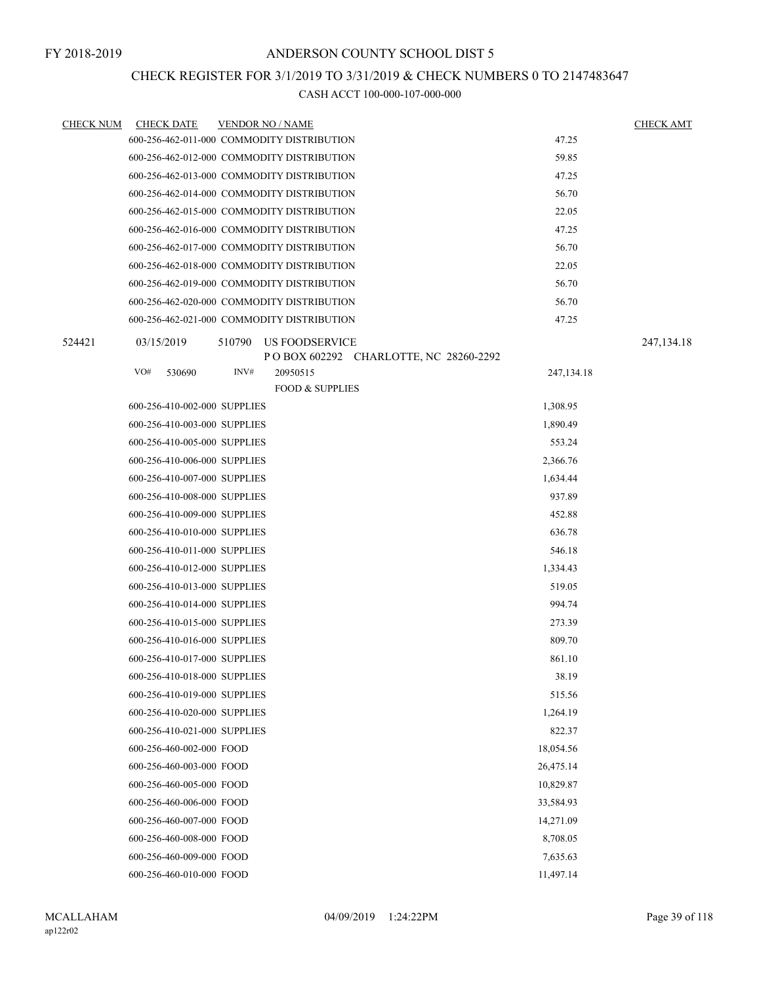### CHECK REGISTER FOR 3/1/2019 TO 3/31/2019 & CHECK NUMBERS 0 TO 2147483647

| <b>CHECK NUM</b> | <b>CHECK DATE</b>            |        | <b>VENDOR NO / NAME</b>                                   |              | <b>CHECK AMT</b> |
|------------------|------------------------------|--------|-----------------------------------------------------------|--------------|------------------|
|                  |                              |        | 600-256-462-011-000 COMMODITY DISTRIBUTION                | 47.25        |                  |
|                  |                              |        | 600-256-462-012-000 COMMODITY DISTRIBUTION                | 59.85        |                  |
|                  |                              |        | 600-256-462-013-000 COMMODITY DISTRIBUTION                | 47.25        |                  |
|                  |                              |        | 600-256-462-014-000 COMMODITY DISTRIBUTION                | 56.70        |                  |
|                  |                              |        | 600-256-462-015-000 COMMODITY DISTRIBUTION                | 22.05        |                  |
|                  |                              |        | 600-256-462-016-000 COMMODITY DISTRIBUTION                | 47.25        |                  |
|                  |                              |        | 600-256-462-017-000 COMMODITY DISTRIBUTION                | 56.70        |                  |
|                  |                              |        | 600-256-462-018-000 COMMODITY DISTRIBUTION                | 22.05        |                  |
|                  |                              |        | 600-256-462-019-000 COMMODITY DISTRIBUTION                | 56.70        |                  |
|                  |                              |        | 600-256-462-020-000 COMMODITY DISTRIBUTION                | 56.70        |                  |
|                  |                              |        | 600-256-462-021-000 COMMODITY DISTRIBUTION                | 47.25        |                  |
| 524421           | 03/15/2019                   | 510790 | US FOODSERVICE<br>P O BOX 602292 CHARLOTTE, NC 28260-2292 |              | 247, 134. 18     |
|                  | VO#<br>530690                | INV#   | 20950515                                                  | 247, 134. 18 |                  |
|                  |                              |        | <b>FOOD &amp; SUPPLIES</b>                                |              |                  |
|                  | 600-256-410-002-000 SUPPLIES |        |                                                           | 1,308.95     |                  |
|                  | 600-256-410-003-000 SUPPLIES |        |                                                           | 1,890.49     |                  |
|                  | 600-256-410-005-000 SUPPLIES |        |                                                           | 553.24       |                  |
|                  | 600-256-410-006-000 SUPPLIES |        |                                                           | 2,366.76     |                  |
|                  | 600-256-410-007-000 SUPPLIES |        |                                                           | 1,634.44     |                  |
|                  | 600-256-410-008-000 SUPPLIES |        |                                                           | 937.89       |                  |
|                  | 600-256-410-009-000 SUPPLIES |        |                                                           | 452.88       |                  |
|                  | 600-256-410-010-000 SUPPLIES |        |                                                           | 636.78       |                  |
|                  | 600-256-410-011-000 SUPPLIES |        |                                                           | 546.18       |                  |
|                  | 600-256-410-012-000 SUPPLIES |        |                                                           | 1,334.43     |                  |
|                  | 600-256-410-013-000 SUPPLIES |        |                                                           | 519.05       |                  |
|                  | 600-256-410-014-000 SUPPLIES |        |                                                           | 994.74       |                  |
|                  | 600-256-410-015-000 SUPPLIES |        |                                                           | 273.39       |                  |
|                  | 600-256-410-016-000 SUPPLIES |        |                                                           | 809.70       |                  |
|                  | 600-256-410-017-000 SUPPLIES |        |                                                           | 861.10       |                  |
|                  | 600-256-410-018-000 SUPPLIES |        |                                                           | 38.19        |                  |
|                  | 600-256-410-019-000 SUPPLIES |        |                                                           | 515.56       |                  |
|                  | 600-256-410-020-000 SUPPLIES |        |                                                           | 1,264.19     |                  |
|                  | 600-256-410-021-000 SUPPLIES |        |                                                           | 822.37       |                  |
|                  | 600-256-460-002-000 FOOD     |        |                                                           | 18,054.56    |                  |
|                  | 600-256-460-003-000 FOOD     |        |                                                           | 26,475.14    |                  |
|                  | 600-256-460-005-000 FOOD     |        |                                                           | 10,829.87    |                  |
|                  | 600-256-460-006-000 FOOD     |        |                                                           | 33,584.93    |                  |
|                  | 600-256-460-007-000 FOOD     |        |                                                           | 14,271.09    |                  |
|                  | 600-256-460-008-000 FOOD     |        |                                                           | 8,708.05     |                  |
|                  | 600-256-460-009-000 FOOD     |        |                                                           | 7,635.63     |                  |
|                  | 600-256-460-010-000 FOOD     |        |                                                           | 11,497.14    |                  |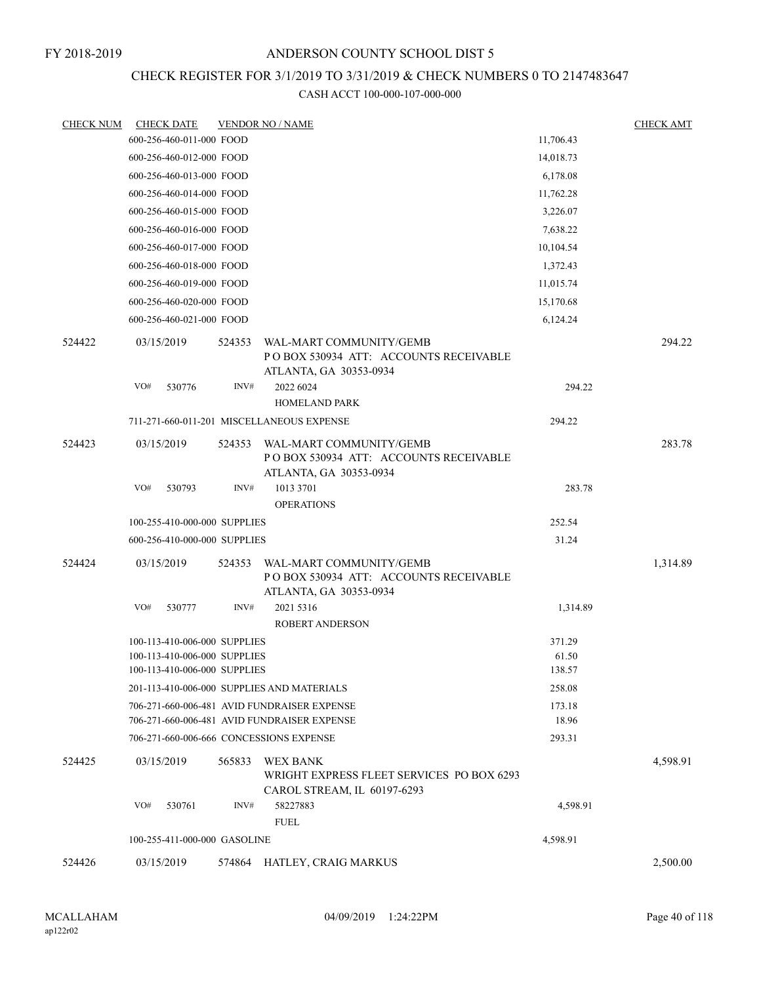### CHECK REGISTER FOR 3/1/2019 TO 3/31/2019 & CHECK NUMBERS 0 TO 2147483647

| <b>CHECK NUM</b> | <b>CHECK DATE</b>                                                                            |        | <b>VENDOR NO / NAME</b>                                                                     |                           | <b>CHECK AMT</b> |
|------------------|----------------------------------------------------------------------------------------------|--------|---------------------------------------------------------------------------------------------|---------------------------|------------------|
|                  | 600-256-460-011-000 FOOD                                                                     |        |                                                                                             | 11,706.43                 |                  |
|                  | 600-256-460-012-000 FOOD                                                                     |        |                                                                                             | 14,018.73                 |                  |
|                  | 600-256-460-013-000 FOOD                                                                     |        |                                                                                             | 6,178.08                  |                  |
|                  | 600-256-460-014-000 FOOD                                                                     |        |                                                                                             | 11,762.28                 |                  |
|                  | 600-256-460-015-000 FOOD                                                                     |        |                                                                                             | 3,226.07                  |                  |
|                  | 600-256-460-016-000 FOOD                                                                     |        |                                                                                             | 7,638.22                  |                  |
|                  | 600-256-460-017-000 FOOD                                                                     |        |                                                                                             | 10,104.54                 |                  |
|                  | 600-256-460-018-000 FOOD                                                                     |        |                                                                                             | 1,372.43                  |                  |
|                  | 600-256-460-019-000 FOOD                                                                     |        |                                                                                             | 11,015.74                 |                  |
|                  | 600-256-460-020-000 FOOD                                                                     |        |                                                                                             | 15,170.68                 |                  |
|                  | 600-256-460-021-000 FOOD                                                                     |        |                                                                                             | 6,124.24                  |                  |
| 524422           | 03/15/2019                                                                                   | 524353 | WAL-MART COMMUNITY/GEMB<br>POBOX 530934 ATT: ACCOUNTS RECEIVABLE<br>ATLANTA, GA 30353-0934  |                           | 294.22           |
|                  | VO#<br>530776                                                                                | INV#   | 2022 6024<br><b>HOMELAND PARK</b>                                                           | 294.22                    |                  |
|                  |                                                                                              |        | 711-271-660-011-201 MISCELLANEOUS EXPENSE                                                   | 294.22                    |                  |
| 524423           | 03/15/2019                                                                                   | 524353 | WAL-MART COMMUNITY/GEMB<br>POBOX 530934 ATT: ACCOUNTS RECEIVABLE<br>ATLANTA, GA 30353-0934  |                           | 283.78           |
|                  | VO#<br>530793                                                                                | INV#   | 1013 3701<br><b>OPERATIONS</b>                                                              | 283.78                    |                  |
|                  | 100-255-410-000-000 SUPPLIES                                                                 |        |                                                                                             | 252.54                    |                  |
|                  | 600-256-410-000-000 SUPPLIES                                                                 |        |                                                                                             | 31.24                     |                  |
| 524424           | 03/15/2019                                                                                   | 524353 | WAL-MART COMMUNITY/GEMB<br>PO BOX 530934 ATT: ACCOUNTS RECEIVABLE<br>ATLANTA, GA 30353-0934 |                           | 1,314.89         |
|                  | VO#<br>530777                                                                                | INV#   | 2021 5316                                                                                   | 1,314.89                  |                  |
|                  |                                                                                              |        | <b>ROBERT ANDERSON</b>                                                                      |                           |                  |
|                  | 100-113-410-006-000 SUPPLIES<br>100-113-410-006-000 SUPPLIES<br>100-113-410-006-000 SUPPLIES |        |                                                                                             | 371.29<br>61.50<br>138.57 |                  |
|                  |                                                                                              |        | 201-113-410-006-000 SUPPLIES AND MATERIALS                                                  | 258.08                    |                  |
|                  |                                                                                              |        | 706-271-660-006-481 AVID FUNDRAISER EXPENSE<br>706-271-660-006-481 AVID FUNDRAISER EXPENSE  | 173.18<br>18.96           |                  |
|                  | 706-271-660-006-666 CONCESSIONS EXPENSE                                                      |        |                                                                                             | 293.31                    |                  |
| 524425           | 03/15/2019                                                                                   | 565833 | WEX BANK<br>WRIGHT EXPRESS FLEET SERVICES PO BOX 6293<br>CAROL STREAM, IL 60197-6293        |                           | 4,598.91         |
|                  | VO#<br>530761                                                                                | INV#   | 58227883<br><b>FUEL</b>                                                                     | 4,598.91                  |                  |
|                  | 100-255-411-000-000 GASOLINE                                                                 |        |                                                                                             | 4,598.91                  |                  |
| 524426           | 03/15/2019                                                                                   | 574864 | HATLEY, CRAIG MARKUS                                                                        |                           | 2,500.00         |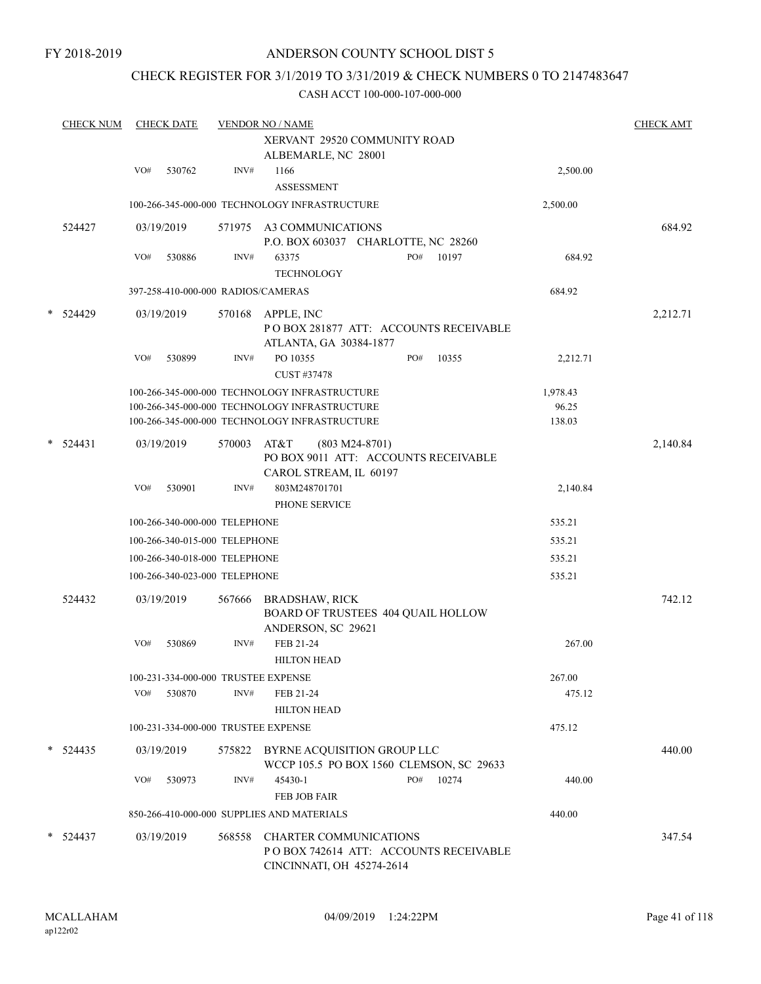# CHECK REGISTER FOR 3/1/2019 TO 3/31/2019 & CHECK NUMBERS 0 TO 2147483647

|        | <b>CHECK NUM</b> |            | <b>CHECK DATE</b> |                               | <b>VENDOR NO / NAME</b>                                                                              |     |       |          | <b>CHECK AMT</b> |
|--------|------------------|------------|-------------------|-------------------------------|------------------------------------------------------------------------------------------------------|-----|-------|----------|------------------|
|        |                  |            |                   |                               | XERVANT 29520 COMMUNITY ROAD<br>ALBEMARLE, NC 28001                                                  |     |       |          |                  |
|        |                  | VO#        | 530762            | INV#                          | 1166<br><b>ASSESSMENT</b>                                                                            |     |       | 2,500.00 |                  |
|        |                  |            |                   |                               | 100-266-345-000-000 TECHNOLOGY INFRASTRUCTURE                                                        |     |       | 2,500.00 |                  |
|        | 524427           | 03/19/2019 |                   |                               | 571975 A3 COMMUNICATIONS<br>P.O. BOX 603037 CHARLOTTE, NC 28260                                      |     |       |          | 684.92           |
|        |                  | VO#        | 530886            | INV#                          | 63375<br><b>TECHNOLOGY</b>                                                                           | PO# | 10197 | 684.92   |                  |
|        |                  |            |                   |                               | 397-258-410-000-000 RADIOS/CAMERAS                                                                   |     |       | 684.92   |                  |
| $\ast$ | 524429           | 03/19/2019 |                   | 570168                        | APPLE, INC<br>POBOX 281877 ATT: ACCOUNTS RECEIVABLE<br>ATLANTA, GA 30384-1877                        |     |       |          | 2,212.71         |
|        |                  | VO#        | 530899            | INV#                          | PO 10355<br>CUST #37478                                                                              | PO# | 10355 | 2,212.71 |                  |
|        |                  |            |                   |                               | 100-266-345-000-000 TECHNOLOGY INFRASTRUCTURE                                                        |     |       | 1,978.43 |                  |
|        |                  |            |                   |                               | 100-266-345-000-000 TECHNOLOGY INFRASTRUCTURE                                                        |     |       | 96.25    |                  |
|        |                  |            |                   |                               | 100-266-345-000-000 TECHNOLOGY INFRASTRUCTURE                                                        |     |       | 138.03   |                  |
| $\ast$ | 524431           | 03/19/2019 |                   | 570003                        | AT&T<br>$(803 M24-8701)$<br>PO BOX 9011 ATT: ACCOUNTS RECEIVABLE<br>CAROL STREAM, IL 60197           |     |       |          | 2,140.84         |
|        |                  | VO#        | 530901            | INV#                          | 803M248701701<br>PHONE SERVICE                                                                       |     |       | 2,140.84 |                  |
|        |                  |            |                   | 100-266-340-000-000 TELEPHONE |                                                                                                      |     |       | 535.21   |                  |
|        |                  |            |                   | 100-266-340-015-000 TELEPHONE |                                                                                                      |     |       | 535.21   |                  |
|        |                  |            |                   | 100-266-340-018-000 TELEPHONE |                                                                                                      |     |       | 535.21   |                  |
|        |                  |            |                   | 100-266-340-023-000 TELEPHONE |                                                                                                      |     |       | 535.21   |                  |
|        | 524432           | 03/19/2019 |                   | 567666                        | <b>BRADSHAW, RICK</b><br>BOARD OF TRUSTEES 404 QUAIL HOLLOW                                          |     |       |          | 742.12           |
|        |                  |            |                   |                               | ANDERSON, SC 29621                                                                                   |     |       |          |                  |
|        |                  | VO#        | 530869            | INV#                          | FEB 21-24<br><b>HILTON HEAD</b>                                                                      |     |       | 267.00   |                  |
|        |                  |            |                   |                               | 100-231-334-000-000 TRUSTEE EXPENSE                                                                  |     |       | 267.00   |                  |
|        |                  | VO#        | 530870            | INV#                          | FEB 21-24<br><b>HILTON HEAD</b>                                                                      |     |       | 475.12   |                  |
|        |                  |            |                   |                               | 100-231-334-000-000 TRUSTEE EXPENSE                                                                  |     |       | 475.12   |                  |
|        | $* 524435$       | 03/19/2019 |                   |                               | 575822 BYRNE ACQUISITION GROUP LLC<br>WCCP 105.5 PO BOX 1560 CLEMSON, SC 29633                       |     |       |          | 440.00           |
|        |                  | VO#        | 530973            | INV#                          | 45430-1<br>FEB JOB FAIR                                                                              | PO# | 10274 | 440.00   |                  |
|        |                  |            |                   |                               | 850-266-410-000-000 SUPPLIES AND MATERIALS                                                           |     |       | 440.00   |                  |
|        | $* 524437$       |            | 03/19/2019        | 568558                        | <b>CHARTER COMMUNICATIONS</b><br>PO BOX 742614 ATT: ACCOUNTS RECEIVABLE<br>CINCINNATI, OH 45274-2614 |     |       |          | 347.54           |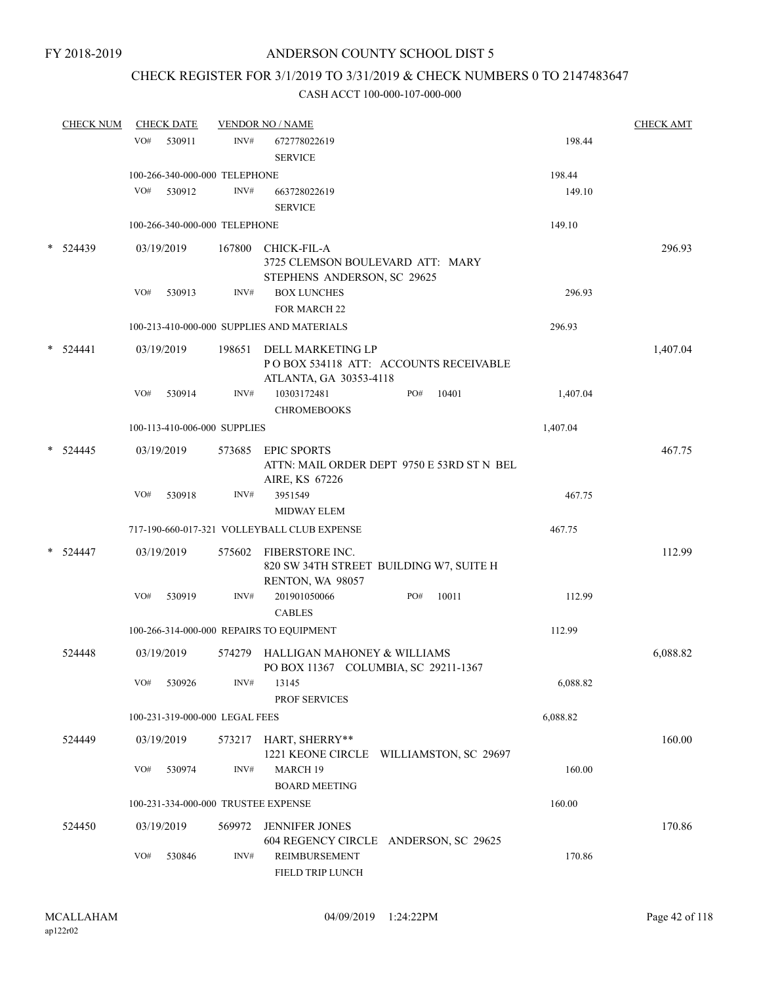# CHECK REGISTER FOR 3/1/2019 TO 3/31/2019 & CHECK NUMBERS 0 TO 2147483647

| <b>CHECK NUM</b> |     | <b>CHECK DATE</b>    |                                | <b>VENDOR NO / NAME</b>                                                               |     |       |          | <b>CHECK AMT</b> |
|------------------|-----|----------------------|--------------------------------|---------------------------------------------------------------------------------------|-----|-------|----------|------------------|
|                  | VO# | 530911               | INV#                           | 672778022619<br><b>SERVICE</b>                                                        |     |       | 198.44   |                  |
|                  |     |                      | 100-266-340-000-000 TELEPHONE  |                                                                                       |     |       | 198.44   |                  |
|                  | VO# | 530912               | INV#                           | 663728022619<br><b>SERVICE</b>                                                        |     |       | 149.10   |                  |
|                  |     |                      | 100-266-340-000-000 TELEPHONE  |                                                                                       |     |       | 149.10   |                  |
| 524439           |     | 03/19/2019           | 167800                         | CHICK-FIL-A<br>3725 CLEMSON BOULEVARD ATT: MARY<br>STEPHENS ANDERSON, SC 29625        |     |       |          | 296.93           |
|                  | VO# | 530913               | INV#                           | <b>BOX LUNCHES</b><br><b>FOR MARCH 22</b>                                             |     |       | 296.93   |                  |
|                  |     |                      |                                | 100-213-410-000-000 SUPPLIES AND MATERIALS                                            |     |       | 296.93   |                  |
| 524441           |     | 03/19/2019           | 198651                         | DELL MARKETING LP<br>PO BOX 534118 ATT: ACCOUNTS RECEIVABLE<br>ATLANTA, GA 30353-4118 |     |       |          | 1,407.04         |
|                  | VO# | 530914               | INV#                           | 10303172481<br><b>CHROMEBOOKS</b>                                                     | PO# | 10401 | 1,407.04 |                  |
|                  |     |                      | 100-113-410-006-000 SUPPLIES   |                                                                                       |     |       | 1,407.04 |                  |
| 524445           |     | 03/19/2019           | 573685                         | <b>EPIC SPORTS</b><br>ATTN: MAIL ORDER DEPT 9750 E 53RD ST N BEL<br>AIRE, KS 67226    |     |       |          | 467.75           |
|                  | VO# | 530918               | INV#                           | 3951549<br><b>MIDWAY ELEM</b>                                                         |     |       | 467.75   |                  |
|                  |     |                      |                                | 717-190-660-017-321 VOLLEYBALL CLUB EXPENSE                                           |     |       | 467.75   |                  |
| $*$ 524447       |     | 03/19/2019           | 575602                         | FIBERSTORE INC.<br>820 SW 34TH STREET BUILDING W7, SUITE H<br>RENTON, WA 98057        |     |       |          | 112.99           |
|                  | VO# | 530919               | INV#                           | 201901050066<br><b>CABLES</b>                                                         | PO# | 10011 | 112.99   |                  |
|                  |     |                      |                                | 100-266-314-000-000 REPAIRS TO EQUIPMENT                                              |     |       | 112.99   |                  |
| 524448           |     | 03/19/2019           | 574279                         | HALLIGAN MAHONEY & WILLIAMS<br>PO BOX 11367 COLUMBIA, SC 29211-1367                   |     |       |          | 6,088.82         |
|                  | VO# | 530926               | INV#                           | 13145<br>PROF SERVICES                                                                |     |       | 6,088.82 |                  |
|                  |     |                      | 100-231-319-000-000 LEGAL FEES |                                                                                       |     |       | 6,088.82 |                  |
| 524449           |     | 03/19/2019           | 573217                         | HART, SHERRY**<br>1221 KEONE CIRCLE WILLIAMSTON, SC 29697                             |     |       |          | 160.00           |
|                  | VO# | 530974               | INV#                           | MARCH 19<br><b>BOARD MEETING</b>                                                      |     |       | 160.00   |                  |
|                  |     |                      |                                | 100-231-334-000-000 TRUSTEE EXPENSE                                                   |     |       | 160.00   |                  |
| 524450           | VO# | 03/19/2019<br>530846 | 569972<br>INV#                 | <b>JENNIFER JONES</b><br>604 REGENCY CIRCLE ANDERSON, SC 29625<br>REIMBURSEMENT       |     |       | 170.86   | 170.86           |
|                  |     |                      |                                | FIELD TRIP LUNCH                                                                      |     |       |          |                  |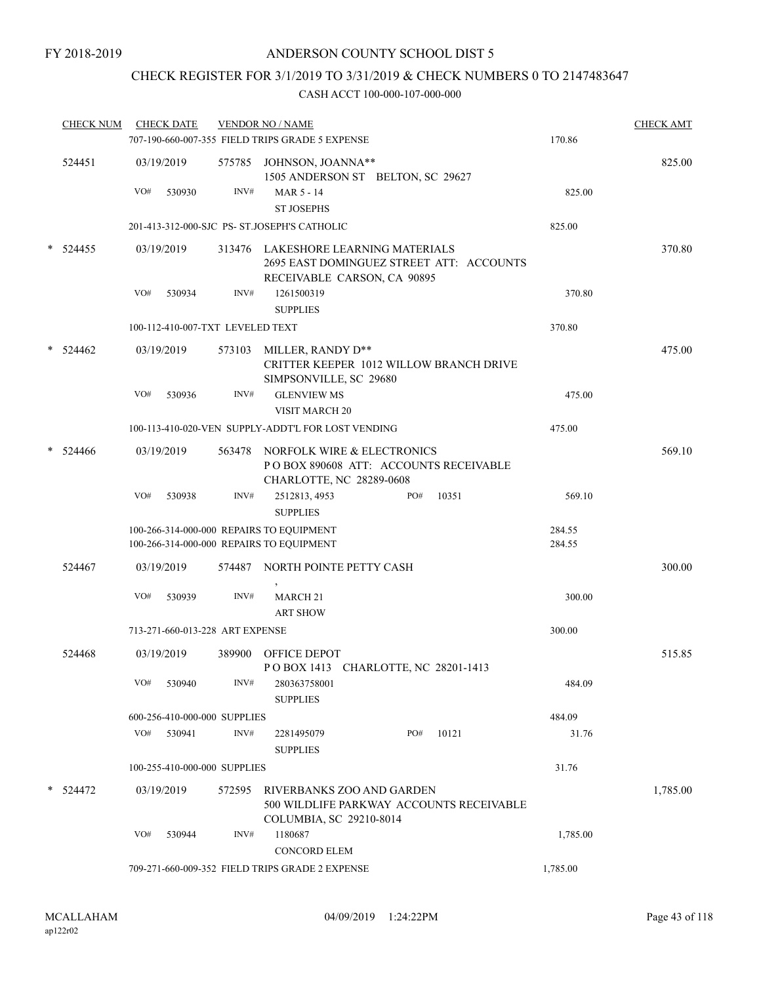## CHECK REGISTER FOR 3/1/2019 TO 3/31/2019 & CHECK NUMBERS 0 TO 2147483647

|        | <b>CHECK NUM</b> |     | <b>CHECK DATE</b>                |        | <b>VENDOR NO / NAME</b>                                                                                        |     |       |          | <b>CHECK AMT</b> |
|--------|------------------|-----|----------------------------------|--------|----------------------------------------------------------------------------------------------------------------|-----|-------|----------|------------------|
|        |                  |     |                                  |        | 707-190-660-007-355 FIELD TRIPS GRADE 5 EXPENSE                                                                |     |       | 170.86   |                  |
|        | 524451           |     | 03/19/2019                       |        | 575785 JOHNSON, JOANNA**<br>1505 ANDERSON ST BELTON, SC 29627                                                  |     |       |          | 825.00           |
|        |                  | VO# | 530930                           | INV#   | MAR 5 - 14                                                                                                     |     |       | 825.00   |                  |
|        |                  |     |                                  |        | <b>ST JOSEPHS</b>                                                                                              |     |       |          |                  |
|        |                  |     |                                  |        | 201-413-312-000-SJC PS- ST.JOSEPH'S CATHOLIC                                                                   |     |       | 825.00   |                  |
|        | $*$ 524455       |     | 03/19/2019                       |        | 313476 LAKESHORE LEARNING MATERIALS<br>2695 EAST DOMINGUEZ STREET ATT: ACCOUNTS<br>RECEIVABLE CARSON, CA 90895 |     |       |          | 370.80           |
|        |                  | VO# | 530934                           | INV#   | 1261500319                                                                                                     |     |       | 370.80   |                  |
|        |                  |     |                                  |        | <b>SUPPLIES</b>                                                                                                |     |       |          |                  |
|        |                  |     | 100-112-410-007-TXT LEVELED TEXT |        |                                                                                                                |     |       | 370.80   |                  |
|        | $*$ 524462       |     | 03/19/2019                       |        | 573103 MILLER, RANDY D**<br>CRITTER KEEPER 1012 WILLOW BRANCH DRIVE<br>SIMPSONVILLE, SC 29680                  |     |       |          | 475.00           |
|        |                  | VO# | 530936                           | INV#   | <b>GLENVIEW MS</b><br><b>VISIT MARCH 20</b>                                                                    |     |       | 475.00   |                  |
|        |                  |     |                                  |        | 100-113-410-020-VEN SUPPLY-ADDT'L FOR LOST VENDING                                                             |     |       | 475.00   |                  |
| $\ast$ | 524466           |     | 03/19/2019                       |        | 563478 NORFOLK WIRE & ELECTRONICS<br>POBOX 890608 ATT: ACCOUNTS RECEIVABLE<br>CHARLOTTE, NC 28289-0608         |     |       |          | 569.10           |
|        |                  | VO# | 530938                           | INV#   | 2512813, 4953<br><b>SUPPLIES</b>                                                                               | PO# | 10351 | 569.10   |                  |
|        |                  |     |                                  |        | 100-266-314-000-000 REPAIRS TO EQUIPMENT                                                                       |     |       | 284.55   |                  |
|        |                  |     |                                  |        | 100-266-314-000-000 REPAIRS TO EQUIPMENT                                                                       |     |       | 284.55   |                  |
|        | 524467           |     | 03/19/2019                       |        | 574487 NORTH POINTE PETTY CASH                                                                                 |     |       |          | 300.00           |
|        |                  | VO# | 530939                           | INV#   | MARCH <sub>21</sub><br><b>ART SHOW</b>                                                                         |     |       | 300.00   |                  |
|        |                  |     | 713-271-660-013-228 ART EXPENSE  |        |                                                                                                                |     |       | 300.00   |                  |
|        | 524468           |     | 03/19/2019                       | 389900 | <b>OFFICE DEPOT</b><br>POBOX 1413 CHARLOTTE, NC 28201-1413                                                     |     |       |          | 515.85           |
|        |                  | VO# | 530940                           | INV#   | 280363758001<br><b>SUPPLIES</b>                                                                                |     |       | 484.09   |                  |
|        |                  |     | 600-256-410-000-000 SUPPLIES     |        |                                                                                                                |     |       | 484.09   |                  |
|        |                  |     | VO# 530941                       | INV#   | 2281495079<br><b>SUPPLIES</b>                                                                                  | PO# | 10121 | 31.76    |                  |
|        |                  |     | 100-255-410-000-000 SUPPLIES     |        |                                                                                                                |     |       | 31.76    |                  |
|        | $*$ 524472       |     | 03/19/2019                       | 572595 | RIVERBANKS ZOO AND GARDEN<br>500 WILDLIFE PARKWAY ACCOUNTS RECEIVABLE<br>COLUMBIA, SC 29210-8014               |     |       |          | 1,785.00         |
|        |                  | VO# | 530944                           | INV#   | 1180687<br><b>CONCORD ELEM</b>                                                                                 |     |       | 1,785.00 |                  |
|        |                  |     |                                  |        | 709-271-660-009-352 FIELD TRIPS GRADE 2 EXPENSE                                                                |     |       | 1,785.00 |                  |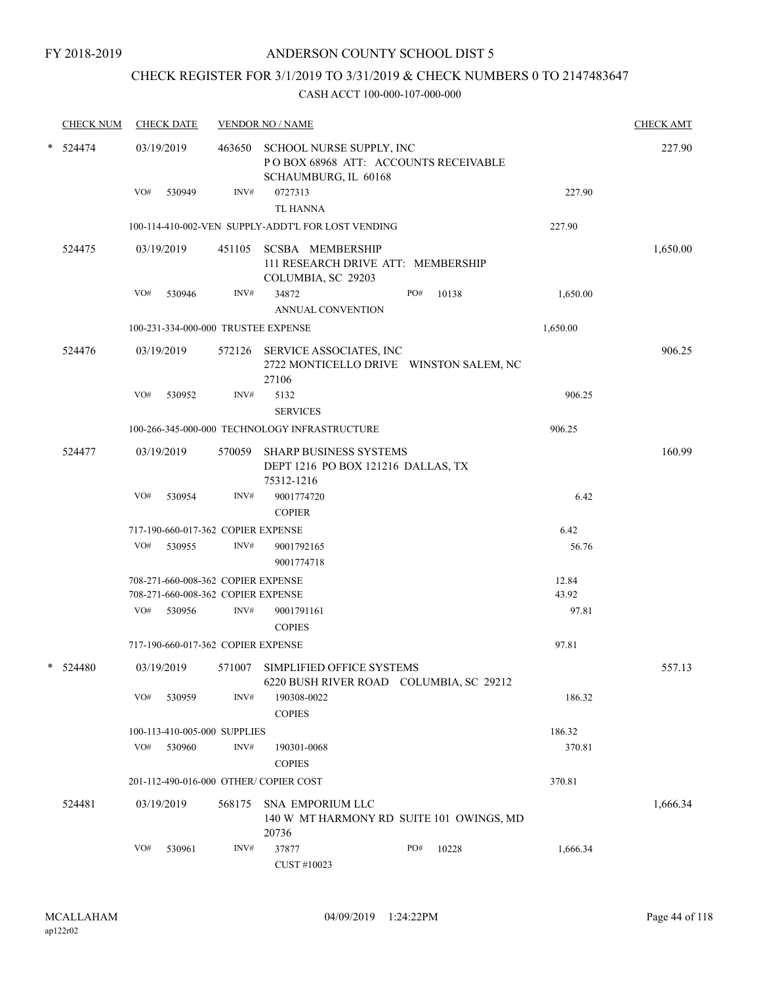# CHECK REGISTER FOR 3/1/2019 TO 3/31/2019 & CHECK NUMBERS 0 TO 2147483647

|   | <b>CHECK NUM</b> |     | <b>CHECK DATE</b> |                                    | <b>VENDOR NO / NAME</b>               |                                                                                                 |              |          | <b>CHECK AMT</b> |
|---|------------------|-----|-------------------|------------------------------------|---------------------------------------|-------------------------------------------------------------------------------------------------|--------------|----------|------------------|
| * | 524474           |     | 03/19/2019        |                                    |                                       | 463650 SCHOOL NURSE SUPPLY, INC<br>POBOX 68968 ATT: ACCOUNTS RECEIVABLE<br>SCHAUMBURG, IL 60168 |              |          | 227.90           |
|   |                  | VO# | 530949            | INV#                               | 0727313<br><b>TL HANNA</b>            |                                                                                                 |              | 227.90   |                  |
|   |                  |     |                   |                                    |                                       | 100-114-410-002-VEN SUPPLY-ADDT'L FOR LOST VENDING                                              |              | 227.90   |                  |
|   | 524475           |     | 03/19/2019        |                                    |                                       | 451105 SCSBA MEMBERSHIP<br>111 RESEARCH DRIVE ATT: MEMBERSHIP<br>COLUMBIA, SC 29203             |              |          | 1,650.00         |
|   |                  | VO# | 530946            | INV#                               | 34872                                 | ANNUAL CONVENTION                                                                               | PO#<br>10138 | 1,650.00 |                  |
|   |                  |     |                   |                                    | 100-231-334-000-000 TRUSTEE EXPENSE   |                                                                                                 |              | 1,650.00 |                  |
|   | 524476           |     | 03/19/2019        |                                    | 27106                                 | 572126 SERVICE ASSOCIATES, INC<br>2722 MONTICELLO DRIVE WINSTON SALEM, NC                       |              |          | 906.25           |
|   |                  | VO# | 530952            | INV#                               | 5132<br><b>SERVICES</b>               |                                                                                                 |              | 906.25   |                  |
|   |                  |     |                   |                                    |                                       | 100-266-345-000-000 TECHNOLOGY INFRASTRUCTURE                                                   |              | 906.25   |                  |
|   | 524477           |     | 03/19/2019        |                                    | 75312-1216                            | 570059 SHARP BUSINESS SYSTEMS<br>DEPT 1216 PO BOX 121216 DALLAS, TX                             |              |          | 160.99           |
|   |                  | VO# | 530954            | INV#                               | 9001774720<br><b>COPIER</b>           |                                                                                                 |              | 6.42     |                  |
|   |                  |     |                   | 717-190-660-017-362 COPIER EXPENSE |                                       |                                                                                                 |              | 6.42     |                  |
|   |                  | VO# | 530955            | INV#                               | 9001792165<br>9001774718              |                                                                                                 |              | 56.76    |                  |
|   |                  |     |                   | 708-271-660-008-362 COPIER EXPENSE |                                       |                                                                                                 |              | 12.84    |                  |
|   |                  |     |                   | 708-271-660-008-362 COPIER EXPENSE |                                       |                                                                                                 |              | 43.92    |                  |
|   |                  | VO# | 530956            | INV#                               | 9001791161<br><b>COPIES</b>           |                                                                                                 |              | 97.81    |                  |
|   |                  |     |                   | 717-190-660-017-362 COPIER EXPENSE |                                       |                                                                                                 |              | 97.81    |                  |
|   | * 524480         |     | 03/19/2019        | 571007                             |                                       | SIMPLIFIED OFFICE SYSTEMS<br>6220 BUSH RIVER ROAD COLUMBIA, SC 29212                            |              |          | 557.13           |
|   |                  | VO# | 530959            | INV#                               | 190308-0022<br><b>COPIES</b>          |                                                                                                 |              | 186.32   |                  |
|   |                  |     |                   | 100-113-410-005-000 SUPPLIES       |                                       |                                                                                                 |              | 186.32   |                  |
|   |                  | VO# | 530960            | INV#                               | 190301-0068<br><b>COPIES</b>          |                                                                                                 |              | 370.81   |                  |
|   |                  |     |                   |                                    | 201-112-490-016-000 OTHER/COPIER COST |                                                                                                 |              | 370.81   |                  |
|   | 524481           |     | 03/19/2019        | 568175                             | 20736                                 | <b>SNA EMPORIUM LLC</b><br>140 W MT HARMONY RD SUITE 101 OWINGS, MD                             |              |          | 1,666.34         |
|   |                  | VO# | 530961            | INV#                               | 37877<br>CUST #10023                  |                                                                                                 | PO#<br>10228 | 1,666.34 |                  |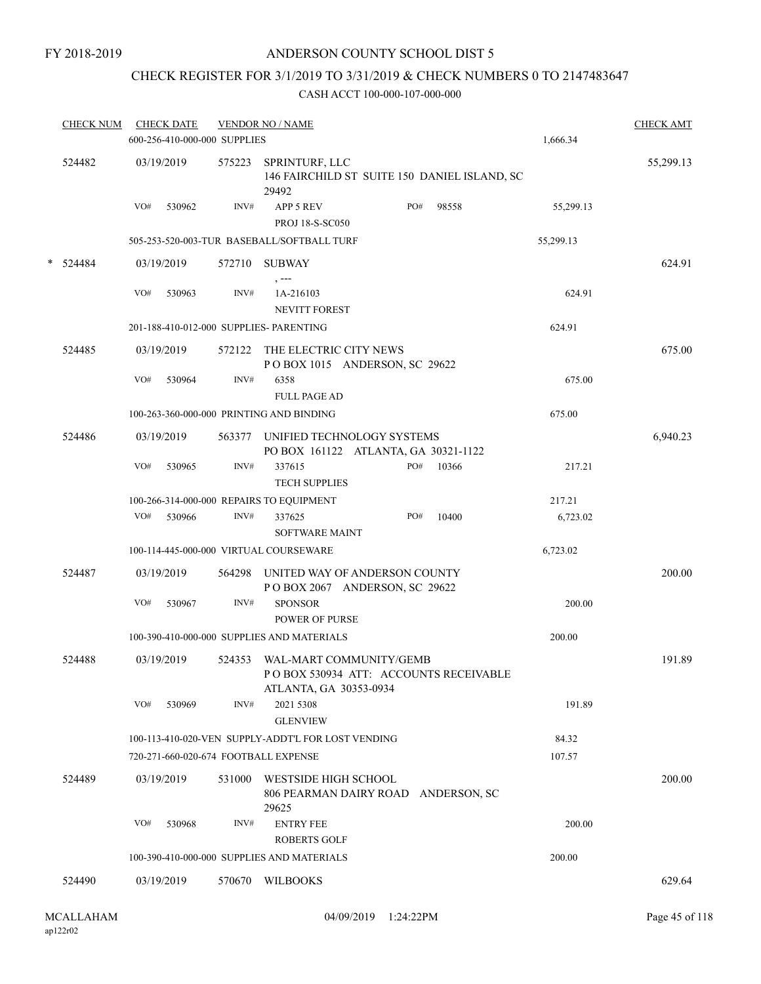# CHECK REGISTER FOR 3/1/2019 TO 3/31/2019 & CHECK NUMBERS 0 TO 2147483647

|   | <b>CHECK NUM</b> |     | <b>CHECK DATE</b><br>600-256-410-000-000 SUPPLIES |        | <b>VENDOR NO / NAME</b>                                                   |     |       | 1,666.34  | <b>CHECK AMT</b> |
|---|------------------|-----|---------------------------------------------------|--------|---------------------------------------------------------------------------|-----|-------|-----------|------------------|
|   | 524482           |     | 03/19/2019                                        | 575223 | SPRINTURF, LLC<br>146 FAIRCHILD ST SUITE 150 DANIEL ISLAND, SC<br>29492   |     |       |           | 55,299.13        |
|   |                  | VO# | 530962                                            | INV#   | <b>APP 5 REV</b><br><b>PROJ 18-S-SC050</b>                                | PO# | 98558 | 55,299.13 |                  |
|   |                  |     |                                                   |        | 505-253-520-003-TUR BASEBALL/SOFTBALL TURF                                |     |       | 55,299.13 |                  |
| * | 524484           |     | 03/19/2019                                        |        | 572710 SUBWAY<br>$, -- -$                                                 |     |       |           | 624.91           |
|   |                  | VO# | 530963                                            | INV#   | 1A-216103<br><b>NEVITT FOREST</b>                                         |     |       | 624.91    |                  |
|   |                  |     |                                                   |        | 201-188-410-012-000 SUPPLIES- PARENTING                                   |     |       | 624.91    |                  |
|   | 524485           |     | 03/19/2019                                        |        | 572122 THE ELECTRIC CITY NEWS<br>POBOX 1015 ANDERSON, SC 29622            |     |       |           | 675.00           |
|   |                  | VO# | 530964                                            | INV#   | 6358<br><b>FULL PAGE AD</b>                                               |     |       | 675.00    |                  |
|   |                  |     |                                                   |        | 100-263-360-000-000 PRINTING AND BINDING                                  |     |       | 675.00    |                  |
|   | 524486           |     | 03/19/2019                                        |        | 563377 UNIFIED TECHNOLOGY SYSTEMS<br>PO BOX 161122 ATLANTA, GA 30321-1122 |     |       |           | 6,940.23         |
|   |                  | VO# | 530965                                            | INV#   | 337615<br><b>TECH SUPPLIES</b>                                            | PO# | 10366 | 217.21    |                  |
|   |                  |     |                                                   |        | 100-266-314-000-000 REPAIRS TO EQUIPMENT                                  |     |       | 217.21    |                  |
|   |                  |     | VO# 530966                                        | INV#   | 337625<br>SOFTWARE MAINT                                                  | PO# | 10400 | 6,723.02  |                  |
|   |                  |     |                                                   |        | 100-114-445-000-000 VIRTUAL COURSEWARE                                    |     |       | 6,723.02  |                  |
|   | 524487           |     | 03/19/2019                                        |        | 564298 UNITED WAY OF ANDERSON COUNTY<br>POBOX 2067 ANDERSON, SC 29622     |     |       |           | 200.00           |
|   |                  | VO# | 530967                                            | INV#   | <b>SPONSOR</b><br><b>POWER OF PURSE</b>                                   |     |       | 200.00    |                  |
|   |                  |     |                                                   |        | 100-390-410-000-000 SUPPLIES AND MATERIALS                                |     |       | 200.00    |                  |
|   | 524488           |     | 03/19/2019                                        |        | 524353 WAL-MART COMMUNITY/GEMB<br>POBOX 530934 ATT: ACCOUNTS RECEIVABLE   |     |       |           | 191.89           |
|   |                  | VO# | 530969                                            | INV#   | ATLANTA, GA 30353-0934<br>2021 5308<br><b>GLENVIEW</b>                    |     |       | 191.89    |                  |
|   |                  |     |                                                   |        | 100-113-410-020-VEN SUPPLY-ADDT'L FOR LOST VENDING                        |     |       | 84.32     |                  |
|   |                  |     |                                                   |        | 720-271-660-020-674 FOOTBALL EXPENSE                                      |     |       | 107.57    |                  |
|   | 524489           |     | 03/19/2019                                        | 531000 | WESTSIDE HIGH SCHOOL<br>806 PEARMAN DAIRY ROAD ANDERSON, SC<br>29625      |     |       |           | 200.00           |
|   |                  | VO# | 530968                                            | INV#   | <b>ENTRY FEE</b><br><b>ROBERTS GOLF</b>                                   |     |       | 200.00    |                  |
|   |                  |     |                                                   |        | 100-390-410-000-000 SUPPLIES AND MATERIALS                                |     |       | 200.00    |                  |
|   | 524490           |     | 03/19/2019                                        | 570670 | <b>WILBOOKS</b>                                                           |     |       |           | 629.64           |
|   |                  |     |                                                   |        |                                                                           |     |       |           |                  |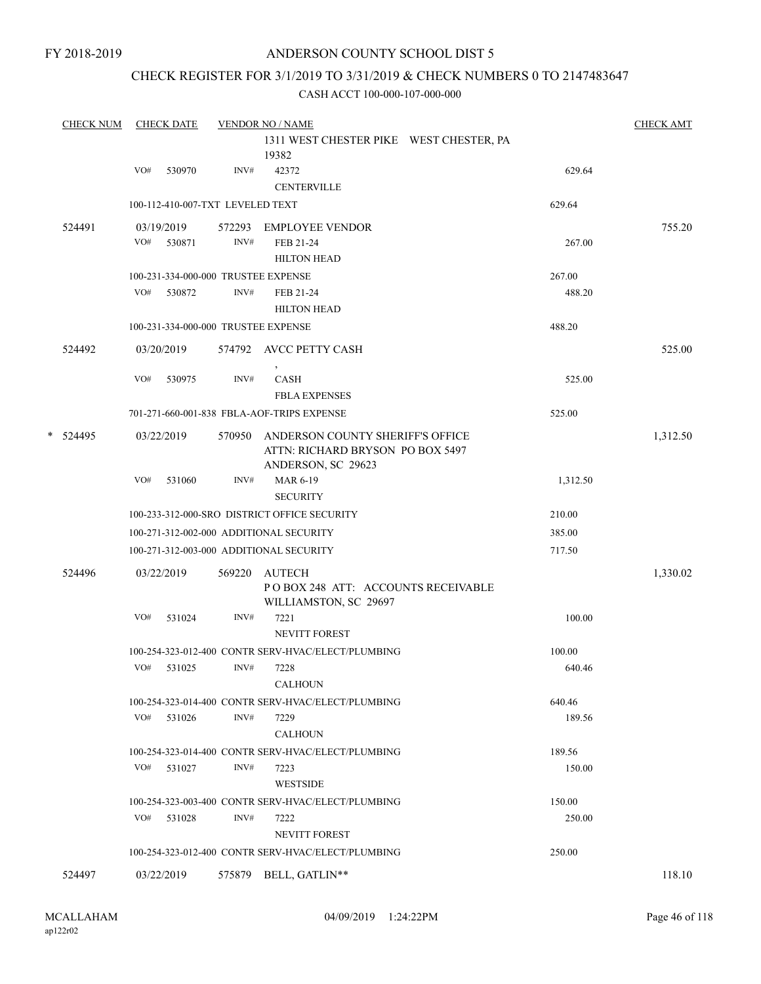FY 2018-2019

### ANDERSON COUNTY SCHOOL DIST 5

### CHECK REGISTER FOR 3/1/2019 TO 3/31/2019 & CHECK NUMBERS 0 TO 2147483647

|   | <b>CHECK NUM</b> | <b>CHECK DATE</b> |                                  |                | <b>VENDOR NO / NAME</b>                                                                    |                  | <b>CHECK AMT</b> |
|---|------------------|-------------------|----------------------------------|----------------|--------------------------------------------------------------------------------------------|------------------|------------------|
|   |                  |                   |                                  |                | 1311 WEST CHESTER PIKE WEST CHESTER, PA<br>19382                                           |                  |                  |
|   |                  | VO#               | 530970                           | INV#           | 42372<br><b>CENTERVILLE</b>                                                                | 629.64           |                  |
|   |                  |                   | 100-112-410-007-TXT LEVELED TEXT |                |                                                                                            | 629.64           |                  |
|   | 524491           | 03/19/2019<br>VO# | 530871                           | 572293<br>INV# | <b>EMPLOYEE VENDOR</b><br>FEB 21-24<br><b>HILTON HEAD</b>                                  | 267.00           | 755.20           |
|   |                  |                   |                                  |                | 100-231-334-000-000 TRUSTEE EXPENSE                                                        | 267.00           |                  |
|   |                  | VO#               | 530872                           | INV#           | FEB 21-24<br><b>HILTON HEAD</b>                                                            | 488.20           |                  |
|   |                  |                   |                                  |                | 100-231-334-000-000 TRUSTEE EXPENSE                                                        | 488.20           |                  |
|   | 524492           | 03/20/2019        |                                  |                | 574792 AVCC PETTY CASH                                                                     |                  | 525.00           |
|   |                  | VO#               | 530975                           | INV#           | CASH<br><b>FBLA EXPENSES</b>                                                               | 525.00           |                  |
|   |                  |                   |                                  |                | 701-271-660-001-838 FBLA-AOF-TRIPS EXPENSE                                                 | 525.00           |                  |
| * | 524495           | 03/22/2019        |                                  | 570950         | ANDERSON COUNTY SHERIFF'S OFFICE<br>ATTN: RICHARD BRYSON PO BOX 5497<br>ANDERSON, SC 29623 |                  | 1,312.50         |
|   |                  | VO#               | 531060                           | INV#           | <b>MAR 6-19</b><br><b>SECURITY</b>                                                         | 1,312.50         |                  |
|   |                  |                   |                                  |                | 100-233-312-000-SRO DISTRICT OFFICE SECURITY                                               | 210.00           |                  |
|   |                  |                   |                                  |                | 100-271-312-002-000 ADDITIONAL SECURITY                                                    | 385.00           |                  |
|   |                  |                   |                                  |                | 100-271-312-003-000 ADDITIONAL SECURITY                                                    | 717.50           |                  |
|   | 524496           | 03/22/2019        |                                  | 569220         | AUTECH<br>PO BOX 248 ATT: ACCOUNTS RECEIVABLE<br>WILLIAMSTON, SC 29697                     |                  | 1,330.02         |
|   |                  | VO#               | 531024                           | INV#           | 7221<br><b>NEVITT FOREST</b>                                                               | 100.00           |                  |
|   |                  | VO#               | 531025                           | INV#           | 100-254-323-012-400 CONTR SERV-HVAC/ELECT/PLUMBING<br>7228<br><b>CALHOUN</b>               | 100.00<br>640.46 |                  |
|   |                  |                   |                                  |                | 100-254-323-014-400 CONTR SERV-HVAC/ELECT/PLUMBING                                         | 640.46           |                  |
|   |                  | VO#               | 531026                           | INV#           | 7229<br><b>CALHOUN</b>                                                                     | 189.56           |                  |
|   |                  |                   |                                  |                | 100-254-323-014-400 CONTR SERV-HVAC/ELECT/PLUMBING                                         | 189.56           |                  |
|   |                  | VO#               | 531027                           | INV#           | 7223<br><b>WESTSIDE</b>                                                                    | 150.00           |                  |
|   |                  |                   |                                  |                | 100-254-323-003-400 CONTR SERV-HVAC/ELECT/PLUMBING                                         | 150.00           |                  |
|   |                  | VO# 531028        |                                  | INV#           | 7222<br><b>NEVITT FOREST</b>                                                               | 250.00           |                  |
|   |                  |                   |                                  |                | 100-254-323-012-400 CONTR SERV-HVAC/ELECT/PLUMBING                                         | 250.00           |                  |
|   | 524497           | 03/22/2019        |                                  | 575879         | BELL, GATLIN**                                                                             |                  | 118.10           |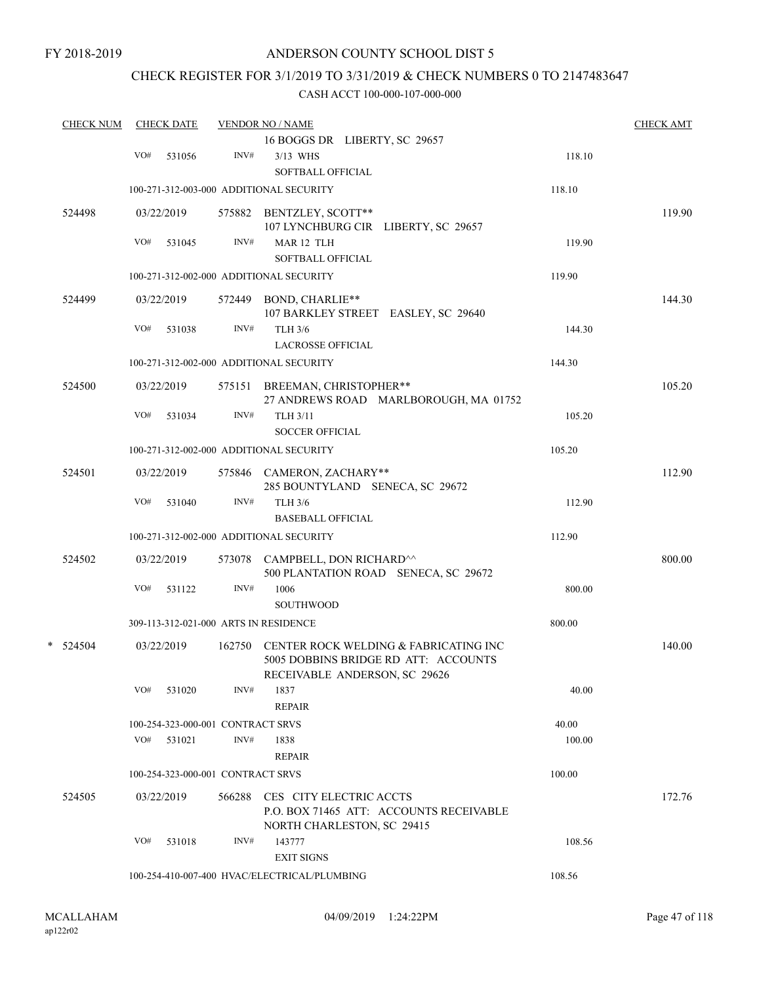### CHECK REGISTER FOR 3/1/2019 TO 3/31/2019 & CHECK NUMBERS 0 TO 2147483647

| <b>CHECK NUM</b> |     | <b>CHECK DATE</b>                 |        | <b>VENDOR NO / NAME</b>                                                                                        |        | <b>CHECK AMT</b> |
|------------------|-----|-----------------------------------|--------|----------------------------------------------------------------------------------------------------------------|--------|------------------|
|                  |     |                                   |        | 16 BOGGS DR LIBERTY, SC 29657                                                                                  |        |                  |
|                  | VO# | 531056                            | INV#   | 3/13 WHS<br>SOFTBALL OFFICIAL                                                                                  | 118.10 |                  |
|                  |     |                                   |        | 100-271-312-003-000 ADDITIONAL SECURITY                                                                        | 118.10 |                  |
| 524498           |     | 03/22/2019                        |        | 575882 BENTZLEY, SCOTT**<br>107 LYNCHBURG CIR LIBERTY, SC 29657                                                |        | 119.90           |
|                  | VO# | 531045                            | INV#   | MAR 12 TLH<br>SOFTBALL OFFICIAL                                                                                | 119.90 |                  |
|                  |     |                                   |        | 100-271-312-002-000 ADDITIONAL SECURITY                                                                        | 119.90 |                  |
| 524499           |     | 03/22/2019                        |        | 572449 BOND, CHARLIE**<br>107 BARKLEY STREET EASLEY, SC 29640                                                  |        | 144.30           |
|                  | VO# | 531038                            | INV#   | <b>TLH 3/6</b><br><b>LACROSSE OFFICIAL</b>                                                                     | 144.30 |                  |
|                  |     |                                   |        | 100-271-312-002-000 ADDITIONAL SECURITY                                                                        | 144.30 |                  |
| 524500           |     | 03/22/2019                        |        | 575151 BREEMAN, CHRISTOPHER**<br>27 ANDREWS ROAD MARLBOROUGH, MA 01752                                         |        | 105.20           |
|                  | VO# | 531034                            | INV#   | <b>TLH 3/11</b><br><b>SOCCER OFFICIAL</b>                                                                      | 105.20 |                  |
|                  |     |                                   |        | 100-271-312-002-000 ADDITIONAL SECURITY                                                                        | 105.20 |                  |
| 524501           |     | 03/22/2019                        |        | 575846 CAMERON, ZACHARY**<br>285 BOUNTYLAND SENECA, SC 29672                                                   |        | 112.90           |
|                  | VO# | 531040                            | INV#   | <b>TLH 3/6</b><br><b>BASEBALL OFFICIAL</b>                                                                     | 112.90 |                  |
|                  |     |                                   |        | 100-271-312-002-000 ADDITIONAL SECURITY                                                                        | 112.90 |                  |
| 524502           |     | 03/22/2019                        |        | 573078 CAMPBELL, DON RICHARD <sup>^^</sup><br>500 PLANTATION ROAD SENECA, SC 29672                             |        | 800.00           |
|                  | VO# | 531122                            | INV#   | 1006<br><b>SOUTHWOOD</b>                                                                                       | 800.00 |                  |
|                  |     |                                   |        | 309-113-312-021-000 ARTS IN RESIDENCE                                                                          | 800.00 |                  |
| $*$ 524504       |     | 03/22/2019                        | 162750 | CENTER ROCK WELDING & FABRICATING INC<br>5005 DOBBINS BRIDGE RD ATT: ACCOUNTS<br>RECEIVABLE ANDERSON, SC 29626 |        | 140.00           |
|                  | VO# | 531020                            | INV#   | 1837<br><b>REPAIR</b>                                                                                          | 40.00  |                  |
|                  |     | 100-254-323-000-001 CONTRACT SRVS |        |                                                                                                                | 40.00  |                  |
|                  |     | VO# 531021                        | INV#   | 1838<br><b>REPAIR</b>                                                                                          | 100.00 |                  |
|                  |     | 100-254-323-000-001 CONTRACT SRVS |        |                                                                                                                | 100.00 |                  |
| 524505           |     | 03/22/2019                        | 566288 | CES CITY ELECTRIC ACCTS<br>P.O. BOX 71465 ATT: ACCOUNTS RECEIVABLE<br>NORTH CHARLESTON, SC 29415               |        | 172.76           |
|                  | VO# | 531018                            | INV#   | 143777<br><b>EXIT SIGNS</b>                                                                                    | 108.56 |                  |
|                  |     |                                   |        | 100-254-410-007-400 HVAC/ELECTRICAL/PLUMBING                                                                   | 108.56 |                  |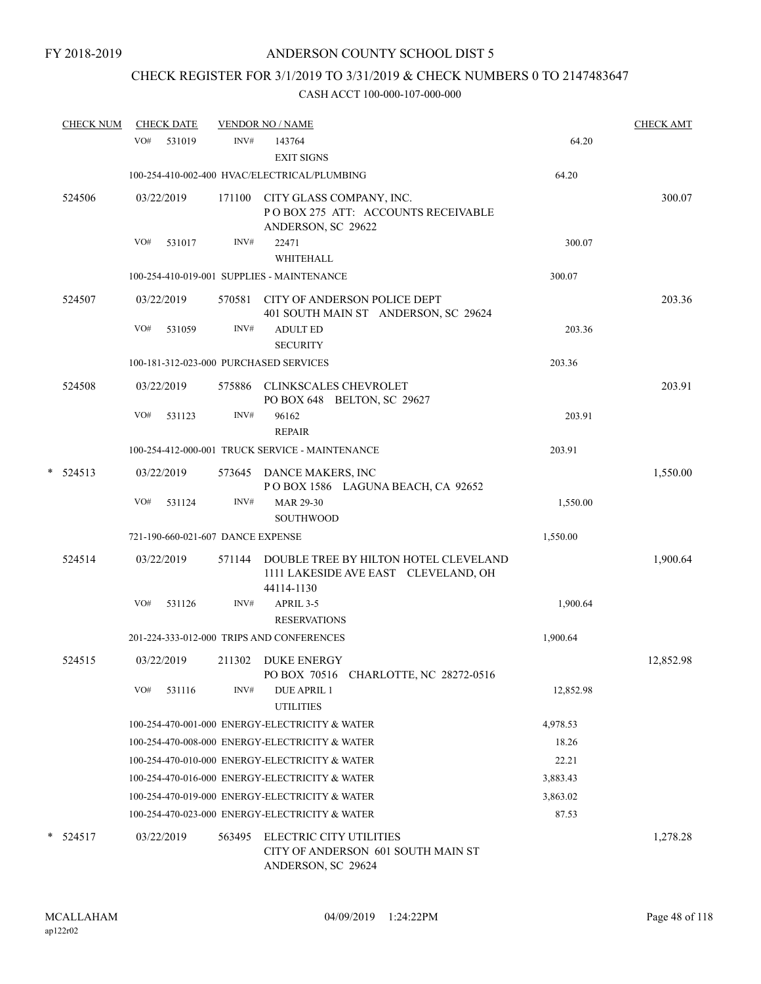# CHECK REGISTER FOR 3/1/2019 TO 3/31/2019 & CHECK NUMBERS 0 TO 2147483647

|   | <b>CHECK NUM</b> |     | <b>CHECK DATE</b>                 |        | <b>VENDOR NO / NAME</b>                                                                     |           | <b>CHECK AMT</b> |
|---|------------------|-----|-----------------------------------|--------|---------------------------------------------------------------------------------------------|-----------|------------------|
|   |                  | VO# | 531019                            | INV#   | 143764                                                                                      | 64.20     |                  |
|   |                  |     |                                   |        | <b>EXIT SIGNS</b>                                                                           |           |                  |
|   |                  |     |                                   |        | 100-254-410-002-400 HVAC/ELECTRICAL/PLUMBING                                                | 64.20     |                  |
|   | 524506           |     | 03/22/2019                        |        | 171100 CITY GLASS COMPANY, INC.<br>POBOX 275 ATT: ACCOUNTS RECEIVABLE<br>ANDERSON, SC 29622 |           | 300.07           |
|   |                  | VO# | 531017                            | INV#   | 22471<br>WHITEHALL                                                                          | 300.07    |                  |
|   |                  |     |                                   |        | 100-254-410-019-001 SUPPLIES - MAINTENANCE                                                  | 300.07    |                  |
|   | 524507           |     | 03/22/2019                        | 570581 | CITY OF ANDERSON POLICE DEPT<br>401 SOUTH MAIN ST ANDERSON, SC 29624                        |           | 203.36           |
|   |                  | VO# | 531059                            | INV#   | <b>ADULT ED</b><br><b>SECURITY</b>                                                          | 203.36    |                  |
|   |                  |     |                                   |        | 100-181-312-023-000 PURCHASED SERVICES                                                      | 203.36    |                  |
|   | 524508           |     | 03/22/2019                        | 575886 | <b>CLINKSCALES CHEVROLET</b><br>PO BOX 648 BELTON, SC 29627                                 |           | 203.91           |
|   |                  | VO# | 531123                            | INV#   | 96162<br><b>REPAIR</b>                                                                      | 203.91    |                  |
|   |                  |     |                                   |        | 100-254-412-000-001 TRUCK SERVICE - MAINTENANCE                                             | 203.91    |                  |
| * | 524513           |     | 03/22/2019                        |        | 573645 DANCE MAKERS, INC<br>POBOX 1586 LAGUNA BEACH, CA 92652                               |           | 1,550.00         |
|   |                  | VO# | 531124                            | INV#   | MAR 29-30<br><b>SOUTHWOOD</b>                                                               | 1,550.00  |                  |
|   |                  |     | 721-190-660-021-607 DANCE EXPENSE |        |                                                                                             | 1,550.00  |                  |
|   | 524514           |     | 03/22/2019                        | 571144 | DOUBLE TREE BY HILTON HOTEL CLEVELAND<br>1111 LAKESIDE AVE EAST CLEVELAND, OH<br>44114-1130 |           | 1,900.64         |
|   |                  | VO# | 531126                            | INV#   | APRIL 3-5<br><b>RESERVATIONS</b>                                                            | 1,900.64  |                  |
|   |                  |     |                                   |        | 201-224-333-012-000 TRIPS AND CONFERENCES                                                   | 1,900.64  |                  |
|   | 524515           |     | 03/22/2019                        |        | 211302 DUKE ENERGY<br>PO BOX 70516 CHARLOTTE, NC 28272-0516                                 |           | 12,852.98        |
|   |                  | VO# | 531116                            | INV#   | <b>DUE APRIL 1</b><br><b>UTILITIES</b>                                                      | 12,852.98 |                  |
|   |                  |     |                                   |        | 100-254-470-001-000 ENERGY-ELECTRICITY & WATER                                              | 4,978.53  |                  |
|   |                  |     |                                   |        | 100-254-470-008-000 ENERGY-ELECTRICITY & WATER                                              | 18.26     |                  |
|   |                  |     |                                   |        | 100-254-470-010-000 ENERGY-ELECTRICITY & WATER                                              | 22.21     |                  |
|   |                  |     |                                   |        | 100-254-470-016-000 ENERGY-ELECTRICITY & WATER                                              | 3,883.43  |                  |
|   |                  |     |                                   |        | 100-254-470-019-000 ENERGY-ELECTRICITY & WATER                                              | 3,863.02  |                  |
|   |                  |     |                                   |        | 100-254-470-023-000 ENERGY-ELECTRICITY & WATER                                              | 87.53     |                  |
|   | $* 524517$       |     | 03/22/2019                        | 563495 | ELECTRIC CITY UTILITIES<br>CITY OF ANDERSON 601 SOUTH MAIN ST<br>ANDERSON, SC 29624         |           | 1,278.28         |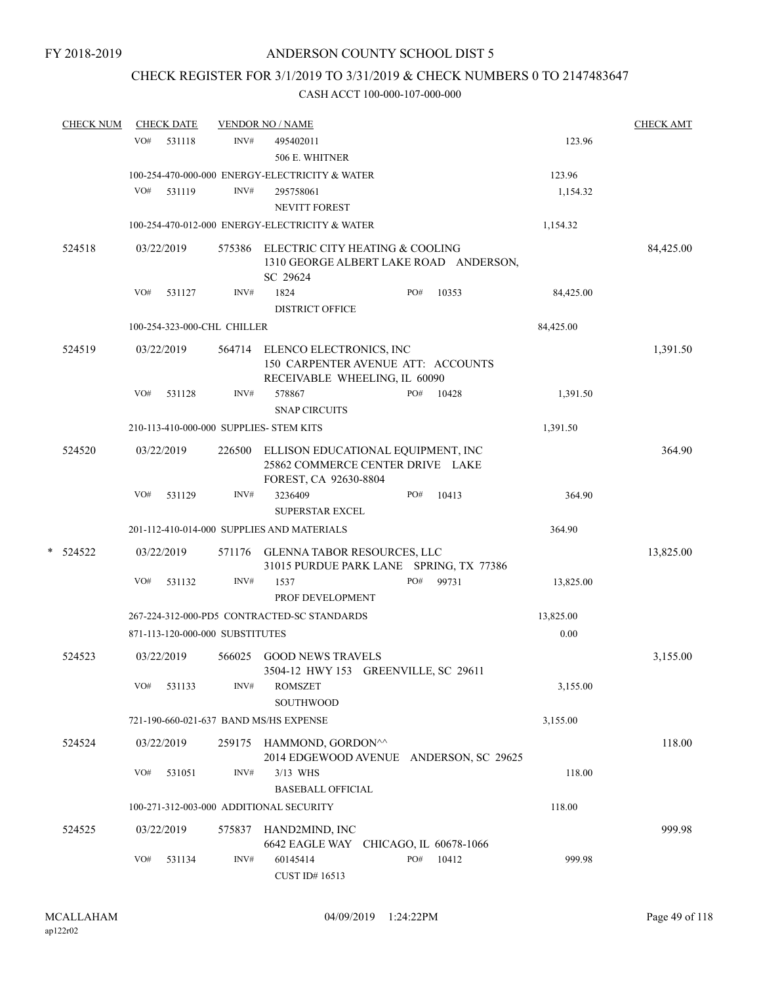# CHECK REGISTER FOR 3/1/2019 TO 3/31/2019 & CHECK NUMBERS 0 TO 2147483647

|   | <b>CHECK NUM</b> |     | <b>CHECK DATE</b> |                                 | <b>VENDOR NO / NAME</b>                                                                               |     |       |           | <b>CHECK AMT</b> |
|---|------------------|-----|-------------------|---------------------------------|-------------------------------------------------------------------------------------------------------|-----|-------|-----------|------------------|
|   |                  | VO# | 531118            | INV#                            | 495402011                                                                                             |     |       | 123.96    |                  |
|   |                  |     |                   |                                 | 506 E. WHITNER                                                                                        |     |       |           |                  |
|   |                  |     |                   |                                 | 100-254-470-000-000 ENERGY-ELECTRICITY & WATER                                                        |     |       | 123.96    |                  |
|   |                  | VO# | 531119            | INV#                            | 295758061                                                                                             |     |       | 1,154.32  |                  |
|   |                  |     |                   |                                 | NEVITT FOREST                                                                                         |     |       |           |                  |
|   |                  |     |                   |                                 | 100-254-470-012-000 ENERGY-ELECTRICITY & WATER                                                        |     |       | 1,154.32  |                  |
|   | 524518           |     | 03/22/2019        |                                 | 575386 ELECTRIC CITY HEATING & COOLING<br>1310 GEORGE ALBERT LAKE ROAD ANDERSON,<br>SC 29624          |     |       |           | 84,425.00        |
|   |                  | VO# | 531127            | INV#                            | 1824                                                                                                  | PO# | 10353 | 84,425.00 |                  |
|   |                  |     |                   |                                 | <b>DISTRICT OFFICE</b>                                                                                |     |       |           |                  |
|   |                  |     |                   | 100-254-323-000-CHL CHILLER     |                                                                                                       |     |       | 84,425.00 |                  |
|   | 524519           |     | 03/22/2019        |                                 | 564714 ELENCO ELECTRONICS, INC<br>150 CARPENTER AVENUE ATT: ACCOUNTS<br>RECEIVABLE WHEELING, IL 60090 |     |       |           | 1,391.50         |
|   |                  | VO# | 531128            | INV#                            | 578867<br><b>SNAP CIRCUITS</b>                                                                        | PO# | 10428 | 1,391.50  |                  |
|   |                  |     |                   |                                 | 210-113-410-000-000 SUPPLIES- STEM KITS                                                               |     |       | 1,391.50  |                  |
|   | 524520           |     | 03/22/2019        | 226500                          | ELLISON EDUCATIONAL EQUIPMENT, INC<br>25862 COMMERCE CENTER DRIVE LAKE<br>FOREST, CA 92630-8804       |     |       |           | 364.90           |
|   |                  | VO# | 531129            | INV#                            | 3236409<br><b>SUPERSTAR EXCEL</b>                                                                     | PO# | 10413 | 364.90    |                  |
|   |                  |     |                   |                                 | 201-112-410-014-000 SUPPLIES AND MATERIALS                                                            |     |       | 364.90    |                  |
| * | 524522           |     | 03/22/2019        |                                 | 571176 GLENNA TABOR RESOURCES, LLC<br>31015 PURDUE PARK LANE SPRING, TX 77386                         |     |       |           | 13,825.00        |
|   |                  | VO# | 531132            | INV#                            | 1537<br>PROF DEVELOPMENT                                                                              | PO# | 99731 | 13,825.00 |                  |
|   |                  |     |                   |                                 | 267-224-312-000-PD5 CONTRACTED-SC STANDARDS                                                           |     |       | 13,825.00 |                  |
|   |                  |     |                   | 871-113-120-000-000 SUBSTITUTES |                                                                                                       |     |       | 0.00      |                  |
|   | 524523           |     | 03/22/2019        | 566025                          | <b>GOOD NEWS TRAVELS</b><br>3504-12 HWY 153 GREENVILLE, SC 29611                                      |     |       |           | 3,155.00         |
|   |                  | VO# | 531133            | INV#                            | <b>ROMSZET</b><br>SOUTHWOOD                                                                           |     |       | 3,155.00  |                  |
|   |                  |     |                   |                                 | 721-190-660-021-637 BAND MS/HS EXPENSE                                                                |     |       | 3,155.00  |                  |
|   | 524524           |     | 03/22/2019        |                                 | 259175 HAMMOND, GORDON <sup>^^</sup><br>2014 EDGEWOOD AVENUE ANDERSON, SC 29625                       |     |       |           | 118.00           |
|   |                  | VO# | 531051            | INV#                            | 3/13 WHS<br><b>BASEBALL OFFICIAL</b>                                                                  |     |       | 118.00    |                  |
|   |                  |     |                   |                                 | 100-271-312-003-000 ADDITIONAL SECURITY                                                               |     |       | 118.00    |                  |
|   | 524525           |     | 03/22/2019        | 575837                          | HAND2MIND, INC<br>6642 EAGLE WAY CHICAGO, IL 60678-1066                                               |     |       |           | 999.98           |
|   |                  | VO# | 531134            | INV#                            | 60145414<br>CUST ID# 16513                                                                            | PO# | 10412 | 999.98    |                  |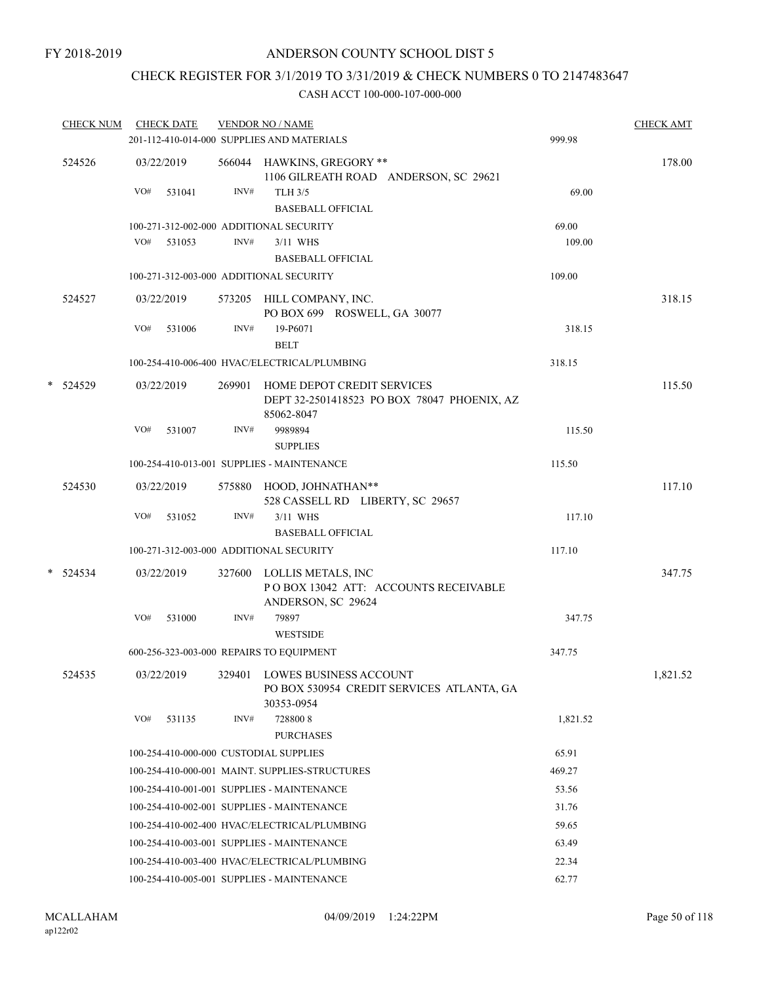# CHECK REGISTER FOR 3/1/2019 TO 3/31/2019 & CHECK NUMBERS 0 TO 2147483647

| <b>CHECK NUM</b> |     |        |                                                                                                                     |                                             |                                                                                                                                                                                                                                                                                                                                                                                                                                                                                                                                                                                                                                                                                                                                                                                                                                                                                                                                                                                                                                                                  | <b>CHECK AMT</b> |
|------------------|-----|--------|---------------------------------------------------------------------------------------------------------------------|---------------------------------------------|------------------------------------------------------------------------------------------------------------------------------------------------------------------------------------------------------------------------------------------------------------------------------------------------------------------------------------------------------------------------------------------------------------------------------------------------------------------------------------------------------------------------------------------------------------------------------------------------------------------------------------------------------------------------------------------------------------------------------------------------------------------------------------------------------------------------------------------------------------------------------------------------------------------------------------------------------------------------------------------------------------------------------------------------------------------|------------------|
|                  |     |        |                                                                                                                     |                                             |                                                                                                                                                                                                                                                                                                                                                                                                                                                                                                                                                                                                                                                                                                                                                                                                                                                                                                                                                                                                                                                                  |                  |
| 524526           |     |        |                                                                                                                     | 1106 GILREATH ROAD ANDERSON, SC 29621       |                                                                                                                                                                                                                                                                                                                                                                                                                                                                                                                                                                                                                                                                                                                                                                                                                                                                                                                                                                                                                                                                  | 178.00           |
|                  | VO# | 531041 | INV#                                                                                                                | <b>TLH 3/5</b><br><b>BASEBALL OFFICIAL</b>  | 69.00                                                                                                                                                                                                                                                                                                                                                                                                                                                                                                                                                                                                                                                                                                                                                                                                                                                                                                                                                                                                                                                            |                  |
|                  |     |        |                                                                                                                     |                                             | 69.00                                                                                                                                                                                                                                                                                                                                                                                                                                                                                                                                                                                                                                                                                                                                                                                                                                                                                                                                                                                                                                                            |                  |
|                  |     |        | INV#                                                                                                                | 3/11 WHS                                    | 109.00                                                                                                                                                                                                                                                                                                                                                                                                                                                                                                                                                                                                                                                                                                                                                                                                                                                                                                                                                                                                                                                           |                  |
|                  |     |        |                                                                                                                     |                                             | 109.00                                                                                                                                                                                                                                                                                                                                                                                                                                                                                                                                                                                                                                                                                                                                                                                                                                                                                                                                                                                                                                                           |                  |
| 524527           |     |        |                                                                                                                     |                                             |                                                                                                                                                                                                                                                                                                                                                                                                                                                                                                                                                                                                                                                                                                                                                                                                                                                                                                                                                                                                                                                                  | 318.15           |
|                  | VO# | 531006 | INV#                                                                                                                | 19-P6071<br><b>BELT</b>                     | 318.15                                                                                                                                                                                                                                                                                                                                                                                                                                                                                                                                                                                                                                                                                                                                                                                                                                                                                                                                                                                                                                                           |                  |
|                  |     |        |                                                                                                                     |                                             | 318.15                                                                                                                                                                                                                                                                                                                                                                                                                                                                                                                                                                                                                                                                                                                                                                                                                                                                                                                                                                                                                                                           |                  |
| * 524529         |     |        |                                                                                                                     | DEPT 32-2501418523 PO BOX 78047 PHOENIX, AZ |                                                                                                                                                                                                                                                                                                                                                                                                                                                                                                                                                                                                                                                                                                                                                                                                                                                                                                                                                                                                                                                                  | 115.50           |
|                  | VO# | 531007 | INV#                                                                                                                | 9989894<br><b>SUPPLIES</b>                  | 115.50                                                                                                                                                                                                                                                                                                                                                                                                                                                                                                                                                                                                                                                                                                                                                                                                                                                                                                                                                                                                                                                           |                  |
|                  |     |        |                                                                                                                     |                                             | 115.50                                                                                                                                                                                                                                                                                                                                                                                                                                                                                                                                                                                                                                                                                                                                                                                                                                                                                                                                                                                                                                                           |                  |
| 524530           |     |        |                                                                                                                     | 528 CASSELL RD LIBERTY, SC 29657            |                                                                                                                                                                                                                                                                                                                                                                                                                                                                                                                                                                                                                                                                                                                                                                                                                                                                                                                                                                                                                                                                  | 117.10           |
|                  | VO# | 531052 | INV#                                                                                                                | 3/11 WHS<br><b>BASEBALL OFFICIAL</b>        | 117.10                                                                                                                                                                                                                                                                                                                                                                                                                                                                                                                                                                                                                                                                                                                                                                                                                                                                                                                                                                                                                                                           |                  |
|                  |     |        |                                                                                                                     |                                             | 117.10                                                                                                                                                                                                                                                                                                                                                                                                                                                                                                                                                                                                                                                                                                                                                                                                                                                                                                                                                                                                                                                           |                  |
| $* 524534$       |     |        |                                                                                                                     | POBOX 13042 ATT: ACCOUNTS RECEIVABLE        |                                                                                                                                                                                                                                                                                                                                                                                                                                                                                                                                                                                                                                                                                                                                                                                                                                                                                                                                                                                                                                                                  | 347.75           |
|                  | VO# | 531000 | INV#                                                                                                                | 79897<br><b>WESTSIDE</b>                    | 347.75                                                                                                                                                                                                                                                                                                                                                                                                                                                                                                                                                                                                                                                                                                                                                                                                                                                                                                                                                                                                                                                           |                  |
|                  |     |        |                                                                                                                     |                                             | 347.75                                                                                                                                                                                                                                                                                                                                                                                                                                                                                                                                                                                                                                                                                                                                                                                                                                                                                                                                                                                                                                                           |                  |
| 524535           |     |        |                                                                                                                     | PO BOX 530954 CREDIT SERVICES ATLANTA, GA   |                                                                                                                                                                                                                                                                                                                                                                                                                                                                                                                                                                                                                                                                                                                                                                                                                                                                                                                                                                                                                                                                  | 1,821.52         |
|                  | VO# | 531135 | INV#                                                                                                                | 7288008                                     | 1,821.52                                                                                                                                                                                                                                                                                                                                                                                                                                                                                                                                                                                                                                                                                                                                                                                                                                                                                                                                                                                                                                                         |                  |
|                  |     |        |                                                                                                                     |                                             | 65.91                                                                                                                                                                                                                                                                                                                                                                                                                                                                                                                                                                                                                                                                                                                                                                                                                                                                                                                                                                                                                                                            |                  |
|                  |     |        |                                                                                                                     |                                             | 469.27                                                                                                                                                                                                                                                                                                                                                                                                                                                                                                                                                                                                                                                                                                                                                                                                                                                                                                                                                                                                                                                           |                  |
|                  |     |        |                                                                                                                     |                                             | 53.56                                                                                                                                                                                                                                                                                                                                                                                                                                                                                                                                                                                                                                                                                                                                                                                                                                                                                                                                                                                                                                                            |                  |
|                  |     |        |                                                                                                                     |                                             | 31.76                                                                                                                                                                                                                                                                                                                                                                                                                                                                                                                                                                                                                                                                                                                                                                                                                                                                                                                                                                                                                                                            |                  |
|                  |     |        |                                                                                                                     |                                             | 59.65                                                                                                                                                                                                                                                                                                                                                                                                                                                                                                                                                                                                                                                                                                                                                                                                                                                                                                                                                                                                                                                            |                  |
|                  |     |        |                                                                                                                     |                                             | 63.49                                                                                                                                                                                                                                                                                                                                                                                                                                                                                                                                                                                                                                                                                                                                                                                                                                                                                                                                                                                                                                                            |                  |
|                  |     |        |                                                                                                                     |                                             | 22.34                                                                                                                                                                                                                                                                                                                                                                                                                                                                                                                                                                                                                                                                                                                                                                                                                                                                                                                                                                                                                                                            |                  |
|                  |     |        |                                                                                                                     |                                             | 62.77                                                                                                                                                                                                                                                                                                                                                                                                                                                                                                                                                                                                                                                                                                                                                                                                                                                                                                                                                                                                                                                            |                  |
|                  |     |        | <b>CHECK DATE</b><br>03/22/2019<br>VO# 531053<br>03/22/2019<br>03/22/2019<br>03/22/2019<br>03/22/2019<br>03/22/2019 |                                             | <b>VENDOR NO / NAME</b><br>201-112-410-014-000 SUPPLIES AND MATERIALS<br>566044 HAWKINS, GREGORY **<br>100-271-312-002-000 ADDITIONAL SECURITY<br><b>BASEBALL OFFICIAL</b><br>100-271-312-003-000 ADDITIONAL SECURITY<br>573205 HILL COMPANY, INC.<br>PO BOX 699 ROSWELL, GA 30077<br>100-254-410-006-400 HVAC/ELECTRICAL/PLUMBING<br>269901 HOME DEPOT CREDIT SERVICES<br>85062-8047<br>100-254-410-013-001 SUPPLIES - MAINTENANCE<br>575880 HOOD, JOHNATHAN**<br>100-271-312-003-000 ADDITIONAL SECURITY<br>327600 LOLLIS METALS, INC<br>ANDERSON, SC 29624<br>600-256-323-003-000 REPAIRS TO EQUIPMENT<br>329401 LOWES BUSINESS ACCOUNT<br>30353-0954<br><b>PURCHASES</b><br>100-254-410-000-000 CUSTODIAL SUPPLIES<br>100-254-410-000-001 MAINT. SUPPLIES-STRUCTURES<br>100-254-410-001-001 SUPPLIES - MAINTENANCE<br>100-254-410-002-001 SUPPLIES - MAINTENANCE<br>100-254-410-002-400 HVAC/ELECTRICAL/PLUMBING<br>100-254-410-003-001 SUPPLIES - MAINTENANCE<br>100-254-410-003-400 HVAC/ELECTRICAL/PLUMBING<br>100-254-410-005-001 SUPPLIES - MAINTENANCE | 999.98           |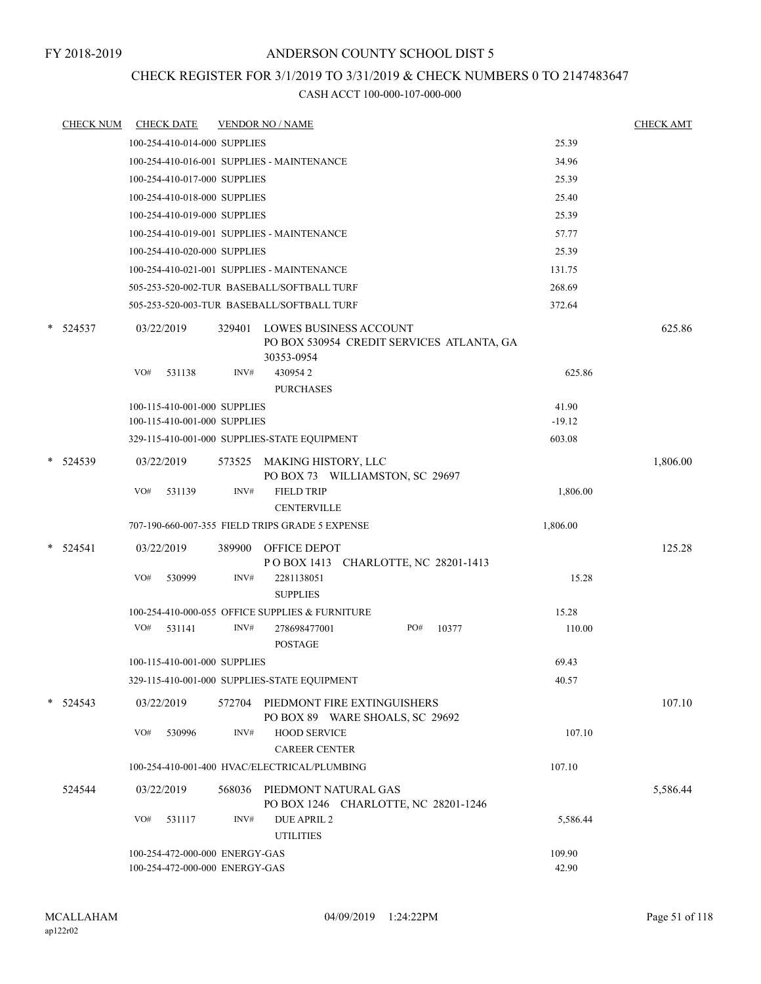### CHECK REGISTER FOR 3/1/2019 TO 3/31/2019 & CHECK NUMBERS 0 TO 2147483647

|        | <b>CHECK NUM</b> |     | <b>CHECK DATE</b>              |        | <b>VENDOR NO / NAME</b>                                                           |          | <b>CHECK AMT</b> |
|--------|------------------|-----|--------------------------------|--------|-----------------------------------------------------------------------------------|----------|------------------|
|        |                  |     | 100-254-410-014-000 SUPPLIES   |        |                                                                                   | 25.39    |                  |
|        |                  |     |                                |        | 100-254-410-016-001 SUPPLIES - MAINTENANCE                                        | 34.96    |                  |
|        |                  |     | 100-254-410-017-000 SUPPLIES   |        |                                                                                   | 25.39    |                  |
|        |                  |     | 100-254-410-018-000 SUPPLIES   |        |                                                                                   | 25.40    |                  |
|        |                  |     | 100-254-410-019-000 SUPPLIES   |        |                                                                                   | 25.39    |                  |
|        |                  |     |                                |        | 100-254-410-019-001 SUPPLIES - MAINTENANCE                                        | 57.77    |                  |
|        |                  |     | 100-254-410-020-000 SUPPLIES   |        |                                                                                   | 25.39    |                  |
|        |                  |     |                                |        | 100-254-410-021-001 SUPPLIES - MAINTENANCE                                        | 131.75   |                  |
|        |                  |     |                                |        | 505-253-520-002-TUR BASEBALL/SOFTBALL TURF                                        | 268.69   |                  |
|        |                  |     |                                |        | 505-253-520-003-TUR BASEBALL/SOFTBALL TURF                                        | 372.64   |                  |
| $\ast$ | 524537           |     | 03/22/2019                     | 329401 | LOWES BUSINESS ACCOUNT<br>PO BOX 530954 CREDIT SERVICES ATLANTA, GA<br>30353-0954 |          | 625.86           |
|        |                  | VO# | 531138                         | INV#   | 4309542<br><b>PURCHASES</b>                                                       | 625.86   |                  |
|        |                  |     | 100-115-410-001-000 SUPPLIES   |        |                                                                                   | 41.90    |                  |
|        |                  |     | 100-115-410-001-000 SUPPLIES   |        |                                                                                   | $-19.12$ |                  |
|        |                  |     |                                |        | 329-115-410-001-000 SUPPLIES-STATE EQUIPMENT                                      | 603.08   |                  |
| $\ast$ | 524539           |     | 03/22/2019                     | 573525 | MAKING HISTORY, LLC<br>PO BOX 73 WILLIAMSTON, SC 29697                            |          | 1,806.00         |
|        |                  | VO# | 531139                         | INV#   | <b>FIELD TRIP</b><br><b>CENTERVILLE</b>                                           | 1,806.00 |                  |
|        |                  |     |                                |        | 707-190-660-007-355 FIELD TRIPS GRADE 5 EXPENSE                                   | 1,806.00 |                  |
|        | * 524541         |     | 03/22/2019                     | 389900 | OFFICE DEPOT                                                                      |          | 125.28           |
|        |                  |     |                                |        | POBOX 1413 CHARLOTTE, NC 28201-1413                                               |          |                  |
|        |                  | VO# | 530999                         | INV#   | 2281138051<br><b>SUPPLIES</b>                                                     | 15.28    |                  |
|        |                  |     |                                |        | 100-254-410-000-055 OFFICE SUPPLIES & FURNITURE                                   | 15.28    |                  |
|        |                  | VO# | 531141                         | INV#   | PO#<br>10377<br>278698477001<br><b>POSTAGE</b>                                    | 110.00   |                  |
|        |                  |     | 100-115-410-001-000 SUPPLIES   |        |                                                                                   | 69.43    |                  |
|        |                  |     |                                |        | 329-115-410-001-000 SUPPLIES-STATE EQUIPMENT                                      | 40.57    |                  |
|        | $* 524543$       |     | 03/22/2019                     | 572704 | PIEDMONT FIRE EXTINGUISHERS<br>PO BOX 89 WARE SHOALS, SC 29692                    |          | 107.10           |
|        |                  | VO# | 530996                         | INV#   | <b>HOOD SERVICE</b><br><b>CAREER CENTER</b>                                       | 107.10   |                  |
|        |                  |     |                                |        | 100-254-410-001-400 HVAC/ELECTRICAL/PLUMBING                                      | 107.10   |                  |
|        | 524544           |     | 03/22/2019                     | 568036 | PIEDMONT NATURAL GAS<br>PO BOX 1246 CHARLOTTE, NC 28201-1246                      |          | 5,586.44         |
|        |                  | VO# | 531117                         | INV#   | <b>DUE APRIL 2</b><br><b>UTILITIES</b>                                            | 5,586.44 |                  |
|        |                  |     | 100-254-472-000-000 ENERGY-GAS |        |                                                                                   | 109.90   |                  |
|        |                  |     | 100-254-472-000-000 ENERGY-GAS |        |                                                                                   | 42.90    |                  |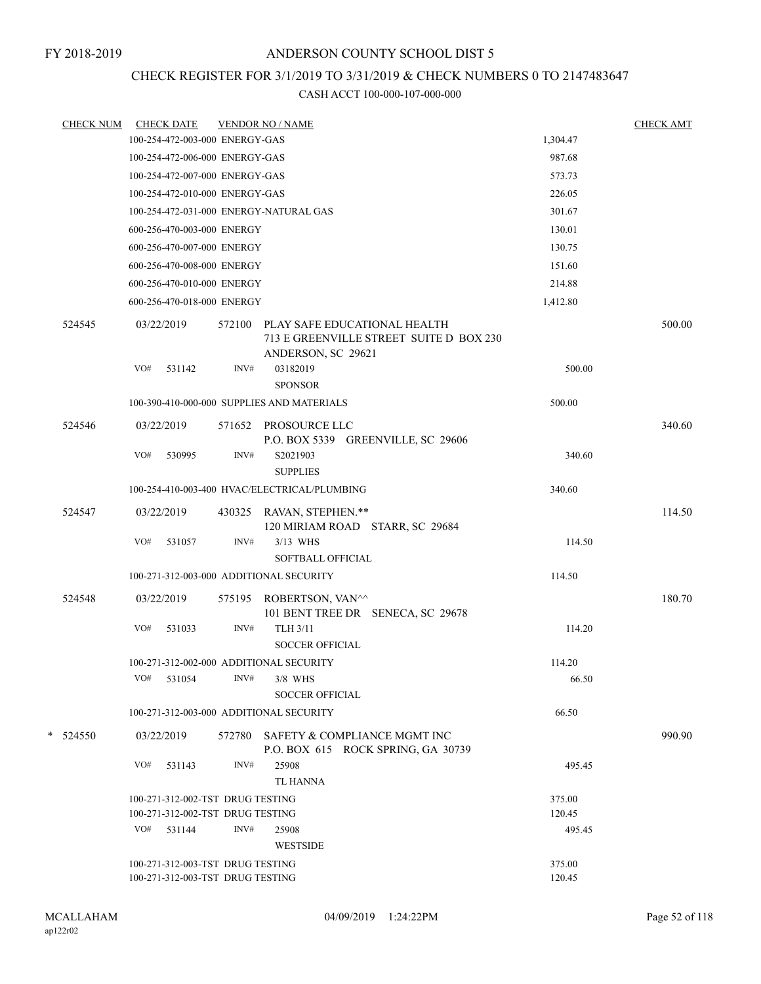# CHECK REGISTER FOR 3/1/2019 TO 3/31/2019 & CHECK NUMBERS 0 TO 2147483647

| <b>CHECK NUM</b> |     | <b>CHECK DATE</b>                |      | <b>VENDOR NO / NAME</b>                                                                              |          | <b>CHECK AMT</b> |
|------------------|-----|----------------------------------|------|------------------------------------------------------------------------------------------------------|----------|------------------|
|                  |     | 100-254-472-003-000 ENERGY-GAS   |      |                                                                                                      | 1,304.47 |                  |
|                  |     | 100-254-472-006-000 ENERGY-GAS   |      |                                                                                                      | 987.68   |                  |
|                  |     | 100-254-472-007-000 ENERGY-GAS   |      |                                                                                                      | 573.73   |                  |
|                  |     | 100-254-472-010-000 ENERGY-GAS   |      |                                                                                                      | 226.05   |                  |
|                  |     |                                  |      | 100-254-472-031-000 ENERGY-NATURAL GAS                                                               | 301.67   |                  |
|                  |     | 600-256-470-003-000 ENERGY       |      |                                                                                                      | 130.01   |                  |
|                  |     | 600-256-470-007-000 ENERGY       |      |                                                                                                      | 130.75   |                  |
|                  |     | 600-256-470-008-000 ENERGY       |      |                                                                                                      | 151.60   |                  |
|                  |     | 600-256-470-010-000 ENERGY       |      |                                                                                                      | 214.88   |                  |
|                  |     | 600-256-470-018-000 ENERGY       |      |                                                                                                      | 1,412.80 |                  |
| 524545           |     | 03/22/2019                       |      | 572100 PLAY SAFE EDUCATIONAL HEALTH<br>713 E GREENVILLE STREET SUITE D BOX 230<br>ANDERSON, SC 29621 |          | 500.00           |
|                  | VO# | 531142                           | INV# | 03182019<br><b>SPONSOR</b>                                                                           | 500.00   |                  |
|                  |     |                                  |      | 100-390-410-000-000 SUPPLIES AND MATERIALS                                                           | 500.00   |                  |
| 524546           |     | 03/22/2019                       |      | 571652 PROSOURCE LLC                                                                                 |          | 340.60           |
|                  | VO# | 530995                           | INV# | P.O. BOX 5339 GREENVILLE, SC 29606<br>S2021903<br><b>SUPPLIES</b>                                    | 340.60   |                  |
|                  |     |                                  |      | 100-254-410-003-400 HVAC/ELECTRICAL/PLUMBING                                                         | 340.60   |                  |
|                  |     |                                  |      |                                                                                                      |          |                  |
| 524547           |     | 03/22/2019                       |      | 430325 RAVAN, STEPHEN.**<br>120 MIRIAM ROAD STARR, SC 29684                                          |          | 114.50           |
|                  | VO# | 531057                           | INV# | 3/13 WHS<br><b>SOFTBALL OFFICIAL</b>                                                                 | 114.50   |                  |
|                  |     |                                  |      | 100-271-312-003-000 ADDITIONAL SECURITY                                                              | 114.50   |                  |
| 524548           |     | 03/22/2019                       |      | 575195 ROBERTSON, VAN^^<br>101 BENT TREE DR SENECA, SC 29678                                         |          | 180.70           |
|                  | VO# | 531033                           | INV# | <b>TLH 3/11</b><br><b>SOCCER OFFICIAL</b>                                                            | 114.20   |                  |
|                  |     |                                  |      | 100-271-312-002-000 ADDITIONAL SECURITY                                                              | 114.20   |                  |
|                  | VO# | 531054                           | INV# | 3/8 WHS<br><b>SOCCER OFFICIAL</b>                                                                    | 66.50    |                  |
|                  |     |                                  |      | 100-271-312-003-000 ADDITIONAL SECURITY                                                              | 66.50    |                  |
| $*$ 524550       |     | 03/22/2019                       |      | 572780 SAFETY & COMPLIANCE MGMT INC<br>P.O. BOX 615 ROCK SPRING, GA 30739                            |          | 990.90           |
|                  | VO# | 531143                           | INV# | 25908<br><b>TL HANNA</b>                                                                             | 495.45   |                  |
|                  |     | 100-271-312-002-TST DRUG TESTING |      |                                                                                                      | 375.00   |                  |
|                  |     | 100-271-312-002-TST DRUG TESTING |      |                                                                                                      | 120.45   |                  |
|                  |     | VO# 531144                       | INV# | 25908<br><b>WESTSIDE</b>                                                                             | 495.45   |                  |
|                  |     | 100-271-312-003-TST DRUG TESTING |      |                                                                                                      | 375.00   |                  |
|                  |     | 100-271-312-003-TST DRUG TESTING |      |                                                                                                      | 120.45   |                  |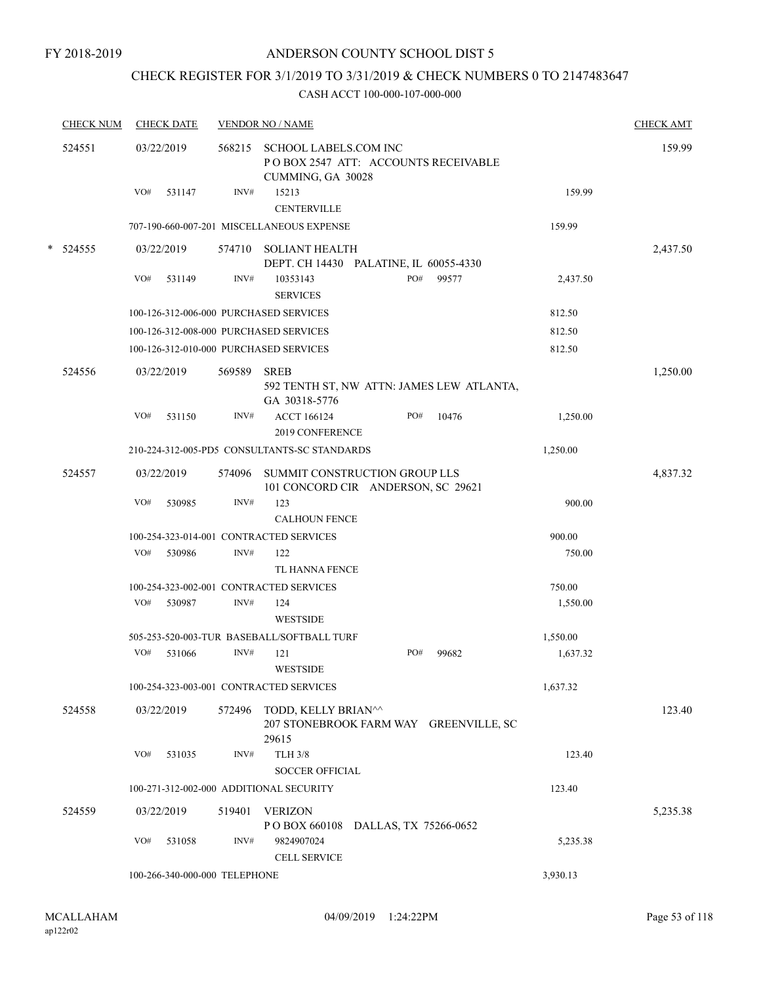# CHECK REGISTER FOR 3/1/2019 TO 3/31/2019 & CHECK NUMBERS 0 TO 2147483647

| <b>CHECK NUM</b> |            | <b>CHECK DATE</b> |                               | <b>VENDOR NO / NAME</b>                                                            |     |       |          | <b>CHECK AMT</b> |
|------------------|------------|-------------------|-------------------------------|------------------------------------------------------------------------------------|-----|-------|----------|------------------|
| 524551           | 03/22/2019 |                   | 568215                        | SCHOOL LABELS.COM INC<br>PO BOX 2547 ATT: ACCOUNTS RECEIVABLE<br>CUMMING, GA 30028 |     |       |          | 159.99           |
|                  | VO#        | 531147            | INV#                          | 15213<br><b>CENTERVILLE</b>                                                        |     |       | 159.99   |                  |
|                  |            |                   |                               | 707-190-660-007-201 MISCELLANEOUS EXPENSE                                          |     |       | 159.99   |                  |
| $*$ 524555       | 03/22/2019 |                   | 574710                        | <b>SOLIANT HEALTH</b>                                                              |     |       |          | 2,437.50         |
|                  |            |                   |                               | DEPT. CH 14430 PALATINE, IL 60055-4330                                             |     |       |          |                  |
|                  | VO#        | 531149            | INV#                          | 10353143<br><b>SERVICES</b>                                                        | PO# | 99577 | 2,437.50 |                  |
|                  |            |                   |                               | 100-126-312-006-000 PURCHASED SERVICES                                             |     |       | 812.50   |                  |
|                  |            |                   |                               | 100-126-312-008-000 PURCHASED SERVICES                                             |     |       | 812.50   |                  |
|                  |            |                   |                               | 100-126-312-010-000 PURCHASED SERVICES                                             |     |       | 812.50   |                  |
| 524556           | 03/22/2019 |                   | 569589                        | <b>SREB</b><br>592 TENTH ST, NW ATTN: JAMES LEW ATLANTA,                           |     |       |          | 1,250.00         |
|                  |            |                   |                               | GA 30318-5776                                                                      |     |       |          |                  |
|                  | VO#        | 531150            | INV#                          | <b>ACCT 166124</b><br>2019 CONFERENCE                                              | PO# | 10476 | 1,250.00 |                  |
|                  |            |                   |                               | 210-224-312-005-PD5 CONSULTANTS-SC STANDARDS                                       |     |       | 1,250.00 |                  |
|                  |            |                   |                               |                                                                                    |     |       |          |                  |
| 524557           | 03/22/2019 |                   | 574096                        | SUMMIT CONSTRUCTION GROUP LLS<br>101 CONCORD CIR ANDERSON, SC 29621                |     |       |          | 4,837.32         |
|                  | VO#        | 530985            | INV#                          | 123                                                                                |     |       | 900.00   |                  |
|                  |            |                   |                               | <b>CALHOUN FENCE</b>                                                               |     |       |          |                  |
|                  |            |                   |                               | 100-254-323-014-001 CONTRACTED SERVICES                                            |     |       | 900.00   |                  |
|                  | VO#        | 530986            | INV#                          | 122<br>TL HANNA FENCE                                                              |     |       | 750.00   |                  |
|                  |            |                   |                               | 100-254-323-002-001 CONTRACTED SERVICES                                            |     |       | 750.00   |                  |
|                  | VO#        | 530987            | INV#                          | 124<br><b>WESTSIDE</b>                                                             |     |       | 1,550.00 |                  |
|                  |            |                   |                               | 505-253-520-003-TUR BASEBALL/SOFTBALL TURF                                         |     |       | 1,550.00 |                  |
|                  | VO#        | 531066            | INV#                          | 121<br><b>WESTSIDE</b>                                                             | PO# | 99682 | 1,637.32 |                  |
|                  |            |                   |                               | 100-254-323-003-001 CONTRACTED SERVICES                                            |     |       | 1,637.32 |                  |
| 524558           | 03/22/2019 |                   | 572496                        | TODD, KELLY BRIAN^^<br>207 STONEBROOK FARM WAY GREENVILLE, SC<br>29615             |     |       |          | 123.40           |
|                  | VO#        | 531035            | INV#                          | <b>TLH 3/8</b><br><b>SOCCER OFFICIAL</b>                                           |     |       | 123.40   |                  |
|                  |            |                   |                               | 100-271-312-002-000 ADDITIONAL SECURITY                                            |     |       | 123.40   |                  |
| 524559           | 03/22/2019 |                   | 519401                        | <b>VERIZON</b>                                                                     |     |       |          | 5,235.38         |
|                  |            |                   |                               | POBOX 660108 DALLAS, TX 75266-0652                                                 |     |       |          |                  |
|                  | VO#        | 531058            | INV#                          | 9824907024<br><b>CELL SERVICE</b>                                                  |     |       | 5,235.38 |                  |
|                  |            |                   | 100-266-340-000-000 TELEPHONE |                                                                                    |     |       | 3,930.13 |                  |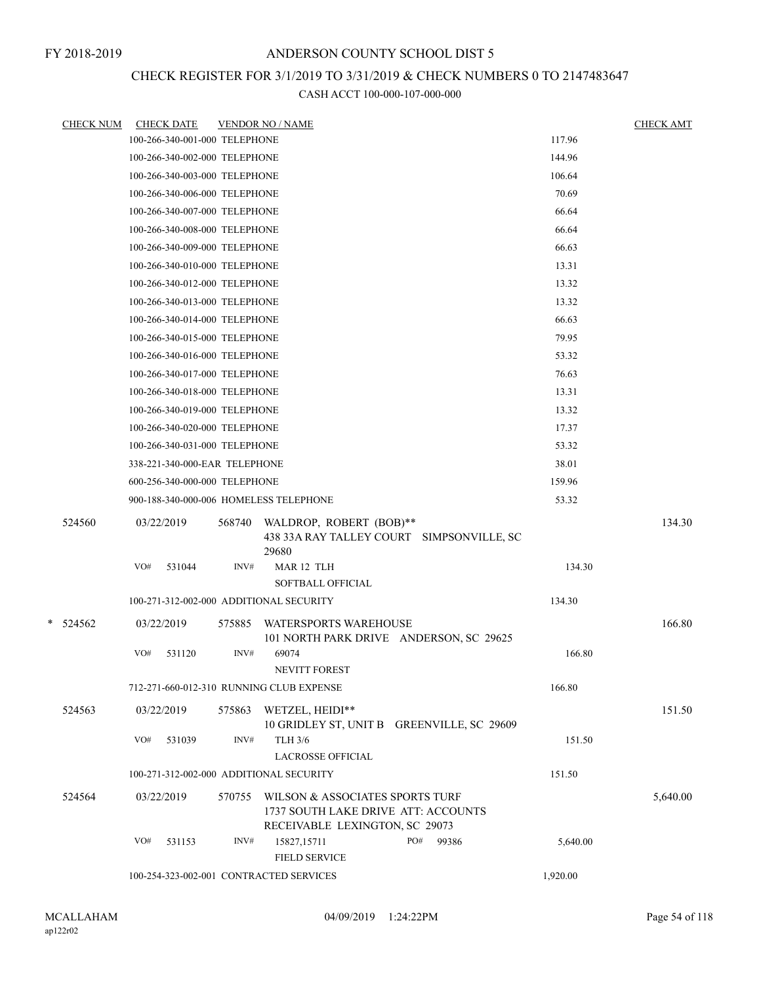# CHECK REGISTER FOR 3/1/2019 TO 3/31/2019 & CHECK NUMBERS 0 TO 2147483647

|   | <u>CHECK NUM</u> |     | <b>CHECK DATE</b>             |        | <u>VENDOR NO / NAME</u>                                                                                  |              |          | <b>CHECK AMT</b> |
|---|------------------|-----|-------------------------------|--------|----------------------------------------------------------------------------------------------------------|--------------|----------|------------------|
|   |                  |     | 100-266-340-001-000 TELEPHONE |        |                                                                                                          |              | 117.96   |                  |
|   |                  |     | 100-266-340-002-000 TELEPHONE |        |                                                                                                          |              | 144.96   |                  |
|   |                  |     | 100-266-340-003-000 TELEPHONE |        |                                                                                                          |              | 106.64   |                  |
|   |                  |     | 100-266-340-006-000 TELEPHONE |        |                                                                                                          |              | 70.69    |                  |
|   |                  |     | 100-266-340-007-000 TELEPHONE |        |                                                                                                          |              | 66.64    |                  |
|   |                  |     | 100-266-340-008-000 TELEPHONE |        |                                                                                                          |              | 66.64    |                  |
|   |                  |     | 100-266-340-009-000 TELEPHONE |        |                                                                                                          |              | 66.63    |                  |
|   |                  |     | 100-266-340-010-000 TELEPHONE |        |                                                                                                          |              | 13.31    |                  |
|   |                  |     | 100-266-340-012-000 TELEPHONE |        |                                                                                                          |              | 13.32    |                  |
|   |                  |     | 100-266-340-013-000 TELEPHONE |        |                                                                                                          |              | 13.32    |                  |
|   |                  |     | 100-266-340-014-000 TELEPHONE |        |                                                                                                          |              | 66.63    |                  |
|   |                  |     | 100-266-340-015-000 TELEPHONE |        |                                                                                                          |              | 79.95    |                  |
|   |                  |     | 100-266-340-016-000 TELEPHONE |        |                                                                                                          |              | 53.32    |                  |
|   |                  |     | 100-266-340-017-000 TELEPHONE |        |                                                                                                          |              | 76.63    |                  |
|   |                  |     | 100-266-340-018-000 TELEPHONE |        |                                                                                                          |              | 13.31    |                  |
|   |                  |     | 100-266-340-019-000 TELEPHONE |        |                                                                                                          |              | 13.32    |                  |
|   |                  |     | 100-266-340-020-000 TELEPHONE |        |                                                                                                          |              | 17.37    |                  |
|   |                  |     | 100-266-340-031-000 TELEPHONE |        |                                                                                                          |              | 53.32    |                  |
|   |                  |     | 338-221-340-000-EAR TELEPHONE |        |                                                                                                          |              | 38.01    |                  |
|   |                  |     | 600-256-340-000-000 TELEPHONE |        |                                                                                                          |              | 159.96   |                  |
|   |                  |     |                               |        | 900-188-340-000-006 HOMELESS TELEPHONE                                                                   |              | 53.32    |                  |
|   | 524560           |     | 03/22/2019                    | 568740 | WALDROP, ROBERT (BOB)**<br>438 33A RAY TALLEY COURT SIMPSONVILLE, SC<br>29680                            |              |          | 134.30           |
|   |                  | VO# | 531044                        | INV#   | MAR 12 TLH<br><b>SOFTBALL OFFICIAL</b>                                                                   |              | 134.30   |                  |
|   |                  |     |                               |        | 100-271-312-002-000 ADDITIONAL SECURITY                                                                  |              | 134.30   |                  |
| * | 524562           |     | 03/22/2019                    | 575885 | <b>WATERSPORTS WAREHOUSE</b><br>101 NORTH PARK DRIVE ANDERSON, SC 29625                                  |              |          | 166.80           |
|   |                  | VO# | 531120                        | INV#   | 69074<br>NEVITT FOREST                                                                                   |              | 166.80   |                  |
|   |                  |     |                               |        | 712-271-660-012-310 RUNNING CLUB EXPENSE                                                                 |              | 166.80   |                  |
|   | 524563           |     | 03/22/2019                    |        | 575863 WETZEL, HEIDI**<br>10 GRIDLEY ST, UNIT B GREENVILLE, SC 29609                                     |              |          | 151.50           |
|   |                  | VO# | 531039                        | INV#   | TLH 3/6<br><b>LACROSSE OFFICIAL</b>                                                                      |              | 151.50   |                  |
|   |                  |     |                               |        | 100-271-312-002-000 ADDITIONAL SECURITY                                                                  |              | 151.50   |                  |
|   | 524564           |     | 03/22/2019                    | 570755 | WILSON & ASSOCIATES SPORTS TURF<br>1737 SOUTH LAKE DRIVE ATT: ACCOUNTS<br>RECEIVABLE LEXINGTON, SC 29073 |              |          | 5,640.00         |
|   |                  | VO# | 531153                        | INV#   | 15827,15711<br><b>FIELD SERVICE</b>                                                                      | PO#<br>99386 | 5,640.00 |                  |
|   |                  |     |                               |        | 100-254-323-002-001 CONTRACTED SERVICES                                                                  |              | 1,920.00 |                  |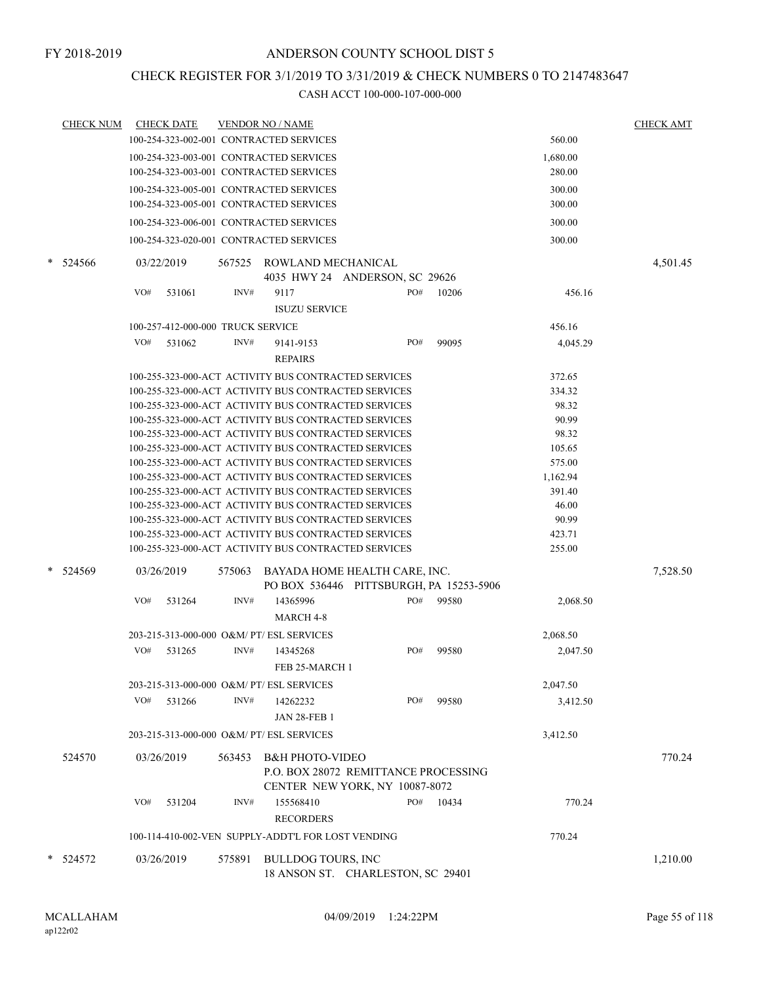### CHECK REGISTER FOR 3/1/2019 TO 3/31/2019 & CHECK NUMBERS 0 TO 2147483647

|        | <b>CHECK NUM</b> |            | <b>CHECK DATE</b>                 |        | <b>VENDOR NO / NAME</b>                                                                                      |     |       |                | <b>CHECK AMT</b> |
|--------|------------------|------------|-----------------------------------|--------|--------------------------------------------------------------------------------------------------------------|-----|-------|----------------|------------------|
|        |                  |            |                                   |        | 100-254-323-002-001 CONTRACTED SERVICES                                                                      |     |       | 560.00         |                  |
|        |                  |            |                                   |        | 100-254-323-003-001 CONTRACTED SERVICES                                                                      |     |       | 1,680.00       |                  |
|        |                  |            |                                   |        | 100-254-323-003-001 CONTRACTED SERVICES                                                                      |     |       | 280.00         |                  |
|        |                  |            |                                   |        | 100-254-323-005-001 CONTRACTED SERVICES                                                                      |     |       | 300.00         |                  |
|        |                  |            |                                   |        | 100-254-323-005-001 CONTRACTED SERVICES                                                                      |     |       | 300.00         |                  |
|        |                  |            |                                   |        | 100-254-323-006-001 CONTRACTED SERVICES                                                                      |     |       | 300.00         |                  |
|        |                  |            |                                   |        |                                                                                                              |     |       |                |                  |
|        |                  |            |                                   |        | 100-254-323-020-001 CONTRACTED SERVICES                                                                      |     |       | 300.00         |                  |
| $\ast$ | 524566           | 03/22/2019 |                                   |        | 567525 ROWLAND MECHANICAL<br>4035 HWY 24 ANDERSON, SC 29626                                                  |     |       |                | 4,501.45         |
|        |                  | VO#        | 531061                            | INV#   | 9117                                                                                                         | PO# | 10206 | 456.16         |                  |
|        |                  |            |                                   |        | <b>ISUZU SERVICE</b>                                                                                         |     |       |                |                  |
|        |                  |            | 100-257-412-000-000 TRUCK SERVICE |        |                                                                                                              |     |       | 456.16         |                  |
|        |                  | VO#        | 531062                            | INV#   | 9141-9153                                                                                                    | PO# | 99095 | 4,045.29       |                  |
|        |                  |            |                                   |        | <b>REPAIRS</b>                                                                                               |     |       |                |                  |
|        |                  |            |                                   |        |                                                                                                              |     |       |                |                  |
|        |                  |            |                                   |        | 100-255-323-000-ACT ACTIVITY BUS CONTRACTED SERVICES                                                         |     |       | 372.65         |                  |
|        |                  |            |                                   |        | 100-255-323-000-ACT ACTIVITY BUS CONTRACTED SERVICES                                                         |     |       | 334.32         |                  |
|        |                  |            |                                   |        | 100-255-323-000-ACT ACTIVITY BUS CONTRACTED SERVICES<br>100-255-323-000-ACT ACTIVITY BUS CONTRACTED SERVICES |     |       | 98.32<br>90.99 |                  |
|        |                  |            |                                   |        | 100-255-323-000-ACT ACTIVITY BUS CONTRACTED SERVICES                                                         |     |       | 98.32          |                  |
|        |                  |            |                                   |        | 100-255-323-000-ACT ACTIVITY BUS CONTRACTED SERVICES                                                         |     |       | 105.65         |                  |
|        |                  |            |                                   |        | 100-255-323-000-ACT ACTIVITY BUS CONTRACTED SERVICES                                                         |     |       | 575.00         |                  |
|        |                  |            |                                   |        | 100-255-323-000-ACT ACTIVITY BUS CONTRACTED SERVICES                                                         |     |       | 1,162.94       |                  |
|        |                  |            |                                   |        | 100-255-323-000-ACT ACTIVITY BUS CONTRACTED SERVICES                                                         |     |       | 391.40         |                  |
|        |                  |            |                                   |        | 100-255-323-000-ACT ACTIVITY BUS CONTRACTED SERVICES                                                         |     |       | 46.00          |                  |
|        |                  |            |                                   |        | 100-255-323-000-ACT ACTIVITY BUS CONTRACTED SERVICES                                                         |     |       | 90.99          |                  |
|        |                  |            |                                   |        | 100-255-323-000-ACT ACTIVITY BUS CONTRACTED SERVICES                                                         |     |       | 423.71         |                  |
|        |                  |            |                                   |        | 100-255-323-000-ACT ACTIVITY BUS CONTRACTED SERVICES                                                         |     |       | 255.00         |                  |
| *      | 524569           | 03/26/2019 |                                   | 575063 | BAYADA HOME HEALTH CARE, INC.<br>PO BOX 536446 PITTSBURGH, PA 15253-5906                                     |     |       |                | 7,528.50         |
|        |                  | VO#        | 531264                            | INV#   | 14365996                                                                                                     | PO# | 99580 | 2,068.50       |                  |
|        |                  |            |                                   |        | <b>MARCH 4-8</b>                                                                                             |     |       |                |                  |
|        |                  |            |                                   |        | 203-215-313-000-000 O&M/ PT/ ESL SERVICES                                                                    |     |       | 2,068.50       |                  |
|        |                  | VO#        | 531265                            | INV#   | 14345268                                                                                                     | PO# | 99580 |                |                  |
|        |                  |            |                                   |        | FEB 25-MARCH 1                                                                                               |     |       | 2,047.50       |                  |
|        |                  |            |                                   |        | 203-215-313-000-000 O&M/ PT/ ESL SERVICES                                                                    |     |       | 2,047.50       |                  |
|        |                  | VO#        | 531266                            | INV#   | 14262232                                                                                                     | PO# | 99580 | 3,412.50       |                  |
|        |                  |            |                                   |        | <b>JAN 28-FEB 1</b>                                                                                          |     |       |                |                  |
|        |                  |            |                                   |        | 203-215-313-000-000 O&M/ PT/ ESL SERVICES                                                                    |     |       | 3,412.50       |                  |
|        | 524570           |            | 03/26/2019                        | 563453 | <b>B&amp;H PHOTO-VIDEO</b><br>P.O. BOX 28072 REMITTANCE PROCESSING<br>CENTER NEW YORK, NY 10087-8072         |     |       |                | 770.24           |
|        |                  | VO#        | 531204                            | INV#   | 155568410<br><b>RECORDERS</b>                                                                                | PO# | 10434 | 770.24         |                  |
|        |                  |            |                                   |        | 100-114-410-002-VEN SUPPLY-ADDT'L FOR LOST VENDING                                                           |     |       | 770.24         |                  |
|        |                  |            |                                   |        |                                                                                                              |     |       |                |                  |
|        | * 524572         |            | 03/26/2019                        | 575891 | BULLDOG TOURS, INC<br>18 ANSON ST. CHARLESTON, SC 29401                                                      |     |       |                | 1,210.00         |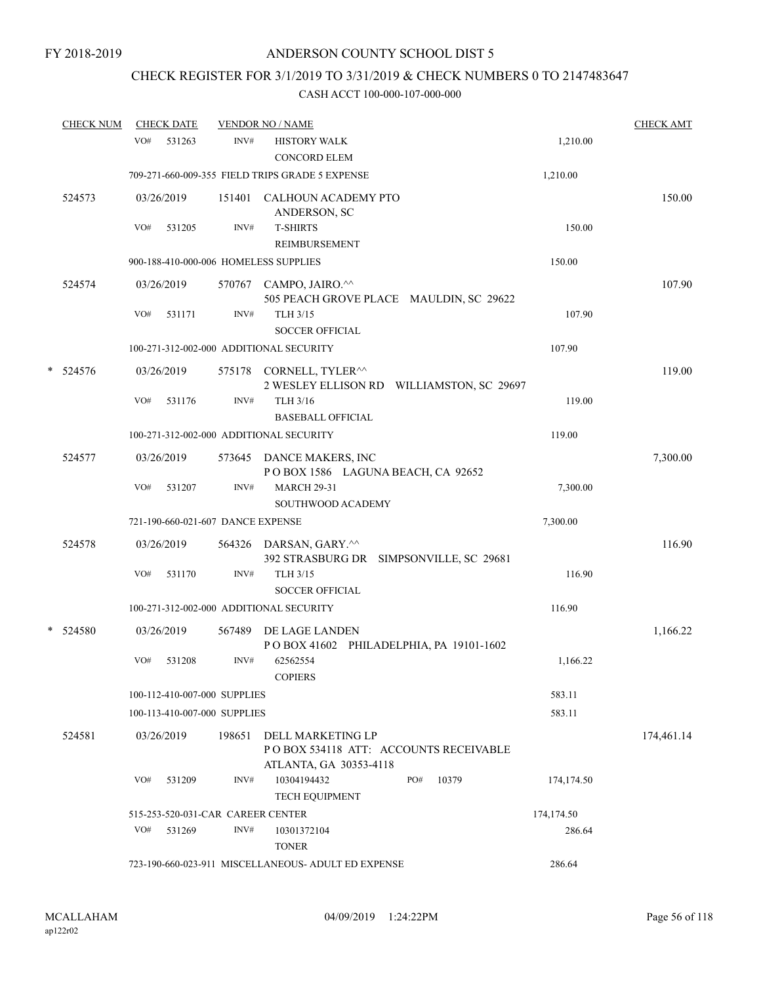# CHECK REGISTER FOR 3/1/2019 TO 3/31/2019 & CHECK NUMBERS 0 TO 2147483647

|   | <b>CHECK NUM</b> |     | <b>CHECK DATE</b> |                                   | <b>VENDOR NO / NAME</b>                                                               |            | <b>CHECK AMT</b> |
|---|------------------|-----|-------------------|-----------------------------------|---------------------------------------------------------------------------------------|------------|------------------|
|   |                  | VO# | 531263            | INV#                              | <b>HISTORY WALK</b><br><b>CONCORD ELEM</b>                                            | 1,210.00   |                  |
|   |                  |     |                   |                                   | 709-271-660-009-355 FIELD TRIPS GRADE 5 EXPENSE                                       | 1,210.00   |                  |
|   | 524573           |     | 03/26/2019        |                                   | 151401 CALHOUN ACADEMY PTO<br>ANDERSON, SC                                            |            | 150.00           |
|   |                  | VO# | 531205            | INV#                              | <b>T-SHIRTS</b><br>REIMBURSEMENT                                                      | 150.00     |                  |
|   |                  |     |                   |                                   | 900-188-410-000-006 HOMELESS SUPPLIES                                                 | 150.00     |                  |
|   | 524574           |     | 03/26/2019        |                                   | 570767 CAMPO, JAIRO.^^<br>505 PEACH GROVE PLACE MAULDIN, SC 29622                     |            | 107.90           |
|   |                  | VO# | 531171            | INV#                              | TLH 3/15<br><b>SOCCER OFFICIAL</b>                                                    | 107.90     |                  |
|   |                  |     |                   |                                   | 100-271-312-002-000 ADDITIONAL SECURITY                                               | 107.90     |                  |
| * | 524576           |     | 03/26/2019        |                                   | 575178 CORNELL, TYLER^^<br>2 WESLEY ELLISON RD WILLIAMSTON, SC 29697                  |            | 119.00           |
|   |                  | VO# | 531176            | INV#                              | TLH 3/16<br><b>BASEBALL OFFICIAL</b>                                                  | 119.00     |                  |
|   |                  |     |                   |                                   | 100-271-312-002-000 ADDITIONAL SECURITY                                               | 119.00     |                  |
|   | 524577           |     | 03/26/2019        |                                   | 573645 DANCE MAKERS, INC<br>POBOX 1586 LAGUNA BEACH, CA 92652                         |            | 7,300.00         |
|   |                  | VO# | 531207            | INV#                              | <b>MARCH 29-31</b><br><b>SOUTHWOOD ACADEMY</b>                                        | 7,300.00   |                  |
|   |                  |     |                   | 721-190-660-021-607 DANCE EXPENSE |                                                                                       | 7,300.00   |                  |
|   | 524578           |     | 03/26/2019        |                                   | 564326 DARSAN, GARY.^^                                                                |            | 116.90           |
|   |                  |     |                   |                                   | 392 STRASBURG DR SIMPSONVILLE, SC 29681                                               |            |                  |
|   |                  | VO# | 531170            | INV#                              | TLH 3/15<br><b>SOCCER OFFICIAL</b>                                                    | 116.90     |                  |
|   |                  |     |                   |                                   | 100-271-312-002-000 ADDITIONAL SECURITY                                               | 116.90     |                  |
|   | * 524580         |     | 03/26/2019        | 567489                            | DE LAGE LANDEN<br>POBOX 41602 PHILADELPHIA, PA 19101-1602                             |            | 1,166.22         |
|   |                  | VO# | 531208            | INV#                              | 62562554<br><b>COPIERS</b>                                                            | 1,166.22   |                  |
|   |                  |     |                   | 100-112-410-007-000 SUPPLIES      |                                                                                       | 583.11     |                  |
|   |                  |     |                   | 100-113-410-007-000 SUPPLIES      |                                                                                       | 583.11     |                  |
|   | 524581           |     | 03/26/2019        | 198651                            | DELL MARKETING LP<br>PO BOX 534118 ATT: ACCOUNTS RECEIVABLE<br>ATLANTA, GA 30353-4118 |            | 174,461.14       |
|   |                  | VO# | 531209            | INV#                              | 10304194432<br>PO#<br>10379<br><b>TECH EQUIPMENT</b>                                  | 174,174.50 |                  |
|   |                  |     |                   | 515-253-520-031-CAR CAREER CENTER |                                                                                       | 174,174.50 |                  |
|   |                  | VO# | 531269            | INV#                              | 10301372104<br><b>TONER</b>                                                           | 286.64     |                  |
|   |                  |     |                   |                                   | 723-190-660-023-911 MISCELLANEOUS- ADULT ED EXPENSE                                   | 286.64     |                  |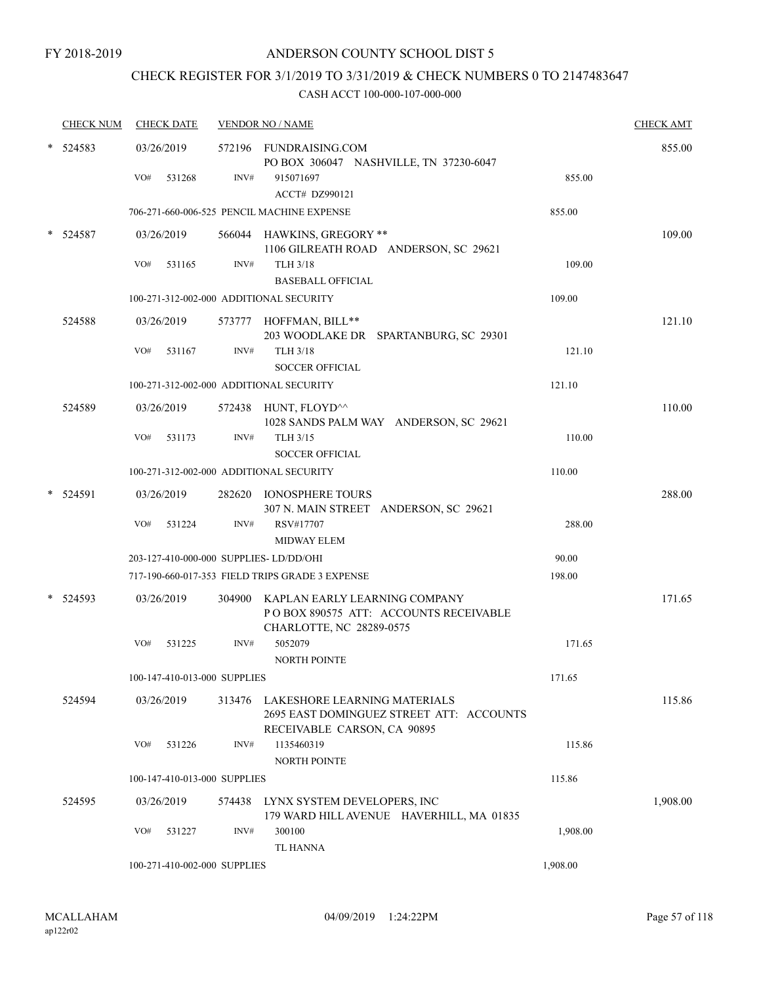# CHECK REGISTER FOR 3/1/2019 TO 3/31/2019 & CHECK NUMBERS 0 TO 2147483647

| <b>CHECK NUM</b> | <b>CHECK DATE</b>                       |        | <b>VENDOR NO / NAME</b>                                                                                    |          | <b>CHECK AMT</b> |
|------------------|-----------------------------------------|--------|------------------------------------------------------------------------------------------------------------|----------|------------------|
| 524583           | 03/26/2019                              | INV#   | 572196 FUNDRAISING.COM<br>PO BOX 306047 NASHVILLE, TN 37230-6047                                           |          | 855.00           |
|                  | VO#<br>531268                           |        | 915071697<br>ACCT# DZ990121                                                                                | 855.00   |                  |
|                  |                                         |        | 706-271-660-006-525 PENCIL MACHINE EXPENSE                                                                 | 855.00   |                  |
|                  |                                         |        |                                                                                                            |          |                  |
| 524587           | 03/26/2019                              |        | 566044 HAWKINS, GREGORY **<br>1106 GILREATH ROAD ANDERSON, SC 29621                                        |          | 109.00           |
|                  | VO#<br>531165                           | INV#   | <b>TLH 3/18</b>                                                                                            | 109.00   |                  |
|                  |                                         |        | <b>BASEBALL OFFICIAL</b>                                                                                   |          |                  |
|                  | 100-271-312-002-000 ADDITIONAL SECURITY |        |                                                                                                            | 109.00   |                  |
| 524588           | 03/26/2019                              |        | 573777 HOFFMAN, BILL**<br>203 WOODLAKE DR SPARTANBURG, SC 29301                                            |          | 121.10           |
|                  | VO#<br>531167                           | INV#   | <b>TLH 3/18</b>                                                                                            | 121.10   |                  |
|                  |                                         |        | <b>SOCCER OFFICIAL</b>                                                                                     |          |                  |
|                  | 100-271-312-002-000 ADDITIONAL SECURITY |        |                                                                                                            | 121.10   |                  |
| 524589           | 03/26/2019                              |        | 572438 HUNT, FLOYD^^<br>1028 SANDS PALM WAY ANDERSON, SC 29621                                             |          | 110.00           |
|                  | VO#<br>531173                           | INV#   | TLH 3/15                                                                                                   | 110.00   |                  |
|                  |                                         |        | <b>SOCCER OFFICIAL</b>                                                                                     |          |                  |
|                  | 100-271-312-002-000 ADDITIONAL SECURITY |        |                                                                                                            | 110.00   |                  |
| 524591           | 03/26/2019                              |        | 282620 IONOSPHERE TOURS<br>307 N. MAIN STREET ANDERSON, SC 29621                                           |          | 288.00           |
|                  | VO#<br>531224                           | INV#   | RSV#17707                                                                                                  | 288.00   |                  |
|                  |                                         |        | <b>MIDWAY ELEM</b>                                                                                         |          |                  |
|                  | 203-127-410-000-000 SUPPLIES-LD/DD/OHI  |        |                                                                                                            | 90.00    |                  |
|                  |                                         |        | 717-190-660-017-353 FIELD TRIPS GRADE 3 EXPENSE                                                            | 198.00   |                  |
| 524593           | 03/26/2019                              |        | 304900 KAPLAN EARLY LEARNING COMPANY<br>PO BOX 890575 ATT: ACCOUNTS RECEIVABLE<br>CHARLOTTE, NC 28289-0575 |          | 171.65           |
|                  | VO#<br>531225                           | INV#   | 5052079                                                                                                    | 171.65   |                  |
|                  |                                         |        | <b>NORTH POINTE</b>                                                                                        |          |                  |
|                  | 100-147-410-013-000 SUPPLIES            |        |                                                                                                            | 171.65   |                  |
| 524594           | 03/26/2019                              | 313476 | LAKESHORE LEARNING MATERIALS<br>2695 EAST DOMINGUEZ STREET ATT: ACCOUNTS<br>RECEIVABLE CARSON, CA 90895    |          | 115.86           |
|                  | VO#<br>531226                           | INV#   | 1135460319                                                                                                 | 115.86   |                  |
|                  |                                         |        | NORTH POINTE                                                                                               |          |                  |
|                  | 100-147-410-013-000 SUPPLIES            |        |                                                                                                            | 115.86   |                  |
| 524595           | 03/26/2019                              | 574438 | LYNX SYSTEM DEVELOPERS, INC<br>179 WARD HILL AVENUE HAVERHILL, MA 01835                                    |          | 1,908.00         |
|                  | VO#<br>531227                           | INV#   | 300100<br><b>TL HANNA</b>                                                                                  | 1,908.00 |                  |
|                  | 100-271-410-002-000 SUPPLIES            |        |                                                                                                            | 1,908.00 |                  |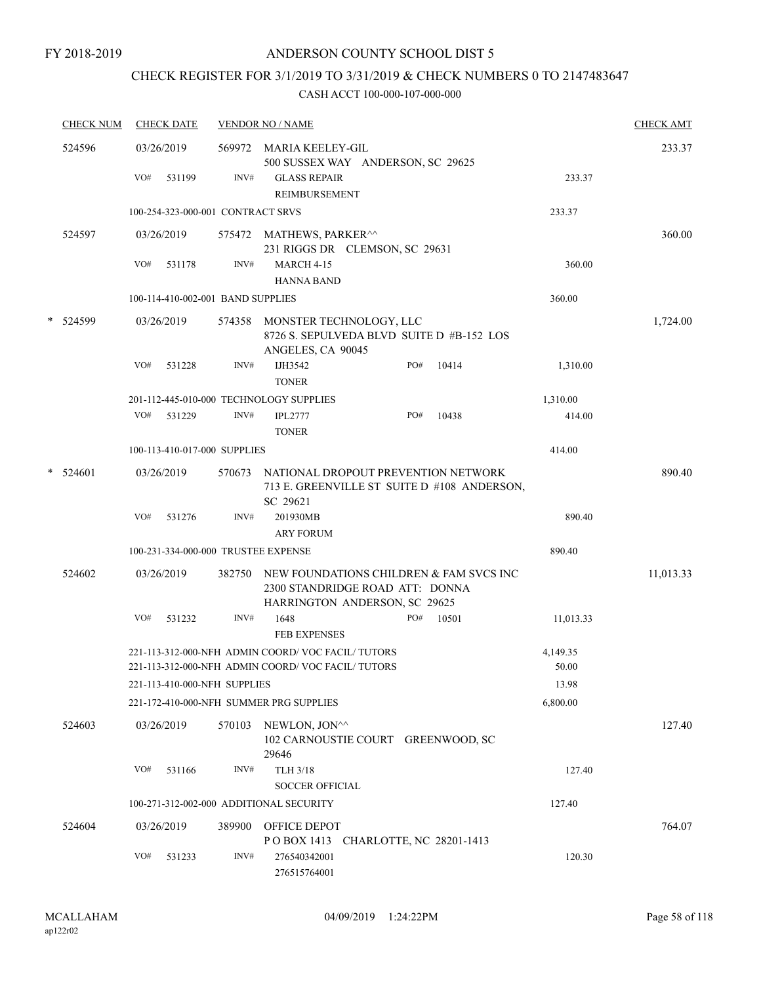# CHECK REGISTER FOR 3/1/2019 TO 3/31/2019 & CHECK NUMBERS 0 TO 2147483647

| <b>CHECK NUM</b> |     | <b>CHECK DATE</b> |                                   | <b>VENDOR NO / NAME</b>                                                                                     |       |       |                   | <b>CHECK AMT</b> |
|------------------|-----|-------------------|-----------------------------------|-------------------------------------------------------------------------------------------------------------|-------|-------|-------------------|------------------|
| 524596           |     | 03/26/2019        |                                   | 569972 MARIA KEELEY-GIL<br>500 SUSSEX WAY ANDERSON, SC 29625                                                |       |       |                   | 233.37           |
|                  | VO# | 531199            | INV#                              | <b>GLASS REPAIR</b><br>REIMBURSEMENT                                                                        |       |       | 233.37            |                  |
|                  |     |                   | 100-254-323-000-001 CONTRACT SRVS |                                                                                                             |       |       | 233.37            |                  |
| 524597           |     | 03/26/2019        |                                   | 575472 MATHEWS, PARKER <sup>^^</sup><br>231 RIGGS DR CLEMSON, SC 29631                                      |       |       |                   | 360.00           |
|                  | VO# | 531178            | INV#                              | <b>MARCH 4-15</b><br><b>HANNA BAND</b>                                                                      |       |       | 360.00            |                  |
|                  |     |                   | 100-114-410-002-001 BAND SUPPLIES |                                                                                                             |       |       | 360.00            |                  |
| * 524599         |     | 03/26/2019        | 574358                            | MONSTER TECHNOLOGY, LLC<br>8726 S. SEPULVEDA BLVD SUITE D #B-152 LOS<br>ANGELES, CA 90045                   |       |       |                   | 1,724.00         |
|                  | VO# | 531228            | INV#                              | IJH3542<br><b>TONER</b>                                                                                     | PO#   | 10414 | 1,310.00          |                  |
|                  |     |                   |                                   | 201-112-445-010-000 TECHNOLOGY SUPPLIES                                                                     |       |       | 1,310.00          |                  |
|                  | VO# | 531229            | INV#                              | <b>IPL2777</b><br><b>TONER</b>                                                                              | PO#   | 10438 | 414.00            |                  |
|                  |     |                   | 100-113-410-017-000 SUPPLIES      |                                                                                                             |       |       | 414.00            |                  |
| $*$ 524601       |     | 03/26/2019        | 570673                            | NATIONAL DROPOUT PREVENTION NETWORK<br>713 E. GREENVILLE ST SUITE D #108 ANDERSON,<br>SC 29621              |       |       |                   | 890.40           |
|                  | VO# | 531276            | INV#                              | 201930MB<br><b>ARY FORUM</b>                                                                                |       |       | 890.40            |                  |
|                  |     |                   |                                   | 100-231-334-000-000 TRUSTEE EXPENSE                                                                         |       |       | 890.40            |                  |
| 524602           |     | 03/26/2019        | 382750                            | NEW FOUNDATIONS CHILDREN & FAM SVCS INC<br>2300 STANDRIDGE ROAD ATT: DONNA<br>HARRINGTON ANDERSON, SC 29625 |       |       |                   | 11,013.33        |
|                  | VO# | 531232            | INV#                              | 1648<br><b>FEB EXPENSES</b>                                                                                 | $PO#$ | 10501 | 11,013.33         |                  |
|                  |     |                   |                                   | 221-113-312-000-NFH ADMIN COORD/VOC FACIL/TUTORS<br>221-113-312-000-NFH ADMIN COORD/VOC FACIL/TUTORS        |       |       | 4,149.35<br>50.00 |                  |
|                  |     |                   | 221-113-410-000-NFH SUPPLIES      |                                                                                                             |       |       | 13.98             |                  |
|                  |     |                   |                                   | 221-172-410-000-NFH SUMMER PRG SUPPLIES                                                                     |       |       | 6,800.00          |                  |
| 524603           |     | 03/26/2019        | 570103                            | NEWLON, JON^^<br>102 CARNOUSTIE COURT GREENWOOD, SC<br>29646                                                |       |       |                   | 127.40           |
|                  | VO# | 531166            | INV#                              | <b>TLH 3/18</b><br>SOCCER OFFICIAL                                                                          |       |       | 127.40            |                  |
|                  |     |                   |                                   | 100-271-312-002-000 ADDITIONAL SECURITY                                                                     |       |       | 127.40            |                  |
| 524604           |     | 03/26/2019        | 389900                            | <b>OFFICE DEPOT</b><br>POBOX 1413 CHARLOTTE, NC 28201-1413                                                  |       |       |                   | 764.07           |
|                  | VO# | 531233            | INV#                              | 276540342001<br>276515764001                                                                                |       |       | 120.30            |                  |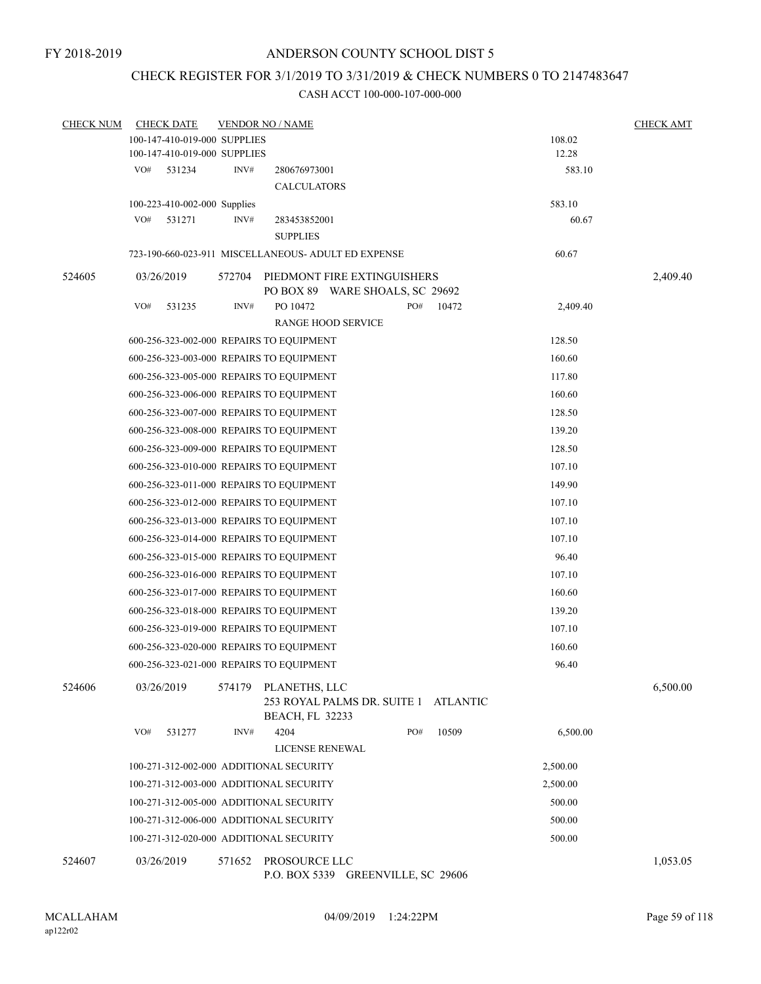# CHECK REGISTER FOR 3/1/2019 TO 3/31/2019 & CHECK NUMBERS 0 TO 2147483647

| <b>CHECK NUM</b> | <b>CHECK DATE</b>            | <b>VENDOR NO / NAME</b>                                                                   | <b>CHECK AMT</b> |
|------------------|------------------------------|-------------------------------------------------------------------------------------------|------------------|
|                  | 100-147-410-019-000 SUPPLIES | 108.02                                                                                    |                  |
|                  | 100-147-410-019-000 SUPPLIES | 12.28                                                                                     |                  |
|                  | VO#<br>531234                | INV#<br>583.10<br>280676973001                                                            |                  |
|                  |                              | <b>CALCULATORS</b>                                                                        |                  |
|                  | 100-223-410-002-000 Supplies | 583.10                                                                                    |                  |
|                  | VO#<br>531271                | INV#<br>60.67<br>283453852001                                                             |                  |
|                  |                              | <b>SUPPLIES</b>                                                                           |                  |
|                  |                              | 723-190-660-023-911 MISCELLANEOUS- ADULT ED EXPENSE<br>60.67                              |                  |
| 524605           | 03/26/2019                   | 572704<br>PIEDMONT FIRE EXTINGUISHERS                                                     | 2,409.40         |
|                  |                              | PO BOX 89 WARE SHOALS, SC 29692                                                           |                  |
|                  | VO#<br>531235                | INV#<br>PO 10472<br>PO#<br>10472<br>2,409.40                                              |                  |
|                  |                              | <b>RANGE HOOD SERVICE</b>                                                                 |                  |
|                  |                              | 128.50<br>600-256-323-002-000 REPAIRS TO EQUIPMENT                                        |                  |
|                  |                              | 600-256-323-003-000 REPAIRS TO EQUIPMENT<br>160.60                                        |                  |
|                  |                              | 117.80<br>600-256-323-005-000 REPAIRS TO EQUIPMENT                                        |                  |
|                  |                              | 160.60<br>600-256-323-006-000 REPAIRS TO EQUIPMENT                                        |                  |
|                  |                              | 128.50<br>600-256-323-007-000 REPAIRS TO EQUIPMENT                                        |                  |
|                  |                              | 139.20<br>600-256-323-008-000 REPAIRS TO EQUIPMENT                                        |                  |
|                  |                              | 600-256-323-009-000 REPAIRS TO EQUIPMENT<br>128.50                                        |                  |
|                  |                              | 600-256-323-010-000 REPAIRS TO EQUIPMENT<br>107.10                                        |                  |
|                  |                              | 149.90<br>600-256-323-011-000 REPAIRS TO EQUIPMENT                                        |                  |
|                  |                              | 107.10<br>600-256-323-012-000 REPAIRS TO EQUIPMENT                                        |                  |
|                  |                              | 107.10<br>600-256-323-013-000 REPAIRS TO EQUIPMENT                                        |                  |
|                  |                              | 600-256-323-014-000 REPAIRS TO EQUIPMENT<br>107.10                                        |                  |
|                  |                              | 96.40<br>600-256-323-015-000 REPAIRS TO EQUIPMENT                                         |                  |
|                  |                              | 107.10<br>600-256-323-016-000 REPAIRS TO EQUIPMENT                                        |                  |
|                  |                              | 160.60<br>600-256-323-017-000 REPAIRS TO EQUIPMENT                                        |                  |
|                  |                              | 600-256-323-018-000 REPAIRS TO EQUIPMENT<br>139.20                                        |                  |
|                  |                              | 600-256-323-019-000 REPAIRS TO EQUIPMENT<br>107.10                                        |                  |
|                  |                              | 600-256-323-020-000 REPAIRS TO EQUIPMENT<br>160.60                                        |                  |
|                  |                              | 96.40<br>600-256-323-021-000 REPAIRS TO EQUIPMENT                                         |                  |
|                  |                              |                                                                                           |                  |
| 524606           | 03/26/2019                   | PLANETHS, LLC<br>574179<br>253 ROYAL PALMS DR. SUITE 1 ATLANTIC<br><b>BEACH, FL 32233</b> | 6,500.00         |
|                  | VO#<br>531277                | INV#<br>4204<br>PO#<br>10509<br>6,500.00                                                  |                  |
|                  |                              | <b>LICENSE RENEWAL</b>                                                                    |                  |
|                  |                              | 100-271-312-002-000 ADDITIONAL SECURITY<br>2,500.00                                       |                  |
|                  |                              | 100-271-312-003-000 ADDITIONAL SECURITY<br>2,500.00                                       |                  |
|                  |                              | 100-271-312-005-000 ADDITIONAL SECURITY<br>500.00                                         |                  |
|                  |                              | 100-271-312-006-000 ADDITIONAL SECURITY<br>500.00                                         |                  |
|                  |                              | 500.00<br>100-271-312-020-000 ADDITIONAL SECURITY                                         |                  |
|                  |                              |                                                                                           |                  |
| 524607           | 03/26/2019                   | PROSOURCE LLC<br>571652<br>P.O. BOX 5339 GREENVILLE, SC 29606                             | 1,053.05         |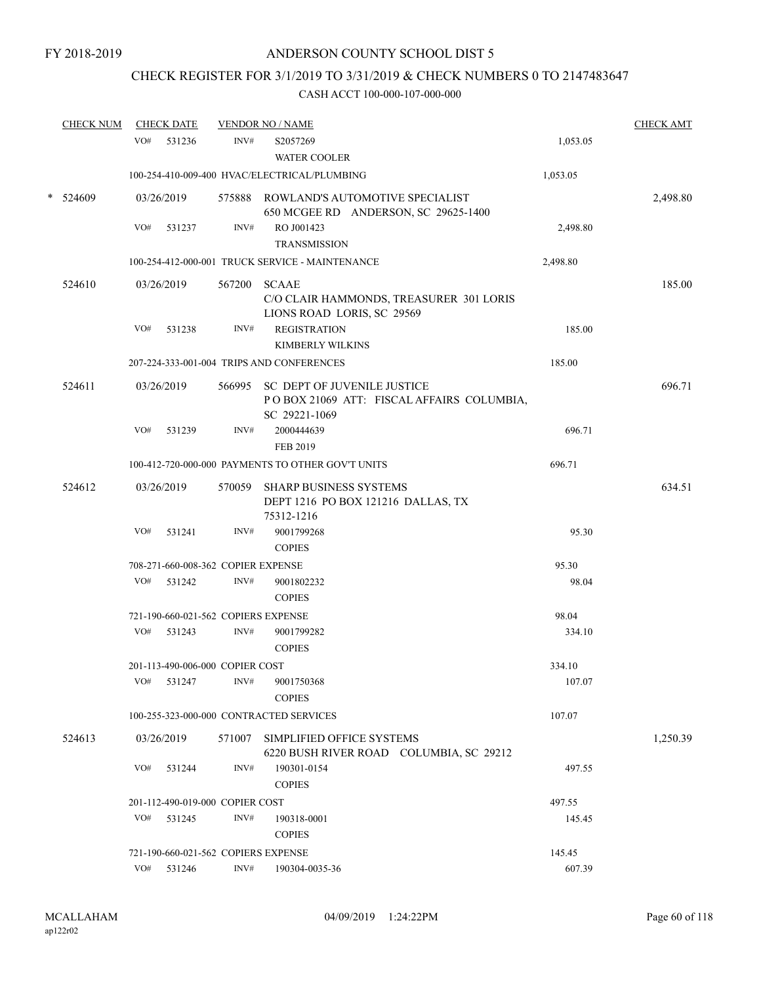# CHECK REGISTER FOR 3/1/2019 TO 3/31/2019 & CHECK NUMBERS 0 TO 2147483647

|        | <b>CHECK NUM</b> |     | <b>CHECK DATE</b> |                                     | <b>VENDOR NO / NAME</b>                                                                          |          | <b>CHECK AMT</b> |
|--------|------------------|-----|-------------------|-------------------------------------|--------------------------------------------------------------------------------------------------|----------|------------------|
|        |                  | VO# | 531236            | INV#                                | S2057269<br><b>WATER COOLER</b>                                                                  | 1,053.05 |                  |
|        |                  |     |                   |                                     | 100-254-410-009-400 HVAC/ELECTRICAL/PLUMBING                                                     | 1,053.05 |                  |
| $\ast$ | 524609           |     | 03/26/2019        |                                     | 575888 ROWLAND'S AUTOMOTIVE SPECIALIST<br>650 MCGEE RD ANDERSON, SC 29625-1400                   |          | 2,498.80         |
|        |                  | VO# | 531237            | INV#                                | RO J001423<br><b>TRANSMISSION</b>                                                                | 2,498.80 |                  |
|        |                  |     |                   |                                     | 100-254-412-000-001 TRUCK SERVICE - MAINTENANCE                                                  | 2,498.80 |                  |
|        | 524610           |     | 03/26/2019        |                                     | 567200 SCAAE<br>C/O CLAIR HAMMONDS, TREASURER 301 LORIS<br>LIONS ROAD LORIS, SC 29569            |          | 185.00           |
|        |                  | VO# | 531238            | INV#                                | <b>REGISTRATION</b><br><b>KIMBERLY WILKINS</b>                                                   | 185.00   |                  |
|        |                  |     |                   |                                     | 207-224-333-001-004 TRIPS AND CONFERENCES                                                        | 185.00   |                  |
|        | 524611           |     | 03/26/2019        |                                     | 566995 SC DEPT OF JUVENILE JUSTICE<br>POBOX 21069 ATT: FISCAL AFFAIRS COLUMBIA,<br>SC 29221-1069 |          | 696.71           |
|        |                  | VO# | 531239            | INV#                                | 2000444639<br>FEB 2019                                                                           | 696.71   |                  |
|        |                  |     |                   |                                     | 100-412-720-000-000 PAYMENTS TO OTHER GOV'T UNITS                                                | 696.71   |                  |
|        | 524612           |     | 03/26/2019        |                                     | 570059 SHARP BUSINESS SYSTEMS<br>DEPT 1216 PO BOX 121216 DALLAS, TX<br>75312-1216                |          | 634.51           |
|        |                  | VO# | 531241            | INV#                                | 9001799268<br><b>COPIES</b>                                                                      | 95.30    |                  |
|        |                  |     |                   | 708-271-660-008-362 COPIER EXPENSE  |                                                                                                  | 95.30    |                  |
|        |                  | VO# | 531242            | INV#                                | 9001802232<br><b>COPIES</b>                                                                      | 98.04    |                  |
|        |                  |     |                   | 721-190-660-021-562 COPIERS EXPENSE |                                                                                                  | 98.04    |                  |
|        |                  | VO# | 531243            | INV#                                | 9001799282<br><b>COPIES</b>                                                                      | 334.10   |                  |
|        |                  |     |                   | 201-113-490-006-000 COPIER COST     |                                                                                                  | 334.10   |                  |
|        |                  | VO# | 531247            | INV#                                | 9001750368<br><b>COPIES</b>                                                                      | 107.07   |                  |
|        |                  |     |                   |                                     | 100-255-323-000-000 CONTRACTED SERVICES                                                          | 107.07   |                  |
|        | 524613           |     | 03/26/2019        | 571007                              | SIMPLIFIED OFFICE SYSTEMS<br>6220 BUSH RIVER ROAD COLUMBIA, SC 29212                             |          | 1,250.39         |
|        |                  | VO# | 531244            | INV#                                | 190301-0154<br><b>COPIES</b>                                                                     | 497.55   |                  |
|        |                  |     |                   | 201-112-490-019-000 COPIER COST     |                                                                                                  | 497.55   |                  |
|        |                  | VO# | 531245            | INV#                                | 190318-0001<br><b>COPIES</b>                                                                     | 145.45   |                  |
|        |                  |     |                   |                                     | 721-190-660-021-562 COPIERS EXPENSE                                                              | 145.45   |                  |
|        |                  | VO# | 531246            | INV#                                | 190304-0035-36                                                                                   | 607.39   |                  |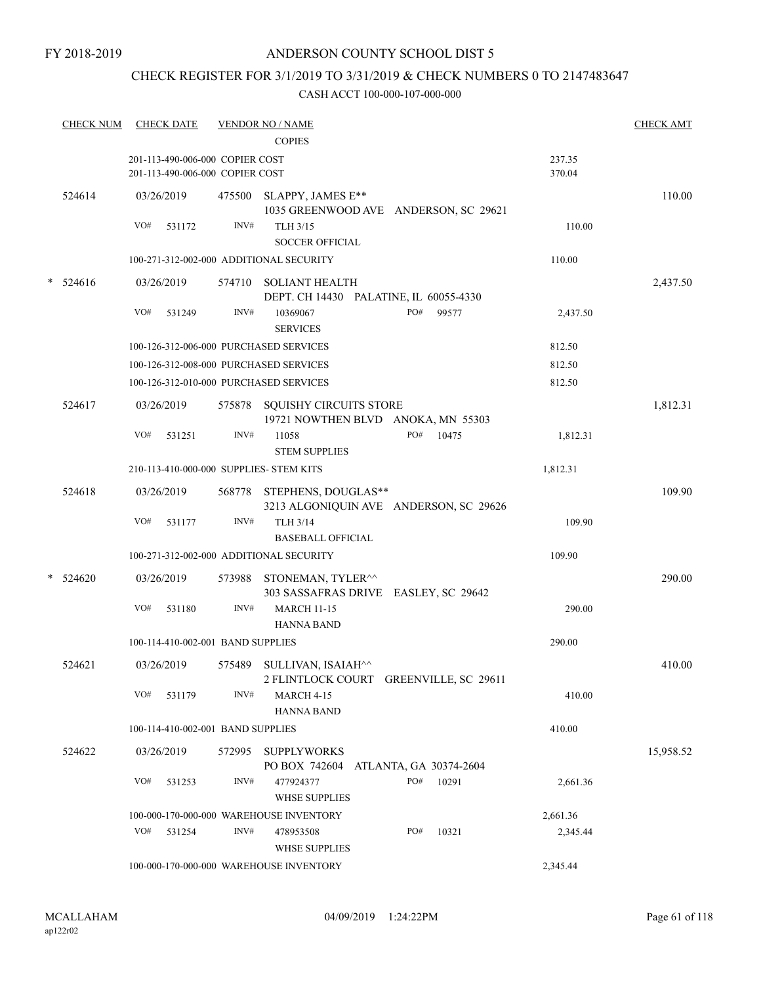#### FY 2018-2019

### ANDERSON COUNTY SCHOOL DIST 5

# CHECK REGISTER FOR 3/1/2019 TO 3/31/2019 & CHECK NUMBERS 0 TO 2147483647

|        | <b>CHECK NUM</b> | <b>CHECK DATE</b>                                                  |        | <b>VENDOR NO / NAME</b>                                              |                  | <b>CHECK AMT</b> |
|--------|------------------|--------------------------------------------------------------------|--------|----------------------------------------------------------------------|------------------|------------------|
|        |                  |                                                                    |        | <b>COPIES</b>                                                        |                  |                  |
|        |                  | 201-113-490-006-000 COPIER COST<br>201-113-490-006-000 COPIER COST |        |                                                                      | 237.35<br>370.04 |                  |
|        | 524614           | 03/26/2019                                                         |        | 475500 SLAPPY, JAMES E**<br>1035 GREENWOOD AVE ANDERSON, SC 29621    |                  | 110.00           |
|        |                  | VO#<br>531172                                                      | INV#   | TLH 3/15<br><b>SOCCER OFFICIAL</b>                                   | 110.00           |                  |
|        |                  | 100-271-312-002-000 ADDITIONAL SECURITY                            |        |                                                                      | 110.00           |                  |
| $\ast$ | 524616           | 03/26/2019                                                         |        | 574710 SOLIANT HEALTH<br>DEPT. CH 14430 PALATINE, IL 60055-4330      |                  | 2,437.50         |
|        |                  | VO#<br>531249                                                      | INV#   | 10369067<br>PO#<br>99577<br><b>SERVICES</b>                          | 2,437.50         |                  |
|        |                  | 100-126-312-006-000 PURCHASED SERVICES                             |        |                                                                      | 812.50           |                  |
|        |                  | 100-126-312-008-000 PURCHASED SERVICES                             |        |                                                                      | 812.50           |                  |
|        |                  | 100-126-312-010-000 PURCHASED SERVICES                             |        |                                                                      | 812.50           |                  |
|        | 524617           | 03/26/2019                                                         |        | 575878 SQUISHY CIRCUITS STORE<br>19721 NOWTHEN BLVD ANOKA, MN 55303  |                  | 1,812.31         |
|        |                  | VO#<br>531251                                                      | INV#   | PO#<br>10475<br>11058<br><b>STEM SUPPLIES</b>                        | 1,812.31         |                  |
|        |                  | 210-113-410-000-000 SUPPLIES- STEM KITS                            |        |                                                                      | 1,812.31         |                  |
|        | 524618           | 03/26/2019                                                         |        | 568778 STEPHENS, DOUGLAS**<br>3213 ALGONIQUIN AVE ANDERSON, SC 29626 |                  | 109.90           |
|        |                  | VO#<br>531177                                                      | INV#   | <b>TLH 3/14</b>                                                      | 109.90           |                  |
|        |                  |                                                                    |        | <b>BASEBALL OFFICIAL</b>                                             |                  |                  |
|        |                  | 100-271-312-002-000 ADDITIONAL SECURITY                            |        |                                                                      | 109.90           |                  |
| $\ast$ | 524620           | 03/26/2019                                                         | 573988 | STONEMAN, TYLER^^<br>303 SASSAFRAS DRIVE EASLEY, SC 29642            |                  | 290.00           |
|        |                  | VO#<br>531180                                                      | INV#   | <b>MARCH 11-15</b><br><b>HANNA BAND</b>                              | 290.00           |                  |
|        |                  | 100-114-410-002-001 BAND SUPPLIES                                  |        |                                                                      | 290.00           |                  |
|        | 524621           | 03/26/2019                                                         |        | 575489 SULLIVAN, ISAIAH^^<br>2 FLINTLOCK COURT GREENVILLE, SC 29611  |                  | 410.00           |
|        |                  | VO#<br>531179                                                      | INV#   | MARCH 4-15<br><b>HANNA BAND</b>                                      | 410.00           |                  |
|        |                  | 100-114-410-002-001 BAND SUPPLIES                                  |        |                                                                      | 410.00           |                  |
|        | 524622           | 03/26/2019                                                         | 572995 | <b>SUPPLYWORKS</b><br>PO BOX 742604<br>ATLANTA, GA 30374-2604        |                  | 15,958.52        |
|        |                  | VO#<br>531253                                                      | INV#   | 477924377<br>PO#<br>10291<br><b>WHSE SUPPLIES</b>                    | 2,661.36         |                  |
|        |                  |                                                                    |        | 100-000-170-000-000 WAREHOUSE INVENTORY                              | 2,661.36         |                  |
|        |                  | VO#<br>531254                                                      | INV#   | PO#<br>10321<br>478953508<br><b>WHSE SUPPLIES</b>                    | 2,345.44         |                  |
|        |                  |                                                                    |        | 100-000-170-000-000 WAREHOUSE INVENTORY                              | 2,345.44         |                  |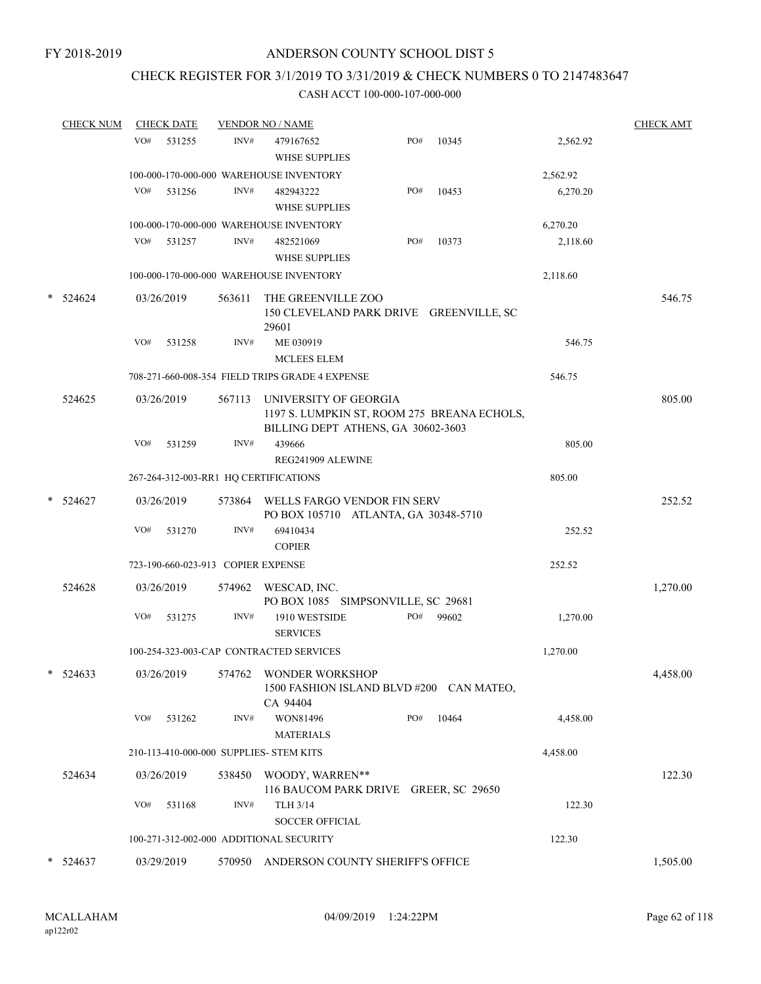### CHECK REGISTER FOR 3/1/2019 TO 3/31/2019 & CHECK NUMBERS 0 TO 2147483647

|        | <b>CHECK NUM</b> |     | <b>CHECK DATE</b> |                                    | <b>VENDOR NO / NAME</b>                                                                                    |     |       |          | <b>CHECK AMT</b> |
|--------|------------------|-----|-------------------|------------------------------------|------------------------------------------------------------------------------------------------------------|-----|-------|----------|------------------|
|        |                  | VO# | 531255            | INV#                               | 479167652<br><b>WHSE SUPPLIES</b>                                                                          | PO# | 10345 | 2,562.92 |                  |
|        |                  |     |                   |                                    | 100-000-170-000-000 WAREHOUSE INVENTORY                                                                    |     |       | 2,562.92 |                  |
|        |                  | VO# | 531256            | INV#                               | 482943222<br><b>WHSE SUPPLIES</b>                                                                          | PO# | 10453 | 6,270.20 |                  |
|        |                  |     |                   |                                    | 100-000-170-000-000 WAREHOUSE INVENTORY                                                                    |     |       | 6,270.20 |                  |
|        |                  | VO# | 531257            | INV#                               | 482521069<br><b>WHSE SUPPLIES</b>                                                                          | PO# | 10373 | 2,118.60 |                  |
|        |                  |     |                   |                                    | 100-000-170-000-000 WAREHOUSE INVENTORY                                                                    |     |       | 2,118.60 |                  |
| $\ast$ | 524624           |     | 03/26/2019        | 563611                             | THE GREENVILLE ZOO<br>150 CLEVELAND PARK DRIVE GREENVILLE, SC<br>29601                                     |     |       |          | 546.75           |
|        |                  | VO# | 531258            | INV#                               | ME 030919<br><b>MCLEES ELEM</b>                                                                            |     |       | 546.75   |                  |
|        |                  |     |                   |                                    | 708-271-660-008-354 FIELD TRIPS GRADE 4 EXPENSE                                                            |     |       | 546.75   |                  |
|        | 524625           |     | 03/26/2019        | 567113                             | UNIVERSITY OF GEORGIA<br>1197 S. LUMPKIN ST, ROOM 275 BREANA ECHOLS,<br>BILLING DEPT ATHENS, GA 30602-3603 |     |       |          | 805.00           |
|        |                  | VO# | 531259            | INV#                               | 439666<br>REG241909 ALEWINE                                                                                |     |       | 805.00   |                  |
|        |                  |     |                   |                                    | 267-264-312-003-RR1 HQ CERTIFICATIONS                                                                      |     |       | 805.00   |                  |
|        | $*$ 524627       |     | 03/26/2019        |                                    | 573864 WELLS FARGO VENDOR FIN SERV<br>PO BOX 105710 ATLANTA, GA 30348-5710                                 |     |       |          | 252.52           |
|        |                  | VO# | 531270            | INV#                               | 69410434<br><b>COPIER</b>                                                                                  |     |       | 252.52   |                  |
|        |                  |     |                   | 723-190-660-023-913 COPIER EXPENSE |                                                                                                            |     |       | 252.52   |                  |
|        | 524628           |     | 03/26/2019        | 574962                             | WESCAD, INC.<br>PO BOX 1085 SIMPSONVILLE, SC 29681                                                         |     |       |          | 1,270.00         |
|        |                  | VO# | 531275            | INV#                               | 1910 WESTSIDE<br><b>SERVICES</b>                                                                           | PO# | 99602 | 1,270.00 |                  |
|        |                  |     |                   |                                    | 100-254-323-003-CAP CONTRACTED SERVICES                                                                    |     |       | 1,270.00 |                  |
|        | $* 524633$       |     | 03/26/2019        |                                    | 574762 WONDER WORKSHOP<br>1500 FASHION ISLAND BLVD #200 CAN MATEO,<br>CA 94404                             |     |       |          | 4,458.00         |
|        |                  | VO# | 531262            | INV#                               | WON81496<br><b>MATERIALS</b>                                                                               | PO# | 10464 | 4,458.00 |                  |
|        |                  |     |                   |                                    | 210-113-410-000-000 SUPPLIES- STEM KITS                                                                    |     |       | 4,458.00 |                  |
|        | 524634           |     | 03/26/2019        |                                    | 538450 WOODY, WARREN**<br>116 BAUCOM PARK DRIVE GREER, SC 29650                                            |     |       |          | 122.30           |
|        |                  | VO# | 531168            | INV#                               | TLH 3/14<br><b>SOCCER OFFICIAL</b>                                                                         |     |       | 122.30   |                  |
|        |                  |     |                   |                                    | 100-271-312-002-000 ADDITIONAL SECURITY                                                                    |     |       | 122.30   |                  |
|        | $* 524637$       |     | 03/29/2019        |                                    | 570950 ANDERSON COUNTY SHERIFF'S OFFICE                                                                    |     |       |          | 1,505.00         |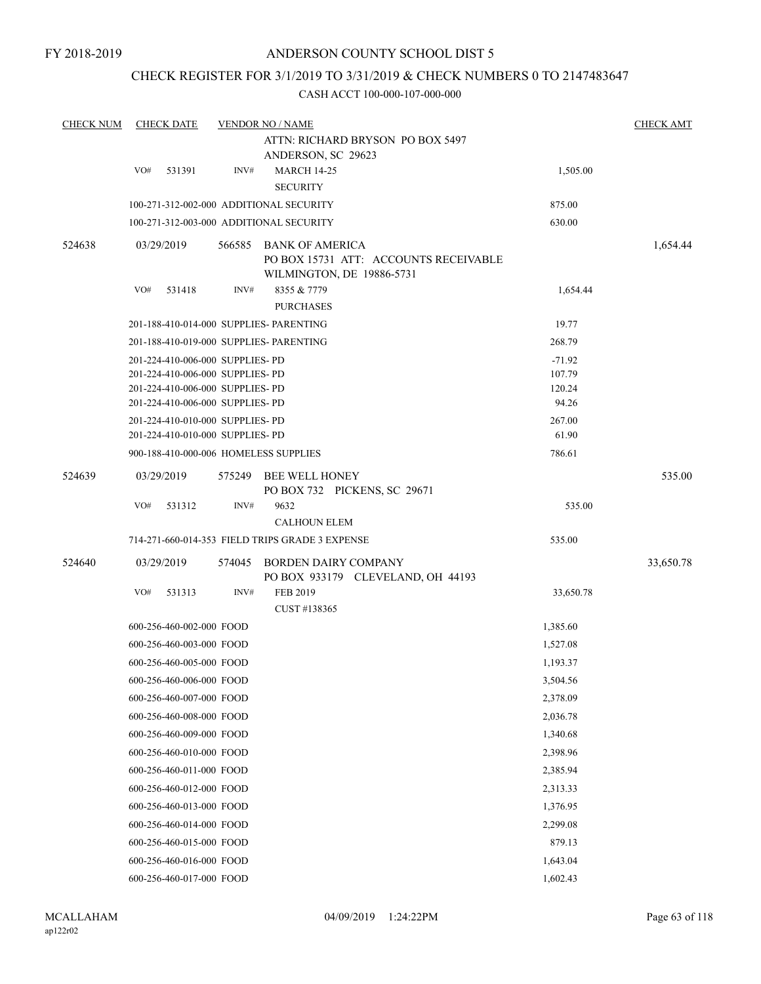## CHECK REGISTER FOR 3/1/2019 TO 3/31/2019 & CHECK NUMBERS 0 TO 2147483647

| <b>CHECK NUM</b> |     | <b>CHECK DATE</b>                                                                                                                            |        | <b>VENDOR NO / NAME</b>                                                               |                                       | <b>CHECK AMT</b> |
|------------------|-----|----------------------------------------------------------------------------------------------------------------------------------------------|--------|---------------------------------------------------------------------------------------|---------------------------------------|------------------|
|                  |     |                                                                                                                                              |        | ATTN: RICHARD BRYSON PO BOX 5497<br>ANDERSON, SC 29623                                |                                       |                  |
|                  | VO# | 531391                                                                                                                                       | INV#   | <b>MARCH 14-25</b><br><b>SECURITY</b>                                                 | 1,505.00                              |                  |
|                  |     |                                                                                                                                              |        | 100-271-312-002-000 ADDITIONAL SECURITY                                               | 875.00                                |                  |
|                  |     |                                                                                                                                              |        | 100-271-312-003-000 ADDITIONAL SECURITY                                               | 630.00                                |                  |
| 524638           |     | 03/29/2019                                                                                                                                   | 566585 | BANK OF AMERICA<br>PO BOX 15731 ATT: ACCOUNTS RECEIVABLE<br>WILMINGTON, DE 19886-5731 |                                       | 1,654.44         |
|                  | VO# | 531418                                                                                                                                       | INV#   | 8355 & 7779<br><b>PURCHASES</b>                                                       | 1,654.44                              |                  |
|                  |     |                                                                                                                                              |        | 201-188-410-014-000 SUPPLIES- PARENTING                                               | 19.77                                 |                  |
|                  |     |                                                                                                                                              |        | 201-188-410-019-000 SUPPLIES- PARENTING                                               | 268.79                                |                  |
|                  |     | 201-224-410-006-000 SUPPLIES- PD<br>201-224-410-006-000 SUPPLIES- PD<br>201-224-410-006-000 SUPPLIES- PD<br>201-224-410-006-000 SUPPLIES- PD |        |                                                                                       | $-71.92$<br>107.79<br>120.24<br>94.26 |                  |
|                  |     | 201-224-410-010-000 SUPPLIES- PD                                                                                                             |        |                                                                                       | 267.00                                |                  |
|                  |     | 201-224-410-010-000 SUPPLIES- PD                                                                                                             |        |                                                                                       | 61.90                                 |                  |
|                  |     |                                                                                                                                              |        | 900-188-410-000-006 HOMELESS SUPPLIES                                                 | 786.61                                |                  |
| 524639           |     | 03/29/2019                                                                                                                                   | 575249 | BEE WELL HONEY<br>PO BOX 732 PICKENS, SC 29671                                        |                                       | 535.00           |
|                  | VO# | 531312                                                                                                                                       | INV#   | 9632<br><b>CALHOUN ELEM</b>                                                           | 535.00                                |                  |
|                  |     |                                                                                                                                              |        | 714-271-660-014-353 FIELD TRIPS GRADE 3 EXPENSE                                       | 535.00                                |                  |
| 524640           |     | 03/29/2019                                                                                                                                   | 574045 | BORDEN DAIRY COMPANY                                                                  |                                       | 33,650.78        |
|                  | VO# | 531313                                                                                                                                       | INV#   | PO BOX 933179 CLEVELAND, OH 44193<br>FEB 2019<br>CUST #138365                         | 33,650.78                             |                  |
|                  |     | 600-256-460-002-000 FOOD                                                                                                                     |        |                                                                                       | 1,385.60                              |                  |
|                  |     | 600-256-460-003-000 FOOD                                                                                                                     |        |                                                                                       | 1,527.08                              |                  |
|                  |     | 600-256-460-005-000 FOOD                                                                                                                     |        |                                                                                       | 1,193.37                              |                  |
|                  |     | 600-256-460-006-000 FOOD                                                                                                                     |        |                                                                                       | 3,504.56                              |                  |
|                  |     | 600-256-460-007-000 FOOD                                                                                                                     |        |                                                                                       | 2,378.09                              |                  |
|                  |     | 600-256-460-008-000 FOOD                                                                                                                     |        |                                                                                       | 2,036.78                              |                  |
|                  |     | 600-256-460-009-000 FOOD                                                                                                                     |        |                                                                                       | 1,340.68                              |                  |
|                  |     | 600-256-460-010-000 FOOD                                                                                                                     |        |                                                                                       | 2,398.96                              |                  |
|                  |     | 600-256-460-011-000 FOOD                                                                                                                     |        |                                                                                       | 2,385.94                              |                  |
|                  |     | 600-256-460-012-000 FOOD                                                                                                                     |        |                                                                                       | 2,313.33                              |                  |
|                  |     | 600-256-460-013-000 FOOD                                                                                                                     |        |                                                                                       | 1,376.95                              |                  |
|                  |     | 600-256-460-014-000 FOOD                                                                                                                     |        |                                                                                       | 2,299.08                              |                  |
|                  |     | 600-256-460-015-000 FOOD                                                                                                                     |        |                                                                                       | 879.13                                |                  |
|                  |     | 600-256-460-016-000 FOOD                                                                                                                     |        |                                                                                       | 1,643.04                              |                  |
|                  |     | 600-256-460-017-000 FOOD                                                                                                                     |        |                                                                                       | 1,602.43                              |                  |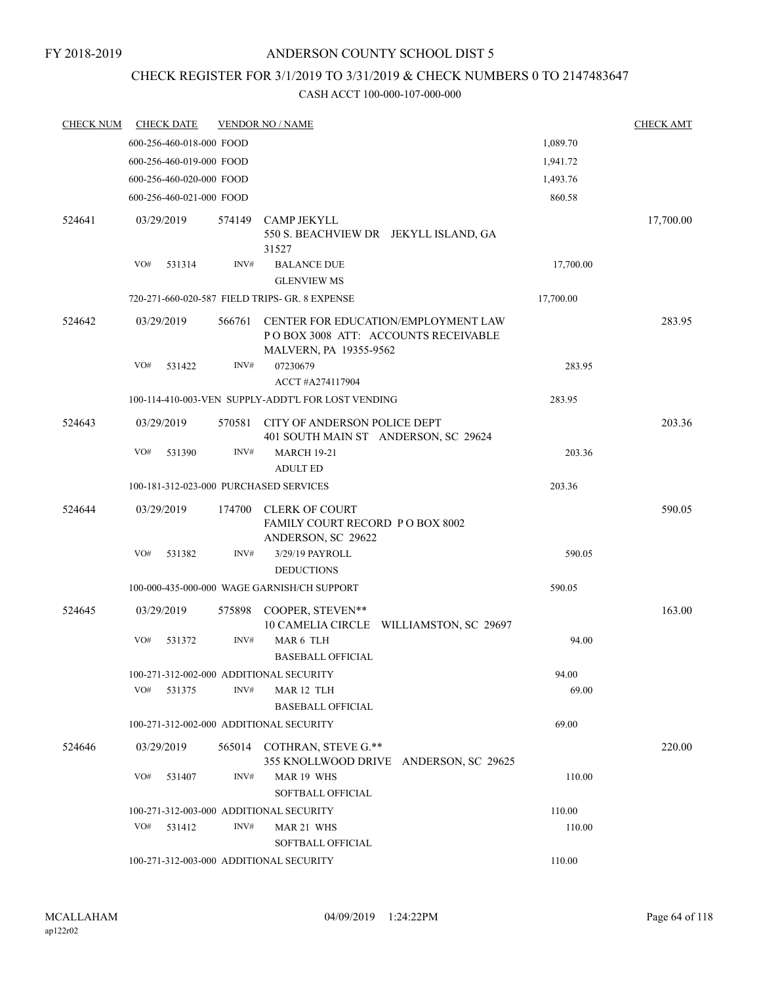#### FY 2018-2019

### ANDERSON COUNTY SCHOOL DIST 5

# CHECK REGISTER FOR 3/1/2019 TO 3/31/2019 & CHECK NUMBERS 0 TO 2147483647

| <b>CHECK NUM</b> | <b>CHECK DATE</b>                       |        | <b>VENDOR NO / NAME</b>                                                                               |           | <b>CHECK AMT</b> |
|------------------|-----------------------------------------|--------|-------------------------------------------------------------------------------------------------------|-----------|------------------|
|                  | 600-256-460-018-000 FOOD                |        |                                                                                                       | 1,089.70  |                  |
|                  | 600-256-460-019-000 FOOD                |        |                                                                                                       | 1,941.72  |                  |
|                  | 600-256-460-020-000 FOOD                |        |                                                                                                       | 1,493.76  |                  |
|                  | 600-256-460-021-000 FOOD                |        |                                                                                                       | 860.58    |                  |
| 524641           | 03/29/2019                              | 574149 | <b>CAMP JEKYLL</b><br>550 S. BEACHVIEW DR JEKYLL ISLAND, GA<br>31527                                  |           | 17,700.00        |
|                  | VO#<br>531314                           | INV#   | <b>BALANCE DUE</b><br><b>GLENVIEW MS</b>                                                              | 17,700.00 |                  |
|                  |                                         |        | 720-271-660-020-587 FIELD TRIPS- GR. 8 EXPENSE                                                        | 17,700.00 |                  |
| 524642           | 03/29/2019                              | 566761 | CENTER FOR EDUCATION/EMPLOYMENT LAW<br>PO BOX 3008 ATT: ACCOUNTS RECEIVABLE<br>MALVERN, PA 19355-9562 |           | 283.95           |
|                  | VO#<br>531422                           | INV#   | 07230679                                                                                              | 283.95    |                  |
|                  |                                         |        | ACCT #A274117904                                                                                      |           |                  |
|                  |                                         |        | 100-114-410-003-VEN SUPPLY-ADDT'L FOR LOST VENDING                                                    | 283.95    |                  |
| 524643           | 03/29/2019                              | 570581 | CITY OF ANDERSON POLICE DEPT<br>401 SOUTH MAIN ST ANDERSON, SC 29624                                  |           | 203.36           |
|                  | VO#<br>531390                           | INV#   | <b>MARCH 19-21</b><br><b>ADULT ED</b>                                                                 | 203.36    |                  |
|                  | 100-181-312-023-000 PURCHASED SERVICES  |        |                                                                                                       | 203.36    |                  |
| 524644           | 03/29/2019                              | 174700 | <b>CLERK OF COURT</b><br>FAMILY COURT RECORD P O BOX 8002<br>ANDERSON, SC 29622                       |           | 590.05           |
|                  | VO#<br>531382                           | INV#   | 3/29/19 PAYROLL<br><b>DEDUCTIONS</b>                                                                  | 590.05    |                  |
|                  |                                         |        | 100-000-435-000-000 WAGE GARNISH/CH SUPPORT                                                           | 590.05    |                  |
| 524645           | 03/29/2019                              |        | 575898 COOPER, STEVEN**                                                                               |           | 163.00           |
|                  |                                         |        | 10 CAMELIA CIRCLE WILLIAMSTON, SC 29697                                                               |           |                  |
|                  | VO#<br>531372                           | INV#   | MAR 6 TLH<br><b>BASEBALL OFFICIAL</b>                                                                 | 94.00     |                  |
|                  | 100-271-312-002-000 ADDITIONAL SECURITY |        |                                                                                                       | 94.00     |                  |
|                  | VO#<br>531375                           | INV#   | MAR 12 TLH<br><b>BASEBALL OFFICIAL</b>                                                                | 69.00     |                  |
|                  | 100-271-312-002-000 ADDITIONAL SECURITY |        |                                                                                                       | 69.00     |                  |
| 524646           | 03/29/2019                              |        | 565014 COTHRAN, STEVE G.**                                                                            |           | 220.00           |
|                  | VO#<br>531407                           | INV#   | 355 KNOLLWOOD DRIVE ANDERSON, SC 29625<br>MAR 19 WHS<br>SOFTBALL OFFICIAL                             | 110.00    |                  |
|                  | 100-271-312-003-000 ADDITIONAL SECURITY |        |                                                                                                       | 110.00    |                  |
|                  | VO#<br>531412                           | INV#   | MAR 21 WHS<br>SOFTBALL OFFICIAL                                                                       | 110.00    |                  |
|                  | 100-271-312-003-000 ADDITIONAL SECURITY |        |                                                                                                       | 110.00    |                  |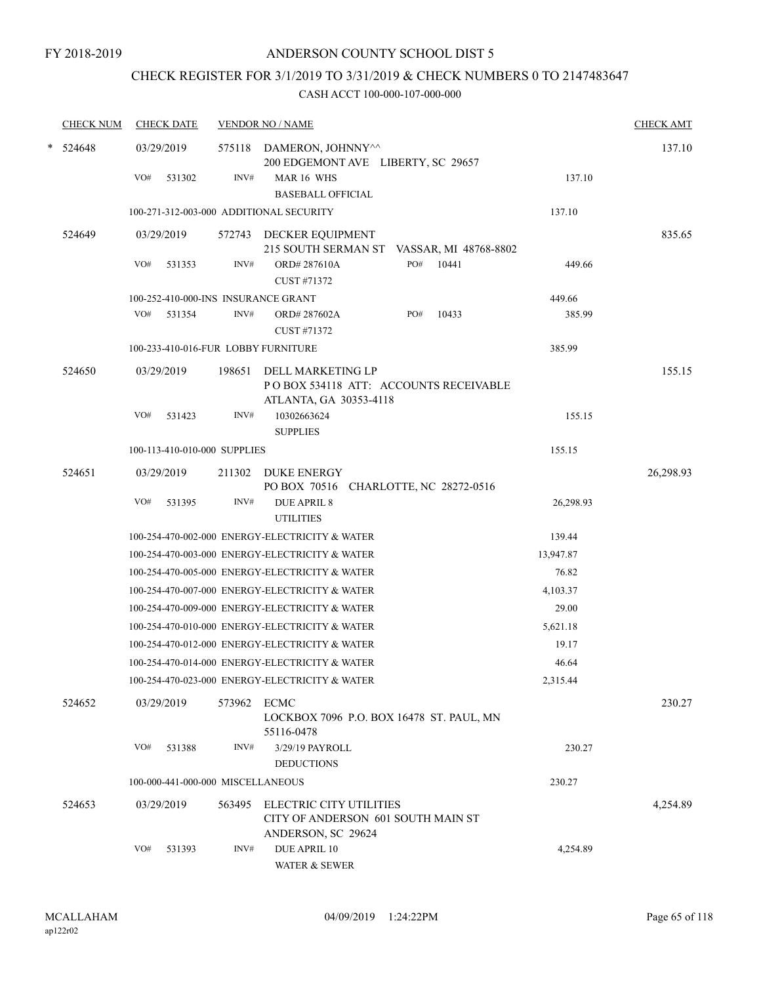# CHECK REGISTER FOR 3/1/2019 TO 3/31/2019 & CHECK NUMBERS 0 TO 2147483647

| <b>CHECK NUM</b> | <b>CHECK DATE</b>                       |        | <b>VENDOR NO / NAME</b>                                                                    |                 | <b>CHECK AMT</b> |
|------------------|-----------------------------------------|--------|--------------------------------------------------------------------------------------------|-----------------|------------------|
| * 524648         | 03/29/2019                              |        | 575118 DAMERON, JOHNNY <sup>^^</sup><br>200 EDGEMONT AVE LIBERTY, SC 29657                 |                 | 137.10           |
|                  | VO#<br>531302                           | INV#   | MAR 16 WHS<br><b>BASEBALL OFFICIAL</b>                                                     | 137.10          |                  |
|                  | 100-271-312-003-000 ADDITIONAL SECURITY |        |                                                                                            | 137.10          |                  |
|                  |                                         |        |                                                                                            |                 |                  |
| 524649           | 03/29/2019                              |        | 572743 DECKER EQUIPMENT<br>215 SOUTH SERMAN ST VASSAR, MI 48768-8802                       |                 | 835.65           |
|                  | VO#<br>531353                           | INV#   | PO# 10441<br>ORD#287610A<br>CUST #71372                                                    | 449.66          |                  |
|                  | 100-252-410-000-INS INSURANCE GRANT     |        |                                                                                            | 449.66          |                  |
|                  | VO#<br>531354                           | INV#   | PO#<br>ORD#287602A<br>CUST #71372                                                          | 10433<br>385.99 |                  |
|                  | 100-233-410-016-FUR LOBBY FURNITURE     |        |                                                                                            | 385.99          |                  |
| 524650           | 03/29/2019                              | 198651 | DELL MARKETING LP<br>PO BOX 534118 ATT: ACCOUNTS RECEIVABLE<br>ATLANTA, GA 30353-4118      |                 | 155.15           |
|                  | VO#<br>531423                           | INV#   | 10302663624<br><b>SUPPLIES</b>                                                             | 155.15          |                  |
|                  | 100-113-410-010-000 SUPPLIES            |        |                                                                                            | 155.15          |                  |
| 524651           | 03/29/2019                              |        | 211302 DUKE ENERGY<br>PO BOX 70516 CHARLOTTE, NC 28272-0516                                |                 | 26,298.93        |
|                  | VO#<br>531395                           | INV#   | <b>DUE APRIL 8</b><br><b>UTILITIES</b>                                                     | 26,298.93       |                  |
|                  |                                         |        | 100-254-470-002-000 ENERGY-ELECTRICITY & WATER                                             | 139.44          |                  |
|                  |                                         |        | 100-254-470-003-000 ENERGY-ELECTRICITY & WATER                                             | 13,947.87       |                  |
|                  |                                         |        | 100-254-470-005-000 ENERGY-ELECTRICITY & WATER                                             | 76.82           |                  |
|                  |                                         |        | 100-254-470-007-000 ENERGY-ELECTRICITY & WATER                                             | 4,103.37        |                  |
|                  |                                         |        | 100-254-470-009-000 ENERGY-ELECTRICITY & WATER                                             | 29.00           |                  |
|                  |                                         |        | 100-254-470-010-000 ENERGY-ELECTRICITY & WATER                                             | 5,621.18        |                  |
|                  |                                         |        | 100-254-470-012-000 ENERGY-ELECTRICITY & WATER                                             | 19.17           |                  |
|                  |                                         |        | 100-254-470-014-000 ENERGY-ELECTRICITY & WATER                                             | 46.64           |                  |
|                  |                                         |        | 100-254-470-023-000 ENERGY-ELECTRICITY & WATER                                             | 2,315.44        |                  |
| 524652           | 03/29/2019                              | 573962 | ECMC<br>LOCKBOX 7096 P.O. BOX 16478 ST. PAUL, MN<br>55116-0478                             |                 | 230.27           |
|                  | VO#<br>531388                           | INV#   | 3/29/19 PAYROLL<br><b>DEDUCTIONS</b>                                                       | 230.27          |                  |
|                  | 100-000-441-000-000 MISCELLANEOUS       |        |                                                                                            | 230.27          |                  |
| 524653           | 03/29/2019                              | 563495 | <b>ELECTRIC CITY UTILITIES</b><br>CITY OF ANDERSON 601 SOUTH MAIN ST<br>ANDERSON, SC 29624 |                 | 4,254.89         |
|                  | VO#<br>531393                           | INV#   | <b>DUE APRIL 10</b><br>WATER & SEWER                                                       | 4,254.89        |                  |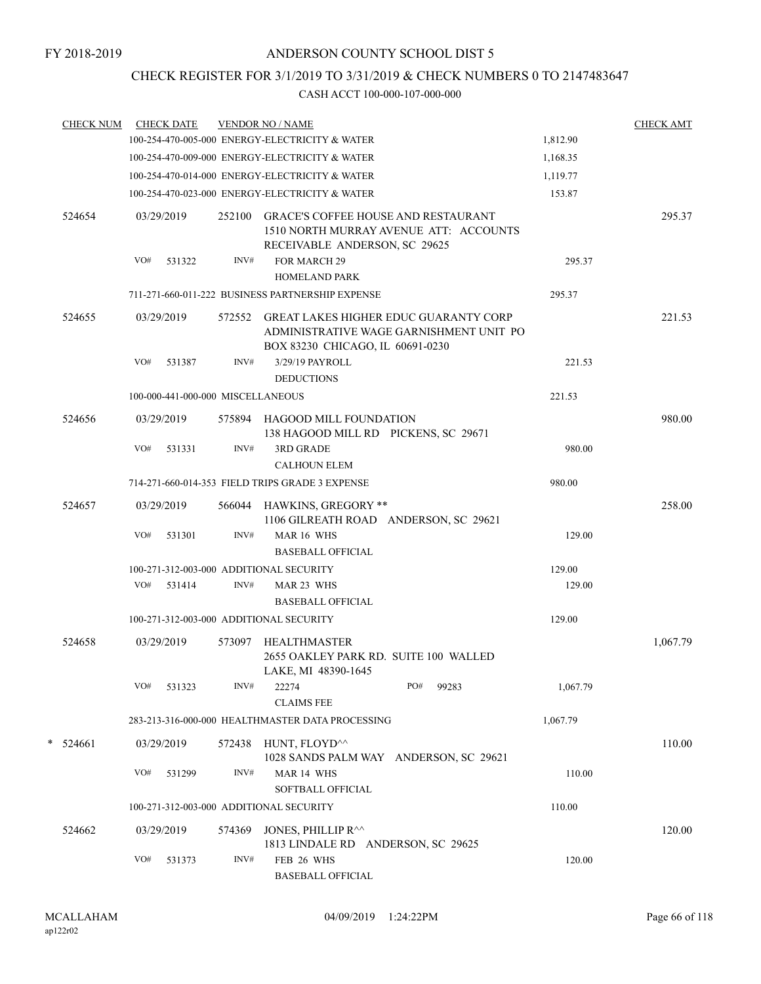# CHECK REGISTER FOR 3/1/2019 TO 3/31/2019 & CHECK NUMBERS 0 TO 2147483647

| <b>CHECK NUM</b> | <b>CHECK DATE</b>                 |        | <b>VENDOR NO / NAME</b>                                                                                                     |          | <b>CHECK AMT</b> |
|------------------|-----------------------------------|--------|-----------------------------------------------------------------------------------------------------------------------------|----------|------------------|
|                  |                                   |        | 100-254-470-005-000 ENERGY-ELECTRICITY & WATER                                                                              | 1,812.90 |                  |
|                  |                                   |        | 100-254-470-009-000 ENERGY-ELECTRICITY & WATER                                                                              | 1,168.35 |                  |
|                  |                                   |        | 100-254-470-014-000 ENERGY-ELECTRICITY & WATER                                                                              | 1,119.77 |                  |
|                  |                                   |        | 100-254-470-023-000 ENERGY-ELECTRICITY & WATER                                                                              | 153.87   |                  |
| 524654           | 03/29/2019                        | 252100 | <b>GRACE'S COFFEE HOUSE AND RESTAURANT</b><br>1510 NORTH MURRAY AVENUE ATT: ACCOUNTS<br>RECEIVABLE ANDERSON, SC 29625       |          | 295.37           |
|                  | VO#<br>531322                     | INV#   | FOR MARCH 29                                                                                                                | 295.37   |                  |
|                  |                                   |        | <b>HOMELAND PARK</b>                                                                                                        |          |                  |
|                  |                                   |        | 711-271-660-011-222 BUSINESS PARTNERSHIP EXPENSE                                                                            | 295.37   |                  |
| 524655           | 03/29/2019                        | 572552 | <b>GREAT LAKES HIGHER EDUC GUARANTY CORP</b><br>ADMINISTRATIVE WAGE GARNISHMENT UNIT PO<br>BOX 83230 CHICAGO, IL 60691-0230 |          | 221.53           |
|                  | VO#<br>531387                     | INV#   | 3/29/19 PAYROLL<br><b>DEDUCTIONS</b>                                                                                        | 221.53   |                  |
|                  | 100-000-441-000-000 MISCELLANEOUS |        |                                                                                                                             | 221.53   |                  |
| 524656           | 03/29/2019                        |        | 575894 HAGOOD MILL FOUNDATION<br>138 HAGOOD MILL RD PICKENS, SC 29671                                                       |          | 980.00           |
|                  | VO#<br>531331                     | INV#   | <b>3RD GRADE</b><br><b>CALHOUN ELEM</b>                                                                                     | 980.00   |                  |
|                  |                                   |        | 714-271-660-014-353 FIELD TRIPS GRADE 3 EXPENSE                                                                             | 980.00   |                  |
| 524657           | 03/29/2019                        |        | 566044 HAWKINS, GREGORY **<br>1106 GILREATH ROAD ANDERSON, SC 29621                                                         |          | 258.00           |
|                  | VO#<br>531301                     | INV#   | MAR 16 WHS<br><b>BASEBALL OFFICIAL</b>                                                                                      | 129.00   |                  |
|                  |                                   |        | 100-271-312-003-000 ADDITIONAL SECURITY                                                                                     | 129.00   |                  |
|                  | VO# 531414                        | INV#   | MAR 23 WHS<br><b>BASEBALL OFFICIAL</b>                                                                                      | 129.00   |                  |
|                  |                                   |        | 100-271-312-003-000 ADDITIONAL SECURITY                                                                                     | 129.00   |                  |
| 524658           | 03/29/2019                        |        | 573097 HEALTHMASTER<br>2655 OAKLEY PARK RD. SUITE 100 WALLED<br>LAKE, MI 48390-1645                                         |          | 1,067.79         |
|                  | VO#<br>531323                     | INV#   | PO#<br>99283<br>22274<br><b>CLAIMS FEE</b>                                                                                  | 1,067.79 |                  |
|                  |                                   |        | 283-213-316-000-000 HEALTHMASTER DATA PROCESSING                                                                            | 1,067.79 |                  |
| $*$ 524661       | 03/29/2019                        |        | 572438 HUNT, FLOYD^^<br>1028 SANDS PALM WAY ANDERSON, SC 29621                                                              |          | 110.00           |
|                  | VO#<br>531299                     | INV#   | MAR 14 WHS<br>SOFTBALL OFFICIAL                                                                                             | 110.00   |                  |
|                  |                                   |        | 100-271-312-003-000 ADDITIONAL SECURITY                                                                                     | 110.00   |                  |
| 524662           | 03/29/2019                        | 574369 | JONES, PHILLIP R^^<br>1813 LINDALE RD ANDERSON, SC 29625                                                                    |          | 120.00           |
|                  | VO#<br>531373                     | INV#   | FEB 26 WHS<br><b>BASEBALL OFFICIAL</b>                                                                                      | 120.00   |                  |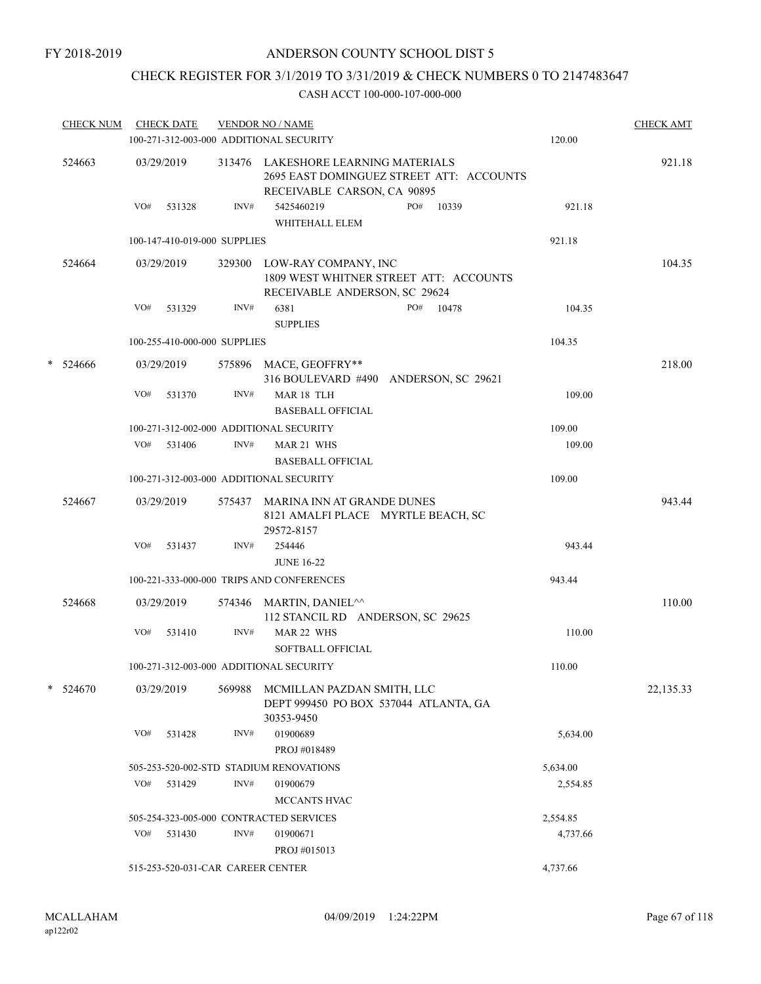# CHECK REGISTER FOR 3/1/2019 TO 3/31/2019 & CHECK NUMBERS 0 TO 2147483647

| <b>CHECK NUM</b> |     | <b>CHECK DATE</b>                 |        | <b>VENDOR NO / NAME</b><br>100-271-312-003-000 ADDITIONAL SECURITY                    |                                          | 120.00   | <b>CHECK AMT</b> |
|------------------|-----|-----------------------------------|--------|---------------------------------------------------------------------------------------|------------------------------------------|----------|------------------|
| 524663           |     | 03/29/2019                        |        | 313476 LAKESHORE LEARNING MATERIALS<br>RECEIVABLE CARSON, CA 90895                    | 2695 EAST DOMINGUEZ STREET ATT: ACCOUNTS |          | 921.18           |
|                  | VO# | 531328                            | INV#   | 5425460219<br>WHITEHALL ELEM                                                          | PO#<br>10339                             | 921.18   |                  |
|                  |     | 100-147-410-019-000 SUPPLIES      |        |                                                                                       |                                          | 921.18   |                  |
| 524664           |     | 03/29/2019                        |        | 329300 LOW-RAY COMPANY, INC<br>RECEIVABLE ANDERSON, SC 29624                          | 1809 WEST WHITNER STREET ATT: ACCOUNTS   |          | 104.35           |
|                  | VO# | 531329                            | INV#   | 6381<br><b>SUPPLIES</b>                                                               | PO# 10478                                | 104.35   |                  |
|                  |     | 100-255-410-000-000 SUPPLIES      |        |                                                                                       |                                          | 104.35   |                  |
| * 524666         |     | 03/29/2019                        |        | 575896 MACE, GEOFFRY**                                                                | 316 BOULEVARD #490 ANDERSON, SC 29621    |          | 218.00           |
|                  | VO# | 531370                            | INV#   | MAR 18 TLH<br><b>BASEBALL OFFICIAL</b>                                                |                                          | 109.00   |                  |
|                  |     |                                   |        | 100-271-312-002-000 ADDITIONAL SECURITY                                               |                                          | 109.00   |                  |
|                  | VO# | 531406                            | INV#   | MAR 21 WHS<br><b>BASEBALL OFFICIAL</b>                                                |                                          | 109.00   |                  |
|                  |     |                                   |        | 100-271-312-003-000 ADDITIONAL SECURITY                                               |                                          | 109.00   |                  |
| 524667           |     | 03/29/2019                        |        | 575437 MARINA INN AT GRANDE DUNES<br>8121 AMALFI PLACE MYRTLE BEACH, SC<br>29572-8157 |                                          |          | 943.44           |
|                  | VO# | 531437                            | INV#   | 254446                                                                                |                                          | 943.44   |                  |
|                  |     |                                   |        | <b>JUNE 16-22</b>                                                                     |                                          |          |                  |
|                  |     |                                   |        | 100-221-333-000-000 TRIPS AND CONFERENCES                                             |                                          | 943.44   |                  |
| 524668           |     | 03/29/2019                        |        | 574346 MARTIN, DANIEL <sup>^^</sup><br>112 STANCIL RD ANDERSON, SC 29625              |                                          |          | 110.00           |
|                  | VO# | 531410                            | INV#   | MAR 22 WHS<br>SOFTBALL OFFICIAL                                                       |                                          | 110.00   |                  |
|                  |     |                                   |        | 100-271-312-003-000 ADDITIONAL SECURITY                                               |                                          | 110.00   |                  |
| $* 524670$       |     | 03/29/2019                        | 569988 | MCMILLAN PAZDAN SMITH, LLC<br>DEPT 999450 PO BOX 537044 ATLANTA, GA<br>30353-9450     |                                          |          | 22,135.33        |
|                  | VO# | 531428                            | INV#   | 01900689<br>PROJ #018489                                                              |                                          | 5,634.00 |                  |
|                  |     |                                   |        | 505-253-520-002-STD STADIUM RENOVATIONS                                               |                                          | 5,634.00 |                  |
|                  | VO# | 531429                            | INV#   | 01900679                                                                              |                                          | 2,554.85 |                  |
|                  |     |                                   |        | MCCANTS HVAC                                                                          |                                          |          |                  |
|                  |     |                                   |        | 505-254-323-005-000 CONTRACTED SERVICES                                               |                                          | 2,554.85 |                  |
|                  | VO# | 531430                            | INV#   | 01900671<br>PROJ #015013                                                              |                                          | 4,737.66 |                  |
|                  |     | 515-253-520-031-CAR CAREER CENTER |        |                                                                                       |                                          | 4,737.66 |                  |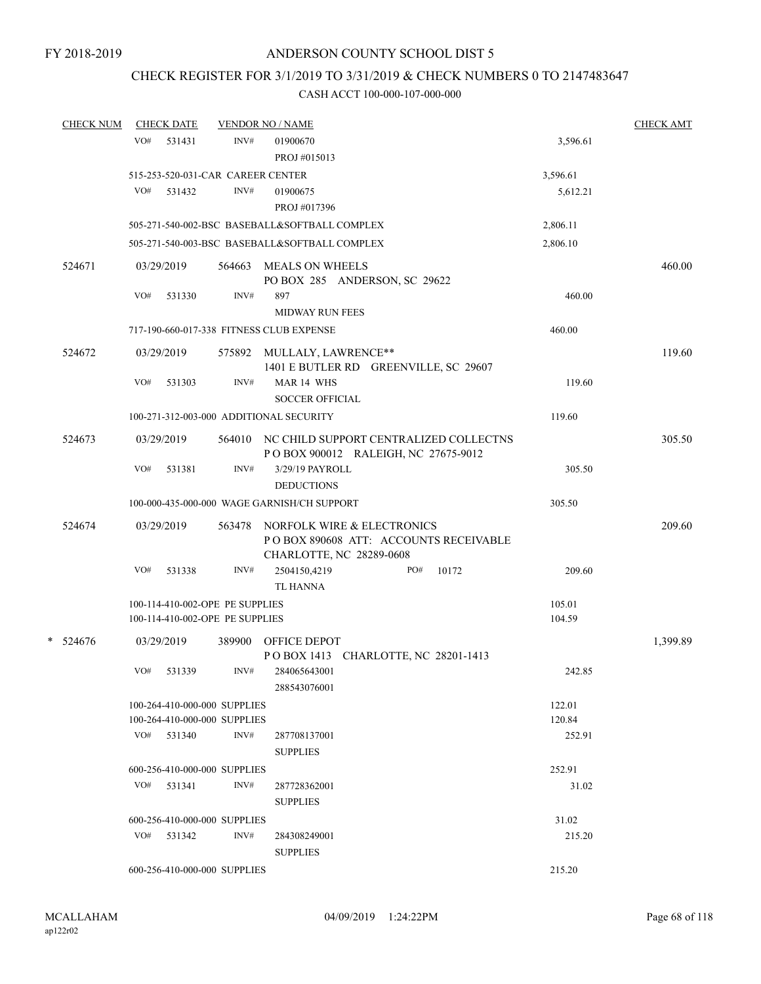### CHECK REGISTER FOR 3/1/2019 TO 3/31/2019 & CHECK NUMBERS 0 TO 2147483647

| <b>CHECK NUM</b> |     | <b>CHECK DATE</b>                 |        | <b>VENDOR NO / NAME</b>                                                                         |          | <b>CHECK AMT</b> |
|------------------|-----|-----------------------------------|--------|-------------------------------------------------------------------------------------------------|----------|------------------|
|                  | VO# | 531431                            | INV#   | 01900670                                                                                        | 3,596.61 |                  |
|                  |     |                                   |        | PROJ #015013                                                                                    |          |                  |
|                  |     | 515-253-520-031-CAR CAREER CENTER |        |                                                                                                 | 3,596.61 |                  |
|                  | VO# | 531432                            | INV#   | 01900675                                                                                        | 5,612.21 |                  |
|                  |     |                                   |        | PROJ #017396                                                                                    |          |                  |
|                  |     |                                   |        | 505-271-540-002-BSC BASEBALL&SOFTBALL COMPLEX                                                   | 2,806.11 |                  |
|                  |     |                                   |        | 505-271-540-003-BSC BASEBALL&SOFTBALL COMPLEX                                                   | 2,806.10 |                  |
| 524671           |     | 03/29/2019                        | 564663 | <b>MEALS ON WHEELS</b><br>PO BOX 285 ANDERSON, SC 29622                                         |          | 460.00           |
|                  | VO# | 531330                            | INV#   | 897<br><b>MIDWAY RUN FEES</b>                                                                   | 460.00   |                  |
|                  |     |                                   |        | 717-190-660-017-338 FITNESS CLUB EXPENSE                                                        | 460.00   |                  |
| 524672           |     | 03/29/2019                        |        | 575892 MULLALY, LAWRENCE**<br>1401 E BUTLER RD GREENVILLE, SC 29607                             |          | 119.60           |
|                  | VO# | 531303                            | INV#   | MAR 14 WHS<br><b>SOCCER OFFICIAL</b>                                                            | 119.60   |                  |
|                  |     |                                   |        | 100-271-312-003-000 ADDITIONAL SECURITY                                                         | 119.60   |                  |
| 524673           |     | 03/29/2019                        |        | 564010 NC CHILD SUPPORT CENTRALIZED COLLECTNS<br>POBOX 900012 RALEIGH, NC 27675-9012            |          | 305.50           |
|                  | VO# | 531381                            | INV#   | 3/29/19 PAYROLL<br><b>DEDUCTIONS</b>                                                            | 305.50   |                  |
|                  |     |                                   |        | 100-000-435-000-000 WAGE GARNISH/CH SUPPORT                                                     | 305.50   |                  |
| 524674           |     | 03/29/2019                        | 563478 | NORFOLK WIRE & ELECTRONICS<br>POBOX 890608 ATT: ACCOUNTS RECEIVABLE<br>CHARLOTTE, NC 28289-0608 |          | 209.60           |
|                  | VO# | 531338                            | INV#   | 10172<br>2504150,4219<br>PO#<br><b>TL HANNA</b>                                                 | 209.60   |                  |
|                  |     | 100-114-410-002-OPE PE SUPPLIES   |        |                                                                                                 | 105.01   |                  |
|                  |     | 100-114-410-002-OPE PE SUPPLIES   |        |                                                                                                 | 104.59   |                  |
| $*$ 524676       |     | 03/29/2019                        | 389900 | <b>OFFICE DEPOT</b><br>POBOX 1413 CHARLOTTE, NC 28201-1413                                      |          | 1,399.89         |
|                  |     | VO# 531339                        | INV#   | 284065643001<br>288543076001                                                                    | 242.85   |                  |
|                  |     | 100-264-410-000-000 SUPPLIES      |        |                                                                                                 | 122.01   |                  |
|                  |     | 100-264-410-000-000 SUPPLIES      |        |                                                                                                 | 120.84   |                  |
|                  |     | $VO#$ 531340                      | INV#   | 287708137001<br><b>SUPPLIES</b>                                                                 | 252.91   |                  |
|                  |     | 600-256-410-000-000 SUPPLIES      |        |                                                                                                 | 252.91   |                  |
|                  |     | $VO#$ 531341                      | INV#   | 287728362001<br><b>SUPPLIES</b>                                                                 | 31.02    |                  |
|                  |     | 600-256-410-000-000 SUPPLIES      |        |                                                                                                 | 31.02    |                  |
|                  |     | VO# 531342                        | INV#   | 284308249001<br><b>SUPPLIES</b>                                                                 | 215.20   |                  |
|                  |     | 600-256-410-000-000 SUPPLIES      |        |                                                                                                 | 215.20   |                  |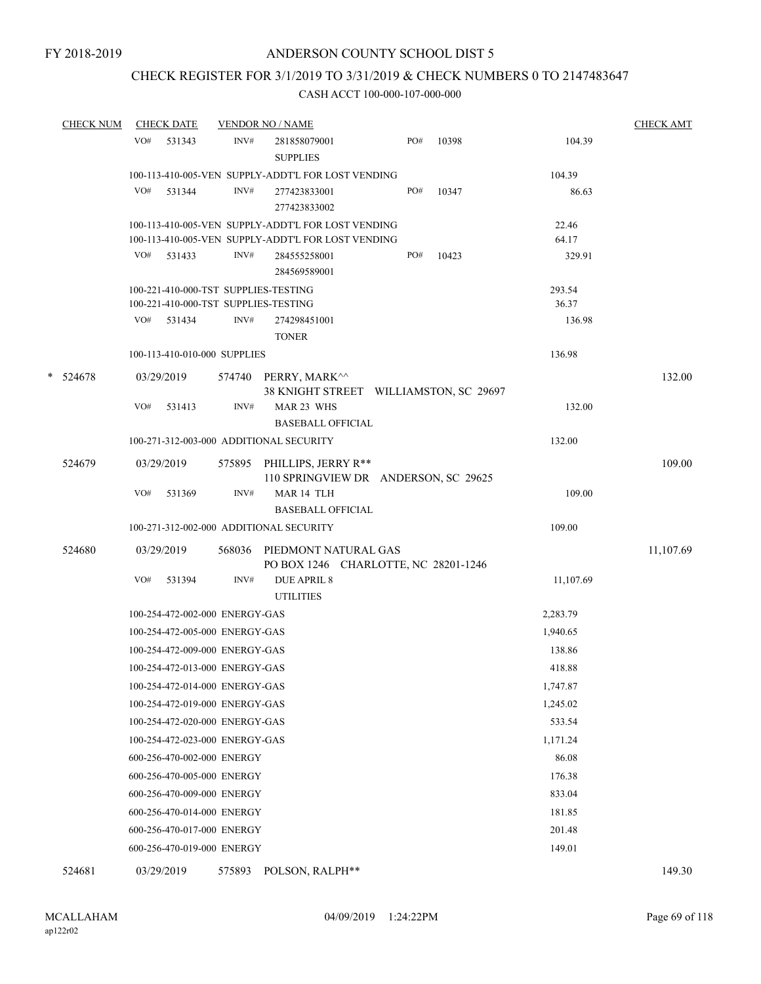### CHECK REGISTER FOR 3/1/2019 TO 3/31/2019 & CHECK NUMBERS 0 TO 2147483647

#### CASH ACCT 100-000-107-000-000

|   | <b>CHECK NUM</b> | <b>CHECK DATE</b> |                                      |        | <b>VENDOR NO / NAME</b>                                            |     |       |           | <b>CHECK AMT</b> |
|---|------------------|-------------------|--------------------------------------|--------|--------------------------------------------------------------------|-----|-------|-----------|------------------|
|   |                  | VO#               | 531343                               | INV#   | 281858079001<br><b>SUPPLIES</b>                                    | PO# | 10398 | 104.39    |                  |
|   |                  |                   |                                      |        | 100-113-410-005-VEN SUPPLY-ADDT'L FOR LOST VENDING                 |     |       | 104.39    |                  |
|   |                  | VO#               | 531344                               | INV#   | 277423833001<br>277423833002                                       | PO# | 10347 | 86.63     |                  |
|   |                  |                   |                                      |        | 100-113-410-005-VEN SUPPLY-ADDT'L FOR LOST VENDING                 |     |       | 22.46     |                  |
|   |                  |                   |                                      |        | 100-113-410-005-VEN SUPPLY-ADDT'L FOR LOST VENDING                 |     |       | 64.17     |                  |
|   |                  | VO# 531433        |                                      | INV#   | 284555258001<br>284569589001                                       | PO# | 10423 | 329.91    |                  |
|   |                  |                   | 100-221-410-000-TST SUPPLIES-TESTING |        |                                                                    |     |       | 293.54    |                  |
|   |                  |                   | 100-221-410-000-TST SUPPLIES-TESTING |        |                                                                    |     |       | 36.37     |                  |
|   |                  | VO# 531434        |                                      | INV#   | 274298451001<br><b>TONER</b>                                       |     |       | 136.98    |                  |
|   |                  |                   | 100-113-410-010-000 SUPPLIES         |        |                                                                    |     |       | 136.98    |                  |
| * | 524678           | 03/29/2019        |                                      |        | 574740 PERRY, MARK^^<br>38 KNIGHT STREET WILLIAMSTON, SC 29697     |     |       |           | 132.00           |
|   |                  | VO#               | 531413                               | INV#   | MAR 23 WHS<br><b>BASEBALL OFFICIAL</b>                             |     |       | 132.00    |                  |
|   |                  |                   |                                      |        | 100-271-312-003-000 ADDITIONAL SECURITY                            |     |       | 132.00    |                  |
|   | 524679           | 03/29/2019        |                                      |        | 575895 PHILLIPS, JERRY R**<br>110 SPRINGVIEW DR ANDERSON, SC 29625 |     |       |           | 109.00           |
|   |                  | VO#               | 531369                               | INV#   | MAR 14 TLH<br><b>BASEBALL OFFICIAL</b>                             |     |       | 109.00    |                  |
|   |                  |                   |                                      |        | 100-271-312-002-000 ADDITIONAL SECURITY                            |     |       | 109.00    |                  |
|   |                  |                   |                                      |        |                                                                    |     |       |           |                  |
|   | 524680           | 03/29/2019        |                                      | 568036 | PIEDMONT NATURAL GAS<br>PO BOX 1246 CHARLOTTE, NC 28201-1246       |     |       |           | 11,107.69        |
|   |                  | VO#               | 531394                               | INV#   | <b>DUE APRIL 8</b><br><b>UTILITIES</b>                             |     |       | 11,107.69 |                  |
|   |                  |                   | 100-254-472-002-000 ENERGY-GAS       |        |                                                                    |     |       | 2,283.79  |                  |
|   |                  |                   | 100-254-472-005-000 ENERGY-GAS       |        |                                                                    |     |       | 1,940.65  |                  |
|   |                  |                   | 100-254-472-009-000 ENERGY-GAS       |        |                                                                    |     |       | 138.86    |                  |
|   |                  |                   | 100-254-472-013-000 ENERGY-GAS       |        |                                                                    |     |       | 418.88    |                  |
|   |                  |                   | 100-254-472-014-000 ENERGY-GAS       |        |                                                                    |     |       | 1,747.87  |                  |
|   |                  |                   | 100-254-472-019-000 ENERGY-GAS       |        |                                                                    |     |       | 1,245.02  |                  |
|   |                  |                   | 100-254-472-020-000 ENERGY-GAS       |        |                                                                    |     |       | 533.54    |                  |
|   |                  |                   | 100-254-472-023-000 ENERGY-GAS       |        |                                                                    |     |       | 1,171.24  |                  |
|   |                  |                   | 600-256-470-002-000 ENERGY           |        |                                                                    |     |       | 86.08     |                  |
|   |                  |                   | 600-256-470-005-000 ENERGY           |        |                                                                    |     |       | 176.38    |                  |
|   |                  |                   | 600-256-470-009-000 ENERGY           |        |                                                                    |     |       | 833.04    |                  |
|   |                  |                   | 600-256-470-014-000 ENERGY           |        |                                                                    |     |       | 181.85    |                  |
|   |                  |                   | 600-256-470-017-000 ENERGY           |        |                                                                    |     |       | 201.48    |                  |
|   |                  |                   | 600-256-470-019-000 ENERGY           |        |                                                                    |     |       | 149.01    |                  |
|   |                  |                   |                                      |        |                                                                    |     |       |           |                  |

524681 03/29/2019 575893 POLSON, RALPH\*\* 149.30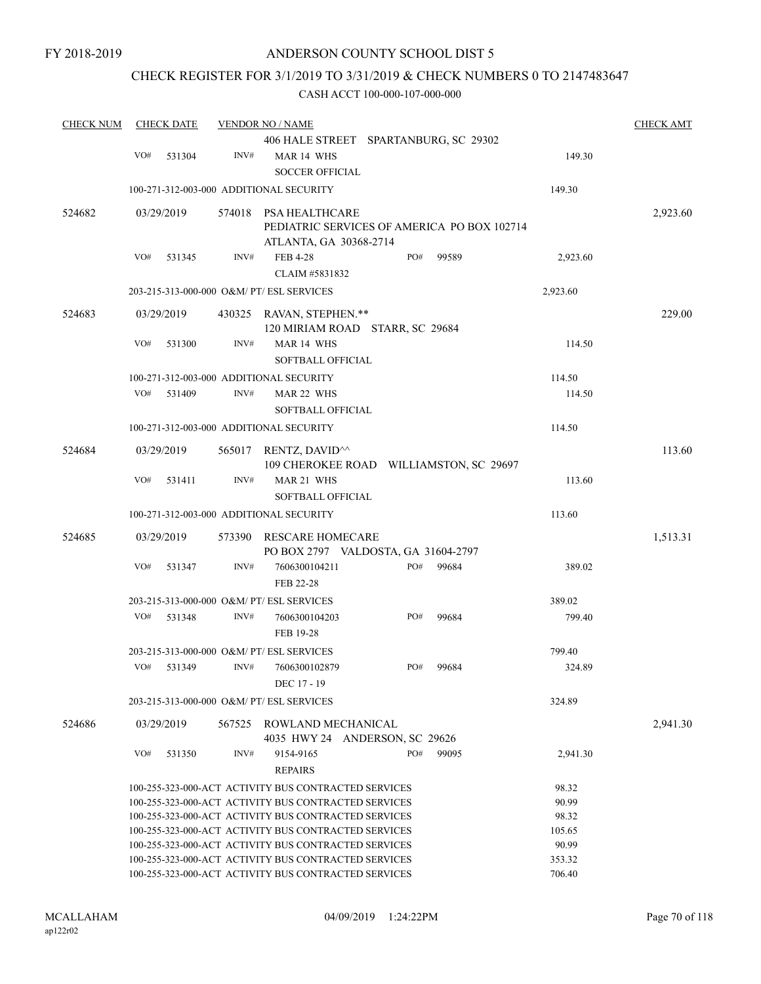### CHECK REGISTER FOR 3/1/2019 TO 3/31/2019 & CHECK NUMBERS 0 TO 2147483647

| <b>CHECK NUM</b> |     | <b>CHECK DATE</b> |        | <b>VENDOR NO / NAME</b>                                                                      |     |       |          | <b>CHECK AMT</b> |
|------------------|-----|-------------------|--------|----------------------------------------------------------------------------------------------|-----|-------|----------|------------------|
|                  | VO# | 531304            | INV#   | 406 HALE STREET SPARTANBURG, SC 29302<br>MAR 14 WHS                                          |     |       | 149.30   |                  |
|                  |     |                   |        | <b>SOCCER OFFICIAL</b>                                                                       |     |       |          |                  |
|                  |     |                   |        | 100-271-312-003-000 ADDITIONAL SECURITY                                                      |     |       | 149.30   |                  |
| 524682           |     | 03/29/2019        | 574018 | PSA HEALTHCARE<br>PEDIATRIC SERVICES OF AMERICA PO BOX 102714<br>ATLANTA, GA 30368-2714      |     |       |          | 2,923.60         |
|                  | VO# | 531345            | INV#   | <b>FEB 4-28</b><br>CLAIM #5831832                                                            | PO# | 99589 | 2,923.60 |                  |
|                  |     |                   |        | 203-215-313-000-000 O&M/ PT/ ESL SERVICES                                                    |     |       | 2,923.60 |                  |
| 524683           |     | 03/29/2019        | 430325 | RAVAN, STEPHEN.**<br>120 MIRIAM ROAD STARR, SC 29684                                         |     |       |          | 229.00           |
|                  | VO# | 531300            | INV#   | MAR 14 WHS<br><b>SOFTBALL OFFICIAL</b>                                                       |     |       | 114.50   |                  |
|                  |     |                   |        | 100-271-312-003-000 ADDITIONAL SECURITY                                                      |     |       | 114.50   |                  |
|                  | VO# | 531409            | INV#   | MAR 22 WHS<br><b>SOFTBALL OFFICIAL</b>                                                       |     |       | 114.50   |                  |
|                  |     |                   |        | 100-271-312-003-000 ADDITIONAL SECURITY                                                      |     |       | 114.50   |                  |
| 524684           |     | 03/29/2019        |        | 565017 RENTZ, DAVID <sup><math>\land</math></sup><br>109 CHEROKEE ROAD WILLIAMSTON, SC 29697 |     |       |          | 113.60           |
|                  | VO# | 531411            | INV#   | MAR 21 WHS<br>SOFTBALL OFFICIAL                                                              |     |       | 113.60   |                  |
|                  |     |                   |        | 100-271-312-003-000 ADDITIONAL SECURITY                                                      |     |       | 113.60   |                  |
| 524685           |     | 03/29/2019        | 573390 | <b>RESCARE HOMECARE</b><br>PO BOX 2797 VALDOSTA, GA 31604-2797                               |     |       |          | 1,513.31         |
|                  | VO# | 531347            | INV#   | 7606300104211<br>FEB 22-28                                                                   | PO# | 99684 | 389.02   |                  |
|                  |     |                   |        | 203-215-313-000-000 O&M/ PT/ ESL SERVICES                                                    |     |       | 389.02   |                  |
|                  | VO# | 531348            | INV#   | 7606300104203<br>FEB 19-28                                                                   | PO# | 99684 | 799.40   |                  |
|                  |     |                   |        | 203-215-313-000-000 O&M/ PT/ ESL SERVICES                                                    |     |       | 799.40   |                  |
|                  | VO# | 531349            | INV#   | 7606300102879<br>DEC 17 - 19                                                                 | PO# | 99684 | 324.89   |                  |
|                  |     |                   |        | 203-215-313-000-000 O&M/ PT/ ESL SERVICES                                                    |     |       | 324.89   |                  |
| 524686           |     | 03/29/2019        | 567525 | ROWLAND MECHANICAL<br>4035 HWY 24 ANDERSON, SC 29626                                         |     |       |          | 2,941.30         |
|                  | VO# | 531350            | INV#   | 9154-9165<br><b>REPAIRS</b>                                                                  | PO# | 99095 | 2,941.30 |                  |
|                  |     |                   |        | 100-255-323-000-ACT ACTIVITY BUS CONTRACTED SERVICES                                         |     |       | 98.32    |                  |
|                  |     |                   |        | 100-255-323-000-ACT ACTIVITY BUS CONTRACTED SERVICES                                         |     |       | 90.99    |                  |
|                  |     |                   |        | 100-255-323-000-ACT ACTIVITY BUS CONTRACTED SERVICES                                         |     |       | 98.32    |                  |
|                  |     |                   |        | 100-255-323-000-ACT ACTIVITY BUS CONTRACTED SERVICES                                         |     |       | 105.65   |                  |
|                  |     |                   |        | 100-255-323-000-ACT ACTIVITY BUS CONTRACTED SERVICES                                         |     |       | 90.99    |                  |
|                  |     |                   |        | 100-255-323-000-ACT ACTIVITY BUS CONTRACTED SERVICES                                         |     |       | 353.32   |                  |
|                  |     |                   |        | 100-255-323-000-ACT ACTIVITY BUS CONTRACTED SERVICES                                         |     |       | 706.40   |                  |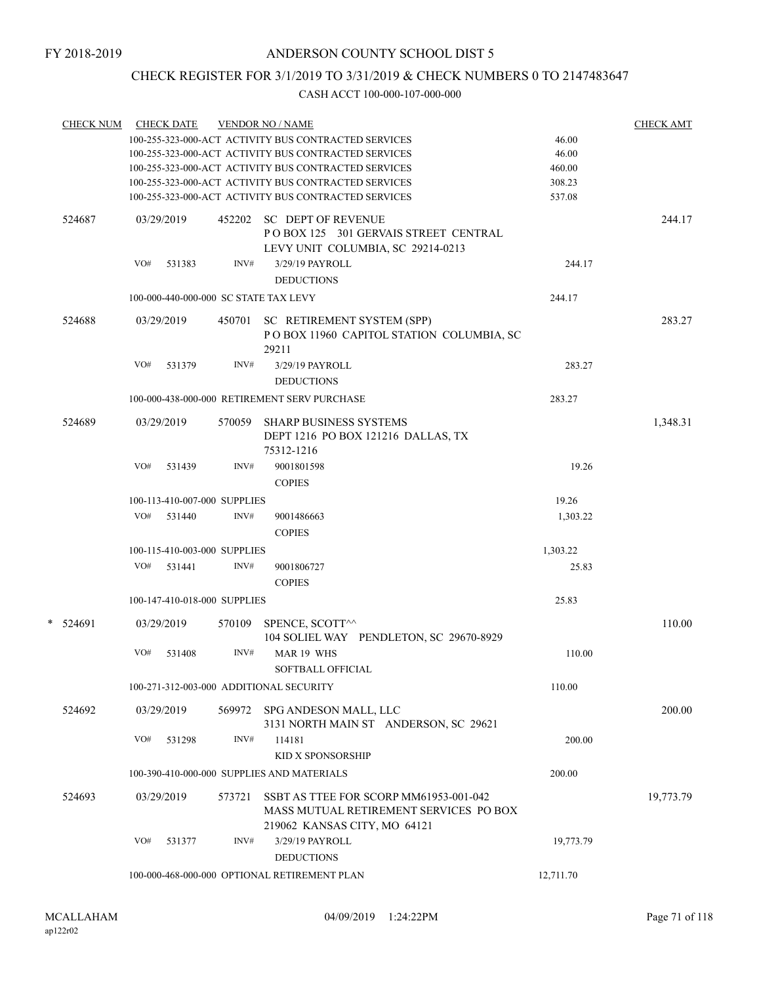# CHECK REGISTER FOR 3/1/2019 TO 3/31/2019 & CHECK NUMBERS 0 TO 2147483647

| <b>CHECK NUM</b> |     | <b>CHECK DATE</b> |                              | <b>VENDOR NO / NAME</b>                                                                                          |           | <b>CHECK AMT</b> |
|------------------|-----|-------------------|------------------------------|------------------------------------------------------------------------------------------------------------------|-----------|------------------|
|                  |     |                   |                              | 100-255-323-000-ACT ACTIVITY BUS CONTRACTED SERVICES                                                             | 46.00     |                  |
|                  |     |                   |                              | 100-255-323-000-ACT ACTIVITY BUS CONTRACTED SERVICES                                                             | 46.00     |                  |
|                  |     |                   |                              | 100-255-323-000-ACT ACTIVITY BUS CONTRACTED SERVICES                                                             | 460.00    |                  |
|                  |     |                   |                              | 100-255-323-000-ACT ACTIVITY BUS CONTRACTED SERVICES                                                             | 308.23    |                  |
|                  |     |                   |                              | 100-255-323-000-ACT ACTIVITY BUS CONTRACTED SERVICES                                                             | 537.08    |                  |
| 524687           |     | 03/29/2019        |                              | 452202 SC DEPT OF REVENUE<br>POBOX 125 301 GERVAIS STREET CENTRAL                                                |           | 244.17           |
|                  |     |                   |                              | LEVY UNIT COLUMBIA, SC 29214-0213                                                                                |           |                  |
|                  | VO# | 531383            | INV#                         | 3/29/19 PAYROLL                                                                                                  | 244.17    |                  |
|                  |     |                   |                              | <b>DEDUCTIONS</b>                                                                                                |           |                  |
|                  |     |                   |                              | 100-000-440-000-000 SC STATE TAX LEVY                                                                            | 244.17    |                  |
|                  |     |                   |                              |                                                                                                                  |           |                  |
| 524688           |     | 03/29/2019        | 450701                       | SC RETIREMENT SYSTEM (SPP)<br>POBOX 11960 CAPITOL STATION COLUMBIA, SC<br>29211                                  |           | 283.27           |
|                  | VO# | 531379            | INV#                         | 3/29/19 PAYROLL<br><b>DEDUCTIONS</b>                                                                             | 283.27    |                  |
|                  |     |                   |                              | 100-000-438-000-000 RETIREMENT SERV PURCHASE                                                                     | 283.27    |                  |
|                  |     |                   |                              |                                                                                                                  |           |                  |
| 524689           |     | 03/29/2019        | 570059                       | <b>SHARP BUSINESS SYSTEMS</b><br>DEPT 1216 PO BOX 121216 DALLAS, TX<br>75312-1216                                |           | 1,348.31         |
|                  | VO# | 531439            | INV#                         | 9001801598                                                                                                       | 19.26     |                  |
|                  |     |                   |                              | <b>COPIES</b>                                                                                                    |           |                  |
|                  |     |                   | 100-113-410-007-000 SUPPLIES |                                                                                                                  | 19.26     |                  |
|                  |     | VO# 531440        | INV#                         | 9001486663                                                                                                       | 1,303.22  |                  |
|                  |     |                   |                              | <b>COPIES</b>                                                                                                    |           |                  |
|                  |     |                   | 100-115-410-003-000 SUPPLIES |                                                                                                                  | 1,303.22  |                  |
|                  | VO# | 531441            | INV#                         | 9001806727                                                                                                       | 25.83     |                  |
|                  |     |                   |                              | <b>COPIES</b>                                                                                                    |           |                  |
|                  |     |                   | 100-147-410-018-000 SUPPLIES |                                                                                                                  | 25.83     |                  |
|                  |     |                   |                              |                                                                                                                  |           |                  |
| * 524691         |     | 03/29/2019        | 570109                       | SPENCE, SCOTT^^<br>104 SOLIEL WAY PENDLETON, SC 29670-8929                                                       |           | 110.00           |
|                  | VO# | 531408            | INV#                         | MAR 19 WHS<br><b>SOFTBALL OFFICIAL</b>                                                                           | 110.00    |                  |
|                  |     |                   |                              | 100-271-312-003-000 ADDITIONAL SECURITY                                                                          | 110.00    |                  |
| 524692           |     | 03/29/2019        |                              | 569972 SPG ANDESON MALL, LLC                                                                                     |           | 200.00           |
|                  |     |                   |                              | 3131 NORTH MAIN ST ANDERSON, SC 29621                                                                            |           |                  |
|                  | VO# | 531298            | INV#                         | 114181                                                                                                           | 200.00    |                  |
|                  |     |                   |                              | KID X SPONSORSHIP                                                                                                |           |                  |
|                  |     |                   |                              | 100-390-410-000-000 SUPPLIES AND MATERIALS                                                                       | 200.00    |                  |
|                  |     |                   |                              |                                                                                                                  |           |                  |
| 524693           |     | 03/29/2019        | 573721                       | SSBT AS TTEE FOR SCORP MM61953-001-042<br>MASS MUTUAL RETIREMENT SERVICES PO BOX<br>219062 KANSAS CITY, MO 64121 |           | 19,773.79        |
|                  | VO# | 531377            | INV#                         | 3/29/19 PAYROLL                                                                                                  | 19,773.79 |                  |
|                  |     |                   |                              | <b>DEDUCTIONS</b>                                                                                                |           |                  |
|                  |     |                   |                              | 100-000-468-000-000 OPTIONAL RETIREMENT PLAN                                                                     | 12,711.70 |                  |
|                  |     |                   |                              |                                                                                                                  |           |                  |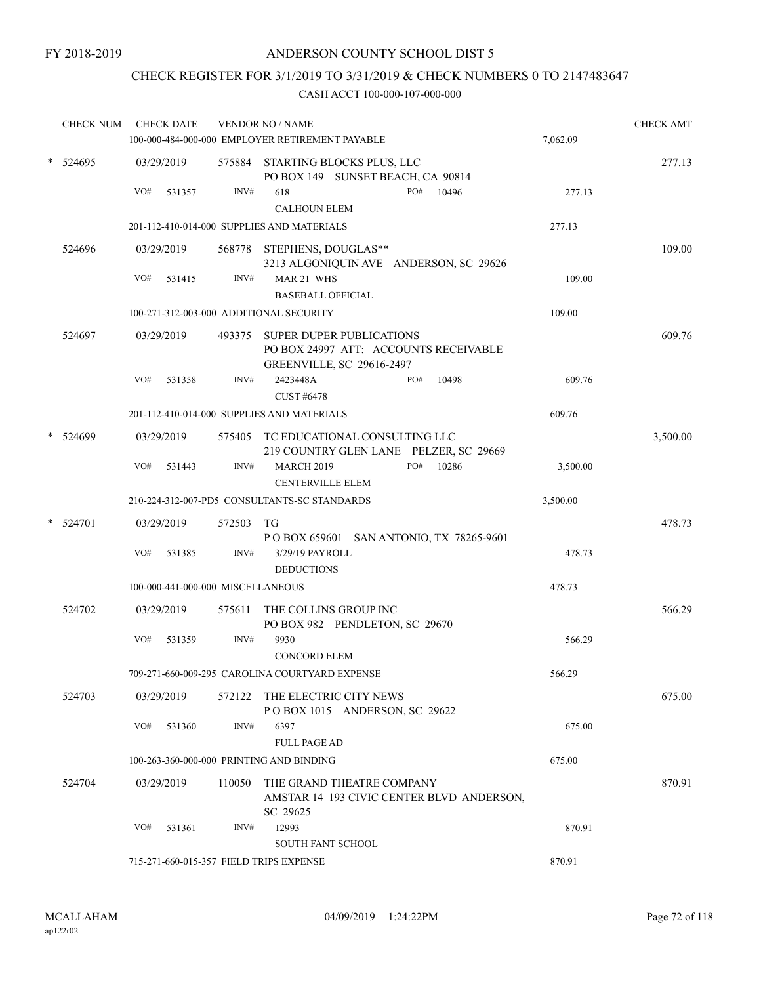# CHECK REGISTER FOR 3/1/2019 TO 3/31/2019 & CHECK NUMBERS 0 TO 2147483647

|   | <b>CHECK NUM</b> |     | <b>CHECK DATE</b>                 |        | <b>VENDOR NO / NAME</b><br>100-000-484-000-000 EMPLOYER RETIREMENT PAYABLE                                   | 7,062.09 | <b>CHECK AMT</b> |
|---|------------------|-----|-----------------------------------|--------|--------------------------------------------------------------------------------------------------------------|----------|------------------|
|   | * 524695         |     | 03/29/2019                        |        | 575884 STARTING BLOCKS PLUS, LLC<br>PO BOX 149 SUNSET BEACH, CA 90814                                        |          | 277.13           |
|   |                  | VO# | 531357                            | INV#   | PO#<br>618<br>10496<br><b>CALHOUN ELEM</b>                                                                   | 277.13   |                  |
|   |                  |     |                                   |        | 201-112-410-014-000 SUPPLIES AND MATERIALS                                                                   | 277.13   |                  |
|   | 524696           |     | 03/29/2019                        |        | 568778 STEPHENS, DOUGLAS**<br>3213 ALGONIQUIN AVE ANDERSON, SC 29626                                         |          | 109.00           |
|   |                  | VO# | 531415                            | INV#   | MAR 21 WHS<br><b>BASEBALL OFFICIAL</b>                                                                       | 109.00   |                  |
|   |                  |     |                                   |        | 100-271-312-003-000 ADDITIONAL SECURITY                                                                      | 109.00   |                  |
|   | 524697           |     | 03/29/2019                        |        | 493375 SUPER DUPER PUBLICATIONS<br>PO BOX 24997 ATT: ACCOUNTS RECEIVABLE<br><b>GREENVILLE, SC 29616-2497</b> |          | 609.76           |
|   |                  | VO# | 531358                            | INV#   | 2423448A<br>PO#<br>10498<br>CUST #6478                                                                       | 609.76   |                  |
|   |                  |     |                                   |        | 201-112-410-014-000 SUPPLIES AND MATERIALS                                                                   | 609.76   |                  |
| * | 524699           |     | 03/29/2019                        |        | 575405 TC EDUCATIONAL CONSULTING LLC<br>219 COUNTRY GLEN LANE PELZER, SC 29669                               |          | 3,500.00         |
|   |                  | VO# | 531443                            | INV#   | <b>MARCH 2019</b><br>PO#<br>10286<br><b>CENTERVILLE ELEM</b>                                                 | 3,500.00 |                  |
|   |                  |     |                                   |        | 210-224-312-007-PD5 CONSULTANTS-SC STANDARDS                                                                 | 3,500.00 |                  |
|   | * 524701         |     | 03/29/2019                        | 572503 | TG<br>POBOX 659601 SAN ANTONIO, TX 78265-9601                                                                |          | 478.73           |
|   |                  | VO# | 531385                            | INV#   | 3/29/19 PAYROLL<br><b>DEDUCTIONS</b>                                                                         | 478.73   |                  |
|   |                  |     | 100-000-441-000-000 MISCELLANEOUS |        |                                                                                                              | 478.73   |                  |
|   | 524702           |     | 03/29/2019                        | 575611 | THE COLLINS GROUP INC<br>PO BOX 982 PENDLETON, SC 29670                                                      |          | 566.29           |
|   |                  | VO# | 531359                            | INV#   | 9930<br><b>CONCORD ELEM</b>                                                                                  | 566.29   |                  |
|   |                  |     |                                   |        | 709-271-660-009-295 CAROLINA COURTYARD EXPENSE                                                               | 566.29   |                  |
|   | 524703           |     | 03/29/2019                        | 572122 | THE ELECTRIC CITY NEWS<br>POBOX 1015 ANDERSON, SC 29622                                                      |          | 675.00           |
|   |                  | VO# | 531360                            | INV#   | 6397<br><b>FULL PAGE AD</b>                                                                                  | 675.00   |                  |
|   |                  |     |                                   |        | 100-263-360-000-000 PRINTING AND BINDING                                                                     | 675.00   |                  |
|   | 524704           |     | 03/29/2019                        | 110050 | THE GRAND THEATRE COMPANY<br>AMSTAR 14 193 CIVIC CENTER BLVD ANDERSON,<br>SC 29625                           |          | 870.91           |
|   |                  | VO# | 531361                            | INV#   | 12993<br><b>SOUTH FANT SCHOOL</b>                                                                            | 870.91   |                  |
|   |                  |     |                                   |        | 715-271-660-015-357 FIELD TRIPS EXPENSE                                                                      | 870.91   |                  |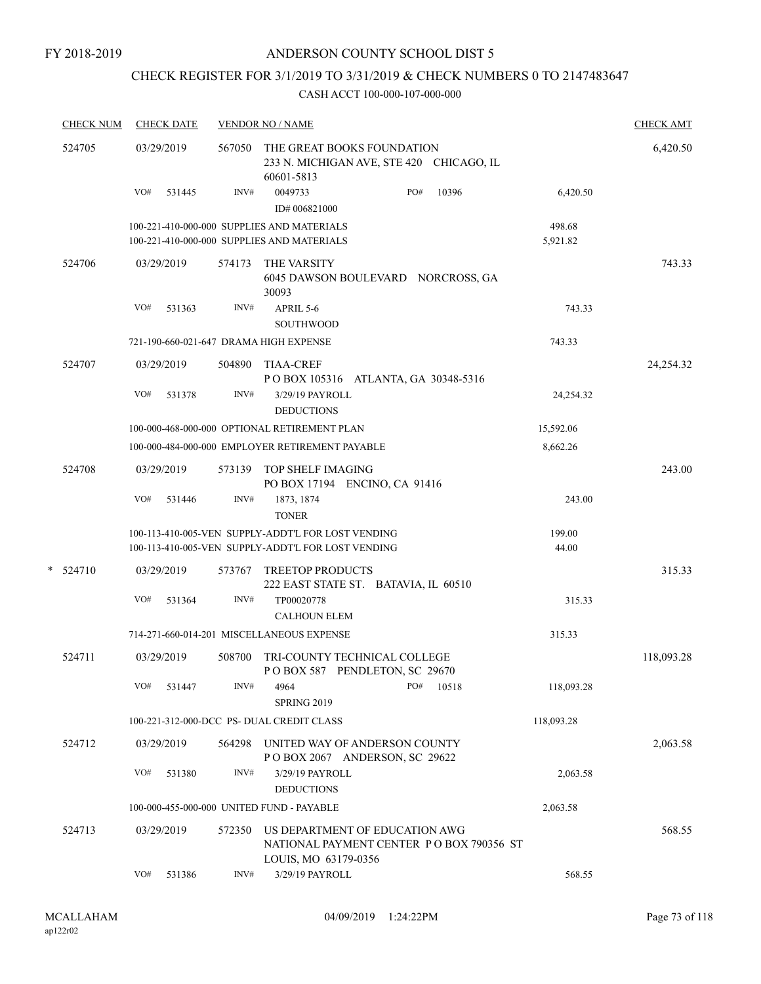# CHECK REGISTER FOR 3/1/2019 TO 3/31/2019 & CHECK NUMBERS 0 TO 2147483647

| <b>CHECK NUM</b> |     | <b>CHECK DATE</b> |        | <b>VENDOR NO / NAME</b>                                                                                  | <b>CHECK AMT</b> |       |                    |            |
|------------------|-----|-------------------|--------|----------------------------------------------------------------------------------------------------------|------------------|-------|--------------------|------------|
| 524705           |     | 03/29/2019        | 567050 | THE GREAT BOOKS FOUNDATION<br>233 N. MICHIGAN AVE, STE 420 CHICAGO, IL<br>60601-5813                     |                  |       |                    | 6,420.50   |
|                  | VO# | 531445            | INV#   | 0049733<br>ID#006821000                                                                                  | PO#              | 10396 | 6,420.50           |            |
|                  |     |                   |        | 100-221-410-000-000 SUPPLIES AND MATERIALS<br>100-221-410-000-000 SUPPLIES AND MATERIALS                 |                  |       | 498.68<br>5,921.82 |            |
| 524706           |     | 03/29/2019        | 574173 | THE VARSITY<br>6045 DAWSON BOULEVARD NORCROSS, GA<br>30093                                               |                  |       |                    | 743.33     |
|                  | VO# | 531363            | INV#   | APRIL 5-6<br>SOUTHWOOD                                                                                   |                  |       | 743.33             |            |
|                  |     |                   |        | 721-190-660-021-647 DRAMA HIGH EXPENSE                                                                   |                  |       | 743.33             |            |
| 524707           |     | 03/29/2019        | 504890 | <b>TIAA-CREF</b><br>POBOX 105316 ATLANTA, GA 30348-5316                                                  |                  |       |                    | 24,254.32  |
|                  | VO# | 531378            | INV#   | 3/29/19 PAYROLL<br><b>DEDUCTIONS</b>                                                                     |                  |       | 24,254.32          |            |
|                  |     |                   |        | 100-000-468-000-000 OPTIONAL RETIREMENT PLAN                                                             |                  |       | 15,592.06          |            |
|                  |     |                   |        | 100-000-484-000-000 EMPLOYER RETIREMENT PAYABLE                                                          |                  |       | 8,662.26           |            |
| 524708           |     | 03/29/2019        | 573139 | TOP SHELF IMAGING<br>PO BOX 17194 ENCINO, CA 91416                                                       |                  |       |                    | 243.00     |
|                  | VO# | 531446            | INV#   | 1873, 1874<br><b>TONER</b>                                                                               |                  |       | 243.00             |            |
|                  |     |                   |        | 100-113-410-005-VEN SUPPLY-ADDT'L FOR LOST VENDING<br>100-113-410-005-VEN SUPPLY-ADDT'L FOR LOST VENDING |                  |       | 199.00<br>44.00    |            |
| $*$ 524710       |     | 03/29/2019        | 573767 | <b>TREETOP PRODUCTS</b><br>222 EAST STATE ST. BATAVIA, IL 60510                                          |                  |       |                    | 315.33     |
|                  | VO# | 531364            | INV#   | TP00020778<br><b>CALHOUN ELEM</b>                                                                        |                  |       | 315.33             |            |
|                  |     |                   |        | 714-271-660-014-201 MISCELLANEOUS EXPENSE                                                                |                  |       | 315.33             |            |
| 524711           |     | 03/29/2019        | 508700 | TRI-COUNTY TECHNICAL COLLEGE<br>POBOX 587 PENDLETON, SC 29670                                            |                  |       |                    | 118,093.28 |
|                  | VO# | 531447            | INV#   | 4964<br>SPRING 2019                                                                                      | PO#              | 10518 | 118,093.28         |            |
|                  |     |                   |        | 100-221-312-000-DCC PS- DUAL CREDIT CLASS                                                                |                  |       | 118,093.28         |            |
| 524712           |     | 03/29/2019        | 564298 | UNITED WAY OF ANDERSON COUNTY<br>POBOX 2067 ANDERSON, SC 29622                                           |                  |       |                    | 2,063.58   |
|                  | VO# | 531380            | INV#   | 3/29/19 PAYROLL<br><b>DEDUCTIONS</b>                                                                     |                  |       | 2,063.58           |            |
|                  |     |                   |        | 100-000-455-000-000 UNITED FUND - PAYABLE                                                                |                  |       | 2,063.58           |            |
| 524713           |     | 03/29/2019        | 572350 | US DEPARTMENT OF EDUCATION AWG<br>NATIONAL PAYMENT CENTER PO BOX 790356 ST<br>LOUIS, MO 63179-0356       |                  |       |                    | 568.55     |
|                  | VO# | 531386            | INV#   | 3/29/19 PAYROLL                                                                                          |                  |       | 568.55             |            |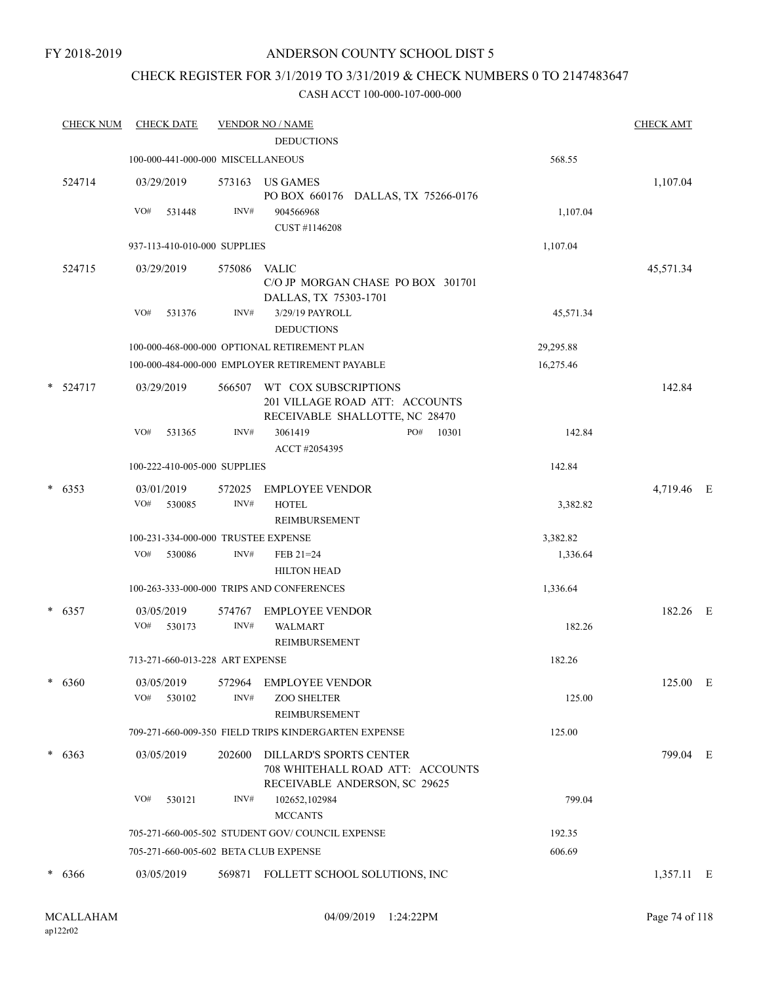### CHECK REGISTER FOR 3/1/2019 TO 3/31/2019 & CHECK NUMBERS 0 TO 2147483647

| <b>CHECK NUM</b> | <b>CHECK DATE</b>           |                                       | <b>VENDOR NO / NAME</b>                                                                             |           | <b>CHECK AMT</b> |  |
|------------------|-----------------------------|---------------------------------------|-----------------------------------------------------------------------------------------------------|-----------|------------------|--|
|                  |                             |                                       | <b>DEDUCTIONS</b>                                                                                   |           |                  |  |
|                  |                             | 100-000-441-000-000 MISCELLANEOUS     |                                                                                                     | 568.55    |                  |  |
| 524714           | 03/29/2019                  | 573163                                | US GAMES<br>PO BOX 660176 DALLAS, TX 75266-0176                                                     |           | 1,107.04         |  |
|                  | VO#<br>531448               | INV#                                  | 904566968<br>CUST #1146208                                                                          | 1,107.04  |                  |  |
|                  |                             | 937-113-410-010-000 SUPPLIES          |                                                                                                     | 1,107.04  |                  |  |
| 524715           | 03/29/2019                  | 575086                                | <b>VALIC</b><br>C/O JP MORGAN CHASE PO BOX 301701<br>DALLAS, TX 75303-1701                          |           | 45,571.34        |  |
|                  | VO#<br>531376               | INV#                                  | 3/29/19 PAYROLL<br><b>DEDUCTIONS</b>                                                                | 45,571.34 |                  |  |
|                  |                             |                                       | 100-000-468-000-000 OPTIONAL RETIREMENT PLAN                                                        | 29,295.88 |                  |  |
|                  |                             |                                       | 100-000-484-000-000 EMPLOYER RETIREMENT PAYABLE                                                     | 16,275.46 |                  |  |
| $* 524717$       | 03/29/2019                  | 566507                                | WT COX SUBSCRIPTIONS<br>201 VILLAGE ROAD ATT: ACCOUNTS<br>RECEIVABLE SHALLOTTE, NC 28470            |           | 142.84           |  |
|                  | VO#<br>531365               | INV#                                  | 3061419<br>PO#<br>10301<br>ACCT #2054395                                                            | 142.84    |                  |  |
|                  |                             | 100-222-410-005-000 SUPPLIES          |                                                                                                     | 142.84    |                  |  |
| $* 6353$         | 03/01/2019<br>VO#<br>530085 | 572025<br>INV#                        | <b>EMPLOYEE VENDOR</b><br><b>HOTEL</b>                                                              | 3,382.82  | 4,719.46 E       |  |
|                  |                             |                                       | REIMBURSEMENT                                                                                       |           |                  |  |
|                  |                             | 100-231-334-000-000 TRUSTEE EXPENSE   |                                                                                                     | 3,382.82  |                  |  |
|                  | VO#<br>530086               | INV#                                  | FEB 21=24<br><b>HILTON HEAD</b>                                                                     | 1,336.64  |                  |  |
|                  |                             |                                       | 100-263-333-000-000 TRIPS AND CONFERENCES                                                           | 1,336.64  |                  |  |
| $* 6357$         | 03/05/2019<br>VO#<br>530173 | 574767<br>INV#                        | <b>EMPLOYEE VENDOR</b><br><b>WALMART</b>                                                            | 182.26    | 182.26 E         |  |
|                  |                             |                                       | REIMBURSEMENT                                                                                       |           |                  |  |
|                  |                             | 713-271-660-013-228 ART EXPENSE       |                                                                                                     | 182.26    |                  |  |
| $* 6360$         | 03/05/2019<br>530102<br>VO# | 572964<br>INV#                        | <b>EMPLOYEE VENDOR</b><br><b>ZOO SHELTER</b><br>REIMBURSEMENT                                       | 125.00    | 125.00 E         |  |
|                  |                             |                                       | 709-271-660-009-350 FIELD TRIPS KINDERGARTEN EXPENSE                                                | 125.00    |                  |  |
| $* 6363$         | 03/05/2019                  | 202600                                | <b>DILLARD'S SPORTS CENTER</b><br>708 WHITEHALL ROAD ATT: ACCOUNTS<br>RECEIVABLE ANDERSON, SC 29625 |           | 799.04 E         |  |
|                  | VO#<br>530121               | INV#                                  | 102652,102984<br><b>MCCANTS</b>                                                                     | 799.04    |                  |  |
|                  |                             |                                       | 705-271-660-005-502 STUDENT GOV/COUNCIL EXPENSE                                                     | 192.35    |                  |  |
|                  |                             | 705-271-660-005-602 BETA CLUB EXPENSE |                                                                                                     | 606.69    |                  |  |
| $* 6366$         | 03/05/2019                  |                                       | 569871 FOLLETT SCHOOL SOLUTIONS, INC                                                                |           | 1,357.11 E       |  |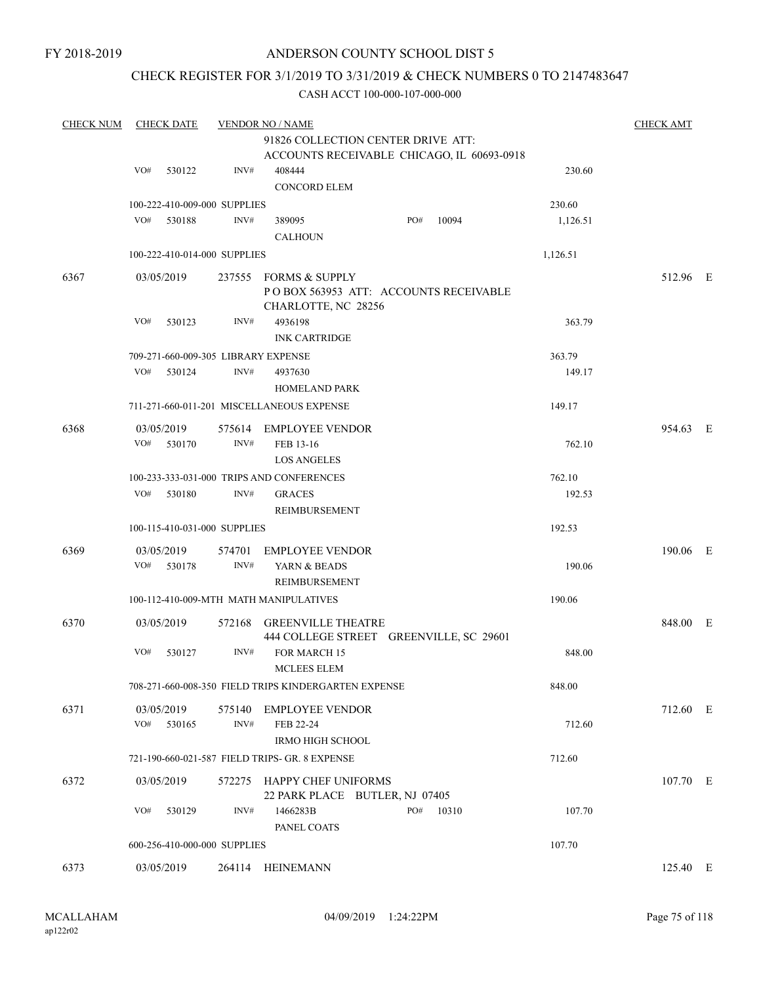### CHECK REGISTER FOR 3/1/2019 TO 3/31/2019 & CHECK NUMBERS 0 TO 2147483647

| <b>CHECK NUM</b> | <b>CHECK DATE</b>                   | <b>CHECK AMT</b> |                                                                                  |     |       |          |          |  |
|------------------|-------------------------------------|------------------|----------------------------------------------------------------------------------|-----|-------|----------|----------|--|
|                  |                                     |                  |                                                                                  |     |       |          |          |  |
|                  |                                     |                  | 91826 COLLECTION CENTER DRIVE ATT:<br>ACCOUNTS RECEIVABLE CHICAGO, IL 60693-0918 |     |       |          |          |  |
|                  | VO#<br>530122                       | INV#             | 408444                                                                           |     |       | 230.60   |          |  |
|                  |                                     |                  | <b>CONCORD ELEM</b>                                                              |     |       |          |          |  |
|                  | 100-222-410-009-000 SUPPLIES        |                  |                                                                                  |     |       | 230.60   |          |  |
|                  | VO#<br>530188                       | INV#             | 389095                                                                           | PO# | 10094 | 1,126.51 |          |  |
|                  |                                     |                  | <b>CALHOUN</b>                                                                   |     |       |          |          |  |
|                  | 100-222-410-014-000 SUPPLIES        |                  |                                                                                  |     |       | 1,126.51 |          |  |
| 6367             | 03/05/2019                          |                  | 237555 FORMS & SUPPLY                                                            |     |       |          | 512.96 E |  |
|                  |                                     |                  | PO BOX 563953 ATT: ACCOUNTS RECEIVABLE                                           |     |       |          |          |  |
|                  |                                     |                  | CHARLOTTE, NC 28256                                                              |     |       |          |          |  |
|                  | VO#<br>530123                       | INV#             | 4936198                                                                          |     |       | 363.79   |          |  |
|                  |                                     |                  | <b>INK CARTRIDGE</b>                                                             |     |       |          |          |  |
|                  | 709-271-660-009-305 LIBRARY EXPENSE |                  |                                                                                  |     |       | 363.79   |          |  |
|                  | VO#<br>530124                       | INV#             | 4937630                                                                          |     |       | 149.17   |          |  |
|                  |                                     |                  | <b>HOMELAND PARK</b>                                                             |     |       |          |          |  |
|                  |                                     |                  |                                                                                  |     |       |          |          |  |
|                  |                                     |                  | 711-271-660-011-201 MISCELLANEOUS EXPENSE                                        |     |       | 149.17   |          |  |
| 6368             | 03/05/2019                          |                  | 575614 EMPLOYEE VENDOR                                                           |     |       |          | 954.63 E |  |
|                  | VO# 530170                          | INV#             | FEB 13-16                                                                        |     |       | 762.10   |          |  |
|                  |                                     |                  | <b>LOS ANGELES</b>                                                               |     |       |          |          |  |
|                  |                                     |                  | 100-233-333-031-000 TRIPS AND CONFERENCES                                        |     |       | 762.10   |          |  |
|                  | VO#<br>530180                       | INV#             | <b>GRACES</b>                                                                    |     |       | 192.53   |          |  |
|                  |                                     |                  | REIMBURSEMENT                                                                    |     |       |          |          |  |
|                  | 100-115-410-031-000 SUPPLIES        |                  |                                                                                  |     |       | 192.53   |          |  |
|                  |                                     |                  |                                                                                  |     |       |          |          |  |
| 6369             | 03/05/2019                          | 574701           | <b>EMPLOYEE VENDOR</b>                                                           |     |       |          | 190.06 E |  |
|                  | VO#<br>530178                       | INV#             | YARN & BEADS                                                                     |     |       | 190.06   |          |  |
|                  |                                     |                  | REIMBURSEMENT                                                                    |     |       |          |          |  |
|                  |                                     |                  | 100-112-410-009-MTH MATH MANIPULATIVES                                           |     |       | 190.06   |          |  |
| 6370             | 03/05/2019                          |                  | 572168 GREENVILLE THEATRE                                                        |     |       |          | 848.00 E |  |
|                  |                                     |                  | 444 COLLEGE STREET GREENVILLE, SC 29601                                          |     |       |          |          |  |
|                  | VO#<br>530127                       | INV#             | <b>FOR MARCH 15</b>                                                              |     |       | 848.00   |          |  |
|                  |                                     |                  | <b>MCLEES ELEM</b>                                                               |     |       |          |          |  |
|                  |                                     |                  | 708-271-660-008-350 FIELD TRIPS KINDERGARTEN EXPENSE                             |     |       | 848.00   |          |  |
| 6371             | 03/05/2019                          |                  | 575140 EMPLOYEE VENDOR                                                           |     |       |          | 712.60 E |  |
|                  | VO#<br>530165                       | INV#             | FEB 22-24                                                                        |     |       | 712.60   |          |  |
|                  |                                     |                  | <b>IRMO HIGH SCHOOL</b>                                                          |     |       |          |          |  |
|                  |                                     |                  | 721-190-660-021-587 FIELD TRIPS- GR. 8 EXPENSE                                   |     |       | 712.60   |          |  |
|                  |                                     |                  |                                                                                  |     |       |          |          |  |
| 6372             | 03/05/2019                          | 572275           | HAPPY CHEF UNIFORMS                                                              |     |       |          | 107.70 E |  |
|                  |                                     |                  | 22 PARK PLACE BUTLER, NJ 07405                                                   |     |       |          |          |  |
|                  | VO#<br>530129                       | INV#             | 1466283B                                                                         | PO# | 10310 | 107.70   |          |  |
|                  |                                     |                  | PANEL COATS                                                                      |     |       |          |          |  |
|                  | 600-256-410-000-000 SUPPLIES        |                  |                                                                                  |     |       | 107.70   |          |  |
| 6373             | 03/05/2019                          |                  | 264114 HEINEMANN                                                                 |     |       |          | 125.40 E |  |
|                  |                                     |                  |                                                                                  |     |       |          |          |  |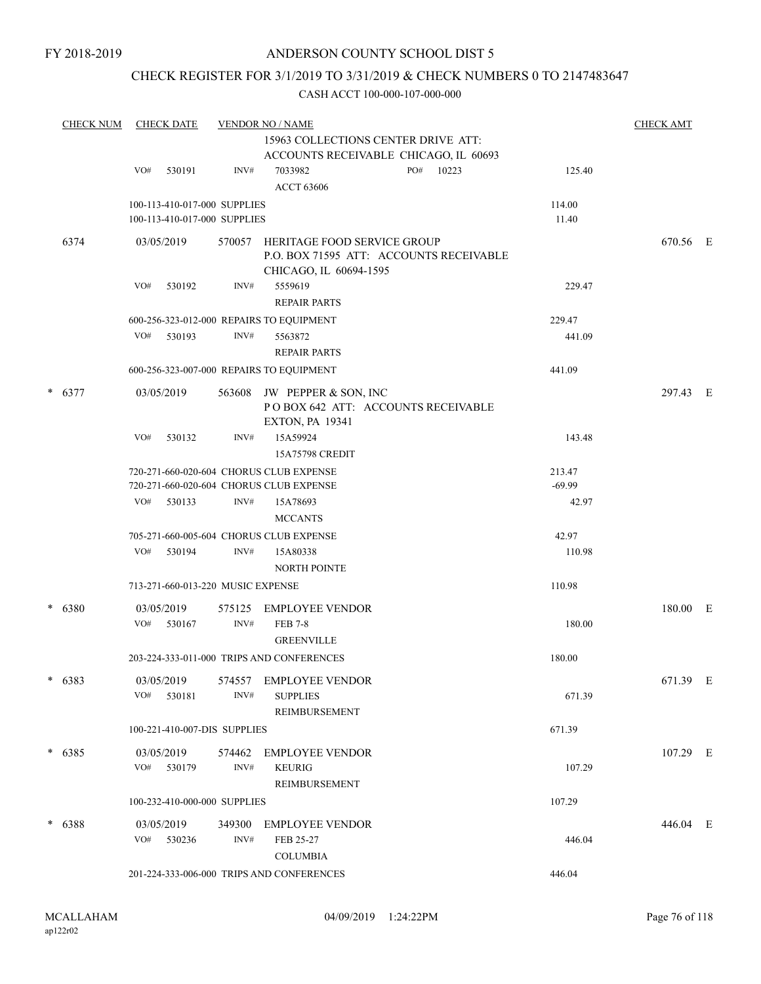### CHECK REGISTER FOR 3/1/2019 TO 3/31/2019 & CHECK NUMBERS 0 TO 2147483647

|        | <b>CHECK NUM</b> | <b>CHECK DATE</b>           | <b>CHECK AMT</b>                                             |                                                                                                  |     |       |                 |          |  |
|--------|------------------|-----------------------------|--------------------------------------------------------------|--------------------------------------------------------------------------------------------------|-----|-------|-----------------|----------|--|
|        |                  |                             |                                                              |                                                                                                  |     |       |                 |          |  |
|        |                  | VO#<br>530191               | INV#                                                         | ACCOUNTS RECEIVABLE CHICAGO, IL 60693<br>7033982<br><b>ACCT 63606</b>                            | PO# | 10223 | 125.40          |          |  |
|        |                  |                             | 100-113-410-017-000 SUPPLIES<br>100-113-410-017-000 SUPPLIES |                                                                                                  |     |       | 114.00<br>11.40 |          |  |
|        | 6374             | 03/05/2019                  | 570057                                                       | HERITAGE FOOD SERVICE GROUP<br>P.O. BOX 71595 ATT: ACCOUNTS RECEIVABLE<br>CHICAGO, IL 60694-1595 |     |       |                 | 670.56 E |  |
|        |                  | VO#<br>530192               | INV#                                                         | 5559619<br><b>REPAIR PARTS</b>                                                                   |     |       | 229.47          |          |  |
|        |                  |                             |                                                              | 600-256-323-012-000 REPAIRS TO EQUIPMENT                                                         |     |       | 229.47          |          |  |
|        |                  | VO#<br>530193               | INV#                                                         | 5563872<br><b>REPAIR PARTS</b>                                                                   |     |       | 441.09          |          |  |
|        |                  |                             |                                                              | 600-256-323-007-000 REPAIRS TO EQUIPMENT                                                         |     |       | 441.09          |          |  |
| $\ast$ | 6377             | 03/05/2019<br>VO#<br>530132 | 563608<br>INV#                                               | JW PEPPER & SON, INC<br>POBOX 642 ATT: ACCOUNTS RECEIVABLE<br><b>EXTON, PA 19341</b><br>15A59924 |     |       | 143.48          | 297.43 E |  |
|        |                  |                             |                                                              | 15A75798 CREDIT                                                                                  |     |       |                 |          |  |
|        |                  |                             |                                                              | 720-271-660-020-604 CHORUS CLUB EXPENSE                                                          |     |       | 213.47          |          |  |
|        |                  |                             |                                                              | 720-271-660-020-604 CHORUS CLUB EXPENSE                                                          |     |       | $-69.99$        |          |  |
|        |                  | VO#<br>530133               | INV#                                                         | 15A78693<br><b>MCCANTS</b>                                                                       |     |       | 42.97           |          |  |
|        |                  |                             |                                                              | 705-271-660-005-604 CHORUS CLUB EXPENSE                                                          |     |       | 42.97           |          |  |
|        |                  | VO#<br>530194               | INV#                                                         | 15A80338<br><b>NORTH POINTE</b>                                                                  |     |       | 110.98          |          |  |
|        |                  |                             | 713-271-660-013-220 MUSIC EXPENSE                            |                                                                                                  |     |       | 110.98          |          |  |
| $\ast$ | 6380             | 03/05/2019<br>VO#<br>530167 | 575125<br>INV#                                               | <b>EMPLOYEE VENDOR</b><br><b>FEB 7-8</b>                                                         |     |       | 180.00          | 180.00 E |  |
|        |                  |                             |                                                              | <b>GREENVILLE</b>                                                                                |     |       |                 |          |  |
|        |                  |                             |                                                              | 203-224-333-011-000 TRIPS AND CONFERENCES                                                        |     |       | 180.00          |          |  |
| *      | 6383             | 03/05/2019<br>530181<br>VO# | 574557<br>INV#                                               | EMPLOYEE VENDOR<br><b>SUPPLIES</b><br>REIMBURSEMENT                                              |     |       | 671.39          | 671.39 E |  |
|        |                  |                             | 100-221-410-007-DIS SUPPLIES                                 |                                                                                                  |     |       | 671.39          |          |  |
|        | $*$ 6385         | 03/05/2019                  | 574462                                                       | EMPLOYEE VENDOR                                                                                  |     |       |                 | 107.29 E |  |
|        |                  | VO# 530179                  | INV#                                                         | <b>KEURIG</b><br><b>REIMBURSEMENT</b>                                                            |     |       | 107.29          |          |  |
|        |                  |                             | 100-232-410-000-000 SUPPLIES                                 |                                                                                                  |     |       | 107.29          |          |  |
|        | $* 6388$         | 03/05/2019                  | 349300                                                       | EMPLOYEE VENDOR                                                                                  |     |       |                 | 446.04 E |  |
|        |                  | $VO#$ 530236                | INV#                                                         | FEB 25-27<br><b>COLUMBIA</b>                                                                     |     |       | 446.04          |          |  |
|        |                  |                             |                                                              | 201-224-333-006-000 TRIPS AND CONFERENCES                                                        |     |       | 446.04          |          |  |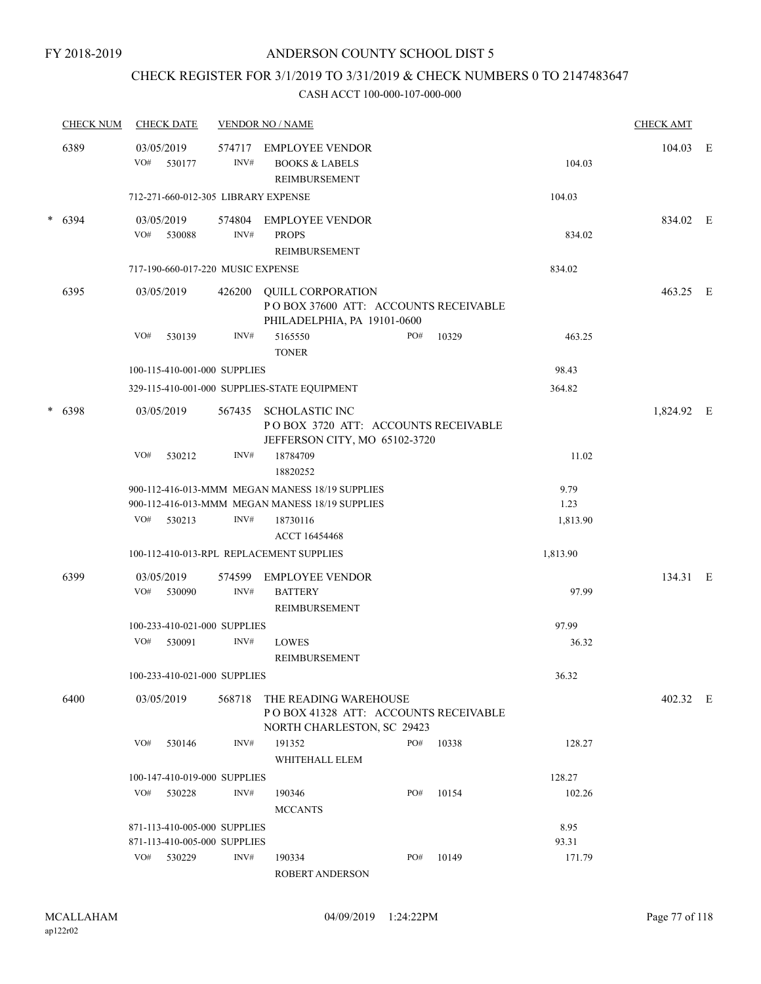### CHECK REGISTER FOR 3/1/2019 TO 3/31/2019 & CHECK NUMBERS 0 TO 2147483647

#### CASH ACCT 100-000-107-000-000

| <b>CHECK NUM</b> | <b>CHECK DATE</b> |                                     | <b>VENDOR NO / NAME</b>                                                                       |     |       |          | <b>CHECK AMT</b> |   |
|------------------|-------------------|-------------------------------------|-----------------------------------------------------------------------------------------------|-----|-------|----------|------------------|---|
| 6389             | 03/05/2019<br>VO# | 574717<br>530177<br>INV#            | <b>EMPLOYEE VENDOR</b><br><b>BOOKS &amp; LABELS</b><br>REIMBURSEMENT                          |     |       | 104.03   | 104.03           | E |
|                  |                   | 712-271-660-012-305 LIBRARY EXPENSE |                                                                                               |     |       | 104.03   |                  |   |
| $* 6394$         | 03/05/2019<br>VO# | 574804<br>INV#<br>530088            | <b>EMPLOYEE VENDOR</b><br><b>PROPS</b><br><b>REIMBURSEMENT</b>                                |     |       | 834.02   | 834.02 E         |   |
|                  |                   | 717-190-660-017-220 MUSIC EXPENSE   |                                                                                               |     |       | 834.02   |                  |   |
| 6395             | 03/05/2019        | 426200                              | QUILL CORPORATION<br>POBOX 37600 ATT: ACCOUNTS RECEIVABLE<br>PHILADELPHIA, PA 19101-0600      |     |       |          | 463.25 E         |   |
|                  | VO#               | INV#<br>530139                      | 5165550<br><b>TONER</b>                                                                       | PO# | 10329 | 463.25   |                  |   |
|                  |                   | 100-115-410-001-000 SUPPLIES        |                                                                                               |     |       | 98.43    |                  |   |
|                  |                   |                                     | 329-115-410-001-000 SUPPLIES-STATE EQUIPMENT                                                  |     |       | 364.82   |                  |   |
| $* 6398$         | 03/05/2019        |                                     | 567435 SCHOLASTIC INC<br>POBOX 3720 ATT: ACCOUNTS RECEIVABLE<br>JEFFERSON CITY, MO 65102-3720 |     |       |          | 1,824.92 E       |   |
|                  | VO#               | INV#<br>530212                      | 18784709<br>18820252                                                                          |     |       | 11.02    |                  |   |
|                  |                   |                                     | 900-112-416-013-MMM MEGAN MANESS 18/19 SUPPLIES                                               |     |       | 9.79     |                  |   |
|                  |                   |                                     | 900-112-416-013-MMM MEGAN MANESS 18/19 SUPPLIES                                               |     |       | 1.23     |                  |   |
|                  | VO#               | 530213<br>INV#                      | 18730116<br>ACCT 16454468                                                                     |     |       | 1,813.90 |                  |   |
|                  |                   |                                     | 100-112-410-013-RPL REPLACEMENT SUPPLIES                                                      |     |       | 1,813.90 |                  |   |
| 6399             |                   | 574599                              |                                                                                               |     |       |          | 134.31 E         |   |
|                  | 03/05/2019<br>VO# | 530090<br>INV#                      | <b>EMPLOYEE VENDOR</b><br><b>BATTERY</b><br>REIMBURSEMENT                                     |     |       | 97.99    |                  |   |
|                  |                   | 100-233-410-021-000 SUPPLIES        |                                                                                               |     |       | 97.99    |                  |   |
|                  | VO#               | INV#<br>530091                      | <b>LOWES</b><br>REIMBURSEMENT                                                                 |     |       | 36.32    |                  |   |
|                  |                   | 100-233-410-021-000 SUPPLIES        |                                                                                               |     |       | 36.32    |                  |   |
| 6400             | 03/05/2019        | 568718                              | THE READING WAREHOUSE<br>POBOX 41328 ATT: ACCOUNTS RECEIVABLE<br>NORTH CHARLESTON, SC 29423   |     |       |          | 402.32 E         |   |
|                  | VO#               | INV#<br>530146                      | 191352<br>WHITEHALL ELEM                                                                      | PO# | 10338 | 128.27   |                  |   |
|                  |                   | 100-147-410-019-000 SUPPLIES        |                                                                                               |     |       | 128.27   |                  |   |
|                  | VO#               | INV#<br>530228                      | 190346<br><b>MCCANTS</b>                                                                      | PO# | 10154 | 102.26   |                  |   |
|                  |                   | 871-113-410-005-000 SUPPLIES        |                                                                                               |     |       | 8.95     |                  |   |
|                  |                   | 871-113-410-005-000 SUPPLIES        |                                                                                               |     |       | 93.31    |                  |   |
|                  | VO# 530229        | INV#                                | 190334                                                                                        | PO# | 10149 | 171.79   |                  |   |

ROBERT ANDERSON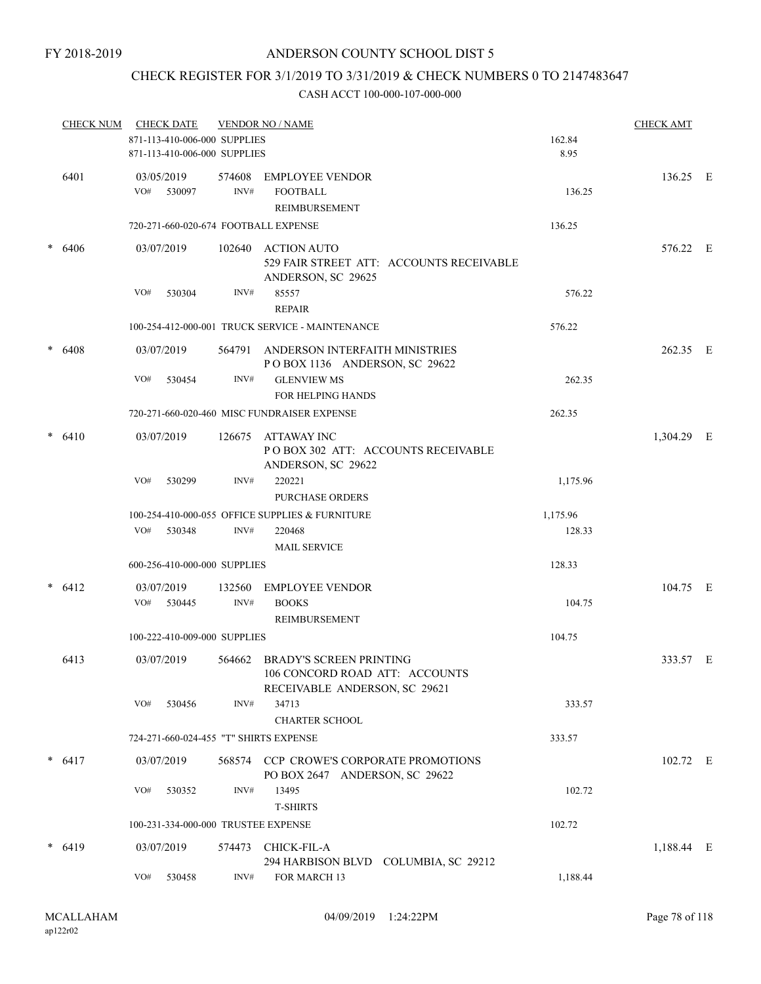#### FY 2018-2019

### ANDERSON COUNTY SCHOOL DIST 5

### CHECK REGISTER FOR 3/1/2019 TO 3/31/2019 & CHECK NUMBERS 0 TO 2147483647

|        | <b>CHECK NUM</b> |     | <b>CHECK DATE</b>                                            |        | <b>VENDOR NO / NAME</b>                                                                           |                | <b>CHECK AMT</b> |  |
|--------|------------------|-----|--------------------------------------------------------------|--------|---------------------------------------------------------------------------------------------------|----------------|------------------|--|
|        |                  |     | 871-113-410-006-000 SUPPLIES<br>871-113-410-006-000 SUPPLIES |        |                                                                                                   | 162.84<br>8.95 |                  |  |
|        | 6401             |     | 03/05/2019                                                   | 574608 | <b>EMPLOYEE VENDOR</b>                                                                            |                | 136.25 E         |  |
|        |                  | VO# | 530097                                                       | INV#   | <b>FOOTBALL</b>                                                                                   | 136.25         |                  |  |
|        |                  |     |                                                              |        | REIMBURSEMENT                                                                                     |                |                  |  |
|        |                  |     |                                                              |        | 720-271-660-020-674 FOOTBALL EXPENSE                                                              | 136.25         |                  |  |
| $\ast$ | 6406             |     | 03/07/2019                                                   |        | 102640 ACTION AUTO<br>529 FAIR STREET ATT: ACCOUNTS RECEIVABLE<br>ANDERSON, SC 29625              |                | 576.22 E         |  |
|        |                  | VO# | 530304                                                       | INV#   | 85557                                                                                             | 576.22         |                  |  |
|        |                  |     |                                                              |        | <b>REPAIR</b>                                                                                     |                |                  |  |
|        |                  |     |                                                              |        | 100-254-412-000-001 TRUCK SERVICE - MAINTENANCE                                                   | 576.22         |                  |  |
| $\ast$ | 6408             |     | 03/07/2019                                                   |        | 564791 ANDERSON INTERFAITH MINISTRIES<br>POBOX 1136 ANDERSON, SC 29622                            |                | 262.35 E         |  |
|        |                  | VO# | 530454                                                       | INV#   | <b>GLENVIEW MS</b><br><b>FOR HELPING HANDS</b>                                                    | 262.35         |                  |  |
|        |                  |     |                                                              |        | 720-271-660-020-460 MISC FUNDRAISER EXPENSE                                                       | 262.35         |                  |  |
| *      | 6410             |     | 03/07/2019                                                   |        | 126675 ATTAWAY INC<br>PO BOX 302 ATT: ACCOUNTS RECEIVABLE<br>ANDERSON, SC 29622                   |                | 1,304.29 E       |  |
|        |                  | VO# | 530299                                                       | INV#   | 220221<br>PURCHASE ORDERS                                                                         | 1,175.96       |                  |  |
|        |                  |     |                                                              |        | 100-254-410-000-055 OFFICE SUPPLIES & FURNITURE                                                   | 1,175.96       |                  |  |
|        |                  | VO# | 530348                                                       | INV#   | 220468                                                                                            | 128.33         |                  |  |
|        |                  |     |                                                              |        | <b>MAIL SERVICE</b>                                                                               |                |                  |  |
|        |                  |     | 600-256-410-000-000 SUPPLIES                                 |        |                                                                                                   | 128.33         |                  |  |
|        | 6412             |     | 03/07/2019                                                   |        | 132560 EMPLOYEE VENDOR                                                                            |                | 104.75 E         |  |
|        |                  |     | VO# 530445                                                   | INV#   | <b>BOOKS</b>                                                                                      | 104.75         |                  |  |
|        |                  |     |                                                              |        | REIMBURSEMENT                                                                                     |                |                  |  |
|        |                  |     | 100-222-410-009-000 SUPPLIES                                 |        |                                                                                                   | 104.75         |                  |  |
|        | 6413             |     | 03/07/2019                                                   |        | 564662 BRADY'S SCREEN PRINTING<br>106 CONCORD ROAD ATT: ACCOUNTS<br>RECEIVABLE ANDERSON, SC 29621 |                | 333.57 E         |  |
|        |                  | VO# | 530456                                                       | INV#   | 34713<br><b>CHARTER SCHOOL</b>                                                                    | 333.57         |                  |  |
|        |                  |     |                                                              |        | 724-271-660-024-455 "T" SHIRTS EXPENSE                                                            | 333.57         |                  |  |
|        | $* 6417$         |     | 03/07/2019                                                   | 568574 | <b>CCP CROWE'S CORPORATE PROMOTIONS</b><br>PO BOX 2647 ANDERSON, SC 29622                         |                | 102.72 E         |  |
|        |                  | VO# | 530352                                                       | INV#   | 13495<br><b>T-SHIRTS</b>                                                                          | 102.72         |                  |  |
|        |                  |     | 100-231-334-000-000 TRUSTEE EXPENSE                          |        |                                                                                                   | 102.72         |                  |  |
| *      | 6419             |     | 03/07/2019                                                   | 574473 | CHICK-FIL-A<br>294 HARBISON BLVD COLUMBIA, SC 29212                                               |                | 1,188.44 E       |  |
|        |                  | VO# | 530458                                                       | INV#   | FOR MARCH 13                                                                                      | 1,188.44       |                  |  |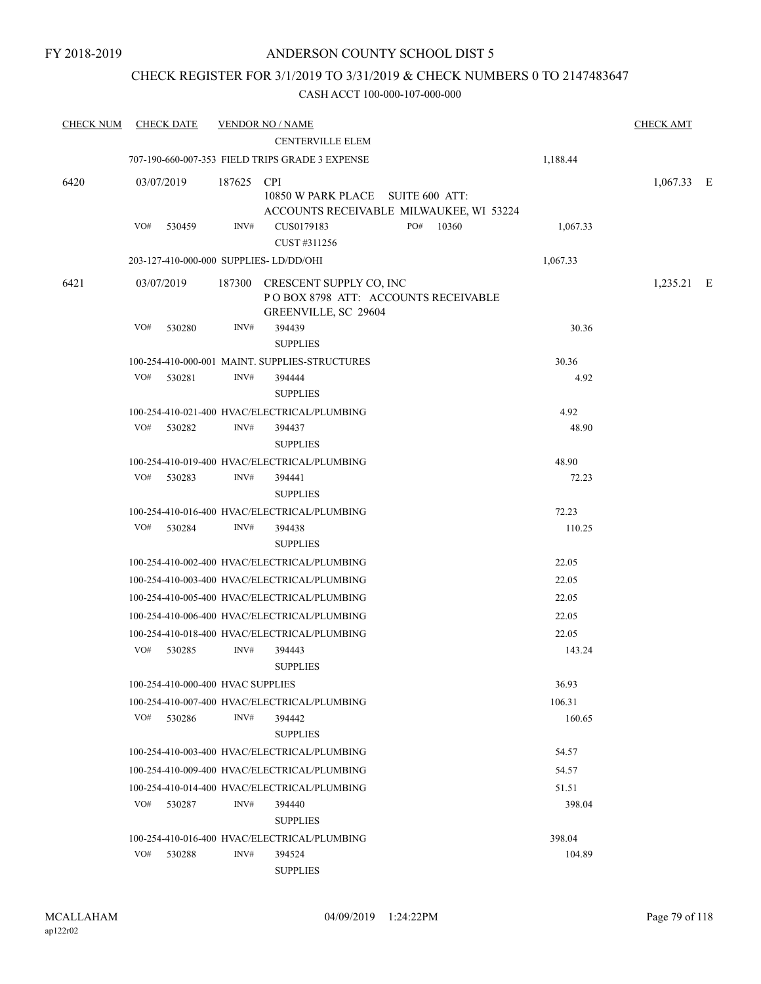### CHECK REGISTER FOR 3/1/2019 TO 3/31/2019 & CHECK NUMBERS 0 TO 2147483647

| <b>CHECK NUM</b> | <b>CHECK DATE</b>                       |        | <b>VENDOR NO / NAME</b>                                                                       |                  | <b>CHECK AMT</b> |  |
|------------------|-----------------------------------------|--------|-----------------------------------------------------------------------------------------------|------------------|------------------|--|
|                  |                                         |        |                                                                                               |                  |                  |  |
|                  |                                         |        | 707-190-660-007-353 FIELD TRIPS GRADE 3 EXPENSE                                               | 1,188.44         |                  |  |
| 6420             | 03/07/2019                              | 187625 | <b>CPI</b><br>10850 W PARK PLACE SUITE 600 ATT:<br>ACCOUNTS RECEIVABLE MILWAUKEE, WI 53224    |                  | $1,067.33$ E     |  |
|                  | VO#<br>530459                           | INV#   | CUS0179183<br>PO#<br>10360<br>CUST #311256                                                    | 1,067.33         |                  |  |
|                  | 203-127-410-000-000 SUPPLIES- LD/DD/OHI |        |                                                                                               | 1,067.33         |                  |  |
| 6421             | 03/07/2019                              |        | 187300 CRESCENT SUPPLY CO, INC<br>POBOX 8798 ATT: ACCOUNTS RECEIVABLE<br>GREENVILLE, SC 29604 |                  | $1,235.21$ E     |  |
|                  | VO#<br>530280                           | INV#   | 394439<br><b>SUPPLIES</b>                                                                     | 30.36            |                  |  |
|                  |                                         |        | 100-254-410-000-001 MAINT. SUPPLIES-STRUCTURES                                                | 30.36            |                  |  |
|                  | VO# 530281                              | INV#   | 394444<br><b>SUPPLIES</b>                                                                     | 4.92             |                  |  |
|                  |                                         |        | 100-254-410-021-400 HVAC/ELECTRICAL/PLUMBING                                                  | 4.92             |                  |  |
|                  | VO#<br>530282                           | INV#   | 394437<br><b>SUPPLIES</b>                                                                     | 48.90            |                  |  |
|                  |                                         |        | 100-254-410-019-400 HVAC/ELECTRICAL/PLUMBING                                                  | 48.90            |                  |  |
|                  | VO#<br>530283                           | INV#   | 394441<br><b>SUPPLIES</b>                                                                     | 72.23            |                  |  |
|                  |                                         |        | 100-254-410-016-400 HVAC/ELECTRICAL/PLUMBING                                                  | 72.23            |                  |  |
|                  | VO#<br>530284                           | INV#   | 394438<br><b>SUPPLIES</b>                                                                     | 110.25           |                  |  |
|                  |                                         |        | 100-254-410-002-400 HVAC/ELECTRICAL/PLUMBING                                                  | 22.05            |                  |  |
|                  |                                         |        | 100-254-410-003-400 HVAC/ELECTRICAL/PLUMBING                                                  | 22.05            |                  |  |
|                  |                                         |        | 100-254-410-005-400 HVAC/ELECTRICAL/PLUMBING                                                  | 22.05            |                  |  |
|                  |                                         |        | 100-254-410-006-400 HVAC/ELECTRICAL/PLUMBING                                                  | 22.05            |                  |  |
|                  | VO#<br>530285                           | INV#   | 100-254-410-018-400 HVAC/ELECTRICAL/PLUMBING<br>394443                                        | 22.05<br>143.24  |                  |  |
|                  |                                         |        | <b>SUPPLIES</b>                                                                               |                  |                  |  |
|                  | 100-254-410-000-400 HVAC SUPPLIES       |        |                                                                                               | 36.93            |                  |  |
|                  | VO#<br>530286                           | INV#   | 100-254-410-007-400 HVAC/ELECTRICAL/PLUMBING<br>394442<br><b>SUPPLIES</b>                     | 106.31<br>160.65 |                  |  |
|                  |                                         |        | 100-254-410-003-400 HVAC/ELECTRICAL/PLUMBING                                                  | 54.57            |                  |  |
|                  |                                         |        | 100-254-410-009-400 HVAC/ELECTRICAL/PLUMBING                                                  | 54.57            |                  |  |
|                  |                                         |        | 100-254-410-014-400 HVAC/ELECTRICAL/PLUMBING                                                  | 51.51            |                  |  |
|                  | VO#<br>530287                           | INV#   | 394440<br><b>SUPPLIES</b>                                                                     | 398.04           |                  |  |
|                  |                                         |        | 100-254-410-016-400 HVAC/ELECTRICAL/PLUMBING                                                  | 398.04           |                  |  |
|                  | VO#<br>530288                           | INV#   | 394524<br><b>SUPPLIES</b>                                                                     | 104.89           |                  |  |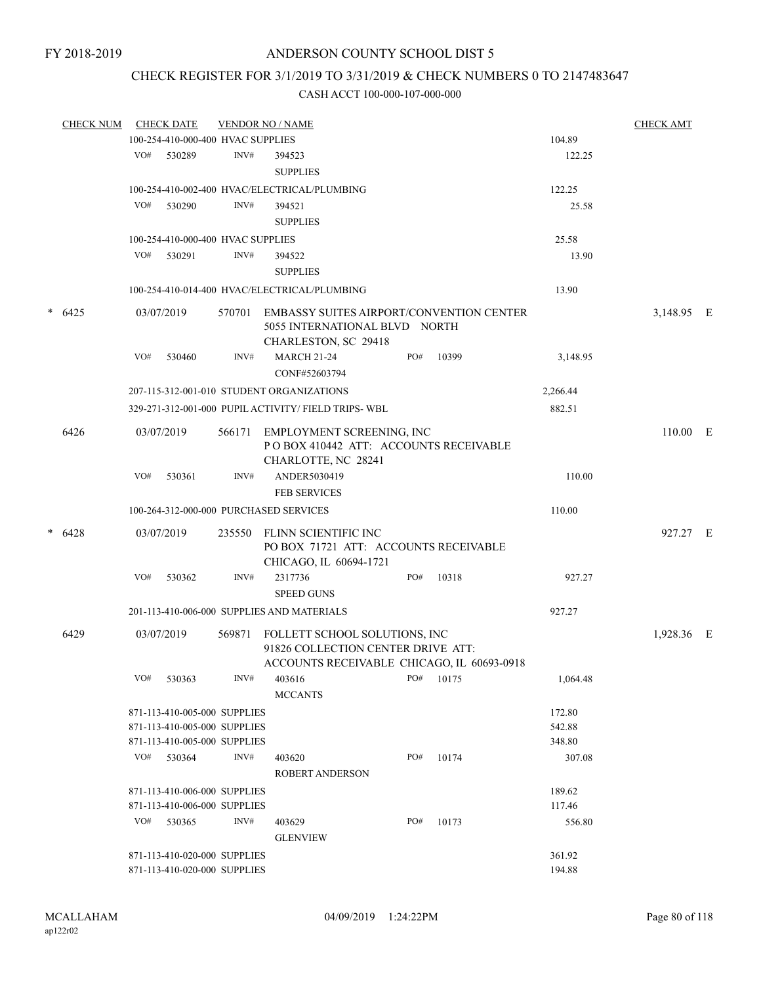## CHECK REGISTER FOR 3/1/2019 TO 3/31/2019 & CHECK NUMBERS 0 TO 2147483647

| <b>CHECK NUM</b> |     | <b>CHECK DATE</b>                 |        | <b>VENDOR NO / NAME</b>                                                                                           |     |       |          | <b>CHECK AMT</b> |  |
|------------------|-----|-----------------------------------|--------|-------------------------------------------------------------------------------------------------------------------|-----|-------|----------|------------------|--|
|                  |     | 100-254-410-000-400 HVAC SUPPLIES |        |                                                                                                                   |     |       | 104.89   |                  |  |
|                  | VO# | 530289                            | INV#   | 394523<br><b>SUPPLIES</b>                                                                                         |     |       | 122.25   |                  |  |
|                  |     |                                   |        | 100-254-410-002-400 HVAC/ELECTRICAL/PLUMBING                                                                      |     |       | 122.25   |                  |  |
|                  | VO# | 530290                            | INV#   | 394521                                                                                                            |     |       | 25.58    |                  |  |
|                  |     |                                   |        | <b>SUPPLIES</b>                                                                                                   |     |       |          |                  |  |
|                  |     | 100-254-410-000-400 HVAC SUPPLIES |        |                                                                                                                   |     |       |          |                  |  |
|                  |     |                                   |        |                                                                                                                   |     |       | 25.58    |                  |  |
|                  |     | VO# 530291                        | INV#   | 394522                                                                                                            |     |       | 13.90    |                  |  |
|                  |     |                                   |        | <b>SUPPLIES</b>                                                                                                   |     |       |          |                  |  |
|                  |     |                                   |        | 100-254-410-014-400 HVAC/ELECTRICAL/PLUMBING                                                                      |     |       | 13.90    |                  |  |
| $* 6425$         |     | 03/07/2019                        | 570701 | <b>EMBASSY SUITES AIRPORT/CONVENTION CENTER</b><br>5055 INTERNATIONAL BLVD NORTH<br>CHARLESTON, SC 29418          |     |       |          | 3,148.95 E       |  |
|                  | VO# | 530460                            | INV#   | <b>MARCH 21-24</b><br>CONF#52603794                                                                               | PO# | 10399 | 3,148.95 |                  |  |
|                  |     |                                   |        | 207-115-312-001-010 STUDENT ORGANIZATIONS                                                                         |     |       | 2,266.44 |                  |  |
|                  |     |                                   |        | 329-271-312-001-000 PUPIL ACTIVITY/ FIELD TRIPS- WBL                                                              |     |       | 882.51   |                  |  |
|                  |     |                                   |        |                                                                                                                   |     |       |          |                  |  |
| 6426             |     | 03/07/2019                        | 566171 | EMPLOYMENT SCREENING, INC<br>PO BOX 410442 ATT: ACCOUNTS RECEIVABLE<br>CHARLOTTE, NC 28241                        |     |       |          | 110.00 E         |  |
|                  | VO# | 530361                            | INV#   | ANDER5030419<br><b>FEB SERVICES</b>                                                                               |     |       | 110.00   |                  |  |
|                  |     |                                   |        | 100-264-312-000-000 PURCHASED SERVICES                                                                            |     |       | 110.00   |                  |  |
| $* 6428$         |     | 03/07/2019                        | 235550 | FLINN SCIENTIFIC INC<br>PO BOX 71721 ATT: ACCOUNTS RECEIVABLE                                                     |     |       |          | 927.27 E         |  |
|                  |     |                                   |        | CHICAGO, IL 60694-1721                                                                                            |     |       |          |                  |  |
|                  | VO# | 530362                            | INV#   | 2317736                                                                                                           | PO# | 10318 | 927.27   |                  |  |
|                  |     |                                   |        | <b>SPEED GUNS</b>                                                                                                 |     |       |          |                  |  |
|                  |     |                                   |        | 201-113-410-006-000 SUPPLIES AND MATERIALS                                                                        |     |       | 927.27   |                  |  |
| 6429             |     | 03/07/2019                        | 569871 | FOLLETT SCHOOL SOLUTIONS, INC<br>91826 COLLECTION CENTER DRIVE ATT:<br>ACCOUNTS RECEIVABLE CHICAGO, IL 60693-0918 |     |       |          | 1,928.36 E       |  |
|                  | VO# | 530363                            | INV#   | 403616                                                                                                            | PO# | 10175 | 1,064.48 |                  |  |
|                  |     |                                   |        | <b>MCCANTS</b>                                                                                                    |     |       |          |                  |  |
|                  |     | 871-113-410-005-000 SUPPLIES      |        |                                                                                                                   |     |       | 172.80   |                  |  |
|                  |     | 871-113-410-005-000 SUPPLIES      |        |                                                                                                                   |     |       | 542.88   |                  |  |
|                  |     | 871-113-410-005-000 SUPPLIES      |        |                                                                                                                   |     |       | 348.80   |                  |  |
|                  |     | VO# 530364                        | INV#   | 403620                                                                                                            | PO# | 10174 | 307.08   |                  |  |
|                  |     |                                   |        | <b>ROBERT ANDERSON</b>                                                                                            |     |       |          |                  |  |
|                  |     | 871-113-410-006-000 SUPPLIES      |        |                                                                                                                   |     |       | 189.62   |                  |  |
|                  |     | 871-113-410-006-000 SUPPLIES      |        |                                                                                                                   |     |       | 117.46   |                  |  |
|                  |     | VO# 530365                        | INV#   | 403629                                                                                                            | PO# | 10173 | 556.80   |                  |  |
|                  |     |                                   |        | <b>GLENVIEW</b>                                                                                                   |     |       |          |                  |  |
|                  |     | 871-113-410-020-000 SUPPLIES      |        |                                                                                                                   |     |       | 361.92   |                  |  |
|                  |     | 871-113-410-020-000 SUPPLIES      |        |                                                                                                                   |     |       | 194.88   |                  |  |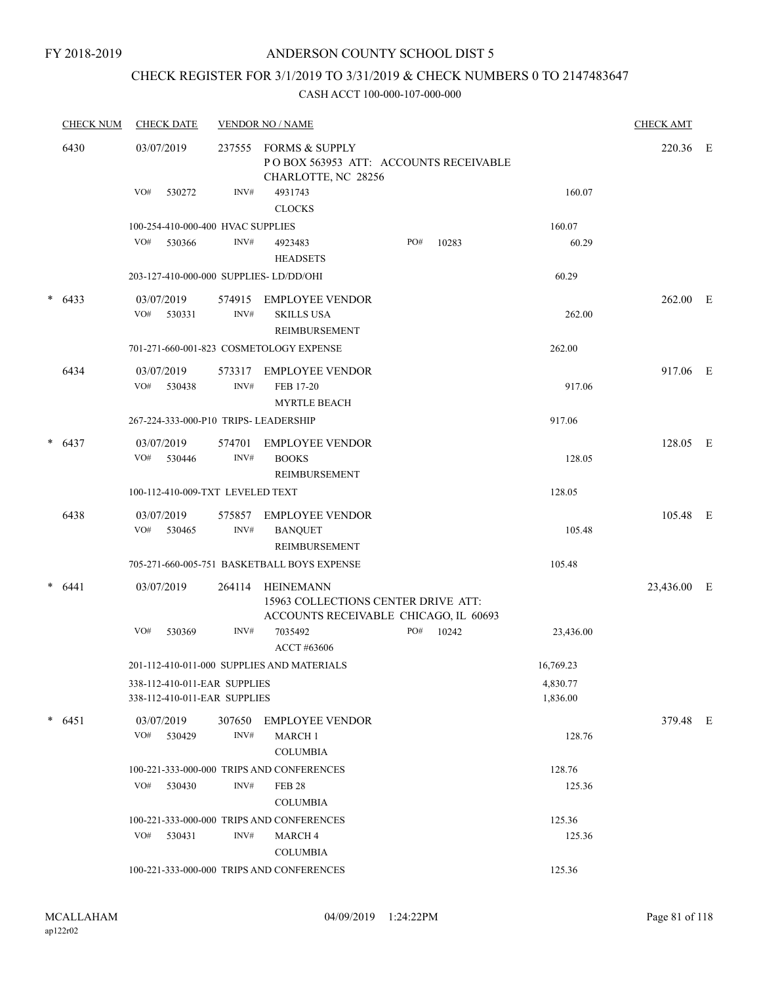# CHECK REGISTER FOR 3/1/2019 TO 3/31/2019 & CHECK NUMBERS 0 TO 2147483647

|        | <b>CHECK NUM</b> | <b>CHECK DATE</b>                      |                | <b>VENDOR NO / NAME</b>                                                                          |     |       |           | <b>CHECK AMT</b> |  |
|--------|------------------|----------------------------------------|----------------|--------------------------------------------------------------------------------------------------|-----|-------|-----------|------------------|--|
|        | 6430             | 03/07/2019                             | 237555         | <b>FORMS &amp; SUPPLY</b><br>POBOX 563953 ATT: ACCOUNTS RECEIVABLE<br>CHARLOTTE, NC 28256        |     |       |           | 220.36 E         |  |
|        |                  | VO#<br>530272                          | INV#           | 4931743<br><b>CLOCKS</b>                                                                         |     |       | 160.07    |                  |  |
|        |                  | 100-254-410-000-400 HVAC SUPPLIES      |                |                                                                                                  |     |       | 160.07    |                  |  |
|        |                  | VO#<br>530366                          | INV#           | 4923483<br><b>HEADSETS</b>                                                                       | PO# | 10283 | 60.29     |                  |  |
|        |                  | 203-127-410-000-000 SUPPLIES-LD/DD/OHI |                |                                                                                                  |     |       | 60.29     |                  |  |
| *      | 6433             | 03/07/2019                             | 574915         | <b>EMPLOYEE VENDOR</b>                                                                           |     |       |           | 262.00 E         |  |
|        |                  | VO#<br>530331                          | INV#           | <b>SKILLS USA</b><br><b>REIMBURSEMENT</b>                                                        |     |       | 262.00    |                  |  |
|        |                  |                                        |                | 701-271-660-001-823 COSMETOLOGY EXPENSE                                                          |     |       | 262.00    |                  |  |
|        | 6434             | 03/07/2019                             | 573317         | EMPLOYEE VENDOR                                                                                  |     |       |           | 917.06 E         |  |
|        |                  | VO#<br>530438                          | $\text{INV}\#$ | FEB 17-20                                                                                        |     |       | 917.06    |                  |  |
|        |                  |                                        |                | <b>MYRTLE BEACH</b>                                                                              |     |       |           |                  |  |
|        |                  | 267-224-333-000-P10 TRIPS- LEADERSHIP  |                |                                                                                                  |     |       | 917.06    |                  |  |
|        | $* 6437$         | 03/07/2019                             | 574701         | <b>EMPLOYEE VENDOR</b>                                                                           |     |       |           | 128.05 E         |  |
|        |                  | VO#<br>530446                          | INV#           | <b>BOOKS</b><br>REIMBURSEMENT                                                                    |     |       | 128.05    |                  |  |
|        |                  | 100-112-410-009-TXT LEVELED TEXT       |                |                                                                                                  |     |       | 128.05    |                  |  |
|        | 6438             | 03/07/2019                             | 575857         | <b>EMPLOYEE VENDOR</b>                                                                           |     |       |           | 105.48 E         |  |
|        |                  | VO#<br>530465                          | INV#           | <b>BANQUET</b>                                                                                   |     |       | 105.48    |                  |  |
|        |                  |                                        |                | <b>REIMBURSEMENT</b>                                                                             |     |       |           |                  |  |
|        |                  |                                        |                | 705-271-660-005-751 BASKETBALL BOYS EXPENSE                                                      |     |       | 105.48    |                  |  |
| $\ast$ | 6441             | 03/07/2019                             | 264114         | <b>HEINEMANN</b><br>15963 COLLECTIONS CENTER DRIVE ATT:<br>ACCOUNTS RECEIVABLE CHICAGO, IL 60693 |     |       |           | 23,436.00 E      |  |
|        |                  | VO#<br>530369                          | INV#           | 7035492<br>ACCT #63606                                                                           | PO# | 10242 | 23,436.00 |                  |  |
|        |                  |                                        |                | 201-112-410-011-000 SUPPLIES AND MATERIALS                                                       |     |       | 16,769.23 |                  |  |
|        |                  | 338-112-410-011-EAR SUPPLIES           |                |                                                                                                  |     |       | 4,830.77  |                  |  |
|        |                  | 338-112-410-011-EAR SUPPLIES           |                |                                                                                                  |     |       | 1,836.00  |                  |  |
|        | $* 6451$         | 03/07/2019                             | 307650         | <b>EMPLOYEE VENDOR</b>                                                                           |     |       |           | 379.48 E         |  |
|        |                  | VO#<br>530429                          | INV#           | <b>MARCH 1</b>                                                                                   |     |       | 128.76    |                  |  |
|        |                  |                                        |                | <b>COLUMBIA</b>                                                                                  |     |       |           |                  |  |
|        |                  |                                        |                | 100-221-333-000-000 TRIPS AND CONFERENCES                                                        |     |       | 128.76    |                  |  |
|        |                  | VO#<br>530430                          | INV#           | <b>FEB 28</b><br><b>COLUMBIA</b>                                                                 |     |       | 125.36    |                  |  |
|        |                  |                                        |                | 100-221-333-000-000 TRIPS AND CONFERENCES                                                        |     |       | 125.36    |                  |  |
|        |                  | VO#<br>530431                          | INV#           | MARCH 4                                                                                          |     |       | 125.36    |                  |  |
|        |                  |                                        |                | <b>COLUMBIA</b>                                                                                  |     |       |           |                  |  |
|        |                  |                                        |                | 100-221-333-000-000 TRIPS AND CONFERENCES                                                        |     |       | 125.36    |                  |  |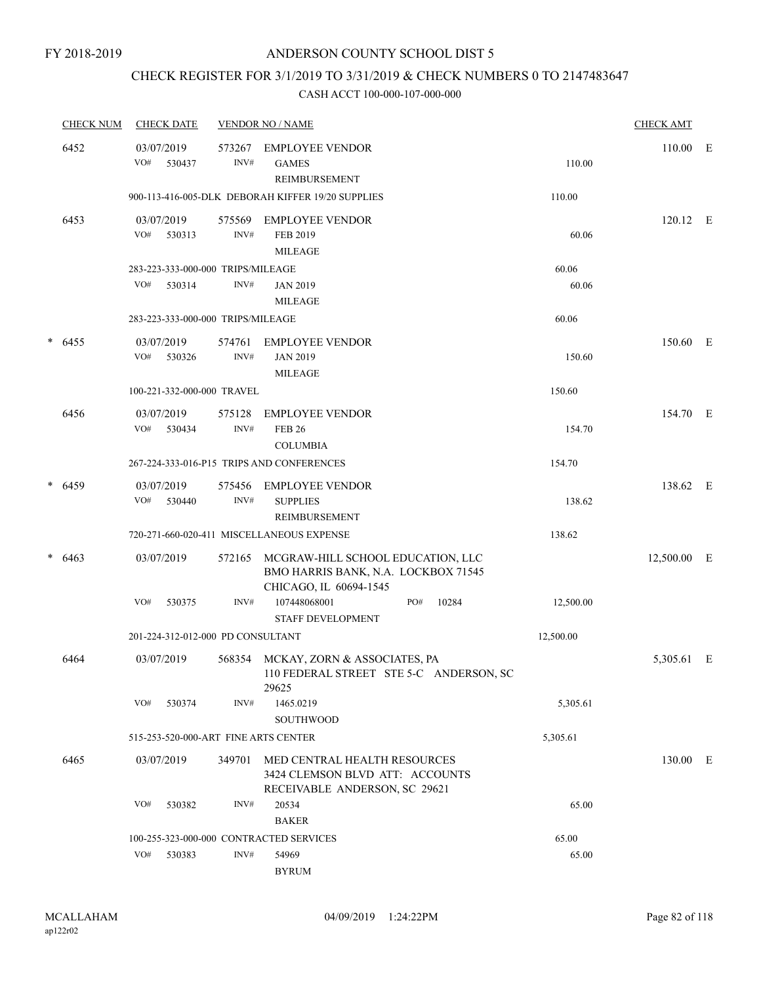## CHECK REGISTER FOR 3/1/2019 TO 3/31/2019 & CHECK NUMBERS 0 TO 2147483647

|   | <b>CHECK NUM</b> | <b>CHECK DATE</b> |                                                     | <b>VENDOR NO / NAME</b>                                                                            |     |       |                | <b>CHECK AMT</b> |   |
|---|------------------|-------------------|-----------------------------------------------------|----------------------------------------------------------------------------------------------------|-----|-------|----------------|------------------|---|
|   | 6452             | 03/07/2019<br>VO# | 573267<br>INV#<br>530437                            | <b>EMPLOYEE VENDOR</b><br><b>GAMES</b><br>REIMBURSEMENT                                            |     |       | 110.00         | 110.00           | E |
|   |                  |                   |                                                     | 900-113-416-005-DLK DEBORAH KIFFER 19/20 SUPPLIES                                                  |     |       | 110.00         |                  |   |
|   | 6453             | 03/07/2019<br>VO# | 575569<br>INV#<br>530313                            | <b>EMPLOYEE VENDOR</b><br>FEB 2019<br>MILEAGE                                                      |     |       | 60.06          | 120.12 E         |   |
|   |                  | VO#               | 283-223-333-000-000 TRIPS/MILEAGE<br>INV#<br>530314 | <b>JAN 2019</b><br>MILEAGE                                                                         |     |       | 60.06<br>60.06 |                  |   |
|   |                  |                   | 283-223-333-000-000 TRIPS/MILEAGE                   |                                                                                                    |     |       | 60.06          |                  |   |
| * | 6455             | 03/07/2019<br>VO# | 574761<br>INV#<br>530326                            | <b>EMPLOYEE VENDOR</b><br><b>JAN 2019</b><br><b>MILEAGE</b>                                        |     |       | 150.60         | 150.60 E         |   |
|   |                  |                   | 100-221-332-000-000 TRAVEL                          |                                                                                                    |     |       | 150.60         |                  |   |
|   | 6456             | 03/07/2019<br>VO# | 575128<br>INV#<br>530434                            | <b>EMPLOYEE VENDOR</b><br><b>FEB 26</b><br><b>COLUMBIA</b>                                         |     |       | 154.70         | 154.70 E         |   |
|   |                  |                   |                                                     | 267-224-333-016-P15 TRIPS AND CONFERENCES                                                          |     |       | 154.70         |                  |   |
|   | $* 6459$         | 03/07/2019<br>VO# | 575456<br>INV#<br>530440                            | <b>EMPLOYEE VENDOR</b><br><b>SUPPLIES</b><br>REIMBURSEMENT                                         |     |       | 138.62         | 138.62 E         |   |
|   |                  |                   |                                                     | 720-271-660-020-411 MISCELLANEOUS EXPENSE                                                          |     |       | 138.62         |                  |   |
|   | $* 6463$         | 03/07/2019        | 572165                                              | MCGRAW-HILL SCHOOL EDUCATION, LLC<br>BMO HARRIS BANK, N.A. LOCKBOX 71545<br>CHICAGO, IL 60694-1545 |     |       |                | 12,500.00 E      |   |
|   |                  | VO#               | 530375<br>INV#                                      | 107448068001<br><b>STAFF DEVELOPMENT</b>                                                           | PO# | 10284 | 12,500.00      |                  |   |
|   |                  |                   | 201-224-312-012-000 PD CONSULTANT                   |                                                                                                    |     |       | 12,500.00      |                  |   |
|   | 6464             | 03/07/2019        |                                                     | 568354 MCKAY, ZORN & ASSOCIATES, PA<br>110 FEDERAL STREET STE 5-C ANDERSON, SC<br>29625            |     |       |                | 5,305.61 E       |   |
|   |                  | VO#               | INV#<br>530374                                      | 1465.0219<br><b>SOUTHWOOD</b>                                                                      |     |       | 5,305.61       |                  |   |
|   |                  |                   | 515-253-520-000-ART FINE ARTS CENTER                |                                                                                                    |     |       | 5,305.61       |                  |   |
|   | 6465             | 03/07/2019        | 349701                                              | MED CENTRAL HEALTH RESOURCES<br>3424 CLEMSON BLVD ATT: ACCOUNTS<br>RECEIVABLE ANDERSON, SC 29621   |     |       |                | 130.00 E         |   |
|   |                  | VO#               | INV#<br>530382                                      | 20534<br><b>BAKER</b>                                                                              |     |       | 65.00          |                  |   |
|   |                  |                   | 100-255-323-000-000 CONTRACTED SERVICES             |                                                                                                    |     |       | 65.00          |                  |   |
|   |                  | VO#               | INV#<br>530383                                      | 54969<br><b>BYRUM</b>                                                                              |     |       | 65.00          |                  |   |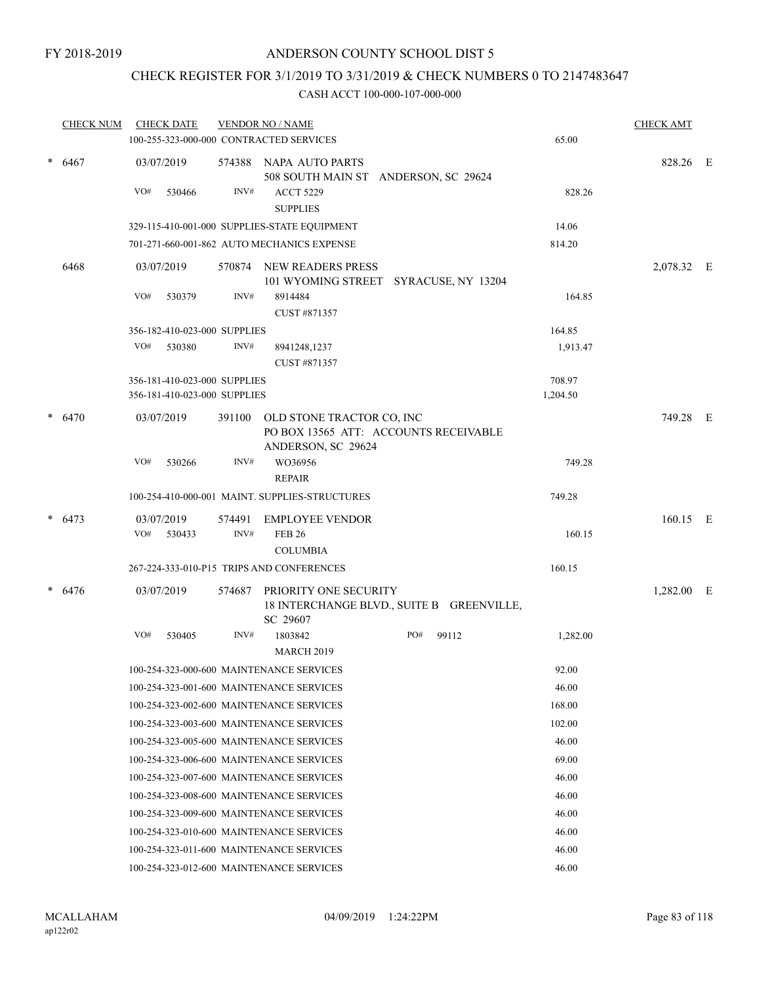# CHECK REGISTER FOR 3/1/2019 TO 3/31/2019 & CHECK NUMBERS 0 TO 2147483647

|        | <b>CHECK NUM</b> |     | <b>CHECK DATE</b>                                            |        | <b>VENDOR NO / NAME</b>                                                                  |     |       |                    | <b>CHECK AMT</b> |  |
|--------|------------------|-----|--------------------------------------------------------------|--------|------------------------------------------------------------------------------------------|-----|-------|--------------------|------------------|--|
|        |                  |     |                                                              |        | 100-255-323-000-000 CONTRACTED SERVICES                                                  |     |       | 65.00              |                  |  |
| $\ast$ | 6467             |     | 03/07/2019                                                   | 574388 | NAPA AUTO PARTS<br>508 SOUTH MAIN ST ANDERSON, SC 29624                                  |     |       |                    | 828.26 E         |  |
|        |                  | VO# | 530466                                                       | INV#   | <b>ACCT 5229</b><br><b>SUPPLIES</b>                                                      |     |       | 828.26             |                  |  |
|        |                  |     |                                                              |        | 329-115-410-001-000 SUPPLIES-STATE EQUIPMENT                                             |     |       | 14.06              |                  |  |
|        |                  |     |                                                              |        | 701-271-660-001-862 AUTO MECHANICS EXPENSE                                               |     |       | 814.20             |                  |  |
|        | 6468             |     | 03/07/2019                                                   | 570874 | NEW READERS PRESS<br>101 WYOMING STREET SYRACUSE, NY 13204                               |     |       |                    | 2,078.32 E       |  |
|        |                  | VO# | 530379                                                       | INV#   | 8914484<br>CUST #871357                                                                  |     |       | 164.85             |                  |  |
|        |                  |     | 356-182-410-023-000 SUPPLIES                                 |        |                                                                                          |     |       | 164.85             |                  |  |
|        |                  | VO# | 530380                                                       | INV#   | 8941248,1237<br>CUST #871357                                                             |     |       | 1,913.47           |                  |  |
|        |                  |     | 356-181-410-023-000 SUPPLIES<br>356-181-410-023-000 SUPPLIES |        |                                                                                          |     |       | 708.97<br>1,204.50 |                  |  |
|        | $* 6470$         |     | 03/07/2019                                                   | 391100 | OLD STONE TRACTOR CO, INC<br>PO BOX 13565 ATT: ACCOUNTS RECEIVABLE<br>ANDERSON, SC 29624 |     |       |                    | 749.28 E         |  |
|        |                  | VO# | 530266                                                       | INV#   | WO36956<br><b>REPAIR</b>                                                                 |     |       | 749.28             |                  |  |
|        |                  |     |                                                              |        | 100-254-410-000-001 MAINT. SUPPLIES-STRUCTURES                                           |     |       | 749.28             |                  |  |
|        | $* 6473$         |     | 03/07/2019                                                   | 574491 | <b>EMPLOYEE VENDOR</b>                                                                   |     |       |                    | $160.15$ E       |  |
|        |                  | VO# | 530433                                                       | INV#   | <b>FEB 26</b><br><b>COLUMBIA</b>                                                         |     |       | 160.15             |                  |  |
|        |                  |     |                                                              |        | 267-224-333-010-P15 TRIPS AND CONFERENCES                                                |     |       | 160.15             |                  |  |
|        | $* 6476$         |     | 03/07/2019                                                   | 574687 | PRIORITY ONE SECURITY<br>18 INTERCHANGE BLVD., SUITE B GREENVILLE,<br>SC 29607           |     |       |                    | 1,282.00 E       |  |
|        |                  | VO# | 530405                                                       | INV#   | 1803842<br><b>MARCH 2019</b>                                                             | PO# | 99112 | 1,282.00           |                  |  |
|        |                  |     |                                                              |        | 100-254-323-000-600 MAINTENANCE SERVICES                                                 |     |       | 92.00              |                  |  |
|        |                  |     |                                                              |        | 100-254-323-001-600 MAINTENANCE SERVICES                                                 |     |       | 46.00              |                  |  |
|        |                  |     |                                                              |        | 100-254-323-002-600 MAINTENANCE SERVICES                                                 |     |       | 168.00             |                  |  |
|        |                  |     |                                                              |        | 100-254-323-003-600 MAINTENANCE SERVICES                                                 |     |       | 102.00             |                  |  |
|        |                  |     |                                                              |        | 100-254-323-005-600 MAINTENANCE SERVICES                                                 |     |       | 46.00              |                  |  |
|        |                  |     |                                                              |        | 100-254-323-006-600 MAINTENANCE SERVICES                                                 |     |       | 69.00              |                  |  |
|        |                  |     |                                                              |        | 100-254-323-007-600 MAINTENANCE SERVICES                                                 |     |       | 46.00              |                  |  |
|        |                  |     |                                                              |        | 100-254-323-008-600 MAINTENANCE SERVICES                                                 |     |       | 46.00              |                  |  |
|        |                  |     |                                                              |        | 100-254-323-009-600 MAINTENANCE SERVICES                                                 |     |       | 46.00              |                  |  |
|        |                  |     |                                                              |        | 100-254-323-010-600 MAINTENANCE SERVICES                                                 |     |       | 46.00              |                  |  |
|        |                  |     |                                                              |        | 100-254-323-011-600 MAINTENANCE SERVICES                                                 |     |       | 46.00              |                  |  |
|        |                  |     |                                                              |        | 100-254-323-012-600 MAINTENANCE SERVICES                                                 |     |       | 46.00              |                  |  |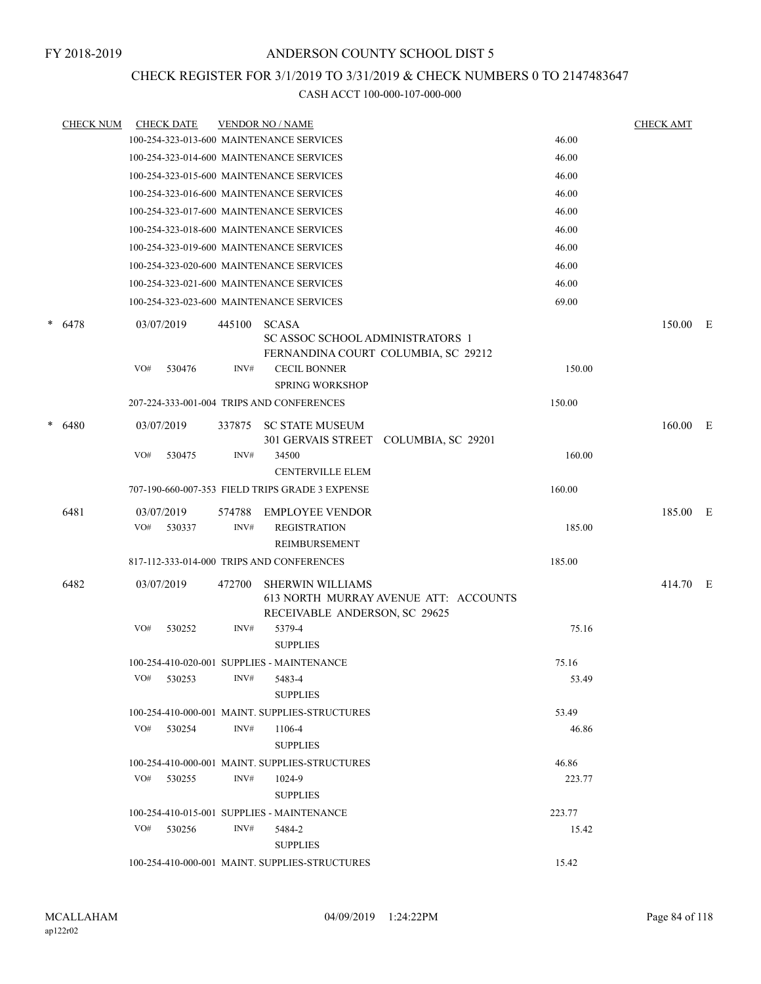### CHECK REGISTER FOR 3/1/2019 TO 3/31/2019 & CHECK NUMBERS 0 TO 2147483647

| <b>CHECK NUM</b> |                   | <b>CHECK DATE</b> |                | <b>VENDOR NO / NAME</b>                                                                 |                                       |        | <b>CHECK AMT</b> |  |
|------------------|-------------------|-------------------|----------------|-----------------------------------------------------------------------------------------|---------------------------------------|--------|------------------|--|
|                  |                   |                   |                | 100-254-323-013-600 MAINTENANCE SERVICES                                                |                                       | 46.00  |                  |  |
|                  |                   |                   |                | 100-254-323-014-600 MAINTENANCE SERVICES                                                |                                       | 46.00  |                  |  |
|                  |                   |                   |                | 100-254-323-015-600 MAINTENANCE SERVICES                                                |                                       | 46.00  |                  |  |
|                  |                   |                   |                | 100-254-323-016-600 MAINTENANCE SERVICES                                                |                                       | 46.00  |                  |  |
|                  |                   |                   |                | 100-254-323-017-600 MAINTENANCE SERVICES                                                |                                       | 46.00  |                  |  |
|                  |                   |                   |                | 100-254-323-018-600 MAINTENANCE SERVICES                                                |                                       | 46.00  |                  |  |
|                  |                   |                   |                | 100-254-323-019-600 MAINTENANCE SERVICES                                                |                                       | 46.00  |                  |  |
|                  |                   |                   |                | 100-254-323-020-600 MAINTENANCE SERVICES                                                |                                       | 46.00  |                  |  |
|                  |                   |                   |                | 100-254-323-021-600 MAINTENANCE SERVICES                                                |                                       | 46.00  |                  |  |
|                  |                   |                   |                | 100-254-323-023-600 MAINTENANCE SERVICES                                                |                                       | 69.00  |                  |  |
| $* 6478$         | 03/07/2019        |                   | 445100         | <b>SCASA</b><br>SC ASSOC SCHOOL ADMINISTRATORS 1<br>FERNANDINA COURT COLUMBIA, SC 29212 |                                       |        | 150.00 E         |  |
|                  | VO#               | 530476            | INV#           | <b>CECIL BONNER</b><br><b>SPRING WORKSHOP</b>                                           |                                       | 150.00 |                  |  |
|                  |                   |                   |                | 207-224-333-001-004 TRIPS AND CONFERENCES                                               |                                       | 150.00 |                  |  |
| $* 6480$         | 03/07/2019        |                   | 337875         | <b>SC STATE MUSEUM</b>                                                                  |                                       |        | $160.00$ E       |  |
|                  | VO#               | 530475            | INV#           | 301 GERVAIS STREET<br>34500                                                             | COLUMBIA, SC 29201                    | 160.00 |                  |  |
|                  |                   |                   |                | <b>CENTERVILLE ELEM</b>                                                                 |                                       |        |                  |  |
|                  |                   |                   |                | 707-190-660-007-353 FIELD TRIPS GRADE 3 EXPENSE                                         |                                       | 160.00 |                  |  |
| 6481             | 03/07/2019<br>VO# | 530337            | 574788<br>INV# | <b>EMPLOYEE VENDOR</b><br><b>REGISTRATION</b><br>REIMBURSEMENT                          |                                       | 185.00 | 185.00 E         |  |
|                  |                   |                   |                | 817-112-333-014-000 TRIPS AND CONFERENCES                                               |                                       | 185.00 |                  |  |
| 6482             | 03/07/2019        |                   | 472700         | <b>SHERWIN WILLIAMS</b><br>RECEIVABLE ANDERSON, SC 29625                                | 613 NORTH MURRAY AVENUE ATT: ACCOUNTS |        | 414.70 E         |  |
|                  | VO#               | 530252            | INV#           | 5379-4<br><b>SUPPLIES</b>                                                               |                                       | 75.16  |                  |  |
|                  |                   |                   |                | 100-254-410-020-001 SUPPLIES - MAINTENANCE                                              |                                       | 75.16  |                  |  |
|                  | VO#               | 530253            | INV#           | 5483-4<br><b>SUPPLIES</b>                                                               |                                       | 53.49  |                  |  |
|                  |                   |                   |                | 100-254-410-000-001 MAINT. SUPPLIES-STRUCTURES                                          |                                       | 53.49  |                  |  |
|                  |                   | $VO#$ 530254      | INV#           | 1106-4<br><b>SUPPLIES</b>                                                               |                                       | 46.86  |                  |  |
|                  |                   |                   |                | 100-254-410-000-001 MAINT. SUPPLIES-STRUCTURES                                          |                                       | 46.86  |                  |  |
|                  | VO#               | 530255            | INV#           | 1024-9<br><b>SUPPLIES</b>                                                               |                                       | 223.77 |                  |  |
|                  |                   |                   |                | 100-254-410-015-001 SUPPLIES - MAINTENANCE                                              |                                       | 223.77 |                  |  |
|                  | VO#               | 530256            | INV#           | 5484-2<br><b>SUPPLIES</b>                                                               |                                       | 15.42  |                  |  |
|                  |                   |                   |                | 100-254-410-000-001 MAINT. SUPPLIES-STRUCTURES                                          |                                       | 15.42  |                  |  |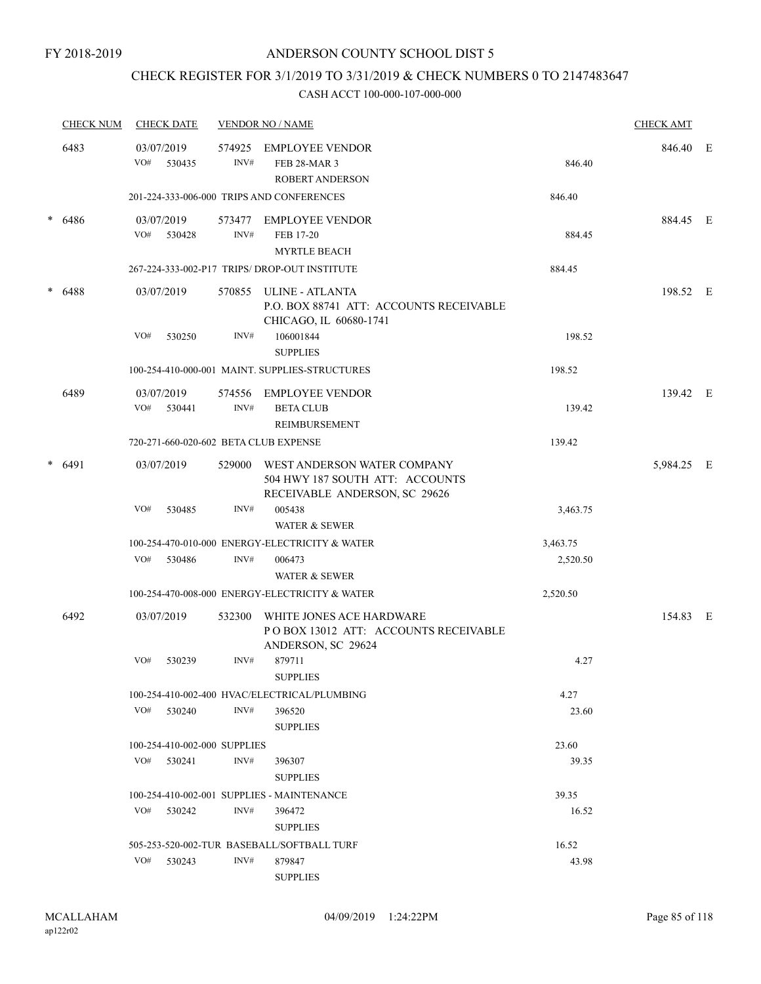### CHECK REGISTER FOR 3/1/2019 TO 3/31/2019 & CHECK NUMBERS 0 TO 2147483647

|        | <b>CHECK NUM</b> |     | <b>CHECK DATE</b>            |                | <b>VENDOR NO / NAME</b>                                                                         |          | <b>CHECK AMT</b> |     |
|--------|------------------|-----|------------------------------|----------------|-------------------------------------------------------------------------------------------------|----------|------------------|-----|
|        | 6483             | VO# | 03/07/2019<br>530435         | 574925<br>INV# | <b>EMPLOYEE VENDOR</b><br><b>FEB 28-MAR 3</b><br><b>ROBERT ANDERSON</b>                         | 846.40   | 846.40           | – E |
|        |                  |     |                              |                | 201-224-333-006-000 TRIPS AND CONFERENCES                                                       | 846.40   |                  |     |
| *      | 6486             | VO# | 03/07/2019<br>530428         | INV#           | 573477 EMPLOYEE VENDOR<br>FEB 17-20<br><b>MYRTLE BEACH</b>                                      | 884.45   | 884.45 E         |     |
|        |                  |     |                              |                | 267-224-333-002-P17 TRIPS/DROP-OUT INSTITUTE                                                    | 884.45   |                  |     |
| *      | 6488             |     | 03/07/2019                   |                | 570855 ULINE - ATLANTA<br>P.O. BOX 88741 ATT: ACCOUNTS RECEIVABLE<br>CHICAGO, IL 60680-1741     |          | 198.52 E         |     |
|        |                  | VO# | 530250                       | INV#           | 106001844<br><b>SUPPLIES</b>                                                                    | 198.52   |                  |     |
|        |                  |     |                              |                | 100-254-410-000-001 MAINT, SUPPLIES-STRUCTURES                                                  | 198.52   |                  |     |
|        | 6489             |     | 03/07/2019                   | 574556         | <b>EMPLOYEE VENDOR</b>                                                                          |          | 139.42 E         |     |
|        |                  | VO# | 530441                       | INV#           | <b>BETA CLUB</b><br><b>REIMBURSEMENT</b>                                                        | 139.42   |                  |     |
|        |                  |     |                              |                | 720-271-660-020-602 BETA CLUB EXPENSE                                                           | 139.42   |                  |     |
| * 6491 |                  |     | 03/07/2019                   | 529000         | WEST ANDERSON WATER COMPANY<br>504 HWY 187 SOUTH ATT: ACCOUNTS<br>RECEIVABLE ANDERSON, SC 29626 |          | 5,984.25 E       |     |
|        |                  | VO# | 530485                       | INV#           | 005438<br><b>WATER &amp; SEWER</b>                                                              | 3,463.75 |                  |     |
|        |                  |     |                              |                | 100-254-470-010-000 ENERGY-ELECTRICITY & WATER                                                  | 3,463.75 |                  |     |
|        |                  | VO# | 530486                       | INV#           | 006473                                                                                          | 2,520.50 |                  |     |
|        |                  |     |                              |                | <b>WATER &amp; SEWER</b>                                                                        |          |                  |     |
|        |                  |     |                              |                | 100-254-470-008-000 ENERGY-ELECTRICITY & WATER                                                  | 2,520.50 |                  |     |
|        | 6492             |     | 03/07/2019                   | 532300         | WHITE JONES ACE HARDWARE<br>POBOX 13012 ATT: ACCOUNTS RECEIVABLE<br>ANDERSON, SC 29624          |          | 154.83 E         |     |
|        |                  | VO# | 530239                       | INV#           | 879711<br><b>SUPPLIES</b>                                                                       | 4.27     |                  |     |
|        |                  |     |                              |                | 100-254-410-002-400 HVAC/ELECTRICAL/PLUMBING                                                    | 4.27     |                  |     |
|        |                  |     | $VO#$ 530240                 | INV#           | 396520<br><b>SUPPLIES</b>                                                                       | 23.60    |                  |     |
|        |                  |     | 100-254-410-002-000 SUPPLIES |                |                                                                                                 | 23.60    |                  |     |
|        |                  | VO# | 530241                       | INV#           | 396307<br><b>SUPPLIES</b>                                                                       | 39.35    |                  |     |
|        |                  |     |                              |                | 100-254-410-002-001 SUPPLIES - MAINTENANCE                                                      | 39.35    |                  |     |
|        |                  | VO# | 530242                       | INV#           | 396472<br><b>SUPPLIES</b>                                                                       | 16.52    |                  |     |
|        |                  |     |                              |                | 505-253-520-002-TUR BASEBALL/SOFTBALL TURF                                                      | 16.52    |                  |     |
|        |                  |     | VO# 530243                   | INV#           | 879847<br><b>SUPPLIES</b>                                                                       | 43.98    |                  |     |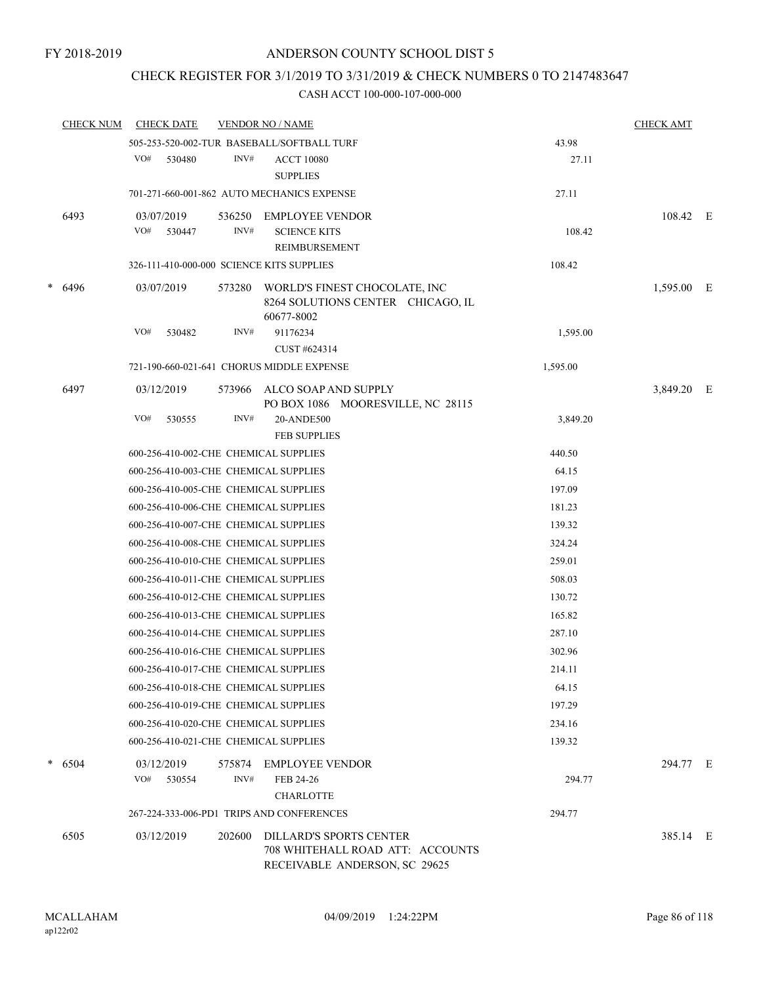### CHECK REGISTER FOR 3/1/2019 TO 3/31/2019 & CHECK NUMBERS 0 TO 2147483647

|           | <b>CHECK NUM</b>     |            | <b>CHECK DATE</b> |            | <b>VENDOR NO / NAME</b>                                            |                                                                   |            | <b>CHECK AMT</b> |  |
|-----------|----------------------|------------|-------------------|------------|--------------------------------------------------------------------|-------------------------------------------------------------------|------------|------------------|--|
|           |                      |            |                   |            | 505-253-520-002-TUR BASEBALL/SOFTBALL TURF                         |                                                                   | 43.98      |                  |  |
|           |                      | VO#        | 530480            | INV#       | <b>ACCT 10080</b>                                                  |                                                                   | 27.11      |                  |  |
|           |                      |            |                   |            | <b>SUPPLIES</b>                                                    |                                                                   |            |                  |  |
|           |                      |            |                   |            | 701-271-660-001-862 AUTO MECHANICS EXPENSE                         |                                                                   | 27.11      |                  |  |
|           | 6493                 | 03/07/2019 |                   | 536250     | EMPLOYEE VENDOR                                                    |                                                                   |            | 108.42 E         |  |
|           |                      | VO#        | 530447            | INV#       | <b>SCIENCE KITS</b>                                                |                                                                   | 108.42     |                  |  |
|           |                      |            |                   |            | REIMBURSEMENT                                                      |                                                                   |            |                  |  |
|           |                      |            |                   |            | 326-111-410-000-000 SCIENCE KITS SUPPLIES                          |                                                                   | 108.42     |                  |  |
| *<br>6496 | 03/07/2019<br>573280 |            |                   | 60677-8002 | WORLD'S FINEST CHOCOLATE, INC<br>8264 SOLUTIONS CENTER CHICAGO, IL |                                                                   | 1,595.00 E |                  |  |
|           |                      | VO#        | 530482            | INV#       | 91176234                                                           |                                                                   | 1,595.00   |                  |  |
|           |                      |            |                   |            | CUST #624314                                                       |                                                                   |            |                  |  |
|           |                      |            |                   |            | 721-190-660-021-641 CHORUS MIDDLE EXPENSE                          |                                                                   | 1,595.00   |                  |  |
|           | 6497                 | 03/12/2019 |                   | 573966     | ALCO SOAP AND SUPPLY                                               | PO BOX 1086 MOORESVILLE, NC 28115                                 |            | 3,849.20 E       |  |
|           |                      | VO#        | 530555            | INV#       | 20-ANDE500                                                         |                                                                   | 3,849.20   |                  |  |
|           |                      |            |                   |            | <b>FEB SUPPLIES</b>                                                |                                                                   |            |                  |  |
|           |                      |            |                   |            | 600-256-410-002-CHE CHEMICAL SUPPLIES                              |                                                                   | 440.50     |                  |  |
|           |                      |            |                   |            | 600-256-410-003-CHE CHEMICAL SUPPLIES                              |                                                                   | 64.15      |                  |  |
|           |                      |            |                   |            | 600-256-410-005-CHE CHEMICAL SUPPLIES                              |                                                                   | 197.09     |                  |  |
|           |                      |            |                   |            | 600-256-410-006-CHE CHEMICAL SUPPLIES                              |                                                                   | 181.23     |                  |  |
|           |                      |            |                   |            | 600-256-410-007-CHE CHEMICAL SUPPLIES                              |                                                                   | 139.32     |                  |  |
|           |                      |            |                   |            | 600-256-410-008-CHE CHEMICAL SUPPLIES                              |                                                                   | 324.24     |                  |  |
|           |                      |            |                   |            | 600-256-410-010-CHE CHEMICAL SUPPLIES                              |                                                                   | 259.01     |                  |  |
|           |                      |            |                   |            | 600-256-410-011-CHE CHEMICAL SUPPLIES                              |                                                                   | 508.03     |                  |  |
|           |                      |            |                   |            | 600-256-410-012-CHE CHEMICAL SUPPLIES                              |                                                                   | 130.72     |                  |  |
|           |                      |            |                   |            | 600-256-410-013-CHE CHEMICAL SUPPLIES                              |                                                                   | 165.82     |                  |  |
|           |                      |            |                   |            | 600-256-410-014-CHE CHEMICAL SUPPLIES                              |                                                                   | 287.10     |                  |  |
|           |                      |            |                   |            | 600-256-410-016-CHE CHEMICAL SUPPLIES                              |                                                                   | 302.96     |                  |  |
|           |                      |            |                   |            | 600-256-410-017-CHE CHEMICAL SUPPLIES                              |                                                                   | 214.11     |                  |  |
|           |                      |            |                   |            | 600-256-410-018-CHE CHEMICAL SUPPLIES                              |                                                                   | 64.15      |                  |  |
|           |                      |            |                   |            | 600-256-410-019-CHE CHEMICAL SUPPLIES                              |                                                                   | 197.29     |                  |  |
|           |                      |            |                   |            | 600-256-410-020-CHE CHEMICAL SUPPLIES                              |                                                                   | 234.16     |                  |  |
|           |                      |            |                   |            | 600-256-410-021-CHE CHEMICAL SUPPLIES                              |                                                                   | 139.32     |                  |  |
|           | $*$ 6504             |            | 03/12/2019        |            | 575874 EMPLOYEE VENDOR                                             |                                                                   |            | 294.77 E         |  |
|           |                      | VO#        | 530554            | INV#       | FEB 24-26                                                          |                                                                   | 294.77     |                  |  |
|           |                      |            |                   |            | <b>CHARLOTTE</b>                                                   |                                                                   |            |                  |  |
|           |                      |            |                   |            | 267-224-333-006-PD1 TRIPS AND CONFERENCES                          |                                                                   | 294.77     |                  |  |
|           | 6505                 | 03/12/2019 |                   | 202600     | <b>DILLARD'S SPORTS CENTER</b>                                     | 708 WHITEHALL ROAD ATT: ACCOUNTS<br>RECEIVABLE ANDERSON, SC 29625 |            | 385.14 E         |  |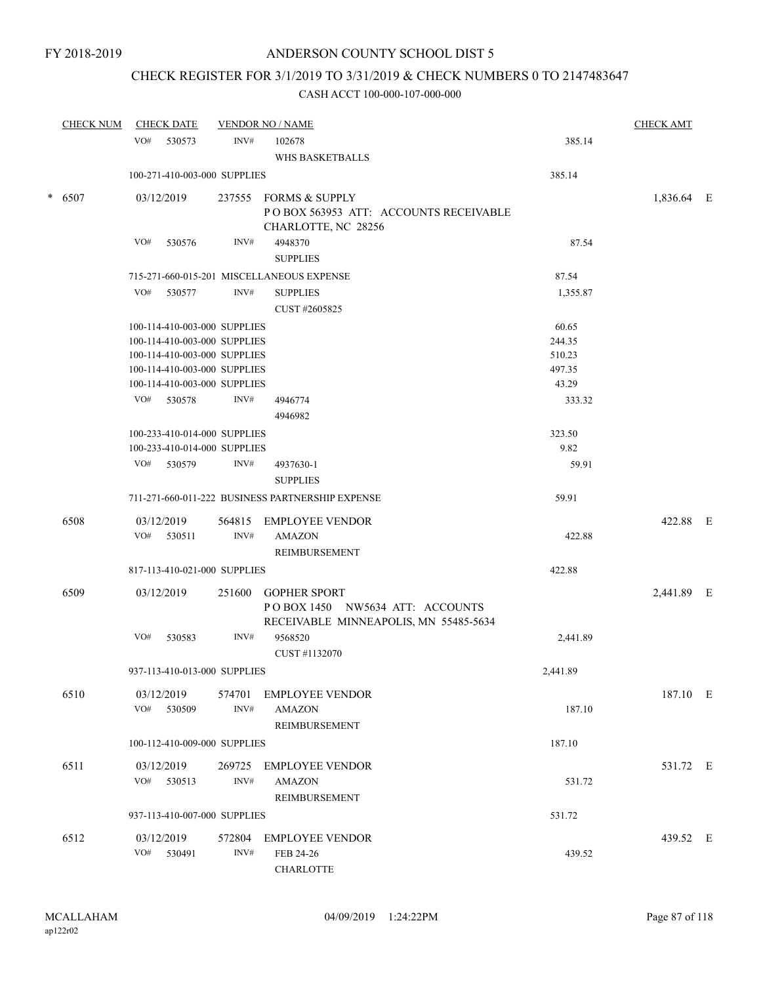# CHECK REGISTER FOR 3/1/2019 TO 3/31/2019 & CHECK NUMBERS 0 TO 2147483647

| <b>CHECK NUM</b> | <b>CHECK DATE</b>                                            |        | <b>VENDOR NO / NAME</b>                                                               |                | <b>CHECK AMT</b> |  |
|------------------|--------------------------------------------------------------|--------|---------------------------------------------------------------------------------------|----------------|------------------|--|
|                  | VO#<br>530573                                                | INV#   | 102678<br>WHS BASKETBALLS                                                             | 385.14         |                  |  |
|                  | 100-271-410-003-000 SUPPLIES                                 |        |                                                                                       | 385.14         |                  |  |
| $* 6507$         | 03/12/2019                                                   |        | 237555 FORMS & SUPPLY<br>POBOX 563953 ATT: ACCOUNTS RECEIVABLE<br>CHARLOTTE, NC 28256 |                | 1,836.64 E       |  |
|                  | VO#<br>530576                                                | INV#   | 4948370<br><b>SUPPLIES</b>                                                            | 87.54          |                  |  |
|                  |                                                              |        | 715-271-660-015-201 MISCELLANEOUS EXPENSE                                             | 87.54          |                  |  |
|                  | VO#<br>530577                                                | INV#   | <b>SUPPLIES</b><br>CUST #2605825                                                      | 1,355.87       |                  |  |
|                  | 100-114-410-003-000 SUPPLIES                                 |        |                                                                                       | 60.65          |                  |  |
|                  | 100-114-410-003-000 SUPPLIES                                 |        |                                                                                       | 244.35         |                  |  |
|                  | 100-114-410-003-000 SUPPLIES                                 |        |                                                                                       | 510.23         |                  |  |
|                  | 100-114-410-003-000 SUPPLIES                                 |        |                                                                                       | 497.35         |                  |  |
|                  | 100-114-410-003-000 SUPPLIES                                 |        |                                                                                       | 43.29          |                  |  |
|                  | VO#<br>530578                                                | INV#   | 4946774                                                                               | 333.32         |                  |  |
|                  |                                                              |        | 4946982                                                                               |                |                  |  |
|                  | 100-233-410-014-000 SUPPLIES<br>100-233-410-014-000 SUPPLIES |        |                                                                                       | 323.50<br>9.82 |                  |  |
|                  | VO# 530579                                                   | INV#   | 4937630-1                                                                             | 59.91          |                  |  |
|                  |                                                              |        | <b>SUPPLIES</b>                                                                       |                |                  |  |
|                  |                                                              |        | 711-271-660-011-222 BUSINESS PARTNERSHIP EXPENSE                                      | 59.91          |                  |  |
| 6508             | 03/12/2019                                                   | 564815 | <b>EMPLOYEE VENDOR</b>                                                                |                | 422.88 E         |  |
|                  | VO#<br>530511                                                | INV#   | <b>AMAZON</b><br>REIMBURSEMENT                                                        | 422.88         |                  |  |
|                  | 817-113-410-021-000 SUPPLIES                                 |        |                                                                                       | 422.88         |                  |  |
| 6509             | 03/12/2019                                                   | 251600 | <b>GOPHER SPORT</b><br>POBOX 1450 NW5634 ATT: ACCOUNTS                                |                | 2,441.89 E       |  |
|                  | VO#<br>530583                                                | INV#   | RECEIVABLE MINNEAPOLIS, MN 55485-5634<br>9568520<br>CUST #1132070                     | 2,441.89       |                  |  |
|                  | 937-113-410-013-000 SUPPLIES                                 |        |                                                                                       | 2,441.89       |                  |  |
| 6510             | 03/12/2019                                                   |        | 574701 EMPLOYEE VENDOR                                                                |                | 187.10 E         |  |
|                  | VO#<br>530509                                                | INV#   | <b>AMAZON</b><br>REIMBURSEMENT                                                        | 187.10         |                  |  |
|                  | 100-112-410-009-000 SUPPLIES                                 |        |                                                                                       | 187.10         |                  |  |
| 6511             | 03/12/2019<br>VO# 530513                                     | INV#   | 269725 EMPLOYEE VENDOR<br><b>AMAZON</b>                                               | 531.72         | 531.72 E         |  |
|                  | 937-113-410-007-000 SUPPLIES                                 |        | REIMBURSEMENT                                                                         | 531.72         |                  |  |
|                  |                                                              |        |                                                                                       |                |                  |  |
| 6512             | 03/12/2019<br>VO# 530491                                     | INV#   | 572804 EMPLOYEE VENDOR<br>FEB 24-26<br><b>CHARLOTTE</b>                               | 439.52         | 439.52 E         |  |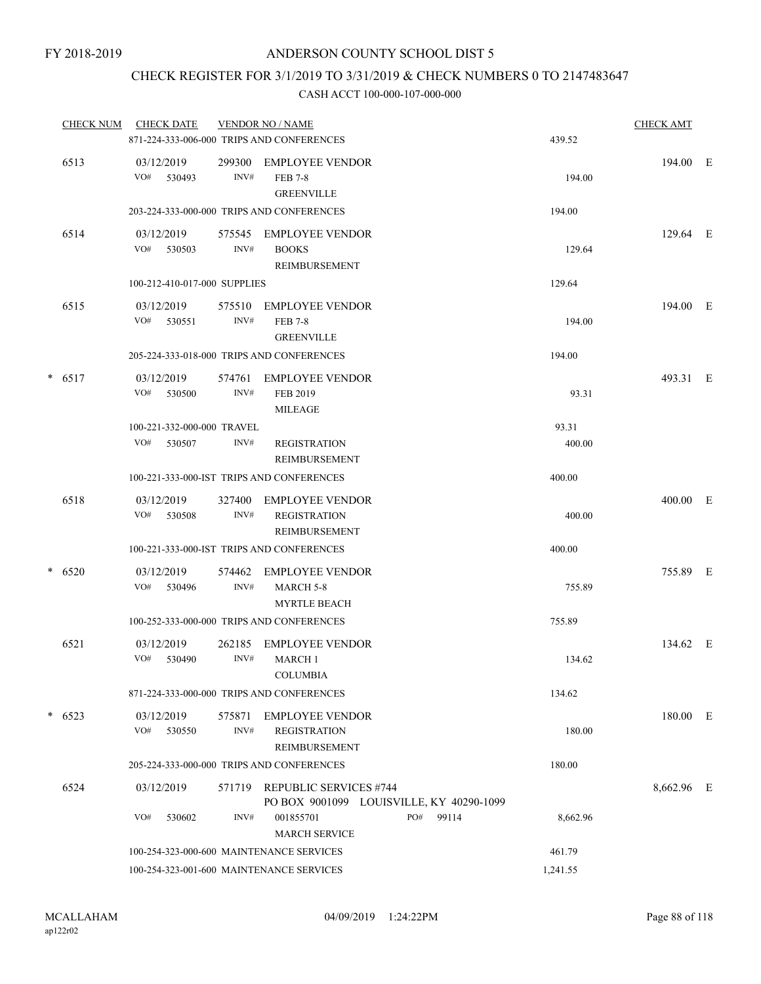# CHECK REGISTER FOR 3/1/2019 TO 3/31/2019 & CHECK NUMBERS 0 TO 2147483647

|        | <b>CHECK NUM</b> | <b>CHECK DATE</b>                         |                | <b>VENDOR NO / NAME</b><br>871-224-333-006-000 TRIPS AND CONFERENCES      |           | 439.52   | <b>CHECK AMT</b> |   |
|--------|------------------|-------------------------------------------|----------------|---------------------------------------------------------------------------|-----------|----------|------------------|---|
|        | 6513             | 03/12/2019<br>VO#<br>530493               | 299300<br>INV# | <b>EMPLOYEE VENDOR</b><br><b>FEB 7-8</b><br><b>GREENVILLE</b>             |           | 194.00   | 194.00 E         |   |
|        |                  |                                           |                | 203-224-333-000-000 TRIPS AND CONFERENCES                                 |           | 194.00   |                  |   |
|        | 6514             | 03/12/2019<br>VO# 530503                  | 575545<br>INV# | <b>EMPLOYEE VENDOR</b><br><b>BOOKS</b><br><b>REIMBURSEMENT</b>            |           | 129.64   | 129.64 E         |   |
|        |                  | 100-212-410-017-000 SUPPLIES              |                |                                                                           |           | 129.64   |                  |   |
|        | 6515             | 03/12/2019<br>VO#<br>530551               | 575510<br>INV# | <b>EMPLOYEE VENDOR</b><br><b>FEB 7-8</b><br><b>GREENVILLE</b>             |           | 194.00   | 194.00 E         |   |
|        |                  | 205-224-333-018-000 TRIPS AND CONFERENCES |                |                                                                           |           | 194.00   |                  |   |
| $\ast$ | 6517             | 03/12/2019<br>VO#<br>530500               | 574761<br>INV# | <b>EMPLOYEE VENDOR</b><br>FEB 2019<br>MILEAGE                             |           | 93.31    | 493.31 E         |   |
|        |                  | 100-221-332-000-000 TRAVEL                |                |                                                                           |           | 93.31    |                  |   |
|        |                  | VO#<br>530507                             | INV#           | <b>REGISTRATION</b><br>REIMBURSEMENT                                      |           | 400.00   |                  |   |
|        |                  | 100-221-333-000-IST TRIPS AND CONFERENCES |                |                                                                           |           | 400.00   |                  |   |
|        | 6518             | 03/12/2019<br>VO#<br>530508               | 327400<br>INV# | <b>EMPLOYEE VENDOR</b><br><b>REGISTRATION</b><br><b>REIMBURSEMENT</b>     |           | 400.00   | 400.00           | E |
|        |                  | 100-221-333-000-IST TRIPS AND CONFERENCES |                |                                                                           |           | 400.00   |                  |   |
| $\ast$ | 6520             | 03/12/2019<br>VO#<br>530496               | 574462<br>INV# | <b>EMPLOYEE VENDOR</b><br><b>MARCH 5-8</b><br><b>MYRTLE BEACH</b>         |           | 755.89   | 755.89 E         |   |
|        |                  |                                           |                | 100-252-333-000-000 TRIPS AND CONFERENCES                                 |           | 755.89   |                  |   |
|        | 6521             | 03/12/2019<br>VO#<br>530490               | 262185<br>INV# | <b>EMPLOYEE VENDOR</b><br><b>MARCH1</b><br><b>COLUMBIA</b>                |           | 134.62   | 134.62 E         |   |
|        |                  |                                           |                | 871-224-333-000-000 TRIPS AND CONFERENCES                                 |           | 134.62   |                  |   |
|        | $* 6523$         | 03/12/2019<br>VO# 530550                  | INV#           | 575871 EMPLOYEE VENDOR<br><b>REGISTRATION</b><br>REIMBURSEMENT            |           | 180.00   | 180.00 E         |   |
|        |                  |                                           |                | 205-224-333-000-000 TRIPS AND CONFERENCES                                 |           | 180.00   |                  |   |
|        | 6524             | 03/12/2019                                |                | 571719 REPUBLIC SERVICES #744<br>PO BOX 9001099 LOUISVILLE, KY 40290-1099 |           |          | 8,662.96 E       |   |
|        |                  | VO#<br>530602                             | INV#           | 001855701<br><b>MARCH SERVICE</b>                                         | PO# 99114 | 8,662.96 |                  |   |
|        |                  | 100-254-323-000-600 MAINTENANCE SERVICES  |                |                                                                           |           | 461.79   |                  |   |
|        |                  | 100-254-323-001-600 MAINTENANCE SERVICES  |                |                                                                           |           | 1,241.55 |                  |   |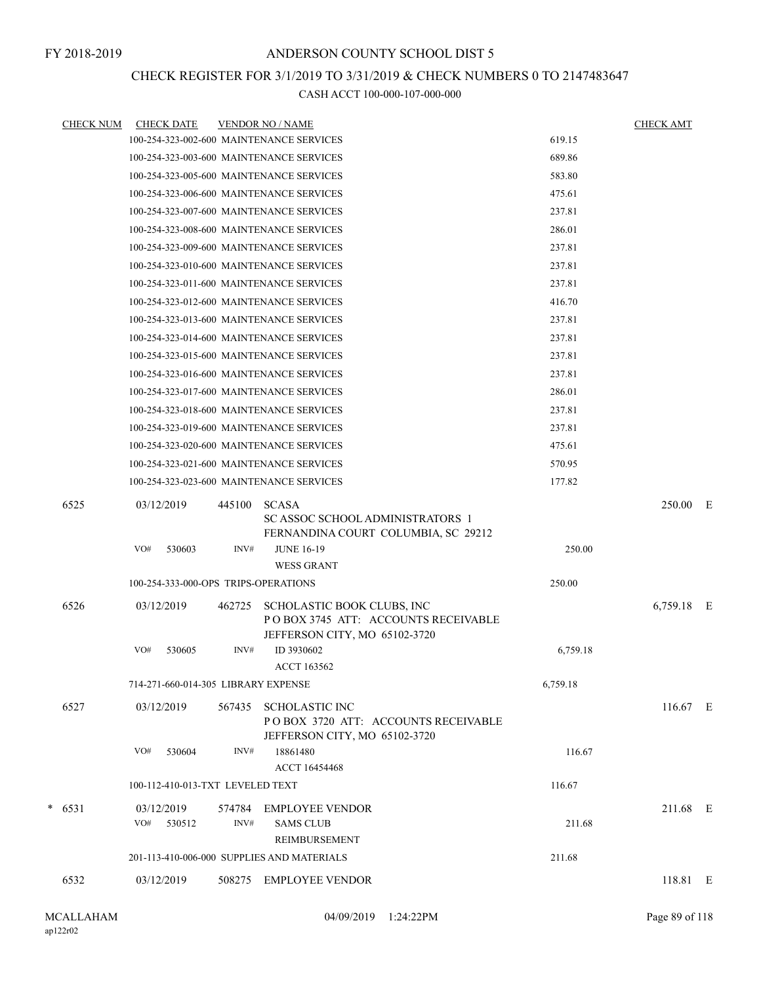### CHECK REGISTER FOR 3/1/2019 TO 3/31/2019 & CHECK NUMBERS 0 TO 2147483647

| <b>CHECK NUM</b> | <b>CHECK DATE</b>                          |        | <b>VENDOR NO / NAME</b>                                                                            |          | <b>CHECK AMT</b> |  |
|------------------|--------------------------------------------|--------|----------------------------------------------------------------------------------------------------|----------|------------------|--|
|                  | 100-254-323-002-600 MAINTENANCE SERVICES   |        |                                                                                                    | 619.15   |                  |  |
|                  | 100-254-323-003-600 MAINTENANCE SERVICES   |        |                                                                                                    | 689.86   |                  |  |
|                  | 100-254-323-005-600 MAINTENANCE SERVICES   |        |                                                                                                    | 583.80   |                  |  |
|                  | 100-254-323-006-600 MAINTENANCE SERVICES   |        |                                                                                                    | 475.61   |                  |  |
|                  | 100-254-323-007-600 MAINTENANCE SERVICES   |        |                                                                                                    | 237.81   |                  |  |
|                  | 100-254-323-008-600 MAINTENANCE SERVICES   |        |                                                                                                    | 286.01   |                  |  |
|                  | 100-254-323-009-600 MAINTENANCE SERVICES   |        |                                                                                                    | 237.81   |                  |  |
|                  | 100-254-323-010-600 MAINTENANCE SERVICES   |        |                                                                                                    | 237.81   |                  |  |
|                  | 100-254-323-011-600 MAINTENANCE SERVICES   |        |                                                                                                    | 237.81   |                  |  |
|                  | 100-254-323-012-600 MAINTENANCE SERVICES   |        |                                                                                                    | 416.70   |                  |  |
|                  | 100-254-323-013-600 MAINTENANCE SERVICES   |        |                                                                                                    | 237.81   |                  |  |
|                  | 100-254-323-014-600 MAINTENANCE SERVICES   |        |                                                                                                    | 237.81   |                  |  |
|                  | 100-254-323-015-600 MAINTENANCE SERVICES   |        |                                                                                                    | 237.81   |                  |  |
|                  | 100-254-323-016-600 MAINTENANCE SERVICES   |        |                                                                                                    | 237.81   |                  |  |
|                  | 100-254-323-017-600 MAINTENANCE SERVICES   |        |                                                                                                    | 286.01   |                  |  |
|                  | 100-254-323-018-600 MAINTENANCE SERVICES   |        |                                                                                                    | 237.81   |                  |  |
|                  | 100-254-323-019-600 MAINTENANCE SERVICES   |        |                                                                                                    | 237.81   |                  |  |
|                  | 100-254-323-020-600 MAINTENANCE SERVICES   |        |                                                                                                    | 475.61   |                  |  |
|                  | 100-254-323-021-600 MAINTENANCE SERVICES   |        |                                                                                                    | 570.95   |                  |  |
|                  | 100-254-323-023-600 MAINTENANCE SERVICES   |        |                                                                                                    | 177.82   |                  |  |
| 6525             | 03/12/2019                                 | 445100 | <b>SCASA</b><br>SC ASSOC SCHOOL ADMINISTRATORS 1<br>FERNANDINA COURT COLUMBIA, SC 29212            |          | 250.00 E         |  |
|                  | VO#<br>530603                              | INV#   | <b>JUNE 16-19</b><br><b>WESS GRANT</b>                                                             | 250.00   |                  |  |
|                  | 100-254-333-000-OPS TRIPS-OPERATIONS       |        |                                                                                                    | 250.00   |                  |  |
| 6526             | 03/12/2019                                 | 462725 | SCHOLASTIC BOOK CLUBS, INC<br>POBOX 3745 ATT: ACCOUNTS RECEIVABLE<br>JEFFERSON CITY, MO 65102-3720 |          | 6,759.18 E       |  |
|                  | VO#<br>530605                              | INV#   | ID 3930602<br><b>ACCT 163562</b>                                                                   | 6,759.18 |                  |  |
|                  | 714-271-660-014-305 LIBRARY EXPENSE        |        |                                                                                                    | 6,759.18 |                  |  |
| 6527             | 03/12/2019                                 | 567435 | <b>SCHOLASTIC INC</b><br>POBOX 3720 ATT: ACCOUNTS RECEIVABLE<br>JEFFERSON CITY, MO 65102-3720      |          | $116.67$ E       |  |
|                  | VO#<br>530604                              | INV#   | 18861480<br>ACCT 16454468                                                                          | 116.67   |                  |  |
|                  | 100-112-410-013-TXT LEVELED TEXT           |        |                                                                                                    | 116.67   |                  |  |
| $* 6531$         | 03/12/2019                                 | 574784 | <b>EMPLOYEE VENDOR</b>                                                                             |          | 211.68 E         |  |
|                  | VO#<br>530512                              | INV#   | <b>SAMS CLUB</b><br>REIMBURSEMENT                                                                  | 211.68   |                  |  |
|                  | 201-113-410-006-000 SUPPLIES AND MATERIALS |        |                                                                                                    | 211.68   |                  |  |
| 6532             | 03/12/2019                                 |        | 508275 EMPLOYEE VENDOR                                                                             |          | 118.81 E         |  |
|                  |                                            |        |                                                                                                    |          |                  |  |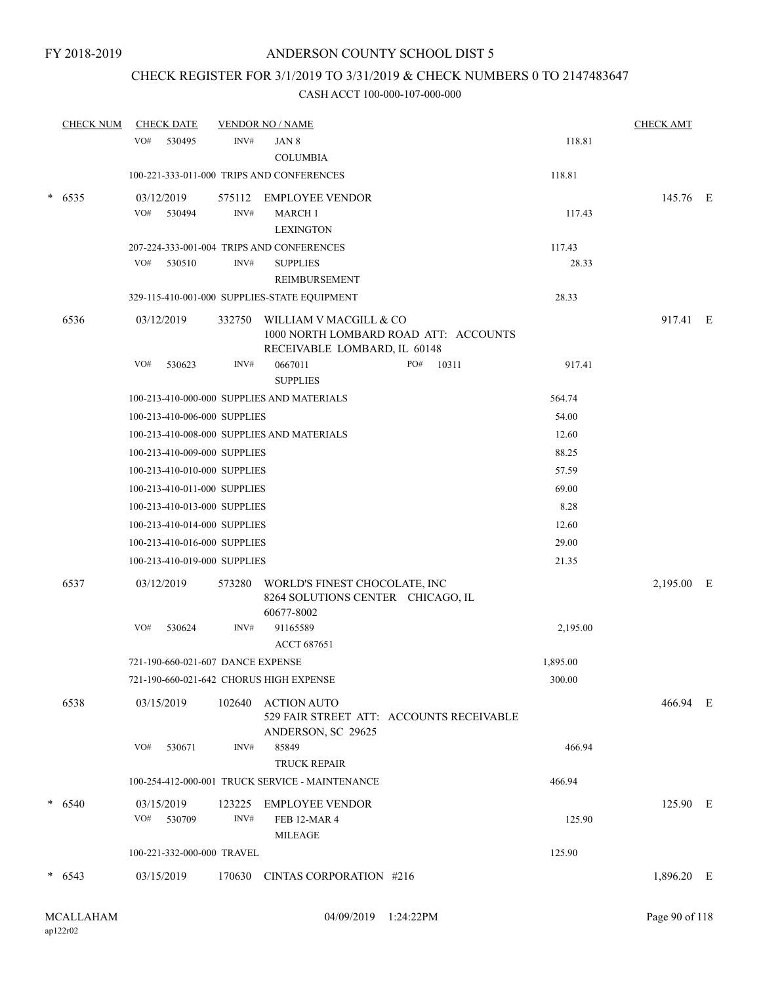### CHECK REGISTER FOR 3/1/2019 TO 3/31/2019 & CHECK NUMBERS 0 TO 2147483647

| <b>CHECK NUM</b> |     | <b>CHECK DATE</b>                 |                | <b>VENDOR NO / NAME</b>                                                                         |              |          | <b>CHECK AMT</b> |  |
|------------------|-----|-----------------------------------|----------------|-------------------------------------------------------------------------------------------------|--------------|----------|------------------|--|
|                  | VO# | 530495                            | INV#           | JAN 8<br><b>COLUMBIA</b>                                                                        |              | 118.81   |                  |  |
|                  |     |                                   |                | 100-221-333-011-000 TRIPS AND CONFERENCES                                                       |              | 118.81   |                  |  |
| $*$ 6535         |     | 03/12/2019                        |                | 575112 EMPLOYEE VENDOR                                                                          |              |          | 145.76 E         |  |
|                  | VO# | 530494                            | INV#           | <b>MARCH 1</b>                                                                                  |              | 117.43   |                  |  |
|                  |     |                                   |                | <b>LEXINGTON</b>                                                                                |              |          |                  |  |
|                  |     |                                   |                | 207-224-333-001-004 TRIPS AND CONFERENCES                                                       |              | 117.43   |                  |  |
|                  | VO# | 530510                            | INV#           | <b>SUPPLIES</b>                                                                                 |              | 28.33    |                  |  |
|                  |     |                                   |                | REIMBURSEMENT                                                                                   |              |          |                  |  |
|                  |     |                                   |                | 329-115-410-001-000 SUPPLIES-STATE EQUIPMENT                                                    |              | 28.33    |                  |  |
| 6536             |     | 03/12/2019                        | 332750         | WILLIAM V MACGILL & CO<br>1000 NORTH LOMBARD ROAD ATT: ACCOUNTS<br>RECEIVABLE LOMBARD, IL 60148 |              |          | 917.41 E         |  |
|                  | VO# | 530623                            | INV#           | 0667011                                                                                         | PO#<br>10311 | 917.41   |                  |  |
|                  |     |                                   |                | <b>SUPPLIES</b>                                                                                 |              |          |                  |  |
|                  |     |                                   |                | 100-213-410-000-000 SUPPLIES AND MATERIALS                                                      |              | 564.74   |                  |  |
|                  |     | 100-213-410-006-000 SUPPLIES      |                |                                                                                                 |              | 54.00    |                  |  |
|                  |     |                                   |                | 100-213-410-008-000 SUPPLIES AND MATERIALS                                                      |              | 12.60    |                  |  |
|                  |     | 100-213-410-009-000 SUPPLIES      |                |                                                                                                 |              | 88.25    |                  |  |
|                  |     | 100-213-410-010-000 SUPPLIES      |                |                                                                                                 |              | 57.59    |                  |  |
|                  |     | 100-213-410-011-000 SUPPLIES      |                |                                                                                                 |              | 69.00    |                  |  |
|                  |     | 100-213-410-013-000 SUPPLIES      |                |                                                                                                 |              | 8.28     |                  |  |
|                  |     | 100-213-410-014-000 SUPPLIES      |                |                                                                                                 |              | 12.60    |                  |  |
|                  |     | 100-213-410-016-000 SUPPLIES      |                |                                                                                                 |              | 29.00    |                  |  |
|                  |     | 100-213-410-019-000 SUPPLIES      |                |                                                                                                 |              | 21.35    |                  |  |
| 6537             |     | 03/12/2019                        | 573280         | WORLD'S FINEST CHOCOLATE, INC<br>8264 SOLUTIONS CENTER CHICAGO, IL<br>60677-8002                |              |          | 2,195.00 E       |  |
|                  | VO# | 530624                            | INV#           | 91165589                                                                                        |              | 2,195.00 |                  |  |
|                  |     |                                   |                | ACCT 687651                                                                                     |              |          |                  |  |
|                  |     | 721-190-660-021-607 DANCE EXPENSE |                |                                                                                                 |              | 1,895.00 |                  |  |
|                  |     |                                   |                | 721-190-660-021-642 CHORUS HIGH EXPENSE                                                         |              | 300.00   |                  |  |
| 6538             |     | 03/15/2019                        | 102640         | <b>ACTION AUTO</b><br>529 FAIR STREET ATT: ACCOUNTS RECEIVABLE<br>ANDERSON, SC 29625            |              |          | 466.94 E         |  |
|                  | VO# | 530671                            | INV#           | 85849<br>TRUCK REPAIR                                                                           |              | 466.94   |                  |  |
|                  |     |                                   |                | 100-254-412-000-001 TRUCK SERVICE - MAINTENANCE                                                 |              | 466.94   |                  |  |
| $*$ 6540         | VO# | 03/15/2019<br>530709              | 123225<br>INV# | <b>EMPLOYEE VENDOR</b><br>FEB 12-MAR 4<br><b>MILEAGE</b>                                        |              | 125.90   | 125.90 E         |  |
|                  |     | 100-221-332-000-000 TRAVEL        |                |                                                                                                 |              | 125.90   |                  |  |
| $* 6543$         |     | 03/15/2019                        | 170630         | CINTAS CORPORATION #216                                                                         |              |          | 1,896.20 E       |  |
|                  |     |                                   |                |                                                                                                 |              |          |                  |  |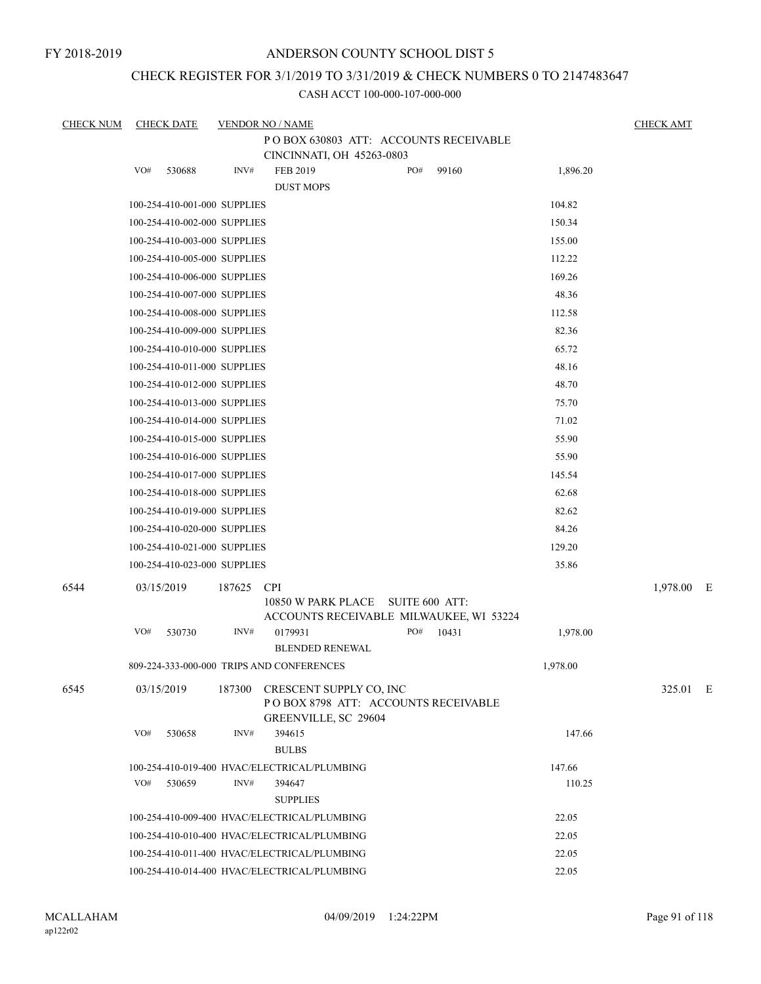### CHECK REGISTER FOR 3/1/2019 TO 3/31/2019 & CHECK NUMBERS 0 TO 2147483647

| <b>CHECK NUM</b> | <b>CHECK DATE</b>            |        | <b>VENDOR NO / NAME</b>                                                                    |     |       |                  | <b>CHECK AMT</b> |  |
|------------------|------------------------------|--------|--------------------------------------------------------------------------------------------|-----|-------|------------------|------------------|--|
|                  |                              |        | POBOX 630803 ATT: ACCOUNTS RECEIVABLE<br>CINCINNATI, OH 45263-0803                         |     |       |                  |                  |  |
|                  | VO#<br>530688                | INV#   | FEB 2019<br><b>DUST MOPS</b>                                                               | PO# | 99160 | 1,896.20         |                  |  |
|                  | 100-254-410-001-000 SUPPLIES |        |                                                                                            |     |       | 104.82           |                  |  |
|                  | 100-254-410-002-000 SUPPLIES |        |                                                                                            |     |       | 150.34           |                  |  |
|                  | 100-254-410-003-000 SUPPLIES |        |                                                                                            |     |       | 155.00           |                  |  |
|                  | 100-254-410-005-000 SUPPLIES |        |                                                                                            |     |       | 112.22           |                  |  |
|                  | 100-254-410-006-000 SUPPLIES |        |                                                                                            |     |       | 169.26           |                  |  |
|                  | 100-254-410-007-000 SUPPLIES |        |                                                                                            |     |       | 48.36            |                  |  |
|                  | 100-254-410-008-000 SUPPLIES |        |                                                                                            |     |       | 112.58           |                  |  |
|                  | 100-254-410-009-000 SUPPLIES |        |                                                                                            |     |       | 82.36            |                  |  |
|                  | 100-254-410-010-000 SUPPLIES |        |                                                                                            |     |       | 65.72            |                  |  |
|                  | 100-254-410-011-000 SUPPLIES |        |                                                                                            |     |       | 48.16            |                  |  |
|                  | 100-254-410-012-000 SUPPLIES |        |                                                                                            |     |       | 48.70            |                  |  |
|                  | 100-254-410-013-000 SUPPLIES |        |                                                                                            |     |       | 75.70            |                  |  |
|                  | 100-254-410-014-000 SUPPLIES |        |                                                                                            |     |       | 71.02            |                  |  |
|                  | 100-254-410-015-000 SUPPLIES |        |                                                                                            |     |       | 55.90            |                  |  |
|                  | 100-254-410-016-000 SUPPLIES |        |                                                                                            |     |       | 55.90            |                  |  |
|                  | 100-254-410-017-000 SUPPLIES |        |                                                                                            |     |       | 145.54           |                  |  |
|                  | 100-254-410-018-000 SUPPLIES |        |                                                                                            |     |       | 62.68            |                  |  |
|                  | 100-254-410-019-000 SUPPLIES |        |                                                                                            |     |       | 82.62            |                  |  |
|                  | 100-254-410-020-000 SUPPLIES |        |                                                                                            |     |       | 84.26            |                  |  |
|                  | 100-254-410-021-000 SUPPLIES |        |                                                                                            |     |       | 129.20           |                  |  |
|                  | 100-254-410-023-000 SUPPLIES |        |                                                                                            |     |       | 35.86            |                  |  |
| 6544             | 03/15/2019                   | 187625 | <b>CPI</b><br>10850 W PARK PLACE SUITE 600 ATT:<br>ACCOUNTS RECEIVABLE MILWAUKEE, WI 53224 |     |       |                  | 1,978.00 E       |  |
|                  | VO#<br>530730                | INV#   | 0179931<br><b>BLENDED RENEWAL</b>                                                          | PO# | 10431 | 1,978.00         |                  |  |
|                  |                              |        | 809-224-333-000-000 TRIPS AND CONFERENCES                                                  |     |       | 1,978.00         |                  |  |
| 6545             | 03/15/2019                   | 187300 | CRESCENT SUPPLY CO, INC<br>POBOX 8798 ATT: ACCOUNTS RECEIVABLE<br>GREENVILLE, SC 29604     |     |       |                  | 325.01 E         |  |
|                  | VO#<br>530658                | INV#   | 394615<br><b>BULBS</b>                                                                     |     |       | 147.66           |                  |  |
|                  | VO#<br>530659                | INV#   | 100-254-410-019-400 HVAC/ELECTRICAL/PLUMBING<br>394647<br><b>SUPPLIES</b>                  |     |       | 147.66<br>110.25 |                  |  |
|                  |                              |        | 100-254-410-009-400 HVAC/ELECTRICAL/PLUMBING                                               |     |       | 22.05            |                  |  |
|                  |                              |        | 100-254-410-010-400 HVAC/ELECTRICAL/PLUMBING                                               |     |       | 22.05            |                  |  |
|                  |                              |        | 100-254-410-011-400 HVAC/ELECTRICAL/PLUMBING                                               |     |       | 22.05            |                  |  |
|                  |                              |        | 100-254-410-014-400 HVAC/ELECTRICAL/PLUMBING                                               |     |       | 22.05            |                  |  |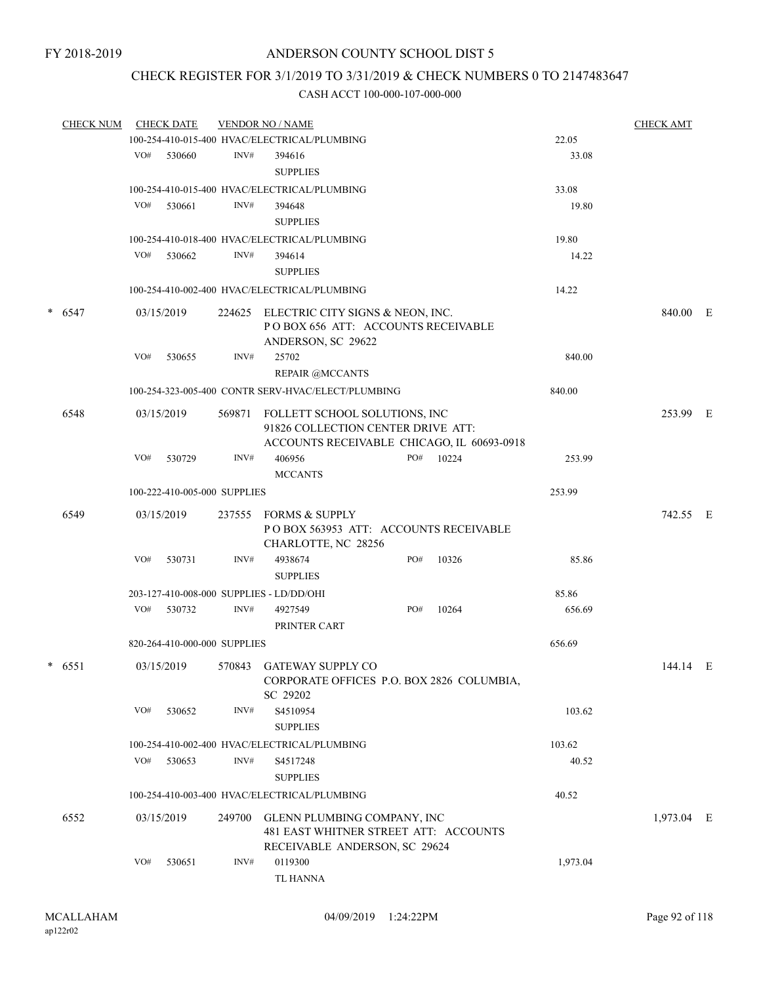### CHECK REGISTER FOR 3/1/2019 TO 3/31/2019 & CHECK NUMBERS 0 TO 2147483647

|          | <b>CHECK NUM</b> |            | <b>CHECK DATE</b>            |                                                                                                     | <b>VENDOR NO / NAME</b>                                                                                           |     |       |          | <b>CHECK AMT</b> |  |
|----------|------------------|------------|------------------------------|-----------------------------------------------------------------------------------------------------|-------------------------------------------------------------------------------------------------------------------|-----|-------|----------|------------------|--|
|          |                  |            |                              |                                                                                                     | 100-254-410-015-400 HVAC/ELECTRICAL/PLUMBING                                                                      |     |       | 22.05    |                  |  |
|          |                  | VO#        | 530660                       | INV#                                                                                                | 394616<br><b>SUPPLIES</b>                                                                                         |     |       | 33.08    |                  |  |
|          |                  |            |                              |                                                                                                     |                                                                                                                   |     |       |          |                  |  |
|          |                  |            |                              |                                                                                                     | 100-254-410-015-400 HVAC/ELECTRICAL/PLUMBING                                                                      |     |       | 33.08    |                  |  |
|          |                  | VO#        | 530661                       | INV#                                                                                                | 394648                                                                                                            |     |       | 19.80    |                  |  |
|          |                  |            |                              |                                                                                                     | <b>SUPPLIES</b>                                                                                                   |     |       |          |                  |  |
|          |                  |            |                              |                                                                                                     | 100-254-410-018-400 HVAC/ELECTRICAL/PLUMBING                                                                      |     |       | 19.80    |                  |  |
|          |                  | VO#        | 530662                       | INV#                                                                                                | 394614                                                                                                            |     |       | 14.22    |                  |  |
|          |                  |            |                              |                                                                                                     | <b>SUPPLIES</b>                                                                                                   |     |       |          |                  |  |
|          |                  |            |                              |                                                                                                     | 100-254-410-002-400 HVAC/ELECTRICAL/PLUMBING                                                                      |     |       | 14.22    |                  |  |
| $* 6547$ |                  | 03/15/2019 |                              | 224625 ELECTRIC CITY SIGNS & NEON, INC.<br>POBOX 656 ATT: ACCOUNTS RECEIVABLE<br>ANDERSON, SC 29622 |                                                                                                                   |     |       | 840.00 E |                  |  |
|          |                  | VO#        | 530655                       | INV#                                                                                                | 25702                                                                                                             |     |       | 840.00   |                  |  |
|          |                  |            |                              |                                                                                                     | <b>REPAIR @MCCANTS</b>                                                                                            |     |       |          |                  |  |
|          |                  |            |                              |                                                                                                     | 100-254-323-005-400 CONTR SERV-HVAC/ELECT/PLUMBING                                                                |     |       | 840.00   |                  |  |
|          | 6548             |            | 03/15/2019                   | 569871                                                                                              | FOLLETT SCHOOL SOLUTIONS, INC<br>91826 COLLECTION CENTER DRIVE ATT:<br>ACCOUNTS RECEIVABLE CHICAGO, IL 60693-0918 |     |       |          | 253.99 E         |  |
|          |                  | VO#        | 530729                       | INV#                                                                                                | 406956                                                                                                            | PO# | 10224 | 253.99   |                  |  |
|          |                  |            |                              |                                                                                                     | <b>MCCANTS</b>                                                                                                    |     |       |          |                  |  |
|          |                  |            |                              |                                                                                                     |                                                                                                                   |     |       |          |                  |  |
|          |                  |            | 100-222-410-005-000 SUPPLIES |                                                                                                     |                                                                                                                   |     |       | 253.99   |                  |  |
|          | 6549             |            | 03/15/2019                   | 237555                                                                                              | FORMS & SUPPLY<br>POBOX 563953 ATT: ACCOUNTS RECEIVABLE<br>CHARLOTTE, NC 28256                                    |     |       |          | 742.55 E         |  |
|          |                  | VO#        | 530731                       | INV#                                                                                                | 4938674<br><b>SUPPLIES</b>                                                                                        | PO# | 10326 | 85.86    |                  |  |
|          |                  |            |                              |                                                                                                     | 203-127-410-008-000 SUPPLIES - LD/DD/OHI                                                                          |     |       | 85.86    |                  |  |
|          |                  | VO#        | 530732                       | INV#                                                                                                | 4927549<br>PRINTER CART                                                                                           | PO# | 10264 | 656.69   |                  |  |
|          |                  |            | 820-264-410-000-000 SUPPLIES |                                                                                                     |                                                                                                                   |     |       | 656.69   |                  |  |
|          | $*$ 6551         |            | 03/15/2019                   |                                                                                                     | 570843 GATEWAY SUPPLY CO<br>CORPORATE OFFICES P.O. BOX 2826 COLUMBIA,<br>SC 29202                                 |     |       |          | 144.14 E         |  |
|          |                  | VO#        | 530652                       | INV#                                                                                                | S4510954<br><b>SUPPLIES</b>                                                                                       |     |       | 103.62   |                  |  |
|          |                  |            |                              |                                                                                                     | 100-254-410-002-400 HVAC/ELECTRICAL/PLUMBING                                                                      |     |       | 103.62   |                  |  |
|          |                  | VO#        | 530653                       | INV#                                                                                                | S4517248<br><b>SUPPLIES</b>                                                                                       |     |       | 40.52    |                  |  |
|          |                  |            |                              |                                                                                                     | 100-254-410-003-400 HVAC/ELECTRICAL/PLUMBING                                                                      |     |       | 40.52    |                  |  |
| 6552     |                  |            | 03/15/2019                   | 249700                                                                                              | GLENN PLUMBING COMPANY, INC<br>481 EAST WHITNER STREET ATT: ACCOUNTS<br>RECEIVABLE ANDERSON, SC 29624             |     |       |          | 1,973.04 E       |  |
|          |                  | VO#        | 530651                       | INV#                                                                                                | 0119300<br>TL HANNA                                                                                               |     |       | 1,973.04 |                  |  |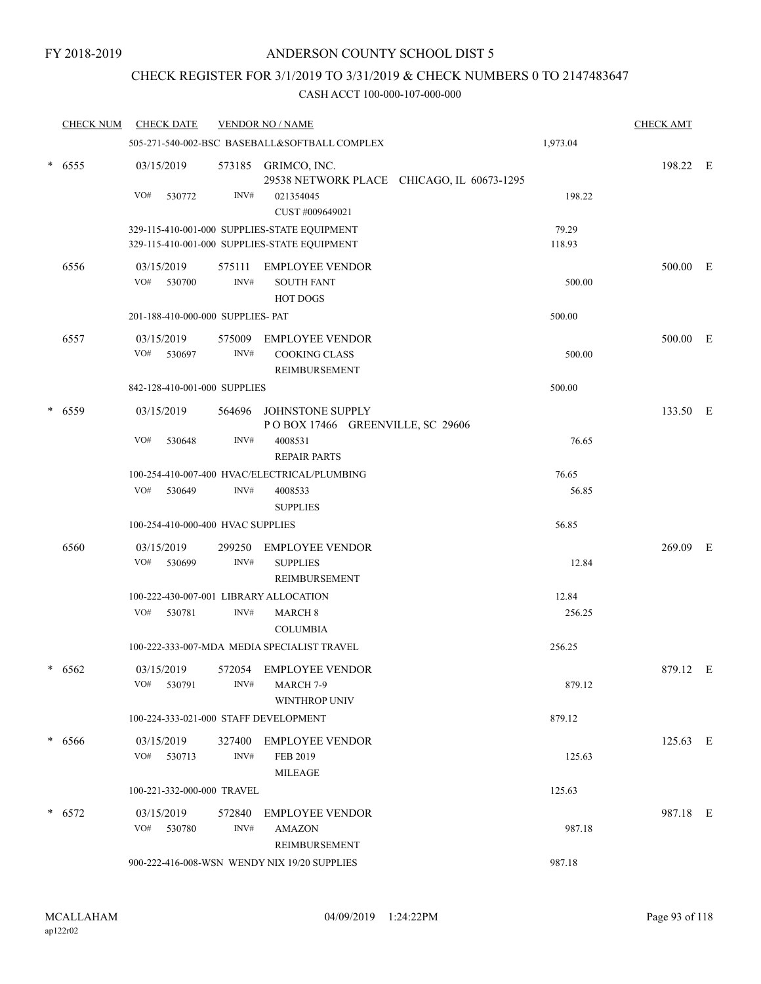### CHECK REGISTER FOR 3/1/2019 TO 3/31/2019 & CHECK NUMBERS 0 TO 2147483647

|        | <b>CHECK NUM</b> | <b>CHECK DATE</b>                      |                | <b>VENDOR NO / NAME</b>                                                                      |                                            |                 | <b>CHECK AMT</b> |  |
|--------|------------------|----------------------------------------|----------------|----------------------------------------------------------------------------------------------|--------------------------------------------|-----------------|------------------|--|
|        |                  |                                        |                | 505-271-540-002-BSC BASEBALL&SOFTBALL COMPLEX                                                |                                            | 1,973.04        |                  |  |
|        | $* 6555$         | 03/15/2019<br>VO#<br>530772            | INV#           | 573185 GRIMCO, INC.<br>021354045                                                             | 29538 NETWORK PLACE CHICAGO, IL 60673-1295 | 198.22          | 198.22 E         |  |
|        |                  |                                        |                | CUST #009649021                                                                              |                                            |                 |                  |  |
|        |                  |                                        |                | 329-115-410-001-000 SUPPLIES-STATE EQUIPMENT<br>329-115-410-001-000 SUPPLIES-STATE EQUIPMENT |                                            | 79.29<br>118.93 |                  |  |
|        | 6556             | 03/15/2019<br>VO#<br>530700            | 575111<br>INV# | <b>EMPLOYEE VENDOR</b><br><b>SOUTH FANT</b><br>HOT DOGS                                      |                                            | 500.00          | 500.00 E         |  |
|        |                  | 201-188-410-000-000 SUPPLIES- PAT      |                |                                                                                              |                                            | 500.00          |                  |  |
|        | 6557             | 03/15/2019<br>VO#<br>530697            | 575009<br>INV# | <b>EMPLOYEE VENDOR</b><br><b>COOKING CLASS</b><br>REIMBURSEMENT                              |                                            | 500.00          | 500.00 E         |  |
|        |                  | 842-128-410-001-000 SUPPLIES           |                |                                                                                              |                                            | 500.00          |                  |  |
|        | * 6559           | 03/15/2019                             | 564696         | JOHNSTONE SUPPLY<br>POBOX 17466 GREENVILLE, SC 29606                                         |                                            |                 | 133.50 E         |  |
|        |                  | VO#<br>530648                          | INV#           | 4008531<br><b>REPAIR PARTS</b>                                                               |                                            | 76.65           |                  |  |
|        |                  | VO#<br>530649                          | INV#           | 100-254-410-007-400 HVAC/ELECTRICAL/PLUMBING<br>4008533<br><b>SUPPLIES</b>                   |                                            | 76.65<br>56.85  |                  |  |
|        |                  | 100-254-410-000-400 HVAC SUPPLIES      |                |                                                                                              |                                            | 56.85           |                  |  |
|        | 6560             | 03/15/2019                             | 299250         | <b>EMPLOYEE VENDOR</b>                                                                       |                                            |                 | 269.09 E         |  |
|        |                  | VO#<br>530699                          | INV#           | <b>SUPPLIES</b><br>REIMBURSEMENT                                                             |                                            | 12.84           |                  |  |
|        |                  | 100-222-430-007-001 LIBRARY ALLOCATION |                |                                                                                              |                                            | 12.84           |                  |  |
|        |                  | 530781<br>VO#                          | INV#           | <b>MARCH 8</b><br><b>COLUMBIA</b>                                                            |                                            | 256.25          |                  |  |
|        |                  |                                        |                | 100-222-333-007-MDA MEDIA SPECIALIST TRAVEL                                                  |                                            | 256.25          |                  |  |
| $\ast$ | 6562             | 03/15/2019<br>VO#<br>530791            | INV#           | 572054 EMPLOYEE VENDOR<br>MARCH 7-9<br><b>WINTHROP UNIV</b>                                  |                                            | 879.12          | 879.12 E         |  |
|        |                  | 100-224-333-021-000 STAFF DEVELOPMENT  |                |                                                                                              |                                            | 879.12          |                  |  |
|        | * 6566           | 03/15/2019<br>VO# 530713               | 327400<br>INV# | <b>EMPLOYEE VENDOR</b><br>FEB 2019                                                           |                                            | 125.63          | 125.63 E         |  |
|        |                  | 100-221-332-000-000 TRAVEL             |                | MILEAGE                                                                                      |                                            | 125.63          |                  |  |
|        |                  |                                        |                |                                                                                              |                                            |                 |                  |  |
|        | $* 6572$         | 03/15/2019<br>VO#<br>530780            | 572840<br>INV# | <b>EMPLOYEE VENDOR</b><br><b>AMAZON</b><br>REIMBURSEMENT                                     |                                            | 987.18          | 987.18 E         |  |
|        |                  |                                        |                | 900-222-416-008-WSN WENDY NIX 19/20 SUPPLIES                                                 |                                            | 987.18          |                  |  |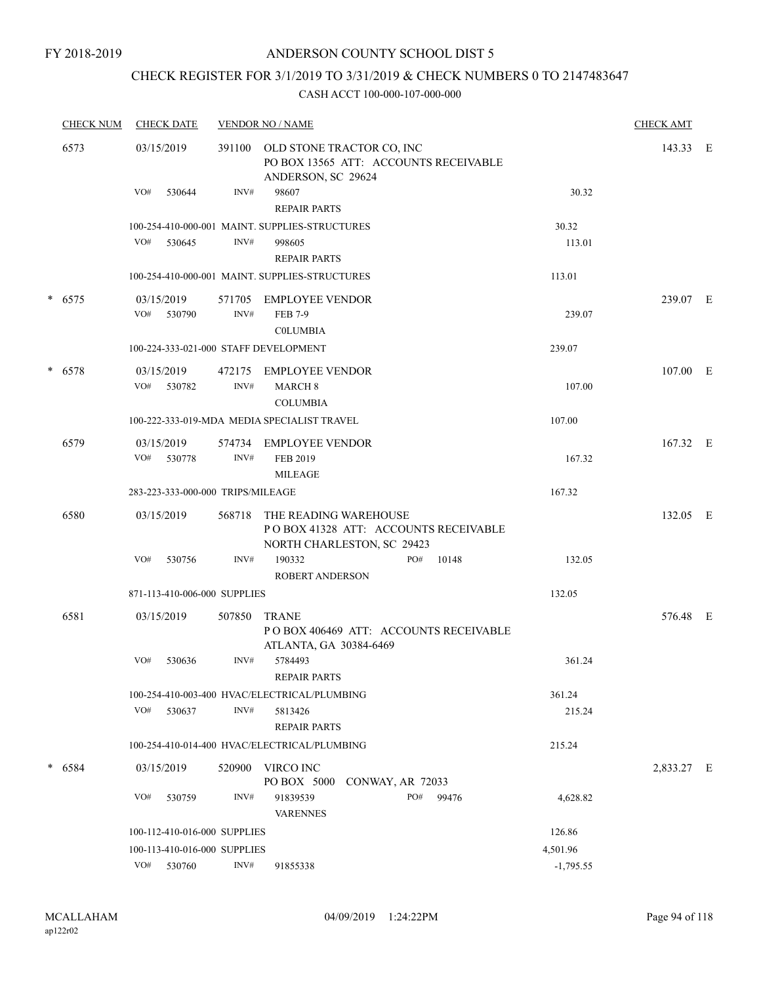## CHECK REGISTER FOR 3/1/2019 TO 3/31/2019 & CHECK NUMBERS 0 TO 2147483647

| <b>CHECK NUM</b> | <b>CHECK DATE</b>                     |        | <b>VENDOR NO / NAME</b>                                                                     |             | <b>CHECK AMT</b> |  |
|------------------|---------------------------------------|--------|---------------------------------------------------------------------------------------------|-------------|------------------|--|
| 6573             | 03/15/2019                            | 391100 | OLD STONE TRACTOR CO, INC<br>PO BOX 13565 ATT: ACCOUNTS RECEIVABLE<br>ANDERSON, SC 29624    |             | 143.33 E         |  |
|                  | VO#<br>530644                         | INV#   | 98607<br><b>REPAIR PARTS</b>                                                                | 30.32       |                  |  |
|                  |                                       |        | 100-254-410-000-001 MAINT. SUPPLIES-STRUCTURES                                              | 30.32       |                  |  |
|                  | VO#<br>530645                         | INV#   | 998605<br><b>REPAIR PARTS</b>                                                               | 113.01      |                  |  |
|                  |                                       |        | 100-254-410-000-001 MAINT. SUPPLIES-STRUCTURES                                              | 113.01      |                  |  |
| $*$ 6575         | 03/15/2019                            | 571705 | EMPLOYEE VENDOR                                                                             |             | 239.07 E         |  |
|                  | VO#<br>530790                         | INV#   | <b>FEB 7-9</b><br><b>COLUMBIA</b>                                                           | 239.07      |                  |  |
|                  | 100-224-333-021-000 STAFF DEVELOPMENT |        |                                                                                             | 239.07      |                  |  |
| $* 6578$         | 03/15/2019                            |        | 472175 EMPLOYEE VENDOR                                                                      |             | 107.00 E         |  |
|                  | VO# 530782                            | INV#   | <b>MARCH 8</b><br><b>COLUMBIA</b>                                                           | 107.00      |                  |  |
|                  |                                       |        | 100-222-333-019-MDA MEDIA SPECIALIST TRAVEL                                                 | 107.00      |                  |  |
| 6579             | 03/15/2019                            |        | 574734 EMPLOYEE VENDOR                                                                      |             | 167.32 E         |  |
|                  | VO# 530778                            | INV#   | FEB 2019<br><b>MILEAGE</b>                                                                  | 167.32      |                  |  |
|                  | 283-223-333-000-000 TRIPS/MILEAGE     |        |                                                                                             | 167.32      |                  |  |
| 6580             | 03/15/2019                            | 568718 | THE READING WAREHOUSE<br>POBOX 41328 ATT: ACCOUNTS RECEIVABLE<br>NORTH CHARLESTON, SC 29423 |             | 132.05 E         |  |
|                  | VO#<br>530756                         | INV#   | 190332<br>PO#<br>10148<br><b>ROBERT ANDERSON</b>                                            | 132.05      |                  |  |
|                  | 871-113-410-006-000 SUPPLIES          |        |                                                                                             | 132.05      |                  |  |
| 6581             | 03/15/2019                            | 507850 | <b>TRANE</b><br>POBOX 406469 ATT: ACCOUNTS RECEIVABLE<br>ATLANTA, GA 30384-6469             |             | 576.48 E         |  |
|                  | VO#<br>530636                         | INV#   | 5784493<br><b>REPAIR PARTS</b>                                                              | 361.24      |                  |  |
|                  |                                       |        | 100-254-410-003-400 HVAC/ELECTRICAL/PLUMBING                                                | 361.24      |                  |  |
|                  | VO#<br>530637                         | INV#   | 5813426<br><b>REPAIR PARTS</b>                                                              | 215.24      |                  |  |
|                  |                                       |        | 100-254-410-014-400 HVAC/ELECTRICAL/PLUMBING                                                | 215.24      |                  |  |
| $* 6584$         | 03/15/2019                            | 520900 | VIRCO INC<br>PO BOX 5000 CONWAY, AR 72033                                                   |             | 2,833.27 E       |  |
|                  | VO#<br>530759                         | INV#   | PO#<br>91839539<br>99476<br><b>VARENNES</b>                                                 | 4,628.82    |                  |  |
|                  | 100-112-410-016-000 SUPPLIES          |        |                                                                                             | 126.86      |                  |  |
|                  | 100-113-410-016-000 SUPPLIES          |        |                                                                                             | 4,501.96    |                  |  |
|                  | VO# 530760                            | INV#   | 91855338                                                                                    | $-1,795.55$ |                  |  |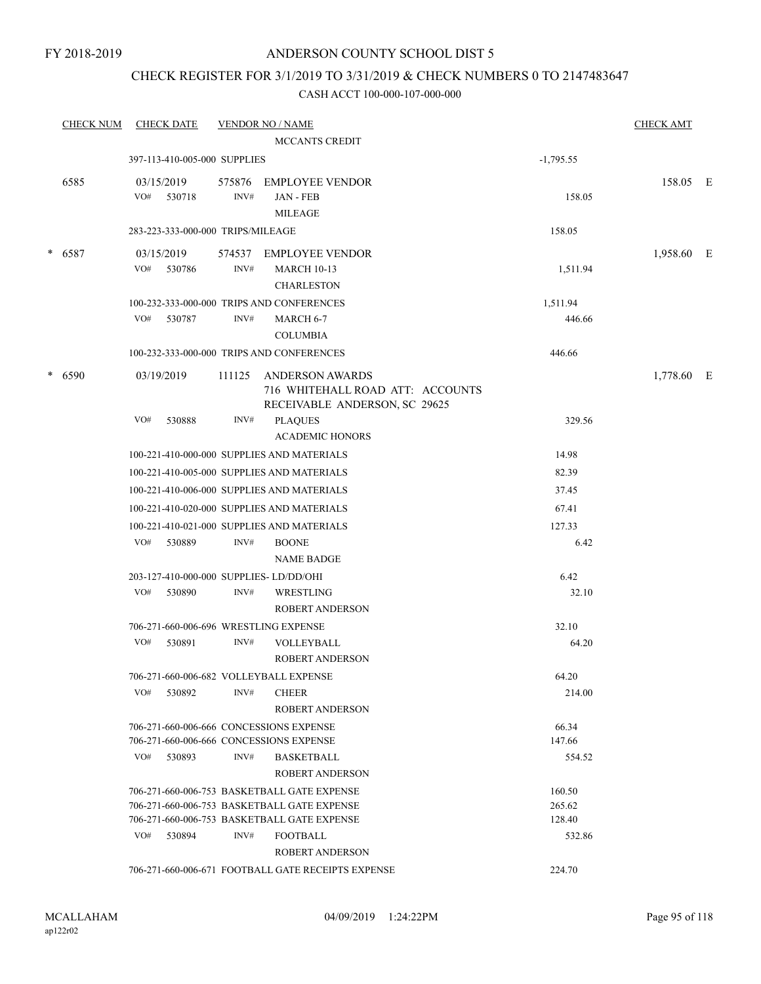### CHECK REGISTER FOR 3/1/2019 TO 3/31/2019 & CHECK NUMBERS 0 TO 2147483647

| <b>CHECK NUM</b> |     | <b>CHECK DATE</b>                 |                | <b>VENDOR NO / NAME</b>                                                                     |             | <b>CHECK AMT</b> |  |
|------------------|-----|-----------------------------------|----------------|---------------------------------------------------------------------------------------------|-------------|------------------|--|
|                  |     |                                   |                | <b>MCCANTS CREDIT</b>                                                                       |             |                  |  |
|                  |     | 397-113-410-005-000 SUPPLIES      |                |                                                                                             | $-1,795.55$ |                  |  |
| 6585             | VO# | 03/15/2019<br>530718              | 575876<br>INV# | <b>EMPLOYEE VENDOR</b><br><b>JAN - FEB</b><br><b>MILEAGE</b>                                | 158.05      | 158.05 E         |  |
|                  |     | 283-223-333-000-000 TRIPS/MILEAGE |                |                                                                                             | 158.05      |                  |  |
| $* 6587$         |     | 03/15/2019                        |                | 574537 EMPLOYEE VENDOR                                                                      |             | 1,958.60 E       |  |
|                  | VO# | 530786                            | INV#           | <b>MARCH 10-13</b><br><b>CHARLESTON</b>                                                     | 1,511.94    |                  |  |
|                  |     |                                   |                | 100-232-333-000-000 TRIPS AND CONFERENCES                                                   | 1,511.94    |                  |  |
|                  | VO# | 530787                            | INV#           | MARCH 6-7<br><b>COLUMBIA</b>                                                                | 446.66      |                  |  |
|                  |     |                                   |                | 100-232-333-000-000 TRIPS AND CONFERENCES                                                   | 446.66      |                  |  |
| * 6590           |     | 03/19/2019                        | 111125         | <b>ANDERSON AWARDS</b><br>716 WHITEHALL ROAD ATT: ACCOUNTS<br>RECEIVABLE ANDERSON, SC 29625 |             | 1,778.60 E       |  |
|                  | VO# | 530888                            | INV#           | <b>PLAQUES</b><br><b>ACADEMIC HONORS</b>                                                    | 329.56      |                  |  |
|                  |     |                                   |                | 100-221-410-000-000 SUPPLIES AND MATERIALS                                                  | 14.98       |                  |  |
|                  |     |                                   |                | 100-221-410-005-000 SUPPLIES AND MATERIALS                                                  | 82.39       |                  |  |
|                  |     |                                   |                | 100-221-410-006-000 SUPPLIES AND MATERIALS                                                  | 37.45       |                  |  |
|                  |     |                                   |                | 100-221-410-020-000 SUPPLIES AND MATERIALS                                                  | 67.41       |                  |  |
|                  |     |                                   |                | 100-221-410-021-000 SUPPLIES AND MATERIALS                                                  | 127.33      |                  |  |
|                  | VO# | 530889                            | INV#           | <b>BOONE</b><br><b>NAME BADGE</b>                                                           | 6.42        |                  |  |
|                  |     |                                   |                | 203-127-410-000-000 SUPPLIES-LD/DD/OHI                                                      | 6.42        |                  |  |
|                  | VO# | 530890                            | INV#           | WRESTLING<br>ROBERT ANDERSON                                                                | 32.10       |                  |  |
|                  |     |                                   |                | 706-271-660-006-696 WRESTLING EXPENSE                                                       | 32.10       |                  |  |
|                  | VO# | 530891                            | INV#           | VOLLEYBALL<br><b>ROBERT ANDERSON</b>                                                        | 64.20       |                  |  |
|                  |     |                                   |                | 706-271-660-006-682 VOLLEYBALL EXPENSE                                                      | 64.20       |                  |  |
|                  | VO# | 530892                            | INV#           | <b>CHEER</b><br><b>ROBERT ANDERSON</b>                                                      | 214.00      |                  |  |
|                  |     |                                   |                | 706-271-660-006-666 CONCESSIONS EXPENSE                                                     | 66.34       |                  |  |
|                  |     |                                   |                | 706-271-660-006-666 CONCESSIONS EXPENSE                                                     | 147.66      |                  |  |
|                  | VO# | 530893                            | INV#           | <b>BASKETBALL</b><br><b>ROBERT ANDERSON</b>                                                 | 554.52      |                  |  |
|                  |     |                                   |                | 706-271-660-006-753 BASKETBALL GATE EXPENSE                                                 | 160.50      |                  |  |
|                  |     |                                   |                | 706-271-660-006-753 BASKETBALL GATE EXPENSE                                                 | 265.62      |                  |  |
|                  |     |                                   |                | 706-271-660-006-753 BASKETBALL GATE EXPENSE                                                 | 128.40      |                  |  |
|                  | VO# | 530894                            | INV#           | <b>FOOTBALL</b><br><b>ROBERT ANDERSON</b>                                                   | 532.86      |                  |  |
|                  |     |                                   |                | 706-271-660-006-671 FOOTBALL GATE RECEIPTS EXPENSE                                          | 224.70      |                  |  |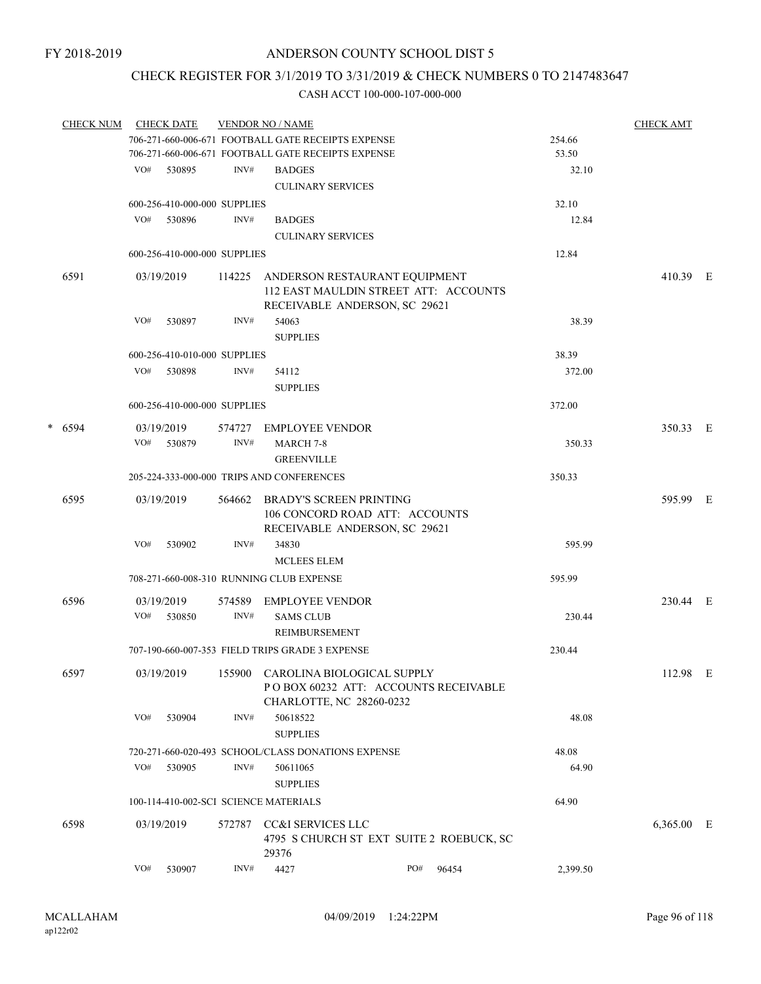### CHECK REGISTER FOR 3/1/2019 TO 3/31/2019 & CHECK NUMBERS 0 TO 2147483647

|  | <b>CHECK NUM</b> |     | <b>CHECK DATE</b>            |                                                    | <b>VENDOR NO / NAME</b>                            |                                                                 |                                          |          | <b>CHECK AMT</b> |  |
|--|------------------|-----|------------------------------|----------------------------------------------------|----------------------------------------------------|-----------------------------------------------------------------|------------------------------------------|----------|------------------|--|
|  |                  |     |                              | 706-271-660-006-671 FOOTBALL GATE RECEIPTS EXPENSE |                                                    |                                                                 | 254.66                                   |          |                  |  |
|  |                  |     |                              |                                                    | 706-271-660-006-671 FOOTBALL GATE RECEIPTS EXPENSE |                                                                 |                                          | 53.50    |                  |  |
|  |                  |     | VO# 530895                   | INV#                                               | <b>BADGES</b>                                      |                                                                 |                                          | 32.10    |                  |  |
|  |                  |     |                              |                                                    | <b>CULINARY SERVICES</b>                           |                                                                 |                                          |          |                  |  |
|  |                  |     | 600-256-410-000-000 SUPPLIES |                                                    |                                                    |                                                                 |                                          | 32.10    |                  |  |
|  |                  |     | VO# 530896                   | INV#                                               | <b>BADGES</b>                                      |                                                                 |                                          | 12.84    |                  |  |
|  |                  |     |                              |                                                    | <b>CULINARY SERVICES</b>                           |                                                                 |                                          |          |                  |  |
|  |                  |     | 600-256-410-000-000 SUPPLIES |                                                    |                                                    |                                                                 |                                          | 12.84    |                  |  |
|  |                  |     |                              |                                                    |                                                    |                                                                 |                                          |          |                  |  |
|  | 6591             |     | 03/19/2019                   |                                                    |                                                    | 114225 ANDERSON RESTAURANT EQUIPMENT                            | 112 EAST MAULDIN STREET ATT: ACCOUNTS    |          | 410.39 E         |  |
|  |                  |     |                              |                                                    |                                                    | RECEIVABLE ANDERSON, SC 29621                                   |                                          |          |                  |  |
|  |                  | VO# | 530897                       | INV#                                               | 54063                                              |                                                                 |                                          | 38.39    |                  |  |
|  |                  |     |                              |                                                    | <b>SUPPLIES</b>                                    |                                                                 |                                          |          |                  |  |
|  |                  |     | 600-256-410-010-000 SUPPLIES |                                                    |                                                    |                                                                 |                                          | 38.39    |                  |  |
|  |                  |     | VO# 530898                   | INV#                                               | 54112                                              |                                                                 |                                          | 372.00   |                  |  |
|  |                  |     |                              |                                                    | <b>SUPPLIES</b>                                    |                                                                 |                                          |          |                  |  |
|  |                  |     | 600-256-410-000-000 SUPPLIES |                                                    |                                                    |                                                                 |                                          | 372.00   |                  |  |
|  | $* 6594$         |     | 03/19/2019                   |                                                    | 574727 EMPLOYEE VENDOR                             |                                                                 |                                          |          | 350.33 E         |  |
|  |                  |     | VO# 530879                   | INV#                                               | <b>MARCH 7-8</b>                                   |                                                                 |                                          | 350.33   |                  |  |
|  |                  |     |                              |                                                    | <b>GREENVILLE</b>                                  |                                                                 |                                          |          |                  |  |
|  |                  |     |                              |                                                    | 205-224-333-000-000 TRIPS AND CONFERENCES          |                                                                 |                                          | 350.33   |                  |  |
|  |                  |     |                              |                                                    |                                                    |                                                                 |                                          |          |                  |  |
|  | 6595             |     | 03/19/2019                   |                                                    |                                                    | 564662 BRADY'S SCREEN PRINTING                                  |                                          |          | 595.99 E         |  |
|  |                  |     |                              |                                                    |                                                    | 106 CONCORD ROAD ATT: ACCOUNTS<br>RECEIVABLE ANDERSON, SC 29621 |                                          |          |                  |  |
|  |                  | VO# | 530902                       | INV#                                               | 34830                                              |                                                                 |                                          | 595.99   |                  |  |
|  |                  |     |                              |                                                    | <b>MCLEES ELEM</b>                                 |                                                                 |                                          |          |                  |  |
|  |                  |     |                              |                                                    |                                                    |                                                                 |                                          |          |                  |  |
|  |                  |     |                              |                                                    | 708-271-660-008-310 RUNNING CLUB EXPENSE           |                                                                 |                                          | 595.99   |                  |  |
|  | 6596             |     | 03/19/2019                   |                                                    | 574589 EMPLOYEE VENDOR                             |                                                                 |                                          |          | 230.44 E         |  |
|  |                  |     | VO# 530850                   | INV#                                               | <b>SAMS CLUB</b>                                   |                                                                 |                                          | 230.44   |                  |  |
|  |                  |     |                              |                                                    | REIMBURSEMENT                                      |                                                                 |                                          |          |                  |  |
|  |                  |     |                              |                                                    | 707-190-660-007-353 FIELD TRIPS GRADE 3 EXPENSE    |                                                                 |                                          | 230.44   |                  |  |
|  | 6597             |     |                              |                                                    |                                                    | 03/19/2019 155900 CAROLINA BIOLOGICAL SUPPLY                    |                                          |          | 112.98 E         |  |
|  |                  |     |                              |                                                    |                                                    |                                                                 | POBOX 60232 ATT: ACCOUNTS RECEIVABLE     |          |                  |  |
|  |                  |     |                              |                                                    |                                                    | CHARLOTTE, NC 28260-0232                                        |                                          |          |                  |  |
|  |                  | VO# | 530904                       | INV#                                               | 50618522                                           |                                                                 |                                          | 48.08    |                  |  |
|  |                  |     |                              |                                                    | <b>SUPPLIES</b>                                    |                                                                 |                                          |          |                  |  |
|  |                  |     |                              |                                                    | 720-271-660-020-493 SCHOOL/CLASS DONATIONS EXPENSE |                                                                 |                                          | 48.08    |                  |  |
|  |                  | VO# | 530905                       | INV#                                               | 50611065                                           |                                                                 |                                          | 64.90    |                  |  |
|  |                  |     |                              |                                                    | <b>SUPPLIES</b>                                    |                                                                 |                                          |          |                  |  |
|  |                  |     |                              |                                                    | 100-114-410-002-SCI SCIENCE MATERIALS              |                                                                 |                                          | 64.90    |                  |  |
|  | 6598             |     | 03/19/2019                   | 572787                                             | CC&I SERVICES LLC                                  |                                                                 |                                          |          | 6,365.00 E       |  |
|  |                  |     |                              |                                                    |                                                    |                                                                 | 4795 S CHURCH ST EXT SUITE 2 ROEBUCK, SC |          |                  |  |
|  |                  |     |                              |                                                    | 29376                                              |                                                                 |                                          |          |                  |  |
|  |                  | VO# | 530907                       | INV#                                               | 4427                                               | PO#                                                             | 96454                                    | 2,399.50 |                  |  |
|  |                  |     |                              |                                                    |                                                    |                                                                 |                                          |          |                  |  |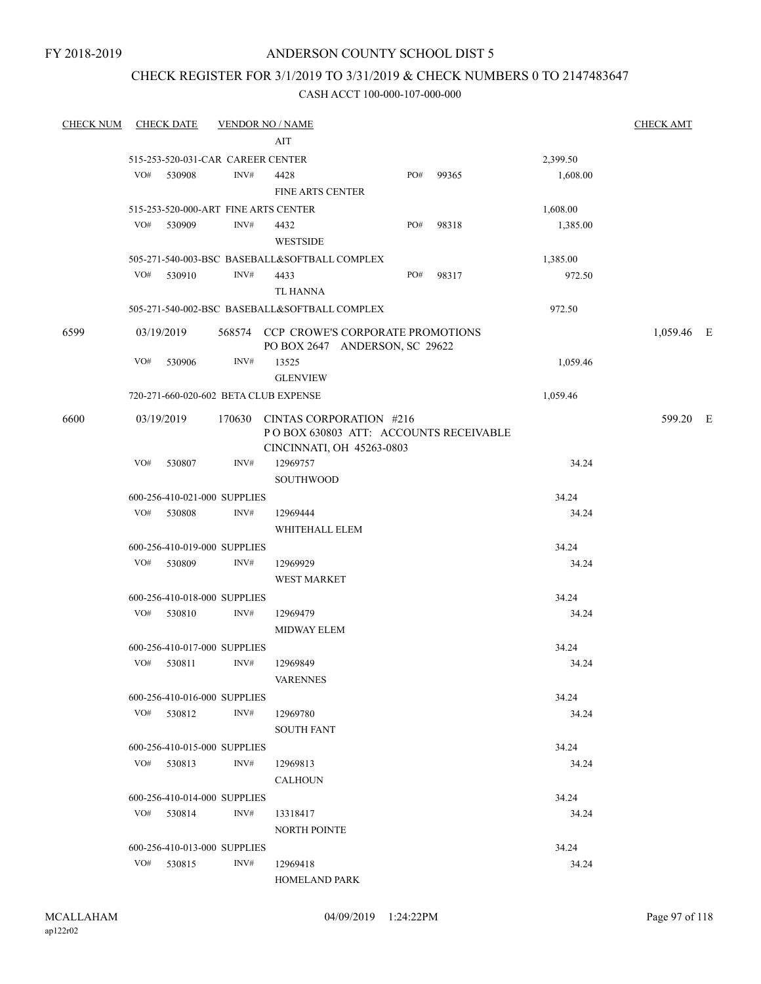### CHECK REGISTER FOR 3/1/2019 TO 3/31/2019 & CHECK NUMBERS 0 TO 2147483647

| <b>CHECK NUM</b> | <b>CHECK DATE</b>                     | <u>VENDOR NO / NAME</u> |                                               |                                         |                                       |          | <b>CHECK AMT</b> |  |
|------------------|---------------------------------------|-------------------------|-----------------------------------------------|-----------------------------------------|---------------------------------------|----------|------------------|--|
|                  |                                       |                         | AIT                                           |                                         |                                       |          |                  |  |
|                  | 515-253-520-031-CAR CAREER CENTER     |                         |                                               |                                         |                                       | 2,399.50 |                  |  |
|                  | VO#<br>530908                         | INV#                    | 4428                                          | PO#                                     | 99365                                 | 1,608.00 |                  |  |
|                  |                                       |                         | <b>FINE ARTS CENTER</b>                       |                                         |                                       |          |                  |  |
|                  | 515-253-520-000-ART FINE ARTS CENTER  |                         |                                               |                                         |                                       | 1,608.00 |                  |  |
|                  | VO#<br>530909                         | INV#                    | 4432                                          | PO#                                     | 98318                                 | 1,385.00 |                  |  |
|                  |                                       |                         | <b>WESTSIDE</b>                               |                                         |                                       |          |                  |  |
|                  |                                       |                         | 505-271-540-003-BSC BASEBALL&SOFTBALL COMPLEX |                                         |                                       | 1,385.00 |                  |  |
|                  | VO#<br>530910                         | INV#                    | 4433                                          | PO#                                     | 98317                                 | 972.50   |                  |  |
|                  |                                       |                         | TL HANNA                                      |                                         |                                       |          |                  |  |
|                  |                                       |                         | 505-271-540-002-BSC BASEBALL&SOFTBALL COMPLEX |                                         |                                       | 972.50   |                  |  |
| 6599             | 03/19/2019                            |                         |                                               | 568574 CCP CROWE'S CORPORATE PROMOTIONS |                                       |          | 1,059.46 E       |  |
|                  |                                       |                         |                                               | PO BOX 2647 ANDERSON, SC 29622          |                                       |          |                  |  |
|                  | VO#<br>530906                         | INV#                    | 13525                                         |                                         |                                       | 1,059.46 |                  |  |
|                  |                                       |                         | <b>GLENVIEW</b>                               |                                         |                                       |          |                  |  |
|                  | 720-271-660-020-602 BETA CLUB EXPENSE |                         |                                               |                                         |                                       | 1,059.46 |                  |  |
| 6600             | 03/19/2019                            | 170630                  | CINTAS CORPORATION #216                       |                                         |                                       |          | 599.20 E         |  |
|                  |                                       |                         |                                               |                                         | POBOX 630803 ATT: ACCOUNTS RECEIVABLE |          |                  |  |
|                  |                                       |                         | CINCINNATI, OH 45263-0803                     |                                         |                                       |          |                  |  |
|                  | VO#<br>530807                         | INV#                    | 12969757                                      |                                         |                                       | 34.24    |                  |  |
|                  |                                       |                         | SOUTHWOOD                                     |                                         |                                       |          |                  |  |
|                  | 600-256-410-021-000 SUPPLIES          |                         |                                               |                                         |                                       | 34.24    |                  |  |
|                  | VO#<br>530808                         | INV#                    | 12969444                                      |                                         |                                       | 34.24    |                  |  |
|                  |                                       |                         | WHITEHALL ELEM                                |                                         |                                       |          |                  |  |
|                  | 600-256-410-019-000 SUPPLIES          |                         |                                               |                                         |                                       | 34.24    |                  |  |
|                  | VO#<br>530809                         | INV#                    | 12969929                                      |                                         |                                       | 34.24    |                  |  |
|                  |                                       |                         | <b>WEST MARKET</b>                            |                                         |                                       |          |                  |  |
|                  | 600-256-410-018-000 SUPPLIES          |                         |                                               |                                         |                                       | 34.24    |                  |  |
|                  | VO# 530810                            | INV#                    | 12969479                                      |                                         |                                       | 34.24    |                  |  |
|                  |                                       |                         | <b>MIDWAY ELEM</b>                            |                                         |                                       |          |                  |  |
|                  | 600-256-410-017-000 SUPPLIES          |                         |                                               |                                         |                                       | 34.24    |                  |  |
|                  | VO#<br>530811                         | INV#                    | 12969849                                      |                                         |                                       | 34.24    |                  |  |
|                  |                                       |                         | <b>VARENNES</b>                               |                                         |                                       |          |                  |  |
|                  | 600-256-410-016-000 SUPPLIES          |                         |                                               |                                         |                                       | 34.24    |                  |  |
|                  | VO# 530812                            | INV#                    | 12969780                                      |                                         |                                       | 34.24    |                  |  |
|                  |                                       |                         | <b>SOUTH FANT</b>                             |                                         |                                       |          |                  |  |
|                  | 600-256-410-015-000 SUPPLIES          |                         |                                               |                                         |                                       | 34.24    |                  |  |
|                  | VO#<br>530813                         | INV#                    | 12969813                                      |                                         |                                       | 34.24    |                  |  |
|                  |                                       |                         | <b>CALHOUN</b>                                |                                         |                                       |          |                  |  |
|                  | 600-256-410-014-000 SUPPLIES          |                         |                                               |                                         |                                       | 34.24    |                  |  |
|                  | $VO#$ 530814                          | INV#                    | 13318417                                      |                                         |                                       | 34.24    |                  |  |
|                  |                                       |                         | <b>NORTH POINTE</b>                           |                                         |                                       |          |                  |  |
|                  | 600-256-410-013-000 SUPPLIES          |                         |                                               |                                         |                                       | 34.24    |                  |  |
|                  | VO#<br>530815                         | INV#                    | 12969418                                      |                                         |                                       | 34.24    |                  |  |
|                  |                                       |                         | <b>HOMELAND PARK</b>                          |                                         |                                       |          |                  |  |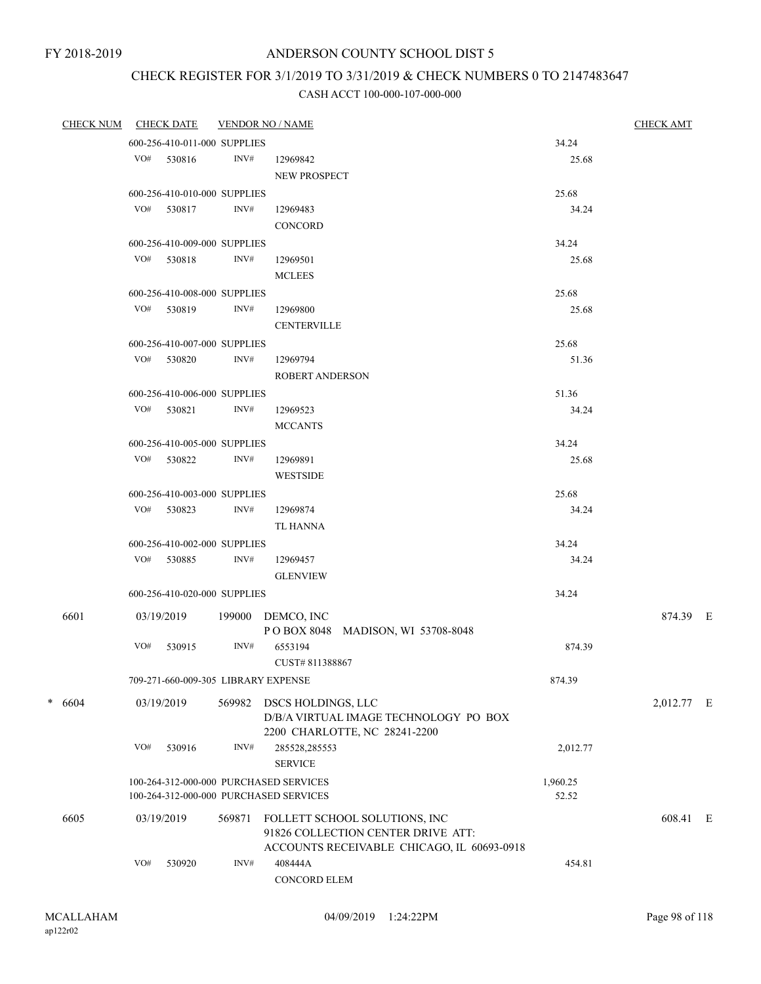# CHECK REGISTER FOR 3/1/2019 TO 3/31/2019 & CHECK NUMBERS 0 TO 2147483647

|  | CHECK NUM |     | <b>CHECK DATE</b>                   |                    | <b>VENDOR NO / NAME</b>                    |          | <b>CHECK AMT</b> |  |
|--|-----------|-----|-------------------------------------|--------------------|--------------------------------------------|----------|------------------|--|
|  |           |     | 600-256-410-011-000 SUPPLIES        |                    |                                            | 34.24    |                  |  |
|  |           |     | VO# 530816                          | INV#               | 12969842                                   | 25.68    |                  |  |
|  |           |     |                                     |                    | NEW PROSPECT                               |          |                  |  |
|  |           |     | 600-256-410-010-000 SUPPLIES        |                    |                                            | 25.68    |                  |  |
|  |           |     | VO# 530817                          | INV#               | 12969483                                   | 34.24    |                  |  |
|  |           |     |                                     |                    | CONCORD                                    |          |                  |  |
|  |           |     | 600-256-410-009-000 SUPPLIES        |                    |                                            | 34.24    |                  |  |
|  |           |     | VO# 530818                          | INV#               | 12969501                                   | 25.68    |                  |  |
|  |           |     |                                     |                    | <b>MCLEES</b>                              |          |                  |  |
|  |           |     | 600-256-410-008-000 SUPPLIES        |                    |                                            | 25.68    |                  |  |
|  |           |     | VO# 530819                          | INV#               | 12969800                                   | 25.68    |                  |  |
|  |           |     |                                     | <b>CENTERVILLE</b> |                                            |          |                  |  |
|  |           |     | 600-256-410-007-000 SUPPLIES        |                    |                                            | 25.68    |                  |  |
|  |           |     | $VO#$ 530820                        | INV#               | 12969794                                   | 51.36    |                  |  |
|  |           |     |                                     |                    | ROBERT ANDERSON                            |          |                  |  |
|  |           |     | 600-256-410-006-000 SUPPLIES        |                    |                                            | 51.36    |                  |  |
|  |           |     | VO# 530821                          | INV#               | 12969523                                   | 34.24    |                  |  |
|  |           |     |                                     |                    | <b>MCCANTS</b>                             |          |                  |  |
|  |           |     | 600-256-410-005-000 SUPPLIES        |                    |                                            | 34.24    |                  |  |
|  |           |     | VO# 530822                          | INV#               | 12969891                                   | 25.68    |                  |  |
|  |           |     |                                     |                    | <b>WESTSIDE</b>                            |          |                  |  |
|  |           |     | 600-256-410-003-000 SUPPLIES        |                    |                                            | 25.68    |                  |  |
|  |           |     | VO# 530823                          | INV#               | 12969874                                   | 34.24    |                  |  |
|  |           |     |                                     |                    | TL HANNA                                   |          |                  |  |
|  |           |     | 600-256-410-002-000 SUPPLIES        |                    |                                            | 34.24    |                  |  |
|  |           |     | VO# 530885                          | INV#               | 12969457                                   | 34.24    |                  |  |
|  |           |     |                                     |                    | <b>GLENVIEW</b>                            |          |                  |  |
|  |           |     | 600-256-410-020-000 SUPPLIES        |                    |                                            | 34.24    |                  |  |
|  | 6601      |     | 03/19/2019                          |                    | 199000 DEMCO, INC                          |          | 874.39 E         |  |
|  |           |     |                                     |                    | POBOX 8048 MADISON, WI 53708-8048          |          |                  |  |
|  |           | VO# | 530915                              | INV#               | 6553194                                    | 874.39   |                  |  |
|  |           |     |                                     |                    | CUST#811388867                             |          |                  |  |
|  |           |     | 709-271-660-009-305 LIBRARY EXPENSE |                    |                                            | 874.39   |                  |  |
|  | $* 6604$  |     | 03/19/2019                          | 569982             | DSCS HOLDINGS, LLC                         |          | 2,012.77 E       |  |
|  |           |     |                                     |                    | D/B/A VIRTUAL IMAGE TECHNOLOGY PO BOX      |          |                  |  |
|  |           |     |                                     |                    | 2200 CHARLOTTE, NC 28241-2200              |          |                  |  |
|  |           | VO# | 530916                              | INV#               | 285528,285553                              | 2,012.77 |                  |  |
|  |           |     |                                     |                    | <b>SERVICE</b>                             |          |                  |  |
|  |           |     |                                     |                    | 100-264-312-000-000 PURCHASED SERVICES     | 1,960.25 |                  |  |
|  |           |     |                                     |                    | 100-264-312-000-000 PURCHASED SERVICES     | 52.52    |                  |  |
|  | 6605      |     | 03/19/2019                          | 569871             | FOLLETT SCHOOL SOLUTIONS, INC              |          | 608.41 E         |  |
|  |           |     |                                     |                    | 91826 COLLECTION CENTER DRIVE ATT:         |          |                  |  |
|  |           |     |                                     |                    | ACCOUNTS RECEIVABLE CHICAGO, IL 60693-0918 |          |                  |  |
|  |           | VO# | 530920                              | INV#               | 408444A                                    | 454.81   |                  |  |
|  |           |     |                                     |                    | <b>CONCORD ELEM</b>                        |          |                  |  |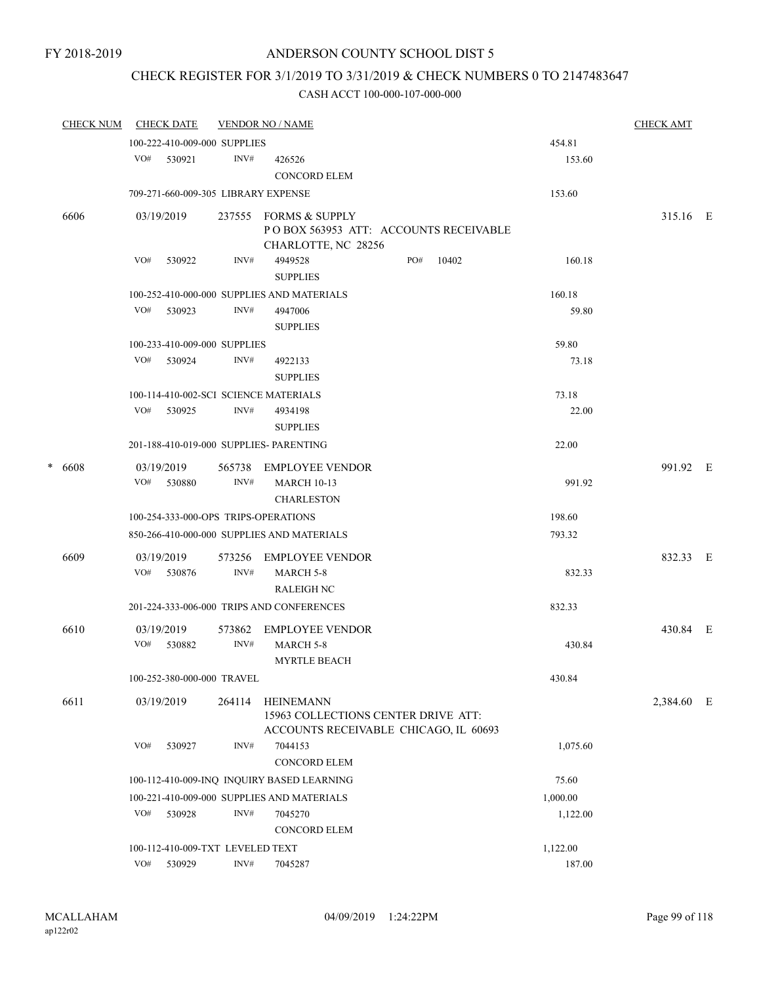# CHECK REGISTER FOR 3/1/2019 TO 3/31/2019 & CHECK NUMBERS 0 TO 2147483647

|        | <b>CHECK NUM</b> |                                                      | <b>CHECK DATE</b>                   |                     | <b>VENDOR NO / NAME</b>                                                      |     |  |       |          | <b>CHECK AMT</b> |  |
|--------|------------------|------------------------------------------------------|-------------------------------------|---------------------|------------------------------------------------------------------------------|-----|--|-------|----------|------------------|--|
|        |                  |                                                      | 100-222-410-009-000 SUPPLIES        |                     |                                                                              |     |  |       | 454.81   |                  |  |
|        |                  | VO#                                                  | 530921                              | INV#                | 426526<br><b>CONCORD ELEM</b>                                                |     |  |       | 153.60   |                  |  |
|        |                  |                                                      | 709-271-660-009-305 LIBRARY EXPENSE |                     |                                                                              |     |  |       | 153.60   |                  |  |
|        | 6606             |                                                      | 03/19/2019                          |                     | 237555 FORMS & SUPPLY                                                        |     |  |       |          | 315.16 E         |  |
|        |                  |                                                      |                                     |                     | POBOX 563953 ATT: ACCOUNTS RECEIVABLE<br>CHARLOTTE, NC 28256                 |     |  |       |          |                  |  |
|        |                  | VO#                                                  | 530922                              | INV#                | 4949528<br><b>SUPPLIES</b>                                                   | PO# |  | 10402 | 160.18   |                  |  |
|        |                  | 100-252-410-000-000 SUPPLIES AND MATERIALS<br>160.18 |                                     |                     |                                                                              |     |  |       |          |                  |  |
|        |                  | VO#                                                  | 530923                              | INV#                | 4947006                                                                      |     |  |       | 59.80    |                  |  |
|        |                  |                                                      |                                     |                     | <b>SUPPLIES</b>                                                              |     |  |       |          |                  |  |
|        |                  |                                                      | 100-233-410-009-000 SUPPLIES        |                     |                                                                              |     |  |       | 59.80    |                  |  |
|        |                  | VO#                                                  | 530924                              | INV#                | 4922133<br><b>SUPPLIES</b>                                                   |     |  |       | 73.18    |                  |  |
|        |                  |                                                      |                                     |                     | 100-114-410-002-SCI SCIENCE MATERIALS                                        |     |  |       | 73.18    |                  |  |
|        |                  | VO#                                                  | 530925                              | INV#                | 4934198                                                                      |     |  |       | 22.00    |                  |  |
|        |                  |                                                      |                                     |                     | <b>SUPPLIES</b>                                                              |     |  |       |          |                  |  |
|        |                  |                                                      |                                     |                     | 201-188-410-019-000 SUPPLIES- PARENTING                                      |     |  |       | 22.00    |                  |  |
| $\ast$ | 6608             |                                                      | 03/19/2019                          | 565738              | EMPLOYEE VENDOR                                                              |     |  |       |          | 991.92 E         |  |
|        |                  | VO#                                                  | 530880                              | INV#                | <b>MARCH 10-13</b>                                                           |     |  |       | 991.92   |                  |  |
|        |                  |                                                      |                                     |                     | <b>CHARLESTON</b><br>100-254-333-000-OPS TRIPS-OPERATIONS                    |     |  |       | 198.60   |                  |  |
|        |                  |                                                      |                                     |                     |                                                                              |     |  |       |          |                  |  |
|        |                  |                                                      |                                     |                     | 850-266-410-000-000 SUPPLIES AND MATERIALS                                   |     |  |       | 793.32   |                  |  |
|        | 6609             |                                                      | 03/19/2019                          | 573256              | <b>EMPLOYEE VENDOR</b>                                                       |     |  |       |          | 832.33 E         |  |
|        |                  | VO#                                                  | 530876                              | INV#                | MARCH 5-8<br><b>RALEIGH NC</b>                                               |     |  |       | 832.33   |                  |  |
|        |                  |                                                      |                                     |                     | 201-224-333-006-000 TRIPS AND CONFERENCES                                    |     |  |       | 832.33   |                  |  |
|        | 6610             |                                                      | 03/19/2019                          | 573862              | EMPLOYEE VENDOR                                                              |     |  |       |          | 430.84 E         |  |
|        |                  | VO#                                                  | 530882                              | INV#                | <b>MARCH 5-8</b>                                                             |     |  |       | 430.84   |                  |  |
|        |                  |                                                      |                                     |                     | <b>MYRTLE BEACH</b>                                                          |     |  |       |          |                  |  |
|        |                  |                                                      | 100-252-380-000-000 TRAVEL          |                     |                                                                              |     |  |       | 430.84   |                  |  |
|        | 6611             |                                                      | 03/19/2019                          | 264114              | <b>HEINEMANN</b>                                                             |     |  |       |          | 2,384.60 E       |  |
|        |                  |                                                      |                                     |                     | 15963 COLLECTIONS CENTER DRIVE ATT:<br>ACCOUNTS RECEIVABLE CHICAGO, IL 60693 |     |  |       |          |                  |  |
|        |                  | VO#                                                  | 530927                              | INV#                | 7044153                                                                      |     |  |       | 1,075.60 |                  |  |
|        |                  |                                                      |                                     |                     | <b>CONCORD ELEM</b>                                                          |     |  |       |          |                  |  |
|        |                  |                                                      |                                     |                     | 100-112-410-009-INQ INQUIRY BASED LEARNING                                   |     |  |       | 75.60    |                  |  |
|        |                  |                                                      |                                     |                     | 100-221-410-009-000 SUPPLIES AND MATERIALS                                   |     |  |       | 1,000.00 |                  |  |
|        |                  | VO#                                                  | 530928                              | INV#                | 7045270                                                                      |     |  |       | 1,122.00 |                  |  |
|        |                  |                                                      |                                     | <b>CONCORD ELEM</b> |                                                                              |     |  |       |          |                  |  |
|        |                  |                                                      | 100-112-410-009-TXT LEVELED TEXT    |                     |                                                                              |     |  |       | 1,122.00 |                  |  |
|        |                  | VO#                                                  | 530929                              | INV#                | 7045287                                                                      |     |  |       | 187.00   |                  |  |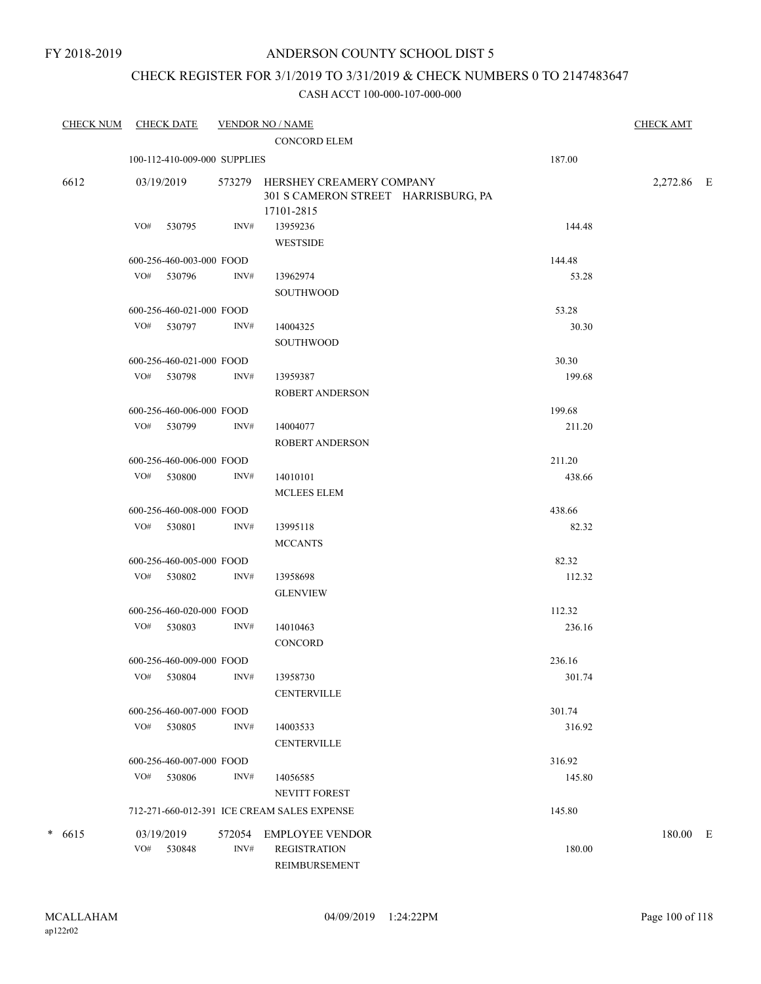### CHECK REGISTER FOR 3/1/2019 TO 3/31/2019 & CHECK NUMBERS 0 TO 2147483647

| <b>CHECK NUM</b> | <b>CHECK DATE</b>            |      | <b>VENDOR NO / NAME</b>                                                              |        | <b>CHECK AMT</b> |  |
|------------------|------------------------------|------|--------------------------------------------------------------------------------------|--------|------------------|--|
|                  |                              |      | <b>CONCORD ELEM</b>                                                                  |        |                  |  |
|                  | 100-112-410-009-000 SUPPLIES |      |                                                                                      | 187.00 |                  |  |
| 6612             | 03/19/2019                   |      | 573279 HERSHEY CREAMERY COMPANY<br>301 S CAMERON STREET HARRISBURG, PA<br>17101-2815 |        | 2,272.86 E       |  |
|                  | VO# 530795                   | INV# | 13959236<br><b>WESTSIDE</b>                                                          | 144.48 |                  |  |
|                  | 600-256-460-003-000 FOOD     |      |                                                                                      | 144.48 |                  |  |
|                  | VO# 530796                   | INV# | 13962974<br><b>SOUTHWOOD</b>                                                         | 53.28  |                  |  |
|                  | 600-256-460-021-000 FOOD     |      |                                                                                      | 53.28  |                  |  |
|                  | VO# 530797                   | INV# | 14004325<br><b>SOUTHWOOD</b>                                                         | 30.30  |                  |  |
|                  | 600-256-460-021-000 FOOD     |      |                                                                                      | 30.30  |                  |  |
|                  | VO# 530798                   | INV# | 13959387<br><b>ROBERT ANDERSON</b>                                                   | 199.68 |                  |  |
|                  | 600-256-460-006-000 FOOD     |      |                                                                                      | 199.68 |                  |  |
|                  | VO# 530799                   | INV# | 14004077<br><b>ROBERT ANDERSON</b>                                                   | 211.20 |                  |  |
|                  | 600-256-460-006-000 FOOD     |      |                                                                                      | 211.20 |                  |  |
|                  | VO# 530800                   | INV# | 14010101<br><b>MCLEES ELEM</b>                                                       | 438.66 |                  |  |
|                  | 600-256-460-008-000 FOOD     |      |                                                                                      | 438.66 |                  |  |
|                  | VO# 530801                   | INV# | 13995118<br><b>MCCANTS</b>                                                           | 82.32  |                  |  |
|                  | 600-256-460-005-000 FOOD     |      |                                                                                      | 82.32  |                  |  |
|                  | VO# 530802                   | INV# | 13958698<br><b>GLENVIEW</b>                                                          | 112.32 |                  |  |
|                  | 600-256-460-020-000 FOOD     |      |                                                                                      | 112.32 |                  |  |
|                  | VO# 530803                   | INV# | 14010463<br><b>CONCORD</b>                                                           | 236.16 |                  |  |
|                  | 600-256-460-009-000 FOOD     |      |                                                                                      | 236.16 |                  |  |
|                  | VO# 530804 INV#              |      | 13958730<br><b>CENTERVILLE</b>                                                       | 301.74 |                  |  |
|                  | 600-256-460-007-000 FOOD     |      |                                                                                      | 301.74 |                  |  |
|                  | VO# 530805                   | INV# | 14003533<br><b>CENTERVILLE</b>                                                       | 316.92 |                  |  |
|                  | 600-256-460-007-000 FOOD     |      |                                                                                      | 316.92 |                  |  |
|                  | VO# 530806                   | INV# | 14056585<br>NEVITT FOREST                                                            | 145.80 |                  |  |
|                  |                              |      | 712-271-660-012-391 ICE CREAM SALES EXPENSE                                          | 145.80 |                  |  |
| $* 6615$         | 03/19/2019<br>VO# 530848     | INV# | 572054 EMPLOYEE VENDOR<br><b>REGISTRATION</b>                                        | 180.00 | 180.00 E         |  |
|                  |                              |      | REIMBURSEMENT                                                                        |        |                  |  |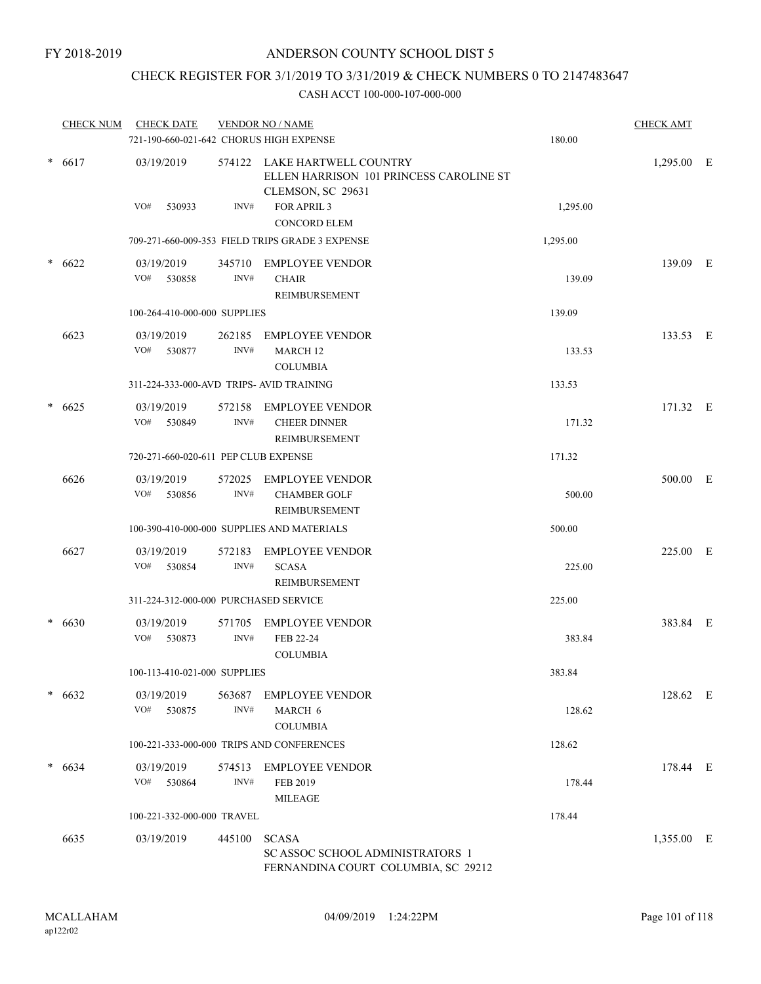# CHECK REGISTER FOR 3/1/2019 TO 3/31/2019 & CHECK NUMBERS 0 TO 2147483647

|        | <b>CHECK NUM</b> | <b>CHECK DATE</b><br>721-190-660-021-642 CHORUS HIGH EXPENSE |                | <b>VENDOR NO / NAME</b>                                                                        | 180.00   | <b>CHECK AMT</b> |  |
|--------|------------------|--------------------------------------------------------------|----------------|------------------------------------------------------------------------------------------------|----------|------------------|--|
|        | $* 6617$         | 03/19/2019                                                   |                | 574122 LAKE HARTWELL COUNTRY<br>ELLEN HARRISON 101 PRINCESS CAROLINE ST<br>CLEMSON, SC 29631   |          | 1,295.00 E       |  |
|        |                  | VO#<br>530933                                                | INV#           | FOR APRIL 3<br><b>CONCORD ELEM</b>                                                             | 1,295.00 |                  |  |
|        |                  |                                                              |                | 709-271-660-009-353 FIELD TRIPS GRADE 3 EXPENSE                                                | 1,295.00 |                  |  |
| $\ast$ | 6622             | 03/19/2019<br>VO#<br>530858                                  | INV#           | 345710 EMPLOYEE VENDOR<br><b>CHAIR</b><br>REIMBURSEMENT                                        | 139.09   | 139.09 E         |  |
|        |                  | 100-264-410-000-000 SUPPLIES                                 |                |                                                                                                | 139.09   |                  |  |
|        | 6623             | 03/19/2019<br>VO#<br>530877                                  | 262185<br>INV# | <b>EMPLOYEE VENDOR</b><br>MARCH <sub>12</sub><br><b>COLUMBIA</b>                               | 133.53   | 133.53 E         |  |
|        |                  | 311-224-333-000-AVD TRIPS- AVID TRAINING                     |                |                                                                                                | 133.53   |                  |  |
| $\ast$ | 6625             | 03/19/2019<br>VO# 530849                                     | 572158<br>INV# | <b>EMPLOYEE VENDOR</b><br><b>CHEER DINNER</b><br><b>REIMBURSEMENT</b>                          | 171.32   | 171.32 E         |  |
|        |                  | 720-271-660-020-611 PEP CLUB EXPENSE                         |                |                                                                                                | 171.32   |                  |  |
|        | 6626             | 03/19/2019<br>VO#<br>530856                                  | 572025<br>INV# | <b>EMPLOYEE VENDOR</b><br><b>CHAMBER GOLF</b><br>REIMBURSEMENT                                 | 500.00   | 500.00 E         |  |
|        |                  |                                                              |                | 100-390-410-000-000 SUPPLIES AND MATERIALS                                                     | 500.00   |                  |  |
|        | 6627             | 03/19/2019<br>VO#<br>530854                                  | 572183<br>INV# | <b>EMPLOYEE VENDOR</b><br><b>SCASA</b><br>REIMBURSEMENT                                        | 225.00   | 225.00 E         |  |
|        |                  | 311-224-312-000-000 PURCHASED SERVICE                        |                |                                                                                                | 225.00   |                  |  |
|        | $* 6630$         | 03/19/2019<br>VO#<br>530873                                  | 571705<br>INV# | <b>EMPLOYEE VENDOR</b><br>FEB 22-24<br><b>COLUMBIA</b>                                         | 383.84   | 383.84 E         |  |
|        |                  | 100-113-410-021-000 SUPPLIES                                 |                |                                                                                                | 383.84   |                  |  |
|        | $* 6632$         | 03/19/2019<br>VO#<br>530875                                  | 563687<br>INV# | <b>EMPLOYEE VENDOR</b><br>MARCH 6<br><b>COLUMBIA</b>                                           | 128.62   | 128.62 E         |  |
|        |                  |                                                              |                | 100-221-333-000-000 TRIPS AND CONFERENCES                                                      | 128.62   |                  |  |
|        | $* 6634$         | 03/19/2019<br>VO#<br>530864                                  | 574513<br>INV# | <b>EMPLOYEE VENDOR</b><br>FEB 2019<br><b>MILEAGE</b>                                           | 178.44   | 178.44 E         |  |
|        |                  | 100-221-332-000-000 TRAVEL                                   |                |                                                                                                | 178.44   |                  |  |
|        | 6635             | 03/19/2019                                                   | 445100         | <b>SCASA</b><br><b>SC ASSOC SCHOOL ADMINISTRATORS 1</b><br>FERNANDINA COURT COLUMBIA, SC 29212 |          | 1,355.00 E       |  |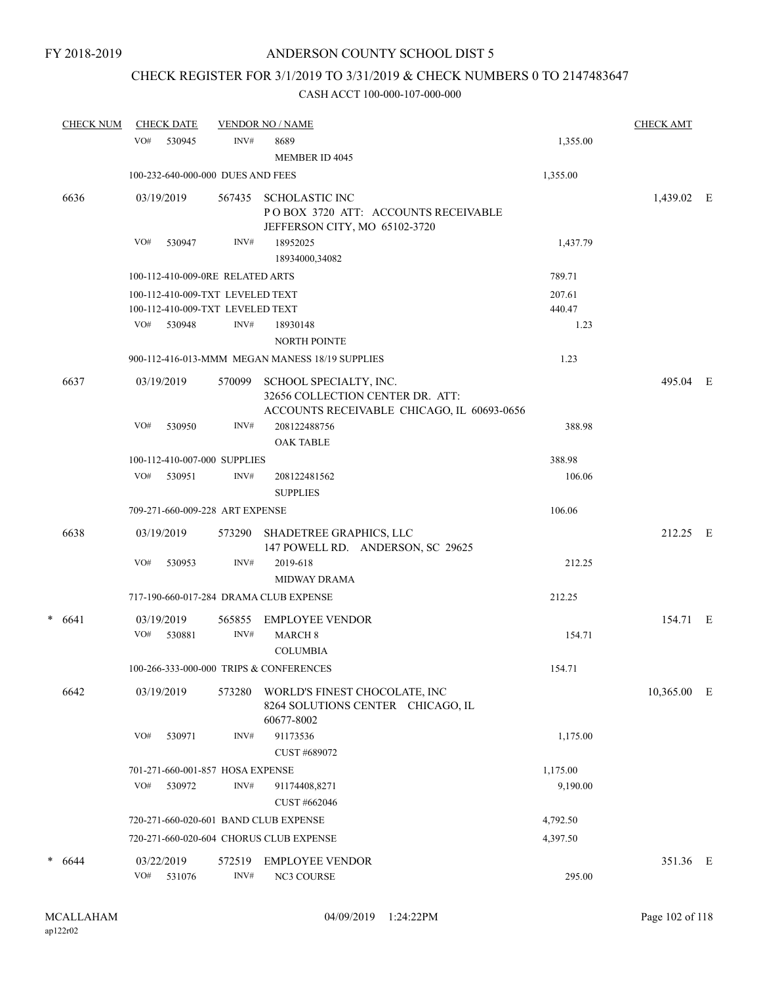# CHECK REGISTER FOR 3/1/2019 TO 3/31/2019 & CHECK NUMBERS 0 TO 2147483647

|   | <b>CHECK NUM</b> |            | <b>CHECK DATE</b> |                                                                      | <b>VENDOR NO / NAME</b>                                                                                  |                  | <b>CHECK AMT</b> |  |
|---|------------------|------------|-------------------|----------------------------------------------------------------------|----------------------------------------------------------------------------------------------------------|------------------|------------------|--|
|   |                  | VO#        | 530945            | INV#                                                                 | 8689<br>MEMBER ID 4045                                                                                   | 1,355.00         |                  |  |
|   |                  |            |                   | 100-232-640-000-000 DUES AND FEES                                    |                                                                                                          | 1,355.00         |                  |  |
|   | 6636             |            | 03/19/2019        |                                                                      | 567435 SCHOLASTIC INC<br>POBOX 3720 ATT: ACCOUNTS RECEIVABLE<br>JEFFERSON CITY, MO 65102-3720            |                  | 1,439.02 E       |  |
|   |                  | VO#        | 530947            | INV#                                                                 | 18952025<br>18934000,34082                                                                               | 1,437.79         |                  |  |
|   |                  |            |                   | 100-112-410-009-0RE RELATED ARTS                                     |                                                                                                          | 789.71           |                  |  |
|   |                  |            |                   | 100-112-410-009-TXT LEVELED TEXT<br>100-112-410-009-TXT LEVELED TEXT |                                                                                                          | 207.61<br>440.47 |                  |  |
|   |                  |            | VO# 530948        | INV#                                                                 | 18930148                                                                                                 | 1.23             |                  |  |
|   |                  |            |                   |                                                                      | <b>NORTH POINTE</b>                                                                                      |                  |                  |  |
|   |                  |            |                   |                                                                      | 900-112-416-013-MMM MEGAN MANESS 18/19 SUPPLIES                                                          | 1.23             |                  |  |
|   | 6637             |            | 03/19/2019        | 570099                                                               | SCHOOL SPECIALTY, INC.<br>32656 COLLECTION CENTER DR. ATT:<br>ACCOUNTS RECEIVABLE CHICAGO, IL 60693-0656 |                  | 495.04 E         |  |
|   |                  | VO#        | 530950            | INV#                                                                 | 208122488756<br><b>OAK TABLE</b>                                                                         | 388.98           |                  |  |
|   |                  |            |                   | 100-112-410-007-000 SUPPLIES                                         |                                                                                                          | 388.98           |                  |  |
|   |                  | VO#        | 530951            | INV#                                                                 | 208122481562<br><b>SUPPLIES</b>                                                                          | 106.06           |                  |  |
|   |                  |            |                   | 709-271-660-009-228 ART EXPENSE                                      |                                                                                                          | 106.06           |                  |  |
|   | 6638             |            | 03/19/2019        | 573290                                                               | SHADETREE GRAPHICS, LLC<br>147 POWELL RD. ANDERSON, SC 29625                                             |                  | 212.25 E         |  |
|   |                  | VO#        | 530953            | INV#                                                                 | 2019-618<br><b>MIDWAY DRAMA</b>                                                                          | 212.25           |                  |  |
|   |                  |            |                   |                                                                      | 717-190-660-017-284 DRAMA CLUB EXPENSE                                                                   | 212.25           |                  |  |
|   | $* 6641$         |            | 03/19/2019        | 565855                                                               | EMPLOYEE VENDOR                                                                                          |                  | 154.71 E         |  |
|   |                  | VO#        | 530881            | INV#                                                                 | <b>MARCH 8</b><br><b>COLUMBIA</b>                                                                        | 154.71           |                  |  |
|   |                  |            |                   |                                                                      | 100-266-333-000-000 TRIPS & CONFERENCES                                                                  | 154.71           |                  |  |
|   | 6642             |            | 03/19/2019        | 573280                                                               | WORLD'S FINEST CHOCOLATE, INC<br>8264 SOLUTIONS CENTER CHICAGO, IL<br>60677-8002                         |                  | 10,365.00 E      |  |
|   |                  | VO#        | 530971            | INV#                                                                 | 91173536<br>CUST #689072                                                                                 | 1,175.00         |                  |  |
|   |                  |            |                   | 701-271-660-001-857 HOSA EXPENSE                                     |                                                                                                          | 1,175.00         |                  |  |
|   |                  | VO#        | 530972            | INV#                                                                 | 91174408,8271                                                                                            | 9,190.00         |                  |  |
|   |                  |            |                   |                                                                      | CUST #662046                                                                                             |                  |                  |  |
|   |                  |            |                   |                                                                      | 720-271-660-020-601 BAND CLUB EXPENSE                                                                    | 4,792.50         |                  |  |
|   |                  |            |                   |                                                                      | 720-271-660-020-604 CHORUS CLUB EXPENSE                                                                  | 4,397.50         |                  |  |
| * | 6644             |            | 03/22/2019        | 572519                                                               | <b>EMPLOYEE VENDOR</b>                                                                                   |                  | 351.36 E         |  |
|   |                  | $\rm VO\#$ | 531076            | $\text{INV}\#$                                                       | NC3 COURSE                                                                                               | 295.00           |                  |  |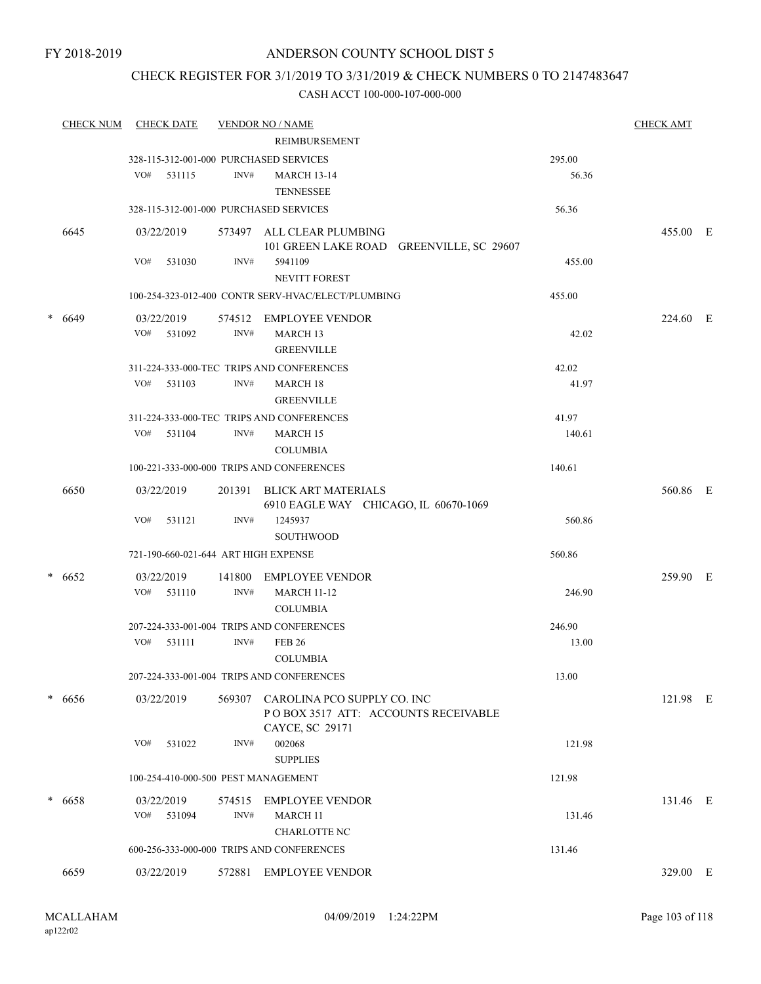### CHECK REGISTER FOR 3/1/2019 TO 3/31/2019 & CHECK NUMBERS 0 TO 2147483647

|        | <b>CHECK NUM</b> | <b>CHECK DATE</b>                                    |                | <b>VENDOR NO / NAME</b><br><b>REIMBURSEMENT</b>                                       |                 | <b>CHECK AMT</b> |  |
|--------|------------------|------------------------------------------------------|----------------|---------------------------------------------------------------------------------------|-----------------|------------------|--|
|        |                  | 328-115-312-001-000 PURCHASED SERVICES<br>VO# 531115 | INV#           | <b>MARCH 13-14</b><br><b>TENNESSEE</b>                                                | 295.00<br>56.36 |                  |  |
|        |                  | 328-115-312-001-000 PURCHASED SERVICES               |                |                                                                                       | 56.36           |                  |  |
|        | 6645             | 03/22/2019                                           |                | 573497 ALL CLEAR PLUMBING<br>101 GREEN LAKE ROAD GREENVILLE, SC 29607                 |                 | 455.00 E         |  |
|        |                  | VO#<br>531030                                        | INV#           | 5941109<br>NEVITT FOREST                                                              | 455.00          |                  |  |
|        |                  |                                                      |                | 100-254-323-012-400 CONTR SERV-HVAC/ELECT/PLUMBING                                    | 455.00          |                  |  |
| $\ast$ | 6649             | 03/22/2019<br>VO# 531092                             | INV#           | 574512 EMPLOYEE VENDOR<br>MARCH <sub>13</sub><br><b>GREENVILLE</b>                    | 42.02           | 224.60 E         |  |
|        |                  |                                                      |                | 311-224-333-000-TEC TRIPS AND CONFERENCES                                             | 42.02           |                  |  |
|        |                  | VO# 531103                                           | INV#           | MARCH <sub>18</sub><br><b>GREENVILLE</b>                                              | 41.97           |                  |  |
|        |                  |                                                      |                | 311-224-333-000-TEC TRIPS AND CONFERENCES                                             | 41.97           |                  |  |
|        |                  | VO# 531104                                           | INV#           | <b>MARCH 15</b><br><b>COLUMBIA</b>                                                    | 140.61          |                  |  |
|        |                  |                                                      |                | 100-221-333-000-000 TRIPS AND CONFERENCES                                             | 140.61          |                  |  |
|        | 6650             | 03/22/2019                                           |                | 201391 BLICK ART MATERIALS<br>6910 EAGLE WAY CHICAGO, IL 60670-1069                   |                 | 560.86 E         |  |
|        |                  | VO#<br>531121                                        | INV#           | 1245937<br><b>SOUTHWOOD</b>                                                           | 560.86          |                  |  |
|        |                  | 721-190-660-021-644 ART HIGH EXPENSE                 |                |                                                                                       | 560.86          |                  |  |
|        | $* 6652$         | 03/22/2019<br>$VO#$ 531110                           | 141800<br>INV# | EMPLOYEE VENDOR<br><b>MARCH 11-12</b><br><b>COLUMBIA</b>                              | 246.90          | 259.90 E         |  |
|        |                  |                                                      |                | 207-224-333-001-004 TRIPS AND CONFERENCES                                             | 246.90          |                  |  |
|        |                  | $VO#$ 531111                                         | INV#           | <b>FEB 26</b><br><b>COLUMBIA</b>                                                      | 13.00           |                  |  |
|        |                  |                                                      |                | 207-224-333-001-004 TRIPS AND CONFERENCES                                             | 13.00           |                  |  |
|        | * 6656           | 03/22/2019                                           | 569307         | CAROLINA PCO SUPPLY CO. INC<br>POBOX 3517 ATT: ACCOUNTS RECEIVABLE<br>CAYCE, SC 29171 |                 | 121.98 E         |  |
|        |                  | VO#<br>531022                                        | INV#           | 002068<br><b>SUPPLIES</b>                                                             | 121.98          |                  |  |
|        |                  | 100-254-410-000-500 PEST MANAGEMENT                  |                |                                                                                       | 121.98          |                  |  |
|        | * 6658           | 03/22/2019                                           | 574515         | <b>EMPLOYEE VENDOR</b>                                                                |                 | 131.46 E         |  |
|        |                  | VO# 531094                                           | INV#           | <b>MARCH 11</b><br>CHARLOTTE NC                                                       | 131.46          |                  |  |
|        |                  |                                                      |                | 600-256-333-000-000 TRIPS AND CONFERENCES                                             | 131.46          |                  |  |
|        | 6659             | 03/22/2019                                           |                | 572881 EMPLOYEE VENDOR                                                                |                 | 329.00 E         |  |
|        |                  |                                                      |                |                                                                                       |                 |                  |  |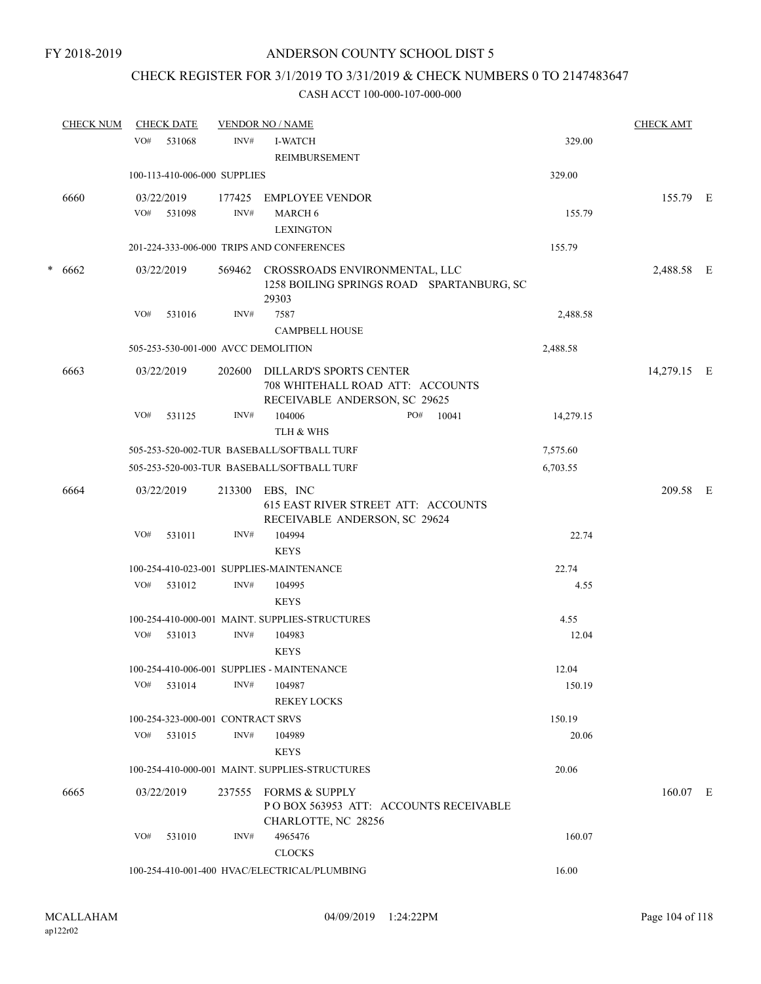### CHECK REGISTER FOR 3/1/2019 TO 3/31/2019 & CHECK NUMBERS 0 TO 2147483647

|   | <b>CHECK NUM</b> |     | <b>CHECK DATE</b>                 |        | <b>VENDOR NO / NAME</b>                                                                      |           | <b>CHECK AMT</b> |  |
|---|------------------|-----|-----------------------------------|--------|----------------------------------------------------------------------------------------------|-----------|------------------|--|
|   |                  | VO# | 531068                            | INV#   | <b>I-WATCH</b>                                                                               | 329.00    |                  |  |
|   |                  |     |                                   |        | REIMBURSEMENT                                                                                |           |                  |  |
|   |                  |     | 100-113-410-006-000 SUPPLIES      |        |                                                                                              | 329.00    |                  |  |
|   | 6660             |     | 03/22/2019                        | 177425 | <b>EMPLOYEE VENDOR</b>                                                                       |           | 155.79 E         |  |
|   |                  |     | VO# 531098                        | INV#   | MARCH 6                                                                                      | 155.79    |                  |  |
|   |                  |     |                                   |        | <b>LEXINGTON</b>                                                                             |           |                  |  |
|   |                  |     |                                   |        | 201-224-333-006-000 TRIPS AND CONFERENCES                                                    | 155.79    |                  |  |
| * | 6662             |     | 03/22/2019                        | 569462 | CROSSROADS ENVIRONMENTAL, LLC<br>1258 BOILING SPRINGS ROAD SPARTANBURG, SC<br>29303          |           | 2,488.58 E       |  |
|   |                  | VO# | 531016                            | INV#   | 7587                                                                                         | 2,488.58  |                  |  |
|   |                  |     |                                   |        | <b>CAMPBELL HOUSE</b>                                                                        |           |                  |  |
|   |                  |     |                                   |        | 505-253-530-001-000 AVCC DEMOLITION                                                          | 2,488.58  |                  |  |
|   | 6663             |     | 03/22/2019                        | 202600 | DILLARD'S SPORTS CENTER<br>708 WHITEHALL ROAD ATT: ACCOUNTS<br>RECEIVABLE ANDERSON, SC 29625 |           | 14,279.15 E      |  |
|   |                  | VO# | 531125                            | INV#   | 104006<br>PO#<br>10041                                                                       | 14,279.15 |                  |  |
|   |                  |     |                                   |        | TLH & WHS                                                                                    |           |                  |  |
|   |                  |     |                                   |        | 505-253-520-002-TUR BASEBALL/SOFTBALL TURF                                                   | 7,575.60  |                  |  |
|   |                  |     |                                   |        | 505-253-520-003-TUR BASEBALL/SOFTBALL TURF                                                   | 6,703.55  |                  |  |
|   | 6664             |     | 03/22/2019                        | 213300 | EBS, INC<br>615 EAST RIVER STREET ATT: ACCOUNTS<br>RECEIVABLE ANDERSON, SC 29624             |           | 209.58 E         |  |
|   |                  | VO# | 531011                            | INV#   | 104994                                                                                       | 22.74     |                  |  |
|   |                  |     |                                   |        | <b>KEYS</b>                                                                                  |           |                  |  |
|   |                  |     |                                   |        | 100-254-410-023-001 SUPPLIES-MAINTENANCE                                                     | 22.74     |                  |  |
|   |                  | VO# | 531012                            | INV#   | 104995                                                                                       | 4.55      |                  |  |
|   |                  |     |                                   |        | <b>KEYS</b>                                                                                  |           |                  |  |
|   |                  |     |                                   |        | 100-254-410-000-001 MAINT. SUPPLIES-STRUCTURES                                               | 4.55      |                  |  |
|   |                  | VO# | 531013                            | INV#   | 104983                                                                                       | 12.04     |                  |  |
|   |                  |     |                                   |        | <b>KEYS</b>                                                                                  |           |                  |  |
|   |                  |     |                                   |        | 100-254-410-006-001 SUPPLIES - MAINTENANCE                                                   | 12.04     |                  |  |
|   |                  | VO# | 531014                            | INV#   | 104987<br><b>REKEY LOCKS</b>                                                                 | 150.19    |                  |  |
|   |                  |     | 100-254-323-000-001 CONTRACT SRVS |        |                                                                                              | 150.19    |                  |  |
|   |                  | VO# | 531015                            | INV#   | 104989                                                                                       | 20.06     |                  |  |
|   |                  |     |                                   |        | <b>KEYS</b>                                                                                  |           |                  |  |
|   |                  |     |                                   |        | 100-254-410-000-001 MAINT, SUPPLIES-STRUCTURES                                               | 20.06     |                  |  |
|   | 6665             |     | 03/22/2019                        | 237555 | <b>FORMS &amp; SUPPLY</b><br>PO BOX 563953 ATT: ACCOUNTS RECEIVABLE<br>CHARLOTTE, NC 28256   |           | $160.07$ E       |  |
|   |                  | VO# | 531010                            | INV#   | 4965476<br><b>CLOCKS</b>                                                                     | 160.07    |                  |  |
|   |                  |     |                                   |        | 100-254-410-001-400 HVAC/ELECTRICAL/PLUMBING                                                 | 16.00     |                  |  |
|   |                  |     |                                   |        |                                                                                              |           |                  |  |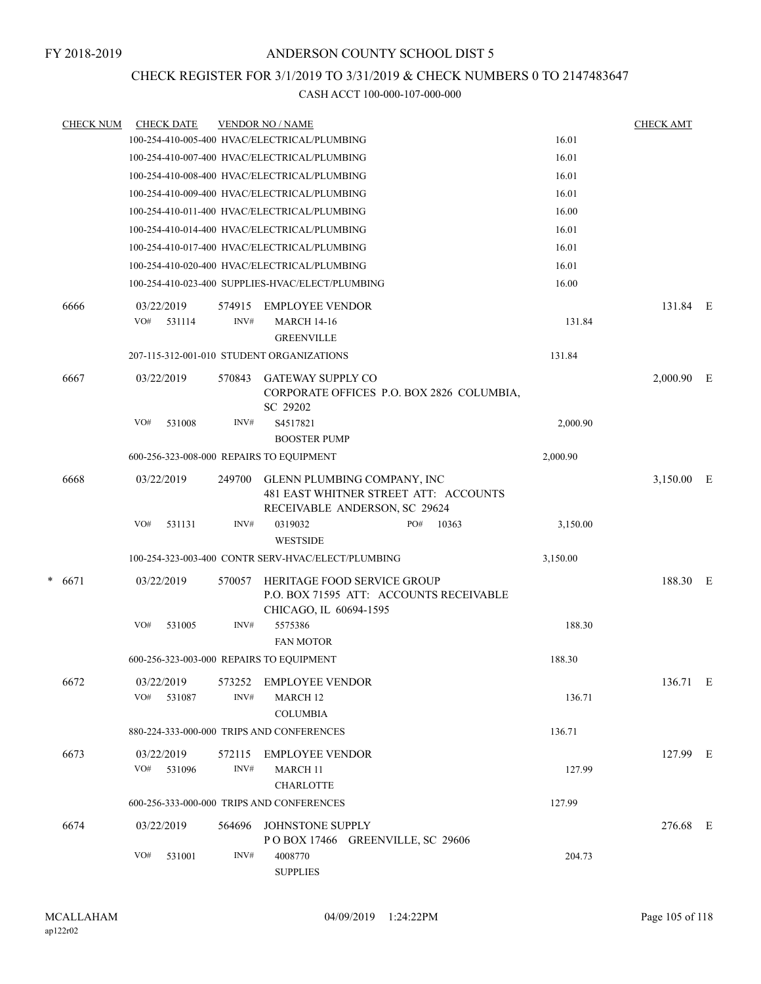### CHECK REGISTER FOR 3/1/2019 TO 3/31/2019 & CHECK NUMBERS 0 TO 2147483647

|   | <b>CHECK NUM</b> |            | <b>CHECK DATE</b>    |                | <b>VENDOR NO / NAME</b>                                                                               |          | <b>CHECK AMT</b> |  |
|---|------------------|------------|----------------------|----------------|-------------------------------------------------------------------------------------------------------|----------|------------------|--|
|   |                  |            |                      |                | 100-254-410-005-400 HVAC/ELECTRICAL/PLUMBING                                                          | 16.01    |                  |  |
|   |                  |            |                      |                | 100-254-410-007-400 HVAC/ELECTRICAL/PLUMBING                                                          | 16.01    |                  |  |
|   |                  |            |                      |                | 100-254-410-008-400 HVAC/ELECTRICAL/PLUMBING                                                          | 16.01    |                  |  |
|   |                  |            |                      |                | 100-254-410-009-400 HVAC/ELECTRICAL/PLUMBING                                                          | 16.01    |                  |  |
|   |                  |            |                      |                | 100-254-410-011-400 HVAC/ELECTRICAL/PLUMBING                                                          | 16.00    |                  |  |
|   |                  |            |                      |                | 100-254-410-014-400 HVAC/ELECTRICAL/PLUMBING                                                          | 16.01    |                  |  |
|   |                  |            |                      |                | 100-254-410-017-400 HVAC/ELECTRICAL/PLUMBING                                                          | 16.01    |                  |  |
|   |                  |            |                      |                | 100-254-410-020-400 HVAC/ELECTRICAL/PLUMBING                                                          | 16.01    |                  |  |
|   |                  |            |                      |                | 100-254-410-023-400 SUPPLIES-HVAC/ELECT/PLUMBING                                                      | 16.00    |                  |  |
|   | 6666             | VO#        | 03/22/2019<br>531114 | 574915<br>INV# | <b>EMPLOYEE VENDOR</b><br><b>MARCH 14-16</b><br><b>GREENVILLE</b>                                     | 131.84   | 131.84 E         |  |
|   |                  |            |                      |                | 207-115-312-001-010 STUDENT ORGANIZATIONS                                                             | 131.84   |                  |  |
|   | 6667             | 03/22/2019 |                      | 570843         | <b>GATEWAY SUPPLY CO</b><br>CORPORATE OFFICES P.O. BOX 2826 COLUMBIA,<br>SC 29202                     |          | $2,000.90$ E     |  |
|   |                  | VO#        | 531008               | INV#           | S4517821<br><b>BOOSTER PUMP</b>                                                                       | 2,000.90 |                  |  |
|   |                  |            |                      |                | 600-256-323-008-000 REPAIRS TO EQUIPMENT                                                              | 2,000.90 |                  |  |
|   | 6668             | 03/22/2019 |                      | 249700         | GLENN PLUMBING COMPANY, INC<br>481 EAST WHITNER STREET ATT: ACCOUNTS<br>RECEIVABLE ANDERSON, SC 29624 |          | 3,150.00 E       |  |
|   |                  | VO#        | 531131               | INV#           | PO#<br>0319032<br>10363<br><b>WESTSIDE</b>                                                            | 3,150.00 |                  |  |
|   |                  |            |                      |                | 100-254-323-003-400 CONTR SERV-HVAC/ELECT/PLUMBING                                                    | 3,150.00 |                  |  |
| * | 6671             | 03/22/2019 |                      | 570057         | HERITAGE FOOD SERVICE GROUP<br>P.O. BOX 71595 ATT: ACCOUNTS RECEIVABLE<br>CHICAGO, IL 60694-1595      |          | 188.30 E         |  |
|   |                  | VO#        | 531005               | INV#           | 5575386<br><b>FAN MOTOR</b>                                                                           | 188.30   |                  |  |
|   |                  |            |                      |                | 600-256-323-003-000 REPAIRS TO EQUIPMENT                                                              | 188.30   |                  |  |
|   | 6672             | 03/22/2019 |                      | 573252         | <b>EMPLOYEE VENDOR</b>                                                                                |          | 136.71 E         |  |
|   |                  | VO#        | 531087               | INV#           | MARCH <sub>12</sub><br><b>COLUMBIA</b>                                                                | 136.71   |                  |  |
|   |                  |            |                      |                | 880-224-333-000-000 TRIPS AND CONFERENCES                                                             | 136.71   |                  |  |
|   | 6673             | VO#        | 03/22/2019<br>531096 | 572115<br>INV# | <b>EMPLOYEE VENDOR</b><br><b>MARCH 11</b>                                                             | 127.99   | 127.99 E         |  |
|   |                  |            |                      |                | <b>CHARLOTTE</b>                                                                                      |          |                  |  |
|   |                  |            |                      |                | 600-256-333-000-000 TRIPS AND CONFERENCES                                                             | 127.99   |                  |  |
|   | 6674             |            | 03/22/2019           | 564696         | <b>JOHNSTONE SUPPLY</b><br>POBOX 17466 GREENVILLE, SC 29606                                           |          | 276.68 E         |  |
|   |                  | VO#        | 531001               | INV#           | 4008770<br><b>SUPPLIES</b>                                                                            | 204.73   |                  |  |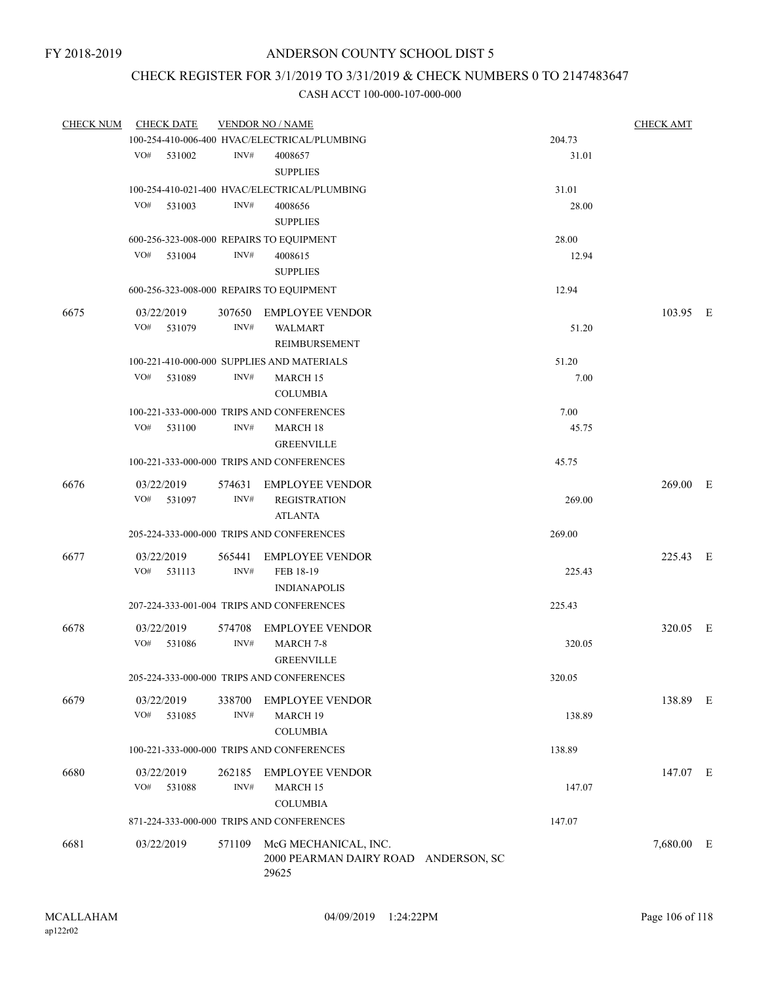## CHECK REGISTER FOR 3/1/2019 TO 3/31/2019 & CHECK NUMBERS 0 TO 2147483647

| <b>CHECK NUM</b> | <b>CHECK DATE</b>                        |        | <b>VENDOR NO / NAME</b>                      |        | <b>CHECK AMT</b> |  |
|------------------|------------------------------------------|--------|----------------------------------------------|--------|------------------|--|
|                  |                                          |        | 100-254-410-006-400 HVAC/ELECTRICAL/PLUMBING | 204.73 |                  |  |
|                  | VO#<br>531002                            | INV#   | 4008657                                      | 31.01  |                  |  |
|                  |                                          |        | <b>SUPPLIES</b>                              |        |                  |  |
|                  |                                          |        | 100-254-410-021-400 HVAC/ELECTRICAL/PLUMBING | 31.01  |                  |  |
|                  | VO#<br>531003                            | INV#   | 4008656                                      | 28.00  |                  |  |
|                  |                                          |        | <b>SUPPLIES</b>                              |        |                  |  |
|                  | 600-256-323-008-000 REPAIRS TO EQUIPMENT |        |                                              | 28.00  |                  |  |
|                  | VO# 531004                               | INV#   | 4008615                                      | 12.94  |                  |  |
|                  |                                          |        | <b>SUPPLIES</b>                              |        |                  |  |
|                  | 600-256-323-008-000 REPAIRS TO EQUIPMENT |        |                                              | 12.94  |                  |  |
| 6675             | 03/22/2019                               | 307650 | <b>EMPLOYEE VENDOR</b>                       |        | 103.95 E         |  |
|                  | VO#<br>531079                            | INV#   | <b>WALMART</b>                               | 51.20  |                  |  |
|                  |                                          |        | REIMBURSEMENT                                |        |                  |  |
|                  |                                          |        | 100-221-410-000-000 SUPPLIES AND MATERIALS   | 51.20  |                  |  |
|                  | VO#<br>531089                            | INV#   | <b>MARCH 15</b>                              | 7.00   |                  |  |
|                  |                                          |        | <b>COLUMBIA</b>                              |        |                  |  |
|                  |                                          |        | 100-221-333-000-000 TRIPS AND CONFERENCES    | 7.00   |                  |  |
|                  | VO#<br>531100                            | INV#   | MARCH 18                                     | 45.75  |                  |  |
|                  |                                          |        | <b>GREENVILLE</b>                            |        |                  |  |
|                  |                                          |        | 100-221-333-000-000 TRIPS AND CONFERENCES    | 45.75  |                  |  |
| 6676             | 03/22/2019                               |        | 574631 EMPLOYEE VENDOR                       |        | $269.00$ E       |  |
|                  | VO# 531097                               | INV#   | <b>REGISTRATION</b>                          | 269.00 |                  |  |
|                  |                                          |        | <b>ATLANTA</b>                               |        |                  |  |
|                  |                                          |        | 205-224-333-000-000 TRIPS AND CONFERENCES    | 269.00 |                  |  |
| 6677             | 03/22/2019                               | 565441 | <b>EMPLOYEE VENDOR</b>                       |        | 225.43 E         |  |
|                  | VO#<br>531113                            | INV#   | FEB 18-19                                    | 225.43 |                  |  |
|                  |                                          |        | <b>INDIANAPOLIS</b>                          |        |                  |  |
|                  |                                          |        | 207-224-333-001-004 TRIPS AND CONFERENCES    | 225.43 |                  |  |
| 6678             | 03/22/2019                               |        | 574708 EMPLOYEE VENDOR                       |        | 320.05 E         |  |
|                  | VO#<br>531086                            | INV#   | MARCH 7-8                                    | 320.05 |                  |  |
|                  |                                          |        | <b>GREENVILLE</b>                            |        |                  |  |
|                  |                                          |        | 205-224-333-000-000 TRIPS AND CONFERENCES    | 320.05 |                  |  |
| 6679             | 03/22/2019                               | 338700 | <b>EMPLOYEE VENDOR</b>                       |        | 138.89 E         |  |
|                  | VO#<br>531085                            | INV#   | MARCH 19                                     | 138.89 |                  |  |
|                  |                                          |        | <b>COLUMBIA</b>                              |        |                  |  |
|                  |                                          |        | 100-221-333-000-000 TRIPS AND CONFERENCES    | 138.89 |                  |  |
| 6680             | 03/22/2019                               | 262185 | <b>EMPLOYEE VENDOR</b>                       |        | 147.07 E         |  |
|                  | VO#<br>531088                            | INV#   | MARCH 15                                     | 147.07 |                  |  |
|                  |                                          |        | <b>COLUMBIA</b>                              |        |                  |  |
|                  |                                          |        | 871-224-333-000-000 TRIPS AND CONFERENCES    | 147.07 |                  |  |
| 6681             | 03/22/2019                               | 571109 | McG MECHANICAL, INC.                         |        | 7,680.00 E       |  |
|                  |                                          |        | 2000 PEARMAN DAIRY ROAD ANDERSON, SC         |        |                  |  |
|                  |                                          |        | 29625                                        |        |                  |  |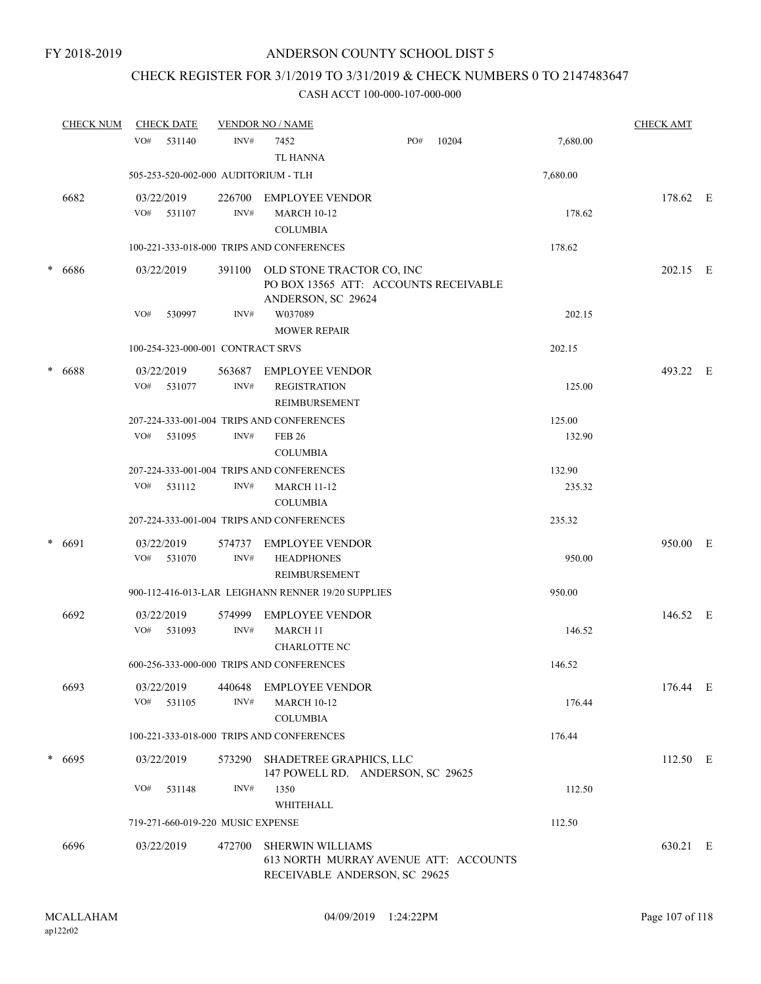# CHECK REGISTER FOR 3/1/2019 TO 3/31/2019 & CHECK NUMBERS 0 TO 2147483647

| <b>CHECK NUM</b> | <b>CHECK DATE</b>                    |                | <b>VENDOR NO / NAME</b>                                                                    |     |       |                  | <b>CHECK AMT</b> |   |
|------------------|--------------------------------------|----------------|--------------------------------------------------------------------------------------------|-----|-------|------------------|------------------|---|
|                  | VO#<br>531140                        | INV#           | 7452<br><b>TL HANNA</b>                                                                    | PO# | 10204 | 7,680.00         |                  |   |
|                  | 505-253-520-002-000 AUDITORIUM - TLH |                |                                                                                            |     |       | 7,680.00         |                  |   |
| 6682             | 03/22/2019<br>VO#<br>531107          | 226700<br>INV# | <b>EMPLOYEE VENDOR</b><br><b>MARCH 10-12</b><br><b>COLUMBIA</b>                            |     |       | 178.62           | 178.62 E         |   |
|                  |                                      |                | 100-221-333-018-000 TRIPS AND CONFERENCES                                                  |     |       | 178.62           |                  |   |
| $* 6686$         | 03/22/2019                           | 391100         | OLD STONE TRACTOR CO, INC<br>PO BOX 13565 ATT: ACCOUNTS RECEIVABLE<br>ANDERSON, SC 29624   |     |       |                  | 202.15 E         |   |
|                  | VO#<br>530997                        | INV#           | W037089<br><b>MOWER REPAIR</b>                                                             |     |       | 202.15           |                  |   |
|                  | 100-254-323-000-001 CONTRACT SRVS    |                |                                                                                            |     |       | 202.15           |                  |   |
| * 6688           | 03/22/2019<br>VO#<br>531077          | 563687<br>INV# | <b>EMPLOYEE VENDOR</b><br><b>REGISTRATION</b><br>REIMBURSEMENT                             |     |       | 125.00           | 493.22 E         |   |
|                  | VO#<br>531095                        | INV#           | 207-224-333-001-004 TRIPS AND CONFERENCES<br><b>FEB 26</b><br><b>COLUMBIA</b>              |     |       | 125.00<br>132.90 |                  |   |
|                  |                                      |                | 207-224-333-001-004 TRIPS AND CONFERENCES                                                  |     |       | 132.90           |                  |   |
|                  | VO#<br>531112                        | INV#           | <b>MARCH 11-12</b><br><b>COLUMBIA</b>                                                      |     |       | 235.32           |                  |   |
|                  |                                      |                | 207-224-333-001-004 TRIPS AND CONFERENCES                                                  |     |       | 235.32           |                  |   |
| $* 6691$         | 03/22/2019<br>531070<br>VO#          | 574737<br>INV# | <b>EMPLOYEE VENDOR</b><br><b>HEADPHONES</b><br>REIMBURSEMENT                               |     |       | 950.00           | 950.00           | E |
|                  |                                      |                | 900-112-416-013-LAR LEIGHANN RENNER 19/20 SUPPLIES                                         |     |       | 950.00           |                  |   |
| 6692             | 03/22/2019<br>VO# 531093             | 574999<br>INV# | <b>EMPLOYEE VENDOR</b><br><b>MARCH 11</b><br><b>CHARLOTTE NC</b>                           |     |       | 146.52           | 146.52 E         |   |
|                  |                                      |                | 600-256-333-000-000 TRIPS AND CONFERENCES                                                  |     |       | 146.52           |                  |   |
| 6693             | 03/22/2019<br>531105<br>VO#          | 440648<br>INV# | <b>EMPLOYEE VENDOR</b><br><b>MARCH 10-12</b><br><b>COLUMBIA</b>                            |     |       | 176.44           | 176.44 E         |   |
|                  |                                      |                | 100-221-333-018-000 TRIPS AND CONFERENCES                                                  |     |       | 176.44           |                  |   |
| $* 6695$         | 03/22/2019                           | 573290         | SHADETREE GRAPHICS, LLC<br>147 POWELL RD. ANDERSON, SC 29625                               |     |       |                  | 112.50 E         |   |
|                  | VO#<br>531148                        | INV#           | 1350<br>WHITEHALL                                                                          |     |       | 112.50           |                  |   |
|                  | 719-271-660-019-220 MUSIC EXPENSE    |                |                                                                                            |     |       | 112.50           |                  |   |
| 6696             | 03/22/2019                           | 472700         | SHERWIN WILLIAMS<br>613 NORTH MURRAY AVENUE ATT: ACCOUNTS<br>RECEIVABLE ANDERSON, SC 29625 |     |       |                  | 630.21 E         |   |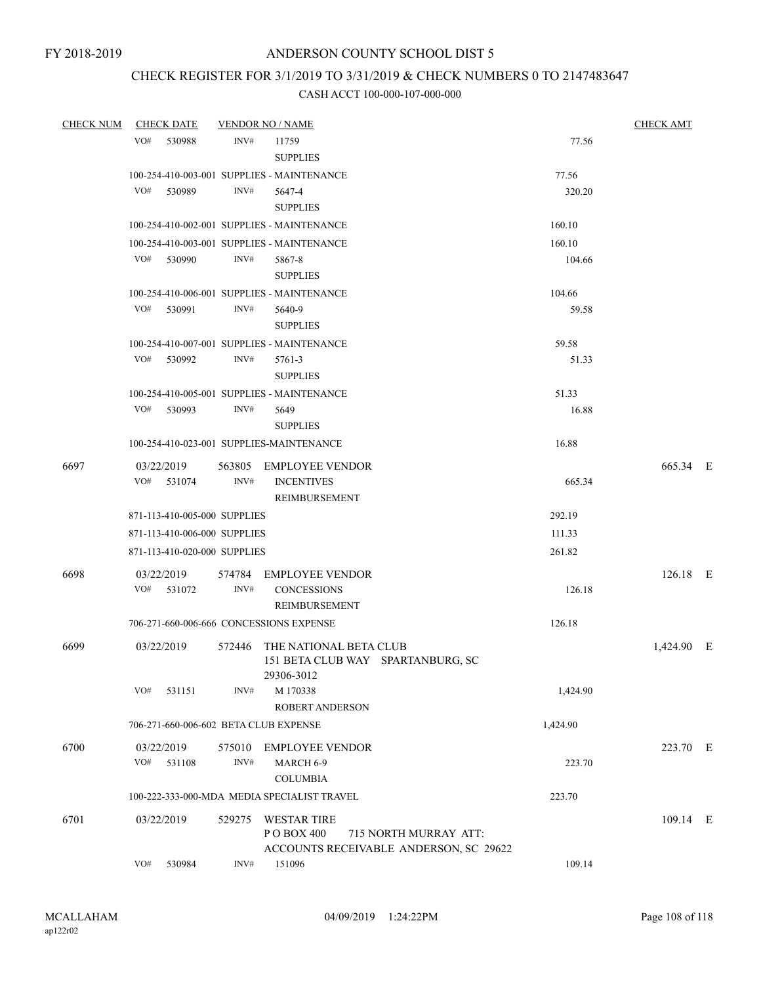# CHECK REGISTER FOR 3/1/2019 TO 3/31/2019 & CHECK NUMBERS 0 TO 2147483647

| <b>CHECK NUM</b> | <b>CHECK DATE</b>                        |        | <b>VENDOR NO / NAME</b>                                                        |          | <b>CHECK AMT</b> |  |
|------------------|------------------------------------------|--------|--------------------------------------------------------------------------------|----------|------------------|--|
|                  | VO#<br>530988                            | INV#   | 11759<br><b>SUPPLIES</b>                                                       | 77.56    |                  |  |
|                  |                                          |        | 100-254-410-003-001 SUPPLIES - MAINTENANCE                                     | 77.56    |                  |  |
|                  | VO#<br>530989                            | INV#   | 5647-4                                                                         | 320.20   |                  |  |
|                  |                                          |        | <b>SUPPLIES</b>                                                                |          |                  |  |
|                  |                                          |        | 100-254-410-002-001 SUPPLIES - MAINTENANCE                                     | 160.10   |                  |  |
|                  |                                          |        | 100-254-410-003-001 SUPPLIES - MAINTENANCE                                     | 160.10   |                  |  |
|                  | VO# 530990                               | INV#   | 5867-8                                                                         | 104.66   |                  |  |
|                  |                                          |        | <b>SUPPLIES</b>                                                                |          |                  |  |
|                  |                                          |        | 100-254-410-006-001 SUPPLIES - MAINTENANCE                                     | 104.66   |                  |  |
|                  | VO# 530991                               | INV#   | 5640-9                                                                         | 59.58    |                  |  |
|                  |                                          |        | <b>SUPPLIES</b>                                                                |          |                  |  |
|                  |                                          |        | 100-254-410-007-001 SUPPLIES - MAINTENANCE                                     | 59.58    |                  |  |
|                  | VO#<br>530992                            | INV#   | 5761-3                                                                         | 51.33    |                  |  |
|                  |                                          |        | <b>SUPPLIES</b>                                                                |          |                  |  |
|                  |                                          |        | 100-254-410-005-001 SUPPLIES - MAINTENANCE                                     | 51.33    |                  |  |
|                  | VO#<br>530993                            | INV#   | 5649                                                                           | 16.88    |                  |  |
|                  |                                          |        | <b>SUPPLIES</b>                                                                |          |                  |  |
|                  | 100-254-410-023-001 SUPPLIES-MAINTENANCE |        |                                                                                | 16.88    |                  |  |
| 6697             | 03/22/2019                               |        | 563805 EMPLOYEE VENDOR                                                         |          | 665.34 E         |  |
|                  | $VO#$ 531074                             | INV#   | <b>INCENTIVES</b>                                                              | 665.34   |                  |  |
|                  |                                          |        | REIMBURSEMENT                                                                  |          |                  |  |
|                  | 871-113-410-005-000 SUPPLIES             |        |                                                                                | 292.19   |                  |  |
|                  | 871-113-410-006-000 SUPPLIES             |        |                                                                                | 111.33   |                  |  |
|                  | 871-113-410-020-000 SUPPLIES             |        |                                                                                | 261.82   |                  |  |
| 6698             | 03/22/2019                               |        | 574784 EMPLOYEE VENDOR                                                         |          | $126.18$ E       |  |
|                  | VO# 531072                               | INV#   | <b>CONCESSIONS</b>                                                             | 126.18   |                  |  |
|                  |                                          |        | REIMBURSEMENT                                                                  |          |                  |  |
|                  | 706-271-660-006-666 CONCESSIONS EXPENSE  |        |                                                                                | 126.18   |                  |  |
| 6699             | 03/22/2019                               | 572446 | THE NATIONAL BETA CLUB                                                         |          | 1,424.90 E       |  |
|                  |                                          |        | 151 BETA CLUB WAY SPARTANBURG, SC<br>29306-3012                                |          |                  |  |
|                  | VO#<br>531151                            | INV#   | M 170338                                                                       | 1,424.90 |                  |  |
|                  |                                          |        | <b>ROBERT ANDERSON</b>                                                         |          |                  |  |
|                  | 706-271-660-006-602 BETA CLUB EXPENSE    |        |                                                                                | 1,424.90 |                  |  |
|                  |                                          |        | 575010 EMPLOYEE VENDOR                                                         |          | 223.70 E         |  |
| 6700             | 03/22/2019<br>VO#<br>531108              | INV#   | MARCH 6-9                                                                      | 223.70   |                  |  |
|                  |                                          |        | <b>COLUMBIA</b>                                                                |          |                  |  |
|                  |                                          |        | 100-222-333-000-MDA MEDIA SPECIALIST TRAVEL                                    | 223.70   |                  |  |
|                  |                                          |        |                                                                                |          |                  |  |
| 6701             | 03/22/2019                               | 529275 | <b>WESTAR TIRE</b>                                                             |          | 109.14 E         |  |
|                  |                                          |        | P O BOX 400<br>715 NORTH MURRAY ATT:<br>ACCOUNTS RECEIVABLE ANDERSON, SC 29622 |          |                  |  |
|                  | VO#<br>530984                            | INV#   | 151096                                                                         | 109.14   |                  |  |
|                  |                                          |        |                                                                                |          |                  |  |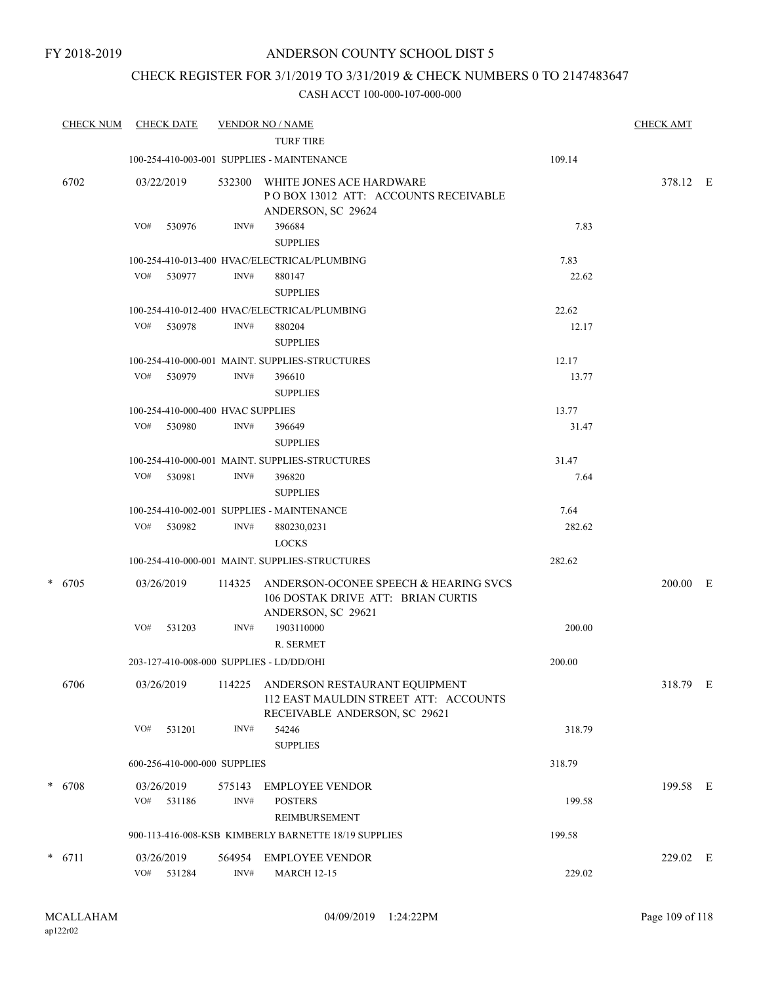## CHECK REGISTER FOR 3/1/2019 TO 3/31/2019 & CHECK NUMBERS 0 TO 2147483647

|   | <b>CHECK NUM</b> |     | <b>CHECK DATE</b>                 |        | <b>VENDOR NO / NAME</b><br><b>TURF TIRE</b>                                                             |        | <b>CHECK AMT</b> |  |
|---|------------------|-----|-----------------------------------|--------|---------------------------------------------------------------------------------------------------------|--------|------------------|--|
|   |                  |     |                                   |        | 100-254-410-003-001 SUPPLIES - MAINTENANCE                                                              | 109.14 |                  |  |
|   | 6702             |     | 03/22/2019                        | 532300 | WHITE JONES ACE HARDWARE<br>POBOX 13012 ATT: ACCOUNTS RECEIVABLE<br>ANDERSON, SC 29624                  |        | 378.12 E         |  |
|   |                  | VO# | 530976                            | INV#   | 396684<br><b>SUPPLIES</b>                                                                               | 7.83   |                  |  |
|   |                  |     |                                   |        | 100-254-410-013-400 HVAC/ELECTRICAL/PLUMBING                                                            | 7.83   |                  |  |
|   |                  |     | VO# 530977                        | INV#   | 880147<br><b>SUPPLIES</b>                                                                               | 22.62  |                  |  |
|   |                  |     |                                   |        | 100-254-410-012-400 HVAC/ELECTRICAL/PLUMBING                                                            | 22.62  |                  |  |
|   |                  | VO# | 530978                            | INV#   | 880204<br><b>SUPPLIES</b>                                                                               | 12.17  |                  |  |
|   |                  |     |                                   |        | 100-254-410-000-001 MAINT. SUPPLIES-STRUCTURES                                                          | 12.17  |                  |  |
|   |                  | VO# | 530979                            | INV#   | 396610<br><b>SUPPLIES</b>                                                                               | 13.77  |                  |  |
|   |                  |     | 100-254-410-000-400 HVAC SUPPLIES |        |                                                                                                         | 13.77  |                  |  |
|   |                  | VO# | 530980                            | INV#   | 396649<br><b>SUPPLIES</b>                                                                               | 31.47  |                  |  |
|   |                  |     |                                   |        | 100-254-410-000-001 MAINT. SUPPLIES-STRUCTURES                                                          | 31.47  |                  |  |
|   |                  | VO# | 530981                            | INV#   | 396820<br><b>SUPPLIES</b>                                                                               | 7.64   |                  |  |
|   |                  |     |                                   |        | 100-254-410-002-001 SUPPLIES - MAINTENANCE                                                              | 7.64   |                  |  |
|   |                  |     | VO# 530982                        | INV#   | 880230,0231<br><b>LOCKS</b>                                                                             | 282.62 |                  |  |
|   |                  |     |                                   |        | 100-254-410-000-001 MAINT. SUPPLIES-STRUCTURES                                                          | 282.62 |                  |  |
| * | 6705             |     | 03/26/2019                        | 114325 | ANDERSON-OCONEE SPEECH & HEARING SVCS<br>106 DOSTAK DRIVE ATT: BRIAN CURTIS<br>ANDERSON, SC 29621       |        | $200.00$ E       |  |
|   |                  | VO# | 531203                            | INV#   | 1903110000                                                                                              | 200.00 |                  |  |
|   |                  |     |                                   |        | R. SERMET                                                                                               |        |                  |  |
|   |                  |     |                                   |        | 203-127-410-008-000 SUPPLIES - LD/DD/OHI                                                                | 200.00 |                  |  |
|   | 6706             |     | 03/26/2019                        | 114225 | ANDERSON RESTAURANT EQUIPMENT<br>112 EAST MAULDIN STREET ATT: ACCOUNTS<br>RECEIVABLE ANDERSON, SC 29621 |        | 318.79 E         |  |
|   |                  | VO# | 531201                            | INV#   | 54246<br><b>SUPPLIES</b>                                                                                | 318.79 |                  |  |
|   |                  |     | 600-256-410-000-000 SUPPLIES      |        |                                                                                                         | 318.79 |                  |  |
|   | $* 6708$         |     | 03/26/2019                        | 575143 | <b>EMPLOYEE VENDOR</b>                                                                                  |        | 199.58 E         |  |
|   |                  | VO# | 531186                            | INV#   | <b>POSTERS</b><br>REIMBURSEMENT                                                                         | 199.58 |                  |  |
|   |                  |     |                                   |        | 900-113-416-008-KSB KIMBERLY BARNETTE 18/19 SUPPLIES                                                    | 199.58 |                  |  |
|   | $* 6711$         |     | 03/26/2019                        | 564954 | <b>EMPLOYEE VENDOR</b>                                                                                  |        | 229.02 E         |  |
|   |                  | VO# | 531284                            | INV#   | <b>MARCH 12-15</b>                                                                                      | 229.02 |                  |  |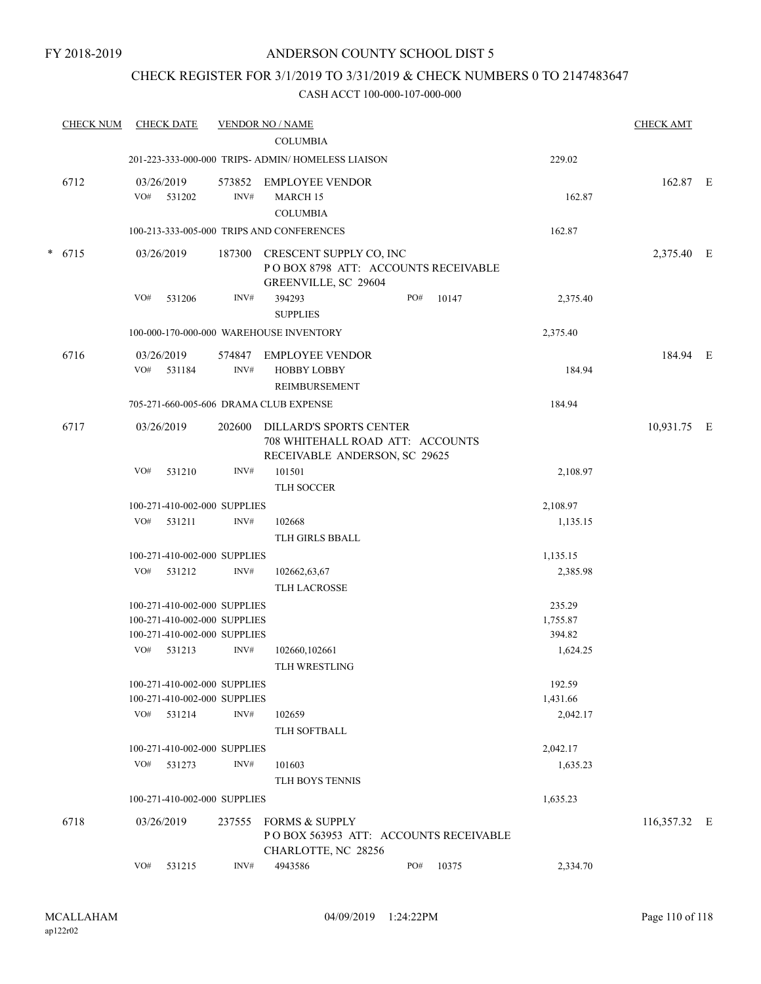## CHECK REGISTER FOR 3/1/2019 TO 3/31/2019 & CHECK NUMBERS 0 TO 2147483647

| <b>CHECK NUM</b> |     | <b>CHECK DATE</b>            |        | <b>VENDOR NO / NAME</b>                                                                       |     |       |          | <b>CHECK AMT</b> |  |
|------------------|-----|------------------------------|--------|-----------------------------------------------------------------------------------------------|-----|-------|----------|------------------|--|
|                  |     |                              |        | <b>COLUMBIA</b>                                                                               |     |       |          |                  |  |
|                  |     |                              |        | 201-223-333-000-000 TRIPS- ADMIN/ HOMELESS LIAISON                                            |     |       | 229.02   |                  |  |
| 6712             |     | 03/26/2019                   |        | 573852 EMPLOYEE VENDOR                                                                        |     |       |          | 162.87 E         |  |
|                  |     | VO# 531202                   | INV#   | MARCH 15                                                                                      |     |       | 162.87   |                  |  |
|                  |     |                              |        | <b>COLUMBIA</b>                                                                               |     |       |          |                  |  |
|                  |     |                              |        | 100-213-333-005-000 TRIPS AND CONFERENCES                                                     |     |       | 162.87   |                  |  |
| $* 6715$         |     | 03/26/2019                   |        | 187300 CRESCENT SUPPLY CO, INC<br>POBOX 8798 ATT: ACCOUNTS RECEIVABLE<br>GREENVILLE, SC 29604 |     |       |          | 2,375.40 E       |  |
|                  | VO# | 531206                       | INV#   | 394293<br><b>SUPPLIES</b>                                                                     | PO# | 10147 | 2,375.40 |                  |  |
|                  |     |                              |        | 100-000-170-000-000 WAREHOUSE INVENTORY                                                       |     |       | 2,375.40 |                  |  |
| 6716             |     | 03/26/2019                   | 574847 | <b>EMPLOYEE VENDOR</b>                                                                        |     |       |          | 184.94 E         |  |
|                  | VO# | 531184                       | INV#   | <b>HOBBY LOBBY</b><br><b>REIMBURSEMENT</b>                                                    |     |       | 184.94   |                  |  |
|                  |     |                              |        | 705-271-660-005-606 DRAMA CLUB EXPENSE                                                        |     |       | 184.94   |                  |  |
| 6717             |     | 03/26/2019                   | 202600 | DILLARD'S SPORTS CENTER<br>708 WHITEHALL ROAD ATT: ACCOUNTS<br>RECEIVABLE ANDERSON, SC 29625  |     |       |          | 10,931.75 E      |  |
|                  | VO# | 531210                       | INV#   | 101501<br>TLH SOCCER                                                                          |     |       | 2,108.97 |                  |  |
|                  |     | 100-271-410-002-000 SUPPLIES |        |                                                                                               |     |       | 2,108.97 |                  |  |
|                  | VO# | 531211                       | INV#   | 102668                                                                                        |     |       | 1,135.15 |                  |  |
|                  |     |                              |        | TLH GIRLS BBALL                                                                               |     |       |          |                  |  |
|                  |     | 100-271-410-002-000 SUPPLIES |        |                                                                                               |     |       | 1,135.15 |                  |  |
|                  | VO# | 531212                       | INV#   | 102662,63,67                                                                                  |     |       | 2,385.98 |                  |  |
|                  |     |                              |        | <b>TLH LACROSSE</b>                                                                           |     |       |          |                  |  |
|                  |     | 100-271-410-002-000 SUPPLIES |        |                                                                                               |     |       | 235.29   |                  |  |
|                  |     | 100-271-410-002-000 SUPPLIES |        |                                                                                               |     |       | 1,755.87 |                  |  |
|                  |     | 100-271-410-002-000 SUPPLIES |        |                                                                                               |     |       | 394.82   |                  |  |
|                  | VO# | 531213                       | INV#   | 102660,102661                                                                                 |     |       | 1,624.25 |                  |  |
|                  |     |                              |        | TLH WRESTLING                                                                                 |     |       |          |                  |  |
|                  |     | 100-271-410-002-000 SUPPLIES |        |                                                                                               |     |       | 192.59   |                  |  |
|                  |     | 100-271-410-002-000 SUPPLIES |        |                                                                                               |     |       | 1,431.66 |                  |  |
|                  |     | VO# 531214                   | INV#   | 102659                                                                                        |     |       | 2,042.17 |                  |  |
|                  |     |                              |        | TLH SOFTBALL                                                                                  |     |       |          |                  |  |
|                  |     | 100-271-410-002-000 SUPPLIES |        |                                                                                               |     |       | 2,042.17 |                  |  |
|                  | VO# | 531273                       | INV#   | 101603                                                                                        |     |       | 1,635.23 |                  |  |
|                  |     |                              |        | TLH BOYS TENNIS                                                                               |     |       |          |                  |  |
|                  |     | 100-271-410-002-000 SUPPLIES |        |                                                                                               |     |       | 1,635.23 |                  |  |
| 6718             |     | 03/26/2019                   | 237555 | <b>FORMS &amp; SUPPLY</b><br>POBOX 563953 ATT: ACCOUNTS RECEIVABLE<br>CHARLOTTE, NC 28256     |     |       |          | 116,357.32 E     |  |
|                  | VO# | 531215                       | INV#   | 4943586                                                                                       | PO# | 10375 | 2,334.70 |                  |  |
|                  |     |                              |        |                                                                                               |     |       |          |                  |  |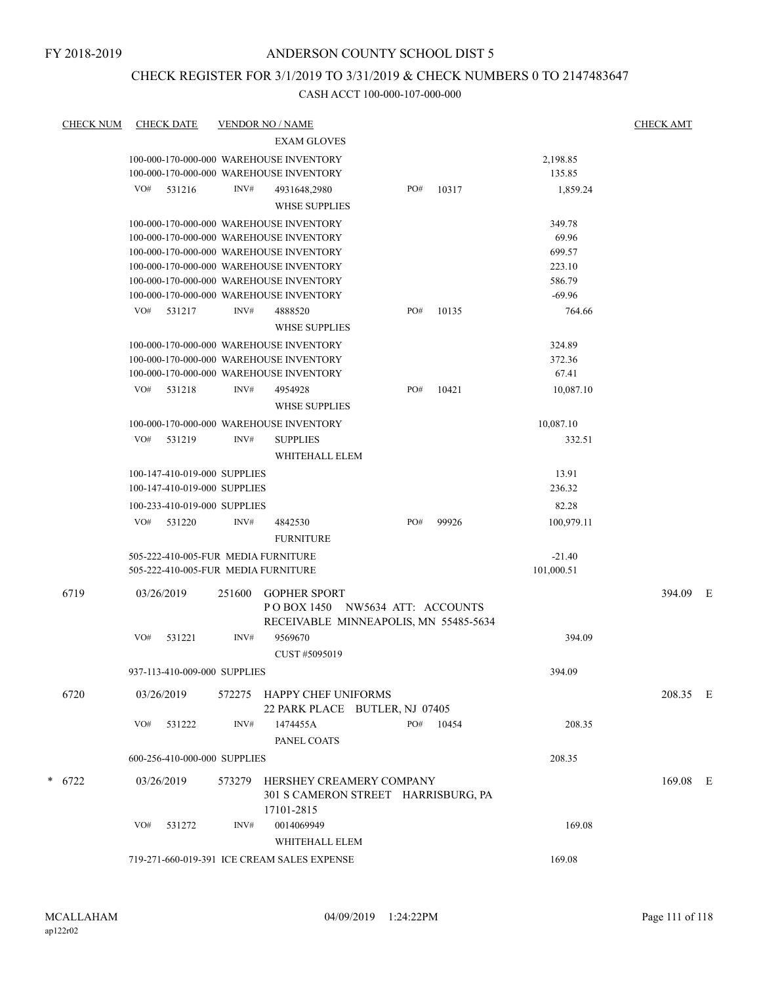## CHECK REGISTER FOR 3/1/2019 TO 3/31/2019 & CHECK NUMBERS 0 TO 2147483647

| <b>CHECK NUM</b> |            | <b>CHECK DATE</b>            |        | <b>VENDOR NO / NAME</b>                                                            |     |       |                  | <b>CHECK AMT</b> |  |
|------------------|------------|------------------------------|--------|------------------------------------------------------------------------------------|-----|-------|------------------|------------------|--|
|                  |            |                              |        | <b>EXAM GLOVES</b>                                                                 |     |       |                  |                  |  |
|                  |            |                              |        | 100-000-170-000-000 WAREHOUSE INVENTORY                                            |     |       | 2,198.85         |                  |  |
|                  |            |                              |        | 100-000-170-000-000 WAREHOUSE INVENTORY                                            |     |       | 135.85           |                  |  |
|                  | VO#        | 531216                       | INV#   | 4931648,2980                                                                       | PO# | 10317 | 1,859.24         |                  |  |
|                  |            |                              |        | <b>WHSE SUPPLIES</b>                                                               |     |       |                  |                  |  |
|                  |            |                              |        | 100-000-170-000-000 WAREHOUSE INVENTORY                                            |     |       | 349.78           |                  |  |
|                  |            |                              |        | 100-000-170-000-000 WAREHOUSE INVENTORY                                            |     |       | 69.96            |                  |  |
|                  |            |                              |        | 100-000-170-000-000 WAREHOUSE INVENTORY                                            |     |       | 699.57           |                  |  |
|                  |            |                              |        | 100-000-170-000-000 WAREHOUSE INVENTORY                                            |     |       | 223.10           |                  |  |
|                  |            |                              |        | 100-000-170-000-000 WAREHOUSE INVENTORY                                            |     |       | 586.79           |                  |  |
|                  |            |                              |        | 100-000-170-000-000 WAREHOUSE INVENTORY                                            |     |       | $-69.96$         |                  |  |
|                  | VO#        | 531217                       | INV#   | 4888520<br><b>WHSE SUPPLIES</b>                                                    | PO# | 10135 | 764.66           |                  |  |
|                  |            |                              |        |                                                                                    |     |       |                  |                  |  |
|                  |            |                              |        | 100-000-170-000-000 WAREHOUSE INVENTORY<br>100-000-170-000-000 WAREHOUSE INVENTORY |     |       | 324.89<br>372.36 |                  |  |
|                  |            |                              |        | 100-000-170-000-000 WAREHOUSE INVENTORY                                            |     |       | 67.41            |                  |  |
|                  | VO#        |                              |        |                                                                                    | PO# |       |                  |                  |  |
|                  |            | 531218                       | INV#   | 4954928<br><b>WHSE SUPPLIES</b>                                                    |     | 10421 | 10,087.10        |                  |  |
|                  |            |                              |        | 100-000-170-000-000 WAREHOUSE INVENTORY                                            |     |       | 10,087.10        |                  |  |
|                  | VO#        | 531219                       | INV#   | <b>SUPPLIES</b>                                                                    |     |       | 332.51           |                  |  |
|                  |            |                              |        | WHITEHALL ELEM                                                                     |     |       |                  |                  |  |
|                  |            | 100-147-410-019-000 SUPPLIES |        |                                                                                    |     |       | 13.91            |                  |  |
|                  |            | 100-147-410-019-000 SUPPLIES |        |                                                                                    |     |       | 236.32           |                  |  |
|                  |            | 100-233-410-019-000 SUPPLIES |        |                                                                                    |     |       | 82.28            |                  |  |
|                  | VO#        | 531220                       | INV#   | 4842530                                                                            | PO# | 99926 | 100,979.11       |                  |  |
|                  |            |                              |        | <b>FURNITURE</b>                                                                   |     |       |                  |                  |  |
|                  |            |                              |        | 505-222-410-005-FUR MEDIA FURNITURE                                                |     |       | $-21.40$         |                  |  |
|                  |            |                              |        | 505-222-410-005-FUR MEDIA FURNITURE                                                |     |       | 101,000.51       |                  |  |
| 6719             | 03/26/2019 |                              | 251600 | <b>GOPHER SPORT</b>                                                                |     |       |                  | 394.09 E         |  |
|                  |            |                              |        | POBOX 1450 NW5634 ATT: ACCOUNTS                                                    |     |       |                  |                  |  |
|                  |            |                              |        | RECEIVABLE MINNEAPOLIS, MN 55485-5634                                              |     |       |                  |                  |  |
|                  | VO#        | 531221                       | INV#   | 9569670                                                                            |     |       | 394.09           |                  |  |
|                  |            |                              |        | CUST #5095019                                                                      |     |       |                  |                  |  |
|                  |            | 937-113-410-009-000 SUPPLIES |        |                                                                                    |     |       | 394.09           |                  |  |
|                  |            |                              |        |                                                                                    |     |       |                  |                  |  |
| 6720             | 03/26/2019 |                              |        | 572275 HAPPY CHEF UNIFORMS<br>22 PARK PLACE BUTLER, NJ 07405                       |     |       |                  | 208.35 E         |  |
|                  | VO#        | 531222                       | INV#   | 1474455A                                                                           | PO# | 10454 | 208.35           |                  |  |
|                  |            |                              |        | PANEL COATS                                                                        |     |       |                  |                  |  |
|                  |            | 600-256-410-000-000 SUPPLIES |        |                                                                                    |     |       | 208.35           |                  |  |
| $* 6722$         | 03/26/2019 |                              | 573279 | HERSHEY CREAMERY COMPANY                                                           |     |       |                  | $169.08$ E       |  |
|                  |            |                              |        | 301 S CAMERON STREET HARRISBURG, PA                                                |     |       |                  |                  |  |
|                  |            |                              |        | 17101-2815                                                                         |     |       |                  |                  |  |
|                  | VO#        | 531272                       | INV#   | 0014069949                                                                         |     |       | 169.08           |                  |  |
|                  |            |                              |        | WHITEHALL ELEM                                                                     |     |       |                  |                  |  |
|                  |            |                              |        | 719-271-660-019-391 ICE CREAM SALES EXPENSE                                        |     |       | 169.08           |                  |  |
|                  |            |                              |        |                                                                                    |     |       |                  |                  |  |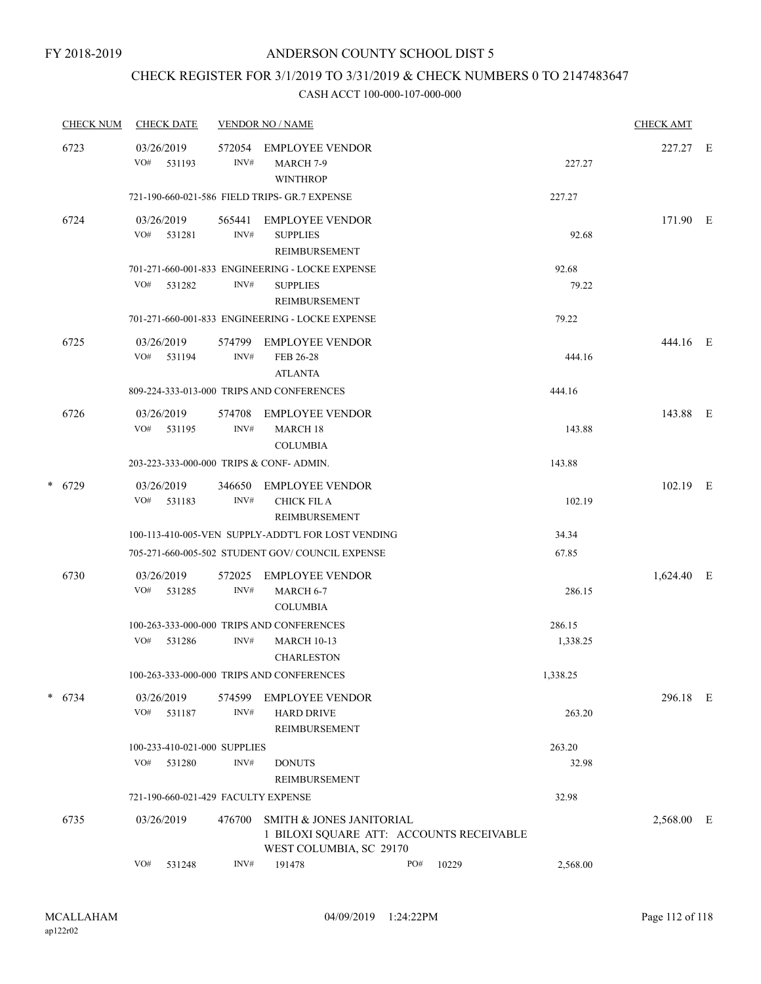## CHECK REGISTER FOR 3/1/2019 TO 3/31/2019 & CHECK NUMBERS 0 TO 2147483647

|      | <b>CHECK NUM</b>                        | <b>CHECK DATE</b>                   |                                                              | <b>VENDOR NO / NAME</b>                                                                         |     |        |          | <b>CHECK AMT</b> |  |
|------|-----------------------------------------|-------------------------------------|--------------------------------------------------------------|-------------------------------------------------------------------------------------------------|-----|--------|----------|------------------|--|
|      | 6723                                    | 03/26/2019<br>VO# 531193            | 572054<br>INV#                                               | <b>EMPLOYEE VENDOR</b><br>MARCH <sub>7-9</sub><br><b>WINTHROP</b>                               |     |        | 227.27   | 227.27 E         |  |
|      |                                         |                                     |                                                              | 721-190-660-021-586 FIELD TRIPS- GR.7 EXPENSE                                                   |     |        | 227.27   |                  |  |
|      | 6724                                    | 03/26/2019<br>VO# 531281            | 565441<br>INV#                                               | <b>EMPLOYEE VENDOR</b><br><b>SUPPLIES</b><br>REIMBURSEMENT                                      |     |        | 92.68    | 171.90 E         |  |
|      |                                         |                                     |                                                              | 701-271-660-001-833 ENGINEERING - LOCKE EXPENSE                                                 |     |        | 92.68    |                  |  |
|      |                                         | VO#<br>531282                       | INV#                                                         | <b>SUPPLIES</b><br>REIMBURSEMENT                                                                |     |        | 79.22    |                  |  |
|      |                                         |                                     |                                                              | 701-271-660-001-833 ENGINEERING - LOCKE EXPENSE                                                 |     |        | 79.22    |                  |  |
|      | 6725                                    | 03/26/2019<br>VO# 531194            | 574799<br>INV#                                               | <b>EMPLOYEE VENDOR</b><br>FEB 26-28<br><b>ATLANTA</b>                                           |     |        | 444.16   | 444.16 E         |  |
|      |                                         |                                     |                                                              | 809-224-333-013-000 TRIPS AND CONFERENCES                                                       |     |        | 444.16   |                  |  |
| 6726 | 03/26/2019<br>VO# 531195                | 574708<br>INV#                      | <b>EMPLOYEE VENDOR</b><br><b>MARCH 18</b><br><b>COLUMBIA</b> |                                                                                                 |     | 143.88 | 143.88 E |                  |  |
|      | 203-223-333-000-000 TRIPS & CONF-ADMIN. |                                     |                                                              |                                                                                                 |     | 143.88 |          |                  |  |
|      | $* 6729$                                | 03/26/2019<br>VO#<br>531183         | 346650<br>INV#                                               | EMPLOYEE VENDOR<br><b>CHICK FIL A</b><br>REIMBURSEMENT                                          |     |        | 102.19   | $102.19$ E       |  |
|      |                                         |                                     |                                                              | 100-113-410-005-VEN SUPPLY-ADDT'L FOR LOST VENDING                                              |     |        | 34.34    |                  |  |
|      |                                         |                                     |                                                              | 705-271-660-005-502 STUDENT GOV/COUNCIL EXPENSE                                                 |     |        | 67.85    |                  |  |
|      | 6730                                    | 03/26/2019<br>VO#<br>531285         | 572025<br>INV#                                               | EMPLOYEE VENDOR<br>MARCH 6-7<br><b>COLUMBIA</b>                                                 |     |        | 286.15   | 1,624.40 E       |  |
|      |                                         |                                     |                                                              | 100-263-333-000-000 TRIPS AND CONFERENCES                                                       |     |        | 286.15   |                  |  |
|      |                                         | VO#<br>531286                       | INV#                                                         | <b>MARCH 10-13</b><br><b>CHARLESTON</b>                                                         |     |        | 1,338.25 |                  |  |
|      |                                         |                                     |                                                              | 100-263-333-000-000 TRIPS AND CONFERENCES                                                       |     |        | 1,338.25 |                  |  |
|      | $* 6734$                                | 03/26/2019<br>VO# 531187            | 574599<br>INV#                                               | <b>EMPLOYEE VENDOR</b><br><b>HARD DRIVE</b><br>REIMBURSEMENT                                    |     |        | 263.20   | 296.18 E         |  |
|      |                                         | 100-233-410-021-000 SUPPLIES        |                                                              |                                                                                                 |     |        | 263.20   |                  |  |
|      |                                         | VO#<br>531280                       | INV#                                                         | <b>DONUTS</b><br>REIMBURSEMENT                                                                  |     |        | 32.98    |                  |  |
|      |                                         | 721-190-660-021-429 FACULTY EXPENSE |                                                              |                                                                                                 |     |        | 32.98    |                  |  |
|      | 6735                                    | 03/26/2019                          | 476700                                                       | SMITH & JONES JANITORIAL<br>1 BILOXI SQUARE ATT: ACCOUNTS RECEIVABLE<br>WEST COLUMBIA, SC 29170 |     |        |          | 2,568.00 E       |  |
|      |                                         | VO#<br>531248                       | INV#                                                         | 191478                                                                                          | PO# | 10229  | 2,568.00 |                  |  |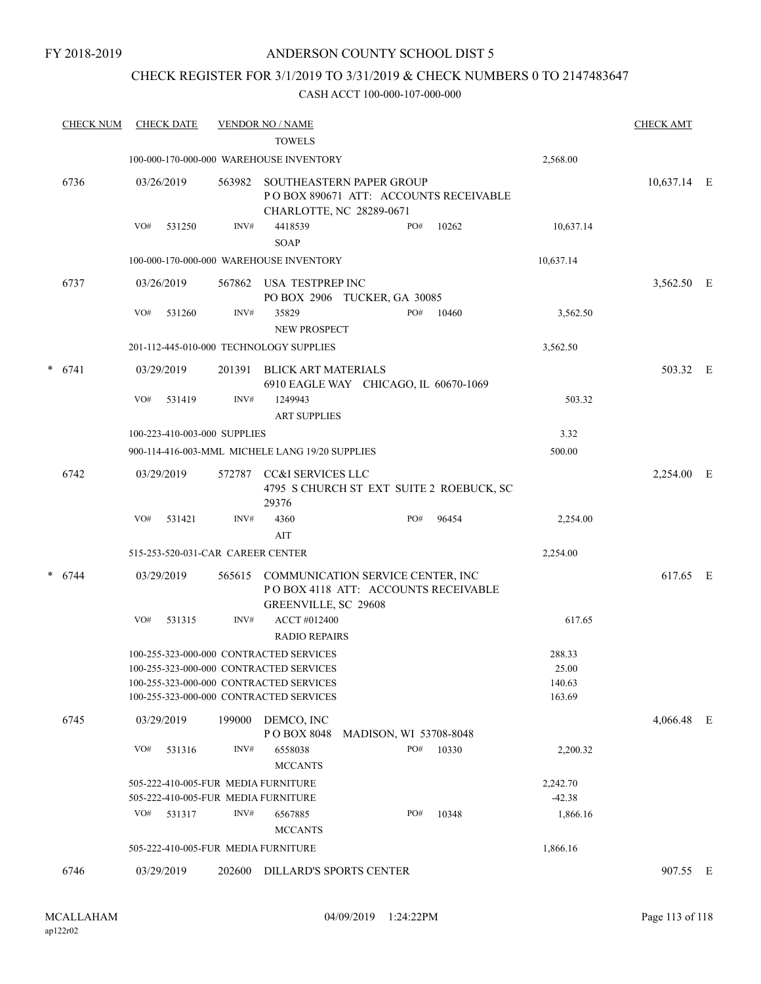FY 2018-2019

## ANDERSON COUNTY SCHOOL DIST 5

## CHECK REGISTER FOR 3/1/2019 TO 3/31/2019 & CHECK NUMBERS 0 TO 2147483647

| <b>CHECK NUM</b> |     | <b>CHECK DATE</b> |                                   | <b>VENDOR NO / NAME</b><br><b>TOWELS</b>                                                                                      |                        |     |                                          |                           | <b>CHECK AMT</b> |  |
|------------------|-----|-------------------|-----------------------------------|-------------------------------------------------------------------------------------------------------------------------------|------------------------|-----|------------------------------------------|---------------------------|------------------|--|
|                  |     |                   |                                   | 100-000-170-000-000 WAREHOUSE INVENTORY                                                                                       |                        |     |                                          | 2,568.00                  |                  |  |
| 6736             |     | 03/26/2019        | 563982                            | SOUTHEASTERN PAPER GROUP<br>CHARLOTTE, NC 28289-0671                                                                          |                        |     | POBOX 890671 ATT: ACCOUNTS RECEIVABLE    |                           | 10,637.14 E      |  |
|                  | VO# | 531250            | INV#                              | 4418539<br><b>SOAP</b>                                                                                                        |                        | PO# | 10262                                    | 10,637.14                 |                  |  |
|                  |     |                   |                                   | 100-000-170-000-000 WAREHOUSE INVENTORY                                                                                       |                        |     |                                          | 10,637.14                 |                  |  |
| 6737             |     | 03/26/2019        | 567862                            | USA TESTPREP INC<br>PO BOX 2906 TUCKER, GA 30085                                                                              |                        |     |                                          |                           | 3,562.50 E       |  |
|                  | VO# | 531260            | INV#                              | 35829<br><b>NEW PROSPECT</b>                                                                                                  |                        | PO# | 10460                                    | 3,562.50                  |                  |  |
|                  |     |                   |                                   | 201-112-445-010-000 TECHNOLOGY SUPPLIES                                                                                       |                        |     |                                          | 3,562.50                  |                  |  |
| $* 6741$         |     | 03/29/2019        | 201391                            | BLICK ART MATERIALS<br>6910 EAGLE WAY CHICAGO, IL 60670-1069                                                                  |                        |     |                                          |                           | 503.32 E         |  |
|                  | VO# | 531419            | INV#                              | 1249943<br><b>ART SUPPLIES</b>                                                                                                |                        |     |                                          | 503.32                    |                  |  |
|                  |     |                   | 100-223-410-003-000 SUPPLIES      |                                                                                                                               |                        |     |                                          | 3.32                      |                  |  |
|                  |     |                   |                                   | 900-114-416-003-MML MICHELE LANG 19/20 SUPPLIES                                                                               |                        |     |                                          | 500.00                    |                  |  |
| 6742             |     | 03/29/2019        |                                   | 572787 CC&I SERVICES LLC<br>29376                                                                                             |                        |     | 4795 S CHURCH ST EXT SUITE 2 ROEBUCK, SC |                           | 2,254.00 E       |  |
|                  | VO# | 531421            | INV#                              | 4360<br>AIT                                                                                                                   |                        | PO# | 96454                                    | 2,254.00                  |                  |  |
|                  |     |                   | 515-253-520-031-CAR CAREER CENTER |                                                                                                                               |                        |     |                                          | 2,254.00                  |                  |  |
| $* 6744$         |     |                   |                                   |                                                                                                                               |                        |     |                                          |                           | 617.65 E         |  |
|                  |     | 03/29/2019        |                                   | 565615 COMMUNICATION SERVICE CENTER, INC<br>POBOX 4118 ATT: ACCOUNTS RECEIVABLE<br>GREENVILLE, SC 29608                       |                        |     |                                          |                           |                  |  |
|                  | VO# | 531315            | INV#                              | ACCT #012400<br><b>RADIO REPAIRS</b>                                                                                          |                        |     |                                          | 617.65                    |                  |  |
|                  |     |                   |                                   | 100-255-323-000-000 CONTRACTED SERVICES<br>100-255-323-000-000 CONTRACTED SERVICES<br>100-255-323-000-000 CONTRACTED SERVICES |                        |     |                                          | 288.33<br>25.00<br>140.63 |                  |  |
|                  |     |                   |                                   | 100-255-323-000-000 CONTRACTED SERVICES                                                                                       |                        |     |                                          | 163.69                    |                  |  |
| 6745             |     | 03/29/2019        | 199000                            | DEMCO, INC<br>PO BOX 8048                                                                                                     | MADISON, WI 53708-8048 |     |                                          |                           | 4,066.48 E       |  |
|                  | VO# | 531316            | INV#                              | 6558038<br><b>MCCANTS</b>                                                                                                     |                        | PO# | 10330                                    | 2,200.32                  |                  |  |
|                  |     |                   |                                   | 505-222-410-005-FUR MEDIA FURNITURE<br>505-222-410-005-FUR MEDIA FURNITURE                                                    |                        |     |                                          | 2,242.70<br>$-42.38$      |                  |  |
|                  | VO# | 531317            | INV#                              | 6567885<br><b>MCCANTS</b>                                                                                                     |                        | PO# | 10348                                    | 1,866.16                  |                  |  |
|                  |     |                   |                                   | 505-222-410-005-FUR MEDIA FURNITURE                                                                                           |                        |     |                                          | 1,866.16                  |                  |  |
| 6746             |     | 03/29/2019        | 202600                            | DILLARD'S SPORTS CENTER                                                                                                       |                        |     |                                          |                           | 907.55 E         |  |
|                  |     |                   |                                   |                                                                                                                               |                        |     |                                          |                           |                  |  |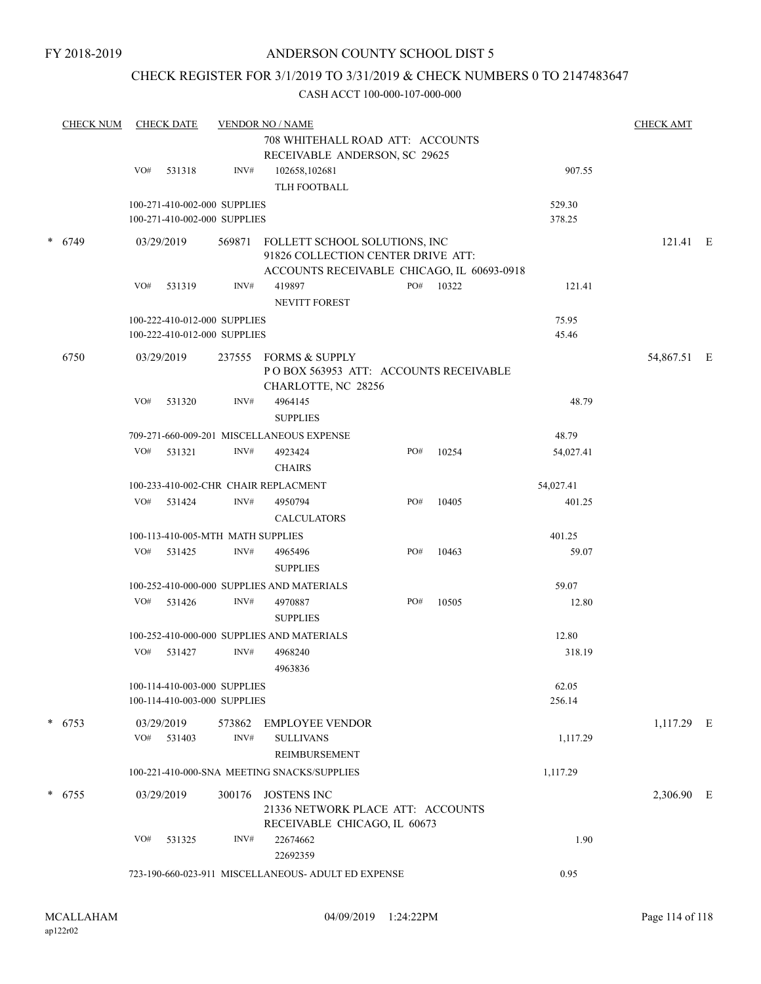## CHECK REGISTER FOR 3/1/2019 TO 3/31/2019 & CHECK NUMBERS 0 TO 2147483647

| <b>CHECK NUM</b> |                              | <b>CHECK DATE</b>    |                                                              | <b>VENDOR NO / NAME</b><br>708 WHITEHALL ROAD ATT: ACCOUNTS                                                              |     |       |                  | <b>CHECK AMT</b> |  |
|------------------|------------------------------|----------------------|--------------------------------------------------------------|--------------------------------------------------------------------------------------------------------------------------|-----|-------|------------------|------------------|--|
|                  | VO#                          | 531318               | INV#                                                         | RECEIVABLE ANDERSON, SC 29625<br>102658,102681<br>TLH FOOTBALL                                                           |     |       | 907.55           |                  |  |
|                  |                              |                      | 100-271-410-002-000 SUPPLIES<br>100-271-410-002-000 SUPPLIES |                                                                                                                          |     |       | 529.30<br>378.25 |                  |  |
| $* 6749$         |                              | 03/29/2019           |                                                              | 569871 FOLLETT SCHOOL SOLUTIONS, INC<br>91826 COLLECTION CENTER DRIVE ATT:<br>ACCOUNTS RECEIVABLE CHICAGO, IL 60693-0918 |     |       |                  | $121.41 \t E$    |  |
|                  | VO#                          | 531319               | INV#                                                         | 419897<br><b>NEVITT FOREST</b>                                                                                           | PO# | 10322 | 121.41           |                  |  |
|                  |                              |                      | 100-222-410-012-000 SUPPLIES<br>100-222-410-012-000 SUPPLIES |                                                                                                                          |     |       | 75.95<br>45.46   |                  |  |
| 6750             |                              | 03/29/2019           |                                                              | 237555 FORMS & SUPPLY<br>POBOX 563953 ATT: ACCOUNTS RECEIVABLE<br>CHARLOTTE, NC 28256                                    |     |       |                  | 54,867.51 E      |  |
|                  | VO#                          | 531320               | INV#                                                         | 4964145<br><b>SUPPLIES</b>                                                                                               |     |       | 48.79            |                  |  |
|                  |                              |                      |                                                              | 709-271-660-009-201 MISCELLANEOUS EXPENSE                                                                                |     |       | 48.79            |                  |  |
|                  | VO#                          | 531321               | INV#                                                         | 4923424<br><b>CHAIRS</b>                                                                                                 | PO# | 10254 | 54,027.41        |                  |  |
|                  |                              |                      |                                                              | 100-233-410-002-CHR CHAIR REPLACMENT                                                                                     |     |       | 54,027.41        |                  |  |
|                  | VO#                          | 531424               | INV#                                                         | 4950794<br><b>CALCULATORS</b>                                                                                            | PO# | 10405 | 401.25           |                  |  |
|                  |                              |                      | 100-113-410-005-MTH MATH SUPPLIES                            |                                                                                                                          |     |       | 401.25           |                  |  |
|                  | VO#                          | 531425               | INV#                                                         | 4965496<br><b>SUPPLIES</b>                                                                                               | PO# | 10463 | 59.07            |                  |  |
|                  |                              |                      |                                                              | 100-252-410-000-000 SUPPLIES AND MATERIALS                                                                               |     |       | 59.07            |                  |  |
|                  | VO#                          | 531426               | INV#                                                         | 4970887<br><b>SUPPLIES</b>                                                                                               | PO# | 10505 | 12.80            |                  |  |
|                  |                              |                      |                                                              | 100-252-410-000-000 SUPPLIES AND MATERIALS                                                                               |     |       | 12.80            |                  |  |
|                  | VO#                          | 531427               | INV#                                                         | 4968240<br>4963836                                                                                                       |     |       | 318.19           |                  |  |
|                  |                              |                      | 100-114-410-003-000 SUPPLIES<br>100-114-410-003-000 SUPPLIES |                                                                                                                          |     |       | 62.05<br>256.14  |                  |  |
| $* 6753$         | VO#                          | 03/29/2019<br>531403 | 573862<br>INV#                                               | EMPLOYEE VENDOR<br><b>SULLIVANS</b><br>REIMBURSEMENT                                                                     |     |       | 1,117.29         | 1,117.29 E       |  |
|                  |                              |                      |                                                              | 100-221-410-000-SNA MEETING SNACKS/SUPPLIES                                                                              |     |       | 1,117.29         |                  |  |
| $* 6755$         |                              | 03/29/2019           | 300176                                                       | <b>JOSTENS INC</b><br>21336 NETWORK PLACE ATT: ACCOUNTS                                                                  |     |       |                  | 2,306.90 E       |  |
|                  | RECEIVABLE CHICAGO, IL 60673 |                      |                                                              |                                                                                                                          |     |       |                  |                  |  |
|                  | VO#                          | 531325               | INV#                                                         | 22674662<br>22692359                                                                                                     |     |       | 1.90             |                  |  |
|                  |                              |                      |                                                              | 723-190-660-023-911 MISCELLANEOUS- ADULT ED EXPENSE                                                                      |     |       | 0.95             |                  |  |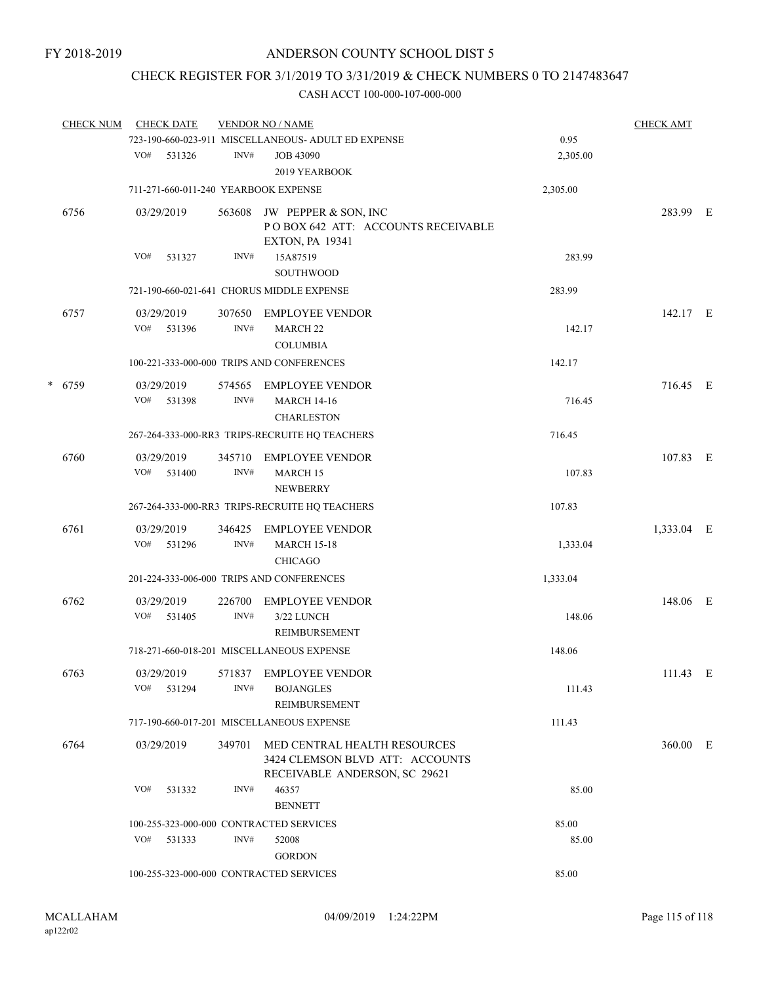## CHECK REGISTER FOR 3/1/2019 TO 3/31/2019 & CHECK NUMBERS 0 TO 2147483647

|   | <b>CHECK NUM</b> | <b>CHECK DATE</b>                       |                | <b>VENDOR NO / NAME</b>                                                                          |          | <b>CHECK AMT</b> |  |
|---|------------------|-----------------------------------------|----------------|--------------------------------------------------------------------------------------------------|----------|------------------|--|
|   |                  |                                         |                | 723-190-660-023-911 MISCELLANEOUS- ADULT ED EXPENSE                                              | 0.95     |                  |  |
|   |                  | VO#<br>531326                           | INV#           | <b>JOB 43090</b><br>2019 YEARBOOK                                                                | 2,305.00 |                  |  |
|   |                  | 711-271-660-011-240 YEARBOOK EXPENSE    |                |                                                                                                  | 2,305.00 |                  |  |
|   | 6756             | 03/29/2019                              | 563608         | JW PEPPER & SON, INC<br>POBOX 642 ATT: ACCOUNTS RECEIVABLE<br><b>EXTON, PA 19341</b>             |          | 283.99 E         |  |
|   |                  | VO#<br>531327                           | INV#           | 15A87519<br><b>SOUTHWOOD</b>                                                                     | 283.99   |                  |  |
|   |                  |                                         |                | 721-190-660-021-641 CHORUS MIDDLE EXPENSE                                                        | 283.99   |                  |  |
|   | 6757             | 03/29/2019<br>VO#<br>531396             | 307650<br>INV# | <b>EMPLOYEE VENDOR</b><br><b>MARCH 22</b><br><b>COLUMBIA</b>                                     | 142.17   | 142.17 E         |  |
|   |                  |                                         |                | 100-221-333-000-000 TRIPS AND CONFERENCES                                                        | 142.17   |                  |  |
| * | 6759             | 03/29/2019<br>VO#<br>531398             | 574565<br>INV# | <b>EMPLOYEE VENDOR</b><br><b>MARCH 14-16</b><br><b>CHARLESTON</b>                                | 716.45   | 716.45 E         |  |
|   |                  |                                         |                | 267-264-333-000-RR3 TRIPS-RECRUITE HQ TEACHERS                                                   | 716.45   |                  |  |
|   | 6760             | 03/29/2019<br>VO# 531400                | 345710<br>INV# | <b>EMPLOYEE VENDOR</b><br><b>MARCH 15</b><br><b>NEWBERRY</b>                                     | 107.83   | 107.83 E         |  |
|   |                  |                                         |                | 267-264-333-000-RR3 TRIPS-RECRUITE HQ TEACHERS                                                   | 107.83   |                  |  |
|   | 6761             | 03/29/2019<br>VO#<br>531296             | 346425<br>INV# | <b>EMPLOYEE VENDOR</b><br><b>MARCH 15-18</b><br><b>CHICAGO</b>                                   | 1,333.04 | 1,333.04 E       |  |
|   |                  |                                         |                | 201-224-333-006-000 TRIPS AND CONFERENCES                                                        | 1,333.04 |                  |  |
|   | 6762             | 03/29/2019<br>VO# 531405                | 226700<br>INV# | <b>EMPLOYEE VENDOR</b><br>3/22 LUNCH<br>REIMBURSEMENT                                            | 148.06   | 148.06 E         |  |
|   |                  |                                         |                | 718-271-660-018-201 MISCELLANEOUS EXPENSE                                                        | 148.06   |                  |  |
|   | 6763             | 03/29/2019<br>$VO#$ 531294              | INV#           | 571837 EMPLOYEE VENDOR<br><b>BOJANGLES</b><br>REIMBURSEMENT                                      | 111.43   | 111.43 E         |  |
|   |                  |                                         |                | 717-190-660-017-201 MISCELLANEOUS EXPENSE                                                        | 111.43   |                  |  |
|   | 6764             | 03/29/2019                              | 349701         | MED CENTRAL HEALTH RESOURCES<br>3424 CLEMSON BLVD ATT: ACCOUNTS<br>RECEIVABLE ANDERSON, SC 29621 |          | 360.00 E         |  |
|   |                  | VO#<br>531332                           | INV#           | 46357<br><b>BENNETT</b>                                                                          | 85.00    |                  |  |
|   |                  | 100-255-323-000-000 CONTRACTED SERVICES |                |                                                                                                  | 85.00    |                  |  |
|   |                  | VO# 531333                              | INV#           | 52008<br><b>GORDON</b>                                                                           | 85.00    |                  |  |
|   |                  | 100-255-323-000-000 CONTRACTED SERVICES |                |                                                                                                  | 85.00    |                  |  |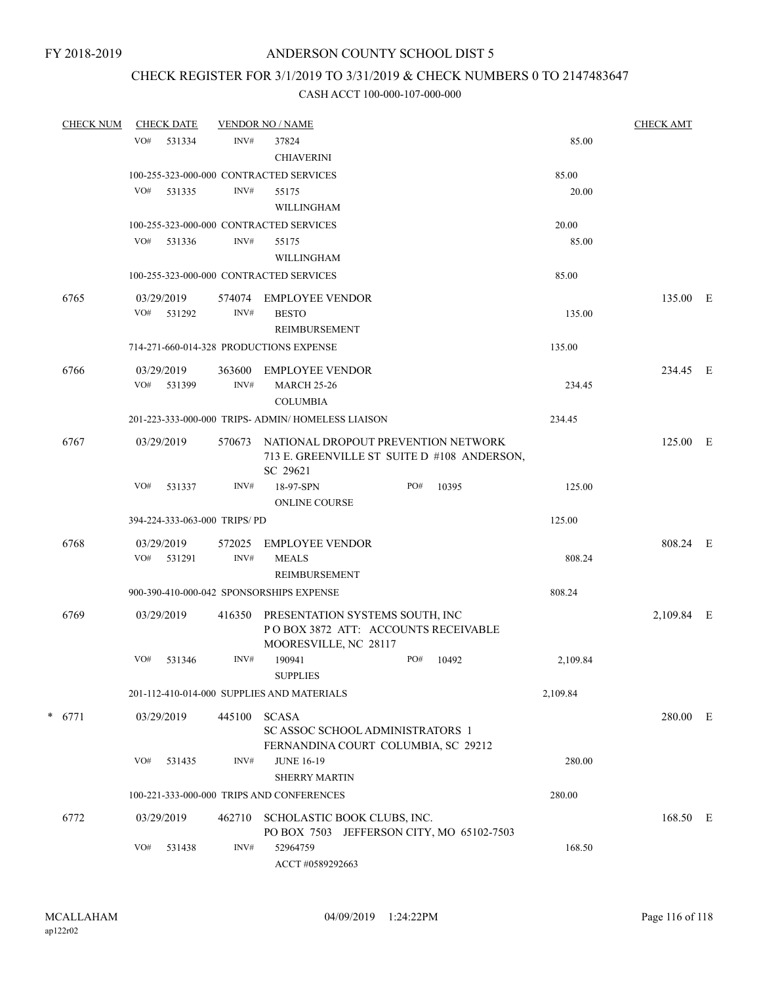## CHECK REGISTER FOR 3/1/2019 TO 3/31/2019 & CHECK NUMBERS 0 TO 2147483647

| <b>CHECK NUM</b> |     | <b>CHECK DATE</b>            |        | <b>VENDOR NO / NAME</b>                                                                         |     |       |          | <b>CHECK AMT</b> |   |
|------------------|-----|------------------------------|--------|-------------------------------------------------------------------------------------------------|-----|-------|----------|------------------|---|
|                  | VO# | 531334                       | INV#   | 37824                                                                                           |     |       | 85.00    |                  |   |
|                  |     |                              |        | <b>CHIAVERINI</b>                                                                               |     |       |          |                  |   |
|                  |     |                              |        | 100-255-323-000-000 CONTRACTED SERVICES                                                         |     |       | 85.00    |                  |   |
|                  | VO# | 531335                       | INV#   | 55175                                                                                           |     |       | 20.00    |                  |   |
|                  |     |                              |        | WILLINGHAM                                                                                      |     |       |          |                  |   |
|                  |     |                              |        | 100-255-323-000-000 CONTRACTED SERVICES                                                         |     |       | 20.00    |                  |   |
|                  |     | VO# 531336                   | INV#   | 55175                                                                                           |     |       | 85.00    |                  |   |
|                  |     |                              |        | WILLINGHAM                                                                                      |     |       |          |                  |   |
|                  |     |                              |        | 100-255-323-000-000 CONTRACTED SERVICES                                                         |     |       | 85.00    |                  |   |
| 6765             |     | 03/29/2019                   | 574074 | <b>EMPLOYEE VENDOR</b>                                                                          |     |       |          | 135.00 E         |   |
|                  | VO# | 531292                       | INV#   | <b>BESTO</b>                                                                                    |     |       | 135.00   |                  |   |
|                  |     |                              |        | REIMBURSEMENT                                                                                   |     |       |          |                  |   |
|                  |     |                              |        | 714-271-660-014-328 PRODUCTIONS EXPENSE                                                         |     |       | 135.00   |                  |   |
| 6766             |     | 03/29/2019                   | 363600 | <b>EMPLOYEE VENDOR</b>                                                                          |     |       |          | 234.45 E         |   |
|                  | VO# | 531399                       | INV#   | <b>MARCH 25-26</b>                                                                              |     |       | 234.45   |                  |   |
|                  |     |                              |        | <b>COLUMBIA</b>                                                                                 |     |       |          |                  |   |
|                  |     |                              |        | 201-223-333-000-000 TRIPS- ADMIN/ HOMELESS LIAISON                                              |     |       | 234.45   |                  |   |
| 6767             |     | 03/29/2019                   | 570673 | NATIONAL DROPOUT PREVENTION NETWORK<br>713 E. GREENVILLE ST SUITE D #108 ANDERSON,              |     |       |          | 125.00 E         |   |
|                  | VO# | 531337                       | INV#   | SC 29621<br>18-97-SPN                                                                           | PO# | 10395 | 125.00   |                  |   |
|                  |     |                              |        | <b>ONLINE COURSE</b>                                                                            |     |       |          |                  |   |
|                  |     | 394-224-333-063-000 TRIPS/PD |        |                                                                                                 |     |       | 125.00   |                  |   |
| 6768             |     | 03/29/2019                   | 572025 | <b>EMPLOYEE VENDOR</b>                                                                          |     |       |          | 808.24 E         |   |
|                  |     | VO# 531291                   | INV#   | <b>MEALS</b>                                                                                    |     |       | 808.24   |                  |   |
|                  |     |                              |        | REIMBURSEMENT                                                                                   |     |       |          |                  |   |
|                  |     |                              |        | 900-390-410-000-042 SPONSORSHIPS EXPENSE                                                        |     |       | 808.24   |                  |   |
| 6769             |     | 03/29/2019                   | 416350 | PRESENTATION SYSTEMS SOUTH, INC<br>POBOX 3872 ATT: ACCOUNTS RECEIVABLE<br>MOORESVILLE, NC 28117 |     |       |          | 2,109.84         | E |
|                  | VO# | 531346                       | INV#   | 190941<br><b>SUPPLIES</b>                                                                       | PO# | 10492 | 2,109.84 |                  |   |
|                  |     |                              |        | 201-112-410-014-000 SUPPLIES AND MATERIALS                                                      |     |       | 2,109.84 |                  |   |
| $* 6771$         |     | 03/29/2019                   | 445100 | <b>SCASA</b>                                                                                    |     |       |          | 280.00 E         |   |
|                  |     |                              |        | SC ASSOC SCHOOL ADMINISTRATORS 1<br>FERNANDINA COURT COLUMBIA, SC 29212                         |     |       |          |                  |   |
|                  | VO# | 531435                       | INV#   | <b>JUNE 16-19</b>                                                                               |     |       | 280.00   |                  |   |
|                  |     |                              |        | <b>SHERRY MARTIN</b>                                                                            |     |       |          |                  |   |
|                  |     |                              |        | 100-221-333-000-000 TRIPS AND CONFERENCES                                                       |     |       | 280.00   |                  |   |
| 6772             |     | 03/29/2019                   | 462710 | SCHOLASTIC BOOK CLUBS, INC.<br>PO BOX 7503 JEFFERSON CITY, MO 65102-7503                        |     |       |          | 168.50 E         |   |
|                  | VO# | 531438                       | INV#   | 52964759<br>ACCT #0589292663                                                                    |     |       | 168.50   |                  |   |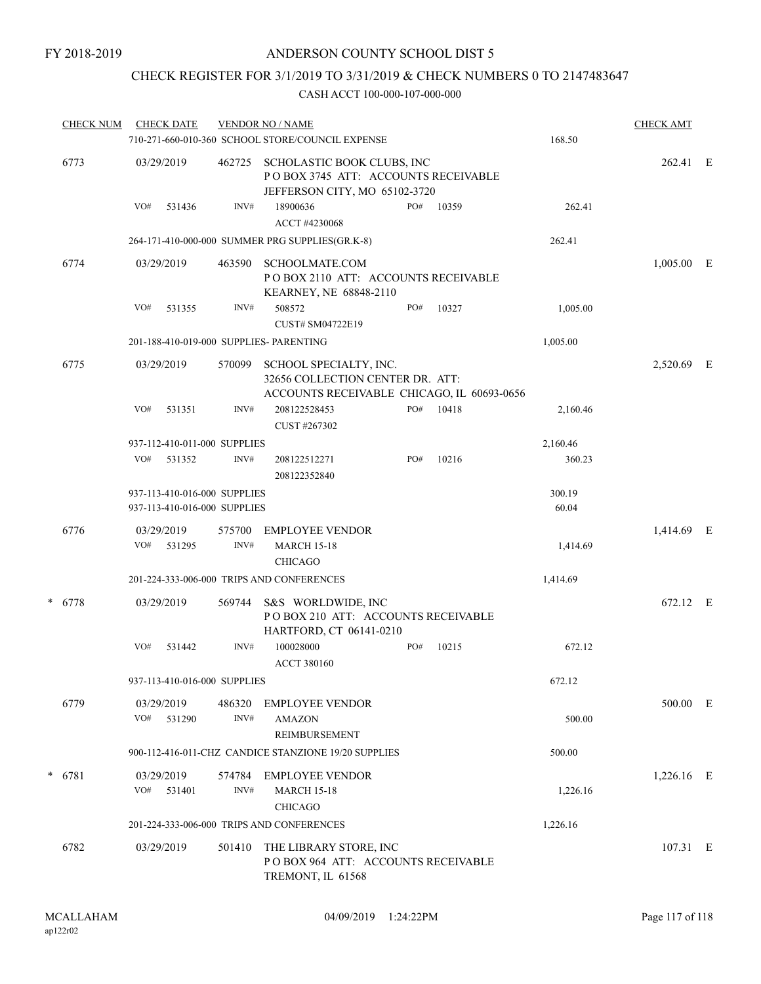## CHECK REGISTER FOR 3/1/2019 TO 3/31/2019 & CHECK NUMBERS 0 TO 2147483647

|      | <b>CHECK NUM</b> |            | <b>CHECK DATE</b>                                            |                        | <b>VENDOR NO / NAME</b><br>710-271-660-010-360 SCHOOL STORE/COUNCIL EXPENSE                        |     |       | 168.50          | <b>CHECK AMT</b> |  |
|------|------------------|------------|--------------------------------------------------------------|------------------------|----------------------------------------------------------------------------------------------------|-----|-------|-----------------|------------------|--|
|      | 6773             |            | 03/29/2019                                                   | 462725                 | SCHOLASTIC BOOK CLUBS, INC<br>POBOX 3745 ATT: ACCOUNTS RECEIVABLE<br>JEFFERSON CITY, MO 65102-3720 |     |       |                 | 262.41 E         |  |
|      |                  | VO#        | 531436                                                       | INV#                   | 18900636<br>ACCT #4230068                                                                          | PO# | 10359 | 262.41          |                  |  |
|      |                  |            |                                                              |                        | 264-171-410-000-000 SUMMER PRG SUPPLIES(GR.K-8)                                                    |     |       | 262.41          |                  |  |
|      | 6774             |            | 03/29/2019                                                   | 463590                 | SCHOOLMATE.COM<br>POBOX 2110 ATT: ACCOUNTS RECEIVABLE<br>KEARNEY, NE 68848-2110                    |     |       |                 | $1,005.00$ E     |  |
|      |                  | VO#        | 531355                                                       | INV#                   | 508572                                                                                             | PO# | 10327 | 1,005.00        |                  |  |
|      |                  |            |                                                              |                        | CUST# SM04722E19<br>201-188-410-019-000 SUPPLIES- PARENTING                                        |     |       | 1,005.00        |                  |  |
| 6775 |                  | 03/29/2019 | 570099                                                       | SCHOOL SPECIALTY, INC. |                                                                                                    |     |       | 2,520.69 E      |                  |  |
|      |                  |            |                                                              |                        | 32656 COLLECTION CENTER DR. ATT:<br>ACCOUNTS RECEIVABLE CHICAGO, IL 60693-0656                     |     |       |                 |                  |  |
|      |                  | VO#        | 531351                                                       | INV#                   | 208122528453                                                                                       | PO# | 10418 | 2,160.46        |                  |  |
|      |                  |            | 937-112-410-011-000 SUPPLIES                                 |                        | CUST #267302                                                                                       |     |       | 2,160.46        |                  |  |
|      |                  | VO#        | 531352                                                       | INV#                   | 208122512271                                                                                       | PO# | 10216 | 360.23          |                  |  |
|      |                  |            |                                                              |                        | 208122352840                                                                                       |     |       |                 |                  |  |
|      |                  |            | 937-113-410-016-000 SUPPLIES<br>937-113-410-016-000 SUPPLIES |                        |                                                                                                    |     |       | 300.19<br>60.04 |                  |  |
|      | 6776             |            | 03/29/2019<br>VO# 531295                                     | 575700<br>INV#         | <b>EMPLOYEE VENDOR</b><br><b>MARCH 15-18</b><br><b>CHICAGO</b>                                     |     |       | 1,414.69        | 1,414.69 E       |  |
|      |                  |            | 201-224-333-006-000 TRIPS AND CONFERENCES                    | 1,414.69               |                                                                                                    |     |       |                 |                  |  |
|      | * 6778           |            | 03/29/2019                                                   | 569744                 | S&S WORLDWIDE, INC<br>PO BOX 210 ATT: ACCOUNTS RECEIVABLE<br>HARTFORD, CT 06141-0210               |     |       |                 | 672.12 E         |  |
|      |                  | VO#        | 531442                                                       | INV#                   | 100028000<br><b>ACCT 380160</b>                                                                    | PO# | 10215 | 672.12          |                  |  |
|      |                  |            | 937-113-410-016-000 SUPPLIES                                 |                        |                                                                                                    |     |       | 672.12          |                  |  |
|      | 6779             | VO#        | 03/29/2019<br>531290                                         | 486320<br>INV#         | <b>EMPLOYEE VENDOR</b><br><b>AMAZON</b><br>REIMBURSEMENT                                           |     |       | 500.00          | 500.00 E         |  |
|      |                  |            |                                                              |                        | 900-112-416-011-CHZ CANDICE STANZIONE 19/20 SUPPLIES                                               |     |       | 500.00          |                  |  |
|      | $* 6781$         | VO#        | 03/29/2019<br>531401                                         | 574784<br>INV#         | EMPLOYEE VENDOR<br><b>MARCH 15-18</b><br><b>CHICAGO</b>                                            |     |       | 1,226.16        | 1,226.16 E       |  |
|      |                  |            |                                                              |                        | 201-224-333-006-000 TRIPS AND CONFERENCES                                                          |     |       | 1,226.16        |                  |  |
|      | 6782             |            | 03/29/2019                                                   | 501410                 | THE LIBRARY STORE, INC<br>POBOX 964 ATT: ACCOUNTS RECEIVABLE<br>TREMONT, IL 61568                  |     |       |                 | 107.31 E         |  |
|      |                  |            |                                                              |                        |                                                                                                    |     |       |                 |                  |  |